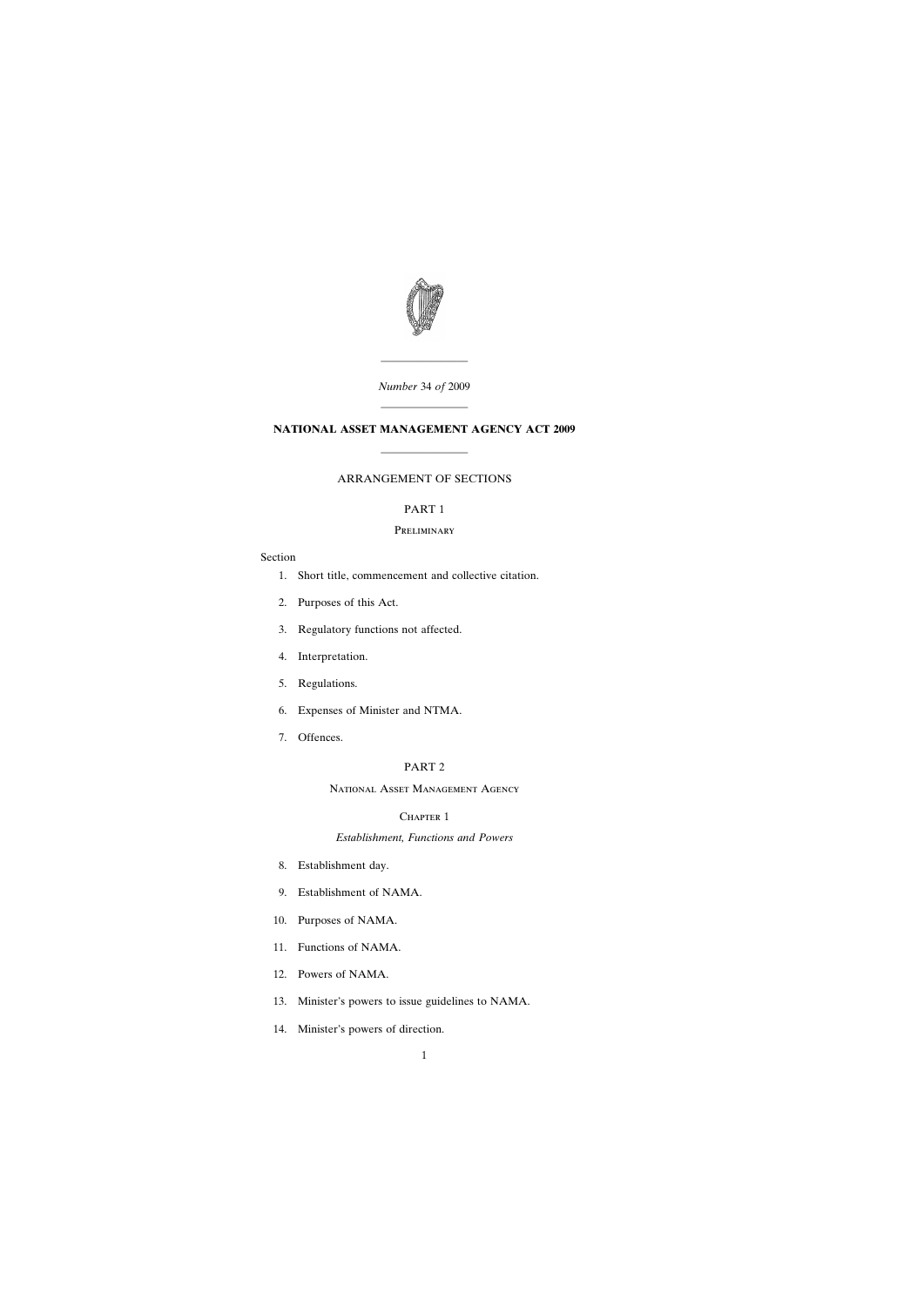

*Number* 34 *of* 2009

————————

# ———————— **NATIONAL ASSET MANAGEMENT AGENCY ACT 2009**

————————

# ARRANGEMENT OF SECTIONS

# PART 1

# **PRELIMINARY**

# Section

- [1. Short title, commencement and collective citation.](#page-15-0)
- [2. Purposes of this Act.](#page-15-0)
- [3. Regulatory functions not affected.](#page-16-0)
- [4. Interpretation.](#page-16-0)
- [5. Regulations.](#page-21-0)
- [6. Expenses of Minister and NTMA.](#page-22-0)
- [7. Offences.](#page-22-0)

# PART 2

# National Asset Management Agency

# CHAPTER 1

# *Establishment, Functions and Powers*

- [8. Establishment day.](#page-23-0)
- [9. Establishment of NAMA.](#page-23-0)
- [10. Purposes of NAMA.](#page-23-0)
- [11. Functions of NAMA.](#page-24-0)
- [12. Powers of NAMA.](#page-25-0)
- [13. Minister's powers to issue guidelines to NAMA.](#page-27-0)
- [14. Minister's powers of direction.](#page-27-0)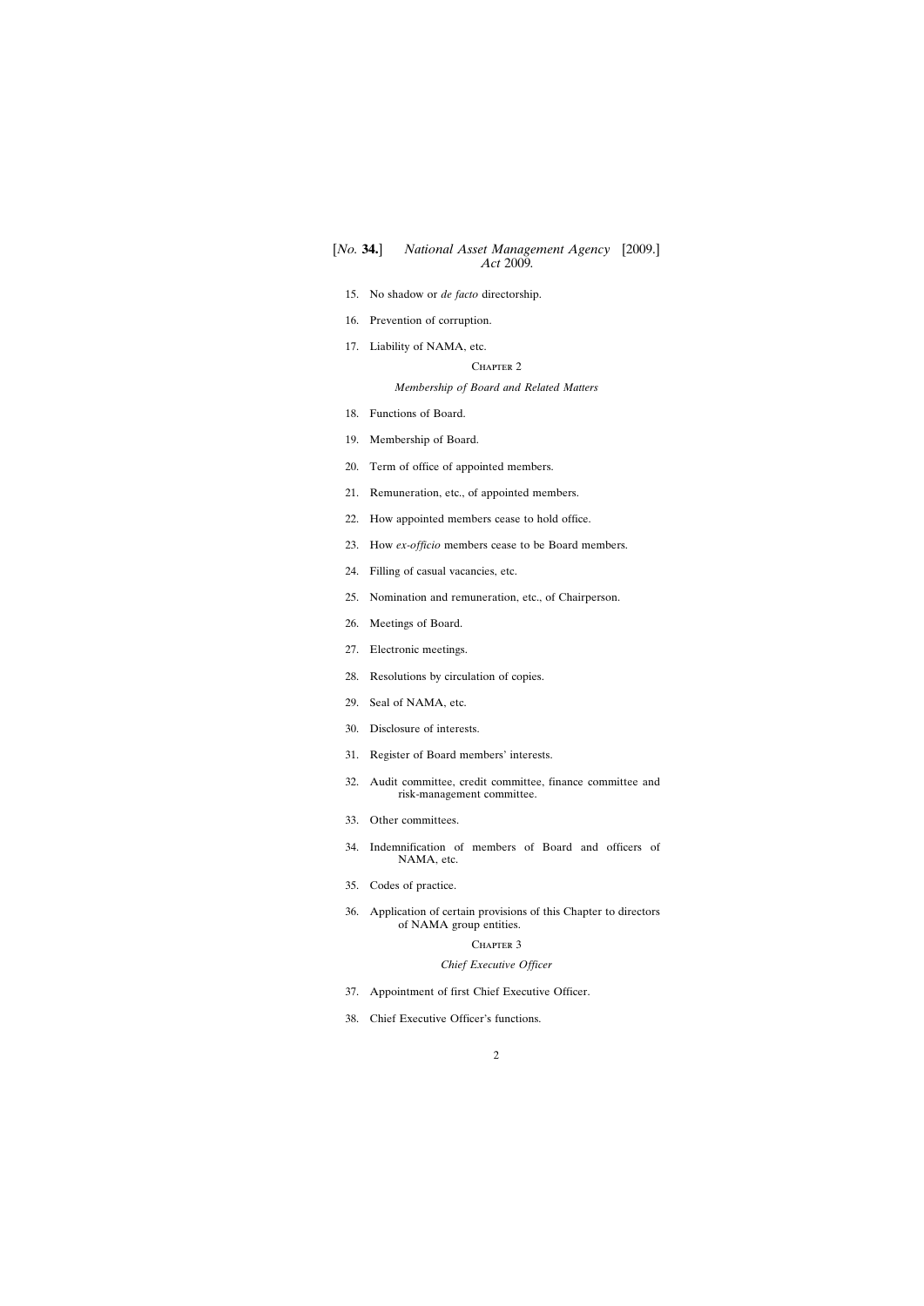- [15. No shadow or](#page-28-0) *de facto* directorship.
- [16. Prevention of corruption.](#page-28-0)
- [17. Liability of NAMA, etc.](#page-29-0)

CHAPTER 2

# *Membership of Board and Related Matters*

- [18. Functions of Board.](#page-29-0)
- [19. Membership of Board.](#page-30-0)
- [20. Term of office of appointed members.](#page-30-0)
- [21. Remuneration, etc., of appointed members.](#page-31-0)
- [22. How appointed members cease to hold office.](#page-31-0)
- 23. How *ex-officio* [members cease to be Board members.](#page-32-0)
- [24. Filling of casual vacancies, etc.](#page-33-0)
- [25. Nomination and remuneration, etc., of Chairperson.](#page-33-0)
- [26. Meetings of Board.](#page-34-0)
- [27. Electronic meetings.](#page-34-0)
- [28. Resolutions by circulation of copies.](#page-34-0)
- [29. Seal of NAMA, etc.](#page-35-0)
- [30. Disclosure of interests.](#page-35-0)
- [31. Register of Board members'](#page-36-0) interests.
- [32. Audit committee, credit committee, finance committee and](#page-36-0) risk-management committee.
- [33. Other committees.](#page-37-0)
- [34. Indemnification of members of Board and officers of](#page-38-0) NAMA, etc.
- [35. Codes of practice.](#page-38-0)
- [36. Application of certain provisions of this Chapter to directors](#page-39-0) of NAMA group entities.

### CHAPTER 3

### *Chief Executive Officer*

- [37. Appointment of first Chief Executive Officer.](#page-39-0)
- [38. Chief Executive Officer's functions.](#page-40-0)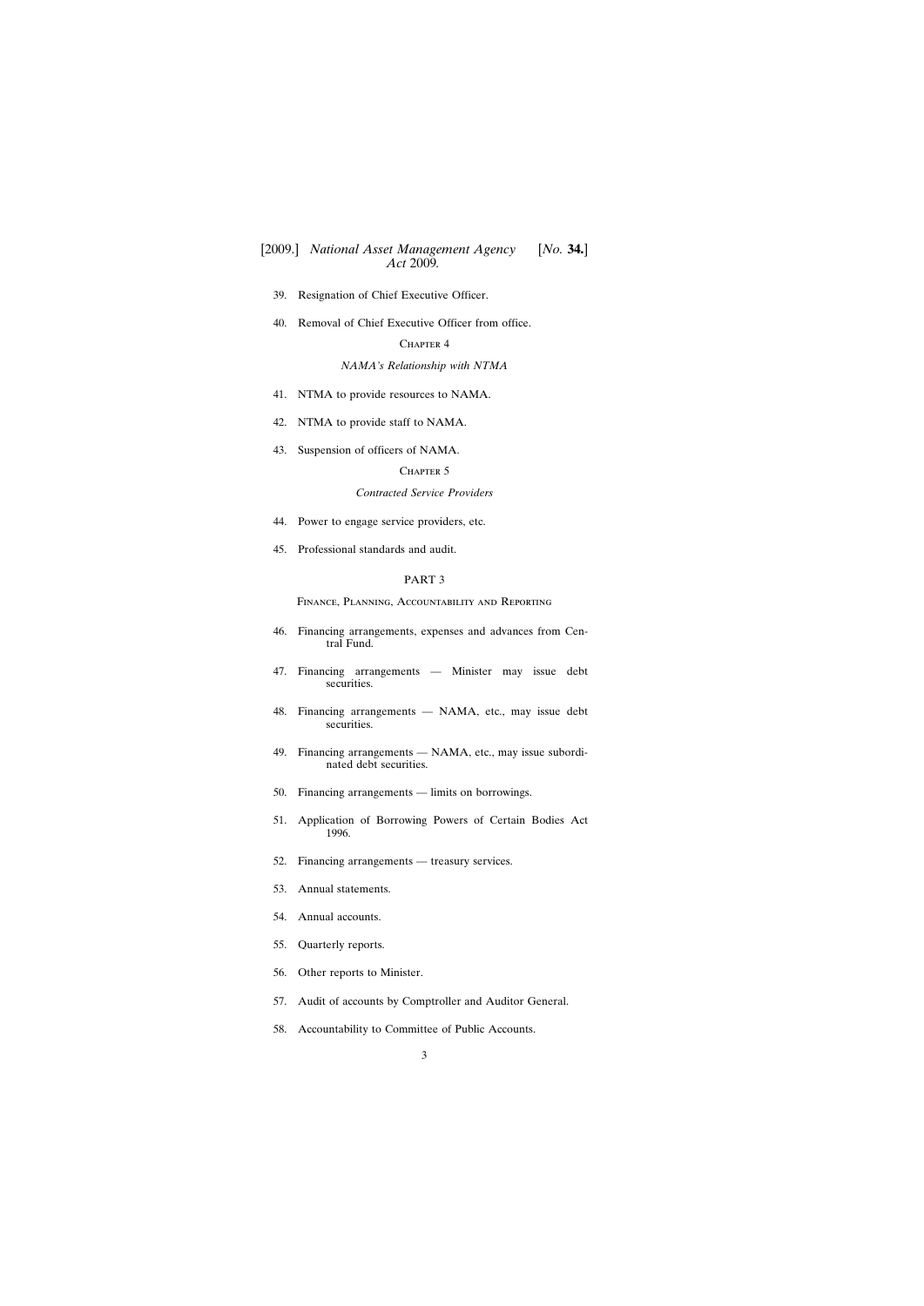- [39. Resignation of Chief Executive Officer.](#page-40-0)
- [40. Removal of Chief Executive Officer from office.](#page-40-0)

#### CHAPTER 4

# *NAMA's Relationship with NTMA*

- [41. NTMA to provide resources to NAMA.](#page-41-0)
- [42. NTMA to provide staff to NAMA.](#page-41-0)
- [43. Suspension of officers of NAMA.](#page-42-0)

# CHAPTER<sub>5</sub>

# *Contracted Service Providers*

- [44. Power to engage service providers, etc.](#page-42-0)
- [45. Professional standards and audit.](#page-43-0)

# PART 3

Finance, Planning, Accountability and Reporting

- [46. Financing arrangements, expenses and advances from Cen](#page-43-0)tral Fund.
- [47. Financing arrangements](#page-44-0) Minister may issue debt securities.
- 48. Financing arrangements [NAMA, etc., may issue debt](#page-44-0) securities.
- 49. Financing arrangements [NAMA, etc., may issue subordi](#page-45-0)nated debt securities.
- [50. Financing arrangements](#page-45-0) limits on borrowings.
- [51. Application of Borrowing Powers of Certain Bodies Act](#page-46-0) 1996.
- [52. Financing arrangements](#page-46-0) treasury services.
- [53. Annual statements.](#page-46-0)
- [54. Annual accounts.](#page-46-0)
- [55. Quarterly reports.](#page-47-0)
- [56. Other reports to Minister.](#page-48-0)
- [57. Audit of accounts by Comptroller and Auditor General.](#page-49-0)
- [58. Accountability to Committee of Public Accounts.](#page-49-0)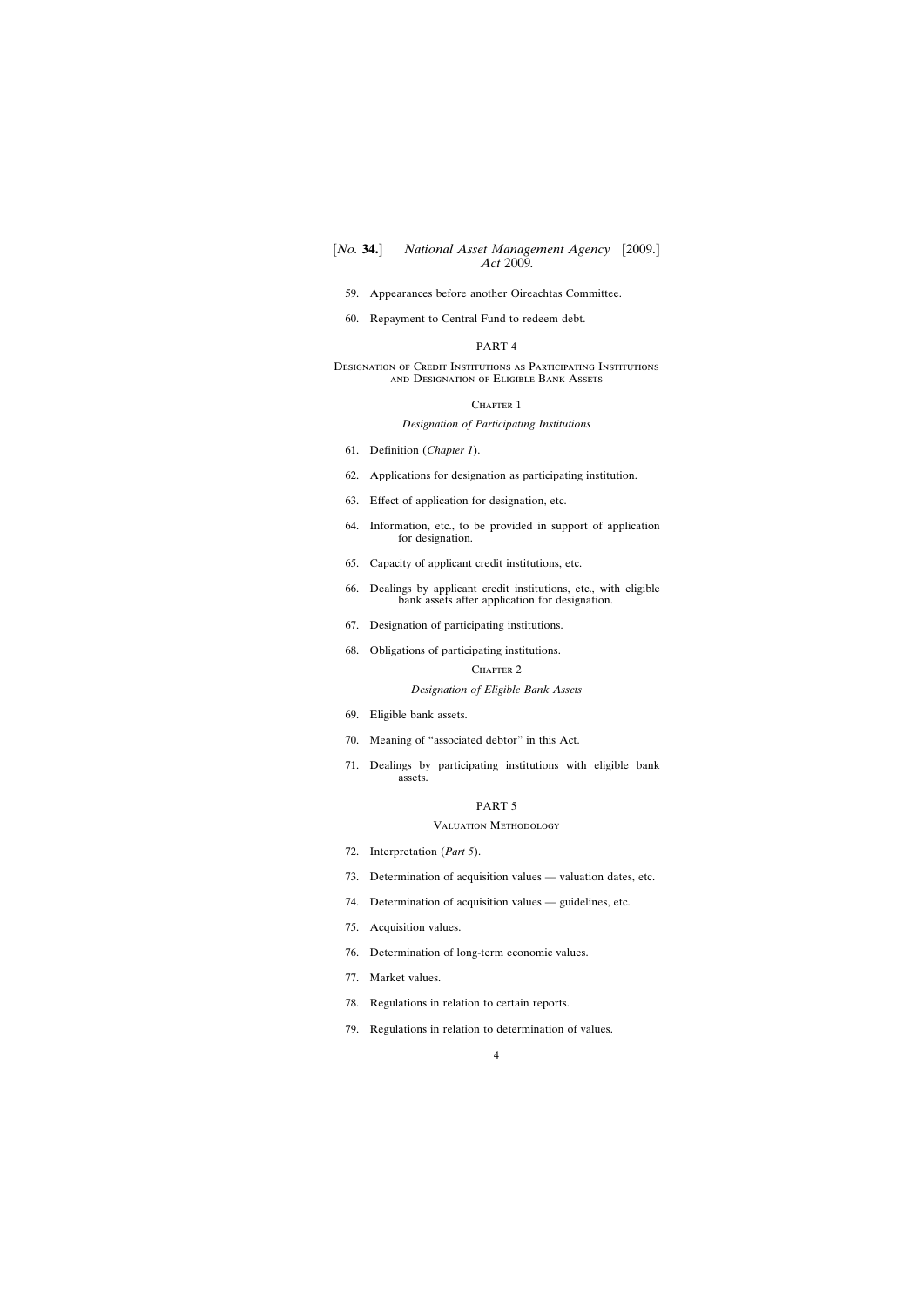[59. Appearances before another Oireachtas Committee.](#page-50-0)

[60. Repayment to Central Fund to redeem debt.](#page-50-0)

### PART 4

#### Designation of Credit Institutions as Participating Institutions and Designation of Eligible Bank Assets

#### CHAPTER 1

#### *Designation of Participating Institutions*

- [61. Definition \(](#page-50-0)*Chapter 1*).
- [62. Applications for designation as participating institution.](#page-51-0)
- [63. Effect of application for designation, etc.](#page-51-0)
- [64. Information, etc., to be provided in support of application](#page-52-0) for designation.
- [65. Capacity of applicant credit institutions, etc.](#page-52-0)
- [66. Dealings by applicant credit institutions, etc., with eligible](#page-53-0) bank assets after application for designation.
- [67. Designation of participating institutions.](#page-54-0)
- [68. Obligations of participating institutions.](#page-55-0)

# CHAPTER<sub>2</sub>

### *Designation of Eligible Bank Assets*

- [69. Eligible bank assets.](#page-56-0)
- 70. Meaning of ["associated debtor"](#page-57-0) in this Act.
- [71. Dealings by participating institutions with eligible bank](#page-58-0) assets.

### PART 5

### Valuation Methodology

- [72. Interpretation \(](#page-59-0)*Part 5*).
- [73. Determination of acquisition values](#page-60-0) valuation dates, etc.
- [74. Determination of acquisition values](#page-60-0) guidelines, etc.
- [75. Acquisition values.](#page-60-0)
- [76. Determination of long-term economic values.](#page-60-0)
- [77. Market values.](#page-61-0)
- [78. Regulations in relation to certain reports.](#page-62-0)
- [79. Regulations in relation to determination of values.](#page-62-0)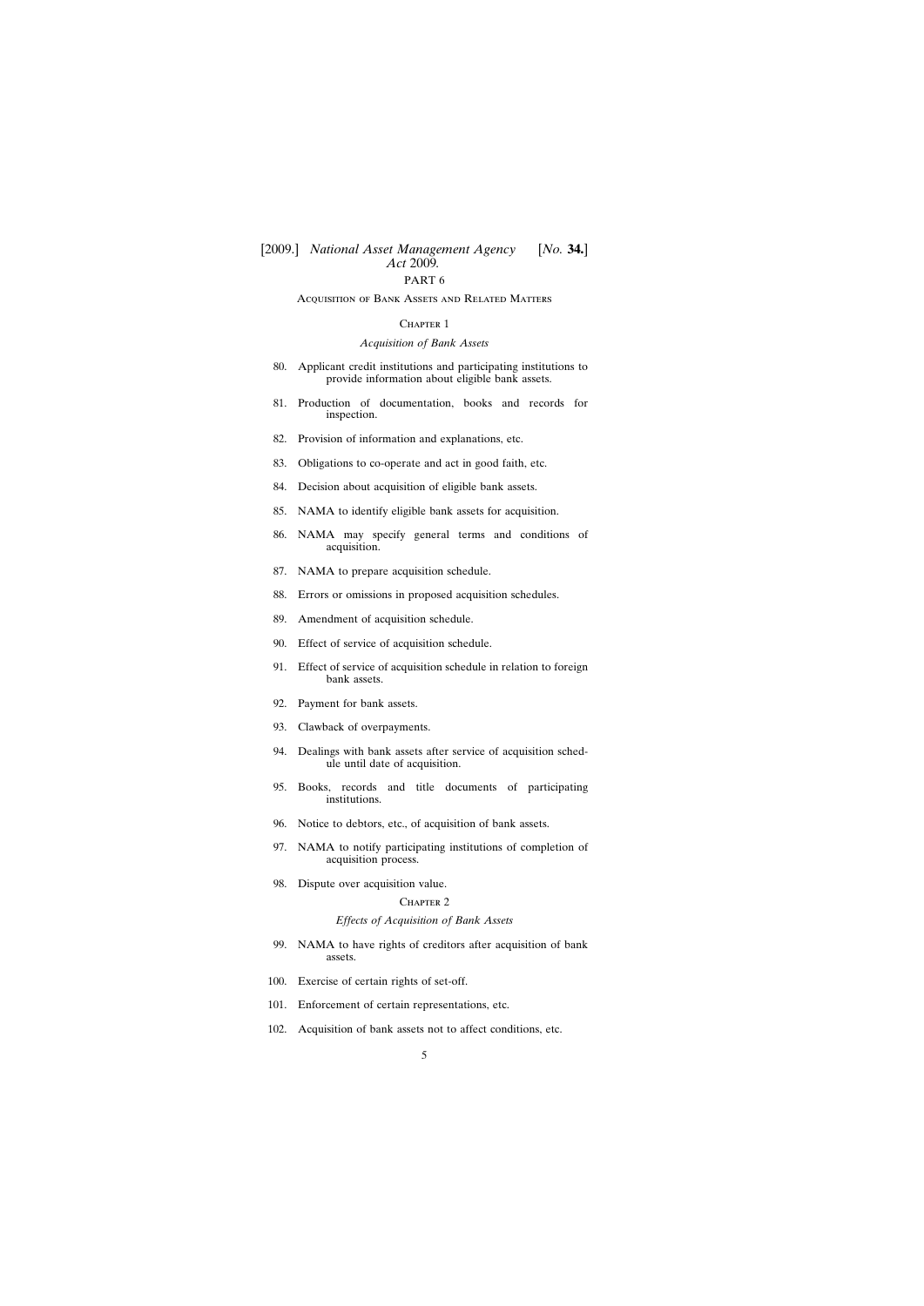# [2009.] [ *National Asset Management Agency No.* **34.**] *Act* 2009*.*

# PART 6

Acquisition of Bank Assets and Related Matters

### CHAPTER 1

# *Acquisition of Bank Assets*

- [80. Applicant credit institutions and participating institutions to](#page-65-0) provide information about eligible bank assets.
- [81. Production of documentation, books and records for](#page-66-0) inspection.
- [82. Provision of information and explanations, etc.](#page-66-0)
- [83. Obligations to co-operate and act in good faith, etc.](#page-67-0)
- [84. Decision about acquisition of eligible bank assets.](#page-68-0)
- [85. NAMA to identify eligible bank assets for acquisition.](#page-69-0)
- [86. NAMA may specify general terms and conditions of](#page-69-0) acquisition.
- [87. NAMA to prepare acquisition schedule.](#page-70-0)
- [88. Errors or omissions in proposed acquisition schedules.](#page-71-0)
- [89. Amendment of acquisition schedule.](#page-71-0)
- [90. Effect of service of acquisition schedule.](#page-71-0)
- [91. Effect of service of acquisition schedule in relation to foreign](#page-73-0) bank assets.
- [92. Payment for bank assets.](#page-74-0)
- [93. Clawback of overpayments.](#page-75-0)
- [94. Dealings with bank assets after service of acquisition sched](#page-75-0)ule until date of acquisition.
- [95. Books, records and title documents of participating](#page-75-0) institutions.
- [96. Notice to debtors, etc., of acquisition of bank assets.](#page-76-0)
- [97. NAMA to notify participating institutions of completion of](#page-76-0) acquisition process.
- [98. Dispute over acquisition value.](#page-77-0)

### CHAPTER<sub>2</sub>

### *Effects of Acquisition of Bank Assets*

- [99. NAMA to have rights of creditors after acquisition of bank](#page-77-0) assets.
- [100. Exercise of certain rights of set-off.](#page-78-0)
- [101. Enforcement of certain representations, etc.](#page-79-0)
- [102. Acquisition of bank assets not to affect conditions, etc.](#page-79-0)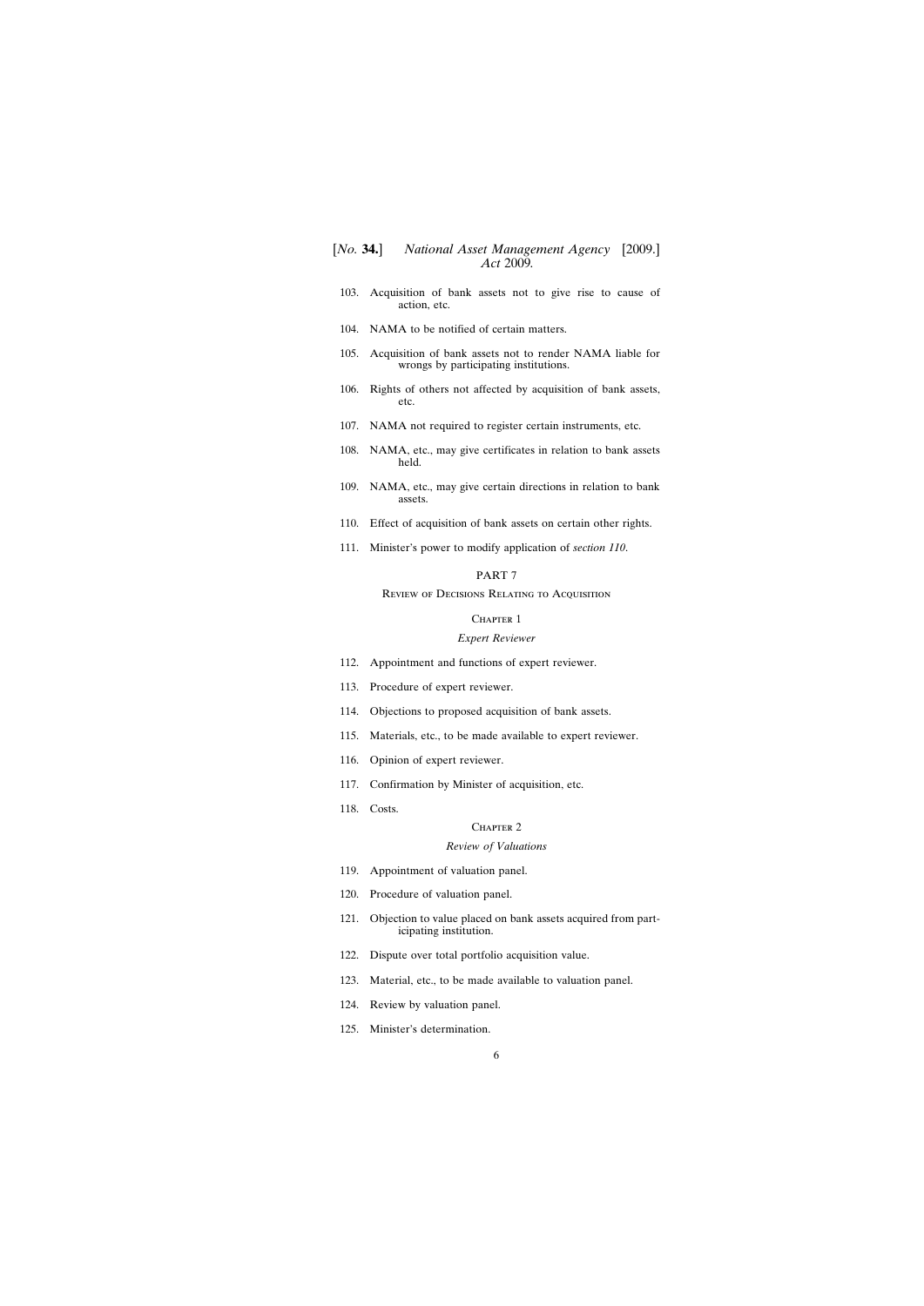- [103. Acquisition of bank assets not to give rise to cause of](#page-80-0) action, etc.
- [104. NAMA to be notified of certain matters.](#page-80-0)
- [105. Acquisition of bank assets not to render NAMA liable for](#page-80-0) wrongs by participating institutions.
- [106. Rights of others not affected by acquisition of bank assets,](#page-80-0) etc.
- [107. NAMA not required to register certain instruments, etc.](#page-80-0)
- [108. NAMA, etc., may give certificates in relation to bank assets](#page-81-0) held.
- [109. NAMA, etc., may give certain directions in relation to bank](#page-82-0) assets.
- [110. Effect of acquisition of bank assets on certain other rights.](#page-82-0)
- [111. Minister's power to modify application of](#page-84-0) *section 110*.

### PART 7

Review of Decisions Relating to Acquisition

# CHAPTER 1

# *Expert Reviewer*

- [112. Appointment and functions of expert reviewer.](#page-85-0)
- [113. Procedure of expert reviewer.](#page-86-0)
- [114. Objections to proposed acquisition of bank assets.](#page-86-0)
- [115. Materials, etc., to be made available to expert reviewer.](#page-86-0)
- [116. Opinion of expert reviewer.](#page-87-0)
- [117. Confirmation by Minister of acquisition, etc.](#page-87-0)
- [118. Costs.](#page-87-0)

# CHAPTER<sub>2</sub>

### *Review of Valuations*

- [119. Appointment of valuation panel.](#page-88-0)
- [120. Procedure of valuation panel.](#page-88-0)
- [121. Objection to value placed on bank assets acquired from part](#page-89-0)icipating institution.
- [122. Dispute over total portfolio acquisition value.](#page-89-0)
- [123. Material, etc., to be made available to valuation panel.](#page-90-0)
- [124. Review by valuation panel.](#page-90-0)
- [125. Minister's determination.](#page-91-0)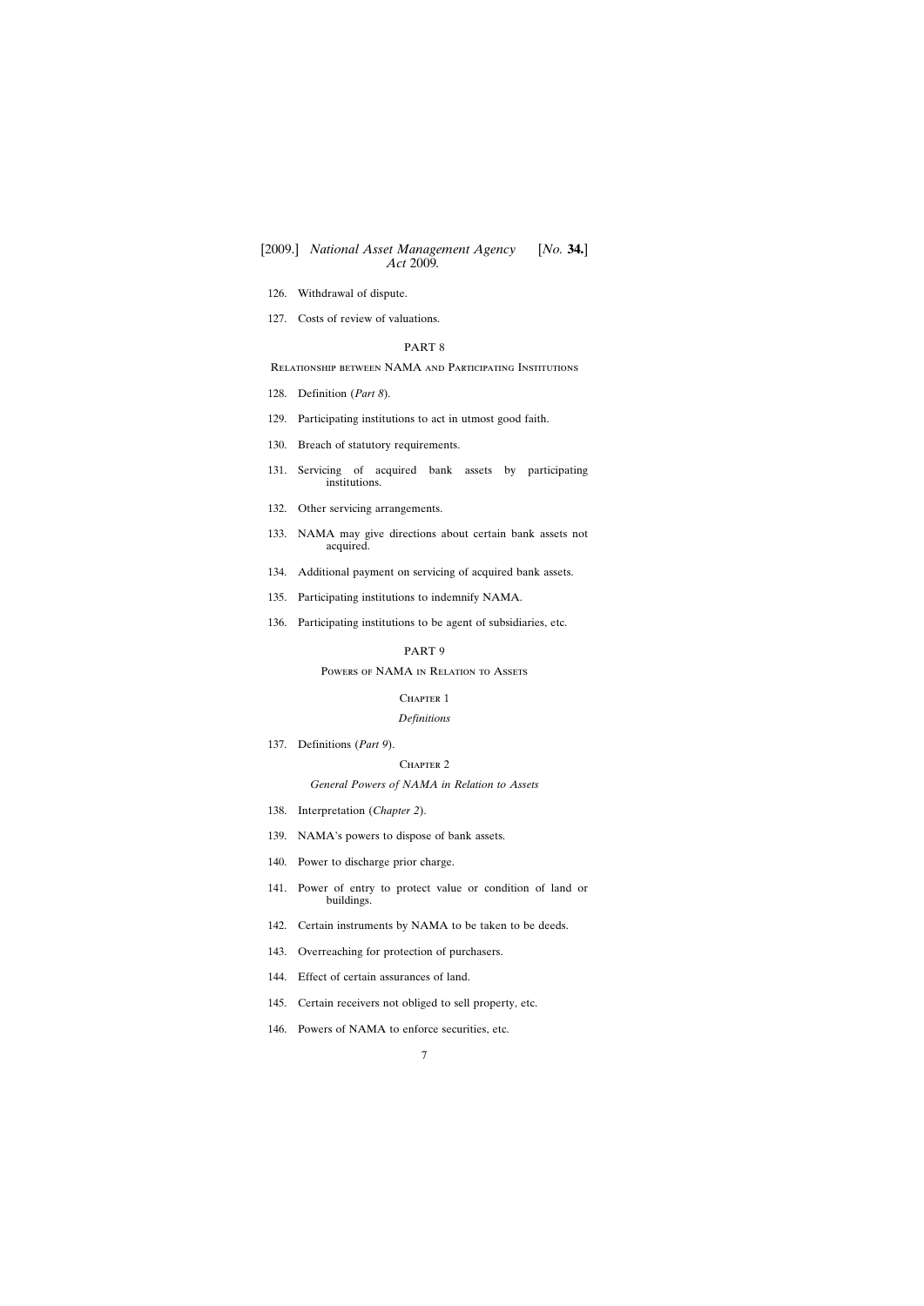- [126. Withdrawal of dispute.](#page-91-0)
- [127. Costs of review of valuations.](#page-92-0)

# PART 8

Relationship between NAMA and Participating Institutions

- [128. Definition \(](#page-92-0)*Part 8*).
- [129. Participating institutions to act in utmost good faith.](#page-92-0)
- [130. Breach of statutory requirements.](#page-92-0)
- [131. Servicing of acquired bank assets by participating](#page-92-0) institutions.
- [132. Other servicing arrangements.](#page-94-0)
- [133. NAMA may give directions about certain bank assets not](#page-94-0) acquired.
- [134. Additional payment on servicing of acquired bank assets.](#page-95-0)
- [135. Participating institutions to indemnify NAMA.](#page-95-0)
- [136. Participating institutions to be agent of subsidiaries, etc.](#page-96-0)

# PART 9

### Powers of NAMA in Relation to Assets

#### CHAPTER 1

#### *Definitions*

[137. Definitions \(](#page-96-0)*Part 9*).

#### CHAPTER<sub>2</sub>

# *General Powers of NAMA in Relation to Assets*

- [138. Interpretation \(](#page-96-0)*Chapter 2*).
- [139. NAMA's powers to dispose of bank assets.](#page-96-0)
- [140. Power to discharge prior charge.](#page-97-0)
- [141. Power of entry to protect value or condition of land or](#page-97-0) buildings.
- [142. Certain instruments by NAMA to be taken to be deeds.](#page-98-0)
- [143. Overreaching for protection of purchasers.](#page-98-0)
- [144. Effect of certain assurances of land.](#page-99-0)
- [145. Certain receivers not obliged to sell property, etc.](#page-99-0)
- [146. Powers of NAMA to enforce securities, etc.](#page-99-0)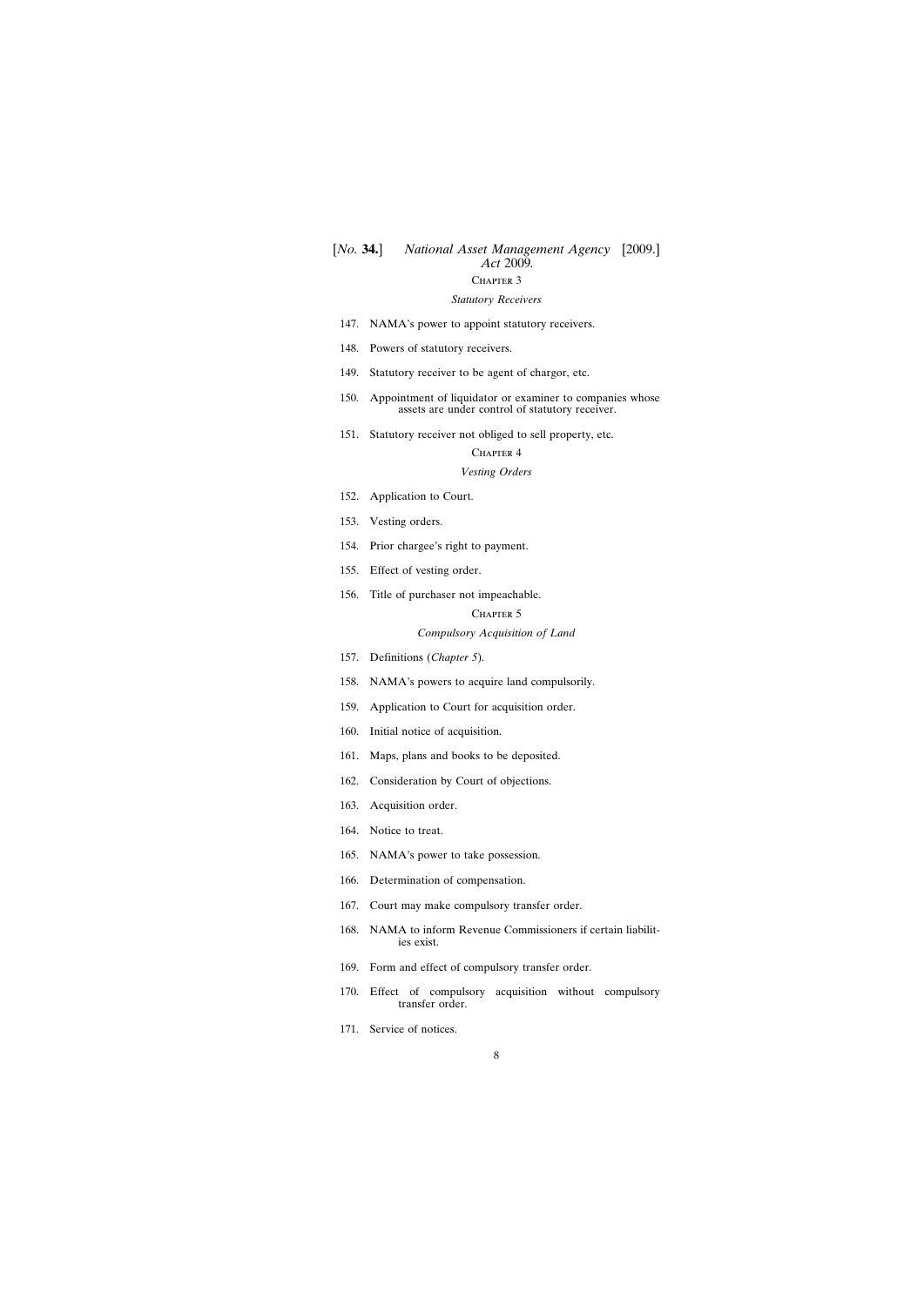# CHAPTER 3

#### *Statutory Receivers*

- [147. NAMA's power to appoint statutory receivers.](#page-100-0)
- [148. Powers of statutory receivers.](#page-100-0)
- [149. Statutory receiver to be agent of chargor, etc.](#page-101-0)
- [150. Appointment of liquidator or examiner to companies whose](#page-101-0) assets are under control of statutory receiver.
- [151. Statutory receiver not obliged to sell property, etc.](#page-102-0)

### CHAPTER 4

#### *Vesting Orders*

- [152. Application to Court.](#page-102-0)
- [153. Vesting orders.](#page-103-0)
- [154. Prior chargee's right to payment.](#page-103-0)
- [155. Effect of vesting order.](#page-103-0)
- [156. Title of purchaser not impeachable.](#page-104-0)

## CHAPTER 5

# *Compulsory Acquisition of Land*

- [157. Definitions \(](#page-104-0)*Chapter 5*).
- [158. NAMA's powers to acquire land compulsorily.](#page-105-0)
- [159. Application to Court for acquisition order.](#page-105-0)
- [160. Initial notice of acquisition.](#page-105-0)
- [161. Maps, plans and books to be deposited.](#page-106-0)
- [162. Consideration by Court of objections.](#page-106-0)
- [163. Acquisition order.](#page-106-0)
- [164. Notice to treat.](#page-107-0)
- [165. NAMA's power to take possession.](#page-107-0)
- [166. Determination of compensation.](#page-108-0)
- [167. Court may make compulsory transfer order.](#page-108-0)
- [168. NAMA to inform Revenue Commissioners if certain liabilit](#page-109-0)ies exist.
- [169. Form and effect of compulsory transfer order.](#page-109-0)
- [170. Effect of compulsory acquisition without compulsory](#page-109-0) transfer order.
- [171. Service of notices.](#page-109-0)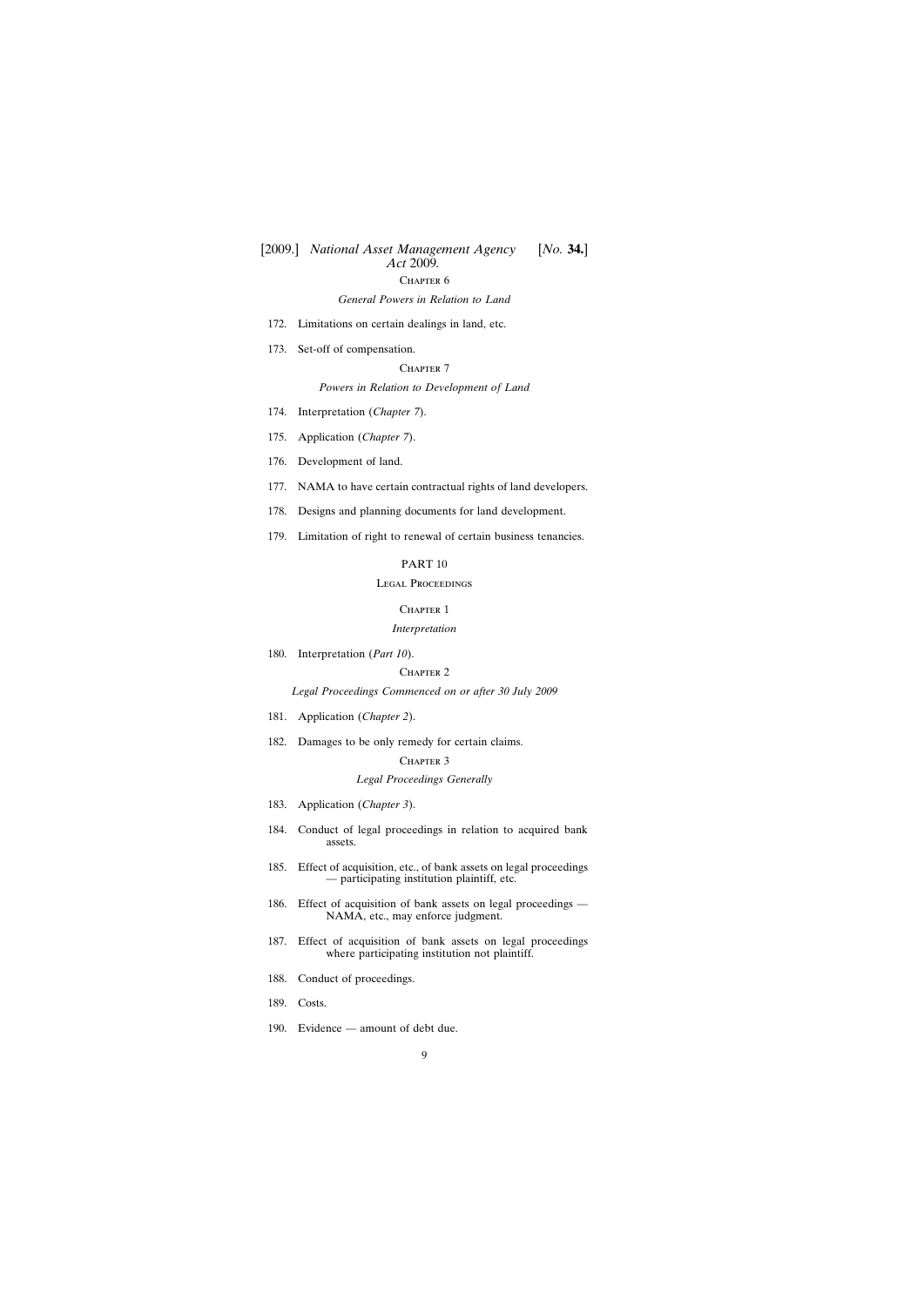# CHAPTER<sub>6</sub>

# *General Powers in Relation to Land*

- [172. Limitations on certain dealings in land, etc.](#page-110-0)
- [173. Set-off of compensation.](#page-111-0)

### CHAPTER<sub>7</sub>

*Powers in Relation to Development of Land*

- [174. Interpretation \(](#page-111-0)*Chapter 7*).
- [175. Application \(](#page-111-0)*Chapter 7*).
- [176. Development of land.](#page-111-0)
- [177. NAMA to have certain contractual rights of land developers.](#page-111-0)
- [178. Designs and planning documents for land development.](#page-112-0)
- [179. Limitation of right to renewal of certain business tenancies.](#page-113-0)

### PART 10

# LEGAL PROCEEDINGS

# CHAPTER 1

# *Interpretation*

[180. Interpretation \(](#page-113-0)*Part 10*).

### CHAPTER 2

*Legal Proceedings Commenced on or after 30 July 2009*

- [181. Application \(](#page-113-0)*Chapter 2*).
- [182. Damages to be only remedy for certain claims.](#page-113-0)

#### CHAPTER<sub>3</sub>

### *Legal Proceedings Generally*

- [183. Application \(](#page-115-0)*Chapter 3*).
- [184. Conduct of legal proceedings in relation to acquired bank](#page-115-0) assets.
- [185. Effect of acquisition, etc., of bank assets on legal proceedings](#page-115-0) — participating institution plaintiff, etc.
- [186. Effect of acquisition of bank assets on legal proceedings](#page-116-0) NAMA, etc., may enforce judgment.
- [187. Effect of acquisition of bank assets on legal proceedings](#page-116-0) where participating institution not plaintiff.
- [188. Conduct of proceedings.](#page-117-0)
- [189. Costs.](#page-117-0)
- 190. Evidence [amount of debt due.](#page-117-0)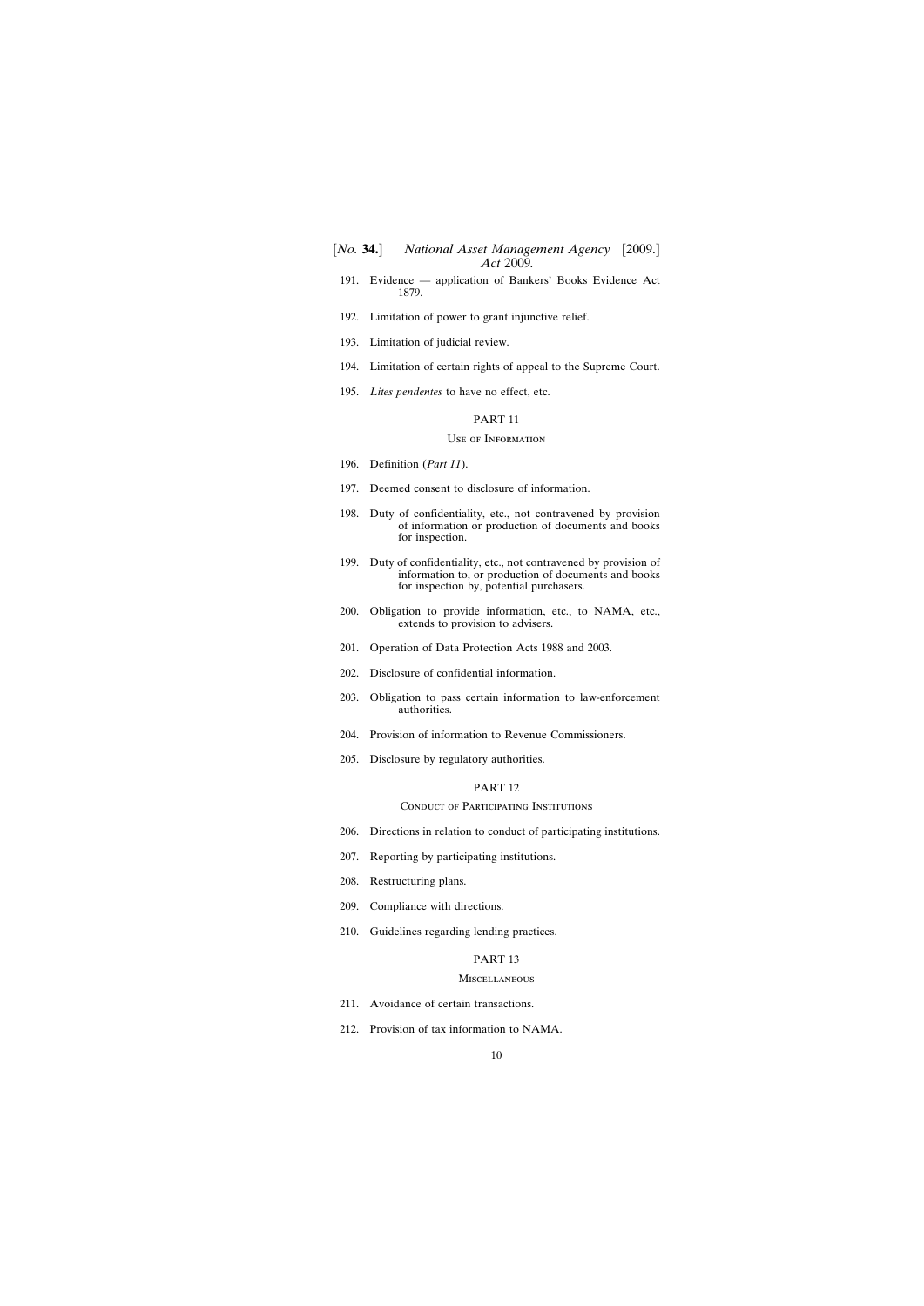- 191. Evidence [application of Bankers'](#page-117-0) Books Evidence Act 1879.
- [192. Limitation of power to grant injunctive relief.](#page-118-0)
- [193. Limitation of judicial review.](#page-118-0)
- [194. Limitation of certain rights of appeal to the Supreme Court.](#page-119-0)
- 195. *Lites pendentes* [to have no effect, etc.](#page-119-0)

# PART 11

### Use of Information

- [196. Definition \(](#page-119-0)*Part 11*).
- [197. Deemed consent to disclosure of information.](#page-120-0)
- [198. Duty of confidentiality, etc., not contravened by provision](#page-120-0) of information or production of documents and books for inspection.
- [199. Duty of confidentiality, etc., not contravened by provision of](#page-120-0) information to, or production of documents and books for inspection by, potential purchasers.
- [200. Obligation to provide information, etc., to NAMA, etc.,](#page-120-0) extends to provision to advisers.
- [201. Operation of Data Protection Acts 1988 and 2003.](#page-120-0)
- [202. Disclosure of confidential information.](#page-120-0)
- [203. Obligation to pass certain information to law-enforcement](#page-122-0) authorities.
- [204. Provision of information to Revenue Commissioners.](#page-123-0)
- [205. Disclosure by regulatory authorities.](#page-123-0)

# PART 12

### Conduct of Participating Institutions

- [206. Directions in relation to conduct of participating institutions.](#page-124-0)
- [207. Reporting by participating institutions.](#page-124-0)
- [208. Restructuring plans.](#page-124-0)
- [209. Compliance with directions.](#page-125-0)
- [210. Guidelines regarding lending practices.](#page-126-0)

# PART 13

#### **MISCELLANEOUS**

- [211. Avoidance of certain transactions.](#page-126-0)
- [212. Provision of tax information to NAMA.](#page-126-0)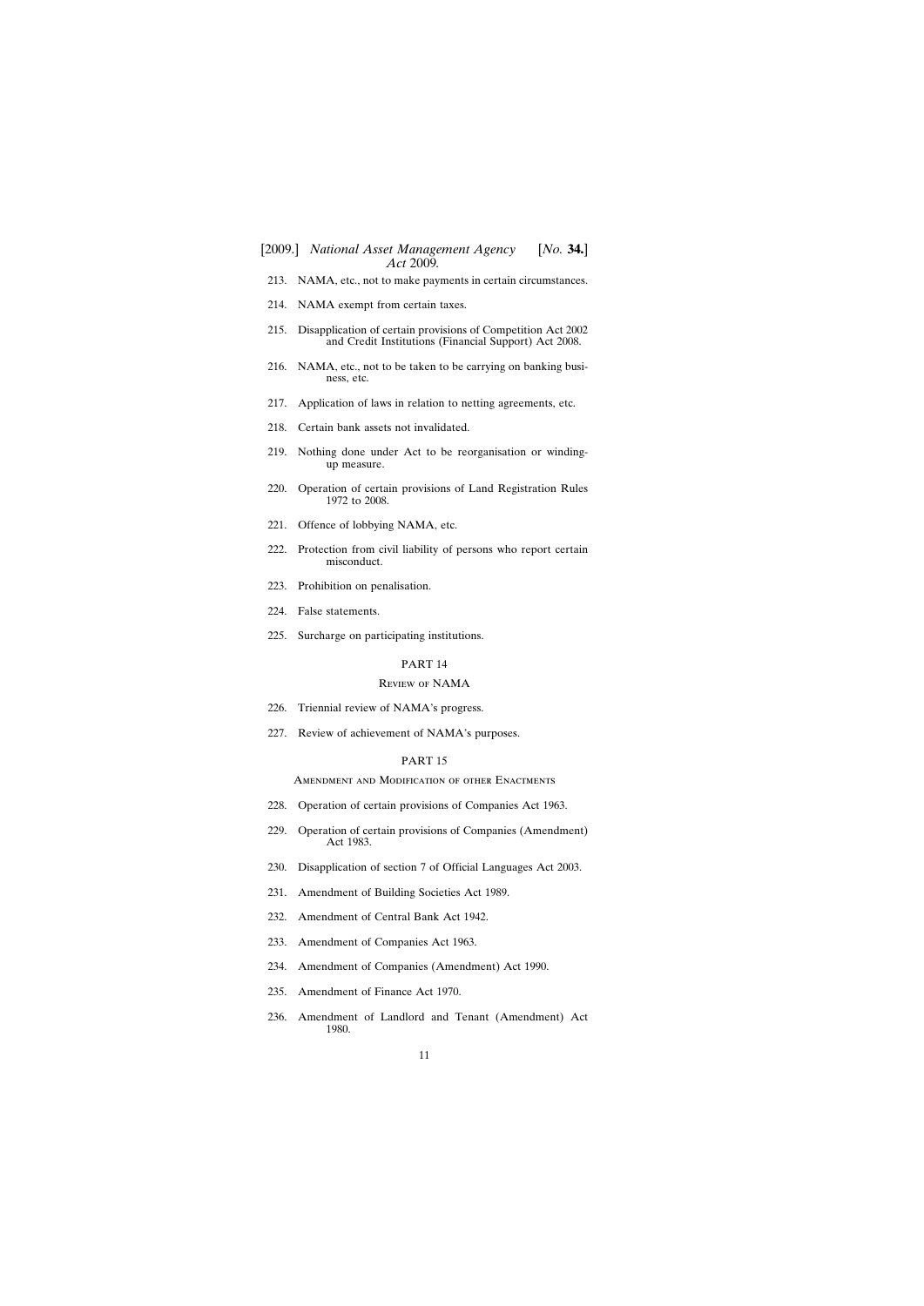# [2009.] [ *National Asset Management Agency No.* **34.**] *Act* 2009*.*

- [213. NAMA, etc., not to make payments in certain circumstances.](#page-127-0)
- [214. NAMA exempt from certain taxes.](#page-128-0)
- [215. Disapplication of certain provisions of Competition Act 2002](#page-128-0) and Credit Institutions (Financial Support) Act 2008.
- [216. NAMA, etc., not to be taken to be carrying on banking busi](#page-128-0)ness, etc.
- [217. Application of laws in relation to netting agreements, etc.](#page-128-0)
- [218. Certain bank assets not invalidated.](#page-128-0)
- [219. Nothing done under Act to be reorganisation or winding](#page-129-0)up measure.
- [220. Operation of certain provisions of Land Registration Rules](#page-129-0) 1972 to 2008.
- [221. Offence of lobbying NAMA, etc.](#page-129-0)
- [222. Protection from civil liability of persons who report certain](#page-131-0) misconduct.
- [223. Prohibition on penalisation.](#page-131-0)
- [224. False statements.](#page-132-0)
- [225. Surcharge on participating institutions.](#page-133-0)

# PART 14

#### Review of NAMA

- [226. Triennial review of NAMA's progress.](#page-134-0)
- [227. Review of achievement of NAMA's purposes.](#page-134-0)

# PART 15

Amendment and Modification of other Enactments

- [228. Operation of certain provisions of Companies Act 1963.](#page-135-0)
- [229. Operation of certain provisions of Companies \(Amendment\)](#page-135-0) Act 1983.
- [230. Disapplication of section 7 of Official Languages Act 2003.](#page-135-0)
- [231. Amendment of Building Societies Act 1989.](#page-135-0)
- [232. Amendment of Central Bank Act 1942.](#page-135-0)
- [233. Amendment of Companies Act 1963.](#page-135-0)
- [234. Amendment of Companies \(Amendment\) Act 1990.](#page-135-0)
- [235. Amendment of Finance Act 1970.](#page-135-0)
- [236. Amendment of Landlord and Tenant \(Amendment\) Act](#page-135-0) 1980.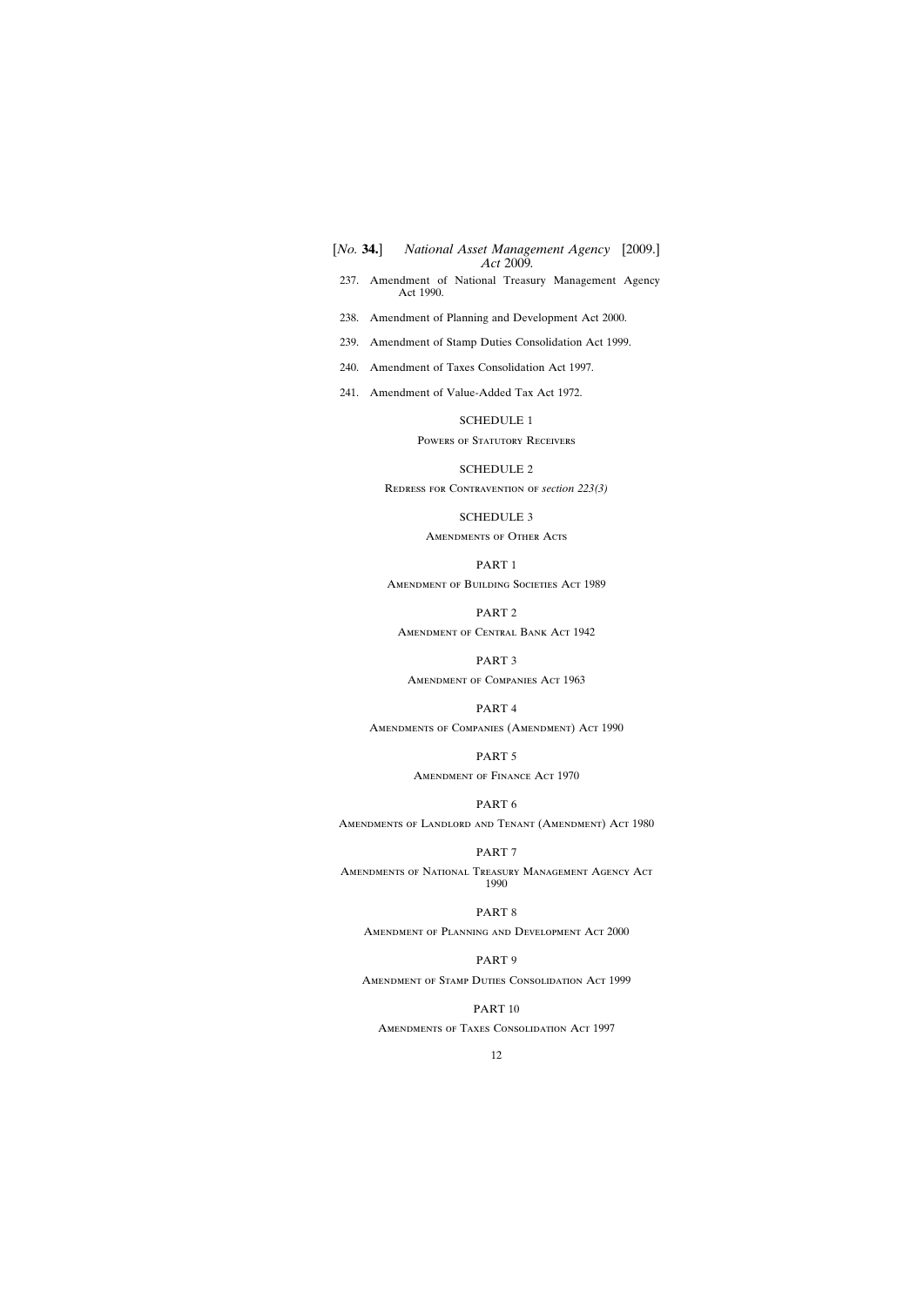[237. Amendment of National Treasury Management Agency](#page-135-0) Act 1990.

[238. Amendment of Planning and Development Act 2000.](#page-136-0)

[239. Amendment of Stamp Duties Consolidation Act 1999.](#page-136-0)

- [240. Amendment of Taxes Consolidation Act 1997.](#page-136-0)
- [241. Amendment of Value-Added Tax Act 1972.](#page-136-0)

# [SCHEDULE 1](#page-137-0)

### POWERS OF STATUTORY RECEIVERS

### [SCHEDULE 2](#page-140-0)

Redress for Contravention of *section 223(3)*

## [SCHEDULE 3](#page-145-0)

Amendments of Other Acts

## PART 1

Amendment of Building Societies Act 1989

#### PART 2

Amendment of Central Bank Act 1942

# PART 3

Amendment of Companies Act 1963

# PART 4

Amendments of Companies (Amendment) Act 1990

# PART 5

Amendment of Finance Act 1970

# PART 6

Amendments of Landlord and Tenant (Amendment) Act 1980

### PART 7

Amendments of National Treasury Management Agency Act 1990

# PART 8

Amendment of Planning and Development Act 2000

# PART 9

Amendment of Stamp Duties Consolidation Act 1999

# PART 10

Amendments of Taxes Consolidation Act 1997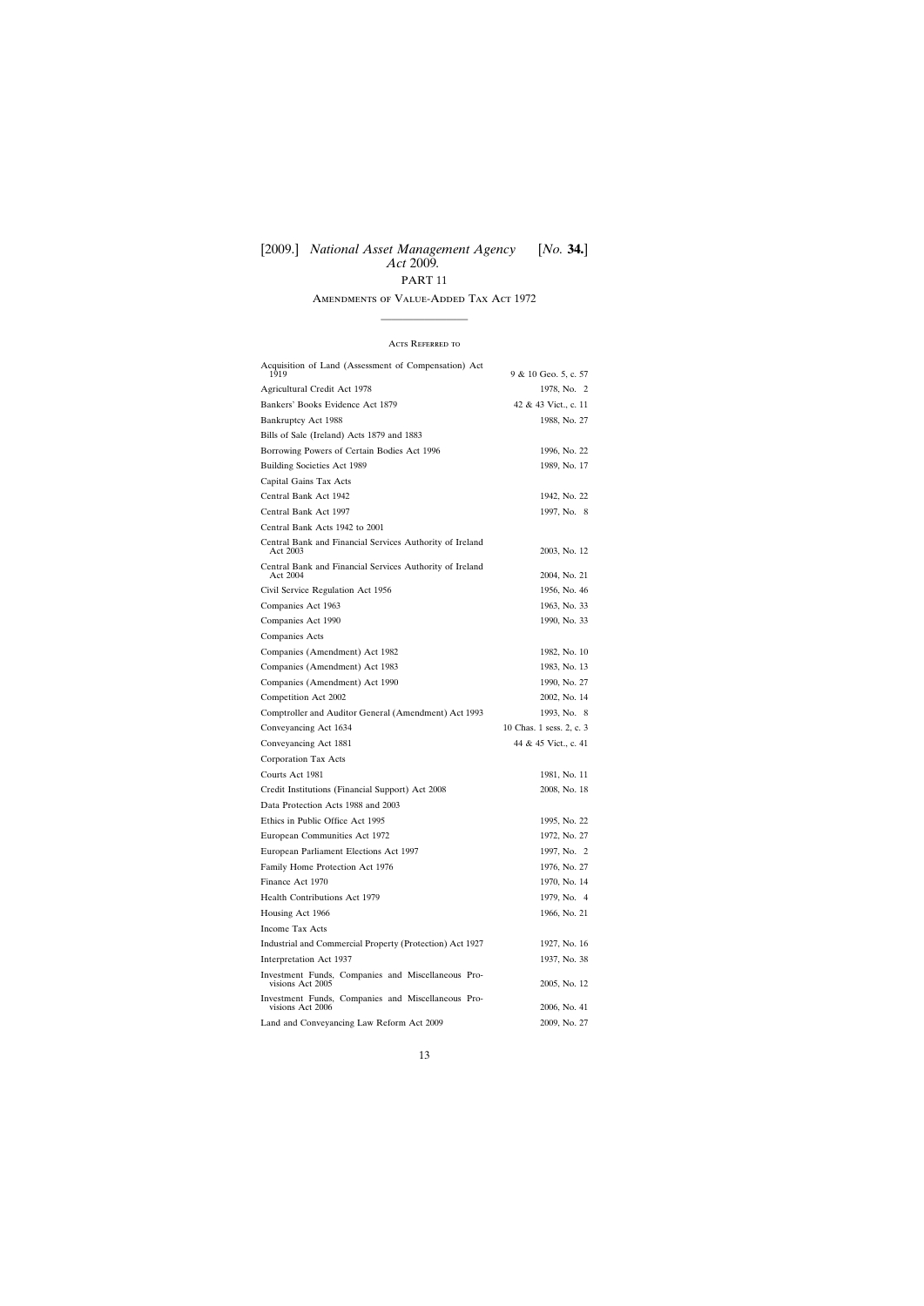# [2009.] [ *National Asset Management Agency No.* **34.**] *Act* 2009*.*

# PART 11

# Amendments of Value-Added Tax Act 1972 ————————

#### Acts Referred to

| Acquisition of Land (Assessment of Compensation) Act<br>1919           | 9 & 10 Geo. 5, c. 57     |
|------------------------------------------------------------------------|--------------------------|
| Agricultural Credit Act 1978                                           | 1978, No. 2              |
| Bankers' Books Evidence Act 1879                                       | 42 & 43 Vict., c. 11     |
| Bankruptcy Act 1988                                                    | 1988, No. 27             |
| Bills of Sale (Ireland) Acts 1879 and 1883                             |                          |
| Borrowing Powers of Certain Bodies Act 1996                            |                          |
|                                                                        | 1996, No. 22             |
| Building Societies Act 1989                                            | 1989, No. 17             |
| Capital Gains Tax Acts<br>Central Bank Act 1942                        |                          |
|                                                                        | 1942, No. 22             |
| Central Bank Act 1997                                                  | 1997, No. 8              |
| Central Bank Acts 1942 to 2001                                         |                          |
| Central Bank and Financial Services Authority of Ireland<br>Act 2003   | 2003, No. 12             |
| Central Bank and Financial Services Authority of Ireland<br>Act 2004   | 2004, No. 21             |
| Civil Service Regulation Act 1956                                      | 1956, No. 46             |
| Companies Act 1963                                                     | 1963, No. 33             |
| Companies Act 1990                                                     | 1990, No. 33             |
| Companies Acts                                                         |                          |
| Companies (Amendment) Act 1982                                         | 1982, No. 10             |
| Companies (Amendment) Act 1983                                         | 1983, No. 13             |
| Companies (Amendment) Act 1990                                         | 1990, No. 27             |
| Competition Act 2002                                                   | 2002, No. 14             |
| Comptroller and Auditor General (Amendment) Act 1993                   | 1993, No. 8              |
| Conveyancing Act 1634                                                  | 10 Chas. 1 sess. 2, c. 3 |
| Conveyancing Act 1881                                                  | 44 & 45 Vict., c. 41     |
| Corporation Tax Acts                                                   |                          |
| Courts Act 1981                                                        | 1981, No. 11             |
| Credit Institutions (Financial Support) Act 2008                       | 2008, No. 18             |
| Data Protection Acts 1988 and 2003                                     |                          |
| Ethics in Public Office Act 1995                                       | 1995, No. 22             |
| European Communities Act 1972                                          | 1972, No. 27             |
| European Parliament Elections Act 1997                                 | 1997, No. 2              |
| Family Home Protection Act 1976                                        | 1976, No. 27             |
| Finance Act 1970                                                       | 1970, No. 14             |
| Health Contributions Act 1979                                          | 1979, No. 4              |
| Housing Act 1966                                                       | 1966, No. 21             |
| Income Tax Acts                                                        |                          |
| Industrial and Commercial Property (Protection) Act 1927               | 1927, No. 16             |
| Interpretation Act 1937                                                | 1937, No. 38             |
| Investment Funds, Companies and Miscellaneous Pro-<br>visions Act 2005 | 2005, No. 12             |
| Investment Funds, Companies and Miscellaneous Pro-<br>visions Act 2006 | 2006, No. 41             |
| Land and Conveyancing Law Reform Act 2009                              | 2009, No. 27             |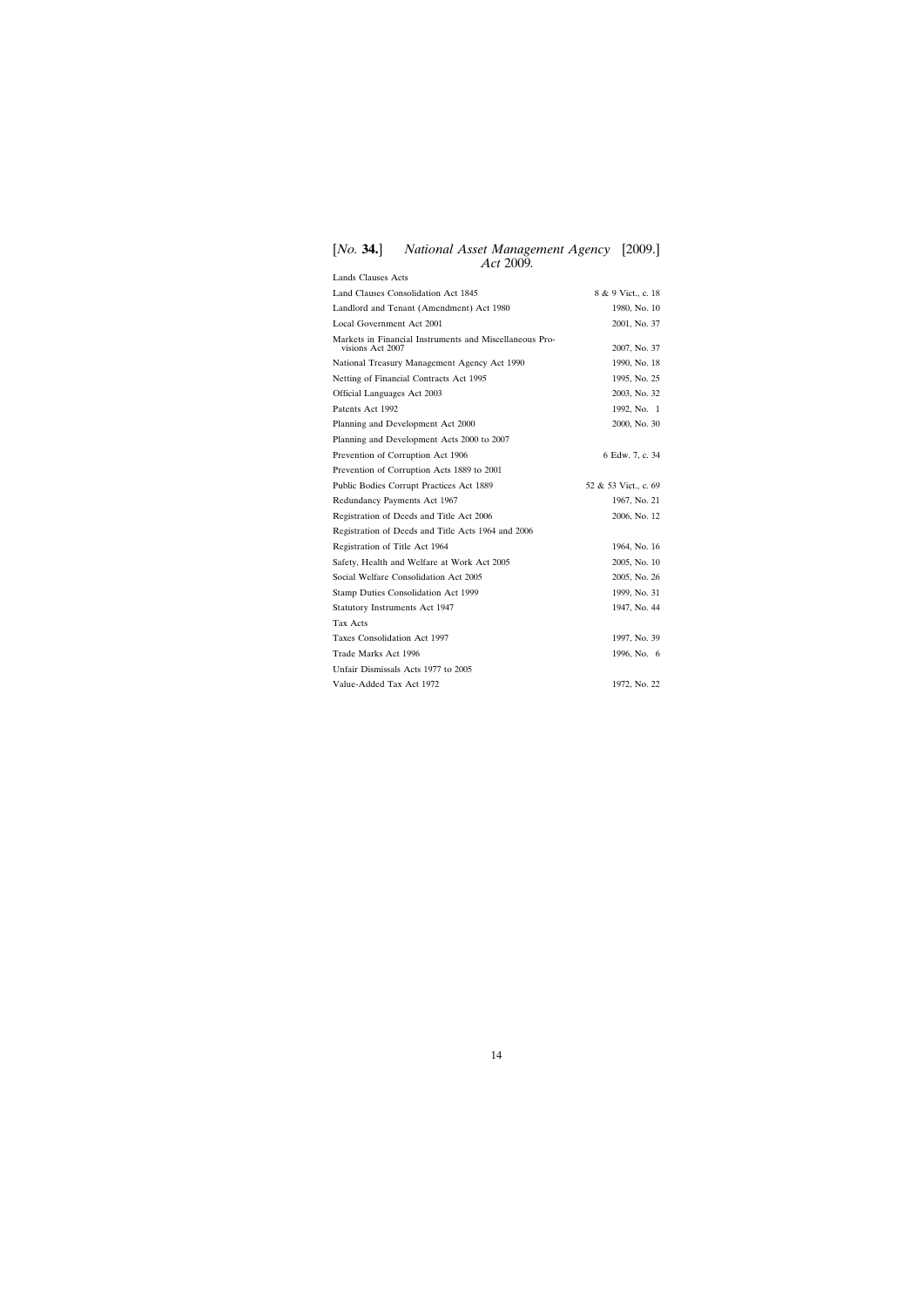| <b>Lands Clauses Acts</b>                                                   |                      |
|-----------------------------------------------------------------------------|----------------------|
| Land Clauses Consolidation Act 1845                                         | 8 & 9 Vict., c. 18   |
| Landlord and Tenant (Amendment) Act 1980                                    | 1980, No. 10         |
| Local Government Act 2001                                                   | 2001, No. 37         |
| Markets in Financial Instruments and Miscellaneous Pro-<br>visions Act 2007 | 2007, No. 37         |
| National Treasury Management Agency Act 1990                                | 1990, No. 18         |
| Netting of Financial Contracts Act 1995                                     | 1995, No. 25         |
| Official Languages Act 2003                                                 | 2003, No. 32         |
| Patents Act 1992                                                            | 1992, No. 1          |
| Planning and Development Act 2000                                           | 2000, No. 30         |
| Planning and Development Acts 2000 to 2007                                  |                      |
| Prevention of Corruption Act 1906                                           | 6 Edw. 7, c. 34      |
| Prevention of Corruption Acts 1889 to 2001                                  |                      |
| Public Bodies Corrupt Practices Act 1889                                    | 52 & 53 Vict., c. 69 |
| Redundancy Payments Act 1967                                                | 1967, No. 21         |
| Registration of Deeds and Title Act 2006                                    | 2006, No. 12         |
| Registration of Deeds and Title Acts 1964 and 2006                          |                      |
| Registration of Title Act 1964                                              | 1964, No. 16         |
| Safety, Health and Welfare at Work Act 2005                                 | 2005, No. 10         |
| Social Welfare Consolidation Act 2005                                       | 2005, No. 26         |
| Stamp Duties Consolidation Act 1999                                         | 1999, No. 31         |
| <b>Statutory Instruments Act 1947</b>                                       | 1947, No. 44         |
| Tax Acts                                                                    |                      |
| Taxes Consolidation Act 1997                                                | 1997, No. 39         |
| Trade Marks Act 1996                                                        | 1996, No. 6          |
| Unfair Dismissals Acts 1977 to 2005                                         |                      |
| Value-Added Tax Act 1972                                                    | 1972, No. 22         |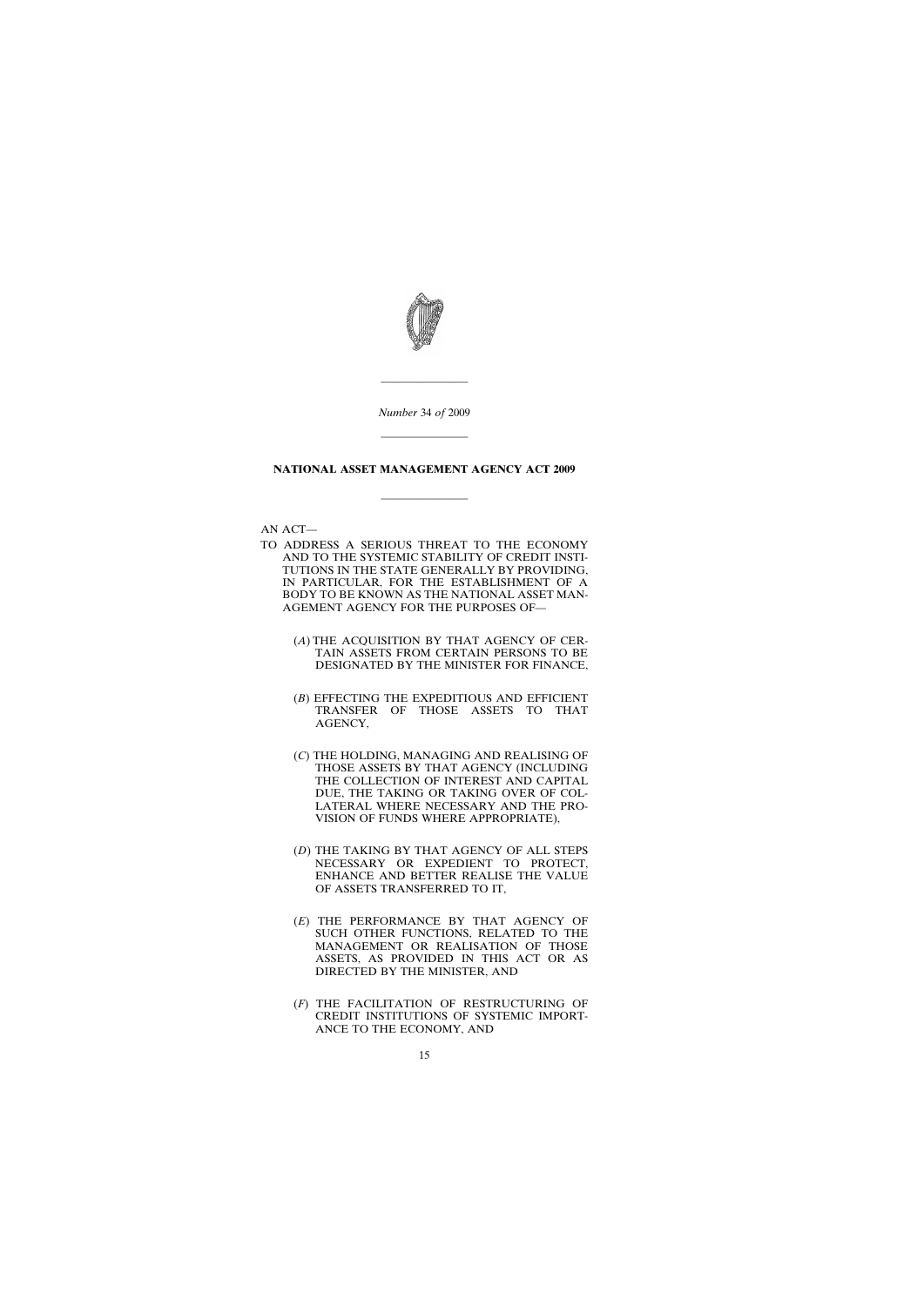

*Number* 34 *of* 2009

————————

————————

# **NATIONAL ASSET MANAGEMENT AGENCY ACT 2009**

————————

AN ACT—

- TO ADDRESS A SERIOUS THREAT TO THE ECONOMY AND TO THE SYSTEMIC STABILITY OF CREDIT INSTI-TUTIONS IN THE STATE GENERALLY BY PROVIDING, IN PARTICULAR, FOR THE ESTABLISHMENT OF A BODY TO BE KNOWN AS THE NATIONAL ASSET MAN-AGEMENT AGENCY FOR THE PURPOSES OF—
	- (*A*) THE ACQUISITION BY THAT AGENCY OF CER-TAIN ASSETS FROM CERTAIN PERSONS TO BE DESIGNATED BY THE MINISTER FOR FINANCE,
	- (*B*) EFFECTING THE EXPEDITIOUS AND EFFICIENT TRANSFER OF THOSE ASSETS TO THAT AGENCY,
	- (*C*) THE HOLDING, MANAGING AND REALISING OF THOSE ASSETS BY THAT AGENCY (INCLUDING THE COLLECTION OF INTEREST AND CAPITAL DUE, THE TAKING OR TAKING OVER OF COL-LATERAL WHERE NECESSARY AND THE PRO-VISION OF FUNDS WHERE APPROPRIATE),
	- (*D*) THE TAKING BY THAT AGENCY OF ALL STEPS NECESSARY OR EXPEDIENT TO PROTECT, ENHANCE AND BETTER REALISE THE VALUE OF ASSETS TRANSFERRED TO IT,
	- (*E*) THE PERFORMANCE BY THAT AGENCY OF SUCH OTHER FUNCTIONS, RELATED TO THE MANAGEMENT OR REALISATION OF THOSE ASSETS, AS PROVIDED IN THIS ACT OR AS DIRECTED BY THE MINISTER, AND
	- (*F*) THE FACILITATION OF RESTRUCTURING OF CREDIT INSTITUTIONS OF SYSTEMIC IMPORT-ANCE TO THE ECONOMY, AND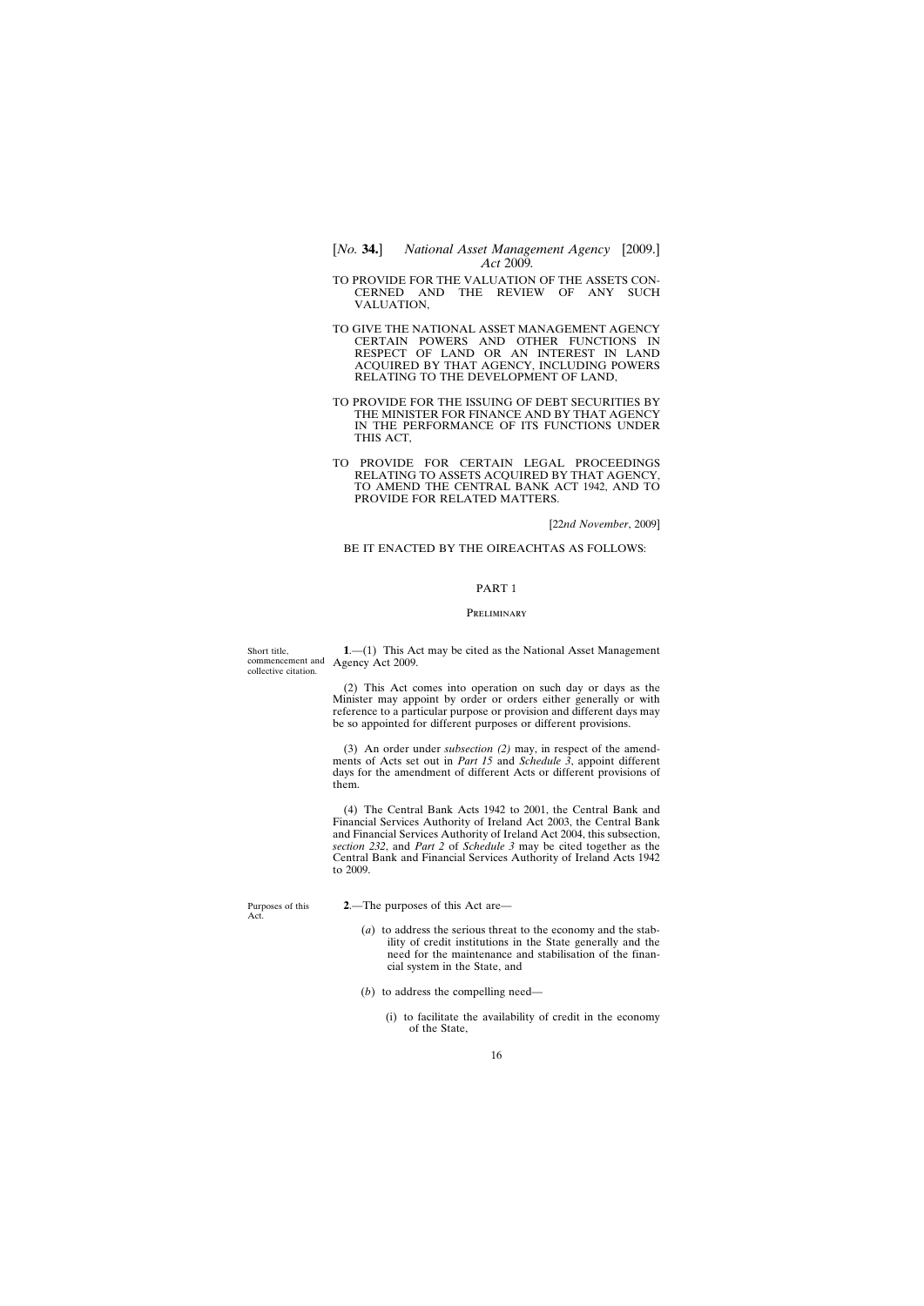- <span id="page-15-0"></span>[*No.* **34.**] *National Asset Management Agency* [2009.] *Act* 2009*.*
- TO PROVIDE FOR THE VALUATION OF THE ASSETS CON-CERNED AND THE REVIEW OF ANY SUCH VALUATION,
- TO GIVE THE NATIONAL ASSET MANAGEMENT AGENCY CERTAIN POWERS AND OTHER FUNCTIONS IN RESPECT OF LAND OR AN INTEREST IN LAND ACQUIRED BY THAT AGENCY, INCLUDING POWERS RELATING TO THE DEVELOPMENT OF LAND,
- TO PROVIDE FOR THE ISSUING OF DEBT SECURITIES BY THE MINISTER FOR FINANCE AND BY THAT AGENCY IN THE PERFORMANCE OF ITS FUNCTIONS UNDER THIS ACT,
- TO PROVIDE FOR CERTAIN LEGAL PROCEEDINGS RELATING TO ASSETS ACQUIRED BY THAT AGENCY, TO AMEND THE CENTRAL BANK ACT 1942, AND TO PROVIDE FOR RELATED MATTERS.

[22*nd November*, 2009]

## BE IT ENACTED BY THE OIREACHTAS AS FOLLOWS:

### PART 1

#### **PRELIMINARY**

commencement and Agency Act 2009. **1**.—(1) This Act may be cited as the National Asset Management

> (2) This Act comes into operation on such day or days as the Minister may appoint by order or orders either generally or with reference to a particular purpose or provision and different days may be so appointed for different purposes or different provisions.

> (3) An order under *subsection (2)* may, in respect of the amendments of Acts set out in *Part 15* and *Schedule 3*, appoint different days for the amendment of different Acts or different provisions of them.

> (4) The Central Bank Acts 1942 to 2001, the Central Bank and Financial Services Authority of Ireland Act 2003, the Central Bank and Financial Services Authority of Ireland Act 2004, this subsection, *section 232*, and *Part 2* of *Schedule 3* may be cited together as the Central Bank and Financial Services Authority of Ireland Acts 1942 to 2009.

Purposes of this Act.

- **2**.—The purposes of this Act are—
	- (*a*) to address the serious threat to the economy and the stability of credit institutions in the State generally and the need for the maintenance and stabilisation of the financial system in the State, and
	- (*b*) to address the compelling need—
		- (i) to facilitate the availability of credit in the economy of the State,

Short title collective citation.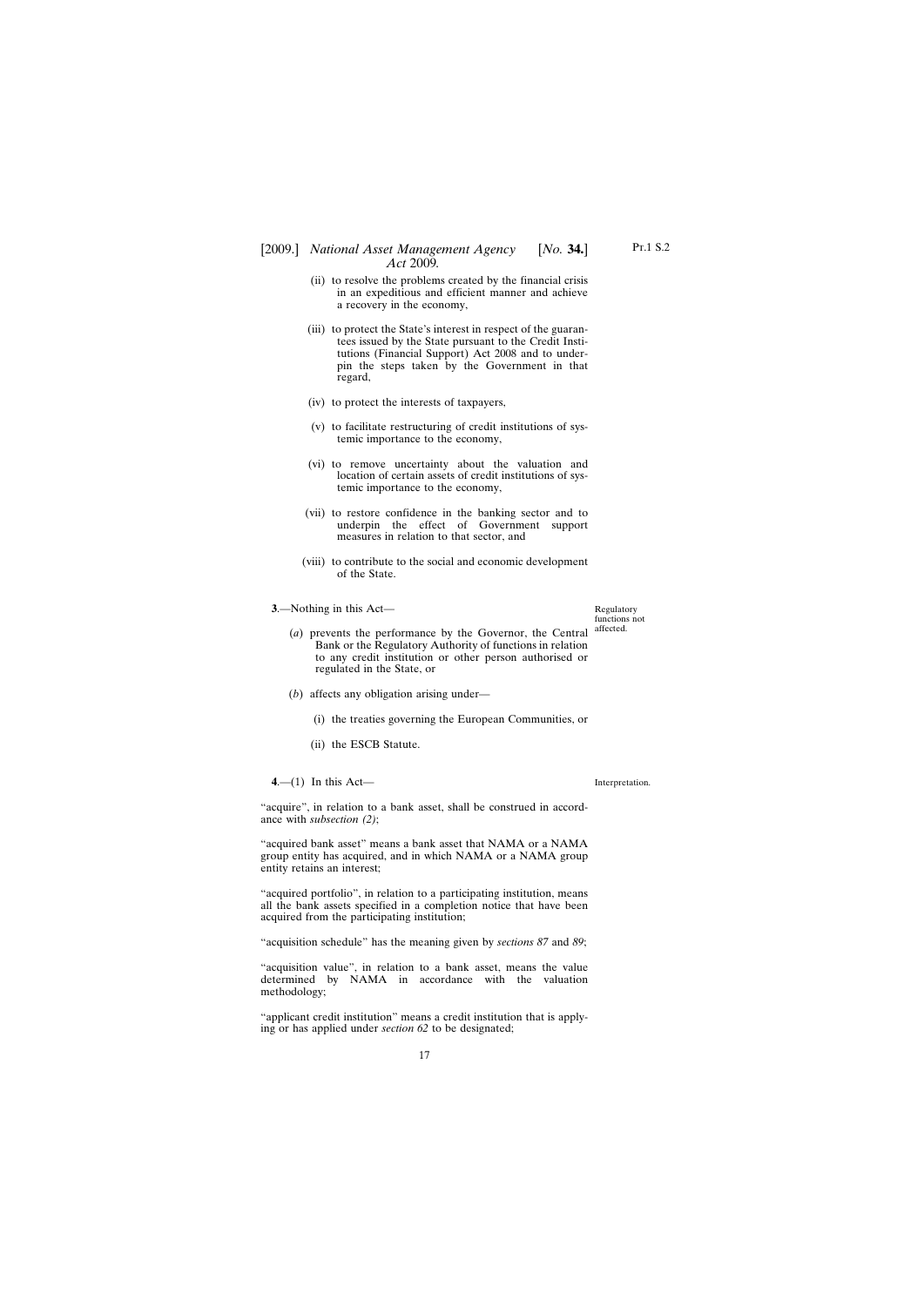# <span id="page-16-0"></span>[2009.] [ *National Asset Management Agency No.* **34.**] *Act* 2009*.*

- (ii) to resolve the problems created by the financial crisis in an expeditious and efficient manner and achieve a recovery in the economy,
- (iii) to protect the State's interest in respect of the guarantees issued by the State pursuant to the Credit Institutions (Financial Support) Act 2008 and to underpin the steps taken by the Government in that regard,
- (iv) to protect the interests of taxpayers,
- (v) to facilitate restructuring of credit institutions of systemic importance to the economy,
- (vi) to remove uncertainty about the valuation and location of certain assets of credit institutions of systemic importance to the economy,
- (vii) to restore confidence in the banking sector and to underpin the effect of Government support measures in relation to that sector, and
- (viii) to contribute to the social and economic development of the State.
- **3**.—Nothing in this Act—
	- (*a*) prevents the performance by the Governor, the Central Bank or the Regulatory Authority of functions in relation to any credit institution or other person authorised or regulated in the State, or affected.
	- (*b*) affects any obligation arising under—
		- (i) the treaties governing the European Communities, or
		- (ii) the ESCB Statute.

**4**.—(1) In this Act—

"acquire", in relation to a bank asset, shall be construed in accordance with *subsection (2)*;

"acquired bank asset" means a bank asset that NAMA or a NAMA group entity has acquired, and in which NAMA or a NAMA group entity retains an interest;

"acquired portfolio", in relation to a participating institution, means all the bank assets specified in a completion notice that have been acquired from the participating institution;

"acquisition schedule" has the meaning given by *sections 87* and *89*;

"acquisition value", in relation to a bank asset, means the value determined by NAMA in accordance with the valuation methodology;

"applicant credit institution" means a credit institution that is applying or has applied under *section 62* to be designated;

Interpretation.

Regulatory functions not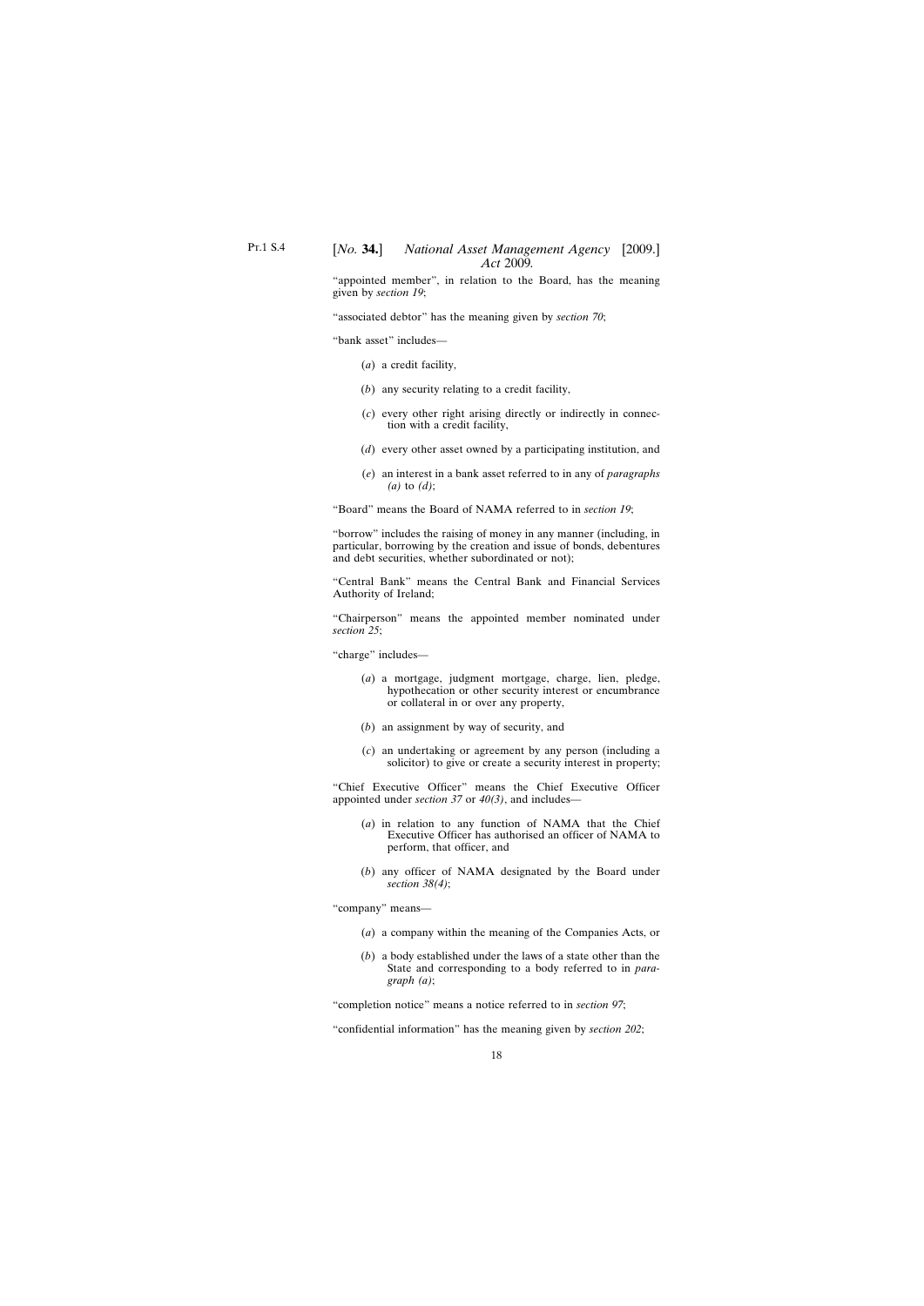"appointed member", in relation to the Board, has the meaning given by *section 19*;

"associated debtor" has the meaning given by *section 70*;

"bank asset" includes—

- (*a*) a credit facility,
- (*b*) any security relating to a credit facility,
- (*c*) every other right arising directly or indirectly in connection with a credit facility,
- (*d*) every other asset owned by a participating institution, and
- (*e*) an interest in a bank asset referred to in any of *paragraphs (a)* to *(d)*;

"Board" means the Board of NAMA referred to in *section 19*;

"borrow" includes the raising of money in any manner (including, in particular, borrowing by the creation and issue of bonds, debentures and debt securities, whether subordinated or not);

"Central Bank" means the Central Bank and Financial Services Authority of Ireland;

"Chairperson" means the appointed member nominated under *section 25*;

"charge" includes—

- (*a*) a mortgage, judgment mortgage, charge, lien, pledge, hypothecation or other security interest or encumbrance or collateral in or over any property,
- (*b*) an assignment by way of security, and
- (*c*) an undertaking or agreement by any person (including a solicitor) to give or create a security interest in property;

"Chief Executive Officer" means the Chief Executive Officer appointed under *section 37* or *40(3)*, and includes—

- (*a*) in relation to any function of NAMA that the Chief Executive Officer has authorised an officer of NAMA to perform, that officer, and
- (*b*) any officer of NAMA designated by the Board under *section 38(4)*;

"company" means—

- (*a*) a company within the meaning of the Companies Acts, or
- (*b*) a body established under the laws of a state other than the State and corresponding to a body referred to in *paragraph (a)*;

"completion notice" means a notice referred to in *section 97*;

"confidential information" has the meaning given by *section 202*;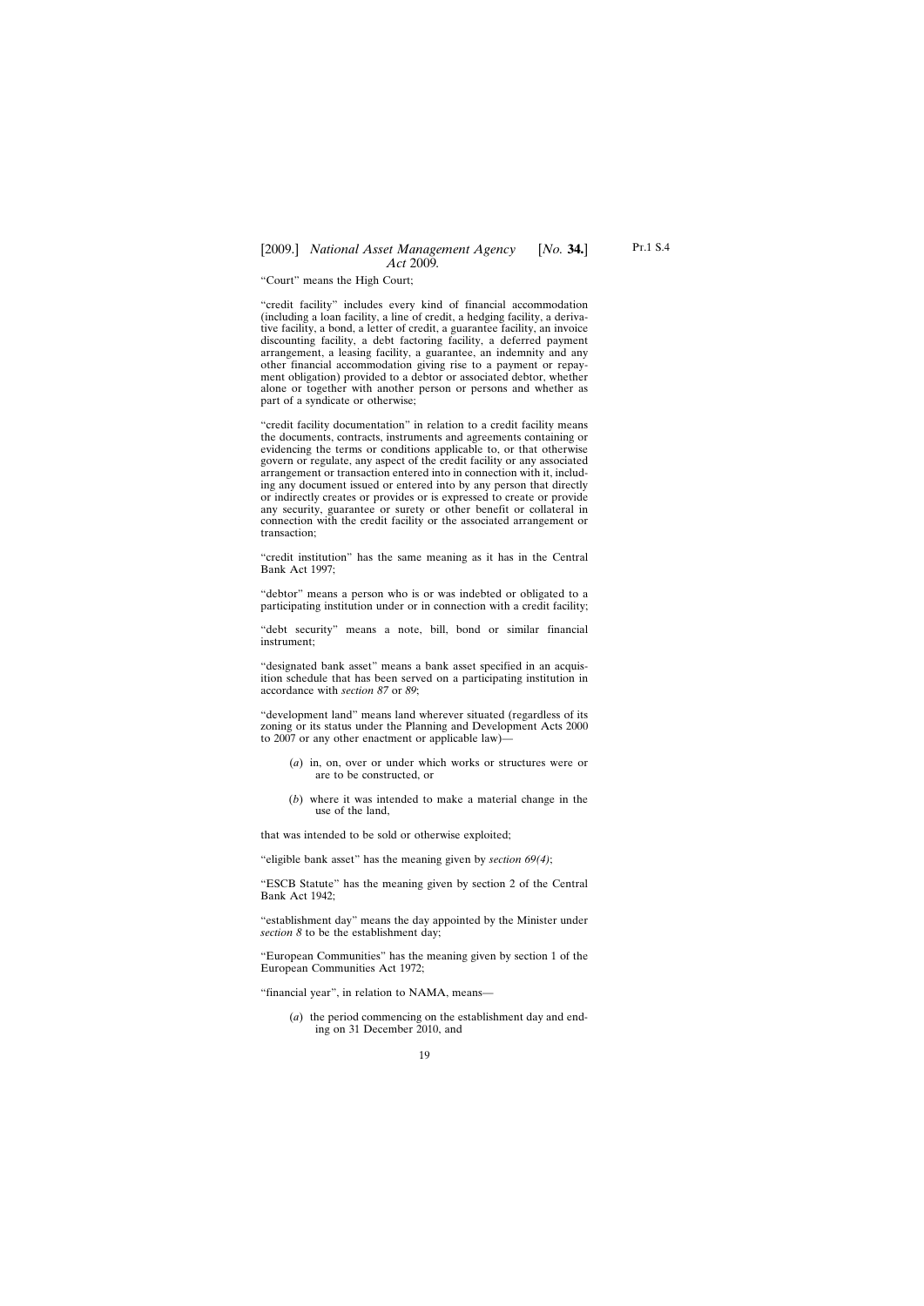Pt.1 S.4

"Court" means the High Court;

"credit facility" includes every kind of financial accommodation (including a loan facility, a line of credit, a hedging facility, a derivative facility, a bond, a letter of credit, a guarantee facility, an invoice discounting facility, a debt factoring facility, a deferred payment arrangement, a leasing facility, a guarantee, an indemnity and any other financial accommodation giving rise to a payment or repayment obligation) provided to a debtor or associated debtor, whether alone or together with another person or persons and whether as part of a syndicate or otherwise;

"credit facility documentation" in relation to a credit facility means the documents, contracts, instruments and agreements containing or evidencing the terms or conditions applicable to, or that otherwise govern or regulate, any aspect of the credit facility or any associated arrangement or transaction entered into in connection with it, including any document issued or entered into by any person that directly or indirectly creates or provides or is expressed to create or provide any security, guarantee or surety or other benefit or collateral in connection with the credit facility or the associated arrangement or transaction;

"credit institution" has the same meaning as it has in the Central Bank Act 1997;

"debtor" means a person who is or was indebted or obligated to a participating institution under or in connection with a credit facility;

"debt security" means a note, bill, bond or similar financial instrument;

"designated bank asset" means a bank asset specified in an acquisition schedule that has been served on a participating institution in accordance with *section 87* or *89*;

"development land" means land wherever situated (regardless of its zoning or its status under the Planning and Development Acts 2000 to 2007 or any other enactment or applicable law)—

- (*a*) in, on, over or under which works or structures were or are to be constructed, or
- (*b*) where it was intended to make a material change in the use of the land,

that was intended to be sold or otherwise exploited;

"eligible bank asset" has the meaning given by *section 69(4)*;

"ESCB Statute" has the meaning given by section 2 of the Central Bank Act 1942;

"establishment day" means the day appointed by the Minister under *section 8* to be the establishment day;

"European Communities" has the meaning given by section 1 of the European Communities Act 1972;

"financial year", in relation to NAMA, means—

(*a*) the period commencing on the establishment day and ending on 31 December 2010, and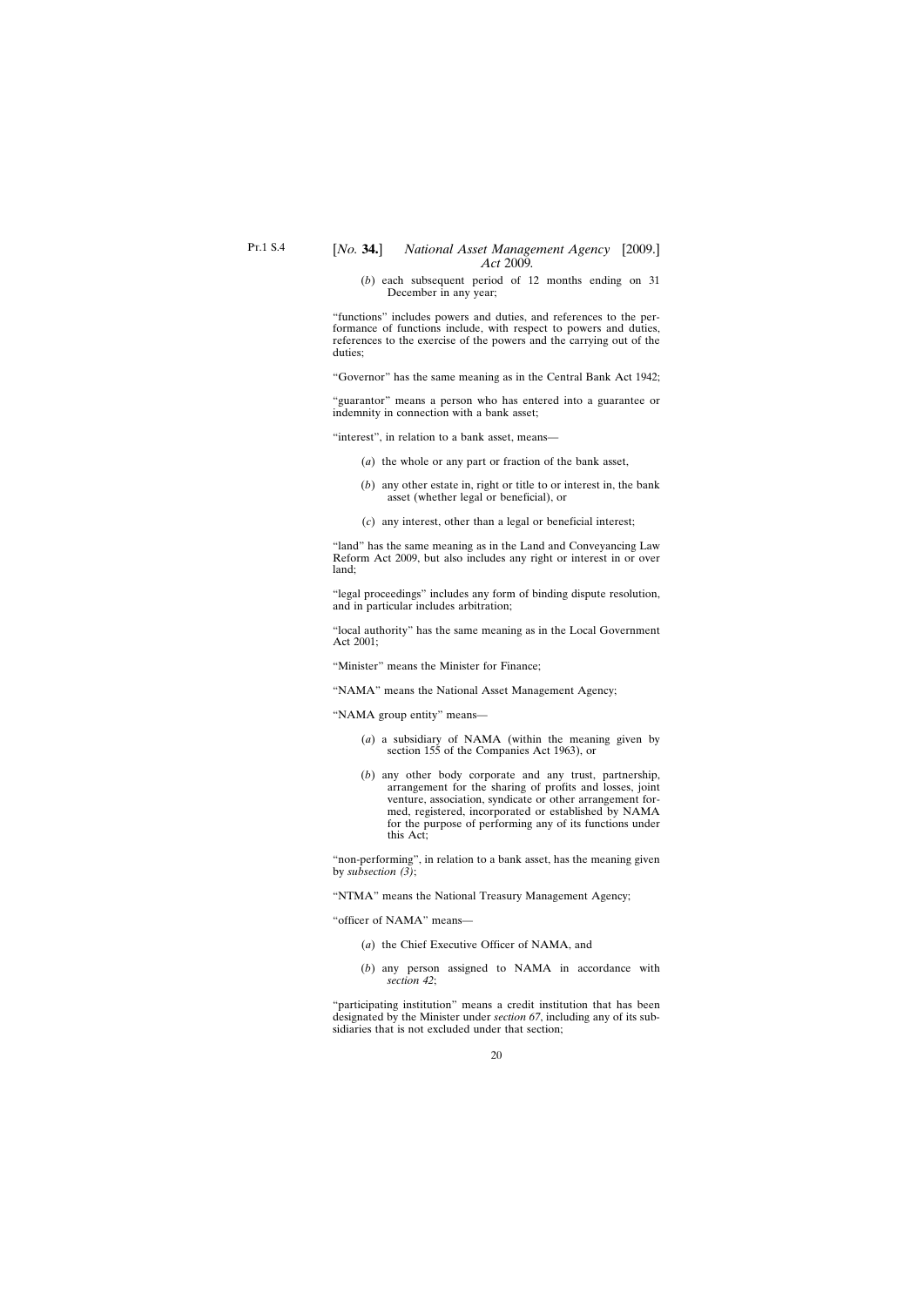(*b*) each subsequent period of 12 months ending on 31 December in any year;

"functions" includes powers and duties, and references to the performance of functions include, with respect to powers and duties, references to the exercise of the powers and the carrying out of the duties;

"Governor" has the same meaning as in the Central Bank Act 1942;

"guarantor" means a person who has entered into a guarantee or indemnity in connection with a bank asset;

"interest", in relation to a bank asset, means—

- (*a*) the whole or any part or fraction of the bank asset,
- (*b*) any other estate in, right or title to or interest in, the bank asset (whether legal or beneficial), or
- (*c*) any interest, other than a legal or beneficial interest;

"land" has the same meaning as in the Land and Conveyancing Law Reform Act 2009, but also includes any right or interest in or over land;

"legal proceedings" includes any form of binding dispute resolution, and in particular includes arbitration;

"local authority" has the same meaning as in the Local Government Act 2001;

"Minister" means the Minister for Finance;

"NAMA" means the National Asset Management Agency;

"NAMA group entity" means—

- (*a*) a subsidiary of NAMA (within the meaning given by section 155 of the Companies Act 1963), or
- (*b*) any other body corporate and any trust, partnership, arrangement for the sharing of profits and losses, joint venture, association, syndicate or other arrangement formed, registered, incorporated or established by NAMA for the purpose of performing any of its functions under this Act;

"non-performing", in relation to a bank asset, has the meaning given by *subsection (3)*;

"NTMA" means the National Treasury Management Agency;

"officer of NAMA" means—

- (*a*) the Chief Executive Officer of NAMA, and
- (*b*) any person assigned to NAMA in accordance with *section 42*;

"participating institution" means a credit institution that has been designated by the Minister under *section 67*, including any of its subsidiaries that is not excluded under that section;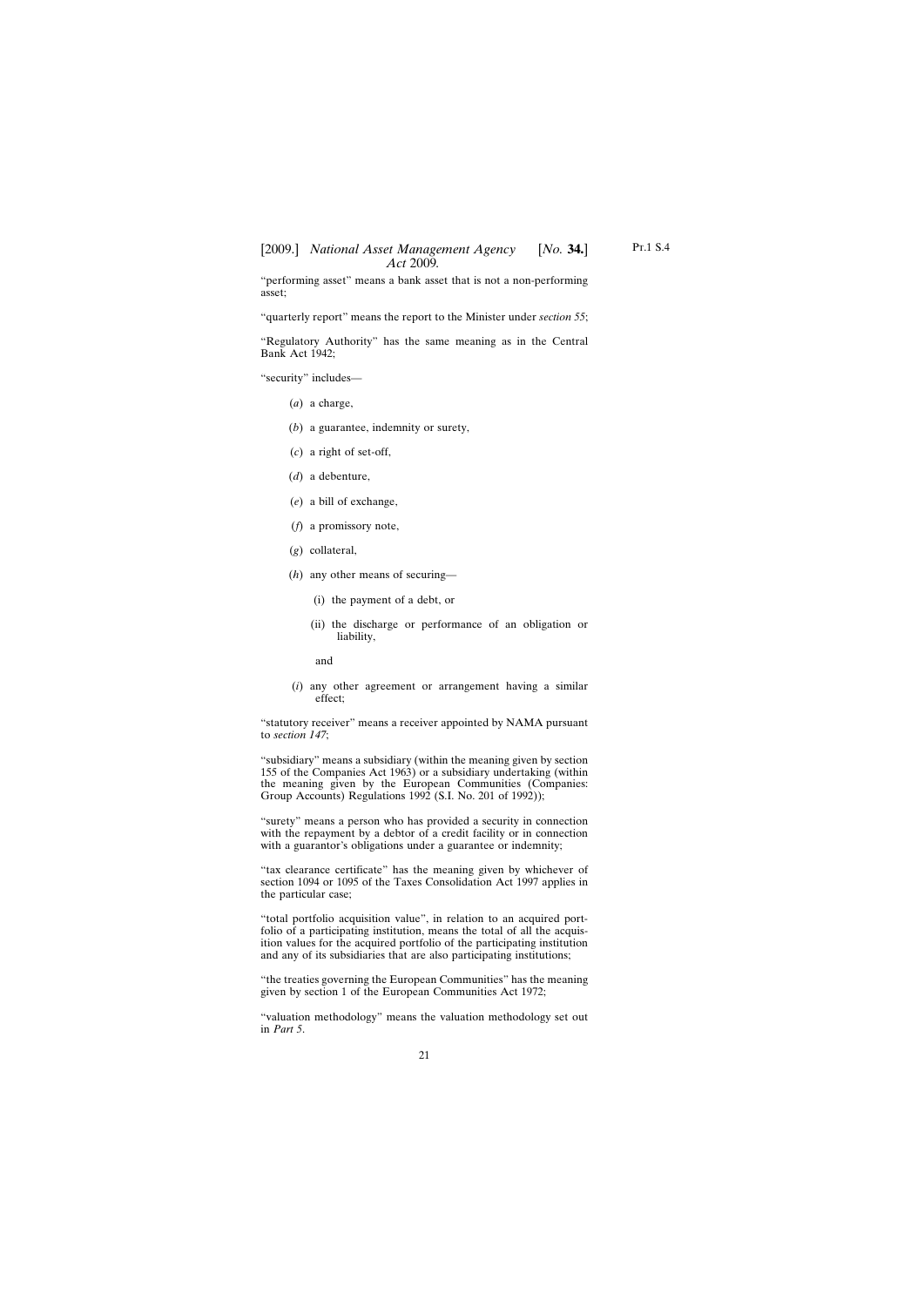# [2009.] [ *National Asset Management Agency No.* **34.**] *Act* 2009*.*

"performing asset" means a bank asset that is not a non-performing asset;

"quarterly report" means the report to the Minister under *section 55*;

"Regulatory Authority" has the same meaning as in the Central Bank Act 1942;

"security" includes—

- (*a*) a charge,
- (*b*) a guarantee, indemnity or surety,
- (*c*) a right of set-off,
- (*d*) a debenture,
- (*e*) a bill of exchange,
- (*f*) a promissory note,
- (*g*) collateral,
- (*h*) any other means of securing—
	- (i) the payment of a debt, or
	- (ii) the discharge or performance of an obligation or liability,

and

(*i*) any other agreement or arrangement having a similar effect;

"statutory receiver" means a receiver appointed by NAMA pursuant to *section 147*;

"subsidiary" means a subsidiary (within the meaning given by section 155 of the Companies Act 1963) or a subsidiary undertaking (within the meaning given by the European Communities (Companies: Group Accounts) Regulations 1992 (S.I. No. 201 of 1992));

"surety" means a person who has provided a security in connection with the repayment by a debtor of a credit facility or in connection with a guarantor's obligations under a guarantee or indemnity;

"tax clearance certificate" has the meaning given by whichever of section 1094 or 1095 of the Taxes Consolidation Act 1997 applies in the particular case;

"total portfolio acquisition value", in relation to an acquired portfolio of a participating institution, means the total of all the acquisition values for the acquired portfolio of the participating institution and any of its subsidiaries that are also participating institutions;

"the treaties governing the European Communities" has the meaning given by section 1 of the European Communities Act 1972;

"valuation methodology" means the valuation methodology set out in *Part 5*.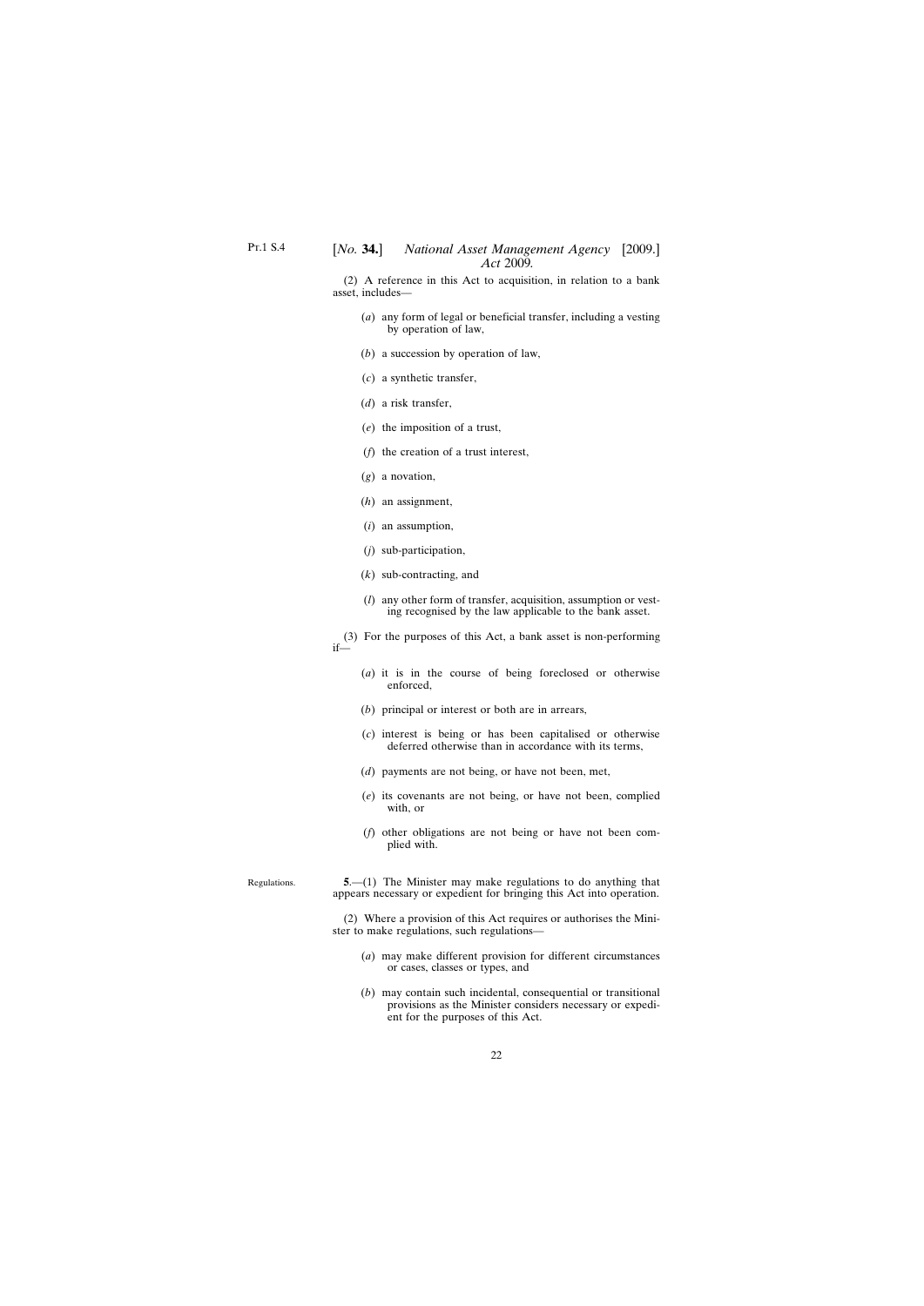<span id="page-21-0"></span>(2) A reference in this Act to acquisition, in relation to a bank asset, includes—

- (*a*) any form of legal or beneficial transfer, including a vesting by operation of law,
- (*b*) a succession by operation of law,
- (*c*) a synthetic transfer,
- (*d*) a risk transfer,
- (*e*) the imposition of a trust,
- (*f*) the creation of a trust interest,
- (*g*) a novation,
- (*h*) an assignment,
- (*i*) an assumption,
- (*j*) sub-participation,
- (*k*) sub-contracting, and
- (*l*) any other form of transfer, acquisition, assumption or vesting recognised by the law applicable to the bank asset.
- (3) For the purposes of this Act, a bank asset is non-performing if—
	- (*a*) it is in the course of being foreclosed or otherwise enforced,
	- (*b*) principal or interest or both are in arrears,
	- (*c*) interest is being or has been capitalised or otherwise deferred otherwise than in accordance with its terms,
	- (*d*) payments are not being, or have not been, met,
	- (*e*) its covenants are not being, or have not been, complied with, or
	- (*f*) other obligations are not being or have not been complied with.

| Regulations. | $5-(1)$ The Minister may make regulations to do anything that        |
|--------------|----------------------------------------------------------------------|
|              | appears necessary or expedient for bringing this Act into operation. |

(2) Where a provision of this Act requires or authorises the Minister to make regulations, such regulations—

- (*a*) may make different provision for different circumstances or cases, classes or types, and
- (*b*) may contain such incidental, consequential or transitional provisions as the Minister considers necessary or expedient for the purposes of this Act.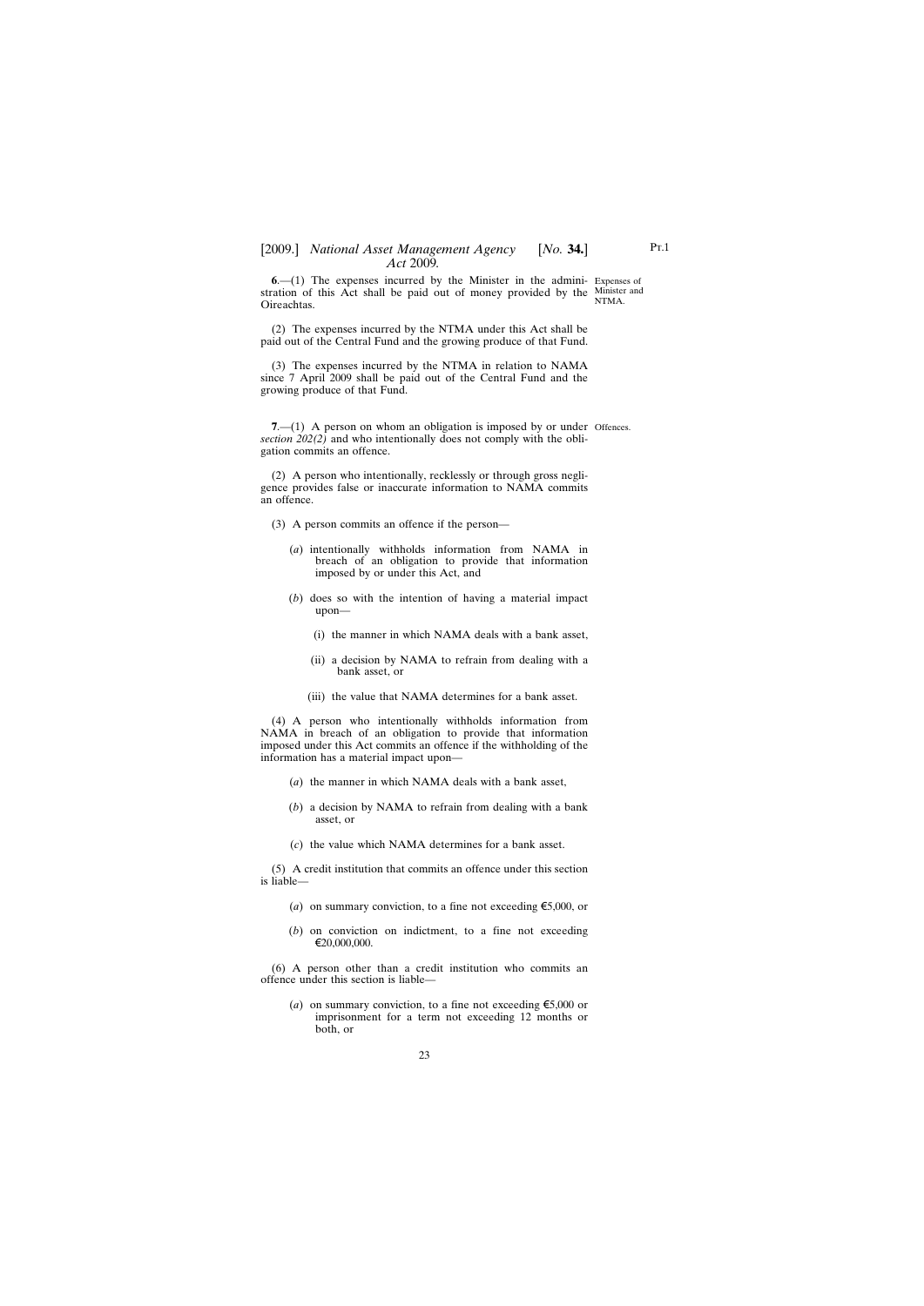<span id="page-22-0"></span>**6.**—(1) The expenses incurred by the Minister in the admini- Expenses of stration of this Act shall be paid out of money provided by the Minister and Oireachtas.

NTMA.

(2) The expenses incurred by the NTMA under this Act shall be paid out of the Central Fund and the growing produce of that Fund.

(3) The expenses incurred by the NTMA in relation to NAMA since 7 April 2009 shall be paid out of the Central Fund and the growing produce of that Fund.

**7.**—(1) A person on whom an obligation is imposed by or under Offences. *section 202(2)* and who intentionally does not comply with the obligation commits an offence.

(2) A person who intentionally, recklessly or through gross negligence provides false or inaccurate information to NAMA commits an offence.

- (3) A person commits an offence if the person—
	- (*a*) intentionally withholds information from NAMA in breach of an obligation to provide that information imposed by or under this Act, and
	- (*b*) does so with the intention of having a material impact upon—
		- (i) the manner in which NAMA deals with a bank asset,
		- (ii) a decision by NAMA to refrain from dealing with a bank asset, or
		- (iii) the value that NAMA determines for a bank asset.

(4) A person who intentionally withholds information from NAMA in breach of an obligation to provide that information imposed under this Act commits an offence if the withholding of the information has a material impact upon—

- (*a*) the manner in which NAMA deals with a bank asset,
- (*b*) a decision by NAMA to refrain from dealing with a bank asset, or
- (*c*) the value which NAMA determines for a bank asset.

(5) A credit institution that commits an offence under this section is liable—

- (*a*) on summary conviction, to a fine not exceeding  $\epsilon$ 5,000, or
- (*b*) on conviction on indictment, to a fine not exceeding  $€20,000,000.$

(6) A person other than a credit institution who commits an offence under this section is liable—

(*a*) on summary conviction, to a fine not exceeding  $\epsilon$ 5,000 or imprisonment for a term not exceeding 12 months or both, or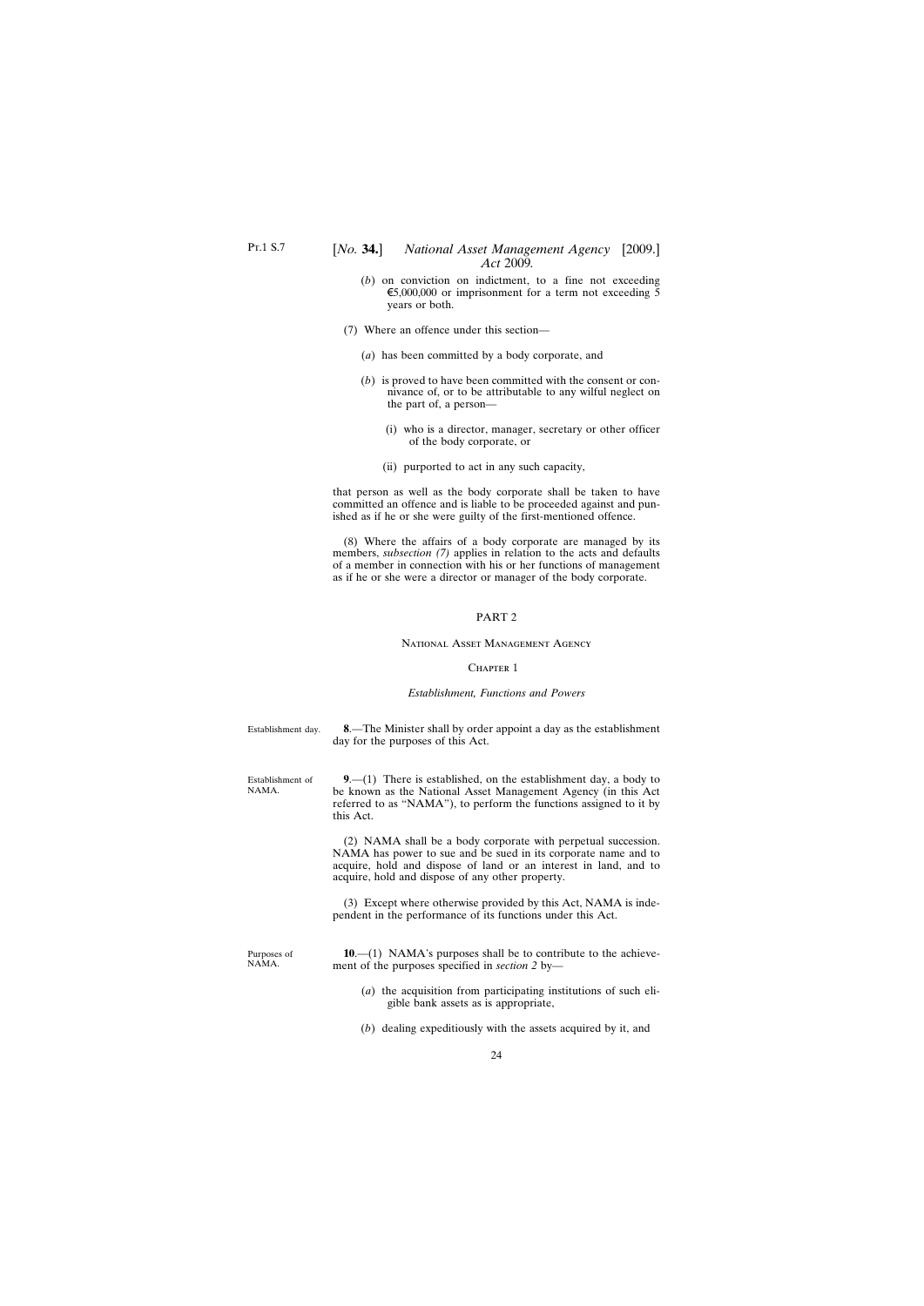- <span id="page-23-0"></span>(*b*) on conviction on indictment, to a fine not exceeding €5,000,000 or imprisonment for a term not exceeding  $\overline{5}$ years or both.
- (7) Where an offence under this section—
	- (*a*) has been committed by a body corporate, and
	- (*b*) is proved to have been committed with the consent or connivance of, or to be attributable to any wilful neglect on the part of, a person—
		- (i) who is a director, manager, secretary or other officer of the body corporate, or
		- (ii) purported to act in any such capacity,

that person as well as the body corporate shall be taken to have committed an offence and is liable to be proceeded against and punished as if he or she were guilty of the first-mentioned offence.

(8) Where the affairs of a body corporate are managed by its members, *subsection (7)* applies in relation to the acts and defaults of a member in connection with his or her functions of management as if he or she were a director or manager of the body corporate.

### PART 2

#### National Asset Management Agency

#### CHAPTER 1

#### *Establishment, Functions and Powers*

| Establishment day.        | <b>8.</b> —The Minister shall by order appoint a day as the establishment<br>day for the purposes of this Act.                                                                                                                                          |
|---------------------------|---------------------------------------------------------------------------------------------------------------------------------------------------------------------------------------------------------------------------------------------------------|
| Establishment of<br>NAMA. | $9-(1)$ There is established, on the establishment day, a body to<br>be known as the National Asset Management Agency (in this Act<br>referred to as "NAMA"), to perform the functions assigned to it by<br>this Act.                                   |
|                           | (2) NAMA shall be a body corporate with perpetual succession.<br>NAMA has power to sue and be sued in its corporate name and to<br>acquire, hold and dispose of land or an interest in land, and to<br>acquire, hold and dispose of any other property. |
|                           | (3) Except where otherwise provided by this Act, NAMA is inde-<br>pendent in the performance of its functions under this Act.                                                                                                                           |
| Purposes of<br>NAMA.      | $10$ —(1) NAMA's purposes shall be to contribute to the achieve-<br>ment of the purposes specified in <i>section</i> 2 by—                                                                                                                              |
|                           | $(a)$ the acquisition from participating institutions of such eli-<br>gible bank assets as is appropriate,                                                                                                                                              |
|                           | $(b)$ dealing expeditiously with the assets acquired by it, and                                                                                                                                                                                         |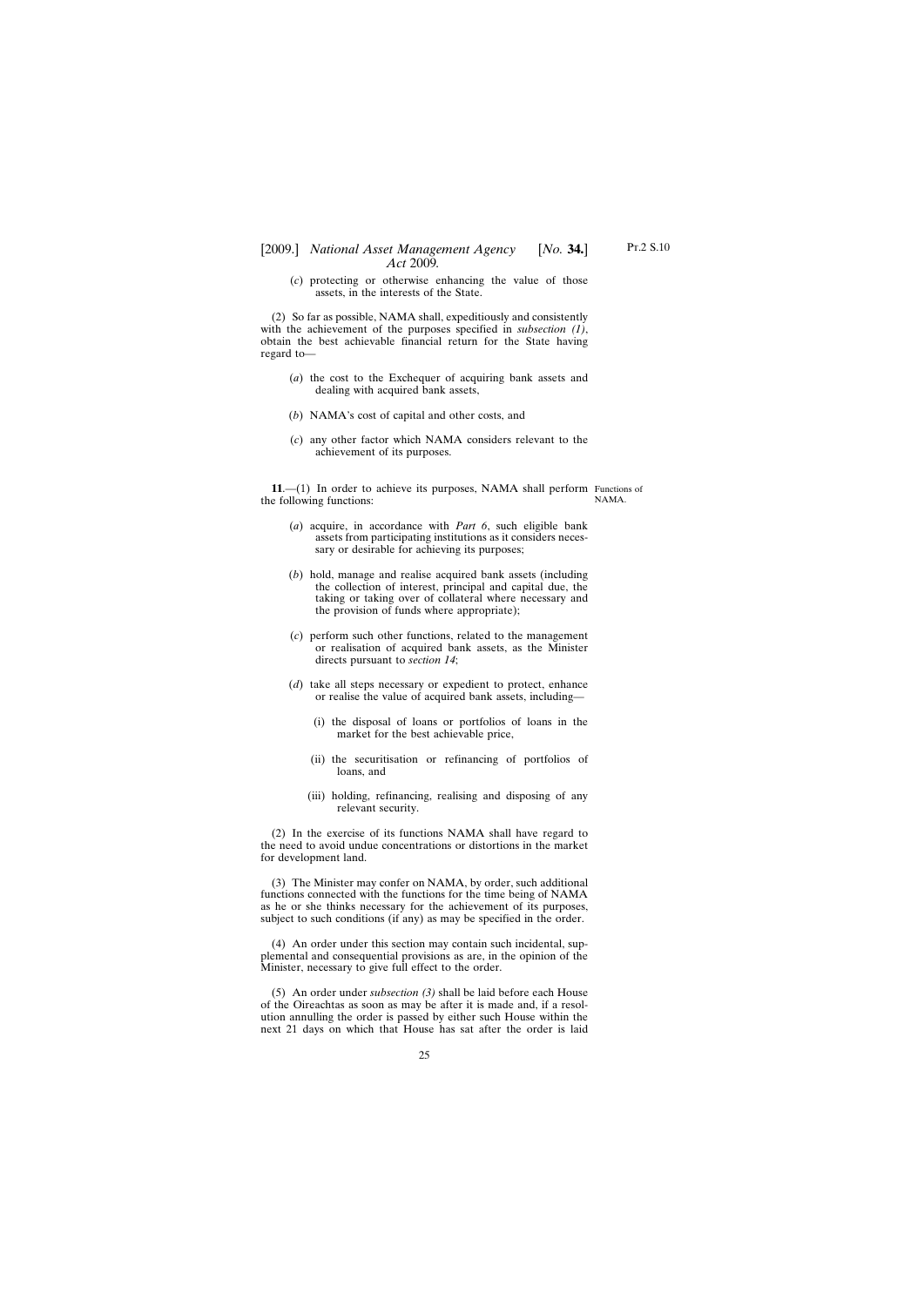# <span id="page-24-0"></span>[2009.] *National Asset Management Agency* [*No.* **34.**] *Act* 2009*.*

(*c*) protecting or otherwise enhancing the value of those assets, in the interests of the State.

(2) So far as possible, NAMA shall, expeditiously and consistently with the achievement of the purposes specified in *subsection (1)*, obtain the best achievable financial return for the State having regard to—

- (*a*) the cost to the Exchequer of acquiring bank assets and dealing with acquired bank assets,
- (*b*) NAMA's cost of capital and other costs, and
- (*c*) any other factor which NAMA considers relevant to the achievement of its purposes.

**11**.—(1) In order to achieve its purposes, NAMA shall perform Functions of the following functions: NAMA.

- (*a*) acquire, in accordance with *Part 6*, such eligible bank assets from participating institutions as it considers necessary or desirable for achieving its purposes;
- (*b*) hold, manage and realise acquired bank assets (including the collection of interest, principal and capital due, the taking or taking over of collateral where necessary and the provision of funds where appropriate);
- (*c*) perform such other functions, related to the management or realisation of acquired bank assets, as the Minister directs pursuant to *section 14*;
- (*d*) take all steps necessary or expedient to protect, enhance or realise the value of acquired bank assets, including—
	- (i) the disposal of loans or portfolios of loans in the market for the best achievable price,
	- (ii) the securitisation or refinancing of portfolios of loans, and
	- (iii) holding, refinancing, realising and disposing of any relevant security.

(2) In the exercise of its functions NAMA shall have regard to the need to avoid undue concentrations or distortions in the market for development land.

(3) The Minister may confer on NAMA, by order, such additional functions connected with the functions for the time being of NAMA as he or she thinks necessary for the achievement of its purposes, subject to such conditions (if any) as may be specified in the order.

(4) An order under this section may contain such incidental, supplemental and consequential provisions as are, in the opinion of the Minister, necessary to give full effect to the order.

(5) An order under *subsection (3)* shall be laid before each House of the Oireachtas as soon as may be after it is made and, if a resolution annulling the order is passed by either such House within the next 21 days on which that House has sat after the order is laid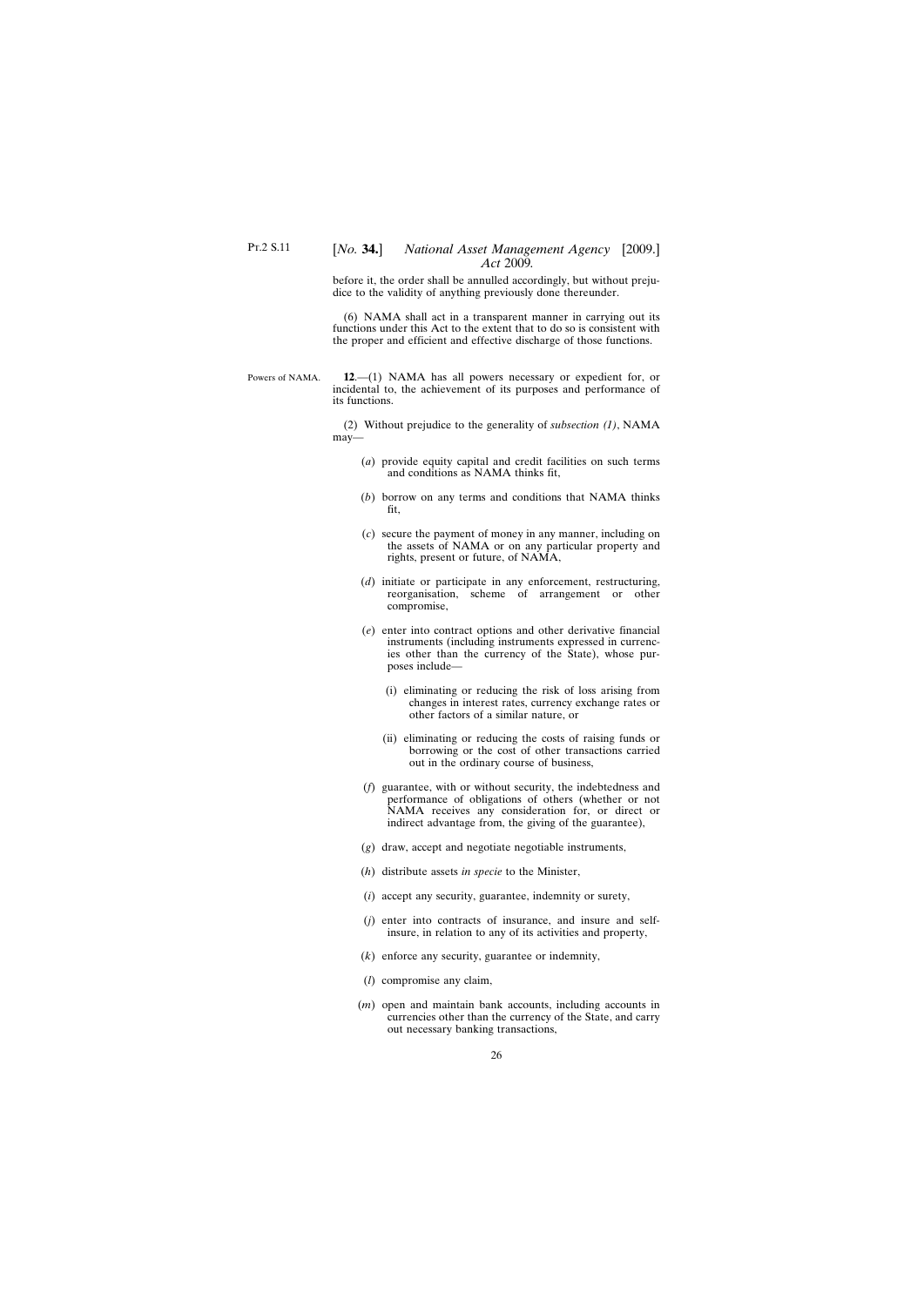<span id="page-25-0"></span>before it, the order shall be annulled accordingly, but without prejudice to the validity of anything previously done thereunder.

(6) NAMA shall act in a transparent manner in carrying out its functions under this Act to the extent that to do so is consistent with the proper and efficient and effective discharge of those functions.

Powers of NAMA. **12**.—(1) NAMA has all powers necessary or expedient for, or incidental to, the achievement of its purposes and performance of its functions.

> (2) Without prejudice to the generality of *subsection (1)*, NAMA may—

- (*a*) provide equity capital and credit facilities on such terms and conditions as NAMA thinks fit,
- (*b*) borrow on any terms and conditions that NAMA thinks fit,
- (*c*) secure the payment of money in any manner, including on the assets of NAMA or on any particular property and rights, present or future, of NAMA,
- (*d*) initiate or participate in any enforcement, restructuring, reorganisation, scheme of arrangement or other compromise,
- (*e*) enter into contract options and other derivative financial instruments (including instruments expressed in currencies other than the currency of the State), whose purposes include—
	- (i) eliminating or reducing the risk of loss arising from changes in interest rates, currency exchange rates or other factors of a similar nature, or
	- (ii) eliminating or reducing the costs of raising funds or borrowing or the cost of other transactions carried out in the ordinary course of business,
- (*f*) guarantee, with or without security, the indebtedness and performance of obligations of others (whether or not NAMA receives any consideration for, or direct or indirect advantage from, the giving of the guarantee),
- (*g*) draw, accept and negotiate negotiable instruments,
- (*h*) distribute assets *in specie* to the Minister,
- (*i*) accept any security, guarantee, indemnity or surety,
- (*j*) enter into contracts of insurance, and insure and selfinsure, in relation to any of its activities and property,
- (*k*) enforce any security, guarantee or indemnity,
- (*l*) compromise any claim,
- (*m*) open and maintain bank accounts, including accounts in currencies other than the currency of the State, and carry out necessary banking transactions,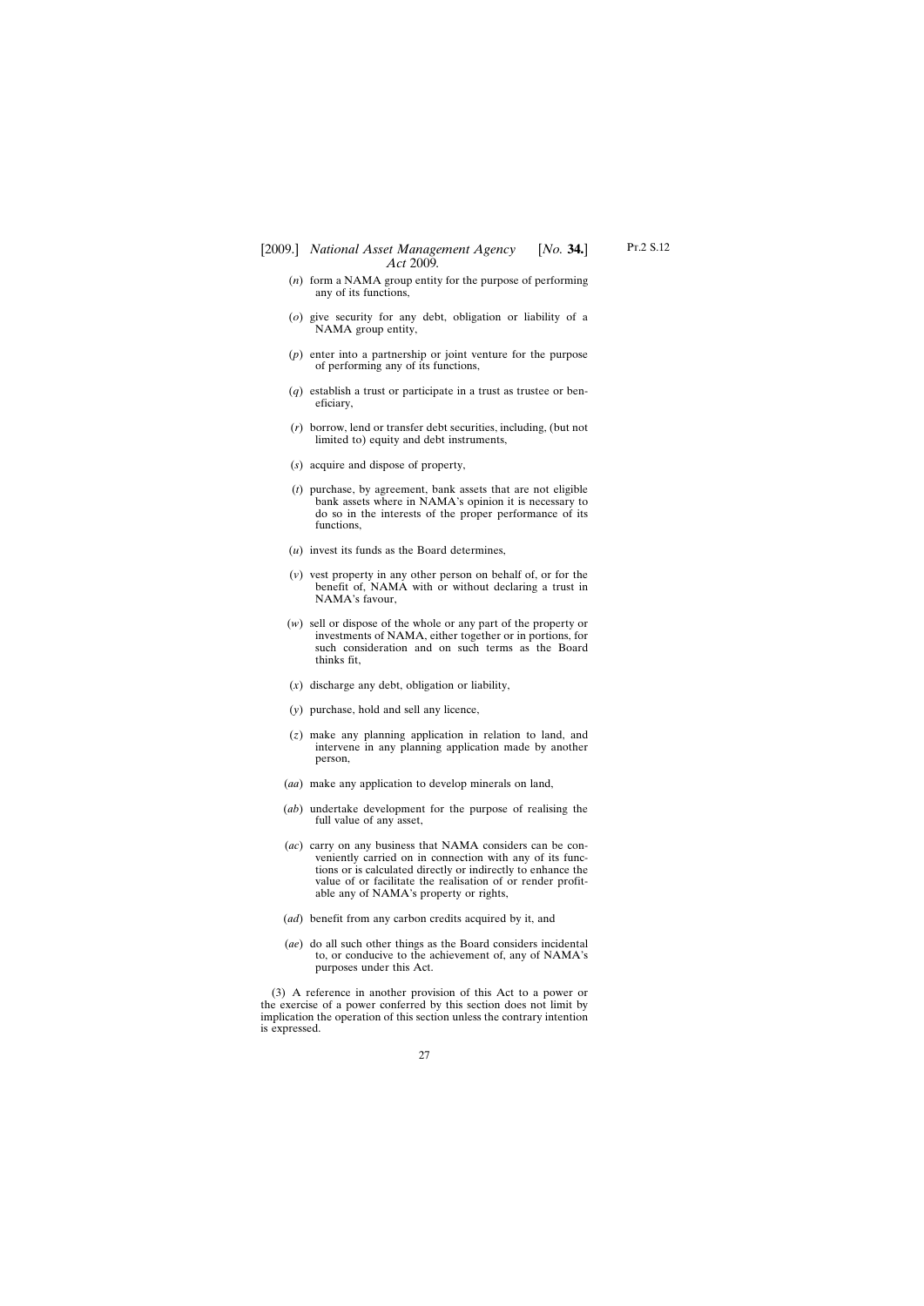- [2009.] *National Asset Management Agency* [*No.* **34.**] *Act* 2009*.*
	- (*n*) form a NAMA group entity for the purpose of performing any of its functions,
	- (*o*) give security for any debt, obligation or liability of a NAMA group entity,
	- (*p*) enter into a partnership or joint venture for the purpose of performing any of its functions,
	- (*q*) establish a trust or participate in a trust as trustee or beneficiary,
	- (*r*) borrow, lend or transfer debt securities, including, (but not limited to) equity and debt instruments,
	- (*s*) acquire and dispose of property,
	- (*t*) purchase, by agreement, bank assets that are not eligible bank assets where in NAMA's opinion it is necessary to do so in the interests of the proper performance of its functions,
	- (*u*) invest its funds as the Board determines,
	- (*v*) vest property in any other person on behalf of, or for the benefit of, NAMA with or without declaring a trust in NAMA's favour,
	- (*w*) sell or dispose of the whole or any part of the property or investments of NAMA, either together or in portions, for such consideration and on such terms as the Board thinks fit,
	- (*x*) discharge any debt, obligation or liability,
	- (*y*) purchase, hold and sell any licence,
	- (*z*) make any planning application in relation to land, and intervene in any planning application made by another person,
	- (*aa*) make any application to develop minerals on land,
	- (*ab*) undertake development for the purpose of realising the full value of any asset,
	- (*ac*) carry on any business that NAMA considers can be conveniently carried on in connection with any of its functions or is calculated directly or indirectly to enhance the value of or facilitate the realisation of or render profitable any of NAMA's property or rights,
	- (*ad*) benefit from any carbon credits acquired by it, and
	- (*ae*) do all such other things as the Board considers incidental to, or conducive to the achievement of, any of NAMA's purposes under this Act.

(3) A reference in another provision of this Act to a power or the exercise of a power conferred by this section does not limit by implication the operation of this section unless the contrary intention is expressed.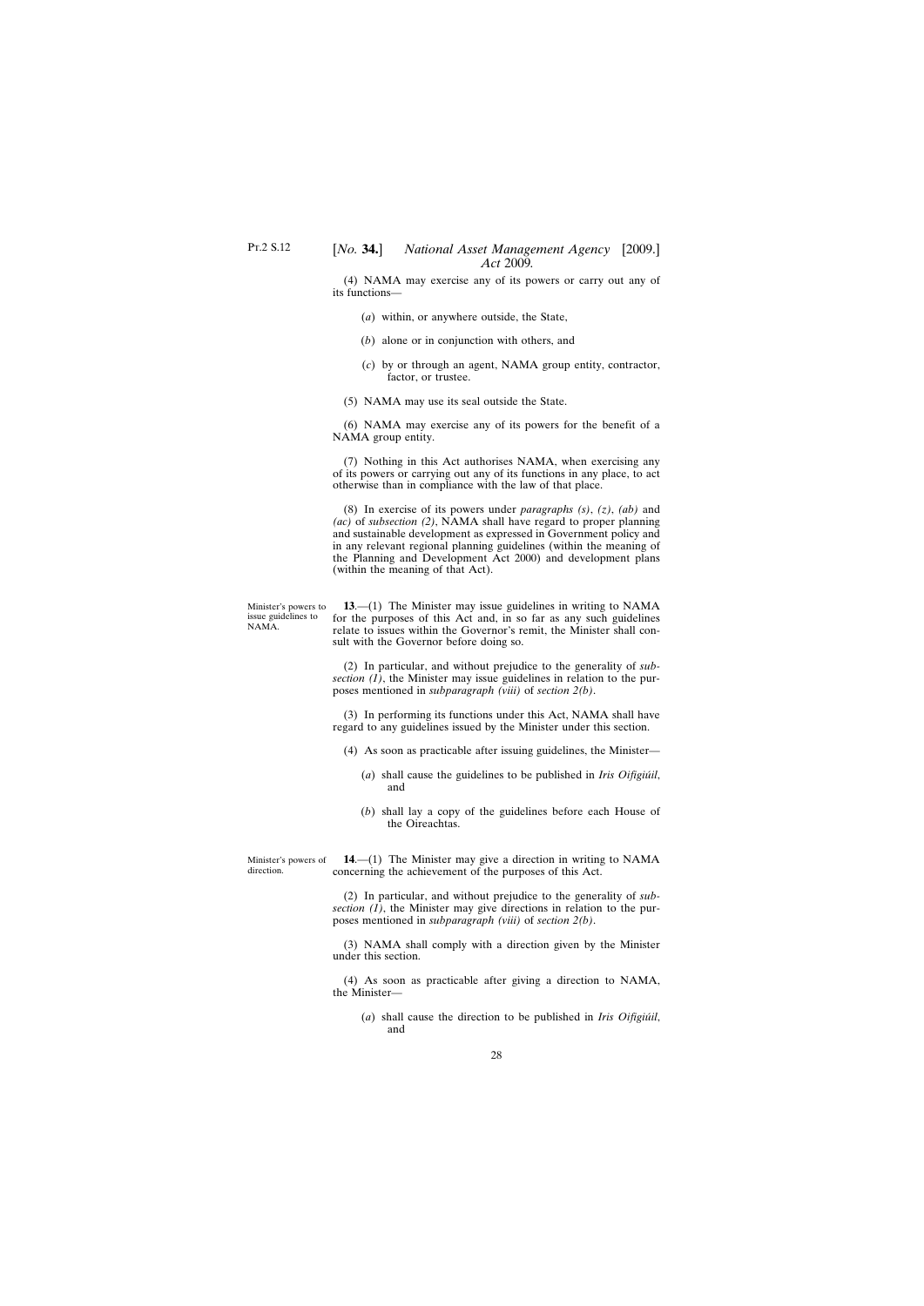<span id="page-27-0"></span>(4) NAMA may exercise any of its powers or carry out any of its functions—

- (*a*) within, or anywhere outside, the State,
- (*b*) alone or in conjunction with others, and
- (*c*) by or through an agent, NAMA group entity, contractor, factor, or trustee.
- (5) NAMA may use its seal outside the State.

(6) NAMA may exercise any of its powers for the benefit of a NAMA group entity.

(7) Nothing in this Act authorises NAMA, when exercising any of its powers or carrying out any of its functions in any place, to act otherwise than in compliance with the law of that place.

(8) In exercise of its powers under *paragraphs (s)*, *(z)*, *(ab)* and *(ac)* of *subsection (2)*, NAMA shall have regard to proper planning and sustainable development as expressed in Government policy and in any relevant regional planning guidelines (within the meaning of the Planning and Development Act 2000) and development plans (within the meaning of that Act).

Minister's powers to issue guidelines to NAMA.

direction.

**13**.—(1) The Minister may issue guidelines in writing to NAMA for the purposes of this Act and, in so far as any such guidelines relate to issues within the Governor's remit, the Minister shall consult with the Governor before doing so.

(2) In particular, and without prejudice to the generality of *subsection (1)*, the Minister may issue guidelines in relation to the purposes mentioned in *subparagraph (viii)* of *section 2(b)*.

(3) In performing its functions under this Act, NAMA shall have regard to any guidelines issued by the Minister under this section.

- (4) As soon as practicable after issuing guidelines, the Minister—
	- (*a*) shall cause the guidelines to be published in *Iris Oifigiúil*, and
	- (*b*) shall lay a copy of the guidelines before each House of the Oireachtas.

Minister's powers of **14**.—(1) The Minister may give a direction in writing to NAMA concerning the achievement of the purposes of this Act.

> (2) In particular, and without prejudice to the generality of *subsection*  $(I)$ , the Minister may give directions in relation to the purposes mentioned in *subparagraph (viii)* of *section 2(b)*.

> (3) NAMA shall comply with a direction given by the Minister under this section.

> (4) As soon as practicable after giving a direction to NAMA, the Minister—

(*a*) shall cause the direction to be published in *Iris Oifigiúil*, and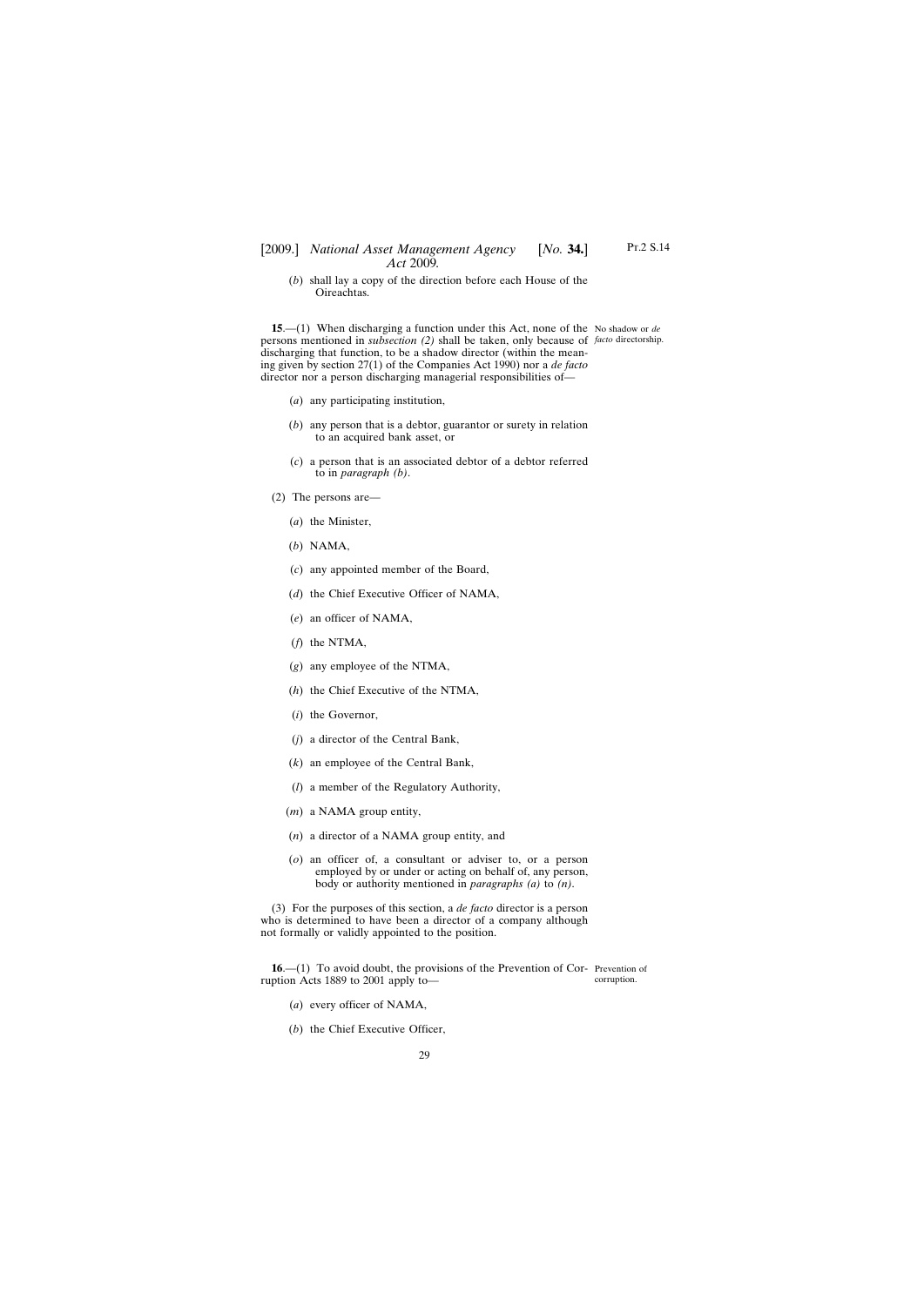# <span id="page-28-0"></span>[2009.] *National Asset Management Agency* [*No.* **34.**] *Act* 2009*.*

(*b*) shall lay a copy of the direction before each House of the Oireachtas.

**15**.—(1) When discharging a function under this Act, none of the No shadow or *de* persons mentioned in *subsection (2)* shall be taken, only because of *facto* directorship. discharging that function, to be a shadow director (within the meaning given by section 27(1) of the Companies Act 1990) nor a *de facto* director nor a person discharging managerial responsibilities of—

- (*a*) any participating institution,
- (*b*) any person that is a debtor, guarantor or surety in relation to an acquired bank asset, or
- (*c*) a person that is an associated debtor of a debtor referred to in *paragraph (b)*.
- (2) The persons are—
	- (*a*) the Minister,
	- (*b*) NAMA,
	- (*c*) any appointed member of the Board,
	- (*d*) the Chief Executive Officer of NAMA,
	- (*e*) an officer of NAMA,
	- (*f*) the NTMA,
	- (*g*) any employee of the NTMA,
	- (*h*) the Chief Executive of the NTMA,
	- (*i*) the Governor,
	- (*j*) a director of the Central Bank,
	- (*k*) an employee of the Central Bank,
	- (*l*) a member of the Regulatory Authority,
	- (*m*) a NAMA group entity,
	- (*n*) a director of a NAMA group entity, and
	- (*o*) an officer of, a consultant or adviser to, or a person employed by or under or acting on behalf of, any person, body or authority mentioned in *paragraphs (a)* to *(n)*.

(3) For the purposes of this section, a *de facto* director is a person who is determined to have been a director of a company although not formally or validly appointed to the position.

**16.**—(1) To avoid doubt, the provisions of the Prevention of Cor- Prevention of ruption Acts 1889 to 2001 apply to—

corruption.

- (*a*) every officer of NAMA,
- (*b*) the Chief Executive Officer,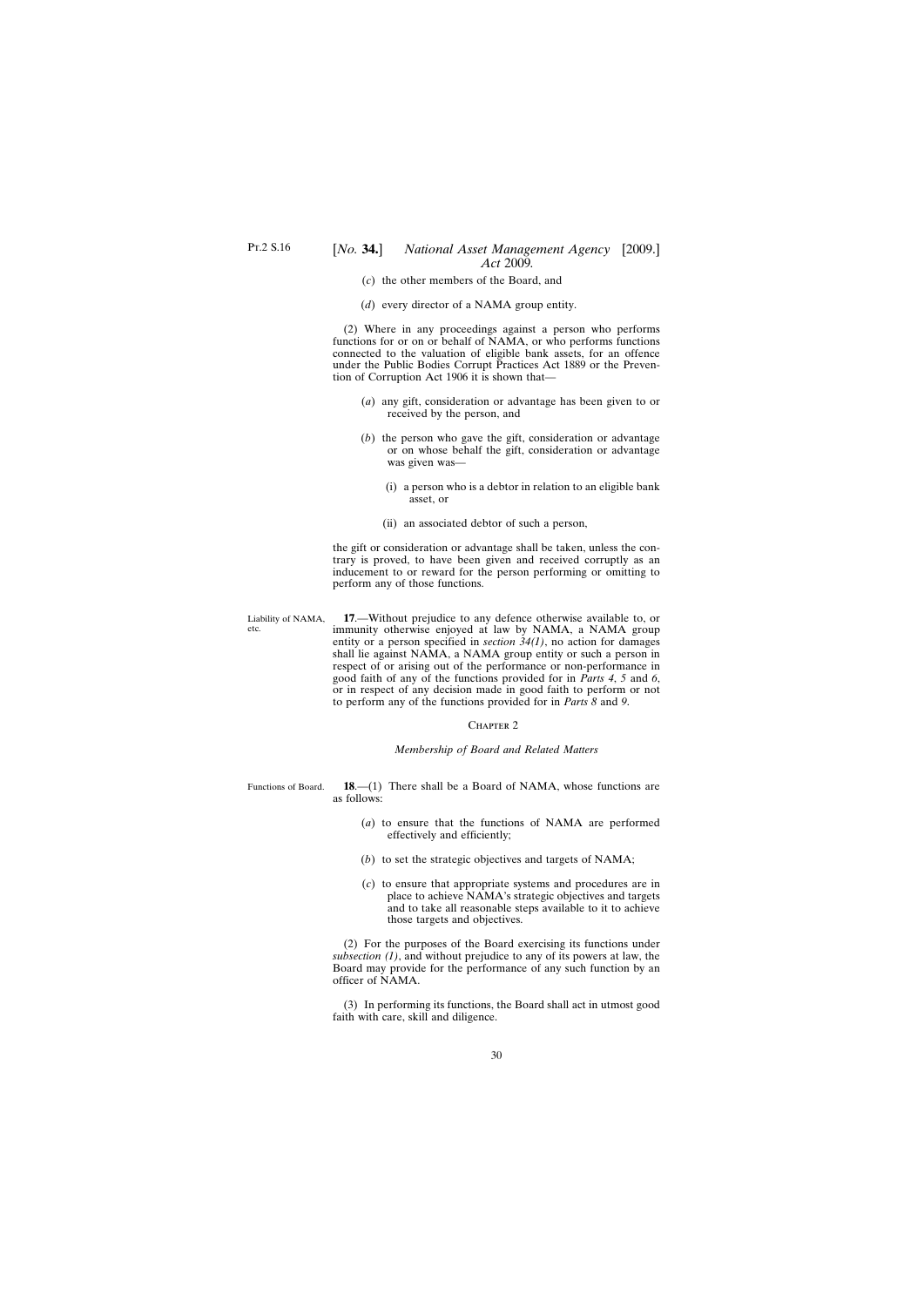- (*c*) the other members of the Board, and
- (*d*) every director of a NAMA group entity.

<span id="page-29-0"></span>(2) Where in any proceedings against a person who performs functions for or on or behalf of NAMA, or who performs functions connected to the valuation of eligible bank assets, for an offence under the Public Bodies Corrupt Practices Act 1889 or the Prevention of Corruption Act 1906 it is shown that—

- (*a*) any gift, consideration or advantage has been given to or received by the person, and
- (*b*) the person who gave the gift, consideration or advantage or on whose behalf the gift, consideration or advantage was given was—
	- (i) a person who is a debtor in relation to an eligible bank asset, or
	- (ii) an associated debtor of such a person,

the gift or consideration or advantage shall be taken, unless the contrary is proved, to have been given and received corruptly as an inducement to or reward for the person performing or omitting to perform any of those functions.

Liability of NAMA, etc. **17**.—Without prejudice to any defence otherwise available to, or immunity otherwise enjoyed at law by NAMA, a NAMA group entity or a person specified in *section 34(1)*, no action for damages shall lie against NAMA, a NAMA group entity or such a person in respect of or arising out of the performance or non-performance in good faith of any of the functions provided for in *Parts 4*, *5* and *6*, or in respect of any decision made in good faith to perform or not to perform any of the functions provided for in *Parts 8* and *9*.

#### CHAPTER<sub>2</sub>

#### *Membership of Board and Related Matters*

- Functions of Board. **18**.—(1) There shall be a Board of NAMA, whose functions are as follows:
	- (*a*) to ensure that the functions of NAMA are performed effectively and efficiently;
	- (*b*) to set the strategic objectives and targets of NAMA;
	- (*c*) to ensure that appropriate systems and procedures are in place to achieve NAMA's strategic objectives and targets and to take all reasonable steps available to it to achieve those targets and objectives.

(2) For the purposes of the Board exercising its functions under *subsection (1)*, and without prejudice to any of its powers at law, the Board may provide for the performance of any such function by an officer of NAMA.

(3) In performing its functions, the Board shall act in utmost good faith with care, skill and diligence.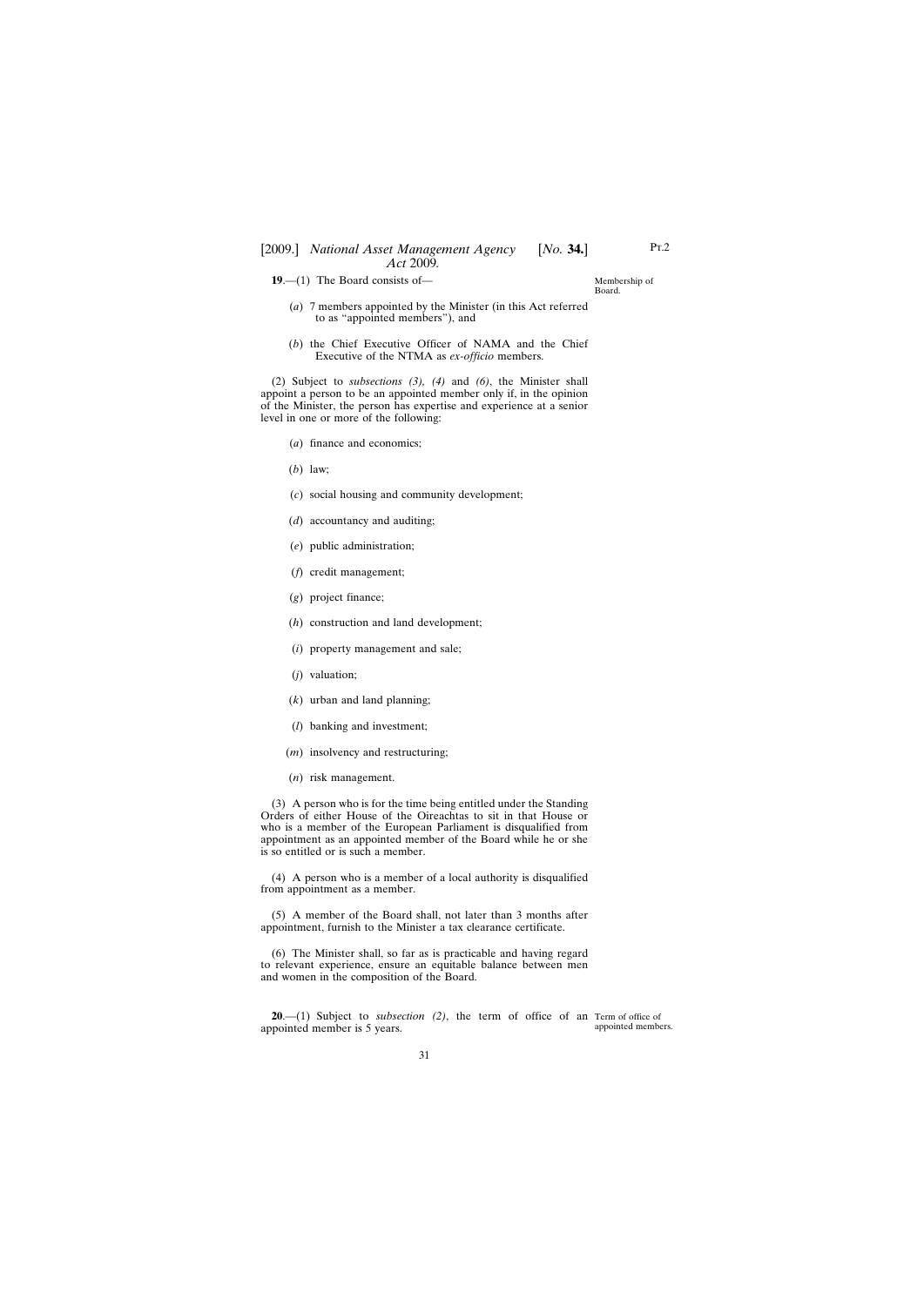<span id="page-30-0"></span>**19**.—(1) The Board consists of—

Membership of Board.

- (*a*) 7 members appointed by the Minister (in this Act referred to as "appointed members"), and
- (*b*) the Chief Executive Officer of NAMA and the Chief Executive of the NTMA as *ex-officio* members.

(2) Subject to *subsections (3), (4)* and *(6)*, the Minister shall appoint a person to be an appointed member only if, in the opinion of the Minister, the person has expertise and experience at a senior level in one or more of the following:

- (*a*) finance and economics;
- (*b*) law;
- (*c*) social housing and community development;
- (*d*) accountancy and auditing;
- (*e*) public administration;
- (*f*) credit management;
- (*g*) project finance;
- (*h*) construction and land development;
- (*i*) property management and sale;
- (*j*) valuation;
- (*k*) urban and land planning;
- (*l*) banking and investment;
- (*m*) insolvency and restructuring;
- (*n*) risk management.

(3) A person who is for the time being entitled under the Standing Orders of either House of the Oireachtas to sit in that House or who is a member of the European Parliament is disqualified from appointment as an appointed member of the Board while he or she is so entitled or is such a member.

(4) A person who is a member of a local authority is disqualified from appointment as a member.

(5) A member of the Board shall, not later than 3 months after appointment, furnish to the Minister a tax clearance certificate.

(6) The Minister shall, so far as is practicable and having regard to relevant experience, ensure an equitable balance between men and women in the composition of the Board.

**20**.—(1) Subject to *subsection* (2), the term of office of an Term of office of appointed member is 5 years.

appointed members.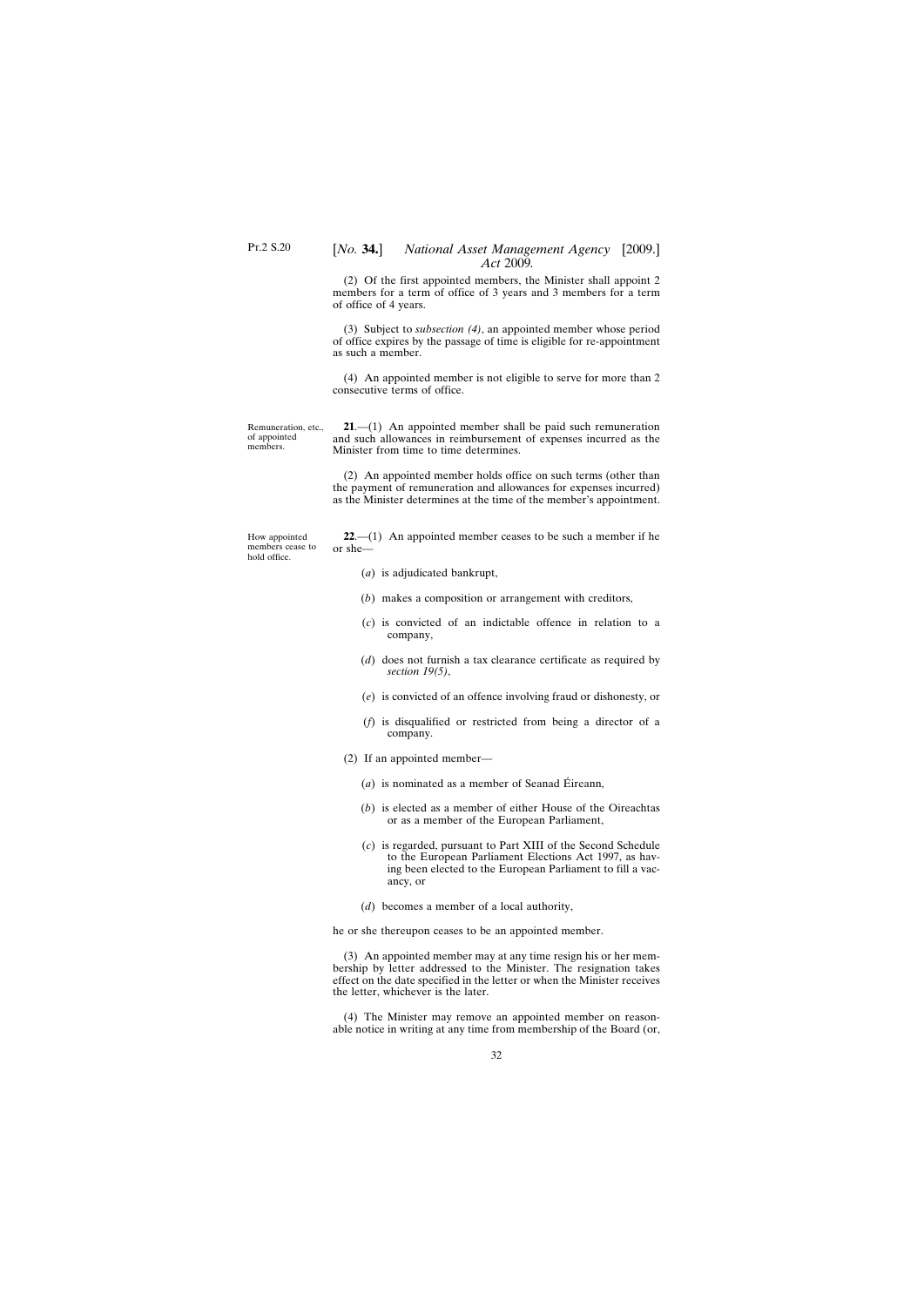<span id="page-31-0"></span>(2) Of the first appointed members, the Minister shall appoint 2 members for a term of office of 3 years and 3 members for a term of office of 4 years.

(3) Subject to *subsection (4)*, an appointed member whose period of office expires by the passage of time is eligible for re-appointment as such a member.

(4) An appointed member is not eligible to serve for more than 2 consecutive terms of office.

Remuneration, etc., of appointed members.

**21**.—(1) An appointed member shall be paid such remuneration and such allowances in reimbursement of expenses incurred as the Minister from time to time determines.

(2) An appointed member holds office on such terms (other than the payment of remuneration and allowances for expenses incurred) as the Minister determines at the time of the member's appointment.

How appointed members cease to hold office.

**22**.—(1) An appointed member ceases to be such a member if he or she—

- (*a*) is adjudicated bankrupt,
- (*b*) makes a composition or arrangement with creditors,
- (*c*) is convicted of an indictable offence in relation to a company,
- (*d*) does not furnish a tax clearance certificate as required by *section 19(5)*,
- (*e*) is convicted of an offence involving fraud or dishonesty, or
- (*f*) is disqualified or restricted from being a director of a company.
- (2) If an appointed member—
	- (*a*) is nominated as a member of Seanad Éireann,
	- (*b*) is elected as a member of either House of the Oireachtas or as a member of the European Parliament,
	- (*c*) is regarded, pursuant to Part XIII of the Second Schedule to the European Parliament Elections Act 1997, as having been elected to the European Parliament to fill a vacancy, or
	- (*d*) becomes a member of a local authority,

he or she thereupon ceases to be an appointed member.

(3) An appointed member may at any time resign his or her membership by letter addressed to the Minister. The resignation takes effect on the date specified in the letter or when the Minister receives the letter, whichever is the later.

(4) The Minister may remove an appointed member on reasonable notice in writing at any time from membership of the Board (or,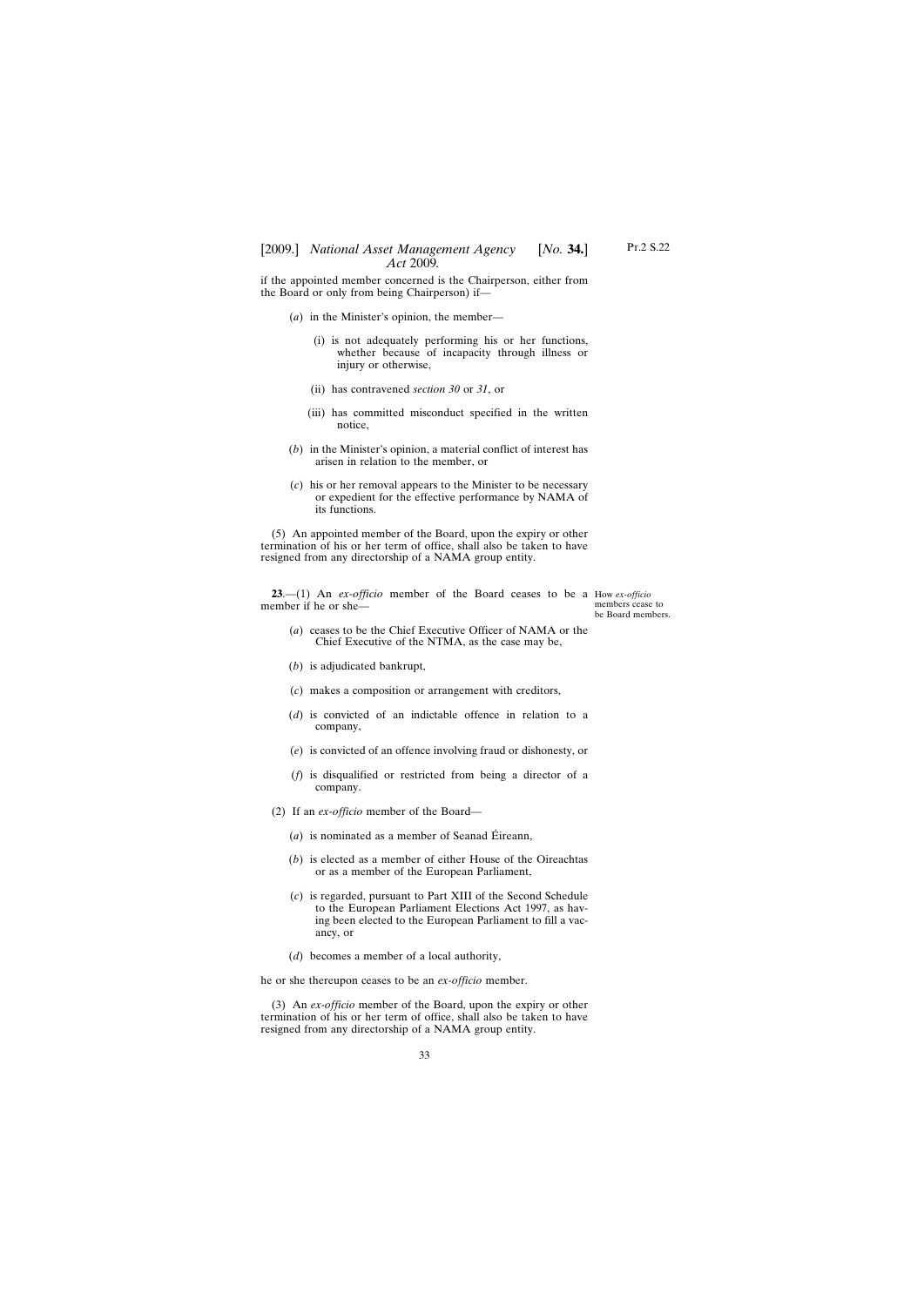<span id="page-32-0"></span>if the appointed member concerned is the Chairperson, either from the Board or only from being Chairperson) if—

- (*a*) in the Minister's opinion, the member—
	- (i) is not adequately performing his or her functions, whether because of incapacity through illness or injury or otherwise,
	- (ii) has contravened *section 30* or *31*, or
	- (iii) has committed misconduct specified in the written notice,
- (*b*) in the Minister's opinion, a material conflict of interest has arisen in relation to the member, or
- (*c*) his or her removal appears to the Minister to be necessary or expedient for the effective performance by NAMA of its functions.

(5) An appointed member of the Board, upon the expiry or other termination of his or her term of office, shall also be taken to have resigned from any directorship of a NAMA group entity.

**23**.—(1) An *ex-officio* member of the Board ceases to be a How *ex-officio* member if he or she—

members cease to be Board members.

- (*a*) ceases to be the Chief Executive Officer of NAMA or the Chief Executive of the NTMA, as the case may be,
- (*b*) is adjudicated bankrupt,
- (*c*) makes a composition or arrangement with creditors,
- (*d*) is convicted of an indictable offence in relation to a company,
- (*e*) is convicted of an offence involving fraud or dishonesty, or
- (*f*) is disqualified or restricted from being a director of a company.
- (2) If an *ex-officio* member of the Board—
	- (*a*) is nominated as a member of Seanad Éireann,
	- (*b*) is elected as a member of either House of the Oireachtas or as a member of the European Parliament,
	- (*c*) is regarded, pursuant to Part XIII of the Second Schedule to the European Parliament Elections Act 1997, as having been elected to the European Parliament to fill a vacancy, or
	- (*d*) becomes a member of a local authority,

he or she thereupon ceases to be an *ex-officio* member.

(3) An *ex-officio* member of the Board, upon the expiry or other termination of his or her term of office, shall also be taken to have resigned from any directorship of a NAMA group entity.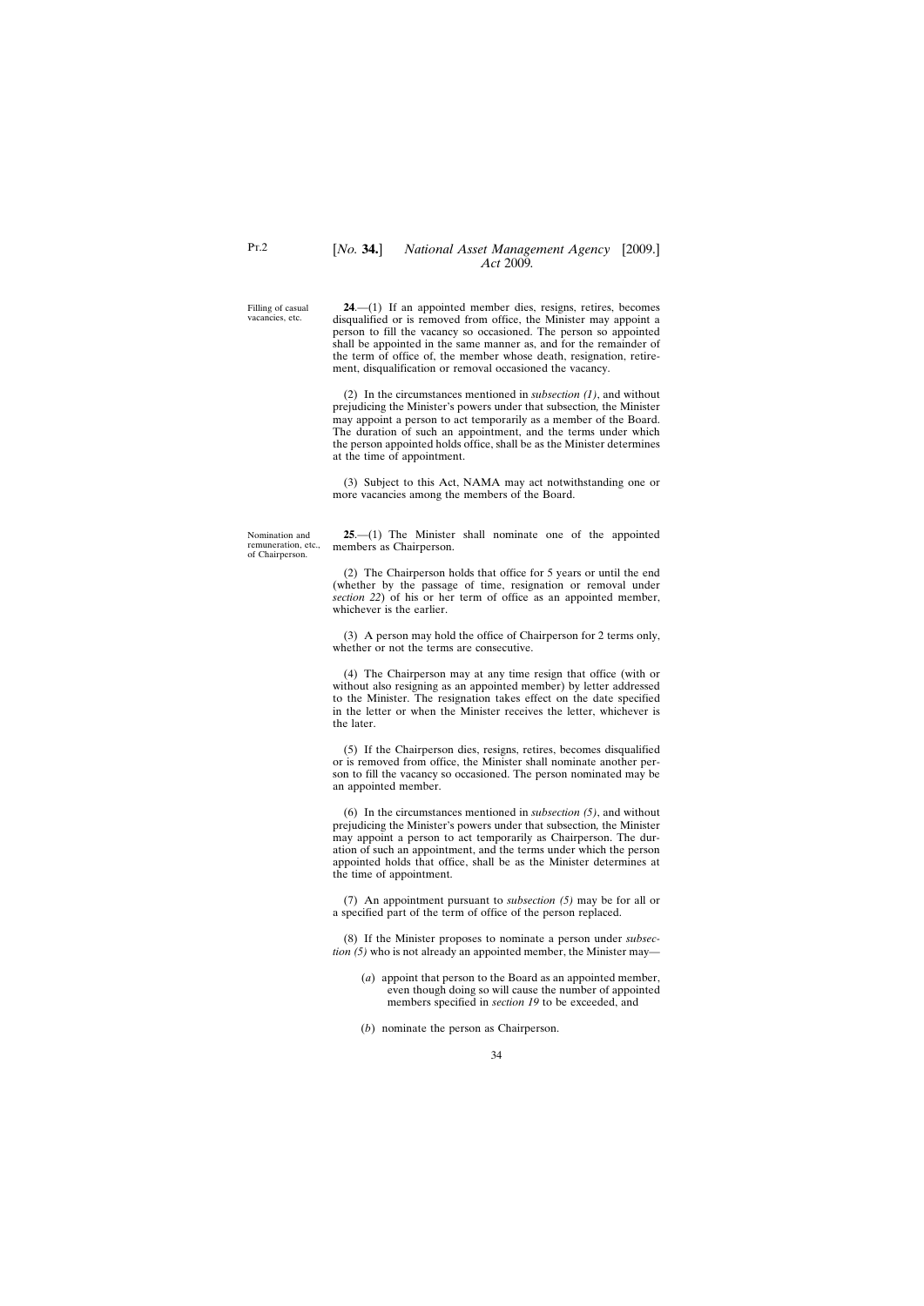<span id="page-33-0"></span>Filling of casual vacancies, etc.

**24**.—(1) If an appointed member dies, resigns, retires, becomes disqualified or is removed from office, the Minister may appoint a person to fill the vacancy so occasioned. The person so appointed shall be appointed in the same manner as, and for the remainder of the term of office of, the member whose death, resignation, retirement, disqualification or removal occasioned the vacancy.

(2) In the circumstances mentioned in *subsection (1)*, and without prejudicing the Minister's powers under that subsection*,* the Minister may appoint a person to act temporarily as a member of the Board. The duration of such an appointment, and the terms under which the person appointed holds office, shall be as the Minister determines at the time of appointment.

(3) Subject to this Act, NAMA may act notwithstanding one or more vacancies among the members of the Board.

Nomination and remuneration, etc., of Chairperson.

**25**.—(1) The Minister shall nominate one of the appointed members as Chairperson.

(2) The Chairperson holds that office for 5 years or until the end (whether by the passage of time, resignation or removal under *section 22*) of his or her term of office as an appointed member, whichever is the earlier.

(3) A person may hold the office of Chairperson for 2 terms only, whether or not the terms are consecutive.

(4) The Chairperson may at any time resign that office (with or without also resigning as an appointed member) by letter addressed to the Minister. The resignation takes effect on the date specified in the letter or when the Minister receives the letter, whichever is the later.

(5) If the Chairperson dies, resigns, retires, becomes disqualified or is removed from office, the Minister shall nominate another person to fill the vacancy so occasioned. The person nominated may be an appointed member.

(6) In the circumstances mentioned in *subsection (5)*, and without prejudicing the Minister's powers under that subsection*,* the Minister may appoint a person to act temporarily as Chairperson. The duration of such an appointment, and the terms under which the person appointed holds that office, shall be as the Minister determines at the time of appointment.

(7) An appointment pursuant to *subsection (5)* may be for all or a specified part of the term of office of the person replaced.

(8) If the Minister proposes to nominate a person under *subsection (5)* who is not already an appointed member, the Minister may—

- (*a*) appoint that person to the Board as an appointed member, even though doing so will cause the number of appointed members specified in *section 19* to be exceeded, and
- (*b*) nominate the person as Chairperson.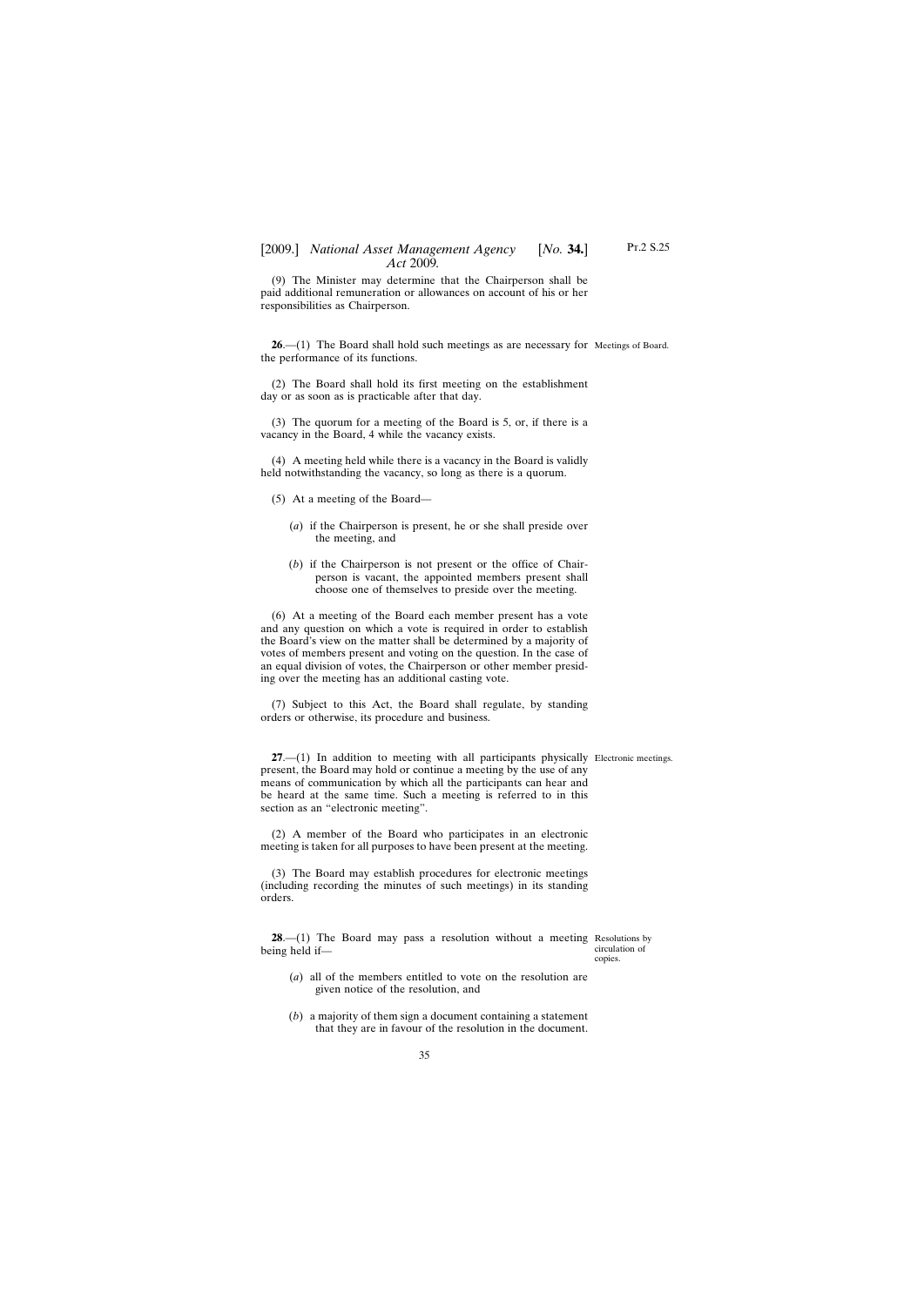# <span id="page-34-0"></span>[2009.] [ *National Asset Management Agency No.* **34.**] *Act* 2009*.*

(9) The Minister may determine that the Chairperson shall be paid additional remuneration or allowances on account of his or her responsibilities as Chairperson.

**26.**—(1) The Board shall hold such meetings as are necessary for Meetings of Board. the performance of its functions.

(2) The Board shall hold its first meeting on the establishment day or as soon as is practicable after that day.

(3) The quorum for a meeting of the Board is 5, or, if there is a vacancy in the Board, 4 while the vacancy exists.

(4) A meeting held while there is a vacancy in the Board is validly held notwithstanding the vacancy, so long as there is a quorum.

(5) At a meeting of the Board—

- (*a*) if the Chairperson is present, he or she shall preside over the meeting, and
- (*b*) if the Chairperson is not present or the office of Chairperson is vacant, the appointed members present shall choose one of themselves to preside over the meeting.

(6) At a meeting of the Board each member present has a vote and any question on which a vote is required in order to establish the Board's view on the matter shall be determined by a majority of votes of members present and voting on the question. In the case of an equal division of votes, the Chairperson or other member presiding over the meeting has an additional casting vote.

(7) Subject to this Act, the Board shall regulate, by standing orders or otherwise, its procedure and business.

**27.**—(1) In addition to meeting with all participants physically Electronic meetings. present, the Board may hold or continue a meeting by the use of any means of communication by which all the participants can hear and be heard at the same time. Such a meeting is referred to in this section as an "electronic meeting".

(2) A member of the Board who participates in an electronic meeting is taken for all purposes to have been present at the meeting.

(3) The Board may establish procedures for electronic meetings (including recording the minutes of such meetings) in its standing orders.

**28.**—(1) The Board may pass a resolution without a meeting Resolutions by being held if—

circulation of copies.

- (*a*) all of the members entitled to vote on the resolution are given notice of the resolution, and
- (*b*) a majority of them sign a document containing a statement that they are in favour of the resolution in the document.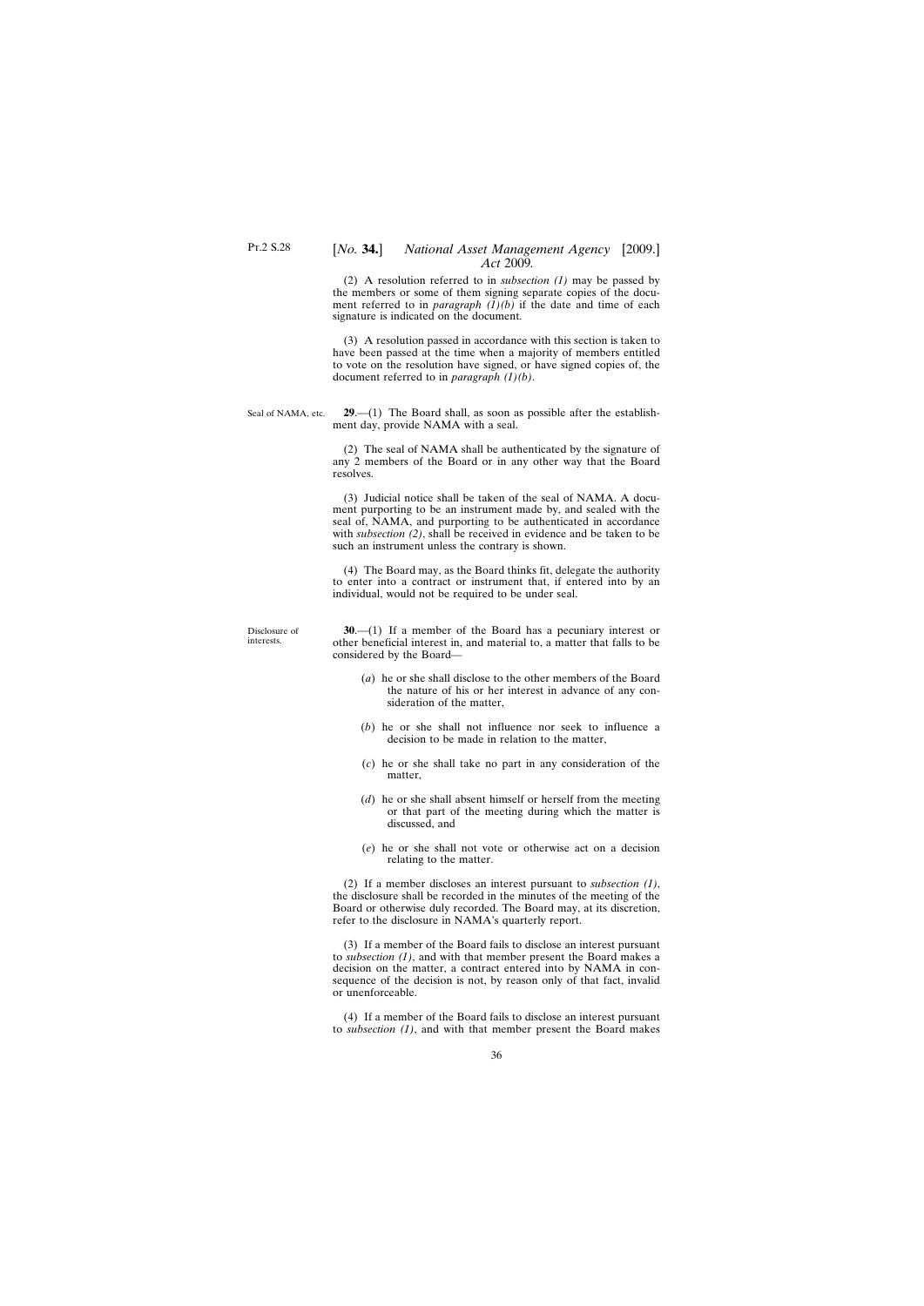<span id="page-35-0"></span>(2) A resolution referred to in *subsection (1)* may be passed by the members or some of them signing separate copies of the document referred to in *paragraph*  $(I)(b)$  if the date and time of each signature is indicated on the document.

(3) A resolution passed in accordance with this section is taken to have been passed at the time when a majority of members entitled to vote on the resolution have signed, or have signed copies of, the document referred to in *paragraph (1)(b)*.

Seal of NAMA, etc. **29**.—(1) The Board shall, as soon as possible after the establishment day, provide NAMA with a seal.

> (2) The seal of NAMA shall be authenticated by the signature of any 2 members of the Board or in any other way that the Board resolves.

> (3) Judicial notice shall be taken of the seal of NAMA. A document purporting to be an instrument made by, and sealed with the seal of, NAMA, and purporting to be authenticated in accordance with *subsection (2)*, shall be received in evidence and be taken to be such an instrument unless the contrary is shown.

> (4) The Board may, as the Board thinks fit, delegate the authority to enter into a contract or instrument that, if entered into by an individual, would not be required to be under seal.

Disclosure of interests.

**30**.—(1) If a member of the Board has a pecuniary interest or other beneficial interest in, and material to, a matter that falls to be considered by the Board—

- (*a*) he or she shall disclose to the other members of the Board the nature of his or her interest in advance of any consideration of the matter,
- (*b*) he or she shall not influence nor seek to influence a decision to be made in relation to the matter,
- (*c*) he or she shall take no part in any consideration of the matter,
- (*d*) he or she shall absent himself or herself from the meeting or that part of the meeting during which the matter is discussed, and
- (*e*) he or she shall not vote or otherwise act on a decision relating to the matter.

(2) If a member discloses an interest pursuant to *subsection (1)*, the disclosure shall be recorded in the minutes of the meeting of the Board or otherwise duly recorded. The Board may, at its discretion, refer to the disclosure in NAMA's quarterly report.

(3) If a member of the Board fails to disclose an interest pursuant to *subsection (1)*, and with that member present the Board makes a decision on the matter, a contract entered into by NAMA in consequence of the decision is not, by reason only of that fact, invalid or unenforceable.

(4) If a member of the Board fails to disclose an interest pursuant to *subsection (1)*, and with that member present the Board makes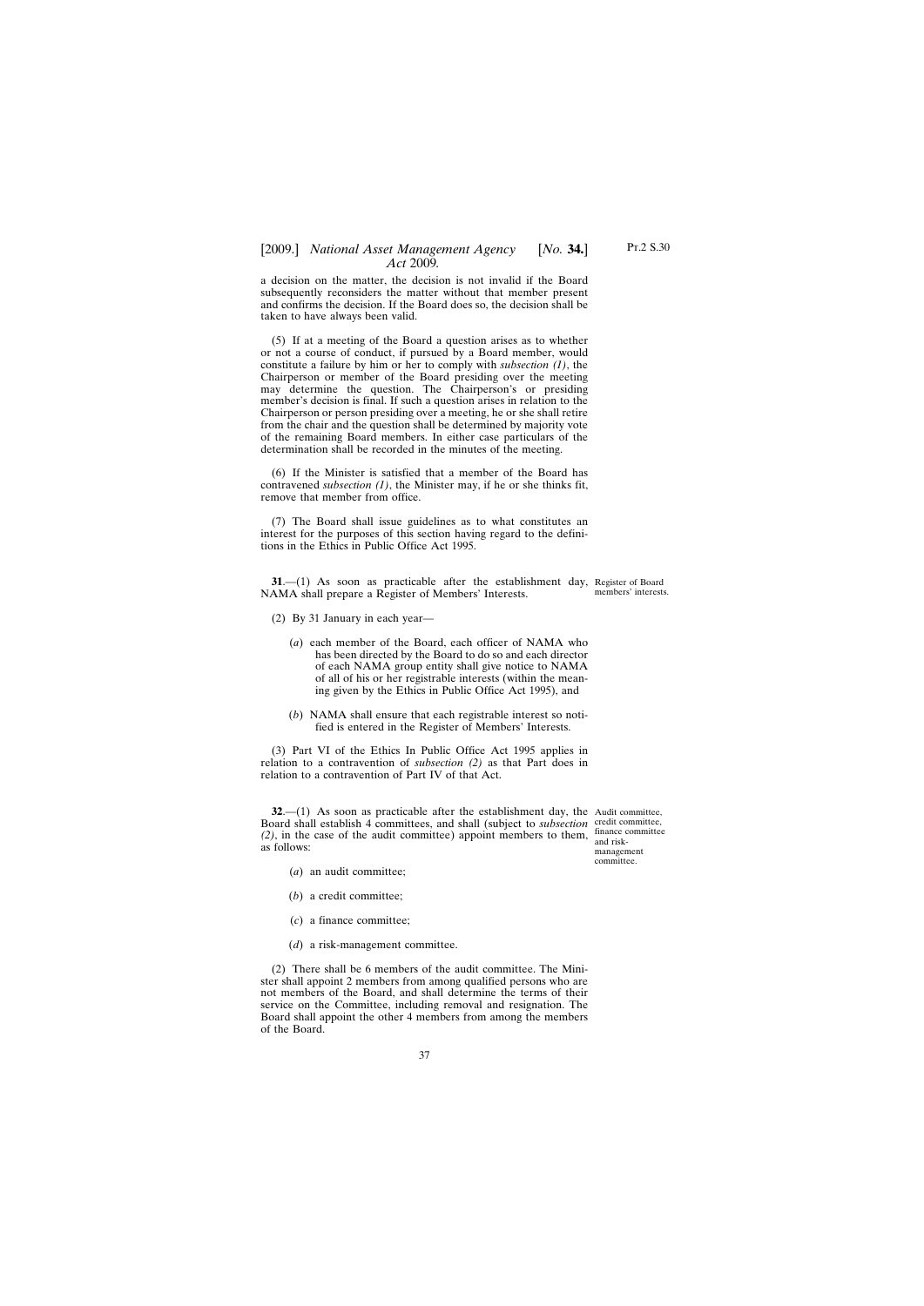a decision on the matter, the decision is not invalid if the Board subsequently reconsiders the matter without that member present and confirms the decision. If the Board does so, the decision shall be taken to have always been valid.

(5) If at a meeting of the Board a question arises as to whether or not a course of conduct, if pursued by a Board member, would constitute a failure by him or her to comply with *subsection (1)*, the Chairperson or member of the Board presiding over the meeting may determine the question. The Chairperson's or presiding member's decision is final. If such a question arises in relation to the Chairperson or person presiding over a meeting, he or she shall retire from the chair and the question shall be determined by majority vote of the remaining Board members. In either case particulars of the determination shall be recorded in the minutes of the meeting.

(6) If the Minister is satisfied that a member of the Board has contravened *subsection (1)*, the Minister may, if he or she thinks fit, remove that member from office.

(7) The Board shall issue guidelines as to what constitutes an interest for the purposes of this section having regard to the definitions in the Ethics in Public Office Act 1995.

**31.**—(1) As soon as practicable after the establishment day, Register of Board NAMA shall prepare a Register of Members' Interests.

- (2) By 31 January in each year—
	- (*a*) each member of the Board, each officer of NAMA who has been directed by the Board to do so and each director of each NAMA group entity shall give notice to NAMA of all of his or her registrable interests (within the meaning given by the Ethics in Public Office Act 1995), and
	- (*b*) NAMA shall ensure that each registrable interest so notified is entered in the Register of Members' Interests.

(3) Part VI of the Ethics In Public Office Act 1995 applies in relation to a contravention of *subsection (2)* as that Part does in relation to a contravention of Part IV of that Act.

**32.**—(1) As soon as practicable after the establishment day, the Audit committee, Board shall establish 4 committees, and shall (subject to *subsection* credit committee, *(2)*, in the case of the audit committee) appoint members to them, as follows:

finance committee and riskmanagement committee.

- (*a*) an audit committee;
- (*b*) a credit committee;
- (*c*) a finance committee;
- (*d*) a risk-management committee.

(2) There shall be 6 members of the audit committee. The Minister shall appoint 2 members from among qualified persons who are not members of the Board, and shall determine the terms of their service on the Committee, including removal and resignation. The Board shall appoint the other 4 members from among the members of the Board.

members' interests.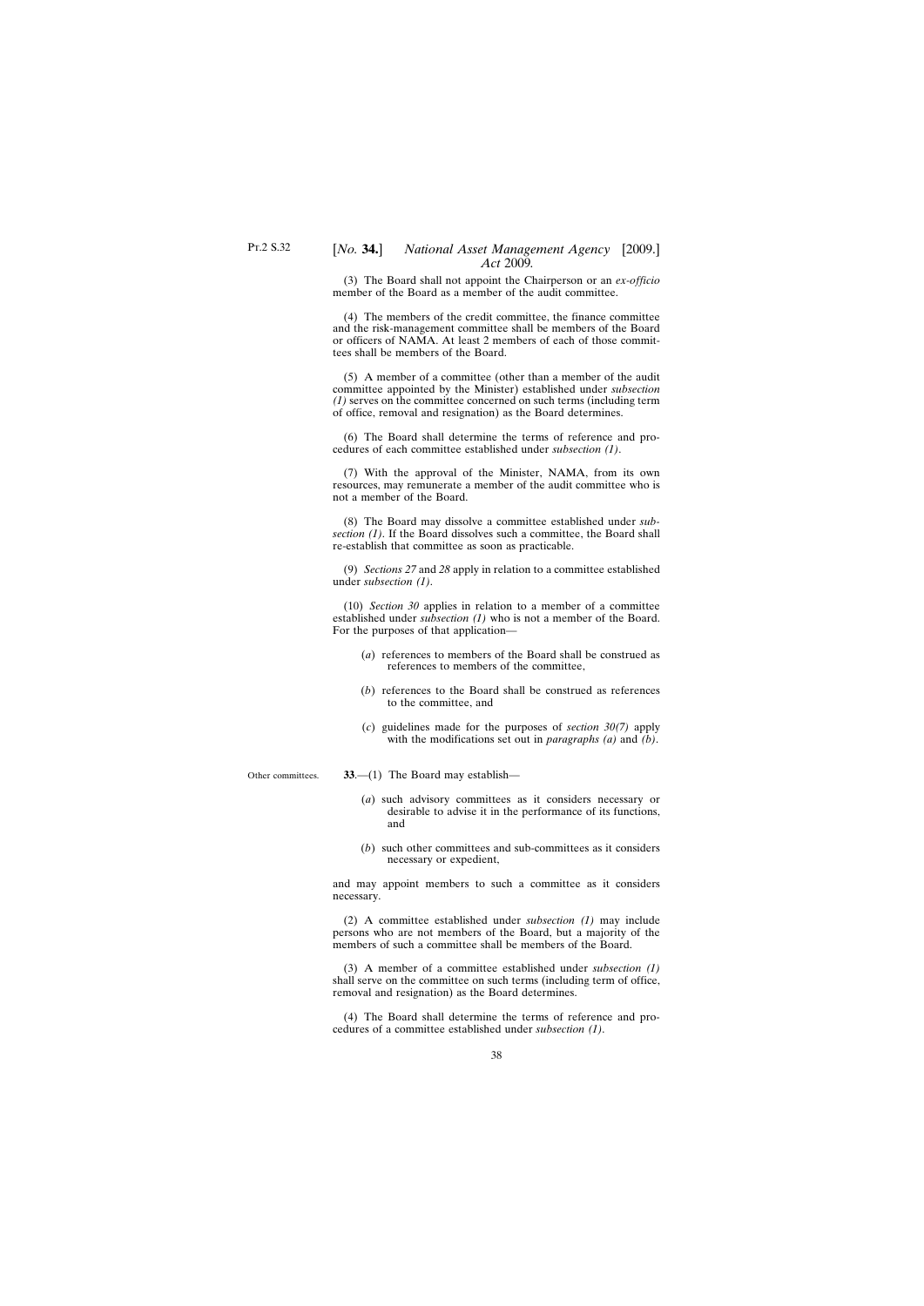(3) The Board shall not appoint the Chairperson or an *ex-officio* member of the Board as a member of the audit committee.

(4) The members of the credit committee, the finance committee and the risk-management committee shall be members of the Board or officers of NAMA. At least 2 members of each of those committees shall be members of the Board.

(5) A member of a committee (other than a member of the audit committee appointed by the Minister) established under *subsection (1)* serves on the committee concerned on such terms (including term of office, removal and resignation) as the Board determines.

(6) The Board shall determine the terms of reference and procedures of each committee established under *subsection (1)*.

(7) With the approval of the Minister, NAMA, from its own resources, may remunerate a member of the audit committee who is not a member of the Board.

(8) The Board may dissolve a committee established under *subsection (1)*. If the Board dissolves such a committee, the Board shall re-establish that committee as soon as practicable.

(9) *Sections 27* and *28* apply in relation to a committee established under *subsection (1)*.

(10) *Section 30* applies in relation to a member of a committee established under *subsection (1)* who is not a member of the Board. For the purposes of that application—

- (*a*) references to members of the Board shall be construed as references to members of the committee,
- (*b*) references to the Board shall be construed as references to the committee, and
- (*c*) guidelines made for the purposes of *section 30(7)* apply with the modifications set out in *paragraphs (a)* and *(b)*.

Other committees.

- **33**.—(1) The Board may establish—
	- (*a*) such advisory committees as it considers necessary or desirable to advise it in the performance of its functions, and
	- (*b*) such other committees and sub-committees as it considers necessary or expedient,

and may appoint members to such a committee as it considers necessary.

(2) A committee established under *subsection (1)* may include persons who are not members of the Board, but a majority of the members of such a committee shall be members of the Board.

(3) A member of a committee established under *subsection (1)* shall serve on the committee on such terms (including term of office, removal and resignation) as the Board determines.

(4) The Board shall determine the terms of reference and procedures of a committee established under *subsection (1)*.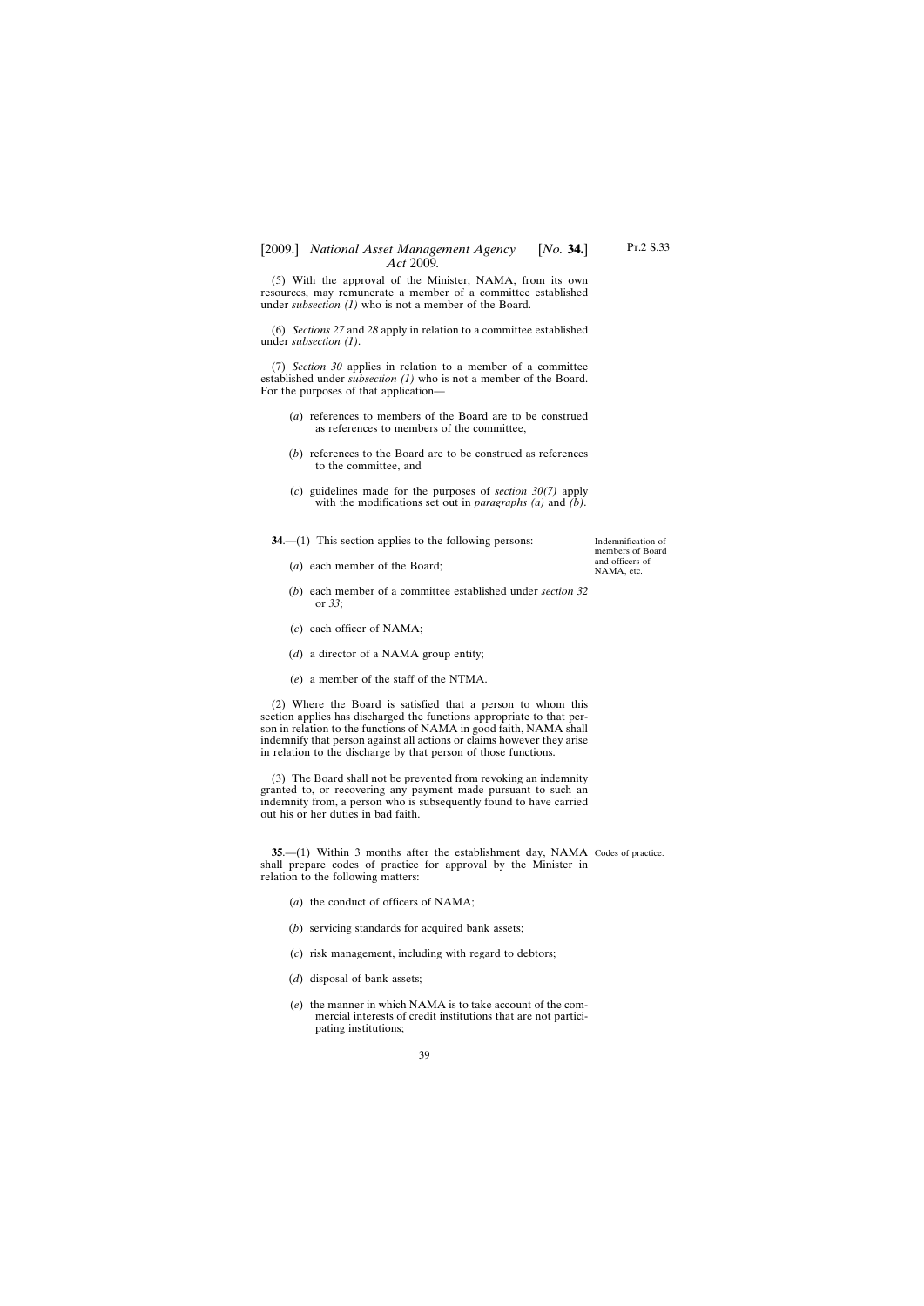(5) With the approval of the Minister, NAMA, from its own resources, may remunerate a member of a committee established under *subsection (1)* who is not a member of the Board.

(6) *Sections 27* and *28* apply in relation to a committee established under *subsection (1)*.

(7) *Section 30* applies in relation to a member of a committee established under *subsection (1)* who is not a member of the Board. For the purposes of that application—

- (*a*) references to members of the Board are to be construed as references to members of the committee,
- (*b*) references to the Board are to be construed as references to the committee, and
- (*c*) guidelines made for the purposes of *section 30(7)* apply with the modifications set out in *paragraphs (a)* and *(b)*.

**34**.—(1) This section applies to the following persons:

- (*a*) each member of the Board;
- (*b*) each member of a committee established under *section 32* or *33*;
- (*c*) each officer of NAMA;
- (*d*) a director of a NAMA group entity;
- (*e*) a member of the staff of the NTMA.

(2) Where the Board is satisfied that a person to whom this section applies has discharged the functions appropriate to that person in relation to the functions of NAMA in good faith, NAMA shall indemnify that person against all actions or claims however they arise in relation to the discharge by that person of those functions.

(3) The Board shall not be prevented from revoking an indemnity granted to, or recovering any payment made pursuant to such an indemnity from, a person who is subsequently found to have carried out his or her duties in bad faith.

**35.**—(1) Within 3 months after the establishment day, NAMA Codes of practice. shall prepare codes of practice for approval by the Minister in relation to the following matters:

- (*a*) the conduct of officers of NAMA;
- (*b*) servicing standards for acquired bank assets;
- (*c*) risk management, including with regard to debtors;
- (*d*) disposal of bank assets;
- (*e*) the manner in which NAMA is to take account of the commercial interests of credit institutions that are not participating institutions;

Indemnification of members of Board and officers of NAMA, etc.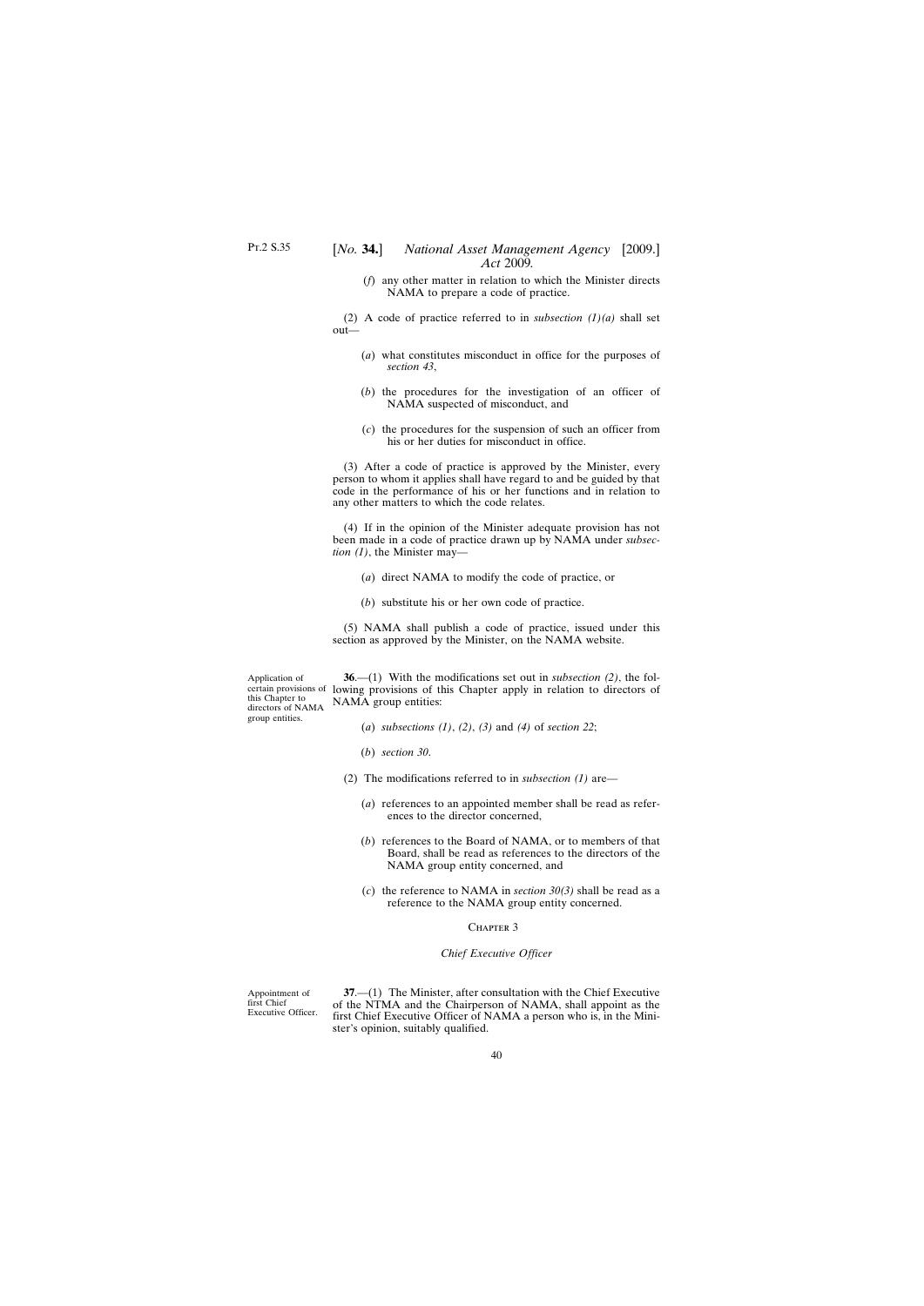(*f*) any other matter in relation to which the Minister directs NAMA to prepare a code of practice.

(2) A code of practice referred to in *subsection (1)(a)* shall set out—

- (*a*) what constitutes misconduct in office for the purposes of *section 43*,
- (*b*) the procedures for the investigation of an officer of NAMA suspected of misconduct, and
- (*c*) the procedures for the suspension of such an officer from his or her duties for misconduct in office.

(3) After a code of practice is approved by the Minister, every person to whom it applies shall have regard to and be guided by that code in the performance of his or her functions and in relation to any other matters to which the code relates.

(4) If in the opinion of the Minister adequate provision has not been made in a code of practice drawn up by NAMA under *subsection (1)*, the Minister may—

- (*a*) direct NAMA to modify the code of practice, or
- (*b*) substitute his or her own code of practice.

(5) NAMA shall publish a code of practice, issued under this section as approved by the Minister, on the NAMA website.

Application of this Chapter to directors of NAMA group entities.

certain provisions of lowing provisions of this Chapter apply in relation to directors of **36**.—(1) With the modifications set out in *subsection (2)*, the fol-NAMA group entities:

- (*a*) *subsections (1)*, *(2)*, *(3)* and *(4)* of *section 22*;
- (*b*) *section 30*.
- (2) The modifications referred to in *subsection (1)* are—
	- (*a*) references to an appointed member shall be read as references to the director concerned,
	- (*b*) references to the Board of NAMA, or to members of that Board, shall be read as references to the directors of the NAMA group entity concerned, and
	- (*c*) the reference to NAMA in *section 30(3)* shall be read as a reference to the NAMA group entity concerned.

### CHAPTER 3

### *Chief Executive Officer*

Appointment of first Chief Executive Officer.

**37**.—(1) The Minister, after consultation with the Chief Executive of the NTMA and the Chairperson of NAMA, shall appoint as the first Chief Executive Officer of NAMA a person who is, in the Minister's opinion, suitably qualified.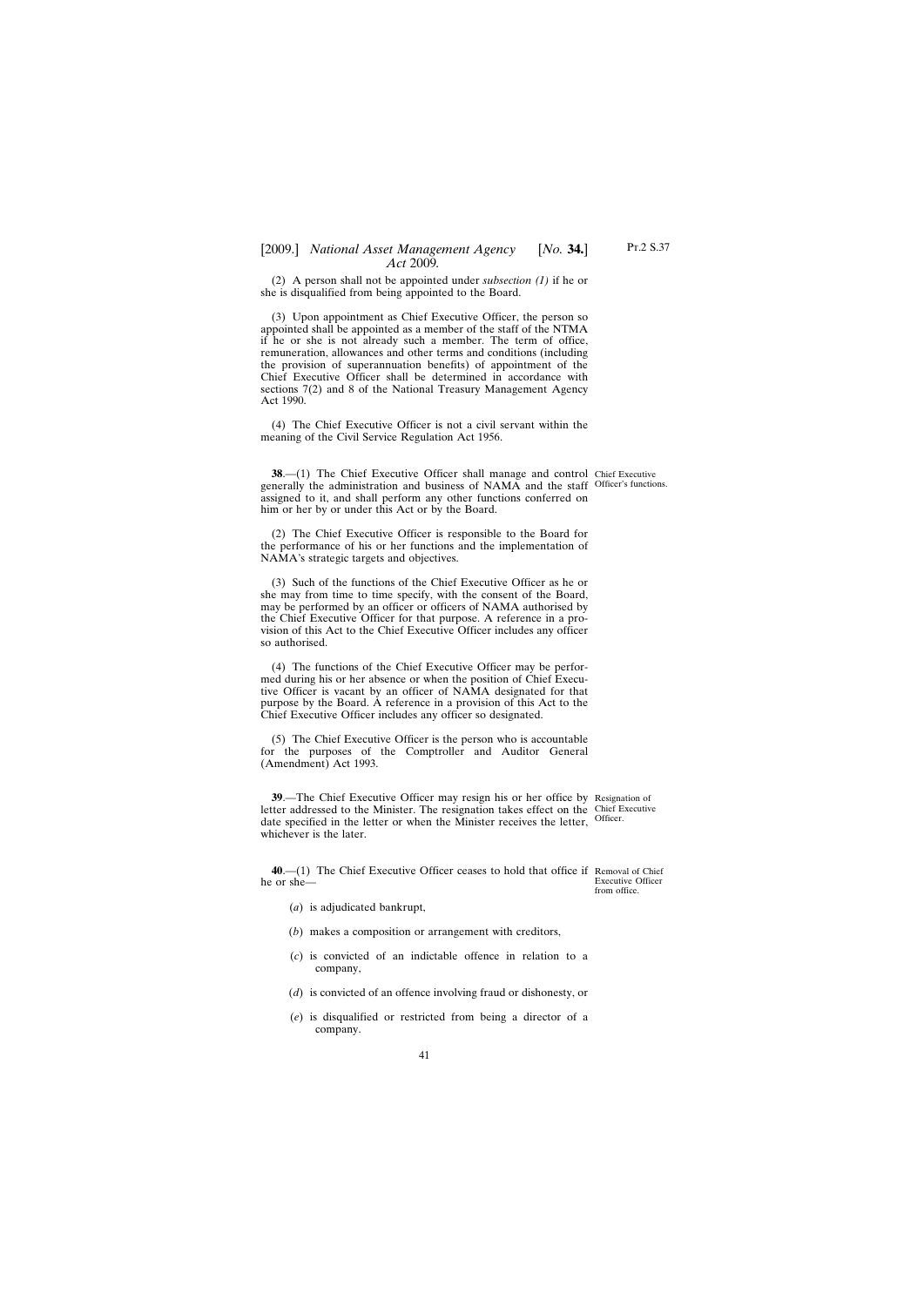(2) A person shall not be appointed under *subsection (1)* if he or she is disqualified from being appointed to the Board.

(3) Upon appointment as Chief Executive Officer, the person so appointed shall be appointed as a member of the staff of the NTMA if he or she is not already such a member. The term of office, remuneration, allowances and other terms and conditions (including the provision of superannuation benefits) of appointment of the Chief Executive Officer shall be determined in accordance with sections 7(2) and 8 of the National Treasury Management Agency Act 1990.

(4) The Chief Executive Officer is not a civil servant within the meaning of the Civil Service Regulation Act 1956.

**38**.—(1) The Chief Executive Officer shall manage and control Chief Executive generally the administration and business of NAMA and the staff Officer's functions. assigned to it, and shall perform any other functions conferred on him or her by or under this Act or by the Board.

(2) The Chief Executive Officer is responsible to the Board for the performance of his or her functions and the implementation of NAMA's strategic targets and objectives.

(3) Such of the functions of the Chief Executive Officer as he or she may from time to time specify, with the consent of the Board, may be performed by an officer or officers of NAMA authorised by the Chief Executive Officer for that purpose. A reference in a provision of this Act to the Chief Executive Officer includes any officer so authorised.

(4) The functions of the Chief Executive Officer may be performed during his or her absence or when the position of Chief Executive Officer is vacant by an officer of NAMA designated for that purpose by the Board. A reference in a provision of this Act to the Chief Executive Officer includes any officer so designated.

(5) The Chief Executive Officer is the person who is accountable for the purposes of the Comptroller and Auditor General (Amendment) Act 1993.

**39**.—The Chief Executive Officer may resign his or her office by Resignation of letter addressed to the Minister. The resignation takes effect on the Chief Executive date specified in the letter or when the Minister receives the letter, Officer. whichever is the later.

**40**.—(1) The Chief Executive Officer ceases to hold that office if Removal of Chief he or she from office.

Executive Officer

(*a*) is adjudicated bankrupt,

- (*b*) makes a composition or arrangement with creditors,
- (*c*) is convicted of an indictable offence in relation to a company,
- (*d*) is convicted of an offence involving fraud or dishonesty, or
- (*e*) is disqualified or restricted from being a director of a company.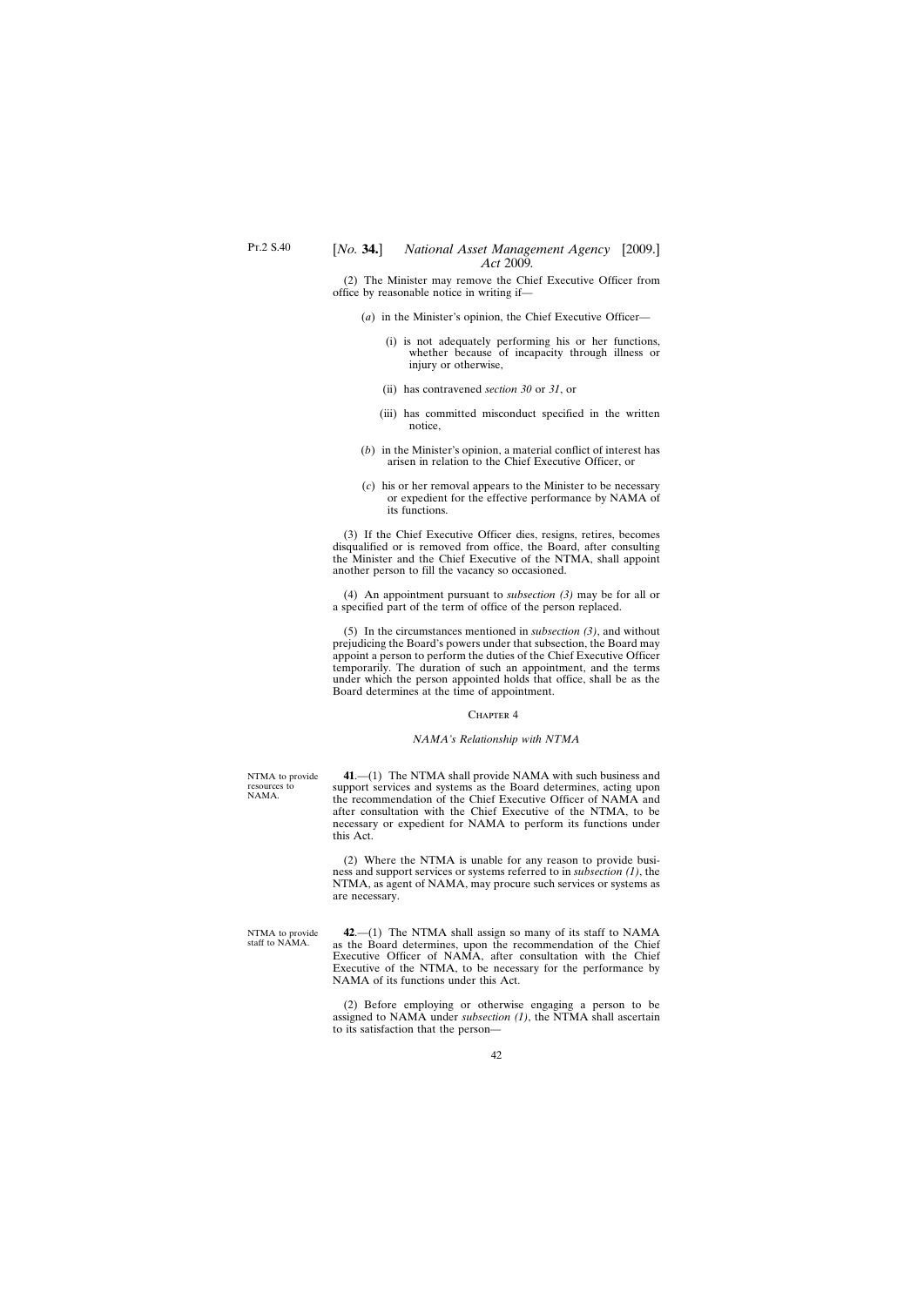(2) The Minister may remove the Chief Executive Officer from office by reasonable notice in writing if—

- (*a*) in the Minister's opinion, the Chief Executive Officer—
	- (i) is not adequately performing his or her functions, whether because of incapacity through illness or injury or otherwise,
	- (ii) has contravened *section 30* or *31*, or
	- (iii) has committed misconduct specified in the written notice,
- (*b*) in the Minister's opinion, a material conflict of interest has arisen in relation to the Chief Executive Officer, or
- (*c*) his or her removal appears to the Minister to be necessary or expedient for the effective performance by NAMA of its functions.

(3) If the Chief Executive Officer dies, resigns, retires, becomes disqualified or is removed from office, the Board, after consulting the Minister and the Chief Executive of the NTMA, shall appoint another person to fill the vacancy so occasioned.

(4) An appointment pursuant to *subsection (3)* may be for all or a specified part of the term of office of the person replaced.

(5) In the circumstances mentioned in *subsection (3)*, and without prejudicing the Board's powers under that subsection, the Board may appoint a person to perform the duties of the Chief Executive Officer temporarily. The duration of such an appointment, and the terms under which the person appointed holds that office, shall be as the Board determines at the time of appointment.

### CHAPTER 4

### *NAMA's Relationship with NTMA*

**41**.—(1) The NTMA shall provide NAMA with such business and support services and systems as the Board determines, acting upon the recommendation of the Chief Executive Officer of NAMA and after consultation with the Chief Executive of the NTMA, to be necessary or expedient for NAMA to perform its functions under this Act.

(2) Where the NTMA is unable for any reason to provide business and support services or systems referred to in *subsection (1)*, the NTMA, as agent of NAMA, may procure such services or systems as are necessary.

NTMA to provide staff to NAMA.

**42**.—(1) The NTMA shall assign so many of its staff to NAMA as the Board determines, upon the recommendation of the Chief Executive Officer of NAMA, after consultation with the Chief Executive of the NTMA, to be necessary for the performance by NAMA of its functions under this Act.

(2) Before employing or otherwise engaging a person to be assigned to NAMA under *subsection (1)*, the NTMA shall ascertain to its satisfaction that the person—

NTMA to provide resources to NAMA.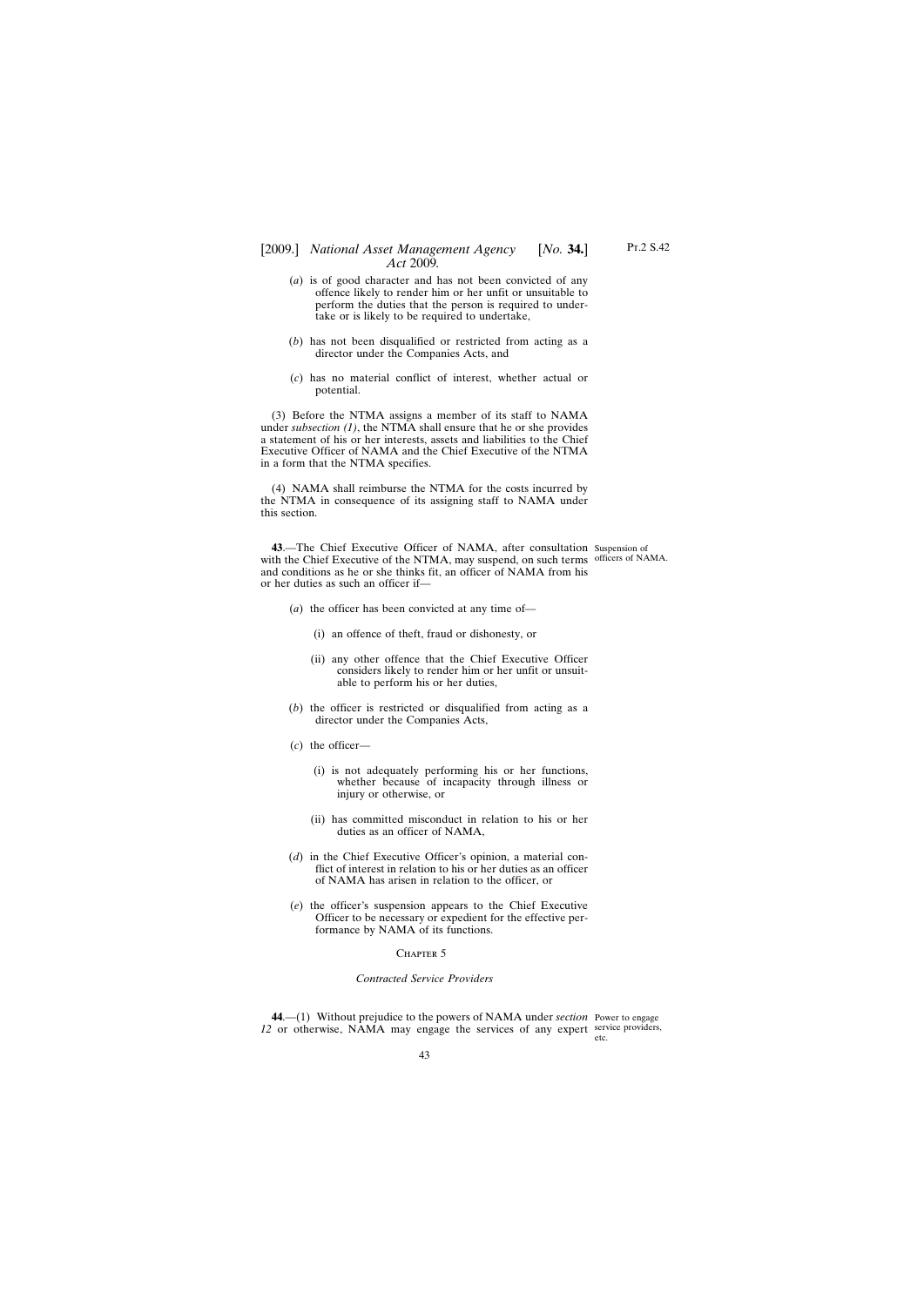- (*a*) is of good character and has not been convicted of any offence likely to render him or her unfit or unsuitable to perform the duties that the person is required to undertake or is likely to be required to undertake,
- (*b*) has not been disqualified or restricted from acting as a director under the Companies Acts, and
- (*c*) has no material conflict of interest, whether actual or potential.

(3) Before the NTMA assigns a member of its staff to NAMA under *subsection (1)*, the NTMA shall ensure that he or she provides a statement of his or her interests, assets and liabilities to the Chief Executive Officer of NAMA and the Chief Executive of the NTMA in a form that the NTMA specifies.

(4) NAMA shall reimburse the NTMA for the costs incurred by the NTMA in consequence of its assigning staff to NAMA under this section.

**43**.—The Chief Executive Officer of NAMA, after consultation Suspension of with the Chief Executive of the NTMA, may suspend, on such terms officers of NAMA. and conditions as he or she thinks fit, an officer of NAMA from his or her duties as such an officer if—

- (*a*) the officer has been convicted at any time of—
	- (i) an offence of theft, fraud or dishonesty, or
	- (ii) any other offence that the Chief Executive Officer considers likely to render him or her unfit or unsuitable to perform his or her duties,
- (*b*) the officer is restricted or disqualified from acting as a director under the Companies Acts,
- (*c*) the officer—
	- (i) is not adequately performing his or her functions, whether because of incapacity through illness or injury or otherwise, or
	- (ii) has committed misconduct in relation to his or her duties as an officer of NAMA,
- (*d*) in the Chief Executive Officer's opinion, a material conflict of interest in relation to his or her duties as an officer of NAMA has arisen in relation to the officer, or
- (*e*) the officer's suspension appears to the Chief Executive Officer to be necessary or expedient for the effective performance by NAMA of its functions.

#### CHAPTER<sub>5</sub>

### *Contracted Service Providers*

**44**.—(1) Without prejudice to the powers of NAMA under *section* Power to engage 12 or otherwise, NAMA may engage the services of any expert service providers,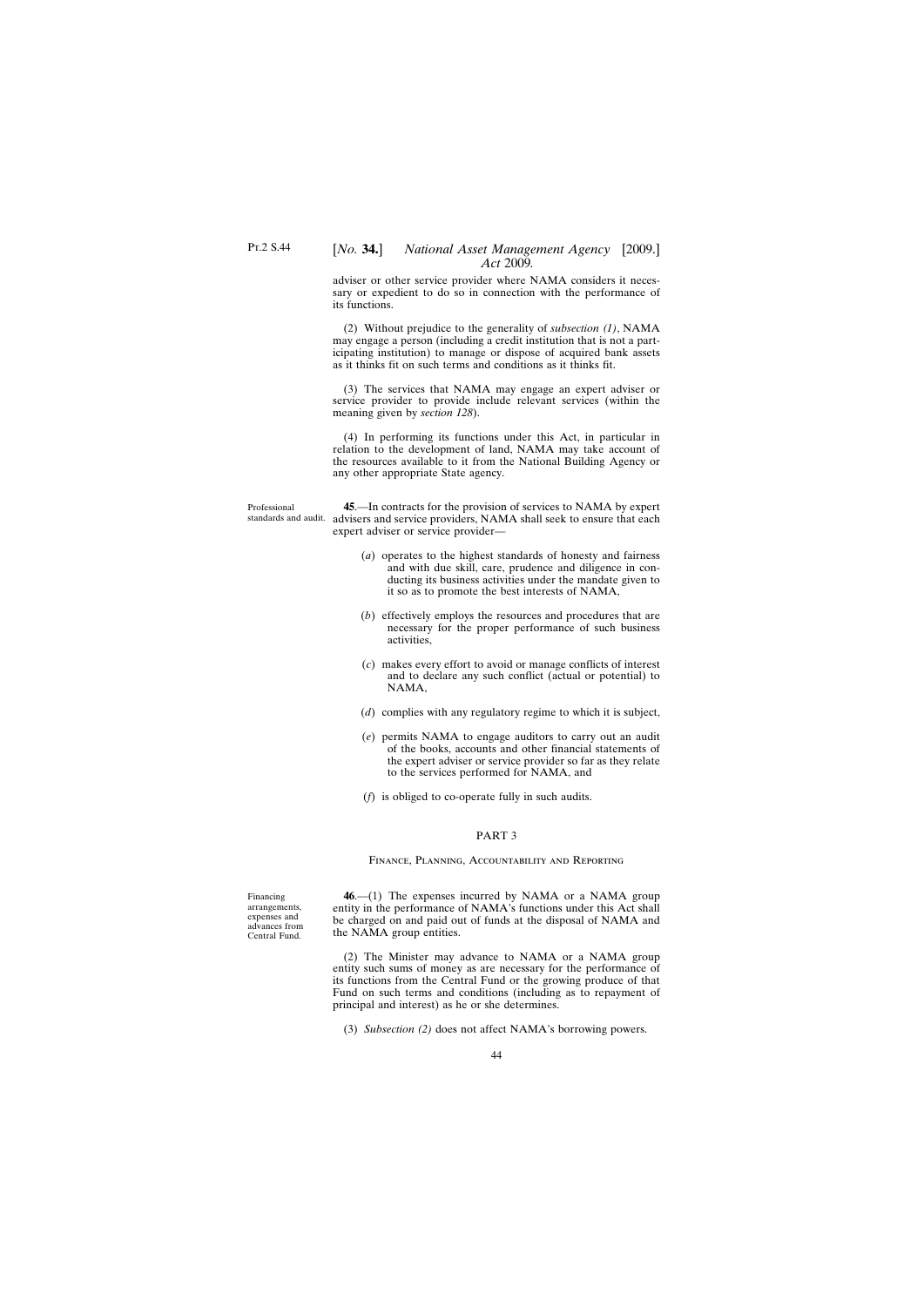adviser or other service provider where NAMA considers it necessary or expedient to do so in connection with the performance of its functions.

(2) Without prejudice to the generality of *subsection (1)*, NAMA may engage a person (including a credit institution that is not a participating institution) to manage or dispose of acquired bank assets as it thinks fit on such terms and conditions as it thinks fit.

(3) The services that NAMA may engage an expert adviser or service provider to provide include relevant services (within the meaning given by *section 128*).

(4) In performing its functions under this Act, in particular in relation to the development of land, NAMA may take account of the resources available to it from the National Building Agency or any other appropriate State agency.

Professional standards and audit. **45**.—In contracts for the provision of services to NAMA by expert advisers and service providers, NAMA shall seek to ensure that each expert adviser or service provider—

- (*a*) operates to the highest standards of honesty and fairness and with due skill, care, prudence and diligence in conducting its business activities under the mandate given to it so as to promote the best interests of NAMA,
- (*b*) effectively employs the resources and procedures that are necessary for the proper performance of such business activities,
- (*c*) makes every effort to avoid or manage conflicts of interest and to declare any such conflict (actual or potential) to NAMA,
- (*d*) complies with any regulatory regime to which it is subject,
- (*e*) permits NAMA to engage auditors to carry out an audit of the books, accounts and other financial statements of the expert adviser or service provider so far as they relate to the services performed for NAMA, and
- (*f*) is obliged to co-operate fully in such audits.

### PART 3

Finance, Planning, Accountability and Reporting

Financing arrangements, expenses and advances from Central Fund.

**46**.—(1) The expenses incurred by NAMA or a NAMA group entity in the performance of NAMA's functions under this Act shall be charged on and paid out of funds at the disposal of NAMA and the NAMA group entities.

(2) The Minister may advance to NAMA or a NAMA group entity such sums of money as are necessary for the performance of its functions from the Central Fund or the growing produce of that Fund on such terms and conditions (including as to repayment of principal and interest) as he or she determines.

(3) *Subsection (2)* does not affect NAMA's borrowing powers.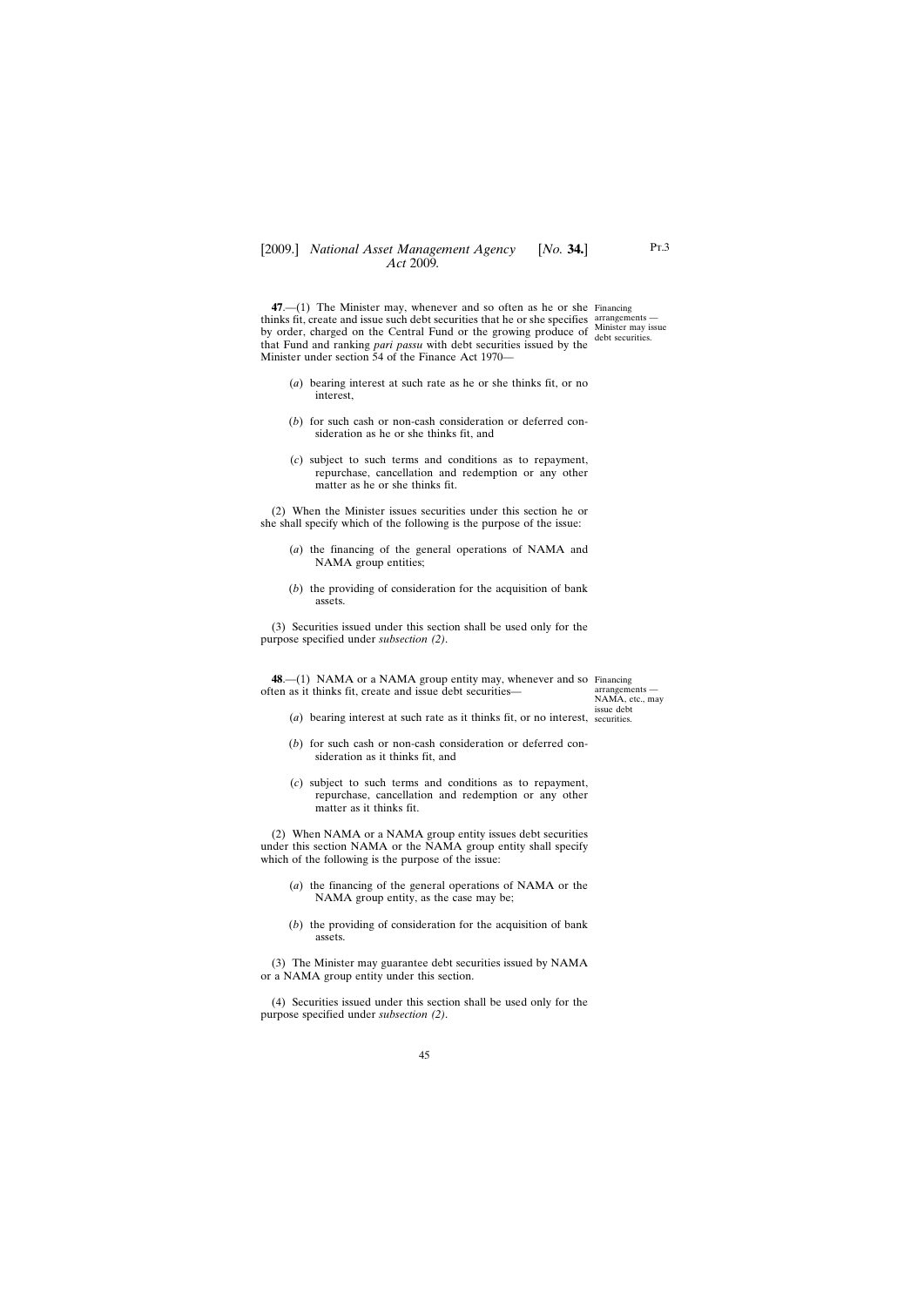**47**.—(1) The Minister may, whenever and so often as he or she Financing thinks fit, create and issue such debt securities that he or she specifies arrangements – by order, charged on the Central Fund or the growing produce of  $\frac{\text{Minister may issue}}{\text{debt securities}}$ that Fund and ranking *pari passu* with debt securities issued by the Minister under section 54 of the Finance Act 1970—

- (*a*) bearing interest at such rate as he or she thinks fit, or no interest,
- (*b*) for such cash or non-cash consideration or deferred consideration as he or she thinks fit, and
- (*c*) subject to such terms and conditions as to repayment, repurchase, cancellation and redemption or any other matter as he or she thinks fit.

(2) When the Minister issues securities under this section he or she shall specify which of the following is the purpose of the issue:

- (*a*) the financing of the general operations of NAMA and NAMA group entities;
- (*b*) the providing of consideration for the acquisition of bank assets.

(3) Securities issued under this section shall be used only for the purpose specified under *subsection (2)*.

**48**.—(1) NAMA or a NAMA group entity may, whenever and so Financing often as it thinks fit, create and issue debt securities—

arrangements — NAMA, etc., may issue debt

- (a) bearing interest at such rate as it thinks fit, or no interest, securities.
- (*b*) for such cash or non-cash consideration or deferred consideration as it thinks fit, and
- (*c*) subject to such terms and conditions as to repayment, repurchase, cancellation and redemption or any other matter as it thinks fit.

(2) When NAMA or a NAMA group entity issues debt securities under this section NAMA or the NAMA group entity shall specify which of the following is the purpose of the issue:

- (*a*) the financing of the general operations of NAMA or the NAMA group entity, as the case may be;
- (*b*) the providing of consideration for the acquisition of bank assets.

(3) The Minister may guarantee debt securities issued by NAMA or a NAMA group entity under this section.

(4) Securities issued under this section shall be used only for the purpose specified under *subsection (2)*.

45

debt securities.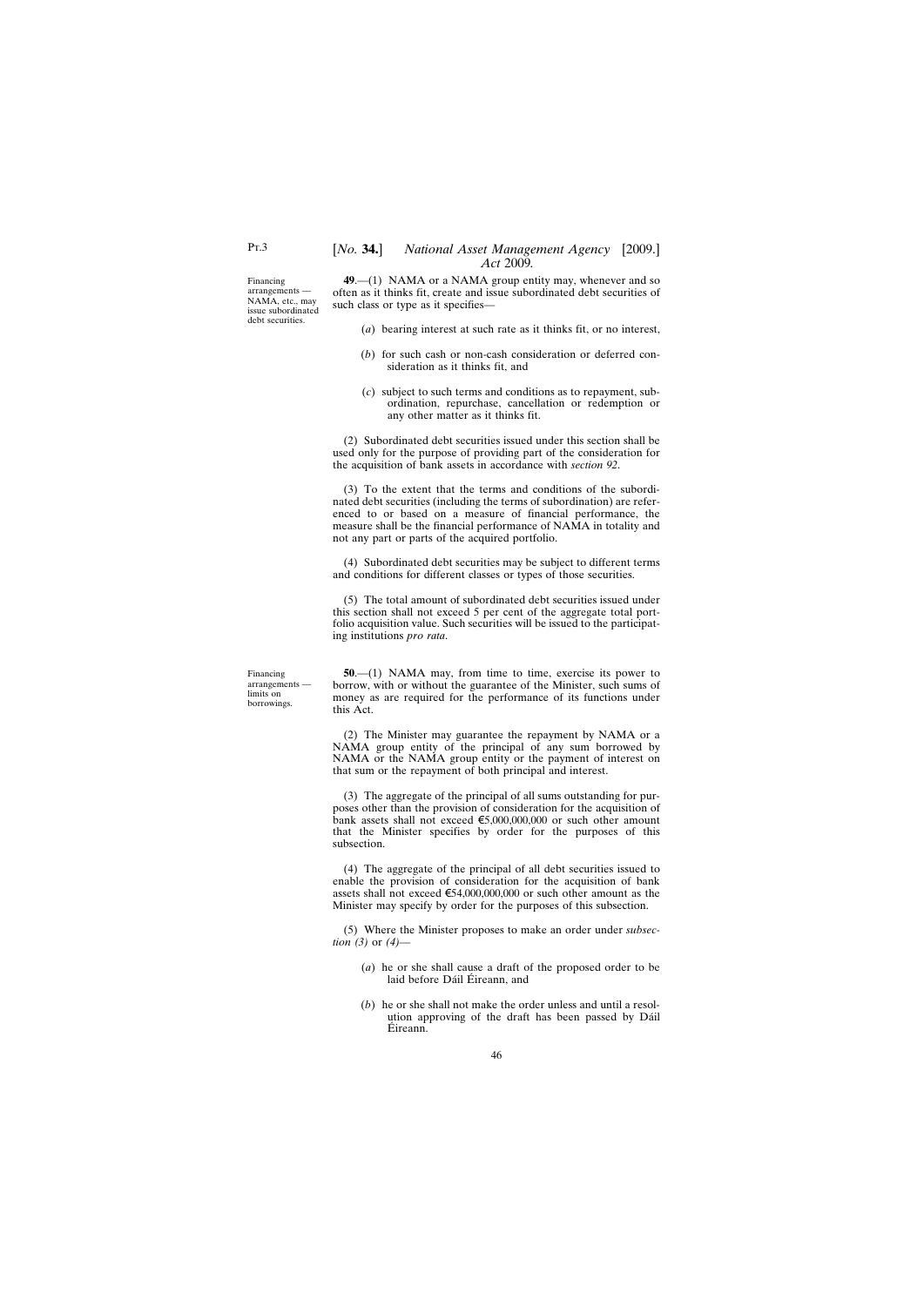debt securities.

Financing arrangements — NAMA, etc., may issue subordinated

# [*No.* **34.**] *National Asset Management Agency* [2009.] *Act* 2009*.*

**49**.—(1) NAMA or a NAMA group entity may, whenever and so often as it thinks fit, create and issue subordinated debt securities of such class or type as it specifies—

- (*a*) bearing interest at such rate as it thinks fit, or no interest,
- (*b*) for such cash or non-cash consideration or deferred consideration as it thinks fit, and
- (*c*) subject to such terms and conditions as to repayment, subordination, repurchase, cancellation or redemption or any other matter as it thinks fit.

(2) Subordinated debt securities issued under this section shall be used only for the purpose of providing part of the consideration for the acquisition of bank assets in accordance with *section 92*.

(3) To the extent that the terms and conditions of the subordinated debt securities (including the terms of subordination) are referenced to or based on a measure of financial performance, the measure shall be the financial performance of NAMA in totality and not any part or parts of the acquired portfolio.

(4) Subordinated debt securities may be subject to different terms and conditions for different classes or types of those securities.

(5) The total amount of subordinated debt securities issued under this section shall not exceed 5 per cent of the aggregate total portfolio acquisition value. Such securities will be issued to the participating institutions *pro rata*.

**50**.—(1) NAMA may, from time to time, exercise its power to borrow, with or without the guarantee of the Minister, such sums of money as are required for the performance of its functions under this Act.

(2) The Minister may guarantee the repayment by NAMA or a NAMA group entity of the principal of any sum borrowed by NAMA or the NAMA group entity or the payment of interest on that sum or the repayment of both principal and interest.

(3) The aggregate of the principal of all sums outstanding for purposes other than the provision of consideration for the acquisition of bank assets shall not exceed  $\epsilon$ 5,000,000,000 or such other amount that the Minister specifies by order for the purposes of this subsection.

(4) The aggregate of the principal of all debt securities issued to enable the provision of consideration for the acquisition of bank assets shall not exceed  $\epsilon$ 54,000,000,000 or such other amount as the Minister may specify by order for the purposes of this subsection.

(5) Where the Minister proposes to make an order under *subsection (3)* or *(4)*—

- (*a*) he or she shall cause a draft of the proposed order to be laid before Dáil Éireann, and
- (*b*) he or she shall not make the order unless and until a resolution approving of the draft has been passed by Dáil Éireann.

Financing arrangements limits on borrowings.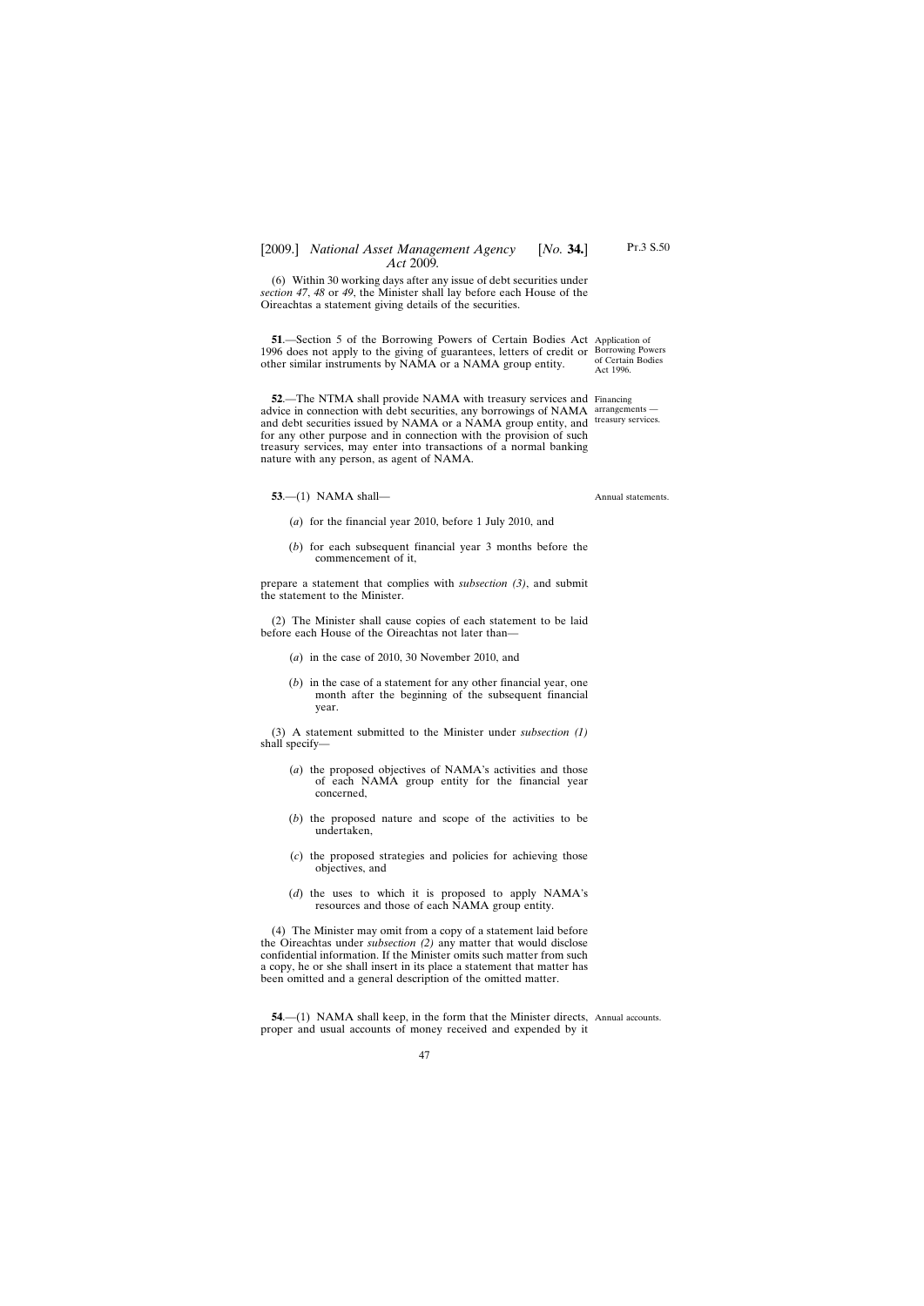(6) Within 30 working days after any issue of debt securities under *section 47*, *48* or *49*, the Minister shall lay before each House of the Oireachtas a statement giving details of the securities.

**51.**—Section 5 of the Borrowing Powers of Certain Bodies Act Application of 1996 does not apply to the giving of guarantees, letters of credit or Borrowing Powers other similar instruments by NAMA or a NAMA group entity.

**52**.—The NTMA shall provide NAMA with treasury services and Financing advice in connection with debt securities, any borrowings of NAMA arrangements and debt securities issued by NAMA or a NAMA group entity, and treasury services. for any other purpose and in connection with the provision of such treasury services, may enter into transactions of a normal banking nature with any person, as agent of NAMA.

**53**.—(1) NAMA shall—

- (*a*) for the financial year 2010, before 1 July 2010, and
- (*b*) for each subsequent financial year 3 months before the commencement of it,

prepare a statement that complies with *subsection (3)*, and submit the statement to the Minister.

(2) The Minister shall cause copies of each statement to be laid before each House of the Oireachtas not later than—

- (*a*) in the case of 2010, 30 November 2010, and
- (*b*) in the case of a statement for any other financial year, one month after the beginning of the subsequent financial year.

(3) A statement submitted to the Minister under *subsection (1)* shall specify—

- (*a*) the proposed objectives of NAMA's activities and those of each NAMA group entity for the financial year concerned,
- (*b*) the proposed nature and scope of the activities to be undertaken,
- (*c*) the proposed strategies and policies for achieving those objectives, and
- (*d*) the uses to which it is proposed to apply NAMA's resources and those of each NAMA group entity.

(4) The Minister may omit from a copy of a statement laid before the Oireachtas under *subsection (2)* any matter that would disclose confidential information. If the Minister omits such matter from such a copy, he or she shall insert in its place a statement that matter has been omitted and a general description of the omitted matter.

47

**54.**—(1) NAMA shall keep, in the form that the Minister directs, Annual accounts. proper and usual accounts of money received and expended by it

of Certain Bodies Act 1996.

Annual statements.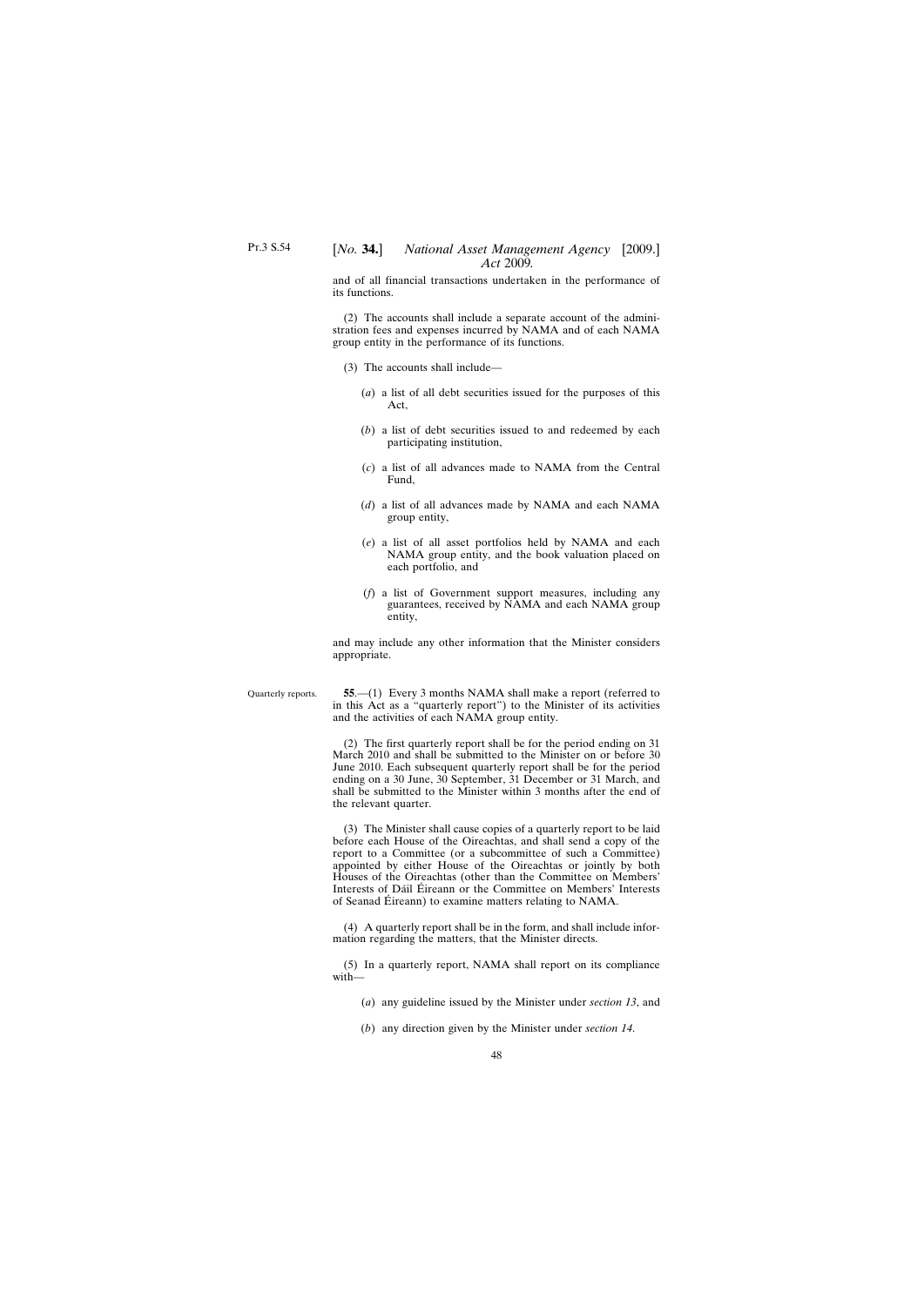and of all financial transactions undertaken in the performance of its functions.

(2) The accounts shall include a separate account of the administration fees and expenses incurred by NAMA and of each NAMA group entity in the performance of its functions.

- (3) The accounts shall include—
	- (*a*) a list of all debt securities issued for the purposes of this Act,
	- (*b*) a list of debt securities issued to and redeemed by each participating institution,
	- (*c*) a list of all advances made to NAMA from the Central Fund,
	- (*d*) a list of all advances made by NAMA and each NAMA group entity,
	- (*e*) a list of all asset portfolios held by NAMA and each NAMA group entity, and the book valuation placed on each portfolio, and
	- (*f*) a list of Government support measures, including any guarantees, received by NAMA and each NAMA group entity,

and may include any other information that the Minister considers appropriate.

Quarterly reports.

**55**.—(1) Every 3 months NAMA shall make a report (referred to in this Act as a "quarterly report") to the Minister of its activities and the activities of each NAMA group entity.

(2) The first quarterly report shall be for the period ending on 31 March 2010 and shall be submitted to the Minister on or before 30 June 2010. Each subsequent quarterly report shall be for the period ending on a 30 June, 30 September, 31 December or 31 March, and shall be submitted to the Minister within 3 months after the end of the relevant quarter.

(3) The Minister shall cause copies of a quarterly report to be laid before each House of the Oireachtas, and shall send a copy of the report to a Committee (or a subcommittee of such a Committee) appointed by either House of the Oireachtas or jointly by both Houses of the Oireachtas (other than the Committee on Members' Interests of Dáil Éireann or the Committee on Members' Interests of Seanad Éireann) to examine matters relating to NAMA.

(4) A quarterly report shall be in the form, and shall include information regarding the matters, that the Minister directs.

(5) In a quarterly report, NAMA shall report on its compliance with—

(*a*) any guideline issued by the Minister under *section 13*, and

(*b*) any direction given by the Minister under *section 14*.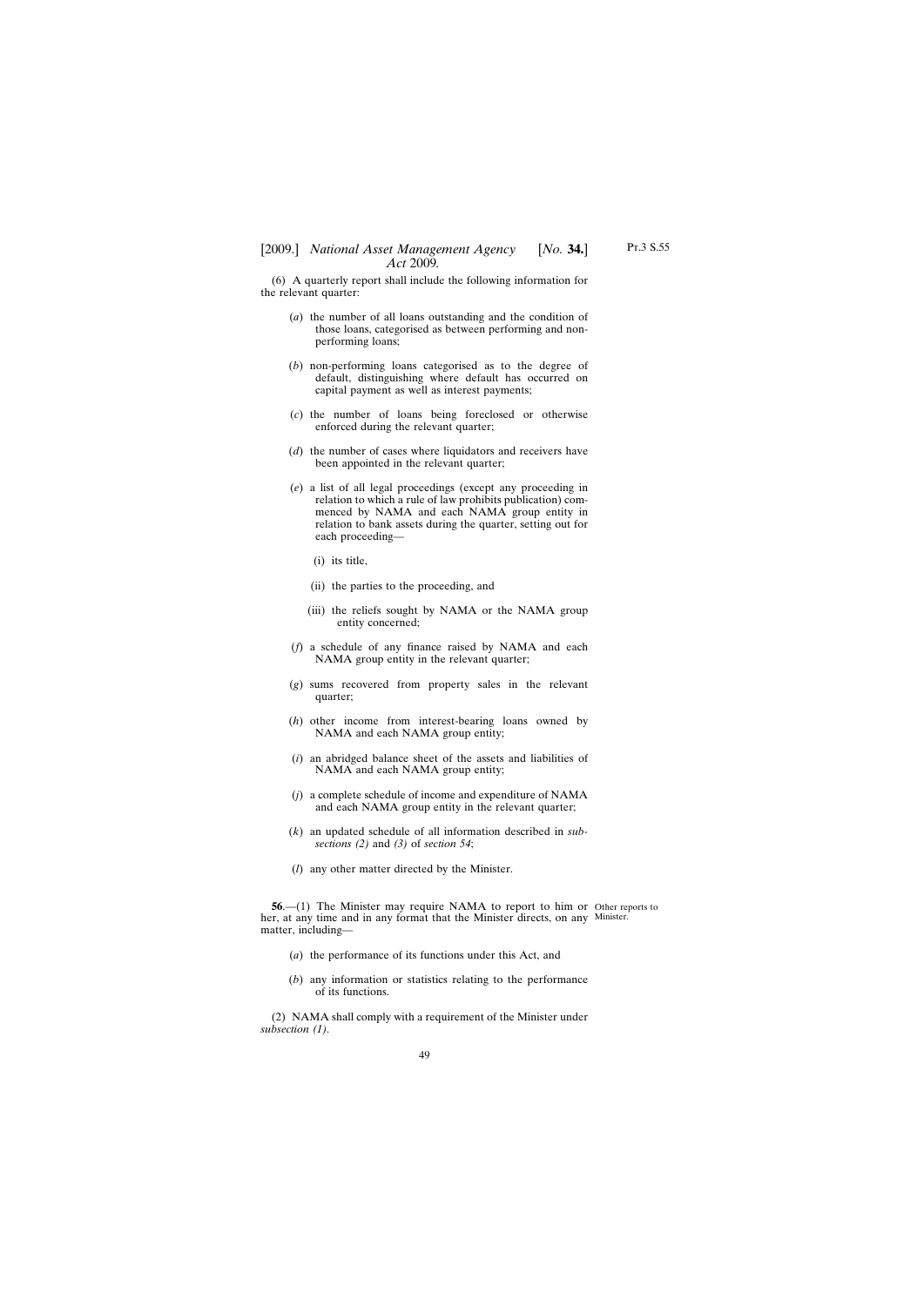(6) A quarterly report shall include the following information for the relevant quarter:

- (*a*) the number of all loans outstanding and the condition of those loans, categorised as between performing and nonperforming loans;
- (*b*) non-performing loans categorised as to the degree of default, distinguishing where default has occurred on capital payment as well as interest payments;
- (*c*) the number of loans being foreclosed or otherwise enforced during the relevant quarter;
- (*d*) the number of cases where liquidators and receivers have been appointed in the relevant quarter;
- (*e*) a list of all legal proceedings (except any proceeding in relation to which a rule of law prohibits publication) commenced by NAMA and each NAMA group entity in relation to bank assets during the quarter, setting out for each proceeding—
	- (i) its title,
	- (ii) the parties to the proceeding, and
	- (iii) the reliefs sought by NAMA or the NAMA group entity concerned;
- (*f*) a schedule of any finance raised by NAMA and each NAMA group entity in the relevant quarter;
- (*g*) sums recovered from property sales in the relevant quarter;
- (*h*) other income from interest-bearing loans owned by NAMA and each NAMA group entity;
- (*i*) an abridged balance sheet of the assets and liabilities of NAMA and each NAMA group entity;
- (*j*) a complete schedule of income and expenditure of NAMA and each NAMA group entity in the relevant quarter;
- (*k*) an updated schedule of all information described in *subsections (2)* and *(3)* of *section 54*;
- (*l*) any other matter directed by the Minister.

**56.**—(1) The Minister may require NAMA to report to him or Other reports to her, at any time and in any format that the Minister directs, on any Minister.matter, including—

- (*a*) the performance of its functions under this Act, and
- (*b*) any information or statistics relating to the performance of its functions.

(2) NAMA shall comply with a requirement of the Minister under *subsection (1)*.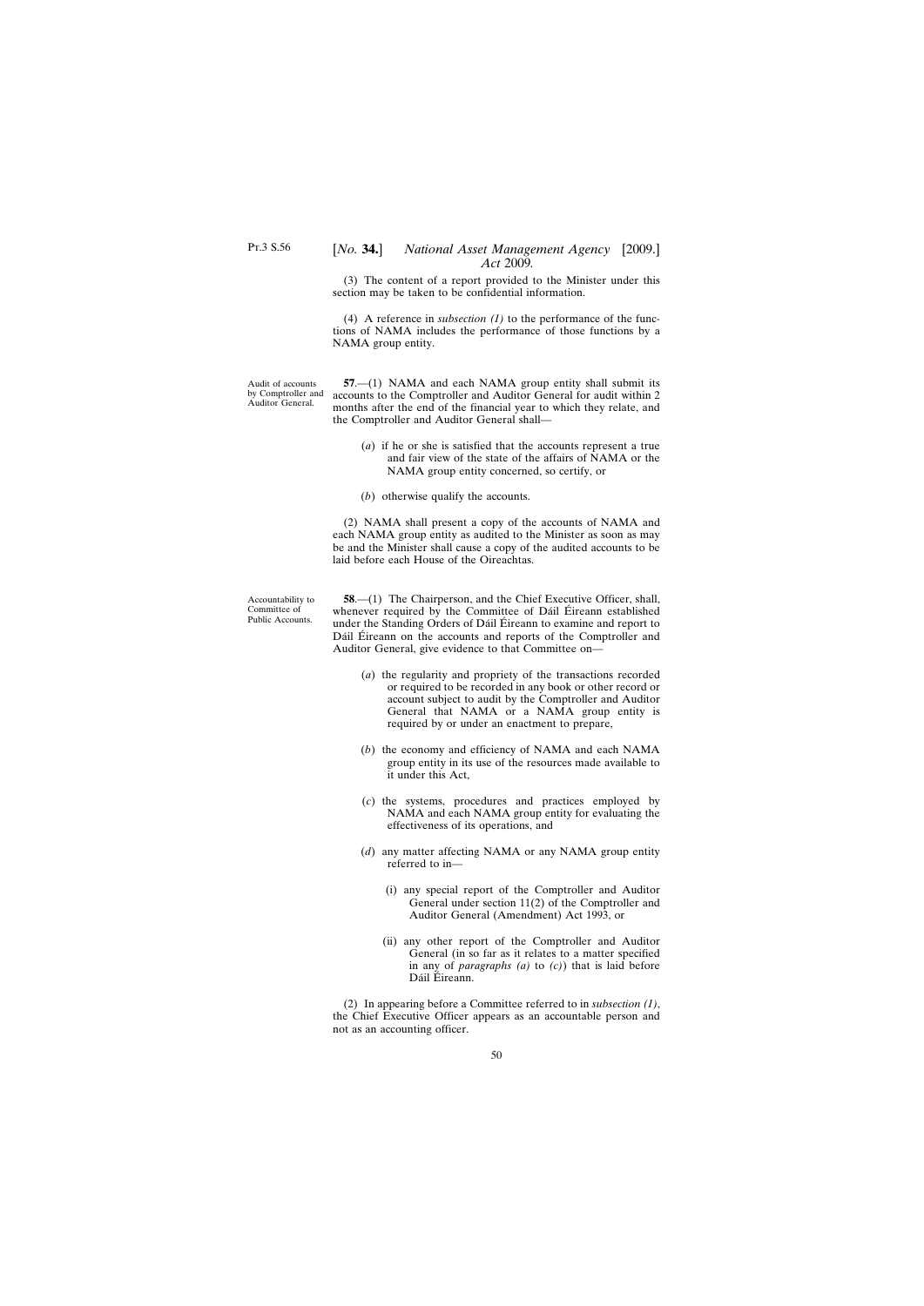(3) The content of a report provided to the Minister under this section may be taken to be confidential information.

(4) A reference in *subsection (1)* to the performance of the functions of NAMA includes the performance of those functions by a NAMA group entity.

Audit of accounts by Comptroller and Auditor General.

**57**.—(1) NAMA and each NAMA group entity shall submit its accounts to the Comptroller and Auditor General for audit within 2 months after the end of the financial year to which they relate, and the Comptroller and Auditor General shall—

- (*a*) if he or she is satisfied that the accounts represent a true and fair view of the state of the affairs of NAMA or the NAMA group entity concerned, so certify, or
- (*b*) otherwise qualify the accounts.

(2) NAMA shall present a copy of the accounts of NAMA and each NAMA group entity as audited to the Minister as soon as may be and the Minister shall cause a copy of the audited accounts to be laid before each House of the Oireachtas.

Accountability to Committee of Public Accounts.

**58.**—(1) The Chairperson, and the Chief Executive Officer, shall, whenever required by the Committee of Dáil Éireann established under the Standing Orders of Dáil Éireann to examine and report to Dáil Éireann on the accounts and reports of the Comptroller and Auditor General, give evidence to that Committee on—

- (*a*) the regularity and propriety of the transactions recorded or required to be recorded in any book or other record or account subject to audit by the Comptroller and Auditor General that NAMA or a NAMA group entity is required by or under an enactment to prepare,
- (*b*) the economy and efficiency of NAMA and each NAMA group entity in its use of the resources made available to it under this Act,
- (*c*) the systems, procedures and practices employed by NAMA and each NAMA group entity for evaluating the effectiveness of its operations, and
- (*d*) any matter affecting NAMA or any NAMA group entity referred to in—
	- (i) any special report of the Comptroller and Auditor General under section 11(2) of the Comptroller and Auditor General (Amendment) Act 1993, or
	- (ii) any other report of the Comptroller and Auditor General (in so far as it relates to a matter specified in any of *paragraphs (a)* to *(c)*) that is laid before Dáil Éireann.

(2) In appearing before a Committee referred to in *subsection (1)*, the Chief Executive Officer appears as an accountable person and not as an accounting officer.

50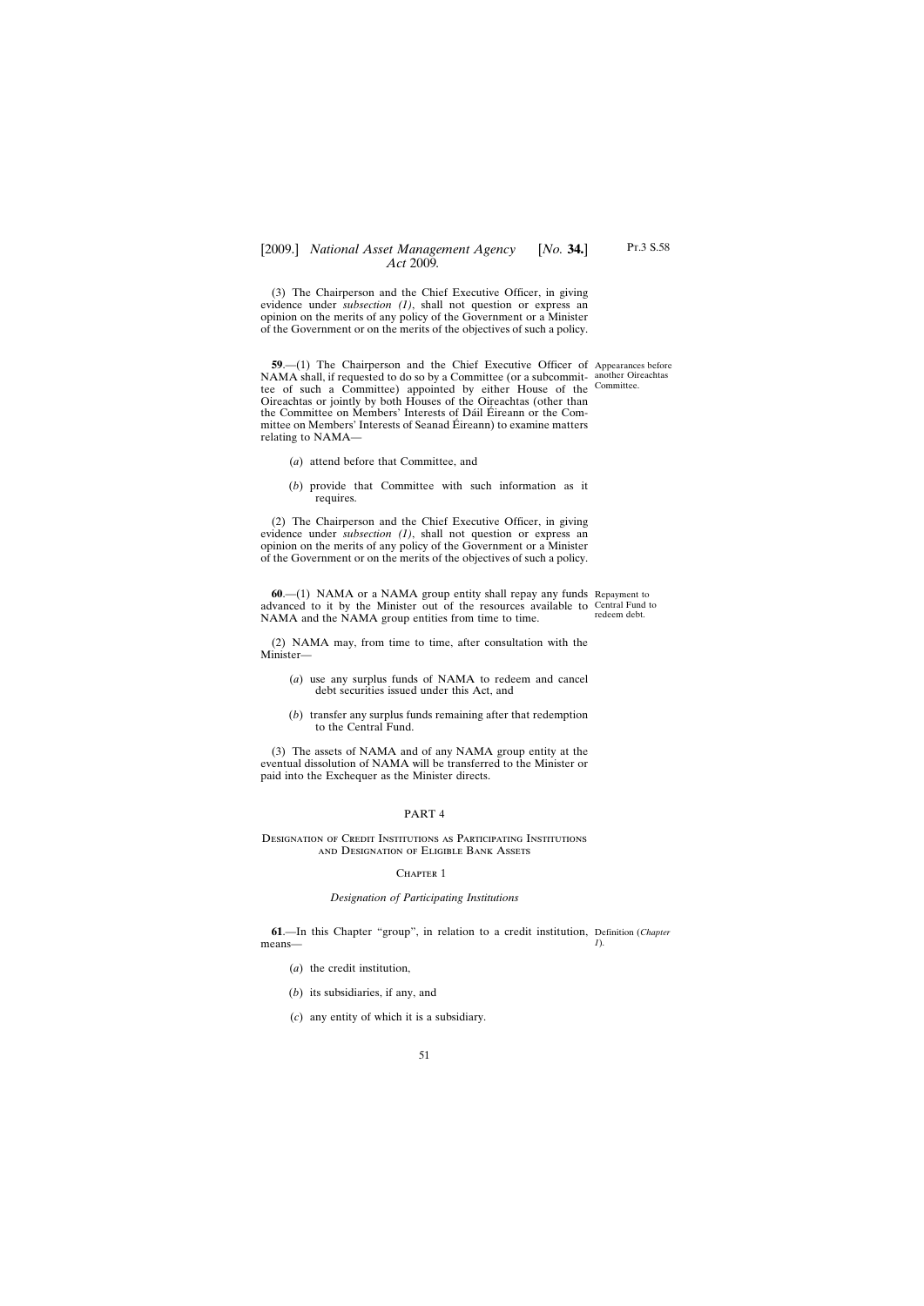(3) The Chairperson and the Chief Executive Officer, in giving evidence under *subsection (1)*, shall not question or express an opinion on the merits of any policy of the Government or a Minister of the Government or on the merits of the objectives of such a policy.

**59.**—(1) The Chairperson and the Chief Executive Officer of Appearances before NAMA shall, if requested to do so by a Committee (or a subcommit-another Oireachtas tee of such a Committee) appointed by either House of the Committee. Oireachtas or jointly by both Houses of the Oireachtas (other than the Committee on Members' Interests of Dáil Éireann or the Committee on Members' Interests of Seanad Éireann) to examine matters relating to NAMA—

- (*a*) attend before that Committee, and
- (*b*) provide that Committee with such information as it requires.

(2) The Chairperson and the Chief Executive Officer, in giving evidence under *subsection (1)*, shall not question or express an opinion on the merits of any policy of the Government or a Minister of the Government or on the merits of the objectives of such a policy.

**60**.—(1) NAMA or a NAMA group entity shall repay any funds Repayment to advanced to it by the Minister out of the resources available to Central Fund to NAMA and the NAMA group entities from time to time. redeem debt.

(2) NAMA may, from time to time, after consultation with the Minister—

- (*a*) use any surplus funds of NAMA to redeem and cancel debt securities issued under this Act, and
- (*b*) transfer any surplus funds remaining after that redemption to the Central Fund.

(3) The assets of NAMA and of any NAMA group entity at the eventual dissolution of NAMA will be transferred to the Minister or paid into the Exchequer as the Minister directs.

### PART 4

### Designation of Credit Institutions as Participating Institutions and Designation of Eligible Bank Assets

#### CHAPTER 1

#### *Designation of Participating Institutions*

**61**.—In this Chapter "group", in relation to a credit institution, Definition (*Chapter* means— *1*).

- (*a*) the credit institution,
- (*b*) its subsidiaries, if any, and
- (*c*) any entity of which it is a subsidiary.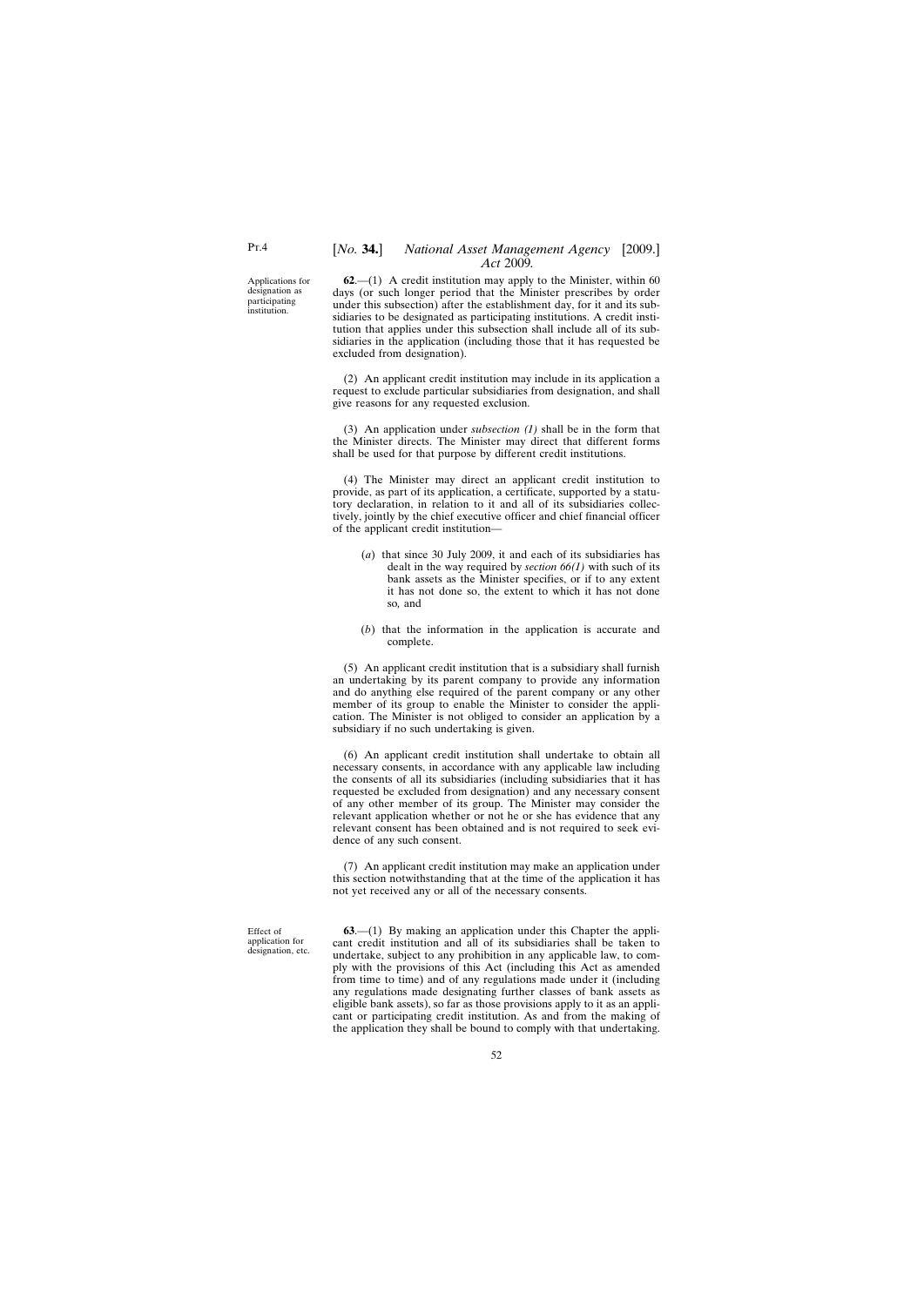Applications for designation as participating institution.

**62**.—(1) A credit institution may apply to the Minister, within 60 days (or such longer period that the Minister prescribes by order under this subsection) after the establishment day, for it and its subsidiaries to be designated as participating institutions. A credit institution that applies under this subsection shall include all of its subsidiaries in the application (including those that it has requested be excluded from designation).

(2) An applicant credit institution may include in its application a request to exclude particular subsidiaries from designation, and shall give reasons for any requested exclusion.

(3) An application under *subsection (1)* shall be in the form that the Minister directs. The Minister may direct that different forms shall be used for that purpose by different credit institutions.

(4) The Minister may direct an applicant credit institution to provide, as part of its application, a certificate, supported by a statutory declaration, in relation to it and all of its subsidiaries collectively, jointly by the chief executive officer and chief financial officer of the applicant credit institution—

- (*a*) that since 30 July 2009, it and each of its subsidiaries has dealt in the way required by *section 66(1)* with such of its bank assets as the Minister specifies, or if to any extent it has not done so, the extent to which it has not done so*,* and
- (*b*) that the information in the application is accurate and complete.

(5) An applicant credit institution that is a subsidiary shall furnish an undertaking by its parent company to provide any information and do anything else required of the parent company or any other member of its group to enable the Minister to consider the application. The Minister is not obliged to consider an application by a subsidiary if no such undertaking is given.

(6) An applicant credit institution shall undertake to obtain all necessary consents, in accordance with any applicable law including the consents of all its subsidiaries (including subsidiaries that it has requested be excluded from designation) and any necessary consent of any other member of its group. The Minister may consider the relevant application whether or not he or she has evidence that any relevant consent has been obtained and is not required to seek evidence of any such consent.

(7) An applicant credit institution may make an application under this section notwithstanding that at the time of the application it has not yet received any or all of the necessary consents.

**63**.—(1) By making an application under this Chapter the applicant credit institution and all of its subsidiaries shall be taken to undertake, subject to any prohibition in any applicable law, to comply with the provisions of this Act (including this Act as amended from time to time) and of any regulations made under it (including any regulations made designating further classes of bank assets as eligible bank assets), so far as those provisions apply to it as an applicant or participating credit institution. As and from the making of the application they shall be bound to comply with that undertaking.

Effect of application for designation, etc.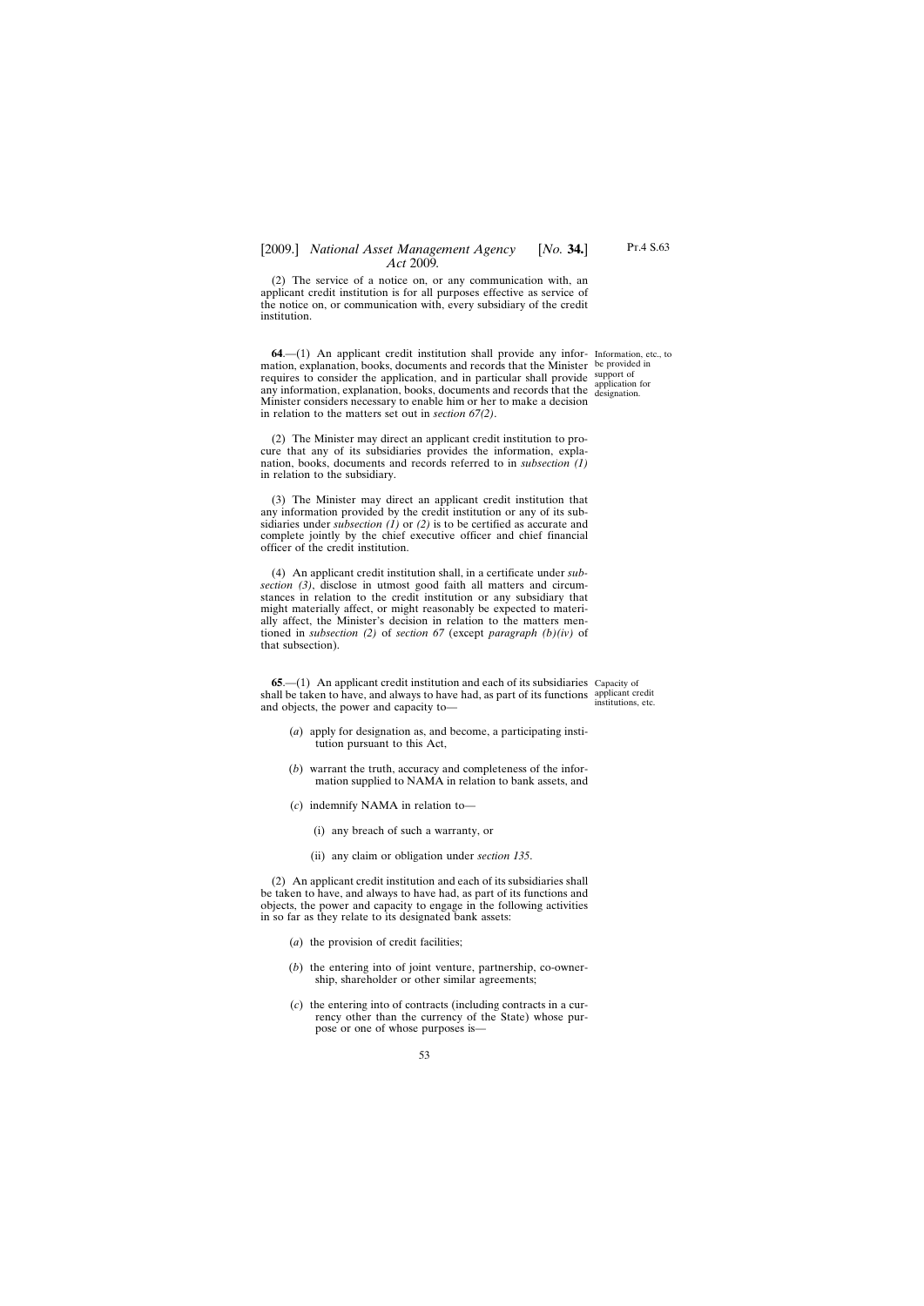(2) The service of a notice on, or any communication with, an applicant credit institution is for all purposes effective as service of the notice on, or communication with, every subsidiary of the credit institution.

**64.**—(1) An applicant credit institution shall provide any infor- Information, etc., to mation, explanation, books, documents and records that the Minister be provided in requires to consider the application, and in particular shall provide support of any information, explanation, books, documents and records that the Minister considers necessary to enable him or her to make a decision in relation to the matters set out in *section 67(2)*.

(2) The Minister may direct an applicant credit institution to procure that any of its subsidiaries provides the information, explanation, books, documents and records referred to in *subsection (1)* in relation to the subsidiary.

(3) The Minister may direct an applicant credit institution that any information provided by the credit institution or any of its subsidiaries under *subsection (1)* or *(2)* is to be certified as accurate and complete jointly by the chief executive officer and chief financial officer of the credit institution.

(4) An applicant credit institution shall, in a certificate under *subsection (3)*, disclose in utmost good faith all matters and circumstances in relation to the credit institution or any subsidiary that might materially affect, or might reasonably be expected to materially affect, the Minister's decision in relation to the matters mentioned in *subsection (2)* of *section 67* (except *paragraph (b)(iv)* of that subsection).

**65**.—(1) An applicant credit institution and each of its subsidiaries Capacity of shall be taken to have, and always to have had, as part of its functions applicant credit and objects, the power and capacity to institutions, etc.

- (*a*) apply for designation as, and become, a participating institution pursuant to this Act,
- (*b*) warrant the truth, accuracy and completeness of the information supplied to NAMA in relation to bank assets, and
- (*c*) indemnify NAMA in relation to—
	- (i) any breach of such a warranty, or
	- (ii) any claim or obligation under *section 135*.

(2) An applicant credit institution and each of its subsidiaries shall be taken to have, and always to have had, as part of its functions and objects, the power and capacity to engage in the following activities in so far as they relate to its designated bank assets:

- (*a*) the provision of credit facilities;
- (*b*) the entering into of joint venture, partnership, co-ownership, shareholder or other similar agreements;
- (*c*) the entering into of contracts (including contracts in a currency other than the currency of the State) whose purpose or one of whose purposes is—

application for designation.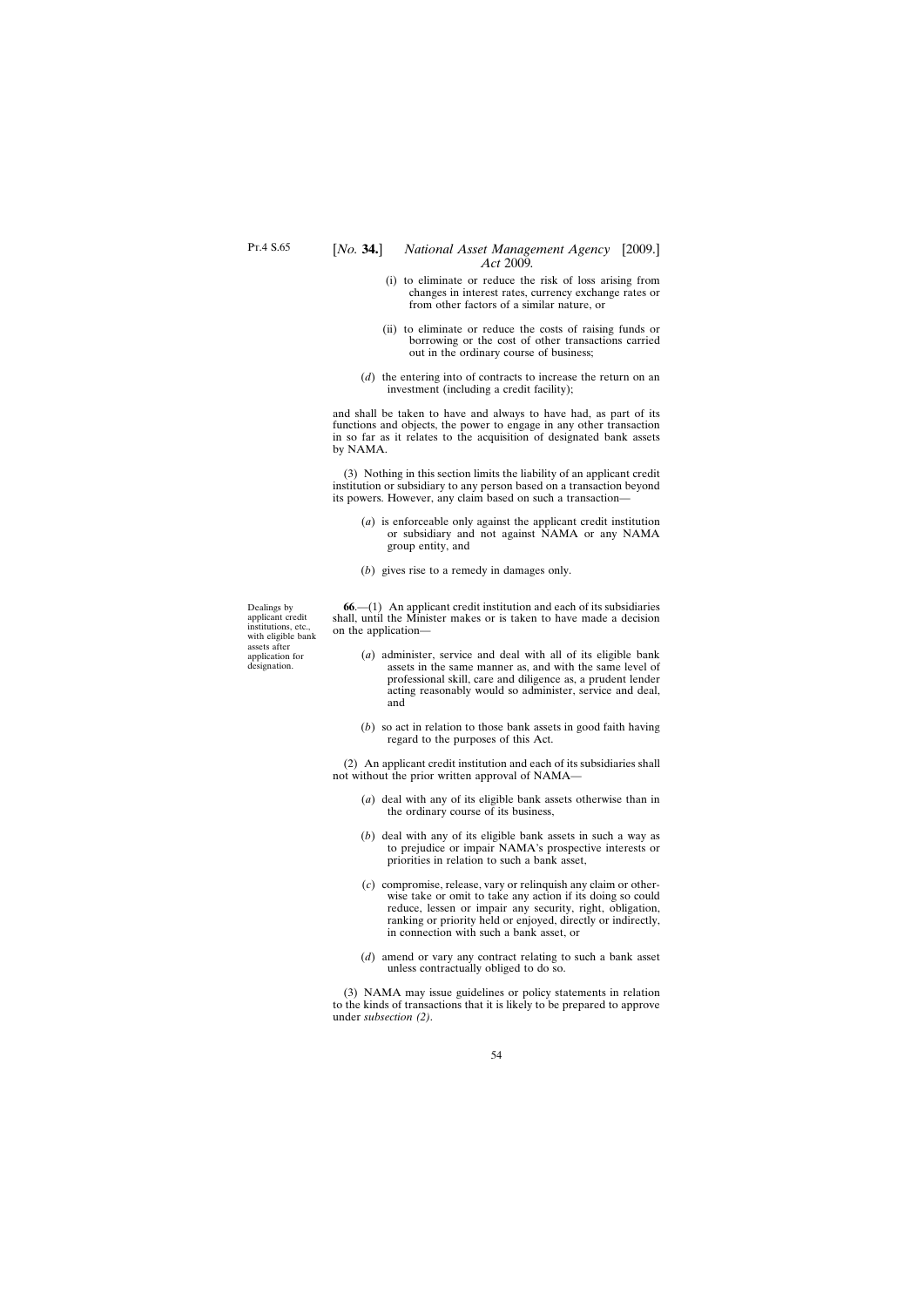- (i) to eliminate or reduce the risk of loss arising from changes in interest rates, currency exchange rates or from other factors of a similar nature, or
- (ii) to eliminate or reduce the costs of raising funds or borrowing or the cost of other transactions carried out in the ordinary course of business;
- (*d*) the entering into of contracts to increase the return on an investment (including a credit facility);

and shall be taken to have and always to have had, as part of its functions and objects, the power to engage in any other transaction in so far as it relates to the acquisition of designated bank assets by NAMA.

(3) Nothing in this section limits the liability of an applicant credit institution or subsidiary to any person based on a transaction beyond its powers. However, any claim based on such a transaction—

- (*a*) is enforceable only against the applicant credit institution or subsidiary and not against NAMA or any NAMA group entity, and
- (*b*) gives rise to a remedy in damages only.

**66**.—(1) An applicant credit institution and each of its subsidiaries shall, until the Minister makes or is taken to have made a decision on the application—

- (*a*) administer, service and deal with all of its eligible bank assets in the same manner as, and with the same level of professional skill, care and diligence as, a prudent lender acting reasonably would so administer, service and deal, and
- (*b*) so act in relation to those bank assets in good faith having regard to the purposes of this Act.

(2) An applicant credit institution and each of its subsidiaries shall not without the prior written approval of NAMA—

- (*a*) deal with any of its eligible bank assets otherwise than in the ordinary course of its business,
- (*b*) deal with any of its eligible bank assets in such a way as to prejudice or impair NAMA's prospective interests or priorities in relation to such a bank asset,
- (*c*) compromise, release, vary or relinquish any claim or otherwise take or omit to take any action if its doing so could reduce, lessen or impair any security, right, obligation, ranking or priority held or enjoyed, directly or indirectly, in connection with such a bank asset, or
- (*d*) amend or vary any contract relating to such a bank asset unless contractually obliged to do so.

(3) NAMA may issue guidelines or policy statements in relation to the kinds of transactions that it is likely to be prepared to approve under *subsection (2)*.

Dealings by applicant credit institutions, etc., with eligible bank assets after application for designation.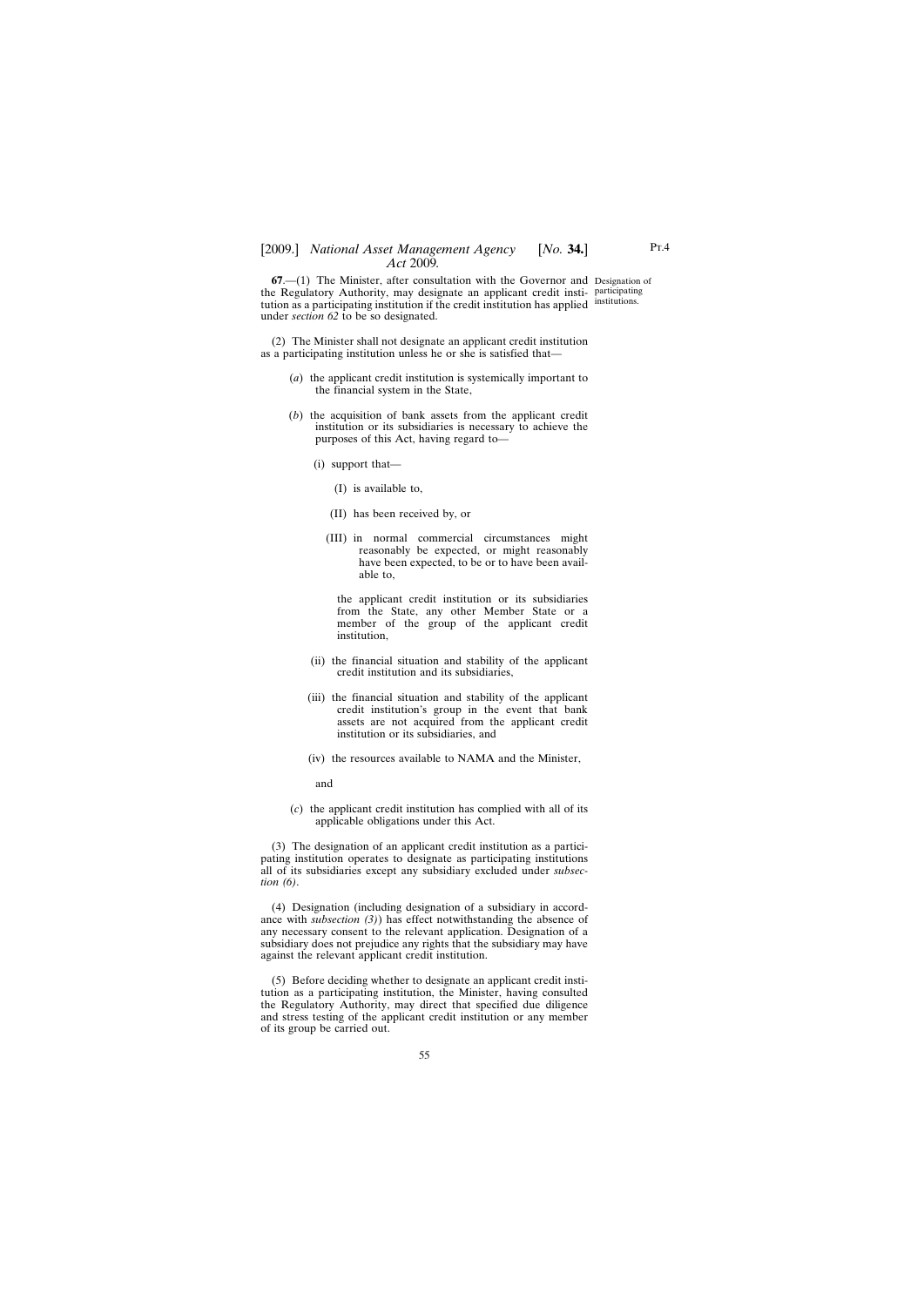**67**.—(1) The Minister, after consultation with the Governor and Designation of the Regulatory Authority, may designate an applicant credit insti-participating tution as a participating institution if the credit institution has applied institutions. under *section 62* to be so designated.

(2) The Minister shall not designate an applicant credit institution as a participating institution unless he or she is satisfied that—

- (*a*) the applicant credit institution is systemically important to the financial system in the State,
- (*b*) the acquisition of bank assets from the applicant credit institution or its subsidiaries is necessary to achieve the purposes of this Act, having regard to—
	- (i) support that—
		- (I) is available to,
		- (II) has been received by, or
		- (III) in normal commercial circumstances might reasonably be expected, or might reasonably have been expected, to be or to have been available to,

the applicant credit institution or its subsidiaries from the State, any other Member State or a member of the group of the applicant credit institution,

- (ii) the financial situation and stability of the applicant credit institution and its subsidiaries,
- (iii) the financial situation and stability of the applicant credit institution's group in the event that bank assets are not acquired from the applicant credit institution or its subsidiaries, and
- (iv) the resources available to NAMA and the Minister,

and

(*c*) the applicant credit institution has complied with all of its applicable obligations under this Act.

(3) The designation of an applicant credit institution as a participating institution operates to designate as participating institutions all of its subsidiaries except any subsidiary excluded under *subsection (6)*.

(4) Designation (including designation of a subsidiary in accordance with *subsection (3)*) has effect notwithstanding the absence of any necessary consent to the relevant application. Designation of a subsidiary does not prejudice any rights that the subsidiary may have against the relevant applicant credit institution.

(5) Before deciding whether to designate an applicant credit institution as a participating institution, the Minister, having consulted the Regulatory Authority, may direct that specified due diligence and stress testing of the applicant credit institution or any member of its group be carried out.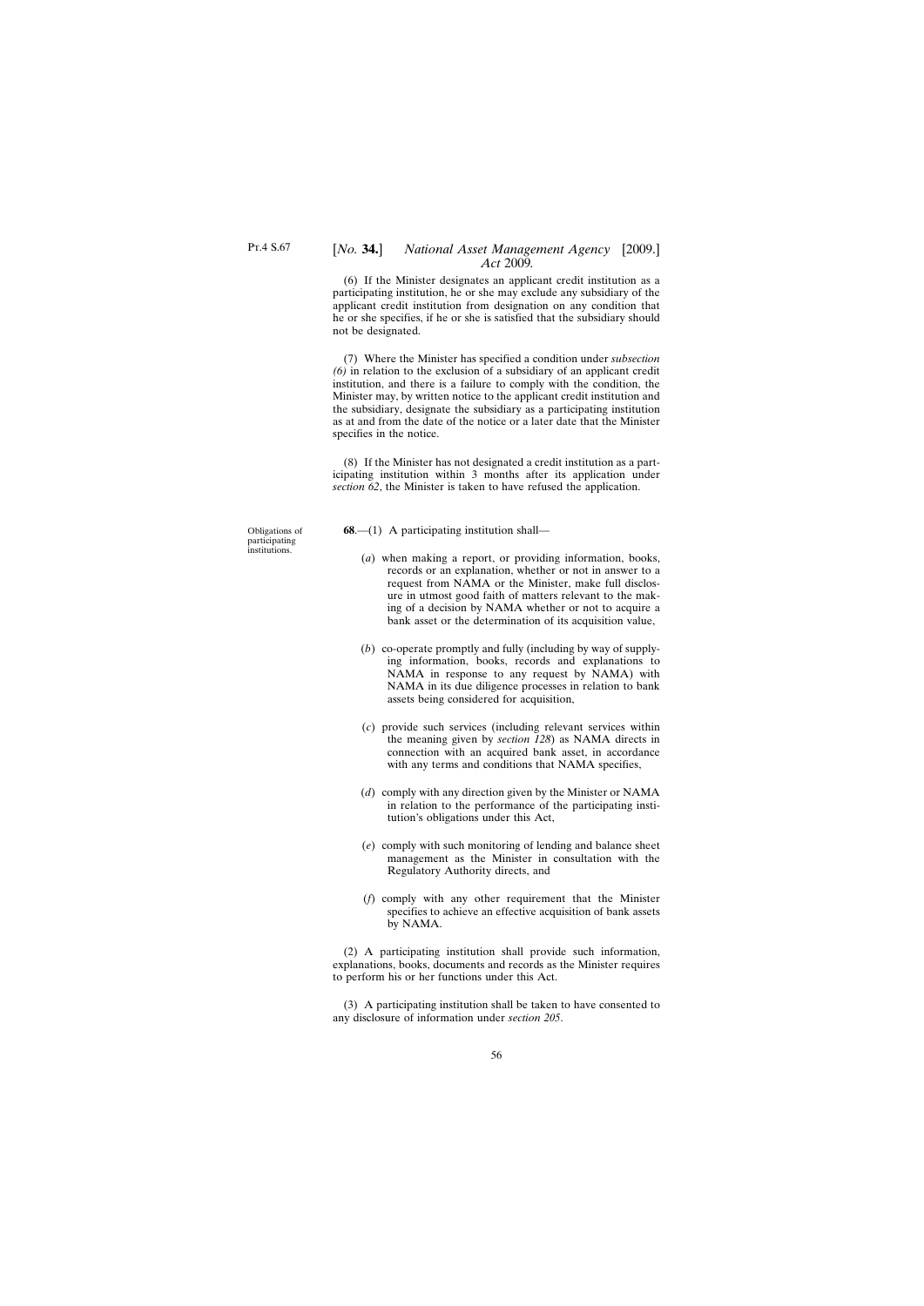(6) If the Minister designates an applicant credit institution as a participating institution, he or she may exclude any subsidiary of the applicant credit institution from designation on any condition that he or she specifies, if he or she is satisfied that the subsidiary should not be designated.

(7) Where the Minister has specified a condition under *subsection (6)* in relation to the exclusion of a subsidiary of an applicant credit institution, and there is a failure to comply with the condition, the Minister may, by written notice to the applicant credit institution and the subsidiary, designate the subsidiary as a participating institution as at and from the date of the notice or a later date that the Minister specifies in the notice.

(8) If the Minister has not designated a credit institution as a participating institution within 3 months after its application under *section 62*, the Minister is taken to have refused the application.

**68**.—(1) A participating institution shall—

- (*a*) when making a report, or providing information, books, records or an explanation, whether or not in answer to a request from NAMA or the Minister, make full disclosure in utmost good faith of matters relevant to the making of a decision by NAMA whether or not to acquire a bank asset or the determination of its acquisition value,
- (*b*) co-operate promptly and fully (including by way of supplying information, books, records and explanations to NAMA in response to any request by NAMA) with NAMA in its due diligence processes in relation to bank assets being considered for acquisition,
- (*c*) provide such services (including relevant services within the meaning given by *section 128*) as NAMA directs in connection with an acquired bank asset, in accordance with any terms and conditions that NAMA specifies,
- (*d*) comply with any direction given by the Minister or NAMA in relation to the performance of the participating institution's obligations under this Act,
- (*e*) comply with such monitoring of lending and balance sheet management as the Minister in consultation with the Regulatory Authority directs, and
- (*f*) comply with any other requirement that the Minister specifies to achieve an effective acquisition of bank assets by NAMA.

(2) A participating institution shall provide such information, explanations, books, documents and records as the Minister requires to perform his or her functions under this Act.

(3) A participating institution shall be taken to have consented to any disclosure of information under *section 205*.

Obligations of participating institutions.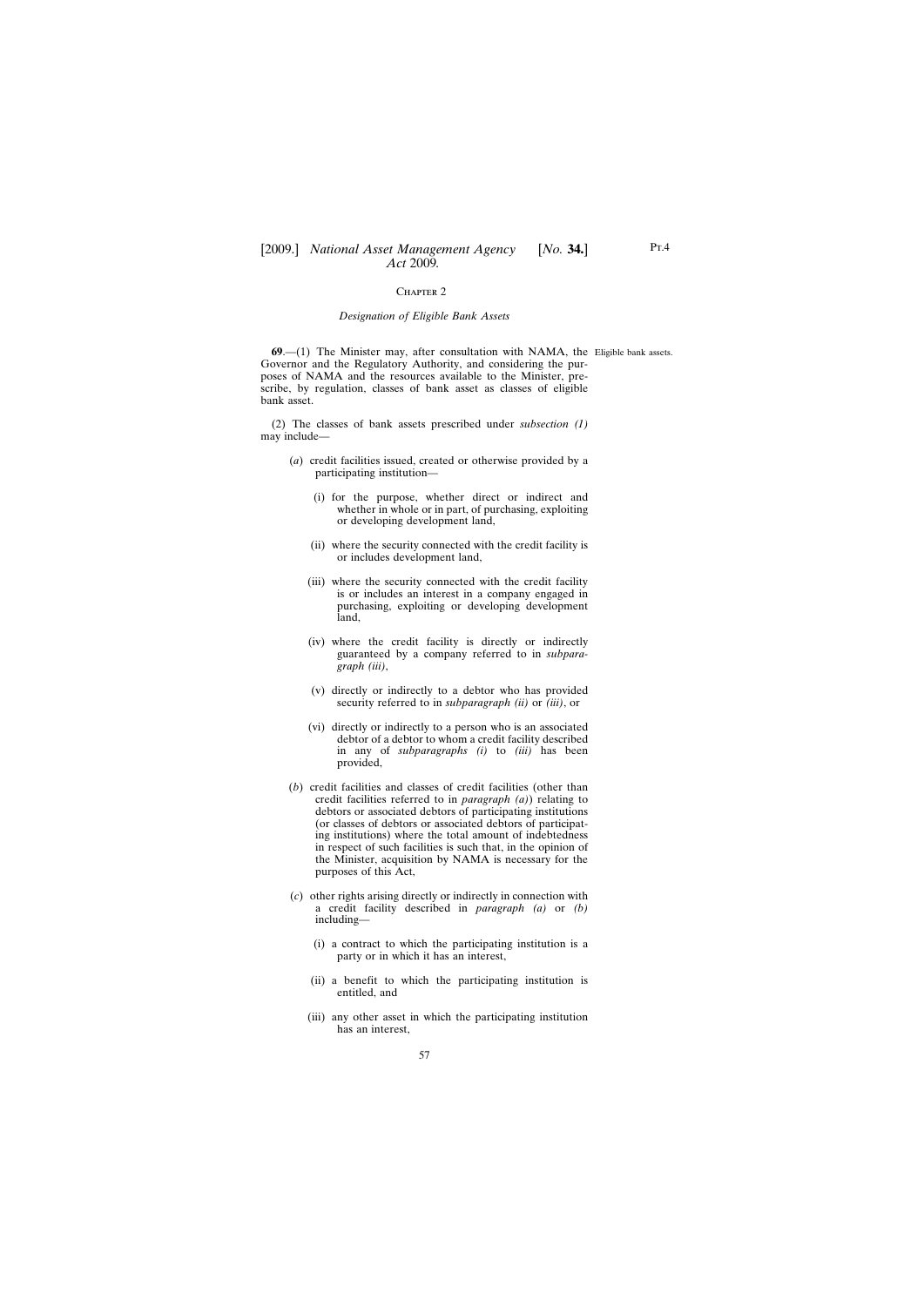### CHAPTER<sub>2</sub>

#### *Designation of Eligible Bank Assets*

**69.**—(1) The Minister may, after consultation with NAMA, the Eligible bank assets. Governor and the Regulatory Authority, and considering the purposes of NAMA and the resources available to the Minister, prescribe, by regulation, classes of bank asset as classes of eligible bank asset.

(2) The classes of bank assets prescribed under *subsection (1)* may include—

- (*a*) credit facilities issued, created or otherwise provided by a participating institution—
	- (i) for the purpose, whether direct or indirect and whether in whole or in part, of purchasing, exploiting or developing development land,
	- (ii) where the security connected with the credit facility is or includes development land,
	- (iii) where the security connected with the credit facility is or includes an interest in a company engaged in purchasing, exploiting or developing development land,
	- (iv) where the credit facility is directly or indirectly guaranteed by a company referred to in *subparagraph (iii)*,
	- (v) directly or indirectly to a debtor who has provided security referred to in *subparagraph (ii)* or *(iii)*, or
	- (vi) directly or indirectly to a person who is an associated debtor of a debtor to whom a credit facility described in any of *subparagraphs (i)* to *(iii)* has been provided,
- (*b*) credit facilities and classes of credit facilities (other than credit facilities referred to in *paragraph (a)*) relating to debtors or associated debtors of participating institutions (or classes of debtors or associated debtors of participating institutions) where the total amount of indebtedness in respect of such facilities is such that, in the opinion of the Minister, acquisition by NAMA is necessary for the purposes of this Act,
- (*c*) other rights arising directly or indirectly in connection with a credit facility described in *paragraph (a)* or *(b)* including—
	- (i) a contract to which the participating institution is a party or in which it has an interest,
	- (ii) a benefit to which the participating institution is entitled, and
	- (iii) any other asset in which the participating institution has an interest,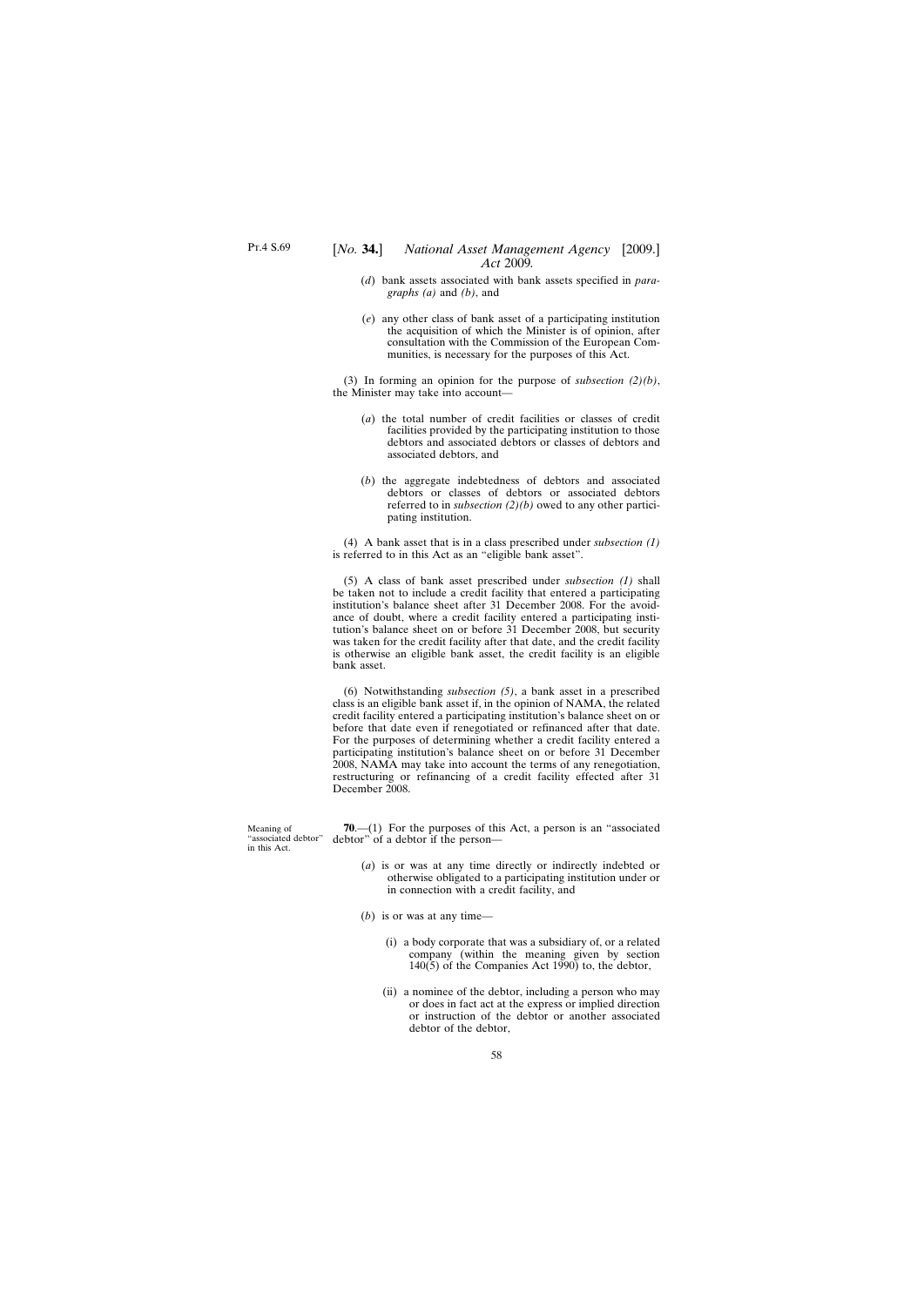- (*d*) bank assets associated with bank assets specified in *paragraphs (a)* and *(b)*, and
- (*e*) any other class of bank asset of a participating institution the acquisition of which the Minister is of opinion, after consultation with the Commission of the European Communities, is necessary for the purposes of this Act.

(3) In forming an opinion for the purpose of *subsection (2)(b)*, the Minister may take into account—

- (*a*) the total number of credit facilities or classes of credit facilities provided by the participating institution to those debtors and associated debtors or classes of debtors and associated debtors, and
- (*b*) the aggregate indebtedness of debtors and associated debtors or classes of debtors or associated debtors referred to in *subsection (2)(b)* owed to any other participating institution.

(4) A bank asset that is in a class prescribed under *subsection (1)* is referred to in this Act as an "eligible bank asset".

(5) A class of bank asset prescribed under *subsection (1)* shall be taken not to include a credit facility that entered a participating institution's balance sheet after 31 December 2008. For the avoidance of doubt, where a credit facility entered a participating institution's balance sheet on or before 31 December 2008, but security was taken for the credit facility after that date, and the credit facility is otherwise an eligible bank asset, the credit facility is an eligible bank asset.

(6) Notwithstanding *subsection (5)*, a bank asset in a prescribed class is an eligible bank asset if, in the opinion of NAMA, the related credit facility entered a participating institution's balance sheet on or before that date even if renegotiated or refinanced after that date. For the purposes of determining whether a credit facility entered a participating institution's balance sheet on or before 31 December 2008, NAMA may take into account the terms of any renegotiation, restructuring or refinancing of a credit facility effected after 31 December 2008.

Meaning of "associated debtor" in this Act. **70**.—(1) For the purposes of this Act, a person is an "associated debtor" of a debtor if the person—

- (*a*) is or was at any time directly or indirectly indebted or otherwise obligated to a participating institution under or in connection with a credit facility, and
- (*b*) is or was at any time—
	- (i) a body corporate that was a subsidiary of, or a related company (within the meaning given by section  $140(5)$  of the Companies Act 1990) to, the debtor,
	- (ii) a nominee of the debtor, including a person who may or does in fact act at the express or implied direction or instruction of the debtor or another associated debtor of the debtor,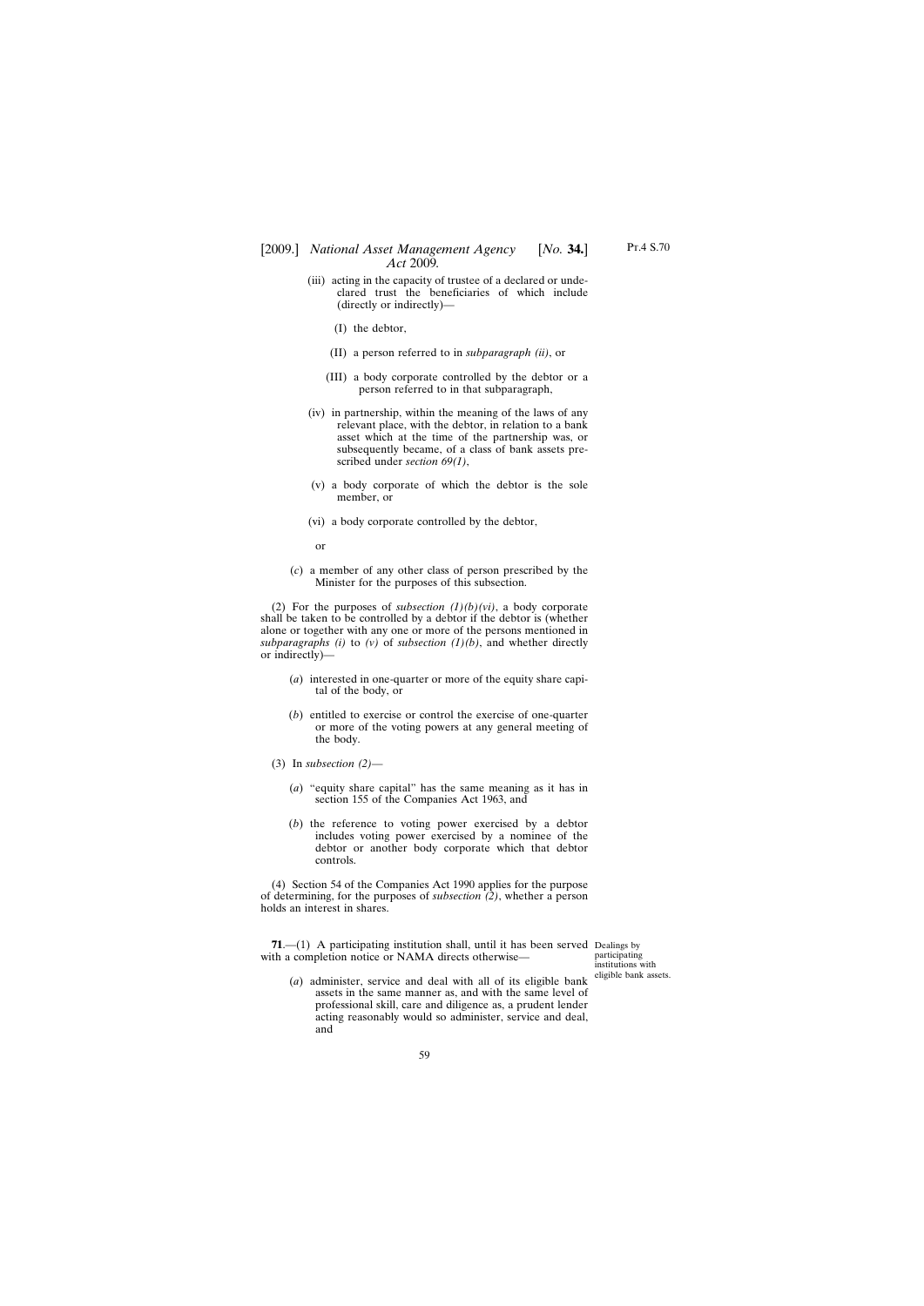- (iii) acting in the capacity of trustee of a declared or undeclared trust the beneficiaries of which include (directly or indirectly)—
	- (I) the debtor,
	- (II) a person referred to in *subparagraph (ii)*, or
	- (III) a body corporate controlled by the debtor or a person referred to in that subparagraph,
- (iv) in partnership, within the meaning of the laws of any relevant place, with the debtor, in relation to a bank asset which at the time of the partnership was, or subsequently became, of a class of bank assets prescribed under *section 69(1)*,
- (v) a body corporate of which the debtor is the sole member, or
- (vi) a body corporate controlled by the debtor,

or

(*c*) a member of any other class of person prescribed by the Minister for the purposes of this subsection.

(2) For the purposes of *subsection (1)(b)(vi)*, a body corporate shall be taken to be controlled by a debtor if the debtor is (whether alone or together with any one or more of the persons mentioned in *subparagraphs (i)* to *(v)* of *subsection (1)(b)*, and whether directly or indirectly)—

- (*a*) interested in one-quarter or more of the equity share capital of the body, or
- (*b*) entitled to exercise or control the exercise of one-quarter or more of the voting powers at any general meeting of the body.
- (3) In *subsection (2)*
	- (*a*) "equity share capital" has the same meaning as it has in section 155 of the Companies Act 1963, and
	- (*b*) the reference to voting power exercised by a debtor includes voting power exercised by a nominee of the debtor or another body corporate which that debtor controls.

(4) Section 54 of the Companies Act 1990 applies for the purpose of determining, for the purposes of *subsection (2)*, whether a person holds an interest in shares.

**71.**—(1) A participating institution shall, until it has been served Dealings by with a completion notice or NAMA directs otherwise—

participating institutions with eligible bank assets.

(*a*) administer, service and deal with all of its eligible bank assets in the same manner as, and with the same level of professional skill, care and diligence as, a prudent lender acting reasonably would so administer, service and deal, and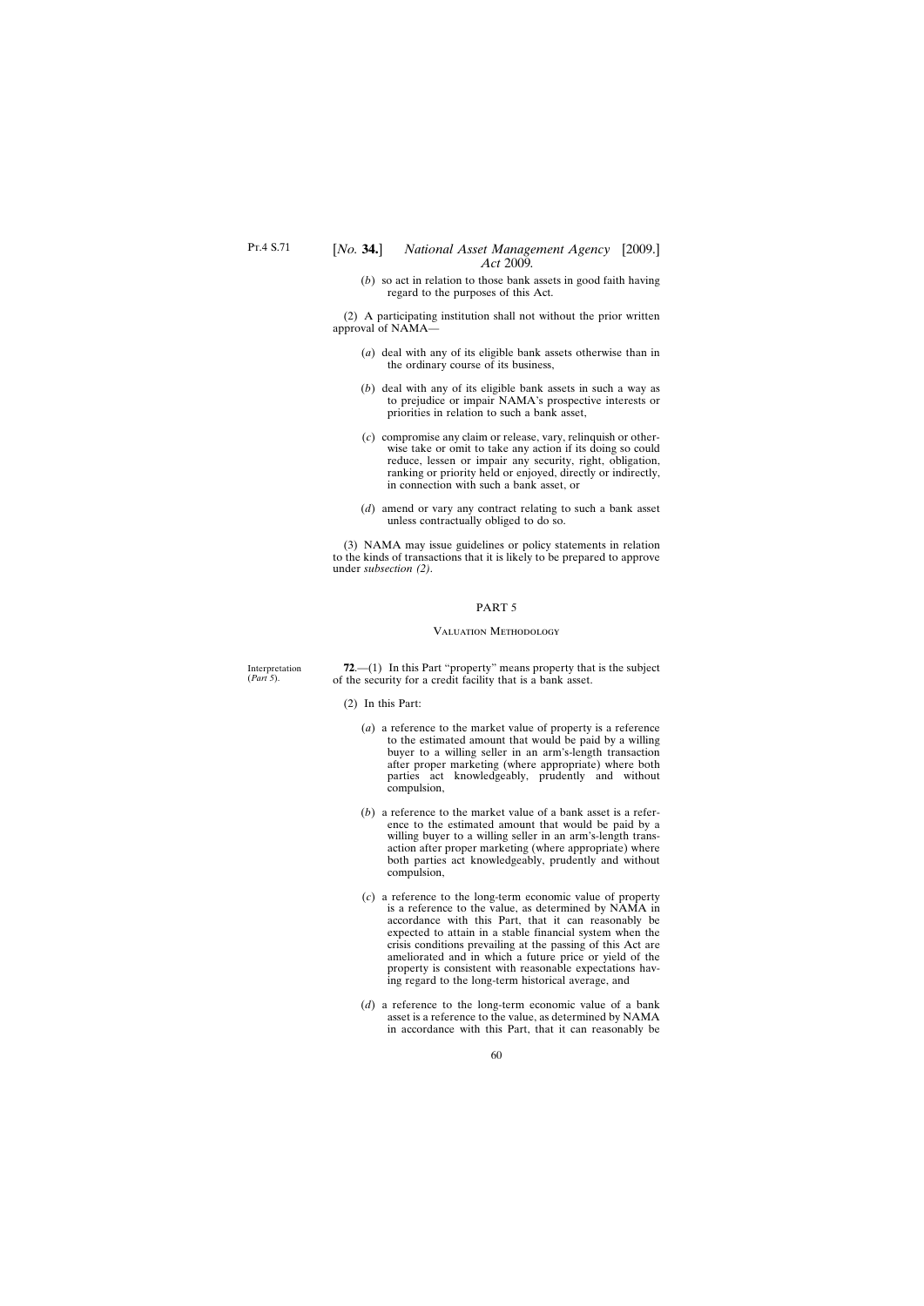(*b*) so act in relation to those bank assets in good faith having regard to the purposes of this Act.

(2) A participating institution shall not without the prior written approval of NAMA—

- (*a*) deal with any of its eligible bank assets otherwise than in the ordinary course of its business,
- (*b*) deal with any of its eligible bank assets in such a way as to prejudice or impair NAMA's prospective interests or priorities in relation to such a bank asset,
- (*c*) compromise any claim or release, vary, relinquish or otherwise take or omit to take any action if its doing so could reduce, lessen or impair any security, right, obligation, ranking or priority held or enjoyed, directly or indirectly, in connection with such a bank asset, or
- (*d*) amend or vary any contract relating to such a bank asset unless contractually obliged to do so.

(3) NAMA may issue guidelines or policy statements in relation to the kinds of transactions that it is likely to be prepared to approve under *subsection (2)*.

### PART 5

### Valuation Methodology

Interpretation (*Part 5*).

**72**.—(1) In this Part "property" means property that is the subject of the security for a credit facility that is a bank asset.

- (2) In this Part:
	- (*a*) a reference to the market value of property is a reference to the estimated amount that would be paid by a willing buyer to a willing seller in an arm's-length transaction after proper marketing (where appropriate) where both parties act knowledgeably, prudently and without compulsion,
	- (*b*) a reference to the market value of a bank asset is a reference to the estimated amount that would be paid by a willing buyer to a willing seller in an arm's-length transaction after proper marketing (where appropriate) where both parties act knowledgeably, prudently and without compulsion,
	- (*c*) a reference to the long-term economic value of property is a reference to the value, as determined by NAMA in accordance with this Part, that it can reasonably be expected to attain in a stable financial system when the crisis conditions prevailing at the passing of this Act are ameliorated and in which a future price or yield of the property is consistent with reasonable expectations having regard to the long-term historical average, and
	- (*d*) a reference to the long-term economic value of a bank asset is a reference to the value, as determined by NAMA in accordance with this Part, that it can reasonably be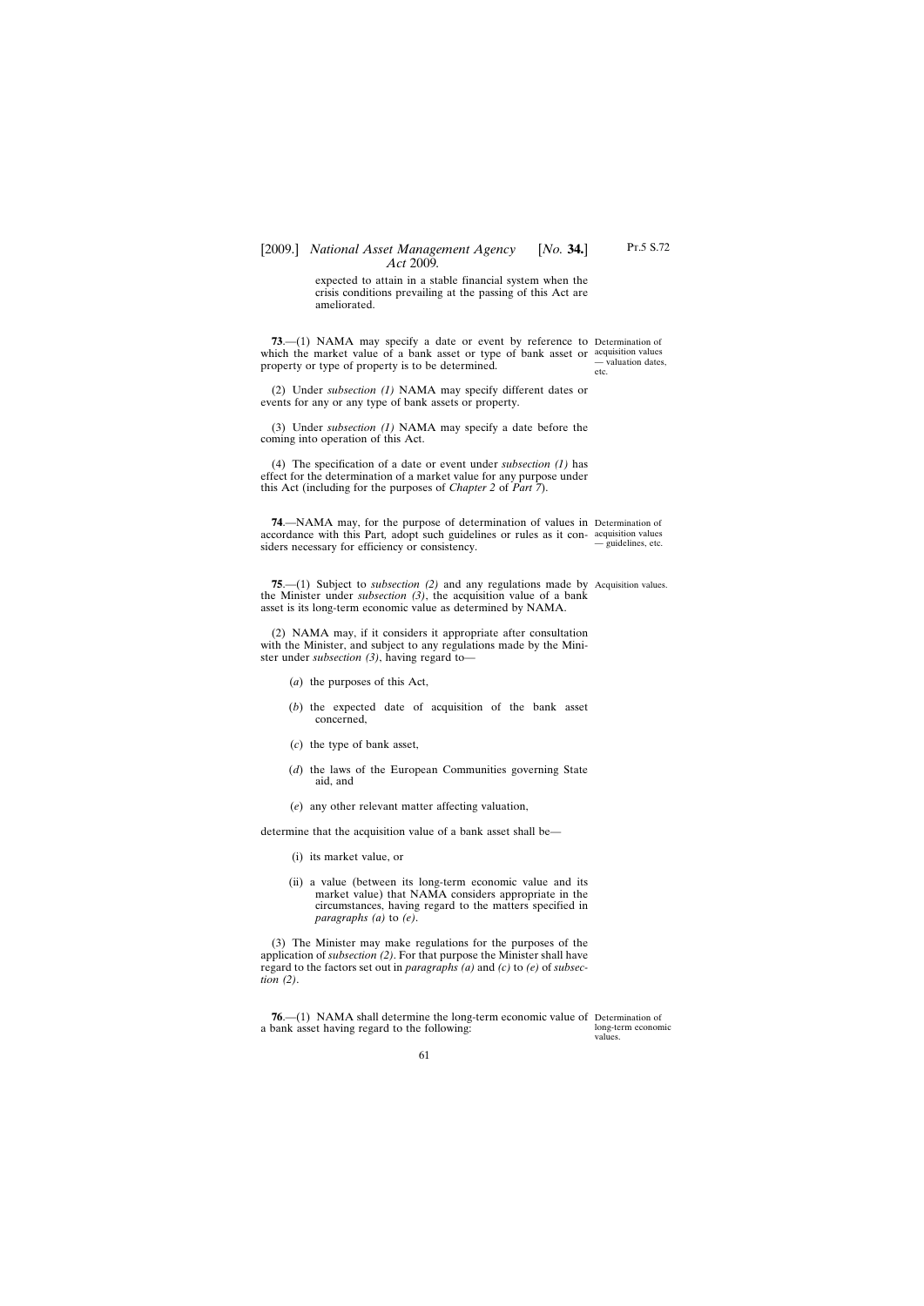expected to attain in a stable financial system when the crisis conditions prevailing at the passing of this Act are ameliorated.

**73**.—(1) NAMA may specify a date or event by reference to Determination of which the market value of a bank asset or type of bank asset or acquisition values property or type of property is to be determined.

(2) Under *subsection (1)* NAMA may specify different dates or events for any or any type of bank assets or property.

(3) Under *subsection (1)* NAMA may specify a date before the coming into operation of this Act.

(4) The specification of a date or event under *subsection (1)* has effect for the determination of a market value for any purpose under this Act (including for the purposes of *Chapter 2* of *Part 7*).

**74**.—NAMA may, for the purpose of determination of values in Determination of accordance with this Part*,* adopt such guidelines or rules as it con-acquisition values siders necessary for efficiency or consistency.

**75.**—(1) Subject to *subsection* (2) and any regulations made by Acquisition values. the Minister under *subsection (3)*, the acquisition value of a bank asset is its long-term economic value as determined by NAMA.

(2) NAMA may, if it considers it appropriate after consultation with the Minister, and subject to any regulations made by the Minister under *subsection (3)*, having regard to—

- (*a*) the purposes of this Act,
- (*b*) the expected date of acquisition of the bank asset concerned,
- (*c*) the type of bank asset,
- (*d*) the laws of the European Communities governing State aid, and
- (*e*) any other relevant matter affecting valuation,

determine that the acquisition value of a bank asset shall be—

- (i) its market value, or
- (ii) a value (between its long-term economic value and its market value) that NAMA considers appropriate in the circumstances, having regard to the matters specified in *paragraphs (a)* to *(e)*.

(3) The Minister may make regulations for the purposes of the application of *subsection (2)*. For that purpose the Minister shall have regard to the factors set out in *paragraphs (a)* and *(c)* to *(e)* of *subsection (2)*.

**76**.—(1) NAMA shall determine the long-term economic value of Determination of a bank asset having regard to the following:

long-term economic values.

— valuation dates, etc.

— guidelines, etc.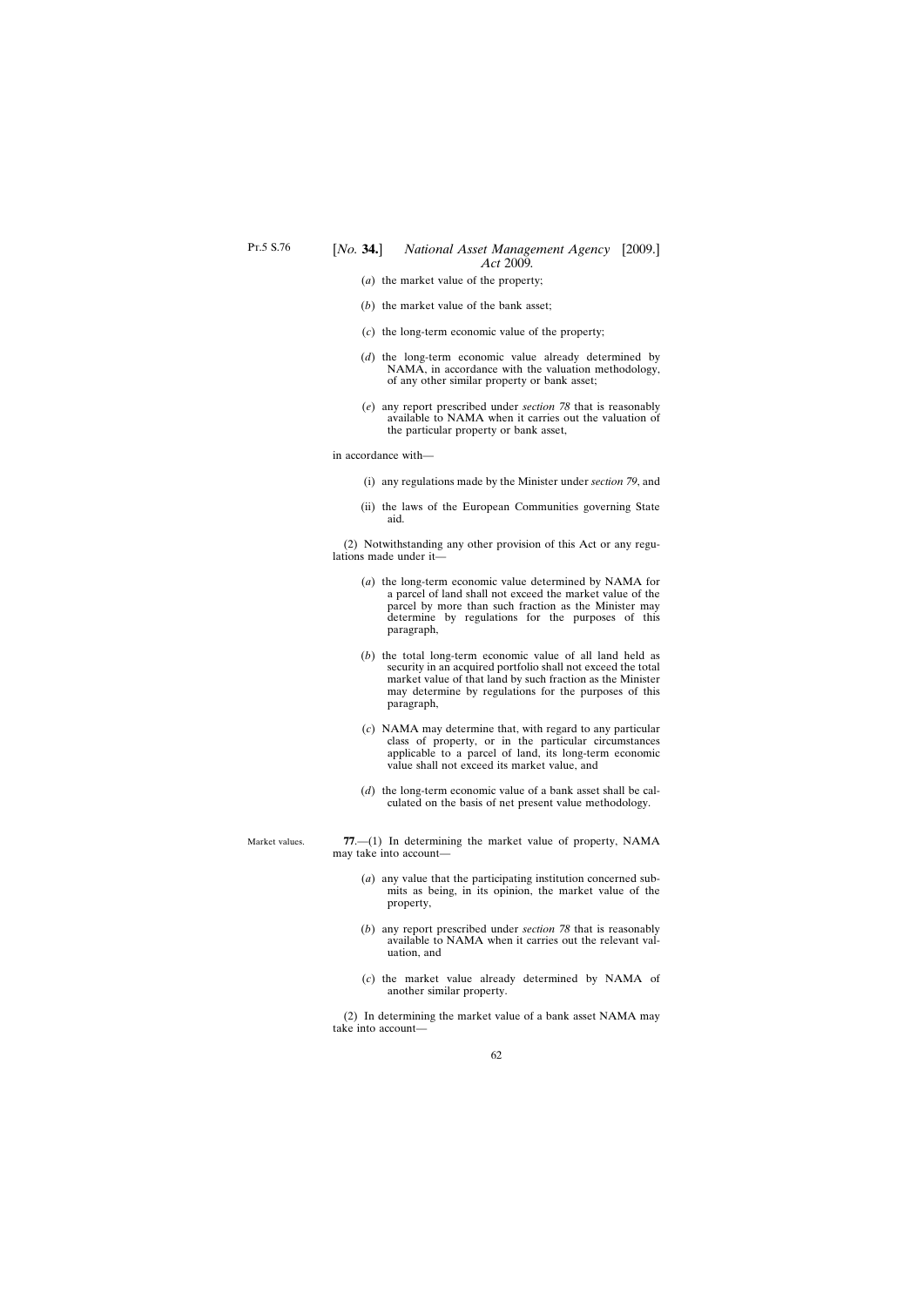- (*a*) the market value of the property;
- (*b*) the market value of the bank asset;
- (*c*) the long-term economic value of the property;
- (*d*) the long-term economic value already determined by NAMA, in accordance with the valuation methodology, of any other similar property or bank asset;
- (*e*) any report prescribed under *section 78* that is reasonably available to NAMA when it carries out the valuation of the particular property or bank asset,

in accordance with—

- (i) any regulations made by the Minister under *section 79*, and
- (ii) the laws of the European Communities governing State aid.

(2) Notwithstanding any other provision of this Act or any regulations made under it—

- (*a*) the long-term economic value determined by NAMA for a parcel of land shall not exceed the market value of the parcel by more than such fraction as the Minister may determine by regulations for the purposes of this paragraph,
- (*b*) the total long-term economic value of all land held as security in an acquired portfolio shall not exceed the total market value of that land by such fraction as the Minister may determine by regulations for the purposes of this paragraph,
- (*c*) NAMA may determine that, with regard to any particular class of property, or in the particular circumstances applicable to a parcel of land, its long-term economic value shall not exceed its market value, and
- (*d*) the long-term economic value of a bank asset shall be calculated on the basis of net present value methodology.

Market values. **77**.—(1) In determining the market value of property, NAMA may take into account—

- (*a*) any value that the participating institution concerned submits as being, in its opinion, the market value of the property,
- (*b*) any report prescribed under *section 78* that is reasonably available to NAMA when it carries out the relevant valuation, and
- (*c*) the market value already determined by NAMA of another similar property.

(2) In determining the market value of a bank asset NAMA may take into account—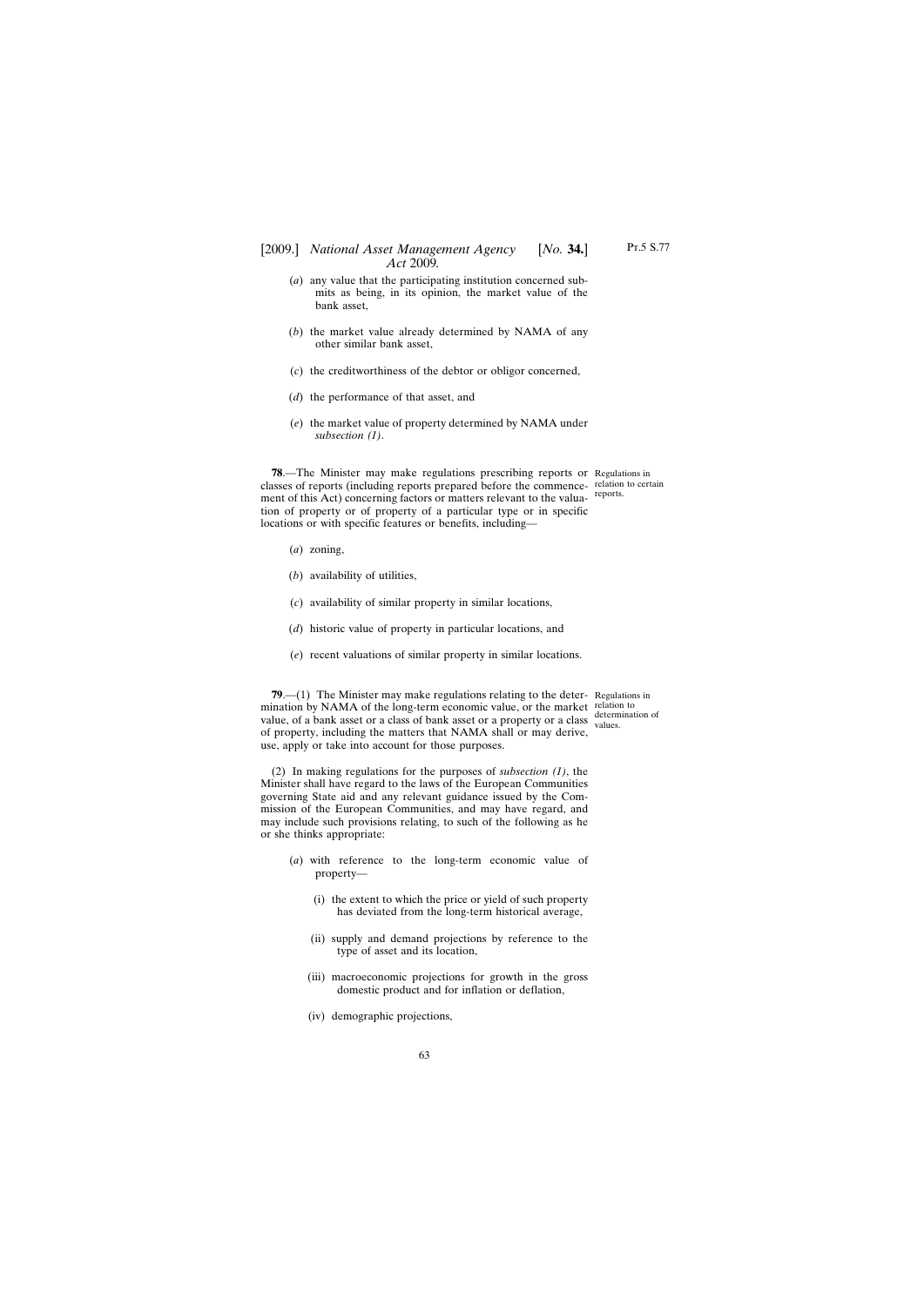- (*a*) any value that the participating institution concerned submits as being, in its opinion, the market value of the bank asset,
- (*b*) the market value already determined by NAMA of any other similar bank asset,
- (*c*) the creditworthiness of the debtor or obligor concerned,
- (*d*) the performance of that asset, and
- (*e*) the market value of property determined by NAMA under *subsection (1)*.

**78**.—The Minister may make regulations prescribing reports or Regulations in classes of reports (including reports prepared before the commence-relation to certain ment of this Act) concerning factors or matters relevant to the valuation of property or of property of a particular type or in specific locations or with specific features or benefits, including—

- (*a*) zoning,
- (*b*) availability of utilities,
- (*c*) availability of similar property in similar locations,
- (*d*) historic value of property in particular locations, and
- (*e*) recent valuations of similar property in similar locations.

**79.**—(1) The Minister may make regulations relating to the deter- Regulations in mination by NAMA of the long-term economic value, or the market relation to value, of a bank asset or a class of bank asset or a property or a class values. of property, including the matters that NAMA shall or may derive, use, apply or take into account for those purposes.

(2) In making regulations for the purposes of *subsection (1)*, the Minister shall have regard to the laws of the European Communities governing State aid and any relevant guidance issued by the Commission of the European Communities, and may have regard, and may include such provisions relating, to such of the following as he or she thinks appropriate:

- (*a*) with reference to the long-term economic value of property—
	- (i) the extent to which the price or yield of such property has deviated from the long-term historical average,
	- (ii) supply and demand projections by reference to the type of asset and its location,
	- (iii) macroeconomic projections for growth in the gross domestic product and for inflation or deflation,
	- (iv) demographic projections,

63

determination of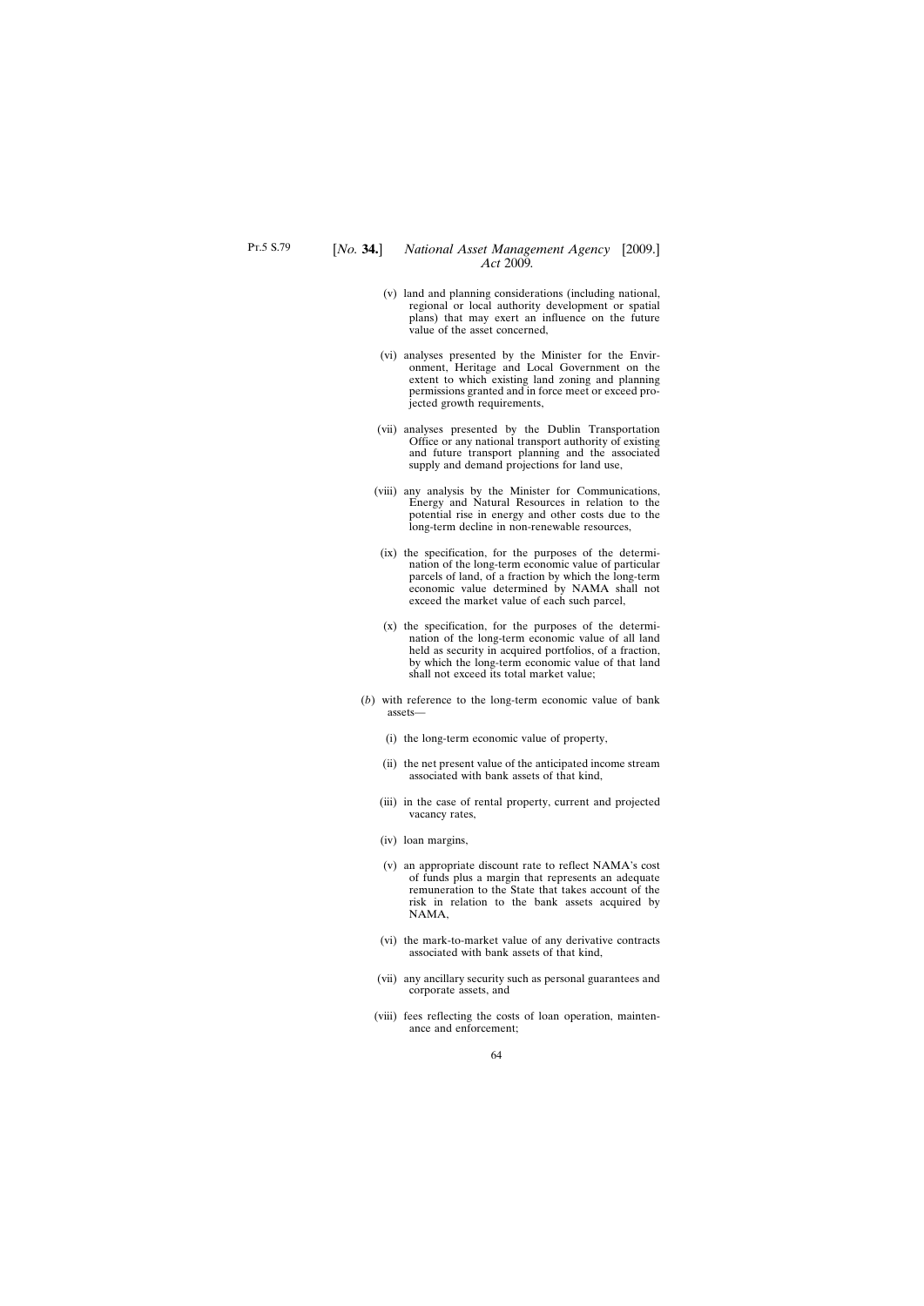- (v) land and planning considerations (including national, regional or local authority development or spatial plans) that may exert an influence on the future value of the asset concerned,
- (vi) analyses presented by the Minister for the Environment, Heritage and Local Government on the extent to which existing land zoning and planning permissions granted and in force meet or exceed projected growth requirements,
- (vii) analyses presented by the Dublin Transportation Office or any national transport authority of existing and future transport planning and the associated supply and demand projections for land use,
- (viii) any analysis by the Minister for Communications, Energy and Natural Resources in relation to the potential rise in energy and other costs due to the long-term decline in non-renewable resources,
- (ix) the specification, for the purposes of the determination of the long-term economic value of particular parcels of land, of a fraction by which the long-term economic value determined by NAMA shall not exceed the market value of each such parcel,
- (x) the specification, for the purposes of the determination of the long-term economic value of all land held as security in acquired portfolios, of a fraction, by which the long-term economic value of that land shall not exceed its total market value;
- (*b*) with reference to the long-term economic value of bank assets—
	- (i) the long-term economic value of property,
	- (ii) the net present value of the anticipated income stream associated with bank assets of that kind,
	- (iii) in the case of rental property, current and projected vacancy rates,
	- (iv) loan margins,
	- (v) an appropriate discount rate to reflect NAMA's cost of funds plus a margin that represents an adequate remuneration to the State that takes account of the risk in relation to the bank assets acquired by NAMA,
	- (vi) the mark-to-market value of any derivative contracts associated with bank assets of that kind,
	- (vii) any ancillary security such as personal guarantees and corporate assets, and
	- (viii) fees reflecting the costs of loan operation, maintenance and enforcement;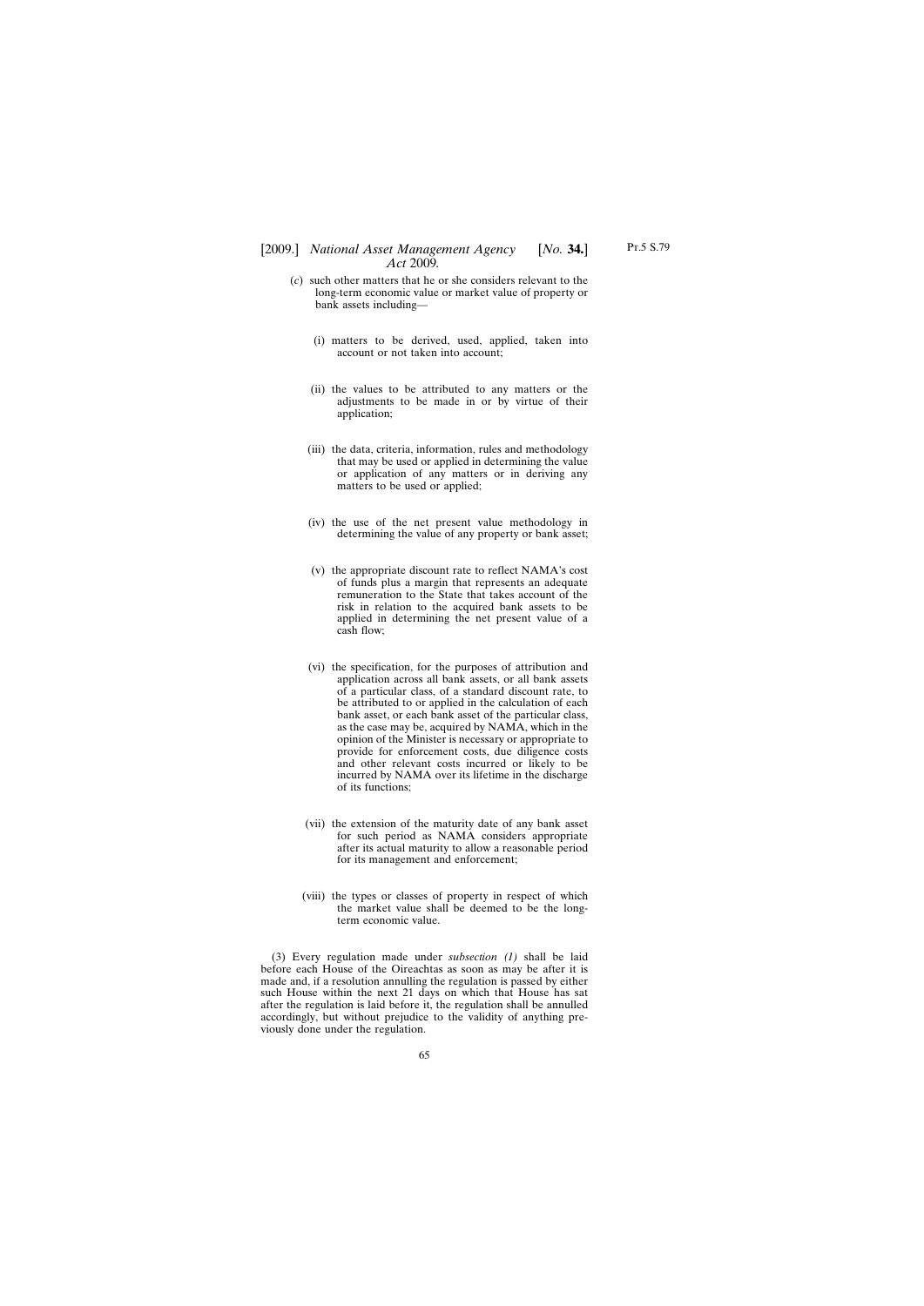- (*c*) such other matters that he or she considers relevant to the long-term economic value or market value of property or bank assets including—
	- (i) matters to be derived, used, applied, taken into account or not taken into account;
	- (ii) the values to be attributed to any matters or the adjustments to be made in or by virtue of their application;
	- (iii) the data, criteria, information, rules and methodology that may be used or applied in determining the value or application of any matters or in deriving any matters to be used or applied;
	- (iv) the use of the net present value methodology in determining the value of any property or bank asset;
	- (v) the appropriate discount rate to reflect NAMA's cost of funds plus a margin that represents an adequate remuneration to the State that takes account of the risk in relation to the acquired bank assets to be applied in determining the net present value of a cash flow;
	- (vi) the specification, for the purposes of attribution and application across all bank assets, or all bank assets of a particular class, of a standard discount rate, to be attributed to or applied in the calculation of each bank asset, or each bank asset of the particular class, as the case may be, acquired by NAMA, which in the opinion of the Minister is necessary or appropriate to provide for enforcement costs, due diligence costs and other relevant costs incurred or likely to be incurred by NAMA over its lifetime in the discharge of its functions;
	- (vii) the extension of the maturity date of any bank asset for such period as NAMA considers appropriate after its actual maturity to allow a reasonable period for its management and enforcement;
	- (viii) the types or classes of property in respect of which the market value shall be deemed to be the longterm economic value.

(3) Every regulation made under *subsection (1)* shall be laid before each House of the Oireachtas as soon as may be after it is made and, if a resolution annulling the regulation is passed by either such House within the next 21 days on which that House has sat after the regulation is laid before it, the regulation shall be annulled accordingly, but without prejudice to the validity of anything previously done under the regulation.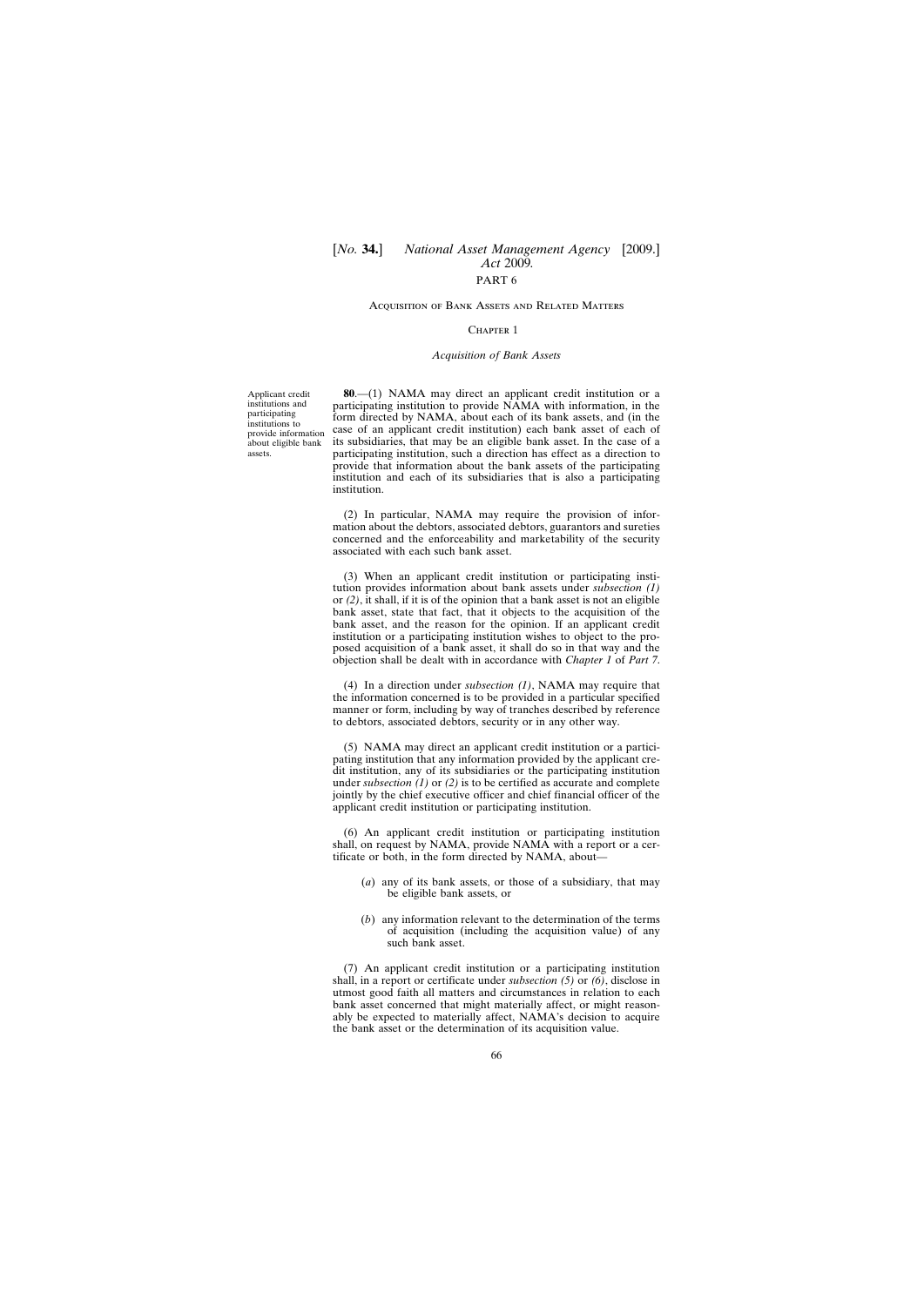#### Acquisition of Bank Assets and Related Matters

#### CHAPTER 1

#### *Acquisition of Bank Assets*

Applicant credit institutions and participating institutions to provide information about eligible bank assets.

**80**.—(1) NAMA may direct an applicant credit institution or a participating institution to provide NAMA with information, in the form directed by NAMA, about each of its bank assets, and (in the case of an applicant credit institution) each bank asset of each of its subsidiaries, that may be an eligible bank asset. In the case of a participating institution, such a direction has effect as a direction to provide that information about the bank assets of the participating institution and each of its subsidiaries that is also a participating institution.

(2) In particular, NAMA may require the provision of information about the debtors, associated debtors, guarantors and sureties concerned and the enforceability and marketability of the security associated with each such bank asset.

(3) When an applicant credit institution or participating institution provides information about bank assets under *subsection (1)* or *(2)*, it shall, if it is of the opinion that a bank asset is not an eligible bank asset, state that fact, that it objects to the acquisition of the bank asset, and the reason for the opinion. If an applicant credit institution or a participating institution wishes to object to the proposed acquisition of a bank asset, it shall do so in that way and the objection shall be dealt with in accordance with *Chapter 1* of *Part 7*.

(4) In a direction under *subsection (1)*, NAMA may require that the information concerned is to be provided in a particular specified manner or form, including by way of tranches described by reference to debtors, associated debtors, security or in any other way.

(5) NAMA may direct an applicant credit institution or a participating institution that any information provided by the applicant credit institution, any of its subsidiaries or the participating institution under *subsection (1)* or *(2)* is to be certified as accurate and complete jointly by the chief executive officer and chief financial officer of the applicant credit institution or participating institution.

(6) An applicant credit institution or participating institution shall, on request by NAMA, provide NAMA with a report or a certificate or both, in the form directed by NAMA, about—

- (*a*) any of its bank assets, or those of a subsidiary, that may be eligible bank assets, or
- (*b*) any information relevant to the determination of the terms of acquisition (including the acquisition value) of any such bank asset.

(7) An applicant credit institution or a participating institution shall, in a report or certificate under *subsection (5)* or *(6)*, disclose in utmost good faith all matters and circumstances in relation to each bank asset concerned that might materially affect, or might reasonably be expected to materially affect, NAMA's decision to acquire the bank asset or the determination of its acquisition value.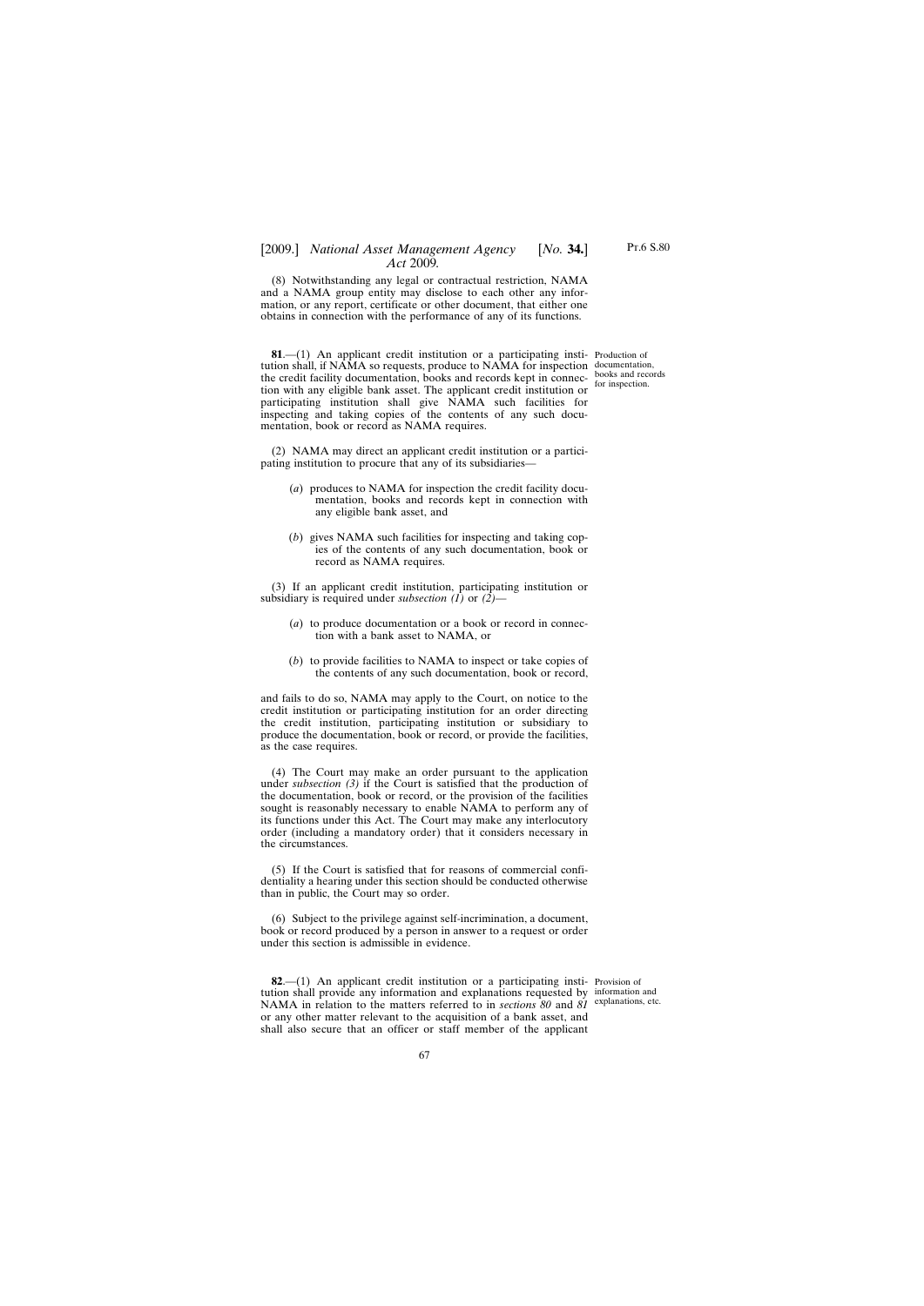(8) Notwithstanding any legal or contractual restriction, NAMA and a NAMA group entity may disclose to each other any information, or any report, certificate or other document, that either one obtains in connection with the performance of any of its functions.

**81.**—(1) An applicant credit institution or a participating insti- Production of tution shall, if NAMA so requests, produce to NAMA for inspection documentation, the credit facility documentation, books and records kept in connection with any eligible bank asset. The applicant credit institution or participating institution shall give NAMA such facilities for inspecting and taking copies of the contents of any such documentation, book or record as NAMA requires.

(2) NAMA may direct an applicant credit institution or a participating institution to procure that any of its subsidiaries—

- (*a*) produces to NAMA for inspection the credit facility documentation, books and records kept in connection with any eligible bank asset, and
- (*b*) gives NAMA such facilities for inspecting and taking copies of the contents of any such documentation, book or record as NAMA requires.

(3) If an applicant credit institution, participating institution or subsidiary is required under *subsection (1)* or *(2)*—

- (*a*) to produce documentation or a book or record in connection with a bank asset to NAMA, or
- (*b*) to provide facilities to NAMA to inspect or take copies of the contents of any such documentation, book or record,

and fails to do so, NAMA may apply to the Court, on notice to the credit institution or participating institution for an order directing the credit institution, participating institution or subsidiary to produce the documentation, book or record, or provide the facilities, as the case requires.

(4) The Court may make an order pursuant to the application under *subsection (3)* if the Court is satisfied that the production of the documentation, book or record, or the provision of the facilities sought is reasonably necessary to enable NAMA to perform any of its functions under this Act. The Court may make any interlocutory order (including a mandatory order) that it considers necessary in the circumstances.

(5) If the Court is satisfied that for reasons of commercial confidentiality a hearing under this section should be conducted otherwise than in public, the Court may so order.

(6) Subject to the privilege against self-incrimination, a document, book or record produced by a person in answer to a request or order under this section is admissible in evidence.

**82.**—(1) An applicant credit institution or a participating insti- Provision of tution shall provide any information and explanations requested by information and NAMA in relation to the matters referred to in *sections 80* and  $\delta I$  explanations, etc. or any other matter relevant to the acquisition of a bank asset, and shall also secure that an officer or staff member of the applicant

books and records for inspection.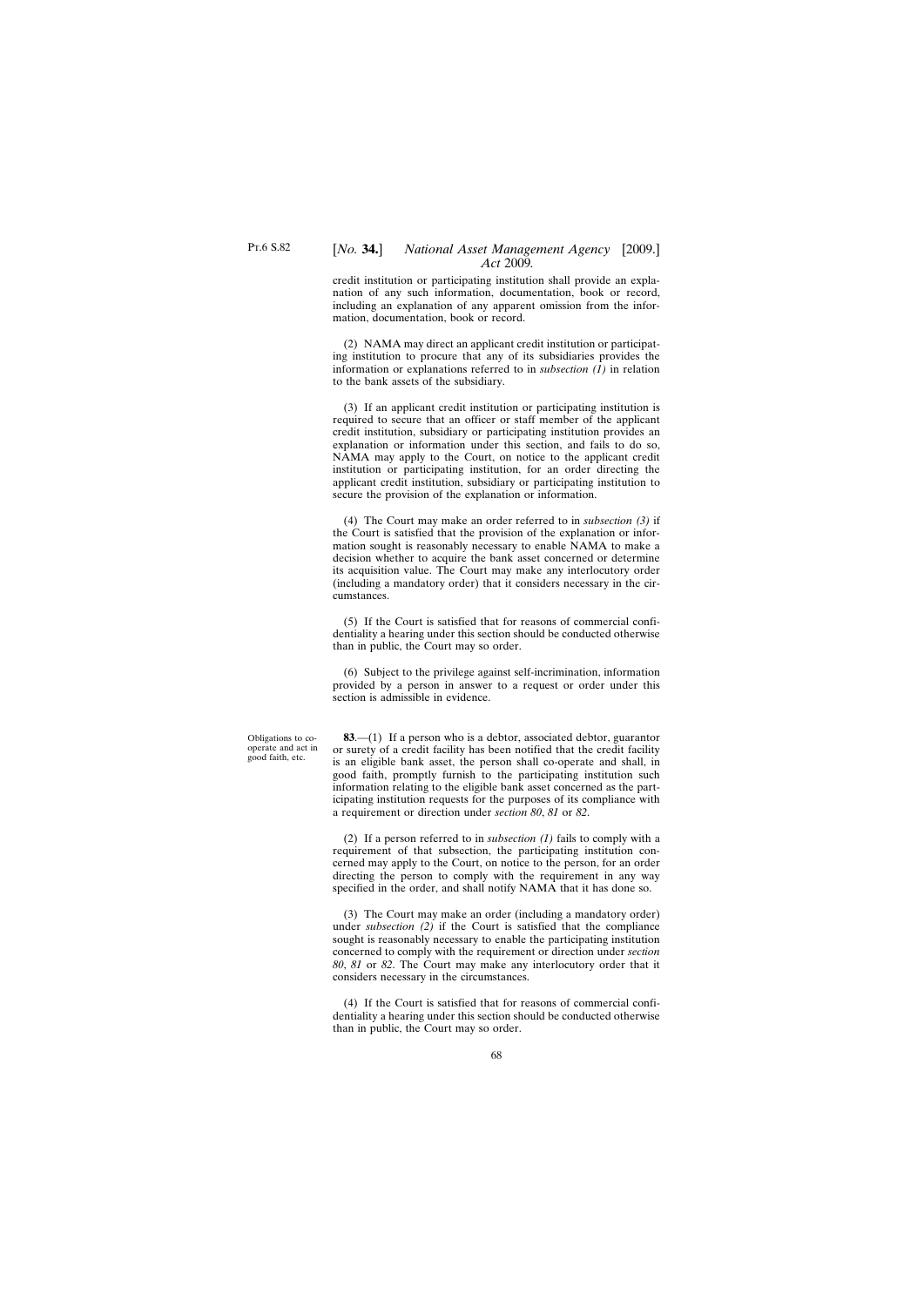credit institution or participating institution shall provide an explanation of any such information, documentation, book or record, including an explanation of any apparent omission from the information, documentation, book or record.

(2) NAMA may direct an applicant credit institution or participating institution to procure that any of its subsidiaries provides the information or explanations referred to in *subsection (1)* in relation to the bank assets of the subsidiary.

(3) If an applicant credit institution or participating institution is required to secure that an officer or staff member of the applicant credit institution, subsidiary or participating institution provides an explanation or information under this section, and fails to do so, NAMA may apply to the Court, on notice to the applicant credit institution or participating institution, for an order directing the applicant credit institution, subsidiary or participating institution to secure the provision of the explanation or information.

(4) The Court may make an order referred to in *subsection (3)* if the Court is satisfied that the provision of the explanation or information sought is reasonably necessary to enable NAMA to make a decision whether to acquire the bank asset concerned or determine its acquisition value. The Court may make any interlocutory order (including a mandatory order) that it considers necessary in the circumstances.

(5) If the Court is satisfied that for reasons of commercial confidentiality a hearing under this section should be conducted otherwise than in public, the Court may so order.

(6) Subject to the privilege against self-incrimination, information provided by a person in answer to a request or order under this section is admissible in evidence.

**83**.—(1) If a person who is a debtor, associated debtor, guarantor or surety of a credit facility has been notified that the credit facility is an eligible bank asset, the person shall co-operate and shall, in good faith, promptly furnish to the participating institution such information relating to the eligible bank asset concerned as the participating institution requests for the purposes of its compliance with a requirement or direction under *section 80*, *81* or *82*.

(2) If a person referred to in *subsection (1)* fails to comply with a requirement of that subsection, the participating institution concerned may apply to the Court, on notice to the person, for an order directing the person to comply with the requirement in any way specified in the order, and shall notify NAMA that it has done so.

(3) The Court may make an order (including a mandatory order) under *subsection (2)* if the Court is satisfied that the compliance sought is reasonably necessary to enable the participating institution concerned to comply with the requirement or direction under *section 80*, *81* or *82*. The Court may make any interlocutory order that it considers necessary in the circumstances.

(4) If the Court is satisfied that for reasons of commercial confidentiality a hearing under this section should be conducted otherwise than in public, the Court may so order.

Obligations to cooperate and act in good faith, etc.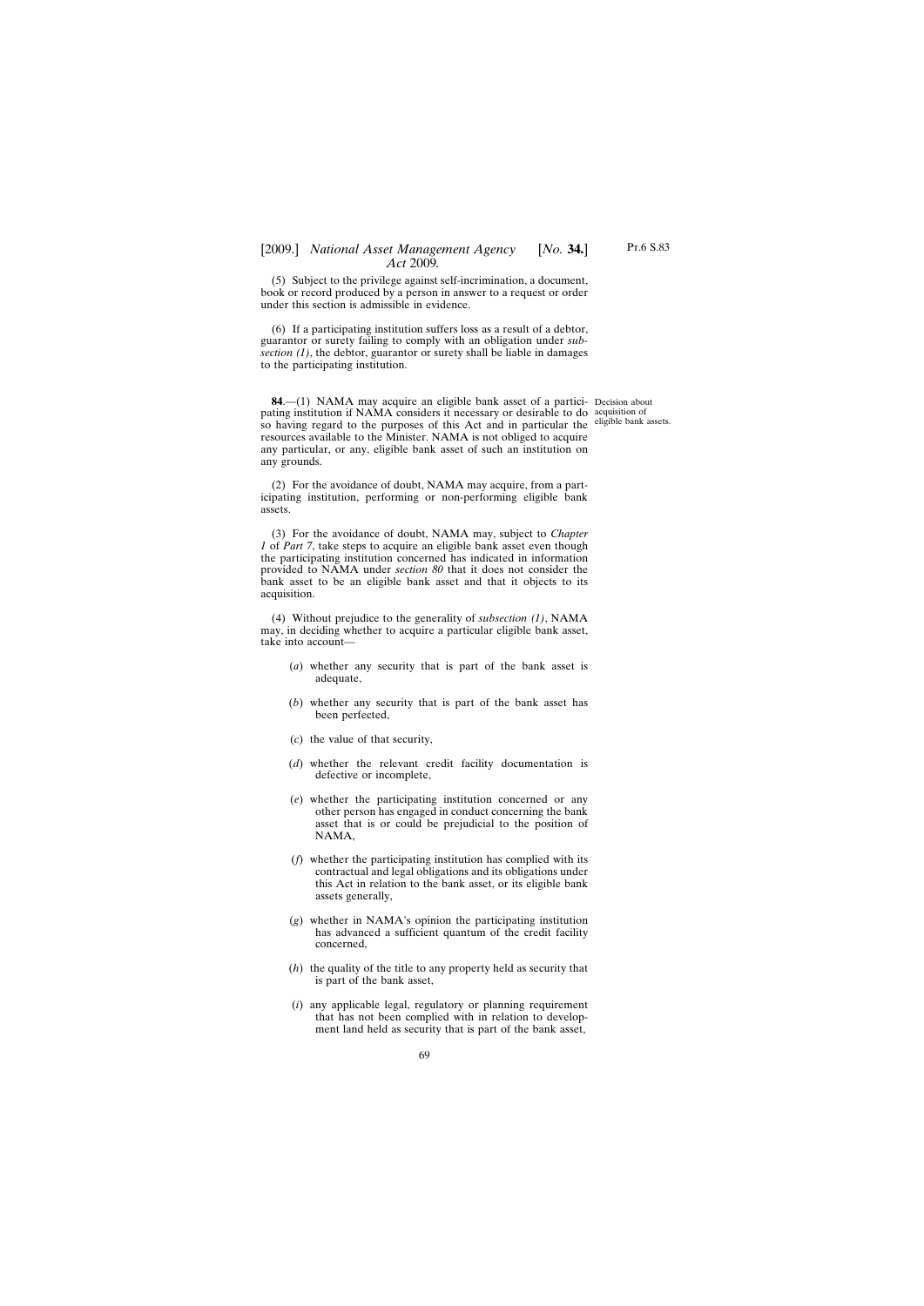(5) Subject to the privilege against self-incrimination, a document, book or record produced by a person in answer to a request or order under this section is admissible in evidence.

(6) If a participating institution suffers loss as a result of a debtor, guarantor or surety failing to comply with an obligation under *subsection (1)*, the debtor, guarantor or surety shall be liable in damages to the participating institution.

**84.**—(1) NAMA may acquire an eligible bank asset of a partici- Decision about pating institution if NAMA considers it necessary or desirable to do acquisition of so having regard to the purposes of this Act and in particular the eligible bank assets. resources available to the Minister. NAMA is not obliged to acquire any particular, or any, eligible bank asset of such an institution on any grounds.

(2) For the avoidance of doubt, NAMA may acquire, from a participating institution, performing or non-performing eligible bank assets.

(3) For the avoidance of doubt, NAMA may, subject to *Chapter 1* of *Part 7*, take steps to acquire an eligible bank asset even though the participating institution concerned has indicated in information provided to NAMA under *section 80* that it does not consider the bank asset to be an eligible bank asset and that it objects to its acquisition.

(4) Without prejudice to the generality of *subsection (1)*, NAMA may, in deciding whether to acquire a particular eligible bank asset, take into account—

- (*a*) whether any security that is part of the bank asset is adequate,
- (*b*) whether any security that is part of the bank asset has been perfected,
- (*c*) the value of that security,
- (*d*) whether the relevant credit facility documentation is defective or incomplete,
- (*e*) whether the participating institution concerned or any other person has engaged in conduct concerning the bank asset that is or could be prejudicial to the position of NAMA,
- (*f*) whether the participating institution has complied with its contractual and legal obligations and its obligations under this Act in relation to the bank asset, or its eligible bank assets generally,
- (*g*) whether in NAMA's opinion the participating institution has advanced a sufficient quantum of the credit facility concerned,
- (*h*) the quality of the title to any property held as security that is part of the bank asset,
- (*i*) any applicable legal, regulatory or planning requirement that has not been complied with in relation to development land held as security that is part of the bank asset,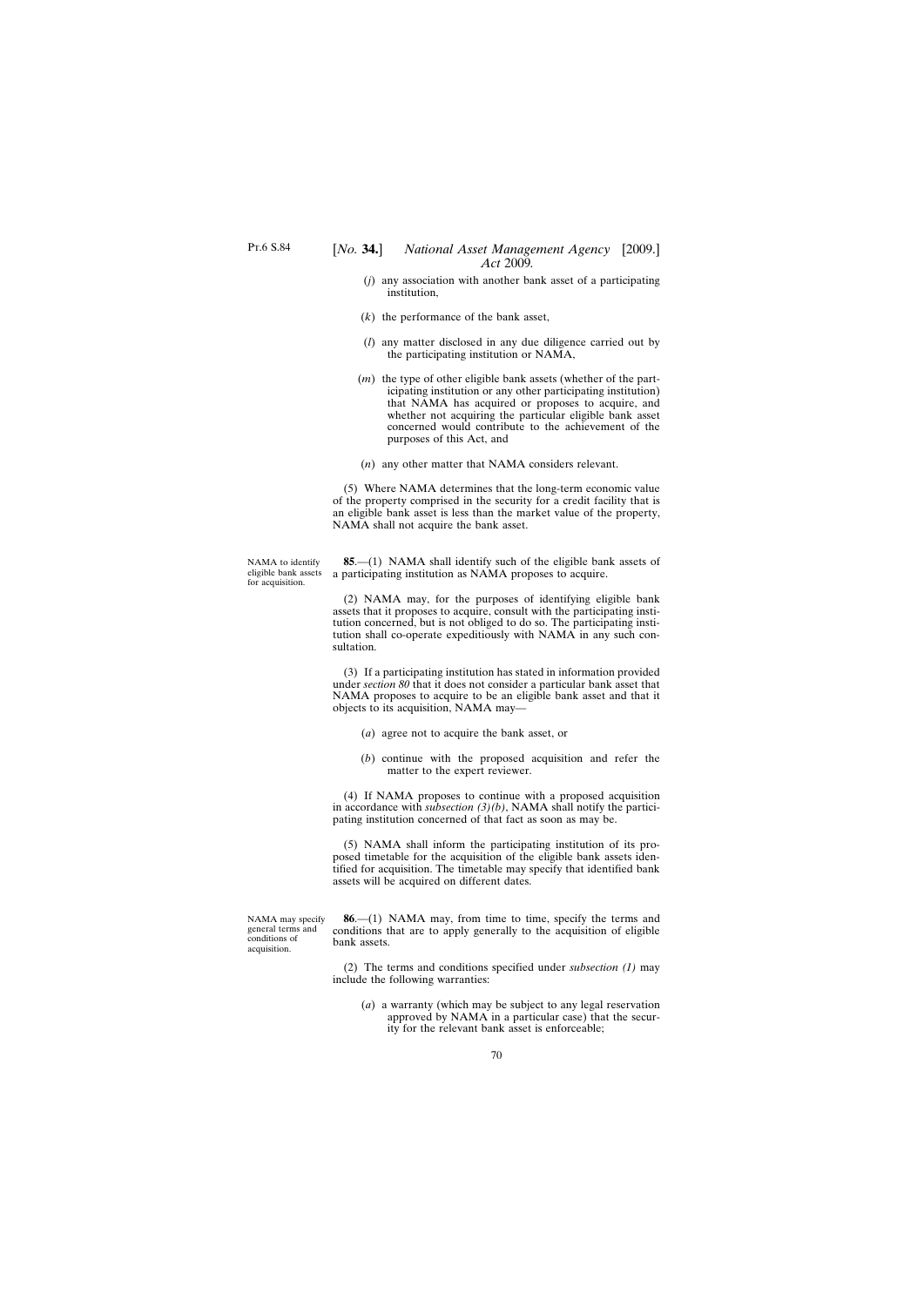- (*j*) any association with another bank asset of a participating institution,
- (*k*) the performance of the bank asset,
- (*l*) any matter disclosed in any due diligence carried out by the participating institution or NAMA,
- (*m*) the type of other eligible bank assets (whether of the participating institution or any other participating institution) that NAMA has acquired or proposes to acquire, and whether not acquiring the particular eligible bank asset concerned would contribute to the achievement of the purposes of this Act, and
- (*n*) any other matter that NAMA considers relevant.

(5) Where NAMA determines that the long-term economic value of the property comprised in the security for a credit facility that is an eligible bank asset is less than the market value of the property, NAMA shall not acquire the bank asset.

NAMA to identify eligible bank assets for acquisition.

**85**.—(1) NAMA shall identify such of the eligible bank assets of a participating institution as NAMA proposes to acquire.

(2) NAMA may, for the purposes of identifying eligible bank assets that it proposes to acquire, consult with the participating institution concerned, but is not obliged to do so. The participating institution shall co-operate expeditiously with NAMA in any such consultation.

(3) If a participating institution has stated in information provided under *section 80* that it does not consider a particular bank asset that NAMA proposes to acquire to be an eligible bank asset and that it objects to its acquisition, NAMA may—

- (*a*) agree not to acquire the bank asset, or
- (*b*) continue with the proposed acquisition and refer the matter to the expert reviewer.

(4) If NAMA proposes to continue with a proposed acquisition in accordance with *subsection (3)(b)*, NAMA shall notify the participating institution concerned of that fact as soon as may be.

(5) NAMA shall inform the participating institution of its proposed timetable for the acquisition of the eligible bank assets identified for acquisition. The timetable may specify that identified bank assets will be acquired on different dates.

NAMA may specify general terms and conditions of acquisition.

**86**.—(1) NAMA may, from time to time, specify the terms and conditions that are to apply generally to the acquisition of eligible bank assets.

(2) The terms and conditions specified under *subsection (1)* may include the following warranties:

(*a*) a warranty (which may be subject to any legal reservation approved by NAMA in a particular case) that the security for the relevant bank asset is enforceable;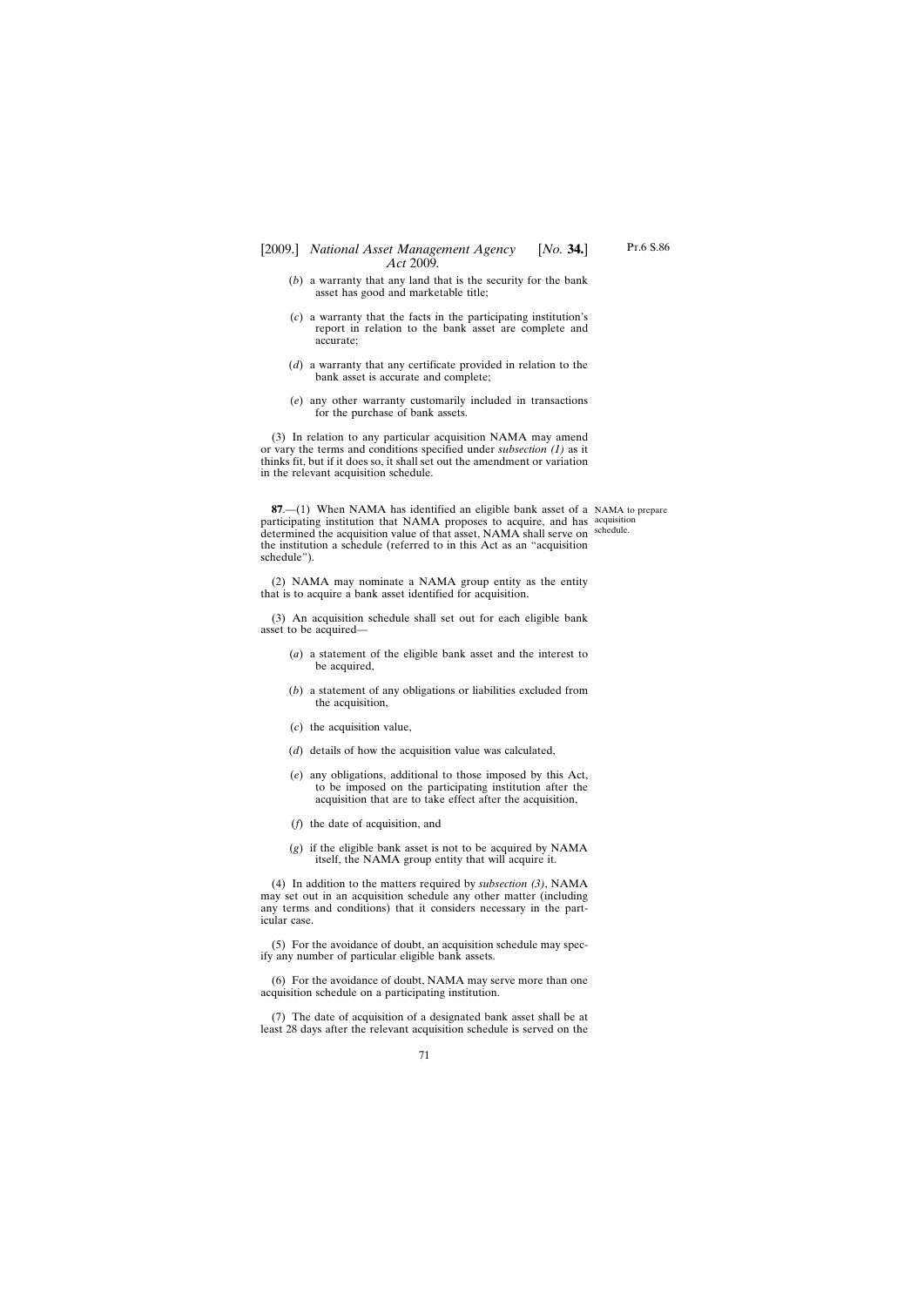- (*b*) a warranty that any land that is the security for the bank asset has good and marketable title;
- (*c*) a warranty that the facts in the participating institution's report in relation to the bank asset are complete and accurate;
- (*d*) a warranty that any certificate provided in relation to the bank asset is accurate and complete;
- (*e*) any other warranty customarily included in transactions for the purchase of bank assets.

(3) In relation to any particular acquisition NAMA may amend or vary the terms and conditions specified under *subsection (1)* as it thinks fit, but if it does so, it shall set out the amendment or variation in the relevant acquisition schedule.

**87.**—(1) When NAMA has identified an eligible bank asset of a NAMA to prepare participating institution that NAMA proposes to acquire, and has acquisition determined the acquisition value of that asset, NAMA shall serve on schedule. the institution a schedule (referred to in this Act as an "acquisition schedule").

(2) NAMA may nominate a NAMA group entity as the entity that is to acquire a bank asset identified for acquisition.

(3) An acquisition schedule shall set out for each eligible bank asset to be acquired—

- (*a*) a statement of the eligible bank asset and the interest to be acquired,
- (*b*) a statement of any obligations or liabilities excluded from the acquisition,
- (*c*) the acquisition value,
- (*d*) details of how the acquisition value was calculated,
- (*e*) any obligations, additional to those imposed by this Act, to be imposed on the participating institution after the acquisition that are to take effect after the acquisition,
- (*f*) the date of acquisition, and
- (*g*) if the eligible bank asset is not to be acquired by NAMA itself, the NAMA group entity that will acquire it.

(4) In addition to the matters required by *subsection (3)*, NAMA may set out in an acquisition schedule any other matter (including any terms and conditions) that it considers necessary in the particular case.

(5) For the avoidance of doubt, an acquisition schedule may specify any number of particular eligible bank assets.

(6) For the avoidance of doubt, NAMA may serve more than one acquisition schedule on a participating institution.

(7) The date of acquisition of a designated bank asset shall be at least 28 days after the relevant acquisition schedule is served on the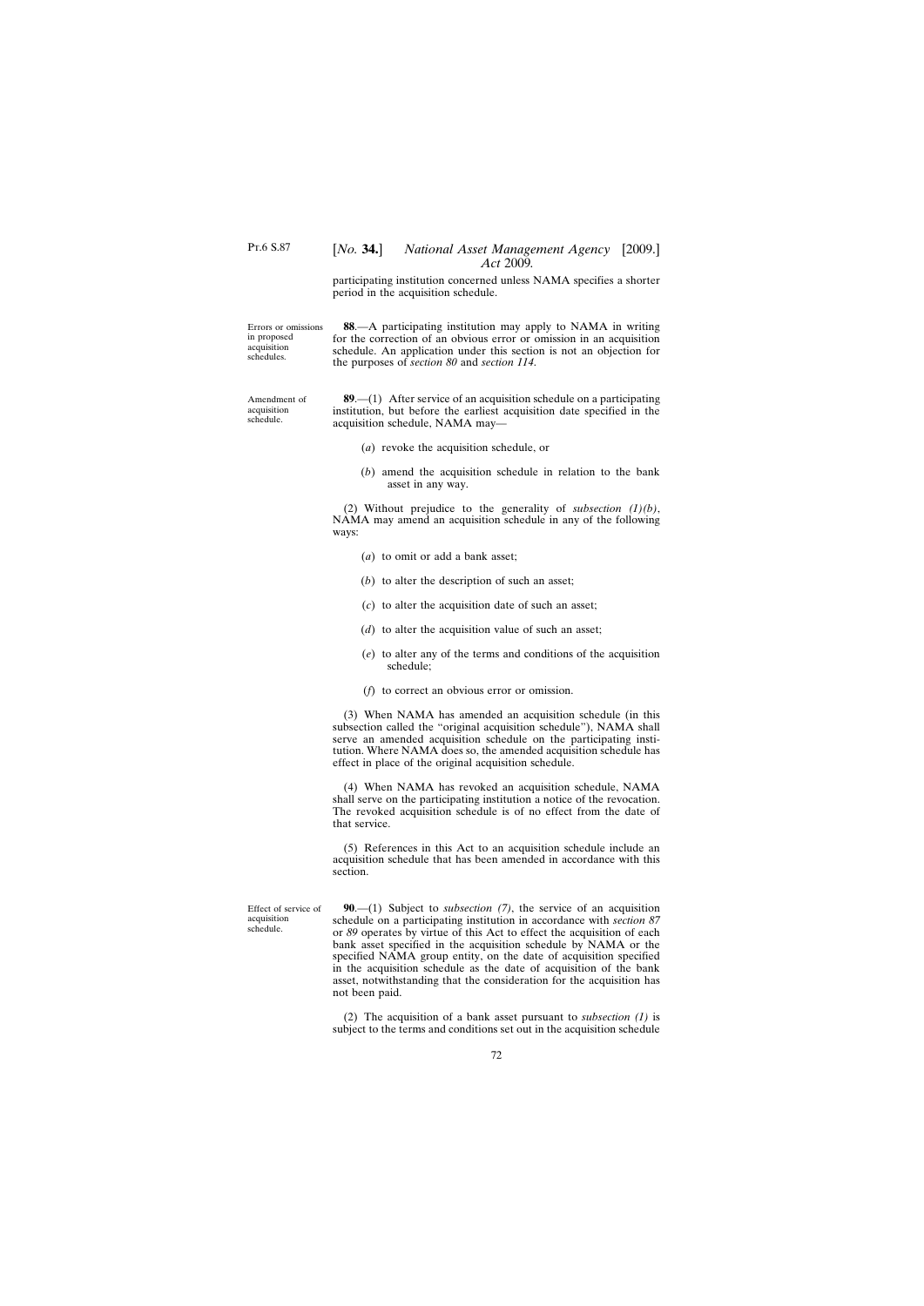participating institution concerned unless NAMA specifies a shorter period in the acquisition schedule.

**88**.—A participating institution may apply to NAMA in writing for the correction of an obvious error or omission in an acquisition schedule. An application under this section is not an objection for

Errors or omissions in proposed acquisition schedules.

Amendment of acquisition schedule.

**89**.—(1) After service of an acquisition schedule on a participating institution, but before the earliest acquisition date specified in the

(*a*) revoke the acquisition schedule, or

the purposes of *section 80* and *section 114*.

acquisition schedule, NAMA may—

(*b*) amend the acquisition schedule in relation to the bank asset in any way.

(2) Without prejudice to the generality of *subsection (1)(b)*, NAMA may amend an acquisition schedule in any of the following ways:

- (*a*) to omit or add a bank asset;
- (*b*) to alter the description of such an asset;
- (*c*) to alter the acquisition date of such an asset;
- (*d*) to alter the acquisition value of such an asset;
- (*e*) to alter any of the terms and conditions of the acquisition schedule;
- (*f*) to correct an obvious error or omission.

(3) When NAMA has amended an acquisition schedule (in this subsection called the "original acquisition schedule"), NAMA shall serve an amended acquisition schedule on the participating institution. Where NAMA does so, the amended acquisition schedule has effect in place of the original acquisition schedule.

(4) When NAMA has revoked an acquisition schedule, NAMA shall serve on the participating institution a notice of the revocation. The revoked acquisition schedule is of no effect from the date of that service.

(5) References in this Act to an acquisition schedule include an acquisition schedule that has been amended in accordance with this section.

**90**.—(1) Subject to *subsection (7)*, the service of an acquisition schedule on a participating institution in accordance with *section 87* or *89* operates by virtue of this Act to effect the acquisition of each bank asset specified in the acquisition schedule by NAMA or the specified NAMA group entity, on the date of acquisition specified in the acquisition schedule as the date of acquisition of the bank asset, notwithstanding that the consideration for the acquisition has not been paid.

(2) The acquisition of a bank asset pursuant to *subsection (1)* is subject to the terms and conditions set out in the acquisition schedule

Effect of service of acquisition schedule.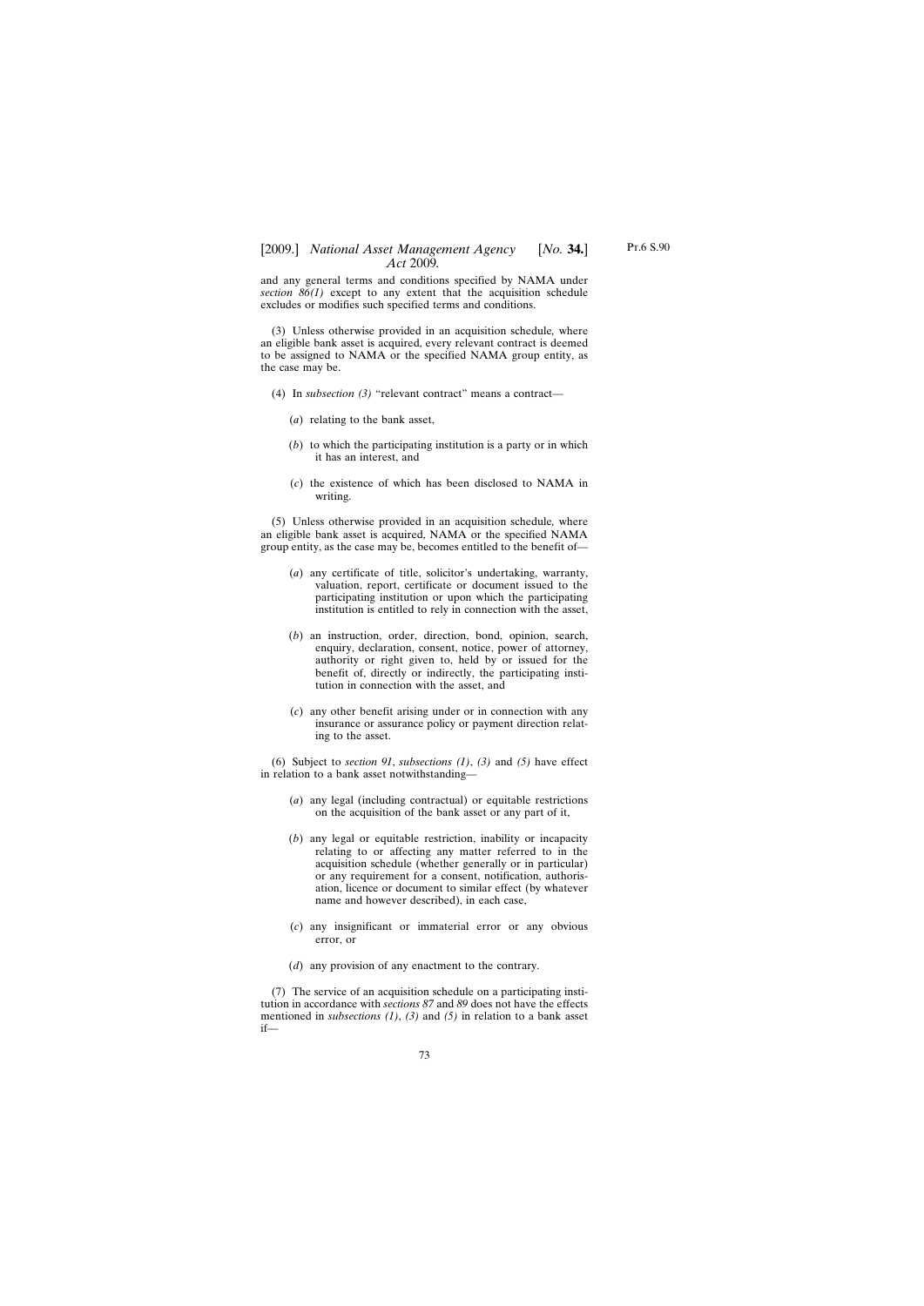### [2009.] [ *National Asset Management Agency No.* **34.**] *Act* 2009*.*

and any general terms and conditions specified by NAMA under *section 86(1)* except to any extent that the acquisition schedule excludes or modifies such specified terms and conditions.

(3) Unless otherwise provided in an acquisition schedule*,* where an eligible bank asset is acquired, every relevant contract is deemed to be assigned to NAMA or the specified NAMA group entity, as the case may be.

- (4) In *subsection (3)* "relevant contract" means a contract—
	- (*a*) relating to the bank asset,
	- (*b*) to which the participating institution is a party or in which it has an interest, and
	- (*c*) the existence of which has been disclosed to NAMA in writing.

(5) Unless otherwise provided in an acquisition schedule*,* where an eligible bank asset is acquired, NAMA or the specified NAMA group entity, as the case may be, becomes entitled to the benefit of—

- (*a*) any certificate of title, solicitor's undertaking, warranty, valuation, report, certificate or document issued to the participating institution or upon which the participating institution is entitled to rely in connection with the asset,
- (*b*) an instruction, order, direction, bond, opinion, search, enquiry, declaration, consent, notice, power of attorney, authority or right given to, held by or issued for the benefit of, directly or indirectly, the participating institution in connection with the asset, and
- (*c*) any other benefit arising under or in connection with any insurance or assurance policy or payment direction relating to the asset.

(6) Subject to *section 91*, *subsections (1)*, *(3)* and *(5)* have effect in relation to a bank asset notwithstanding—

- (*a*) any legal (including contractual) or equitable restrictions on the acquisition of the bank asset or any part of it,
- (*b*) any legal or equitable restriction, inability or incapacity relating to or affecting any matter referred to in the acquisition schedule (whether generally or in particular) or any requirement for a consent, notification, authorisation, licence or document to similar effect (by whatever name and however described), in each case,
- (*c*) any insignificant or immaterial error or any obvious error, or
- (*d*) any provision of any enactment to the contrary.

(7) The service of an acquisition schedule on a participating institution in accordance with *sections 87* and *89* does not have the effects mentioned in *subsections (1)*, *(3)* and *(5)* in relation to a bank asset if—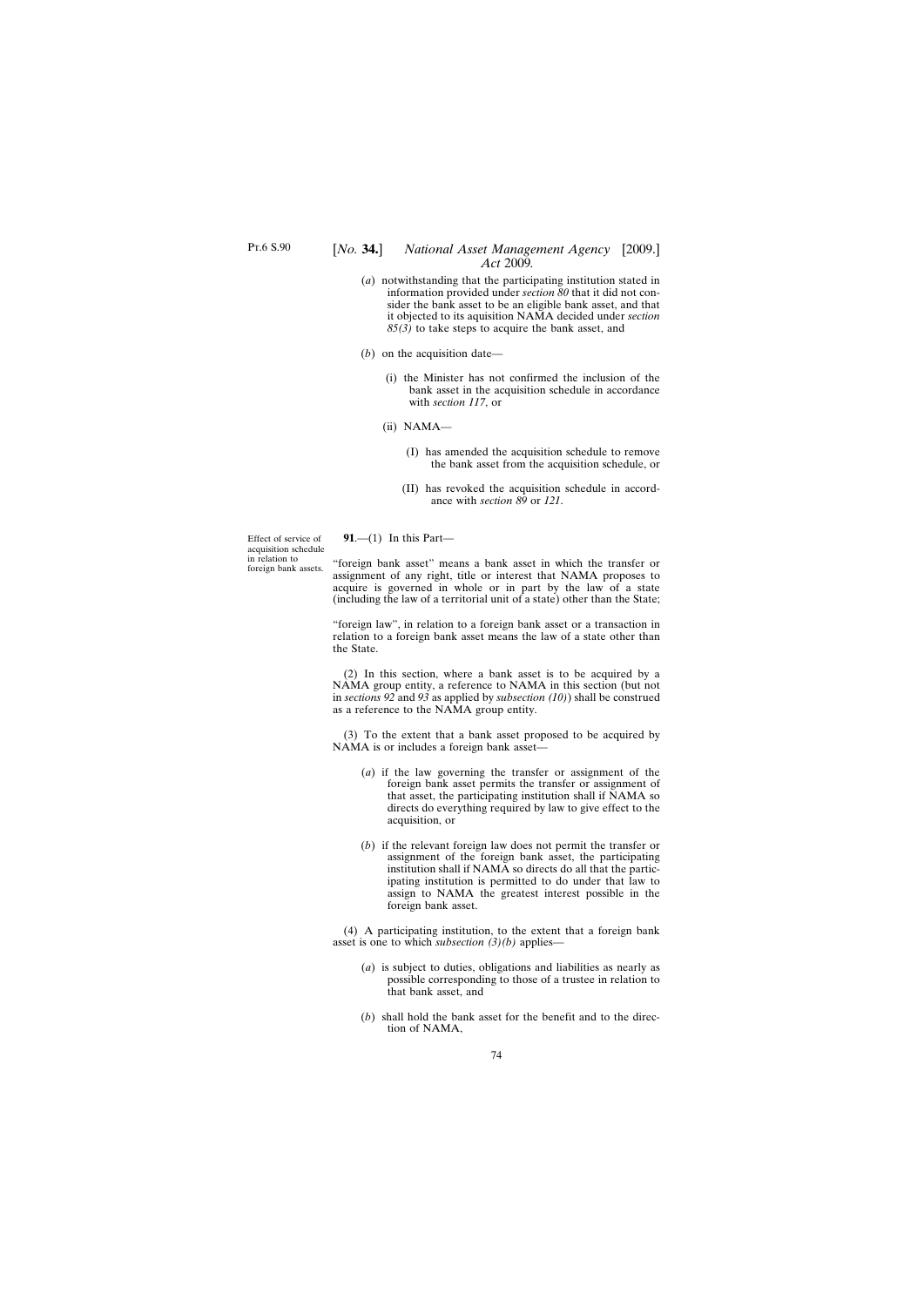- (*a*) notwithstanding that the participating institution stated in information provided under *section 80* that it did not consider the bank asset to be an eligible bank asset, and that it objected to its aquisition NAMA decided under *section 85(3)* to take steps to acquire the bank asset, and
- (*b*) on the acquisition date—
	- (i) the Minister has not confirmed the inclusion of the bank asset in the acquisition schedule in accordance with *section 117*, or
	- (ii) NAMA—
		- (I) has amended the acquisition schedule to remove the bank asset from the acquisition schedule, or
		- (II) has revoked the acquisition schedule in accordance with *section 89* or *121*.

Effect of service of acquisition schedule in relation to foreign bank assets.

**91**.—(1) In this Part—

"foreign bank asset" means a bank asset in which the transfer or assignment of any right, title or interest that NAMA proposes to acquire is governed in whole or in part by the law of a state (including the law of a territorial unit of a state) other than the State;

"foreign law", in relation to a foreign bank asset or a transaction in relation to a foreign bank asset means the law of a state other than the State.

(2) In this section, where a bank asset is to be acquired by a NAMA group entity, a reference to NAMA in this section (but not in *sections 92* and *93* as applied by *subsection (10)*) shall be construed as a reference to the NAMA group entity.

(3) To the extent that a bank asset proposed to be acquired by NAMA is or includes a foreign bank asset—

- (*a*) if the law governing the transfer or assignment of the foreign bank asset permits the transfer or assignment of that asset, the participating institution shall if NAMA so directs do everything required by law to give effect to the acquisition, or
- (*b*) if the relevant foreign law does not permit the transfer or assignment of the foreign bank asset, the participating institution shall if NAMA so directs do all that the participating institution is permitted to do under that law to assign to NAMA the greatest interest possible in the foreign bank asset.

(4) A participating institution, to the extent that a foreign bank asset is one to which *subsection (3)(b)* applies—

- (*a*) is subject to duties, obligations and liabilities as nearly as possible corresponding to those of a trustee in relation to that bank asset, and
- (*b*) shall hold the bank asset for the benefit and to the direction of NAMA,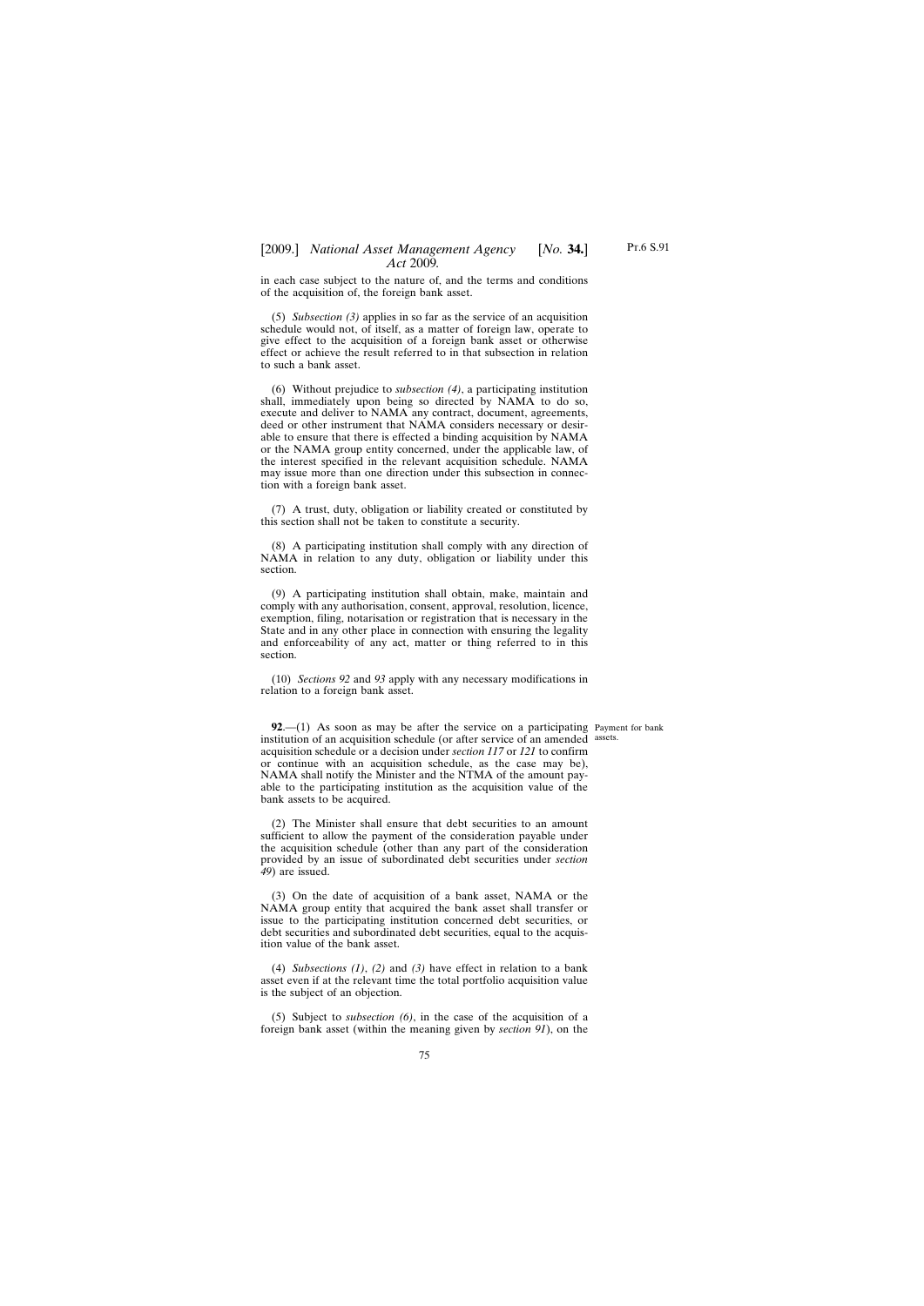# [2009.] *National Asset Management Agency* [*No.* **34.**] *Act* 2009*.*

in each case subject to the nature of, and the terms and conditions of the acquisition of, the foreign bank asset.

(5) *Subsection (3)* applies in so far as the service of an acquisition schedule would not, of itself, as a matter of foreign law, operate to give effect to the acquisition of a foreign bank asset or otherwise effect or achieve the result referred to in that subsection in relation to such a bank asset.

(6) Without prejudice to *subsection (4)*, a participating institution shall, immediately upon being so directed by NAMA to do so, execute and deliver to NAMA any contract, document, agreements, deed or other instrument that NAMA considers necessary or desirable to ensure that there is effected a binding acquisition by NAMA or the NAMA group entity concerned, under the applicable law, of the interest specified in the relevant acquisition schedule. NAMA may issue more than one direction under this subsection in connection with a foreign bank asset.

(7) A trust, duty, obligation or liability created or constituted by this section shall not be taken to constitute a security.

(8) A participating institution shall comply with any direction of NAMA in relation to any duty, obligation or liability under this section.

(9) A participating institution shall obtain, make, maintain and comply with any authorisation, consent, approval, resolution, licence, exemption, filing, notarisation or registration that is necessary in the State and in any other place in connection with ensuring the legality and enforceability of any act, matter or thing referred to in this section.

(10) *Sections 92* and *93* apply with any necessary modifications in relation to a foreign bank asset.

**92.**—(1) As soon as may be after the service on a participating Payment for bank institution of an acquisition schedule (or after service of an amended assets.acquisition schedule or a decision under *section 117* or *121* to confirm or continue with an acquisition schedule, as the case may be), NAMA shall notify the Minister and the NTMA of the amount payable to the participating institution as the acquisition value of the bank assets to be acquired.

(2) The Minister shall ensure that debt securities to an amount sufficient to allow the payment of the consideration payable under the acquisition schedule (other than any part of the consideration provided by an issue of subordinated debt securities under *section 49*) are issued.

(3) On the date of acquisition of a bank asset, NAMA or the NAMA group entity that acquired the bank asset shall transfer or issue to the participating institution concerned debt securities, or debt securities and subordinated debt securities, equal to the acquisition value of the bank asset.

(4) *Subsections (1)*, *(2)* and *(3)* have effect in relation to a bank asset even if at the relevant time the total portfolio acquisition value is the subject of an objection.

(5) Subject to *subsection (6)*, in the case of the acquisition of a foreign bank asset (within the meaning given by *section 91*), on the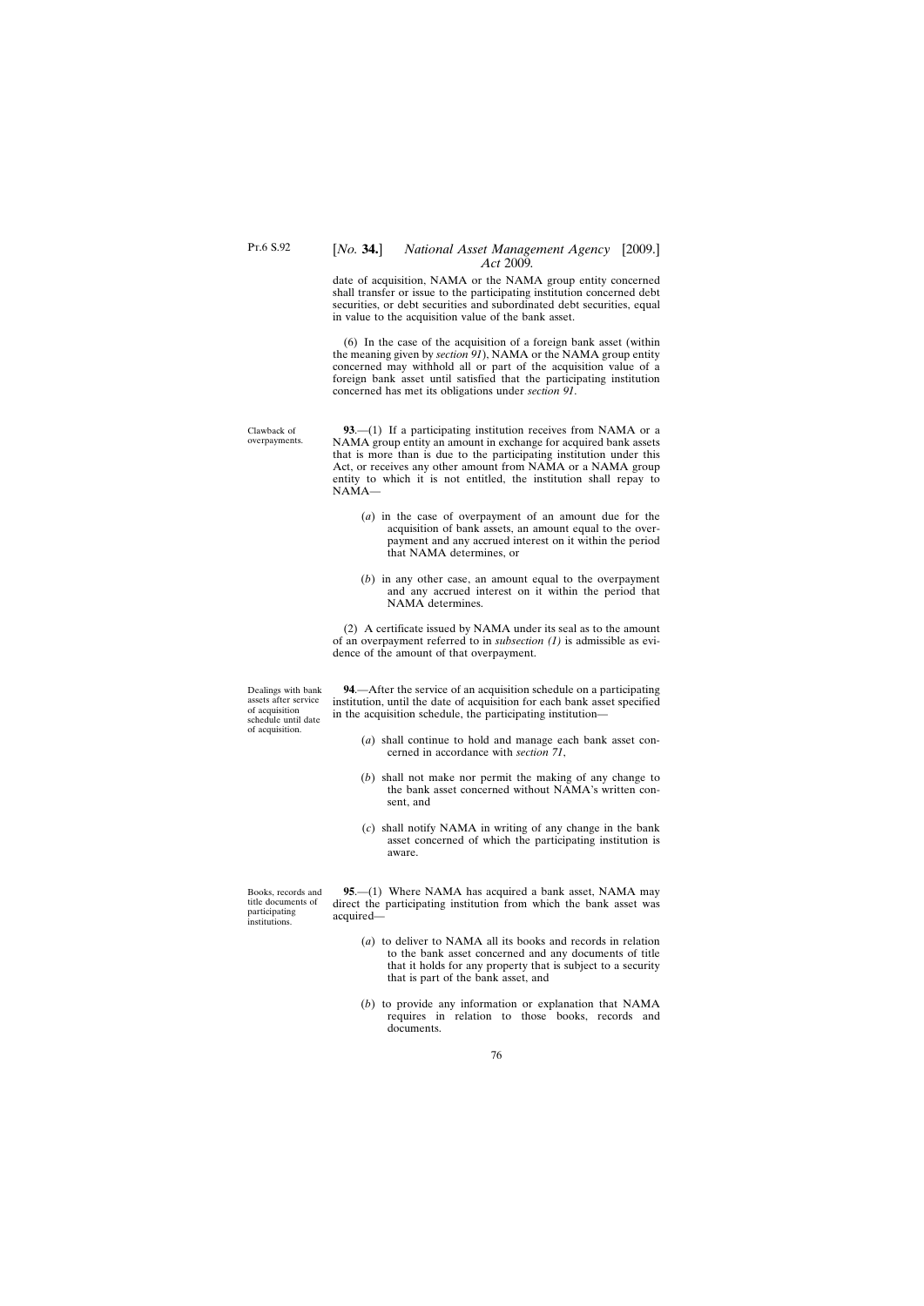Clawback of overpayments.

## [*No.* **34.**] *National Asset Management Agency* [2009.] *Act* 2009*.*

date of acquisition, NAMA or the NAMA group entity concerned shall transfer or issue to the participating institution concerned debt securities, or debt securities and subordinated debt securities, equal in value to the acquisition value of the bank asset.

(6) In the case of the acquisition of a foreign bank asset (within the meaning given by *section 91*), NAMA or the NAMA group entity concerned may withhold all or part of the acquisition value of a foreign bank asset until satisfied that the participating institution concerned has met its obligations under *section 91*.

**93**.—(1) If a participating institution receives from NAMA or a NAMA group entity an amount in exchange for acquired bank assets that is more than is due to the participating institution under this Act, or receives any other amount from NAMA or a NAMA group entity to which it is not entitled, the institution shall repay to NAMA—

- (*a*) in the case of overpayment of an amount due for the acquisition of bank assets, an amount equal to the overpayment and any accrued interest on it within the period that NAMA determines, or
- (*b*) in any other case, an amount equal to the overpayment and any accrued interest on it within the period that NAMA determines.

(2) A certificate issued by NAMA under its seal as to the amount of an overpayment referred to in *subsection (1)* is admissible as evidence of the amount of that overpayment.

Dealings with bank assets after service of acquisition schedule until date of acquisition.

**94**.—After the service of an acquisition schedule on a participating institution, until the date of acquisition for each bank asset specified in the acquisition schedule, the participating institution—

- (*a*) shall continue to hold and manage each bank asset concerned in accordance with *section 71*,
- (*b*) shall not make nor permit the making of any change to the bank asset concerned without NAMA's written consent, and
- (*c*) shall notify NAMA in writing of any change in the bank asset concerned of which the participating institution is aware.

Books, records and title documents of participating institutions.

**95**.—(1) Where NAMA has acquired a bank asset, NAMA may direct the participating institution from which the bank asset was acquired—

- (*a*) to deliver to NAMA all its books and records in relation to the bank asset concerned and any documents of title that it holds for any property that is subject to a security that is part of the bank asset, and
- (*b*) to provide any information or explanation that NAMA requires in relation to those books, records and documents.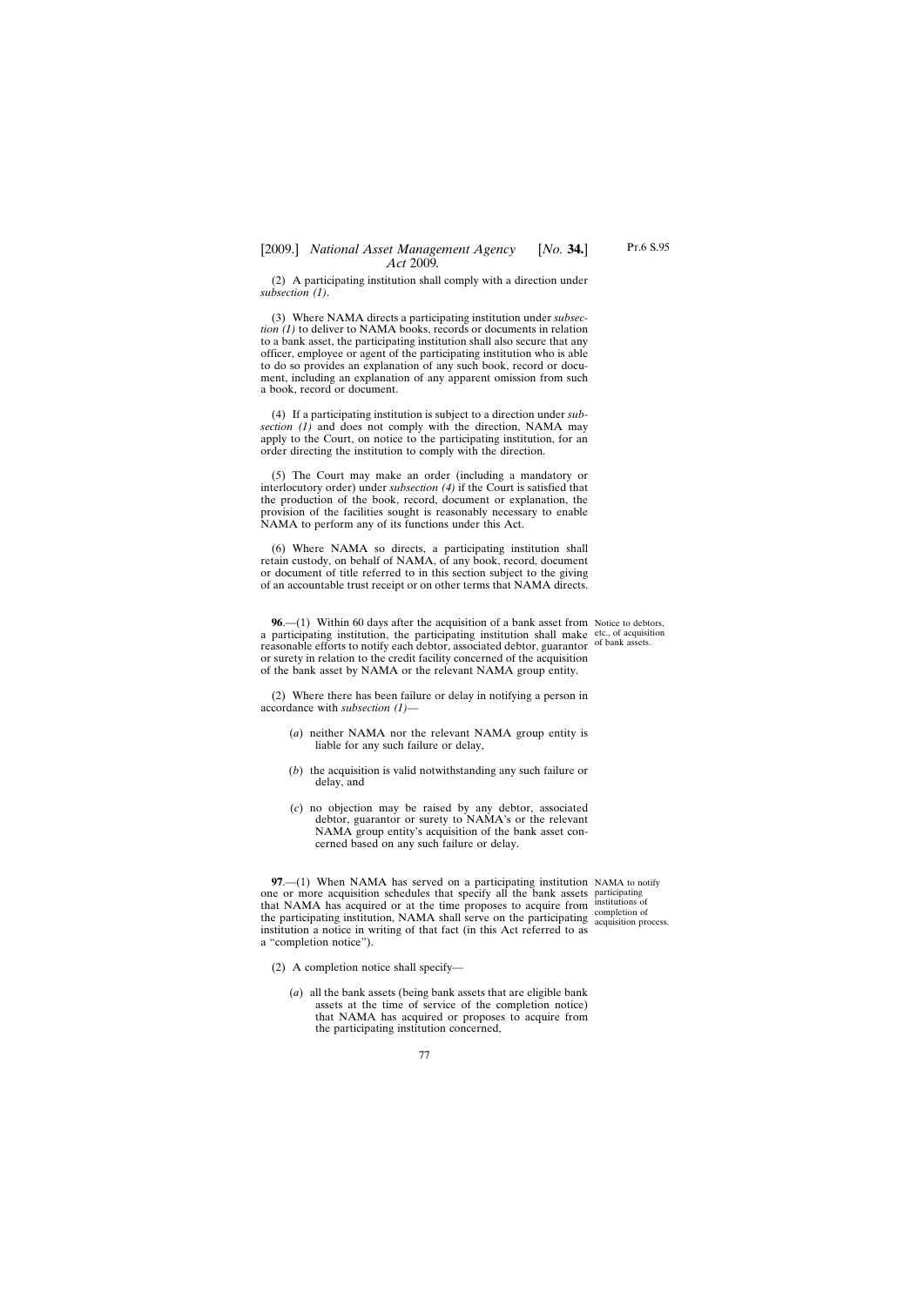# [2009.] [ *National Asset Management Agency No.* **34.**] *Act* 2009*.*

(2) A participating institution shall comply with a direction under *subsection (1)*.

(3) Where NAMA directs a participating institution under *subsection (1)* to deliver to NAMA books, records or documents in relation to a bank asset, the participating institution shall also secure that any officer, employee or agent of the participating institution who is able to do so provides an explanation of any such book, record or document, including an explanation of any apparent omission from such a book, record or document.

(4) If a participating institution is subject to a direction under *subsection (1)* and does not comply with the direction, NAMA may apply to the Court, on notice to the participating institution, for an order directing the institution to comply with the direction.

(5) The Court may make an order (including a mandatory or interlocutory order) under *subsection (4)* if the Court is satisfied that the production of the book, record, document or explanation, the provision of the facilities sought is reasonably necessary to enable NAMA to perform any of its functions under this Act.

(6) Where NAMA so directs, a participating institution shall retain custody, on behalf of NAMA, of any book, record, document or document of title referred to in this section subject to the giving of an accountable trust receipt or on other terms that NAMA directs.

**96.**—(1) Within 60 days after the acquisition of a bank asset from Notice to debtors, a participating institution, the participating institution shall make etc., of acquisition reasonable efforts to notify each debtor, associated debtor, guarantor of bank assets. or surety in relation to the credit facility concerned of the acquisition of the bank asset by NAMA or the relevant NAMA group entity.

(2) Where there has been failure or delay in notifying a person in accordance with *subsection (1)*—

- (*a*) neither NAMA nor the relevant NAMA group entity is liable for any such failure or delay,
- (*b*) the acquisition is valid notwithstanding any such failure or delay, and
- (*c*) no objection may be raised by any debtor, associated debtor, guarantor or surety to NAMA's or the relevant NAMA group entity's acquisition of the bank asset concerned based on any such failure or delay.

**97.**—(1) When NAMA has served on a participating institution NAMA to notify one or more acquisition schedules that specify all the bank assets participating that NAMA has acquired or at the time proposes to acquire from  $\frac{\text{insitutions of}}{\text{complement}}$ the participating institution, NAMA shall serve on the participating acquisition or institution a notice in writing of that fact (in this Act referred to as a "completion notice").

acquisition process.

- (2) A completion notice shall specify—
	- (*a*) all the bank assets (being bank assets that are eligible bank assets at the time of service of the completion notice) that NAMA has acquired or proposes to acquire from the participating institution concerned,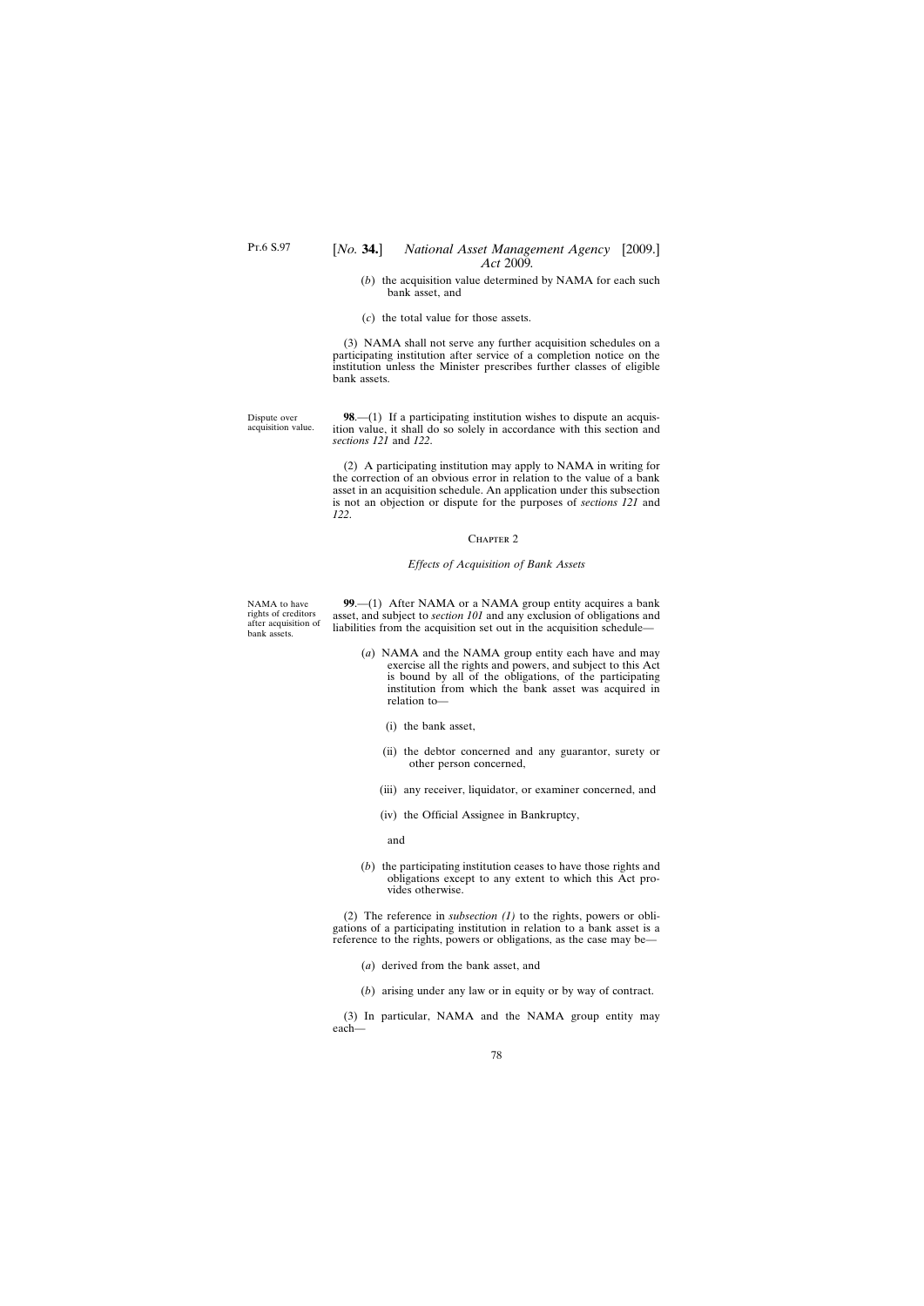- (*b*) the acquisition value determined by NAMA for each such bank asset, and
- (*c*) the total value for those assets.

(3) NAMA shall not serve any further acquisition schedules on a participating institution after service of a completion notice on the institution unless the Minister prescribes further classes of eligible bank assets.

Dispute over acquisition value.

**98.—(1)** If a participating institution wishes to dispute an acquisition value, it shall do so solely in accordance with this section and *sections 121* and *122*.

(2) A participating institution may apply to NAMA in writing for the correction of an obvious error in relation to the value of a bank asset in an acquisition schedule. An application under this subsection is not an objection or dispute for the purposes of *sections 121* and *122*.

#### CHAPTER<sub>2</sub>

#### *Effects of Acquisition of Bank Assets*

NAMA to have rights of creditors after acquisition of bank assets.

**99**.—(1) After NAMA or a NAMA group entity acquires a bank asset, and subject to *section 101* and any exclusion of obligations and liabilities from the acquisition set out in the acquisition schedule—

- (*a*) NAMA and the NAMA group entity each have and may exercise all the rights and powers, and subject to this Act is bound by all of the obligations, of the participating institution from which the bank asset was acquired in relation to—
	- (i) the bank asset,
	- (ii) the debtor concerned and any guarantor, surety or other person concerned,
	- (iii) any receiver, liquidator, or examiner concerned, and
	- (iv) the Official Assignee in Bankruptcy,

and

(*b*) the participating institution ceases to have those rights and obligations except to any extent to which this Act provides otherwise.

(2) The reference in *subsection (1)* to the rights, powers or obligations of a participating institution in relation to a bank asset is a reference to the rights, powers or obligations, as the case may be—

- (*a*) derived from the bank asset, and
- (*b*) arising under any law or in equity or by way of contract.

(3) In particular, NAMA and the NAMA group entity may each—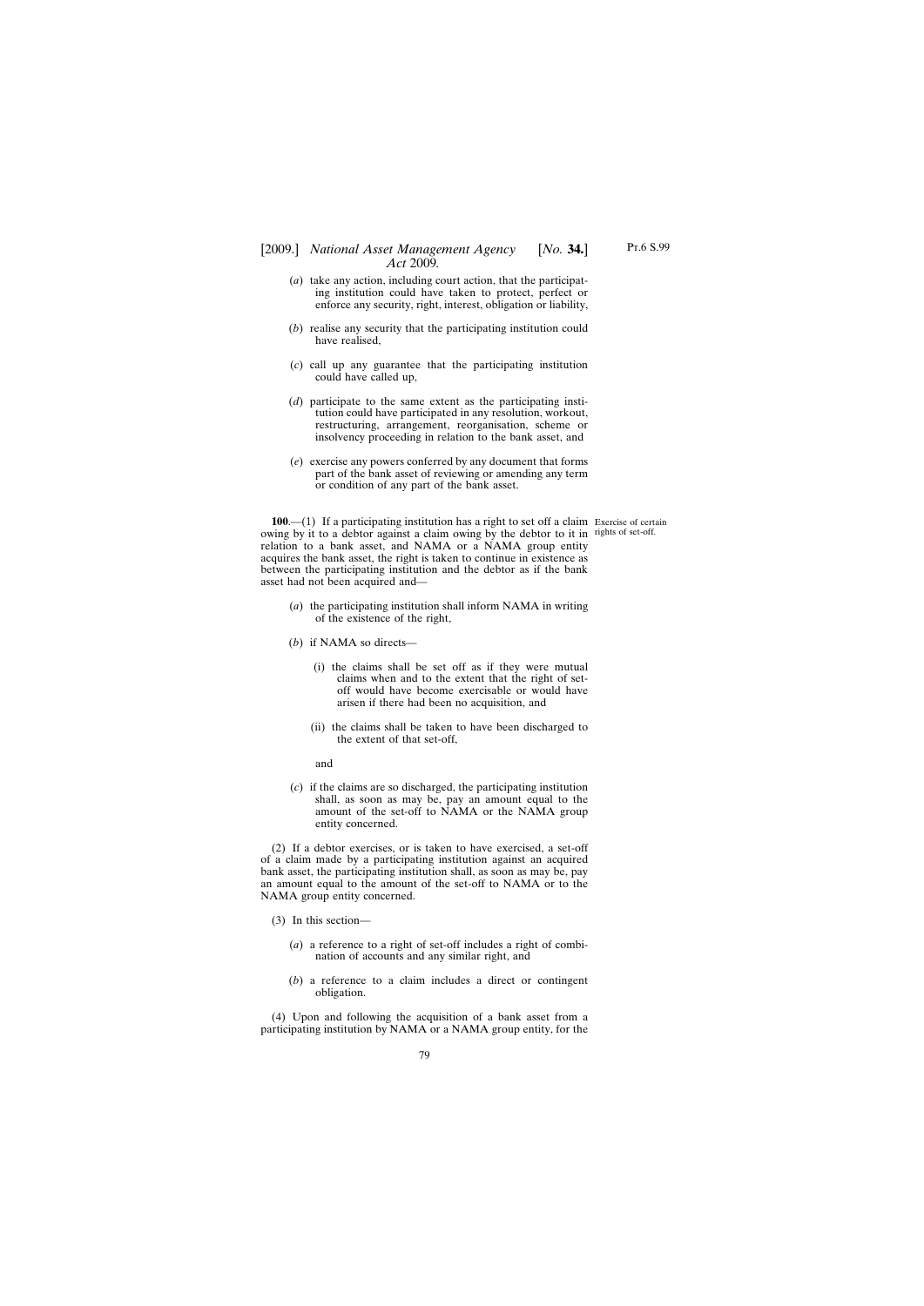## [2009.] *National Asset Management Agency* [*No.* **34.**] *Act* 2009*.*

- (*a*) take any action, including court action, that the participating institution could have taken to protect, perfect or enforce any security, right, interest, obligation or liability,
- (*b*) realise any security that the participating institution could have realised,
- (*c*) call up any guarantee that the participating institution could have called up,
- (*d*) participate to the same extent as the participating institution could have participated in any resolution, workout, restructuring, arrangement, reorganisation, scheme or insolvency proceeding in relation to the bank asset, and
- (*e*) exercise any powers conferred by any document that forms part of the bank asset of reviewing or amending any term or condition of any part of the bank asset.

**100.**—(1) If a participating institution has a right to set off a claim Exercise of certain owing by it to a debtor against a claim owing by the debtor to it in rights of set-off.relation to a bank asset, and NAMA or a NAMA group entity acquires the bank asset, the right is taken to continue in existence as between the participating institution and the debtor as if the bank asset had not been acquired and—

- (*a*) the participating institution shall inform NAMA in writing of the existence of the right,
- (*b*) if NAMA so directs—
	- (i) the claims shall be set off as if they were mutual claims when and to the extent that the right of setoff would have become exercisable or would have arisen if there had been no acquisition, and
	- (ii) the claims shall be taken to have been discharged to the extent of that set-off,
	- and
- (*c*) if the claims are so discharged, the participating institution shall, as soon as may be, pay an amount equal to the amount of the set-off to NAMA or the NAMA group entity concerned.

(2) If a debtor exercises, or is taken to have exercised, a set-off of a claim made by a participating institution against an acquired bank asset, the participating institution shall, as soon as may be, pay an amount equal to the amount of the set-off to NAMA or to the NAMA group entity concerned.

- (3) In this section—
	- (*a*) a reference to a right of set-off includes a right of combination of accounts and any similar right, and
	- (*b*) a reference to a claim includes a direct or contingent obligation.

(4) Upon and following the acquisition of a bank asset from a participating institution by NAMA or a NAMA group entity, for the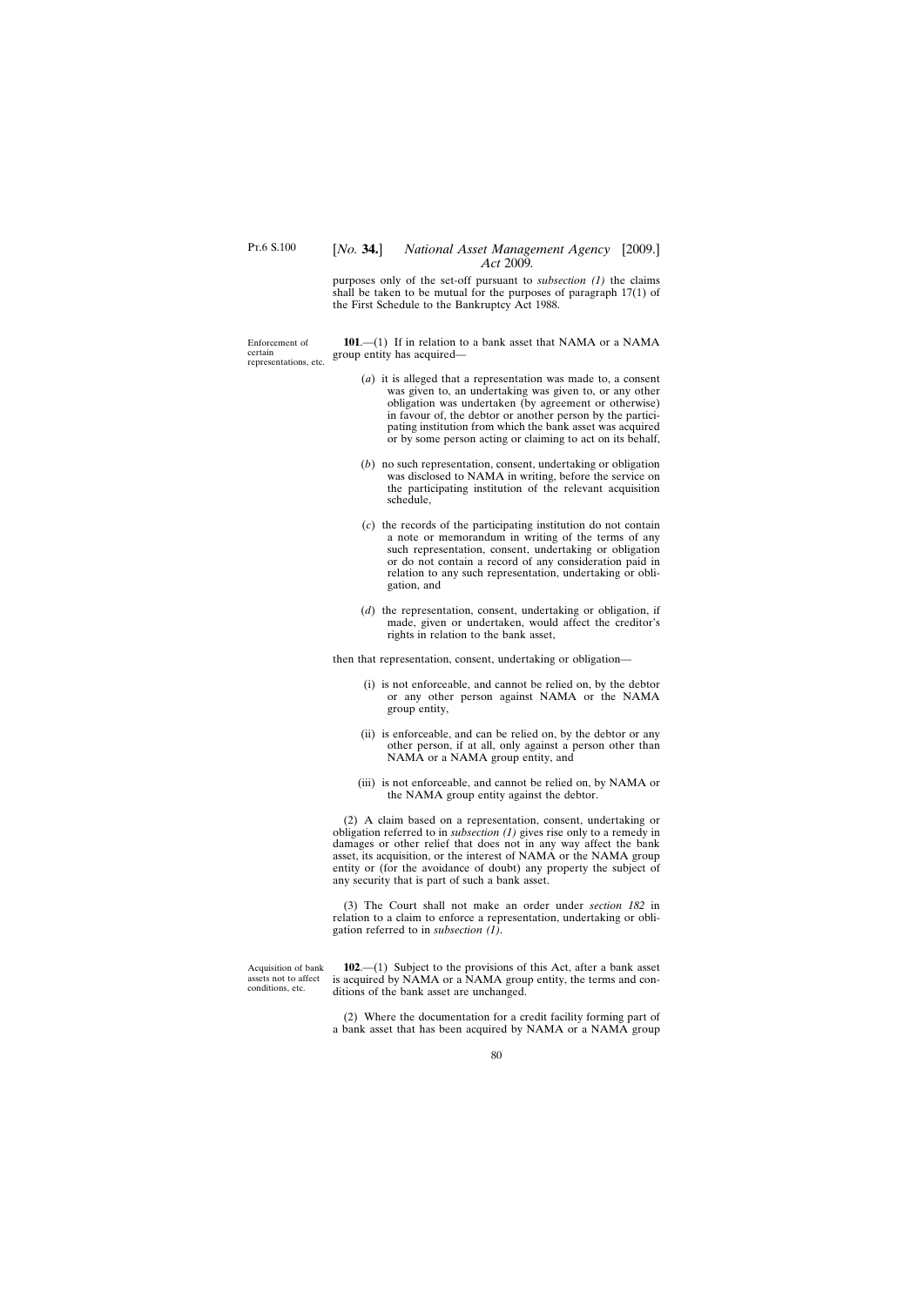purposes only of the set-off pursuant to *subsection (1)* the claims shall be taken to be mutual for the purposes of paragraph 17(1) of the First Schedule to the Bankruptcy Act 1988.

Enforcement of certain representations, etc.

**101**.—(1) If in relation to a bank asset that NAMA or a NAMA group entity has acquired—

- (*a*) it is alleged that a representation was made to, a consent was given to, an undertaking was given to, or any other obligation was undertaken (by agreement or otherwise) in favour of, the debtor or another person by the participating institution from which the bank asset was acquired or by some person acting or claiming to act on its behalf,
- (*b*) no such representation, consent, undertaking or obligation was disclosed to NAMA in writing, before the service on the participating institution of the relevant acquisition schedule,
- (*c*) the records of the participating institution do not contain a note or memorandum in writing of the terms of any such representation, consent, undertaking or obligation or do not contain a record of any consideration paid in relation to any such representation, undertaking or obligation, and
- (*d*) the representation, consent, undertaking or obligation, if made, given or undertaken, would affect the creditor's rights in relation to the bank asset,

then that representation, consent, undertaking or obligation—

- (i) is not enforceable, and cannot be relied on, by the debtor or any other person against NAMA or the NAMA group entity,
- (ii) is enforceable, and can be relied on, by the debtor or any other person, if at all, only against a person other than NAMA or a NAMA group entity, and
- (iii) is not enforceable, and cannot be relied on, by NAMA or the NAMA group entity against the debtor.

(2) A claim based on a representation, consent, undertaking or obligation referred to in *subsection (1)* gives rise only to a remedy in damages or other relief that does not in any way affect the bank asset, its acquisition, or the interest of NAMA or the NAMA group entity or (for the avoidance of doubt) any property the subject of any security that is part of such a bank asset.

(3) The Court shall not make an order under *section 182* in relation to a claim to enforce a representation, undertaking or obligation referred to in *subsection (1)*.

Acquisition of bank assets not to affect conditions, etc.

**102**.—(1) Subject to the provisions of this Act, after a bank asset is acquired by NAMA or a NAMA group entity, the terms and conditions of the bank asset are unchanged.

(2) Where the documentation for a credit facility forming part of a bank asset that has been acquired by NAMA or a NAMA group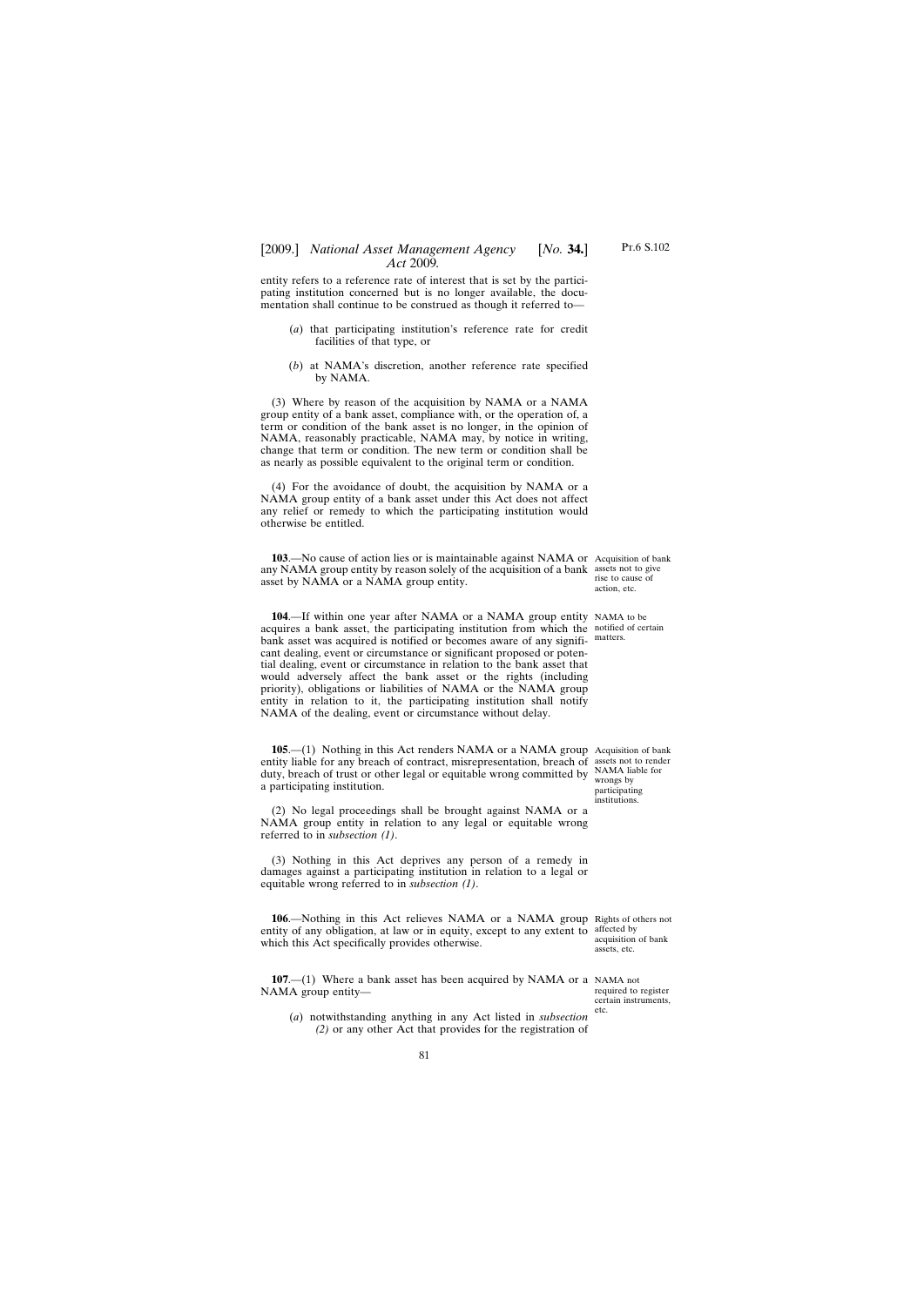#### [2009.] [ *National Asset Management Agency No.* **34.**] *Act* 2009*.*

entity refers to a reference rate of interest that is set by the participating institution concerned but is no longer available, the documentation shall continue to be construed as though it referred to—

- (*a*) that participating institution's reference rate for credit facilities of that type, or
- (*b*) at NAMA's discretion, another reference rate specified by NAMA.

(3) Where by reason of the acquisition by NAMA or a NAMA group entity of a bank asset, compliance with, or the operation of, a term or condition of the bank asset is no longer, in the opinion of NAMA, reasonably practicable, NAMA may, by notice in writing, change that term or condition. The new term or condition shall be as nearly as possible equivalent to the original term or condition.

(4) For the avoidance of doubt, the acquisition by NAMA or a NAMA group entity of a bank asset under this Act does not affect any relief or remedy to which the participating institution would otherwise be entitled.

**103.**—No cause of action lies or is maintainable against NAMA or Acquisition of bank any NAMA group entity by reason solely of the acquisition of a bank assets not to give asset by NAMA or a NAMA group entity.

**104**.—If within one year after NAMA or a NAMA group entity NAMA to be acquires a bank asset, the participating institution from which the notified of certain bank asset was acquired is notified or becomes aware of any significant dealing, event or circumstance or significant proposed or potential dealing, event or circumstance in relation to the bank asset that would adversely affect the bank asset or the rights (including priority), obligations or liabilities of NAMA or the NAMA group entity in relation to it, the participating institution shall notify NAMA of the dealing, event or circumstance without delay.

**105.**—(1) Nothing in this Act renders NAMA or a NAMA group Acquisition of bank entity liable for any breach of contract, misrepresentation, breach of duty, breach of trust or other legal or equitable wrong committed by a participating institution.

(2) No legal proceedings shall be brought against NAMA or a NAMA group entity in relation to any legal or equitable wrong referred to in *subsection (1)*.

(3) Nothing in this Act deprives any person of a remedy in damages against a participating institution in relation to a legal or equitable wrong referred to in *subsection (1)*.

**106**.—Nothing in this Act relieves NAMA or a NAMA group Rights of others not entity of any obligation, at law or in equity, except to any extent to affected by which this Act specifically provides otherwise.

**107.**—(1) Where a bank asset has been acquired by NAMA or a NAMA not NAMA group entity—

(*a*) notwithstanding anything in any Act listed in *subsection (2)* or any other Act that provides for the registration of

rise to cause of action, etc.

matters.

assets not to render NAMA liable for wrongs by participating institutions.

acquisition of bank assets, etc.

required to register certain instruments, etc.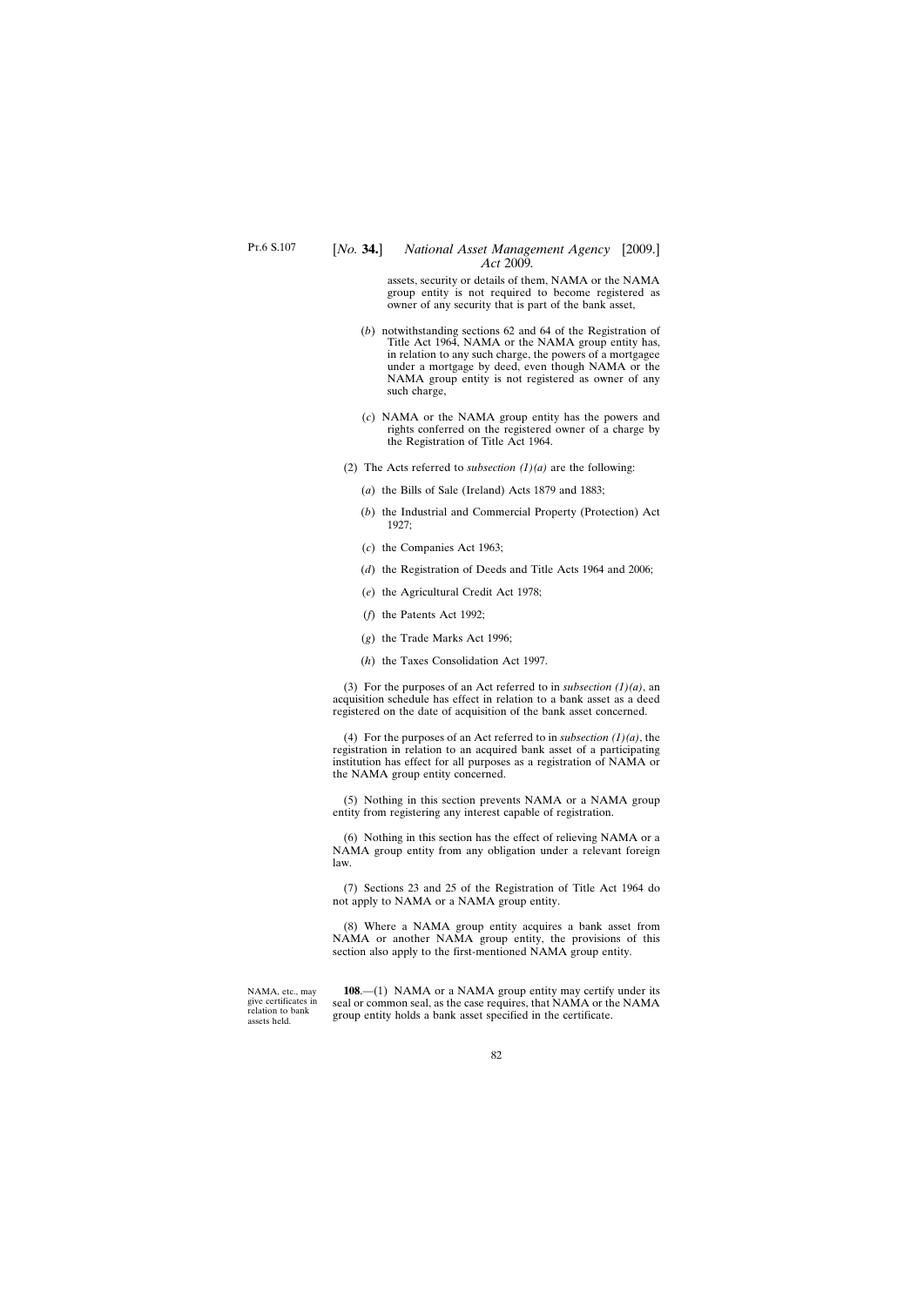assets, security or details of them, NAMA or the NAMA group entity is not required to become registered as owner of any security that is part of the bank asset,

- (*b*) notwithstanding sections 62 and 64 of the Registration of Title Act 1964, NAMA or the NAMA group entity has, in relation to any such charge, the powers of a mortgagee under a mortgage by deed, even though NAMA or the NAMA group entity is not registered as owner of any such charge,
- (*c*) NAMA or the NAMA group entity has the powers and rights conferred on the registered owner of a charge by the Registration of Title Act 1964.
- (2) The Acts referred to *subsection (1)(a)* are the following:
	- (*a*) the Bills of Sale (Ireland) Acts 1879 and 1883;
	- (*b*) the Industrial and Commercial Property (Protection) Act 1927;
	- (*c*) the Companies Act 1963;
	- (*d*) the Registration of Deeds and Title Acts 1964 and 2006;
	- (*e*) the Agricultural Credit Act 1978;
	- (*f*) the Patents Act 1992;
	- (*g*) the Trade Marks Act 1996;
	- (*h*) the Taxes Consolidation Act 1997.

(3) For the purposes of an Act referred to in *subsection (1)(a)*, an acquisition schedule has effect in relation to a bank asset as a deed registered on the date of acquisition of the bank asset concerned.

(4) For the purposes of an Act referred to in *subsection (1)(a)*, the registration in relation to an acquired bank asset of a participating institution has effect for all purposes as a registration of NAMA or the NAMA group entity concerned.

(5) Nothing in this section prevents NAMA or a NAMA group entity from registering any interest capable of registration.

(6) Nothing in this section has the effect of relieving NAMA or a NAMA group entity from any obligation under a relevant foreign law.

(7) Sections 23 and 25 of the Registration of Title Act 1964 do not apply to NAMA or a NAMA group entity.

(8) Where a NAMA group entity acquires a bank asset from NAMA or another NAMA group entity, the provisions of this section also apply to the first-mentioned NAMA group entity.

NAMA, etc., may give certificates in relation to bank assets held.

**108**.—(1) NAMA or a NAMA group entity may certify under its seal or common seal, as the case requires, that NAMA or the NAMA group entity holds a bank asset specified in the certificate.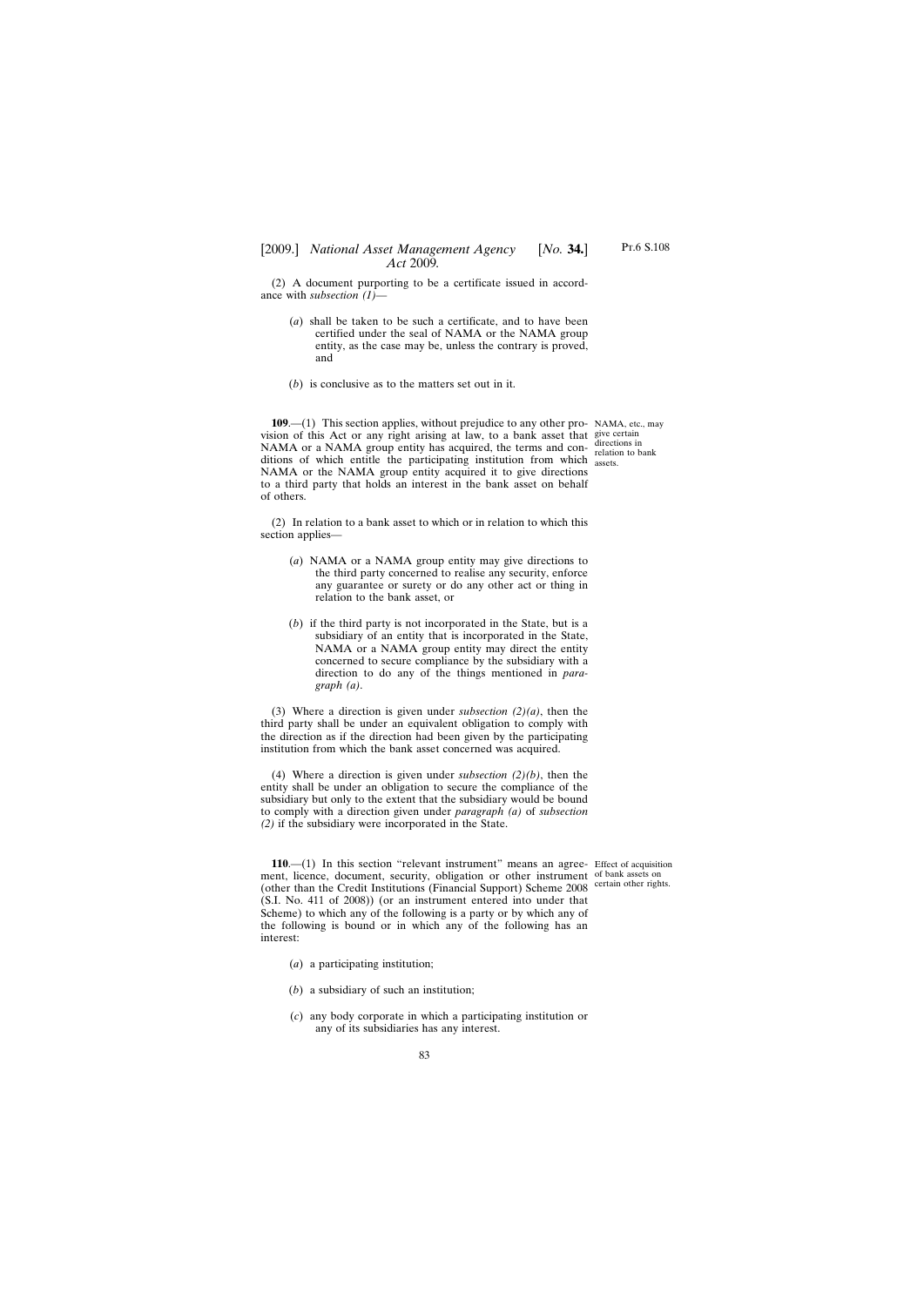(2) A document purporting to be a certificate issued in accordance with *subsection (1)*—

- (*a*) shall be taken to be such a certificate, and to have been certified under the seal of NAMA or the NAMA group entity, as the case may be, unless the contrary is proved, and
- (*b*) is conclusive as to the matters set out in it.

**109.**—(1) This section applies, without prejudice to any other pro-NAMA, etc., may vision of this Act or any right arising at law, to a bank asset that give certain NAMA or a NAMA group entity has acquired, the terms and conditions of which entitle the participating institution from which NAMA or the NAMA group entity acquired it to give directions to a third party that holds an interest in the bank asset on behalf of others.

directions in relation to bank assets.

(2) In relation to a bank asset to which or in relation to which this section applies—

- (*a*) NAMA or a NAMA group entity may give directions to the third party concerned to realise any security, enforce any guarantee or surety or do any other act or thing in relation to the bank asset, or
- (*b*) if the third party is not incorporated in the State, but is a subsidiary of an entity that is incorporated in the State, NAMA or a NAMA group entity may direct the entity concerned to secure compliance by the subsidiary with a direction to do any of the things mentioned in *paragraph (a)*.

(3) Where a direction is given under *subsection (2)(a)*, then the third party shall be under an equivalent obligation to comply with the direction as if the direction had been given by the participating institution from which the bank asset concerned was acquired.

(4) Where a direction is given under *subsection (2)(b)*, then the entity shall be under an obligation to secure the compliance of the subsidiary but only to the extent that the subsidiary would be bound to comply with a direction given under *paragraph (a)* of *subsection (2)* if the subsidiary were incorporated in the State.

**110.**—(1) In this section "relevant instrument" means an agree- Effect of acquisition ment, licence, document, security, obligation or other instrument of bank assets on (other than the Credit Institutions (Financial Support) Scheme 2008 certain other rights.(S.I. No. 411 of 2008)) (or an instrument entered into under that Scheme) to which any of the following is a party or by which any of the following is bound or in which any of the following has an interest:

- (*a*) a participating institution;
- (*b*) a subsidiary of such an institution;
- (*c*) any body corporate in which a participating institution or any of its subsidiaries has any interest.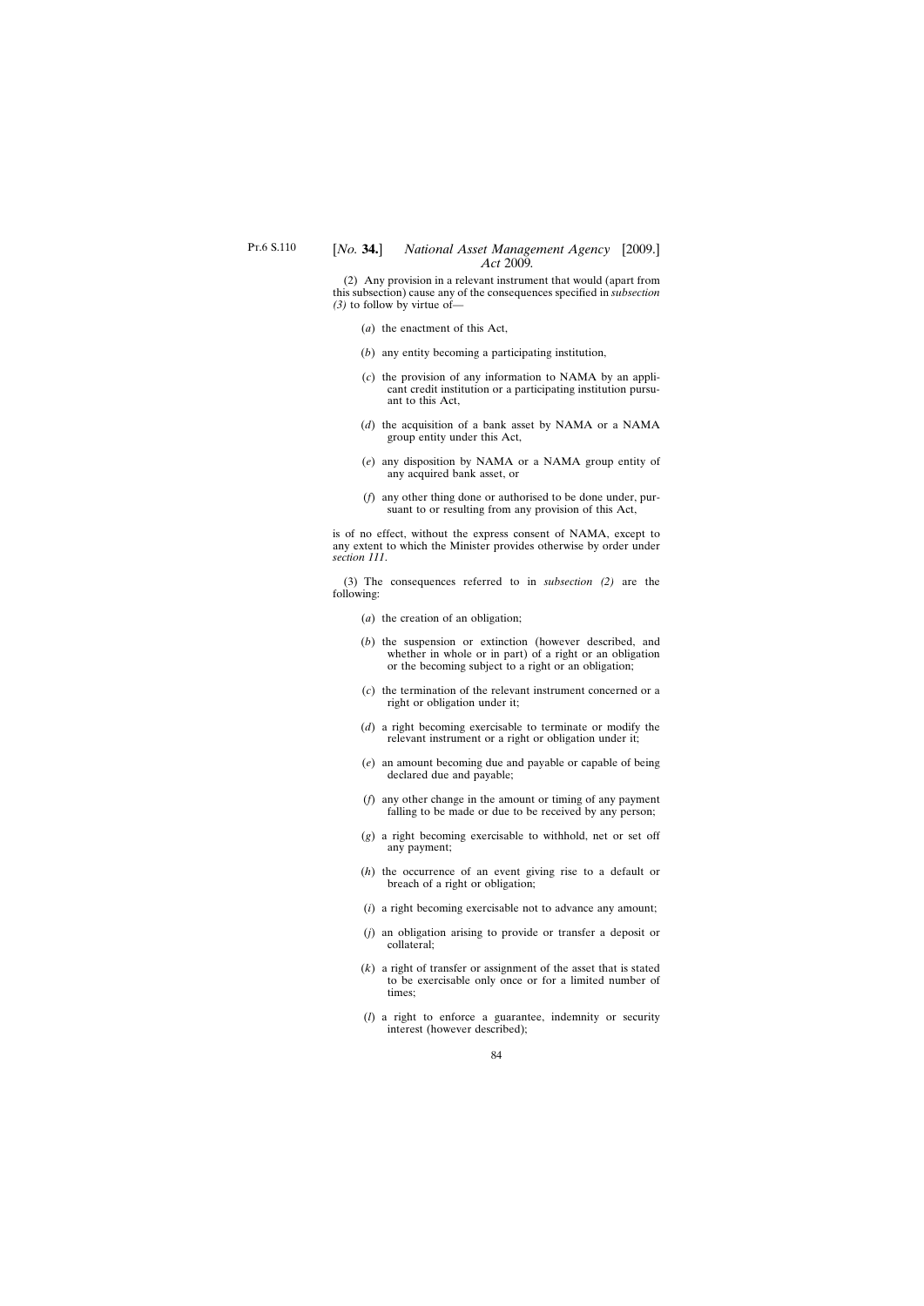(2) Any provision in a relevant instrument that would (apart from this subsection) cause any of the consequences specified in *subsection (3)* to follow by virtue of—

- (*a*) the enactment of this Act,
- (*b*) any entity becoming a participating institution,
- (*c*) the provision of any information to NAMA by an applicant credit institution or a participating institution pursuant to this Act,
- (*d*) the acquisition of a bank asset by NAMA or a NAMA group entity under this Act,
- (*e*) any disposition by NAMA or a NAMA group entity of any acquired bank asset, or
- (*f*) any other thing done or authorised to be done under, pursuant to or resulting from any provision of this Act,

is of no effect, without the express consent of NAMA, except to any extent to which the Minister provides otherwise by order under *section 111*.

(3) The consequences referred to in *subsection (2)* are the following:

- (*a*) the creation of an obligation;
- (*b*) the suspension or extinction (however described, and whether in whole or in part) of a right or an obligation or the becoming subject to a right or an obligation;
- (*c*) the termination of the relevant instrument concerned or a right or obligation under it;
- (*d*) a right becoming exercisable to terminate or modify the relevant instrument or a right or obligation under it;
- (*e*) an amount becoming due and payable or capable of being declared due and payable;
- (*f*) any other change in the amount or timing of any payment falling to be made or due to be received by any person;
- (*g*) a right becoming exercisable to withhold, net or set off any payment;
- (*h*) the occurrence of an event giving rise to a default or breach of a right or obligation;
- (*i*) a right becoming exercisable not to advance any amount;
- (*j*) an obligation arising to provide or transfer a deposit or collateral;
- (*k*) a right of transfer or assignment of the asset that is stated to be exercisable only once or for a limited number of times;
- (*l*) a right to enforce a guarantee, indemnity or security interest (however described);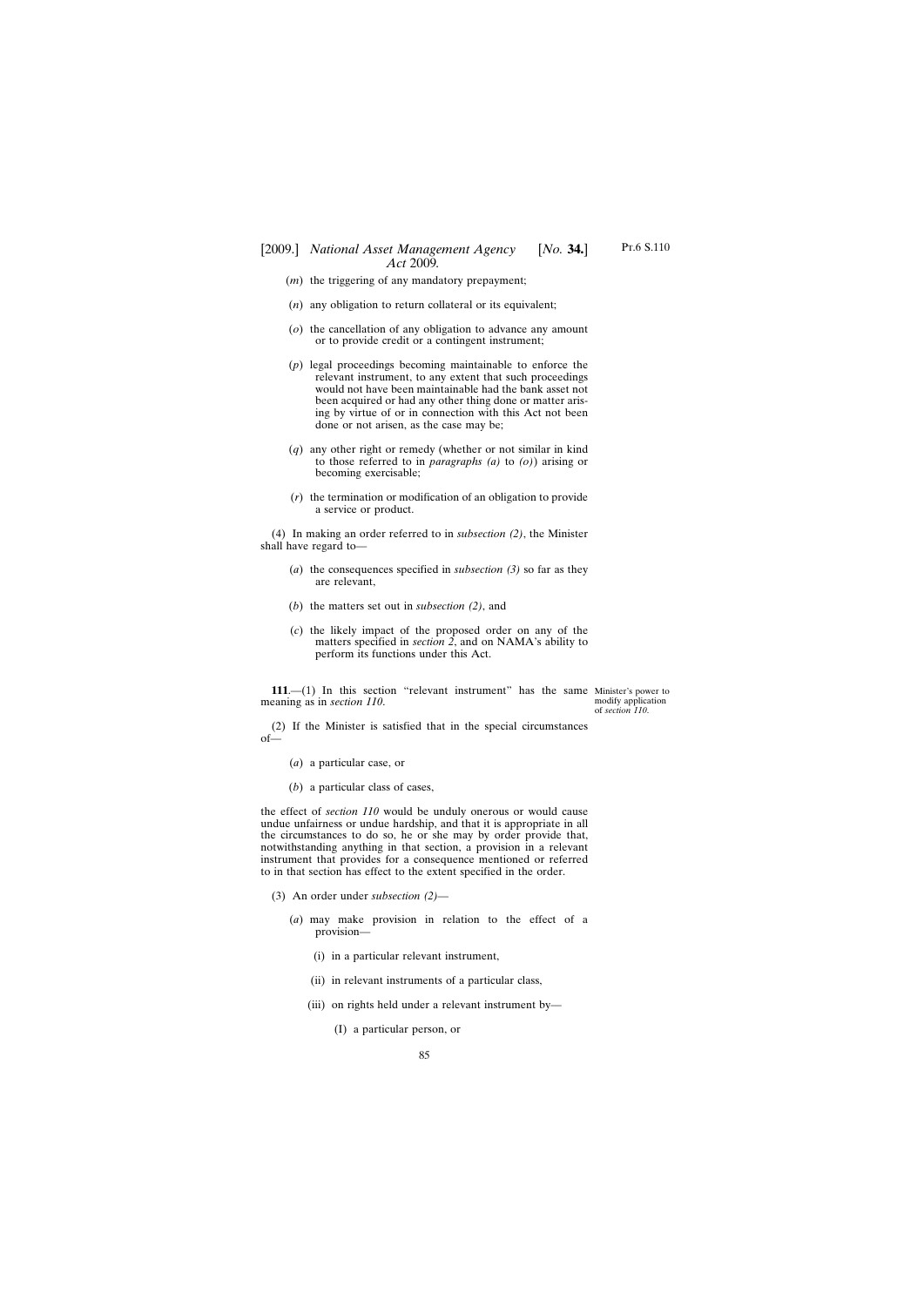- (*m*) the triggering of any mandatory prepayment;
- (*n*) any obligation to return collateral or its equivalent;
- (*o*) the cancellation of any obligation to advance any amount or to provide credit or a contingent instrument;
- (*p*) legal proceedings becoming maintainable to enforce the relevant instrument, to any extent that such proceedings would not have been maintainable had the bank asset not been acquired or had any other thing done or matter arising by virtue of or in connection with this Act not been done or not arisen, as the case may be;
- (*q*) any other right or remedy (whether or not similar in kind to those referred to in *paragraphs (a)* to *(o)*) arising or becoming exercisable;
- (*r*) the termination or modification of an obligation to provide a service or product.

(4) In making an order referred to in *subsection (2)*, the Minister shall have regard to—

- (*a*) the consequences specified in *subsection (3)* so far as they are relevant,
- (*b*) the matters set out in *subsection (2)*, and
- (*c*) the likely impact of the proposed order on any of the matters specified in *section 2*, and on NAMA's ability to perform its functions under this Act.

**111.**—(1) In this section "relevant instrument" has the same Minister's power to meaning as in *section 110*.

modify application of *section 110*.

(2) If the Minister is satisfied that in the special circumstances of—

- (*a*) a particular case, or
- (*b*) a particular class of cases,

the effect of *section 110* would be unduly onerous or would cause undue unfairness or undue hardship, and that it is appropriate in all the circumstances to do so, he or she may by order provide that, notwithstanding anything in that section, a provision in a relevant instrument that provides for a consequence mentioned or referred to in that section has effect to the extent specified in the order.

- (3) An order under *subsection (2)*
	- (*a*) may make provision in relation to the effect of a provision—
		- (i) in a particular relevant instrument,
		- (ii) in relevant instruments of a particular class,
		- (iii) on rights held under a relevant instrument by—
			- (I) a particular person, or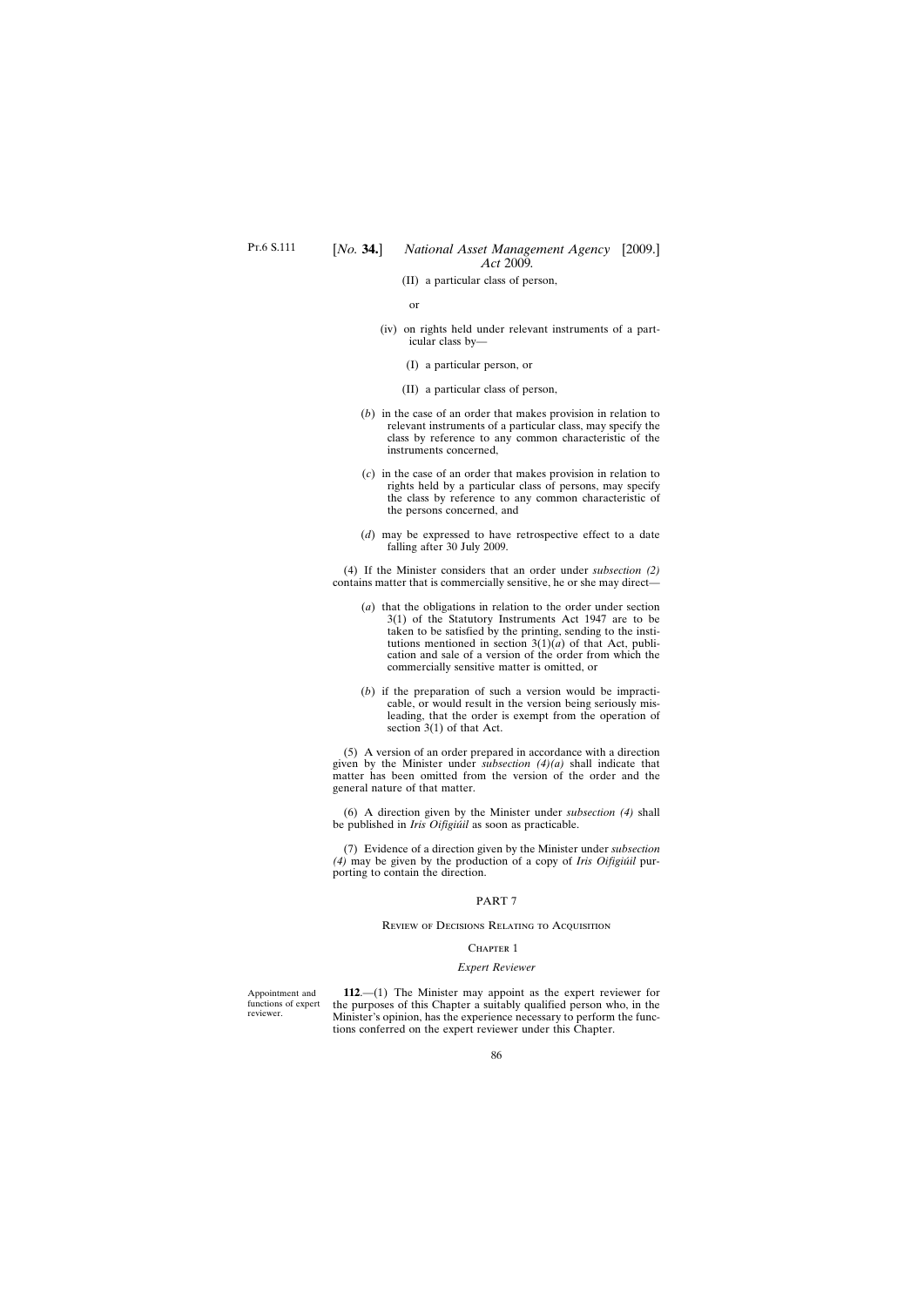(II) a particular class of person,

or

- (iv) on rights held under relevant instruments of a particular class by—
	- (I) a particular person, or
	- (II) a particular class of person,
- (*b*) in the case of an order that makes provision in relation to relevant instruments of a particular class, may specify the class by reference to any common characteristic of the instruments concerned,
- (*c*) in the case of an order that makes provision in relation to rights held by a particular class of persons, may specify the class by reference to any common characteristic of the persons concerned, and
- (*d*) may be expressed to have retrospective effect to a date falling after 30 July 2009.

(4) If the Minister considers that an order under *subsection (2)* contains matter that is commercially sensitive, he or she may direct—

- (*a*) that the obligations in relation to the order under section 3(1) of the Statutory Instruments Act 1947 are to be taken to be satisfied by the printing, sending to the institutions mentioned in section  $3(1)(a)$  of that Act, publication and sale of a version of the order from which the commercially sensitive matter is omitted, or
- (*b*) if the preparation of such a version would be impracticable, or would result in the version being seriously misleading, that the order is exempt from the operation of section 3(1) of that Act.

(5) A version of an order prepared in accordance with a direction given by the Minister under *subsection (4)(a)* shall indicate that matter has been omitted from the version of the order and the general nature of that matter.

(6) A direction given by the Minister under *subsection (4)* shall be published in *Iris Oifigiúil* as soon as practicable.

(7) Evidence of a direction given by the Minister under *subsection (4)* may be given by the production of a copy of *Iris Oifigiúil* purporting to contain the direction.

# PART 7

#### Review of Decisions Relating to Acquisition

#### CHAPTER 1

#### *Expert Reviewer*

Appointment and functions of expert reviewer.

**112**.—(1) The Minister may appoint as the expert reviewer for the purposes of this Chapter a suitably qualified person who, in the Minister's opinion, has the experience necessary to perform the functions conferred on the expert reviewer under this Chapter.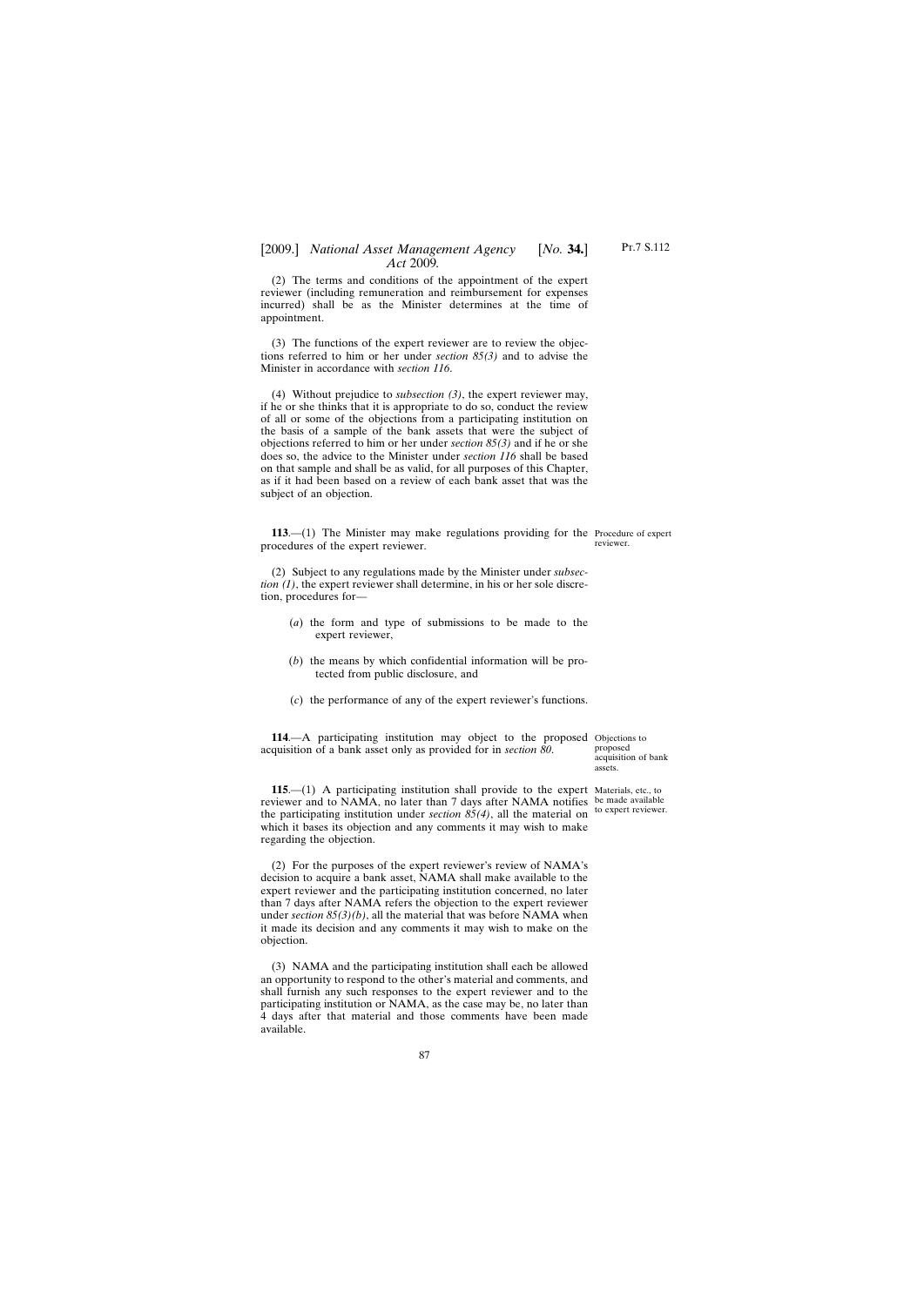# [2009.] *National Asset Management Agency* [*No.* **34.**] *Act* 2009*.*

(2) The terms and conditions of the appointment of the expert reviewer (including remuneration and reimbursement for expenses incurred) shall be as the Minister determines at the time of appointment.

(3) The functions of the expert reviewer are to review the objections referred to him or her under *section 85(3)* and to advise the Minister in accordance with *section 116*.

(4) Without prejudice to *subsection (3)*, the expert reviewer may, if he or she thinks that it is appropriate to do so, conduct the review of all or some of the objections from a participating institution on the basis of a sample of the bank assets that were the subject of objections referred to him or her under *section 85(3)* and if he or she does so, the advice to the Minister under *section 116* shall be based on that sample and shall be as valid, for all purposes of this Chapter, as if it had been based on a review of each bank asset that was the subject of an objection.

**113**.—(1) The Minister may make regulations providing for the Procedure of expert procedures of the expert reviewer. reviewer.

(2) Subject to any regulations made by the Minister under *subsection (1)*, the expert reviewer shall determine, in his or her sole discretion, procedures for—

- (*a*) the form and type of submissions to be made to the expert reviewer,
- (*b*) the means by which confidential information will be protected from public disclosure, and
- (*c*) the performance of any of the expert reviewer's functions.

**114.**—A participating institution may object to the proposed Objections to acquisition of a bank asset only as provided for in *section 80*.

proposed acquisition of bank assets.

**115.**—(1) A participating institution shall provide to the expert Materials, etc., to reviewer and to NAMA, no later than 7 days after NAMA notifies be made available the participating institution under *section*  $85(4)$ , all the material on <sup>to expert reviewer.</sup> which it bases its objection and any comments it may wish to make regarding the objection.

(2) For the purposes of the expert reviewer's review of NAMA's decision to acquire a bank asset, NAMA shall make available to the expert reviewer and the participating institution concerned, no later than 7 days after NAMA refers the objection to the expert reviewer under *section 85(3)(b)*, all the material that was before NAMA when it made its decision and any comments it may wish to make on the objection.

(3) NAMA and the participating institution shall each be allowed an opportunity to respond to the other's material and comments, and shall furnish any such responses to the expert reviewer and to the participating institution or NAMA, as the case may be, no later than 4 days after that material and those comments have been made available.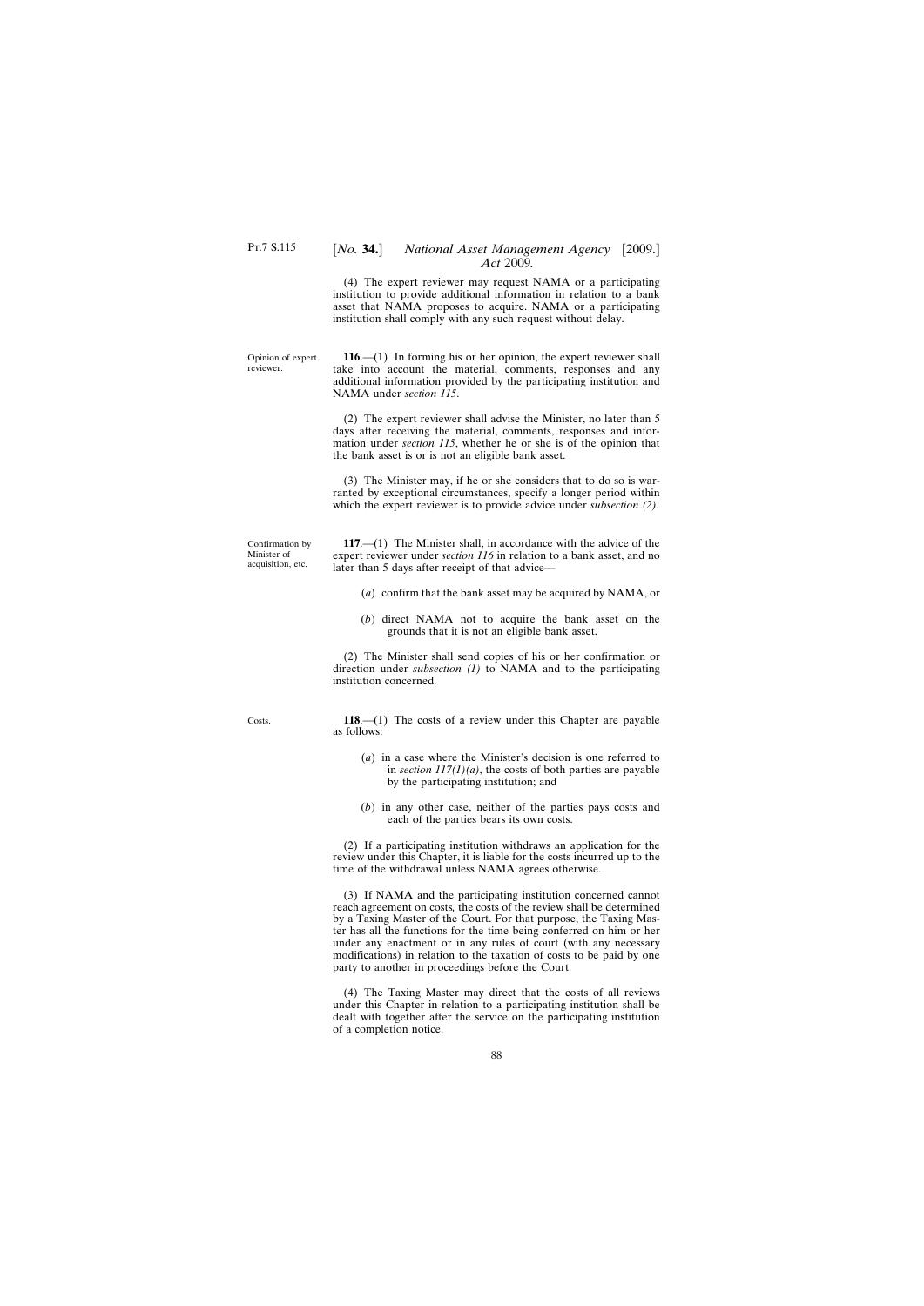(4) The expert reviewer may request NAMA or a participating institution to provide additional information in relation to a bank asset that NAMA proposes to acquire. NAMA or a participating institution shall comply with any such request without delay.

Opinion of expert reviewer.

**116**.—(1) In forming his or her opinion, the expert reviewer shall take into account the material, comments, responses and any additional information provided by the participating institution and NAMA under *section 115*.

(2) The expert reviewer shall advise the Minister, no later than 5 days after receiving the material, comments, responses and information under *section 115*, whether he or she is of the opinion that the bank asset is or is not an eligible bank asset.

(3) The Minister may, if he or she considers that to do so is warranted by exceptional circumstances, specify a longer period within which the expert reviewer is to provide advice under *subsection (2)*.

Confirmation by Minister of acquisition, etc.

**117**.—(1) The Minister shall, in accordance with the advice of the expert reviewer under *section 116* in relation to a bank asset, and no later than 5 days after receipt of that advice—

- (*a*) confirm that the bank asset may be acquired by NAMA, or
- (*b*) direct NAMA not to acquire the bank asset on the grounds that it is not an eligible bank asset.

(2) The Minister shall send copies of his or her confirmation or direction under *subsection (1)* to NAMA and to the participating institution concerned.

**118**.—(1) The costs of a review under this Chapter are payable as follows:

- (*a*) in a case where the Minister's decision is one referred to in *section*  $117(1)(a)$ , the costs of both parties are payable by the participating institution; and
- (*b*) in any other case, neither of the parties pays costs and each of the parties bears its own costs.

(2) If a participating institution withdraws an application for the review under this Chapter, it is liable for the costs incurred up to the time of the withdrawal unless NAMA agrees otherwise.

(3) If NAMA and the participating institution concerned cannot reach agreement on costs*,* the costs of the review shall be determined by a Taxing Master of the Court. For that purpose, the Taxing Master has all the functions for the time being conferred on him or her under any enactment or in any rules of court (with any necessary modifications) in relation to the taxation of costs to be paid by one party to another in proceedings before the Court.

(4) The Taxing Master may direct that the costs of all reviews under this Chapter in relation to a participating institution shall be dealt with together after the service on the participating institution of a completion notice.

Costs.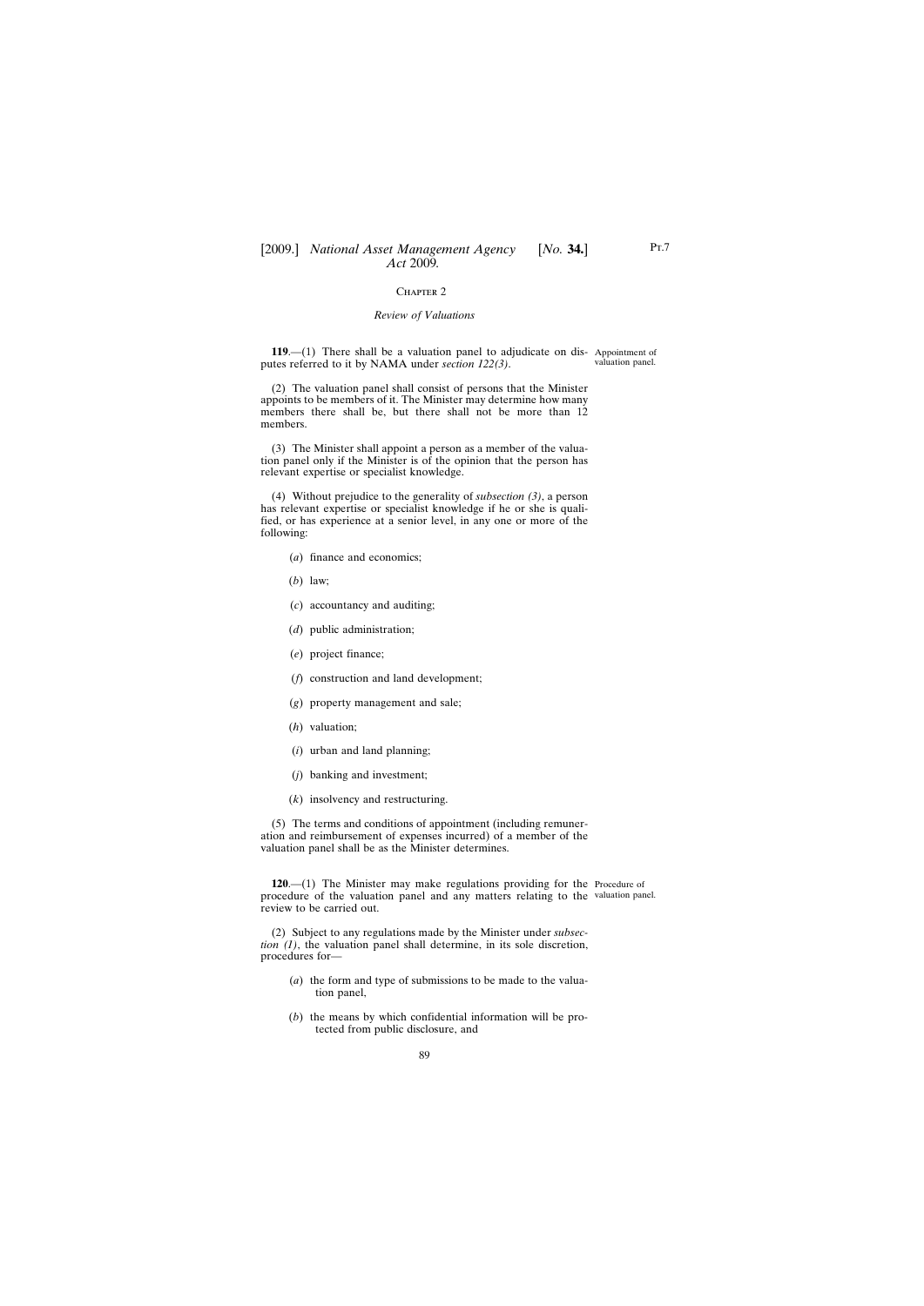#### CHAPTER<sub>2</sub>

#### *Review of Valuations*

**119.**—(1) There shall be a valuation panel to adjudicate on dis-Appointment of putes referred to it by NAMA under *section 122(3)*.

(2) The valuation panel shall consist of persons that the Minister appoints to be members of it. The Minister may determine how many members there shall be, but there shall not be more than 12 members.

(3) The Minister shall appoint a person as a member of the valuation panel only if the Minister is of the opinion that the person has relevant expertise or specialist knowledge.

(4) Without prejudice to the generality of *subsection (3)*, a person has relevant expertise or specialist knowledge if he or she is qualified, or has experience at a senior level, in any one or more of the following:

- (*a*) finance and economics;
- (*b*) law;
- (*c*) accountancy and auditing;
- (*d*) public administration;
- (*e*) project finance;
- (*f*) construction and land development;
- (*g*) property management and sale;
- (*h*) valuation;
- (*i*) urban and land planning;
- (*j*) banking and investment;
- (*k*) insolvency and restructuring.

(5) The terms and conditions of appointment (including remuneration and reimbursement of expenses incurred) of a member of the valuation panel shall be as the Minister determines.

**120.**—(1) The Minister may make regulations providing for the Procedure of procedure of the valuation panel and any matters relating to the valuation panel.review to be carried out.

(2) Subject to any regulations made by the Minister under *subsection (1)*, the valuation panel shall determine, in its sole discretion, procedures for—

- (*a*) the form and type of submissions to be made to the valuation panel,
- (*b*) the means by which confidential information will be protected from public disclosure, and

valuation panel.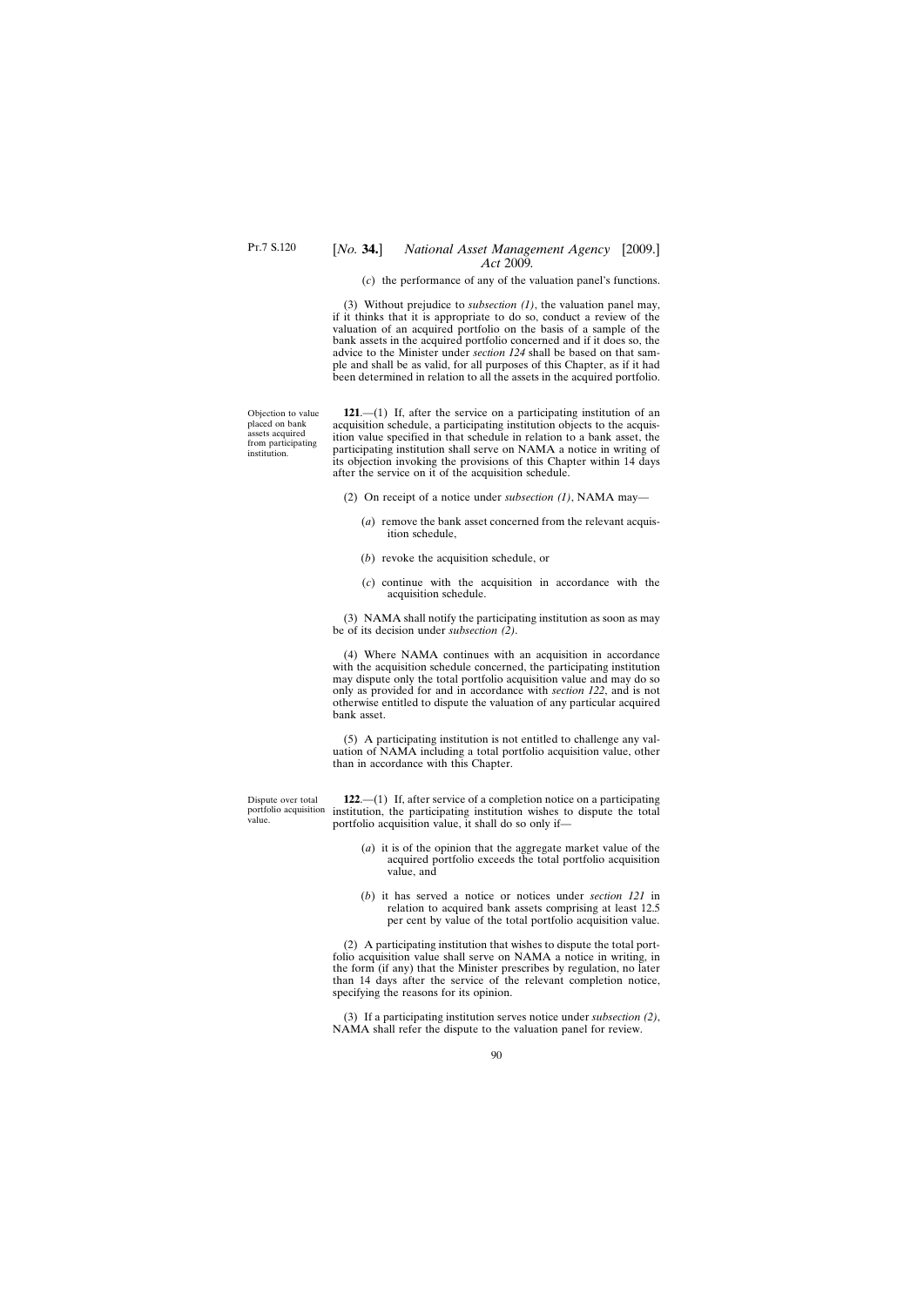(*c*) the performance of any of the valuation panel's functions.

(3) Without prejudice to *subsection (1)*, the valuation panel may, if it thinks that it is appropriate to do so, conduct a review of the valuation of an acquired portfolio on the basis of a sample of the bank assets in the acquired portfolio concerned and if it does so, the advice to the Minister under *section 124* shall be based on that sample and shall be as valid, for all purposes of this Chapter, as if it had been determined in relation to all the assets in the acquired portfolio.

Objection to value placed on bank assets acquired from participating institution.

**121**.—(1) If, after the service on a participating institution of an acquisition schedule, a participating institution objects to the acquisition value specified in that schedule in relation to a bank asset, the participating institution shall serve on NAMA a notice in writing of its objection invoking the provisions of this Chapter within 14 days after the service on it of the acquisition schedule.

- (2) On receipt of a notice under *subsection (1)*, NAMA may—
	- (*a*) remove the bank asset concerned from the relevant acquisition schedule,
	- (*b*) revoke the acquisition schedule, or
	- (*c*) continue with the acquisition in accordance with the acquisition schedule.

(3) NAMA shall notify the participating institution as soon as may be of its decision under *subsection (2)*.

(4) Where NAMA continues with an acquisition in accordance with the acquisition schedule concerned, the participating institution may dispute only the total portfolio acquisition value and may do so only as provided for and in accordance with *section 122*, and is not otherwise entitled to dispute the valuation of any particular acquired bank asset.

(5) A participating institution is not entitled to challenge any valuation of NAMA including a total portfolio acquisition value, other than in accordance with this Chapter.

Dispute over total portfolio acquisition value.

**122**.—(1) If, after service of a completion notice on a participating institution, the participating institution wishes to dispute the total portfolio acquisition value, it shall do so only if—

- (*a*) it is of the opinion that the aggregate market value of the acquired portfolio exceeds the total portfolio acquisition value, and
- (*b*) it has served a notice or notices under *section 121* in relation to acquired bank assets comprising at least 12.5 per cent by value of the total portfolio acquisition value.

(2) A participating institution that wishes to dispute the total portfolio acquisition value shall serve on NAMA a notice in writing, in the form (if any) that the Minister prescribes by regulation, no later than 14 days after the service of the relevant completion notice, specifying the reasons for its opinion.

(3) If a participating institution serves notice under *subsection (2)*, NAMA shall refer the dispute to the valuation panel for review.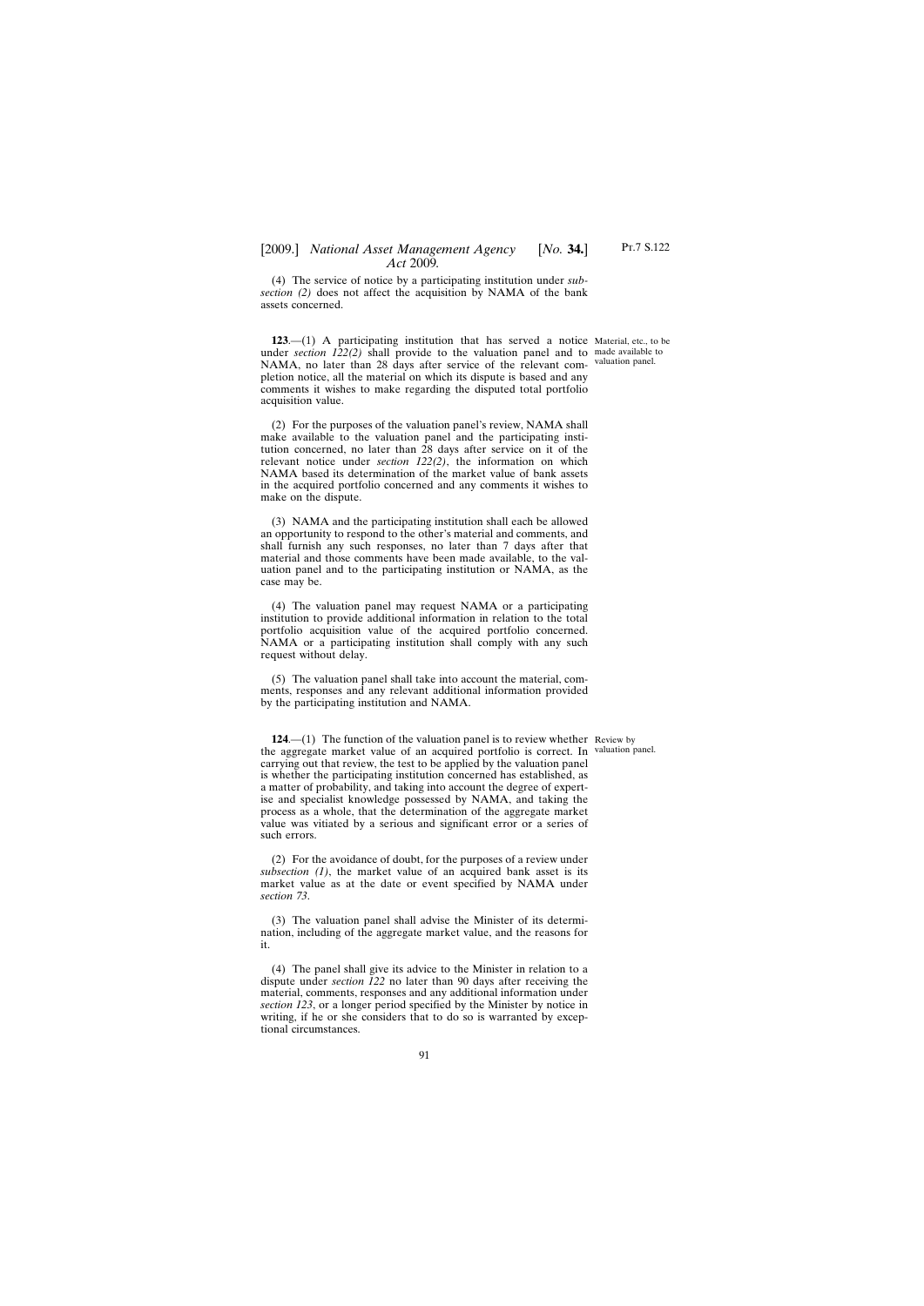## [2009.] [ *National Asset Management Agency No.* **34.**] *Act* 2009*.*

(4) The service of notice by a participating institution under *subsection (2)* does not affect the acquisition by NAMA of the bank assets concerned.

**123.**—(1) A participating institution that has served a notice Material, etc., to be under *section 122(2)* shall provide to the valuation panel and to made available to NAMA, no later than 28 days after service of the relevant com-valuation panel. pletion notice, all the material on which its dispute is based and any comments it wishes to make regarding the disputed total portfolio acquisition value.

(2) For the purposes of the valuation panel's review, NAMA shall make available to the valuation panel and the participating institution concerned, no later than 28 days after service on it of the relevant notice under *section 122(2)*, the information on which NAMA based its determination of the market value of bank assets in the acquired portfolio concerned and any comments it wishes to make on the dispute.

(3) NAMA and the participating institution shall each be allowed an opportunity to respond to the other's material and comments, and shall furnish any such responses, no later than 7 days after that material and those comments have been made available, to the valuation panel and to the participating institution or NAMA, as the case may be.

(4) The valuation panel may request NAMA or a participating institution to provide additional information in relation to the total portfolio acquisition value of the acquired portfolio concerned. NAMA or a participating institution shall comply with any such request without delay.

(5) The valuation panel shall take into account the material, comments, responses and any relevant additional information provided by the participating institution and NAMA.

**124.**—(1) The function of the valuation panel is to review whether Review by the aggregate market value of an acquired portfolio is correct. In valuation panel.carrying out that review, the test to be applied by the valuation panel is whether the participating institution concerned has established, as a matter of probability, and taking into account the degree of expertise and specialist knowledge possessed by NAMA, and taking the process as a whole, that the determination of the aggregate market value was vitiated by a serious and significant error or a series of such errors.

(2) For the avoidance of doubt, for the purposes of a review under *subsection (1)*, the market value of an acquired bank asset is its market value as at the date or event specified by NAMA under *section 73*.

(3) The valuation panel shall advise the Minister of its determination, including of the aggregate market value, and the reasons for it.

(4) The panel shall give its advice to the Minister in relation to a dispute under *section 122* no later than 90 days after receiving the material, comments, responses and any additional information under *section 123*, or a longer period specified by the Minister by notice in writing, if he or she considers that to do so is warranted by exceptional circumstances.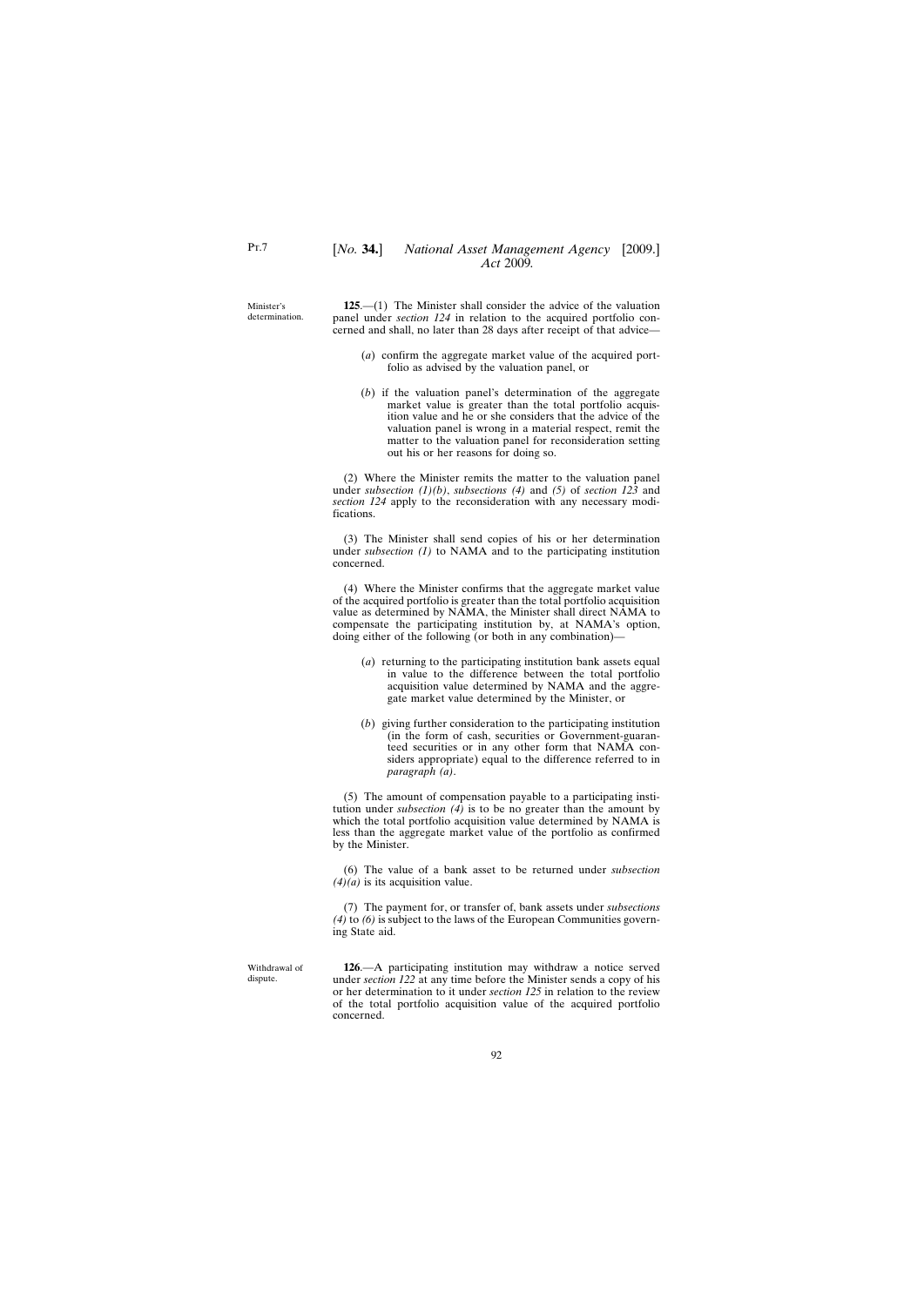Minister's determination.

**125**.—(1) The Minister shall consider the advice of the valuation panel under *section 124* in relation to the acquired portfolio concerned and shall, no later than 28 days after receipt of that advice—

- (*a*) confirm the aggregate market value of the acquired portfolio as advised by the valuation panel, or
- (*b*) if the valuation panel's determination of the aggregate market value is greater than the total portfolio acquisition value and he or she considers that the advice of the valuation panel is wrong in a material respect, remit the matter to the valuation panel for reconsideration setting out his or her reasons for doing so.

(2) Where the Minister remits the matter to the valuation panel under *subsection (1)(b)*, *subsections (4)* and *(5)* of *section 123* and *section 124* apply to the reconsideration with any necessary modifications.

(3) The Minister shall send copies of his or her determination under *subsection (1)* to NAMA and to the participating institution concerned.

(4) Where the Minister confirms that the aggregate market value of the acquired portfolio is greater than the total portfolio acquisition value as determined by NAMA, the Minister shall direct NAMA to compensate the participating institution by, at NAMA's option, doing either of the following (or both in any combination)—

- (*a*) returning to the participating institution bank assets equal in value to the difference between the total portfolio acquisition value determined by NAMA and the aggregate market value determined by the Minister, or
- (*b*) giving further consideration to the participating institution (in the form of cash, securities or Government-guaranteed securities or in any other form that NAMA considers appropriate) equal to the difference referred to in *paragraph (a)*.

(5) The amount of compensation payable to a participating institution under *subsection*  $(4)$  is to be no greater than the amount by which the total portfolio acquisition value determined by NAMA is less than the aggregate market value of the portfolio as confirmed by the Minister.

(6) The value of a bank asset to be returned under *subsection (4)(a)* is its acquisition value.

(7) The payment for, or transfer of, bank assets under *subsections (4)* to *(6)* is subject to the laws of the European Communities governing State aid.

Withdrawal of dispute.

**126**.—A participating institution may withdraw a notice served under *section 122* at any time before the Minister sends a copy of his or her determination to it under *section 125* in relation to the review of the total portfolio acquisition value of the acquired portfolio concerned.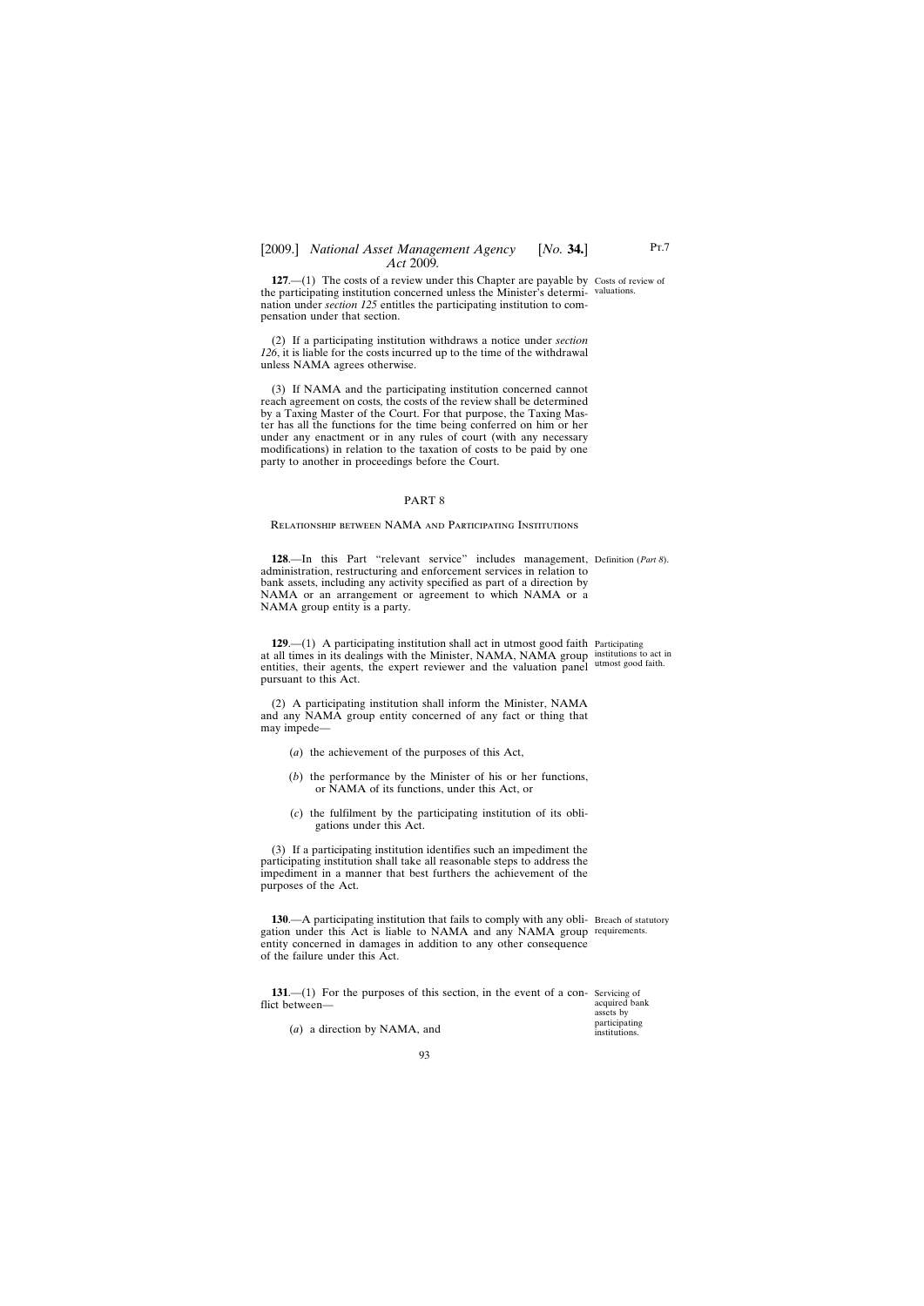### [2009.] [ *National Asset Management Agency No.* **34.**] *Act* 2009*.*

**127.**—(1) The costs of a review under this Chapter are payable by Costs of review of the participating institution concerned unless the Minister's determi-valuations. nation under *section 125* entitles the participating institution to compensation under that section.

(2) If a participating institution withdraws a notice under *section 126*, it is liable for the costs incurred up to the time of the withdrawal unless NAMA agrees otherwise.

(3) If NAMA and the participating institution concerned cannot reach agreement on costs*,* the costs of the review shall be determined by a Taxing Master of the Court. For that purpose, the Taxing Master has all the functions for the time being conferred on him or her under any enactment or in any rules of court (with any necessary modifications) in relation to the taxation of costs to be paid by one party to another in proceedings before the Court.

#### PART 8

Relationship between NAMA and Participating Institutions

**128**.—In this Part "relevant service" includes management, Definition (*Part 8*). administration, restructuring and enforcement services in relation to bank assets, including any activity specified as part of a direction by NAMA or an arrangement or agreement to which NAMA or a NAMA group entity is a party.

**129**.—(1) A participating institution shall act in utmost good faith Participating at all times in its dealings with the Minister, NAMA, NAMA group institutions to act in entities, their agents, the expert reviewer and the valuation panel utmost good faith. pursuant to this Act.

(2) A participating institution shall inform the Minister, NAMA and any NAMA group entity concerned of any fact or thing that may impede—

- (*a*) the achievement of the purposes of this Act,
- (*b*) the performance by the Minister of his or her functions, or NAMA of its functions, under this Act, or
- (*c*) the fulfilment by the participating institution of its obligations under this Act.

(3) If a participating institution identifies such an impediment the participating institution shall take all reasonable steps to address the impediment in a manner that best furthers the achievement of the purposes of the Act.

**130.**—A participating institution that fails to comply with any obli- Breach of statutory gation under this Act is liable to NAMA and any NAMA group requirements. entity concerned in damages in addition to any other consequence of the failure under this Act.

**131.**—(1) For the purposes of this section, in the event of a con- Servicing of flict between—

(*a*) a direction by NAMA, and

acquired bank assets by participating institutions.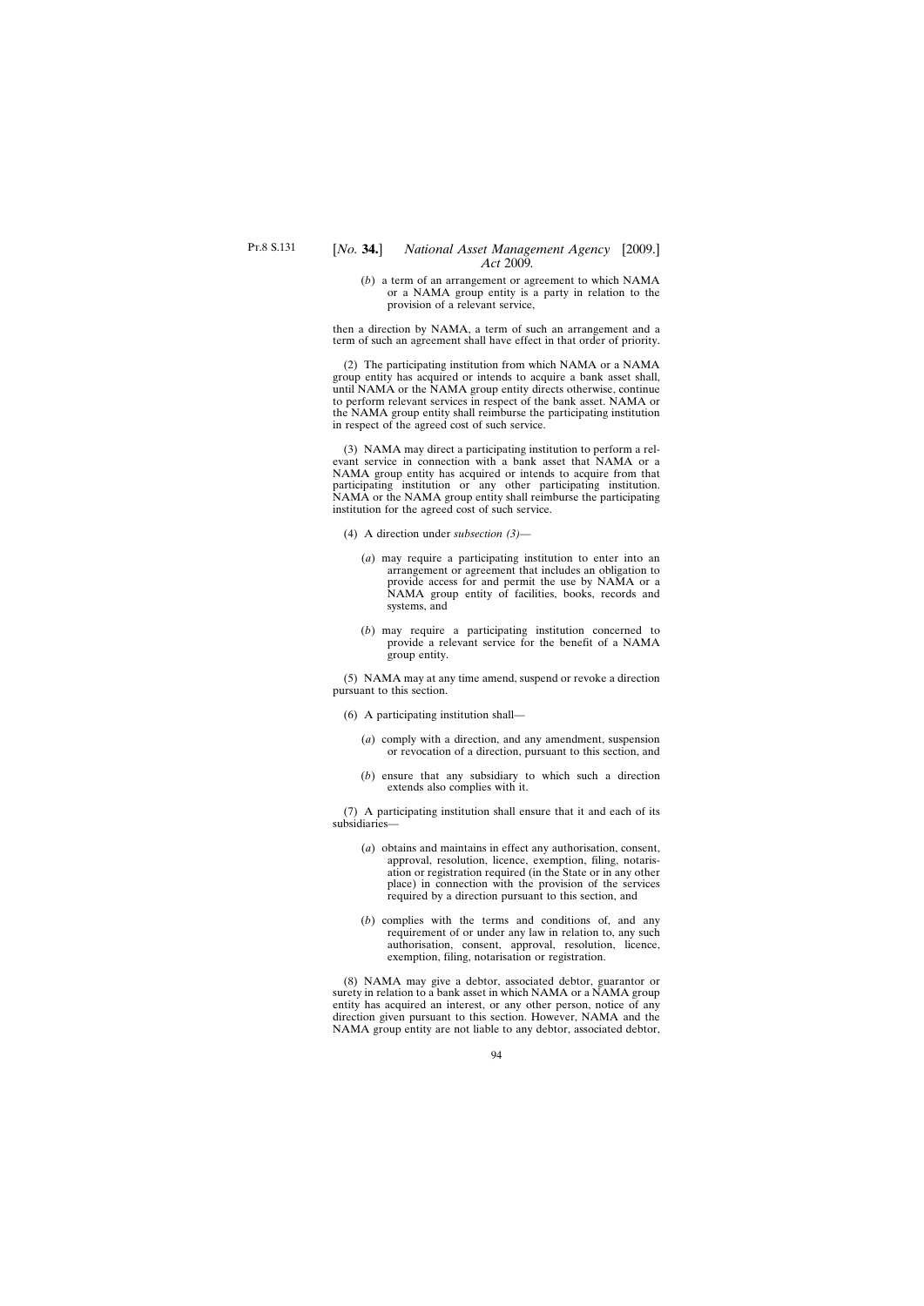(*b*) a term of an arrangement or agreement to which NAMA or a NAMA group entity is a party in relation to the provision of a relevant service,

then a direction by NAMA, a term of such an arrangement and a term of such an agreement shall have effect in that order of priority.

(2) The participating institution from which NAMA or a NAMA group entity has acquired or intends to acquire a bank asset shall, until NAMA or the NAMA group entity directs otherwise, continue to perform relevant services in respect of the bank asset. NAMA or the NAMA group entity shall reimburse the participating institution in respect of the agreed cost of such service.

(3) NAMA may direct a participating institution to perform a relevant service in connection with a bank asset that NAMA or a NAMA group entity has acquired or intends to acquire from that participating institution or any other participating institution. NAMA or the NAMA group entity shall reimburse the participating institution for the agreed cost of such service.

- (4) A direction under *subsection (3)*
	- (*a*) may require a participating institution to enter into an arrangement or agreement that includes an obligation to provide access for and permit the use by NAMA or a NAMA group entity of facilities, books, records and systems, and
	- (*b*) may require a participating institution concerned to provide a relevant service for the benefit of a NAMA group entity.

(5) NAMA may at any time amend, suspend or revoke a direction pursuant to this section.

- (6) A participating institution shall—
	- (*a*) comply with a direction, and any amendment, suspension or revocation of a direction, pursuant to this section, and
	- (*b*) ensure that any subsidiary to which such a direction extends also complies with it.

(7) A participating institution shall ensure that it and each of its subsidiaries—

- (*a*) obtains and maintains in effect any authorisation, consent, approval, resolution, licence, exemption, filing, notarisation or registration required (in the State or in any other place) in connection with the provision of the services required by a direction pursuant to this section, and
- (*b*) complies with the terms and conditions of, and any requirement of or under any law in relation to, any such authorisation, consent, approval, resolution, licence, exemption, filing, notarisation or registration.

(8) NAMA may give a debtor, associated debtor, guarantor or surety in relation to a bank asset in which NAMA or a NAMA group entity has acquired an interest, or any other person, notice of any direction given pursuant to this section. However, NAMA and the NAMA group entity are not liable to any debtor, associated debtor,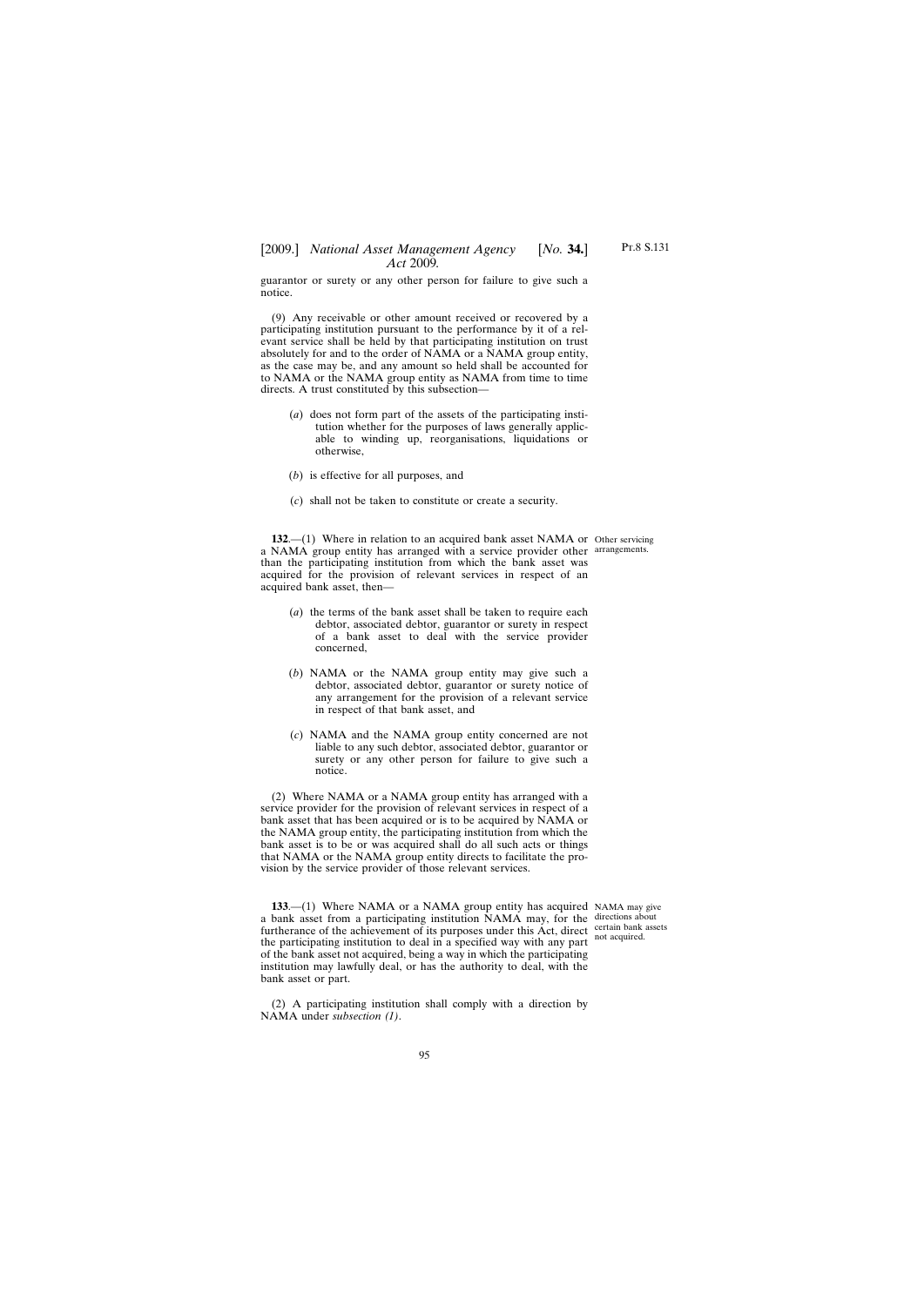guarantor or surety or any other person for failure to give such a notice.

(9) Any receivable or other amount received or recovered by a participating institution pursuant to the performance by it of a relevant service shall be held by that participating institution on trust absolutely for and to the order of NAMA or a NAMA group entity, as the case may be, and any amount so held shall be accounted for to NAMA or the NAMA group entity as NAMA from time to time directs. A trust constituted by this subsection—

- (*a*) does not form part of the assets of the participating institution whether for the purposes of laws generally applicable to winding up, reorganisations, liquidations or otherwise,
- (*b*) is effective for all purposes, and
- (*c*) shall not be taken to constitute or create a security.

**132.**—(1) Where in relation to an acquired bank asset NAMA or Other servicing a NAMA group entity has arranged with a service provider other arrangements. than the participating institution from which the bank asset was acquired for the provision of relevant services in respect of an acquired bank asset, then—

- (*a*) the terms of the bank asset shall be taken to require each debtor, associated debtor, guarantor or surety in respect of a bank asset to deal with the service provider concerned,
- (*b*) NAMA or the NAMA group entity may give such a debtor, associated debtor, guarantor or surety notice of any arrangement for the provision of a relevant service in respect of that bank asset, and
- (*c*) NAMA and the NAMA group entity concerned are not liable to any such debtor, associated debtor, guarantor or surety or any other person for failure to give such a notice.

(2) Where NAMA or a NAMA group entity has arranged with a service provider for the provision of relevant services in respect of a bank asset that has been acquired or is to be acquired by NAMA or the NAMA group entity, the participating institution from which the bank asset is to be or was acquired shall do all such acts or things that NAMA or the NAMA group entity directs to facilitate the provision by the service provider of those relevant services.

**133.**—(1) Where NAMA or a NAMA group entity has acquired NAMA may give a bank asset from a participating institution NAMA may, for the directions about furtherance of the achievement of its purposes under this  $\overrightarrow{Act}$ , direct certain bank assets the participating institution to deal in a specified way with any part not acquired. of the bank asset not acquired, being a way in which the participating institution may lawfully deal, or has the authority to deal, with the bank asset or part.

(2) A participating institution shall comply with a direction by

NAMA under *subsection (1)*.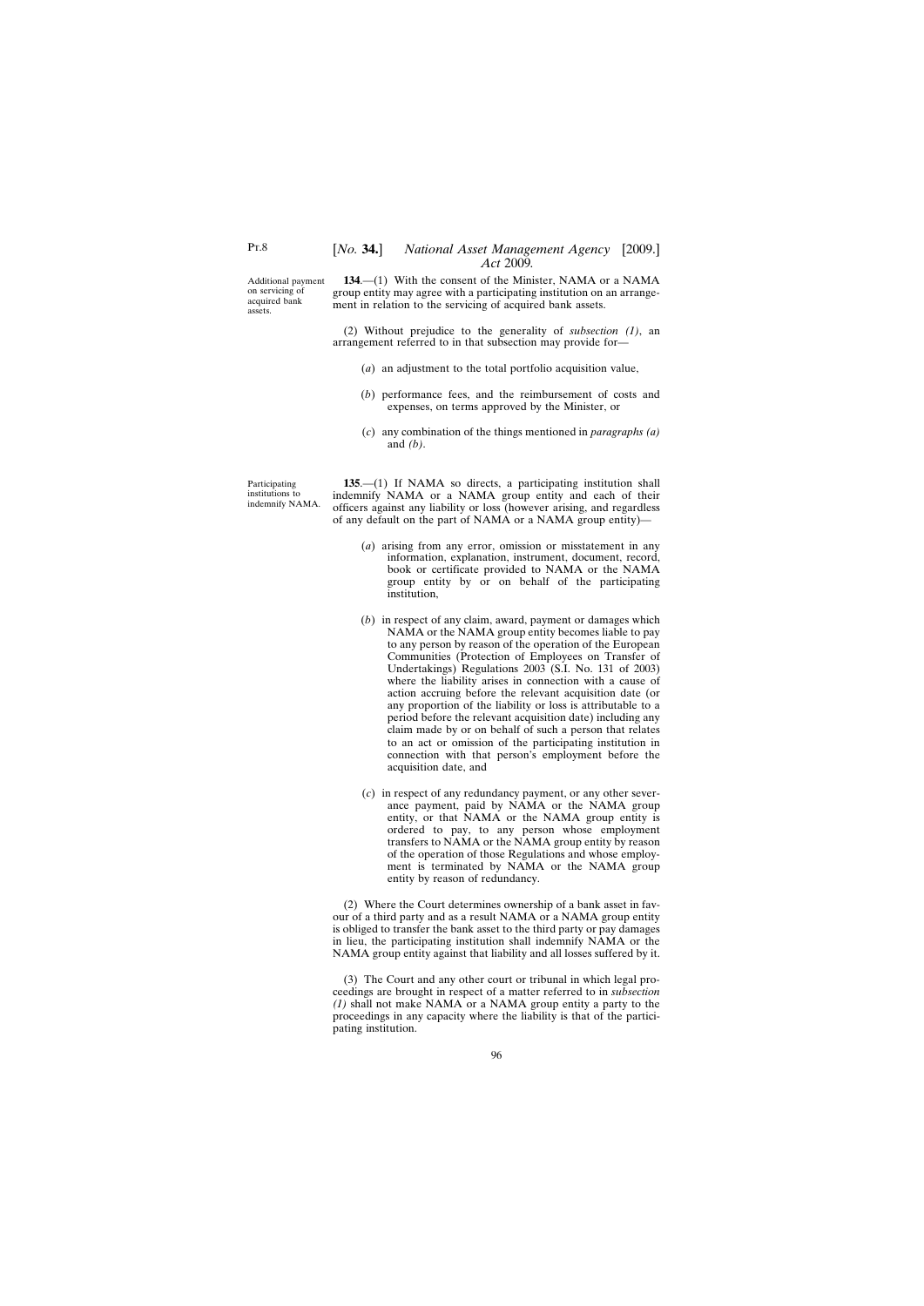Additional payment on servicing of acquired bank assets.

**134**.—(1) With the consent of the Minister, NAMA or a NAMA group entity may agree with a participating institution on an arrangement in relation to the servicing of acquired bank assets.

(2) Without prejudice to the generality of *subsection (1)*, an arrangement referred to in that subsection may provide for—

- (*a*) an adjustment to the total portfolio acquisition value,
- (*b*) performance fees, and the reimbursement of costs and expenses, on terms approved by the Minister, or
- (*c*) any combination of the things mentioned in *paragraphs (a)* and *(b)*.

**135**.—(1) If NAMA so directs, a participating institution shall indemnify NAMA or a NAMA group entity and each of their officers against any liability or loss (however arising, and regardless of any default on the part of NAMA or a NAMA group entity)—

- (*a*) arising from any error, omission or misstatement in any information, explanation, instrument, document, record, book or certificate provided to NAMA or the NAMA group entity by or on behalf of the participating institution,
- (*b*) in respect of any claim, award, payment or damages which NAMA or the NAMA group entity becomes liable to pay to any person by reason of the operation of the European Communities (Protection of Employees on Transfer of Undertakings) Regulations 2003 (S.I. No. 131 of 2003) where the liability arises in connection with a cause of action accruing before the relevant acquisition date (or any proportion of the liability or loss is attributable to a period before the relevant acquisition date) including any claim made by or on behalf of such a person that relates to an act or omission of the participating institution in connection with that person's employment before the acquisition date, and
- (*c*) in respect of any redundancy payment, or any other severance payment, paid by NAMA or the NAMA group entity, or that NAMA or the NAMA group entity is ordered to pay, to any person whose employment transfers to NAMA or the NAMA group entity by reason of the operation of those Regulations and whose employment is terminated by NAMA or the NAMA group entity by reason of redundancy.

(2) Where the Court determines ownership of a bank asset in favour of a third party and as a result NAMA or a NAMA group entity is obliged to transfer the bank asset to the third party or pay damages in lieu, the participating institution shall indemnify NAMA or the NAMA group entity against that liability and all losses suffered by it.

(3) The Court and any other court or tribunal in which legal proceedings are brought in respect of a matter referred to in *subsection (1)* shall not make NAMA or a NAMA group entity a party to the proceedings in any capacity where the liability is that of the participating institution.

Participating institutions to indemnify NAMA.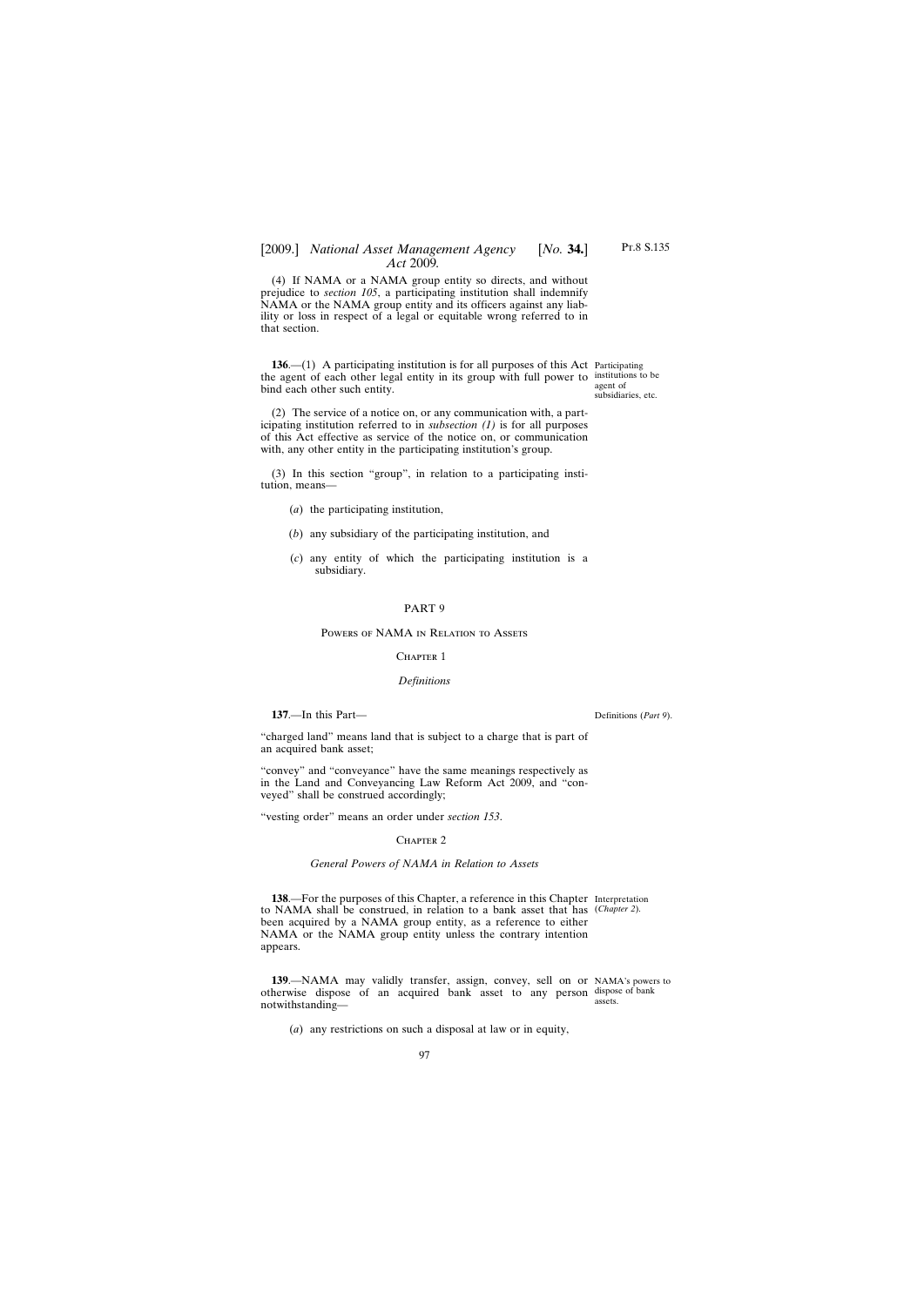## [2009.] *National Asset Management Agency* [*No.* **34.**] *Act* 2009*.*

(4) If NAMA or a NAMA group entity so directs, and without prejudice to *section 105*, a participating institution shall indemnify NAMA or the NAMA group entity and its officers against any liability or loss in respect of a legal or equitable wrong referred to in that section.

**136.**—(1) A participating institution is for all purposes of this Act Participating the agent of each other legal entity in its group with full power to institutions to be bind each other such entity.

agent of subsidiaries, etc.

(2) The service of a notice on, or any communication with, a participating institution referred to in *subsection (1)* is for all purposes of this Act effective as service of the notice on, or communication with, any other entity in the participating institution's group.

(3) In this section "group", in relation to a participating institution, means—

- (*a*) the participating institution,
- (*b*) any subsidiary of the participating institution, and
- (*c*) any entity of which the participating institution is a subsidiary.

#### PART 9

#### Powers of NAMA in Relation to Assets

#### CHAPTER 1

#### *Definitions*

**137**.—In this Part—

notwithstanding—

Definitions (*Part 9*).

"charged land" means land that is subject to a charge that is part of an acquired bank asset;

"convey" and "conveyance" have the same meanings respectively as in the Land and Conveyancing Law Reform Act 2009, and "conveyed" shall be construed accordingly;

"vesting order" means an order under *section 153*.

#### CHAPTER<sub>2</sub>

#### *General Powers of NAMA in Relation to Assets*

138.—For the purposes of this Chapter, a reference in this Chapter Interpretation to NAMA shall be construed, in relation to a bank asset that has (*Chapter 2*). been acquired by a NAMA group entity, as a reference to either NAMA or the NAMA group entity unless the contrary intention appears.

**139**.—NAMA may validly transfer, assign, convey, sell on or NAMA's powers to otherwise dispose of an acquired bank asset to any person dispose of bank assets.

(*a*) any restrictions on such a disposal at law or in equity,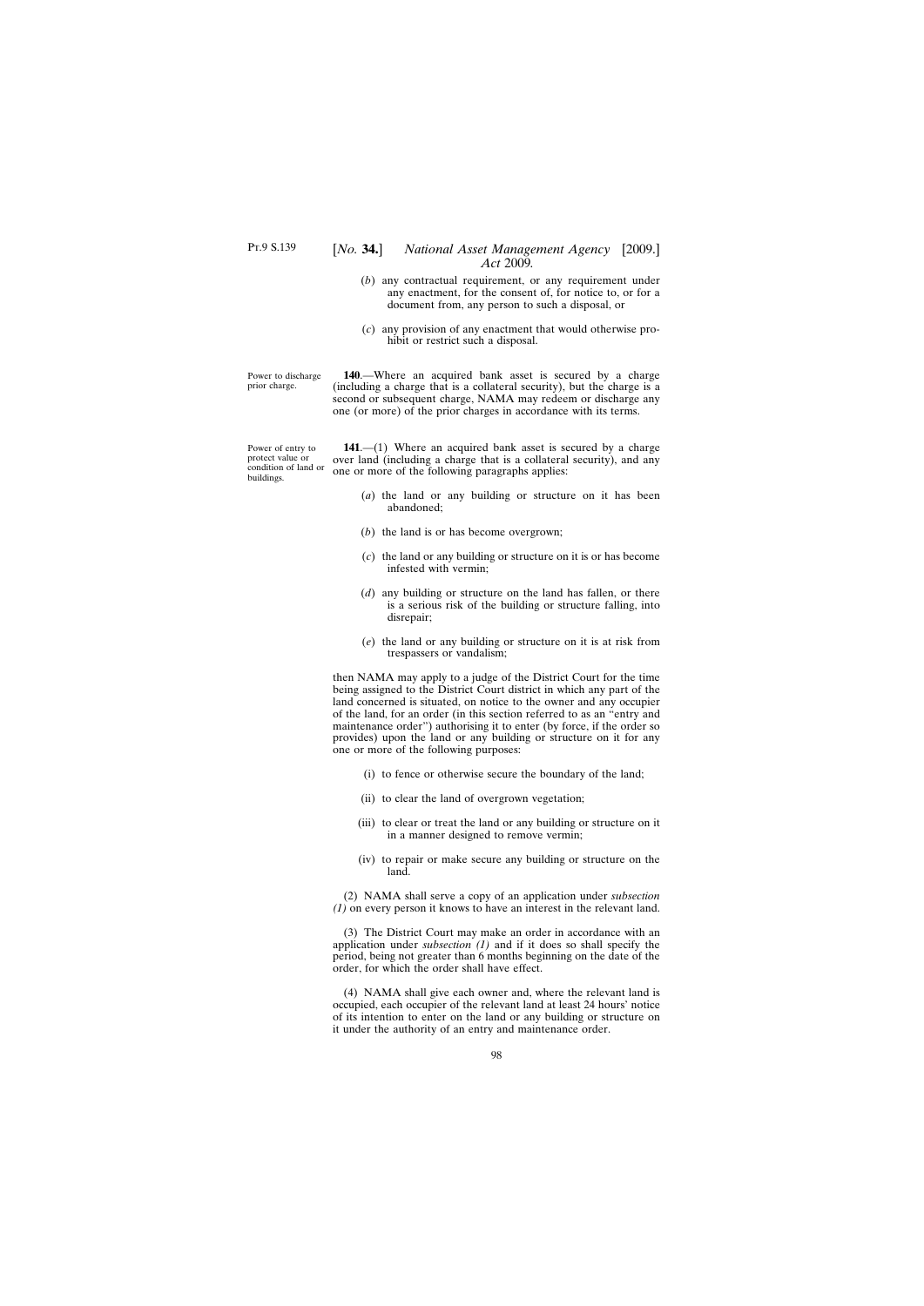- (*b*) any contractual requirement, or any requirement under any enactment, for the consent of, for notice to, or for a document from, any person to such a disposal, or
- (*c*) any provision of any enactment that would otherwise prohibit or restrict such a disposal.

**140**.—Where an acquired bank asset is secured by a charge (including a charge that is a collateral security), but the charge is a second or subsequent charge, NAMA may redeem or discharge any one (or more) of the prior charges in accordance with its terms.

**141**.—(1) Where an acquired bank asset is secured by a charge over land (including a charge that is a collateral security), and any one or more of the following paragraphs applies:

- (*a*) the land or any building or structure on it has been abandoned;
- (*b*) the land is or has become overgrown;
- (*c*) the land or any building or structure on it is or has become infested with vermin;
- (*d*) any building or structure on the land has fallen, or there is a serious risk of the building or structure falling, into disrepair;
- (*e*) the land or any building or structure on it is at risk from trespassers or vandalism;

then NAMA may apply to a judge of the District Court for the time being assigned to the District Court district in which any part of the land concerned is situated, on notice to the owner and any occupier of the land, for an order (in this section referred to as an "entry and maintenance order") authorising it to enter (by force, if the order so provides) upon the land or any building or structure on it for any one or more of the following purposes:

- (i) to fence or otherwise secure the boundary of the land;
- (ii) to clear the land of overgrown vegetation;
- (iii) to clear or treat the land or any building or structure on it in a manner designed to remove vermin;
- (iv) to repair or make secure any building or structure on the land.

(2) NAMA shall serve a copy of an application under *subsection (1)* on every person it knows to have an interest in the relevant land.

(3) The District Court may make an order in accordance with an application under *subsection (1)* and if it does so shall specify the period, being not greater than 6 months beginning on the date of the order, for which the order shall have effect.

(4) NAMA shall give each owner and, where the relevant land is occupied, each occupier of the relevant land at least 24 hours' notice of its intention to enter on the land or any building or structure on it under the authority of an entry and maintenance order.

Power to discharge prior charge.

Power of entry to protect value or condition of land or buildings.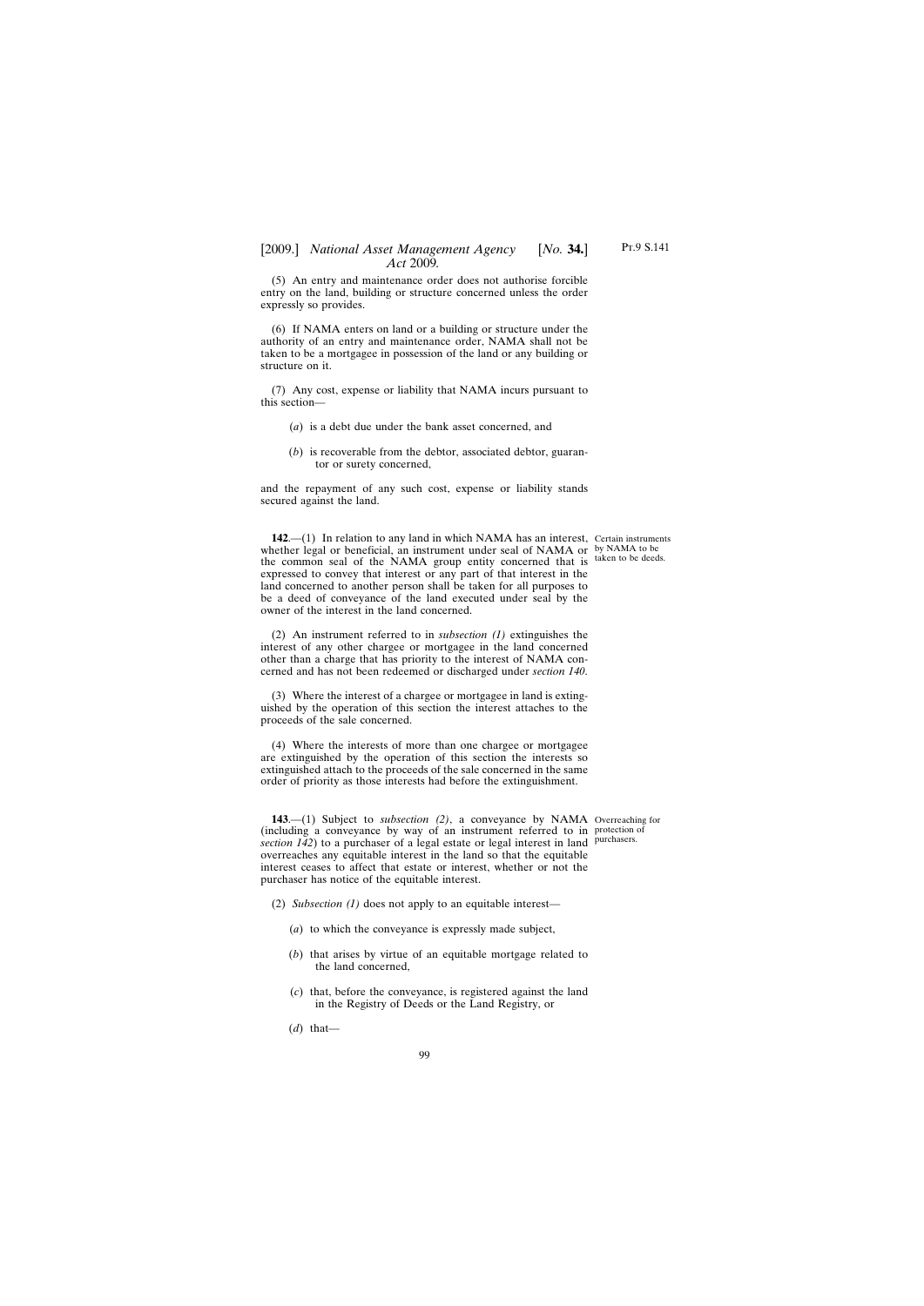### [2009.] [ *National Asset Management Agency No.* **34.**] *Act* 2009*.*

(5) An entry and maintenance order does not authorise forcible entry on the land, building or structure concerned unless the order expressly so provides.

(6) If NAMA enters on land or a building or structure under the authority of an entry and maintenance order, NAMA shall not be taken to be a mortgagee in possession of the land or any building or structure on it.

(7) Any cost, expense or liability that NAMA incurs pursuant to this section—

- (*a*) is a debt due under the bank asset concerned, and
- (*b*) is recoverable from the debtor, associated debtor, guarantor or surety concerned,

and the repayment of any such cost, expense or liability stands secured against the land.

**142.**—(1) In relation to any land in which NAMA has an interest, Certain instruments whether legal or beneficial, an instrument under seal of NAMA or by NAMA to be the common seal of the NAMA group entity concerned that is taken to be deeds. expressed to convey that interest or any part of that interest in the land concerned to another person shall be taken for all purposes to be a deed of conveyance of the land executed under seal by the owner of the interest in the land concerned.

(2) An instrument referred to in *subsection (1)* extinguishes the interest of any other chargee or mortgagee in the land concerned other than a charge that has priority to the interest of NAMA concerned and has not been redeemed or discharged under *section 140*.

(3) Where the interest of a chargee or mortgagee in land is extinguished by the operation of this section the interest attaches to the proceeds of the sale concerned.

(4) Where the interests of more than one chargee or mortgagee are extinguished by the operation of this section the interests so extinguished attach to the proceeds of the sale concerned in the same order of priority as those interests had before the extinguishment.

**143**.—(1) Subject to *subsection (2)*, a conveyance by NAMA Overreaching for (including a conveyance by way of an instrument referred to in protection of section 142) to a purchaser of a legal estate or legal interest in land <sup>purchasers.</sup> overreaches any equitable interest in the land so that the equitable interest ceases to affect that estate or interest, whether or not the purchaser has notice of the equitable interest.

(2) *Subsection (1)* does not apply to an equitable interest—

- (*a*) to which the conveyance is expressly made subject,
- (*b*) that arises by virtue of an equitable mortgage related to the land concerned,
- (*c*) that, before the conveyance, is registered against the land in the Registry of Deeds or the Land Registry, or
- (*d*) that—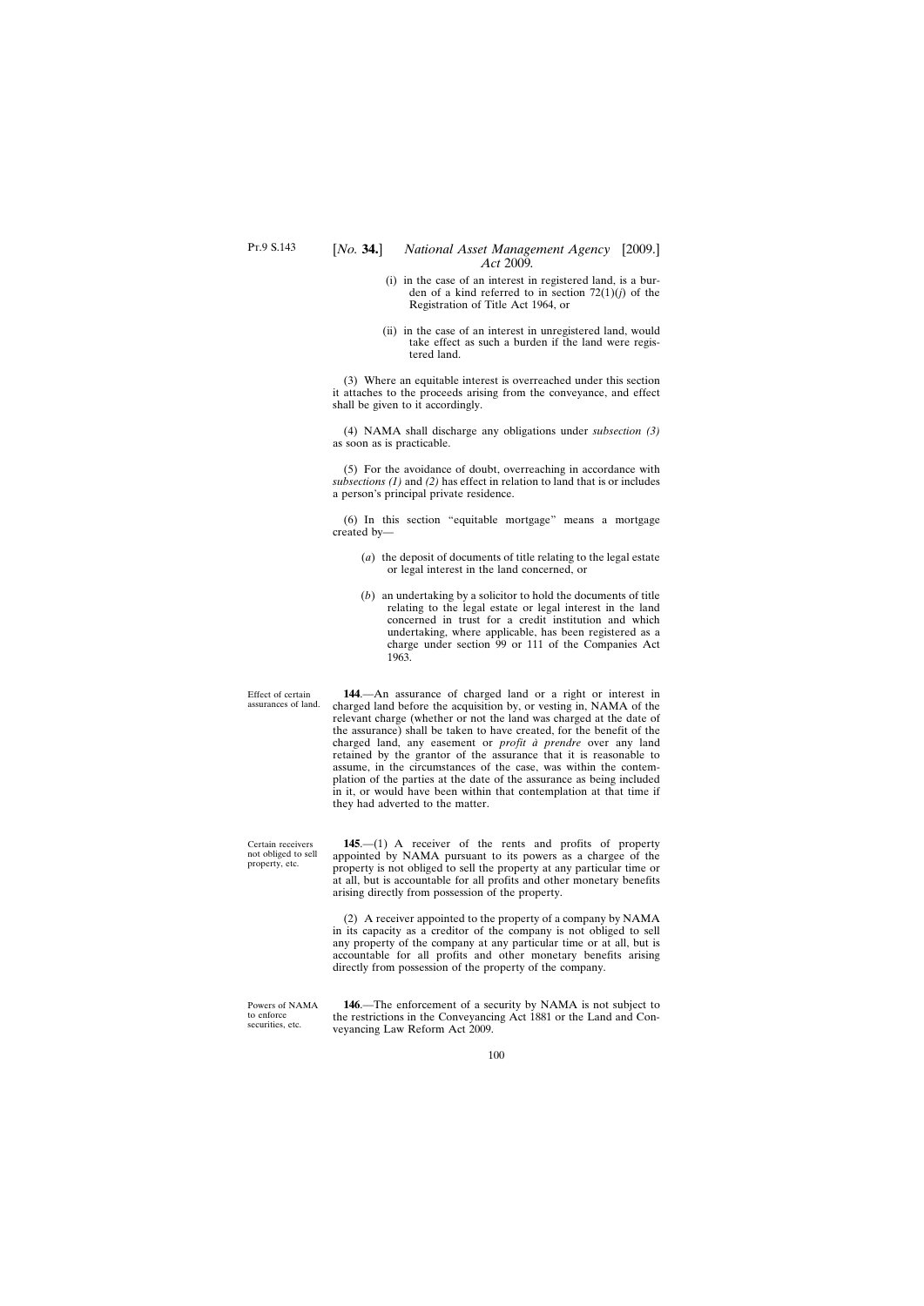- (i) in the case of an interest in registered land, is a burden of a kind referred to in section 72(1)(*j*) of the Registration of Title Act 1964, or
- (ii) in the case of an interest in unregistered land, would take effect as such a burden if the land were registered land.

(3) Where an equitable interest is overreached under this section it attaches to the proceeds arising from the conveyance, and effect shall be given to it accordingly.

(4) NAMA shall discharge any obligations under *subsection (3)* as soon as is practicable.

(5) For the avoidance of doubt, overreaching in accordance with *subsections (1)* and *(2)* has effect in relation to land that is or includes a person's principal private residence.

(6) In this section "equitable mortgage" means a mortgage created by—

- (*a*) the deposit of documents of title relating to the legal estate or legal interest in the land concerned, or
- (*b*) an undertaking by a solicitor to hold the documents of title relating to the legal estate or legal interest in the land concerned in trust for a credit institution and which undertaking, where applicable, has been registered as a charge under section 99 or 111 of the Companies Act 1963.

**144**.—An assurance of charged land or a right or interest in charged land before the acquisition by, or vesting in, NAMA of the relevant charge (whether or not the land was charged at the date of the assurance) shall be taken to have created, for the benefit of the charged land, any easement or *profit a` prendre* over any land retained by the grantor of the assurance that it is reasonable to assume, in the circumstances of the case, was within the contemplation of the parties at the date of the assurance as being included in it, or would have been within that contemplation at that time if they had adverted to the matter.

Certain receivers not obliged to sell property, etc.

Effect of certain assurances of land.

> **145**.—(1) A receiver of the rents and profits of property appointed by NAMA pursuant to its powers as a chargee of the property is not obliged to sell the property at any particular time or at all, but is accountable for all profits and other monetary benefits arising directly from possession of the property.

> (2) A receiver appointed to the property of a company by NAMA in its capacity as a creditor of the company is not obliged to sell any property of the company at any particular time or at all, but is accountable for all profits and other monetary benefits arising directly from possession of the property of the company.

Powers of NAMA to enforce securities, etc.

**146**.—The enforcement of a security by NAMA is not subject to the restrictions in the Conveyancing Act 1881 or the Land and Conveyancing Law Reform Act 2009.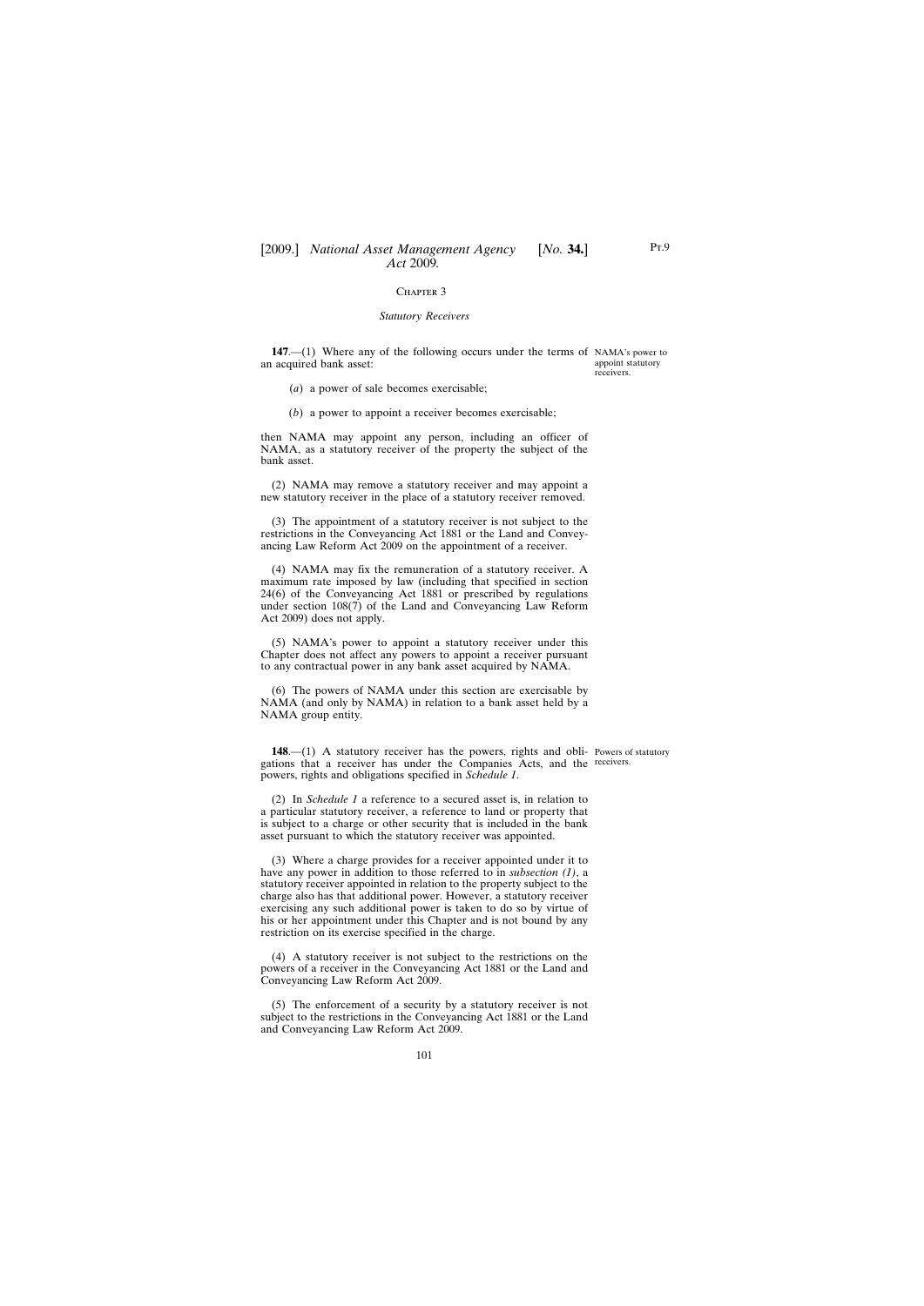#### CHAPTER<sub>3</sub>

#### *Statutory Receivers*

**147.**—(1) Where any of the following occurs under the terms of NAMA's power to an acquired bank asset:

appoint statutory receivers.

- (*a*) a power of sale becomes exercisable;
- (*b*) a power to appoint a receiver becomes exercisable;

then NAMA may appoint any person, including an officer of NAMA, as a statutory receiver of the property the subject of the bank asset.

(2) NAMA may remove a statutory receiver and may appoint a new statutory receiver in the place of a statutory receiver removed.

(3) The appointment of a statutory receiver is not subject to the restrictions in the Conveyancing Act 1881 or the Land and Conveyancing Law Reform Act 2009 on the appointment of a receiver.

(4) NAMA may fix the remuneration of a statutory receiver. A maximum rate imposed by law (including that specified in section 24(6) of the Conveyancing Act 1881 or prescribed by regulations under section 108(7) of the Land and Conveyancing Law Reform Act 2009) does not apply.

(5) NAMA's power to appoint a statutory receiver under this Chapter does not affect any powers to appoint a receiver pursuant to any contractual power in any bank asset acquired by NAMA.

(6) The powers of NAMA under this section are exercisable by NAMA (and only by NAMA) in relation to a bank asset held by a NAMA group entity.

**148.**—(1) A statutory receiver has the powers, rights and obli- Powers of statutory gations that a receiver has under the Companies Acts, and the receivers.powers, rights and obligations specified in *Schedule 1*.

(2) In *Schedule 1* a reference to a secured asset is, in relation to a particular statutory receiver, a reference to land or property that is subject to a charge or other security that is included in the bank asset pursuant to which the statutory receiver was appointed.

(3) Where a charge provides for a receiver appointed under it to have any power in addition to those referred to in *subsection (1)*, a statutory receiver appointed in relation to the property subject to the charge also has that additional power. However, a statutory receiver exercising any such additional power is taken to do so by virtue of his or her appointment under this Chapter and is not bound by any restriction on its exercise specified in the charge.

(4) A statutory receiver is not subject to the restrictions on the powers of a receiver in the Conveyancing Act 1881 or the Land and Conveyancing Law Reform Act 2009.

(5) The enforcement of a security by a statutory receiver is not subject to the restrictions in the Conveyancing Act 1881 or the Land and Conveyancing Law Reform Act 2009.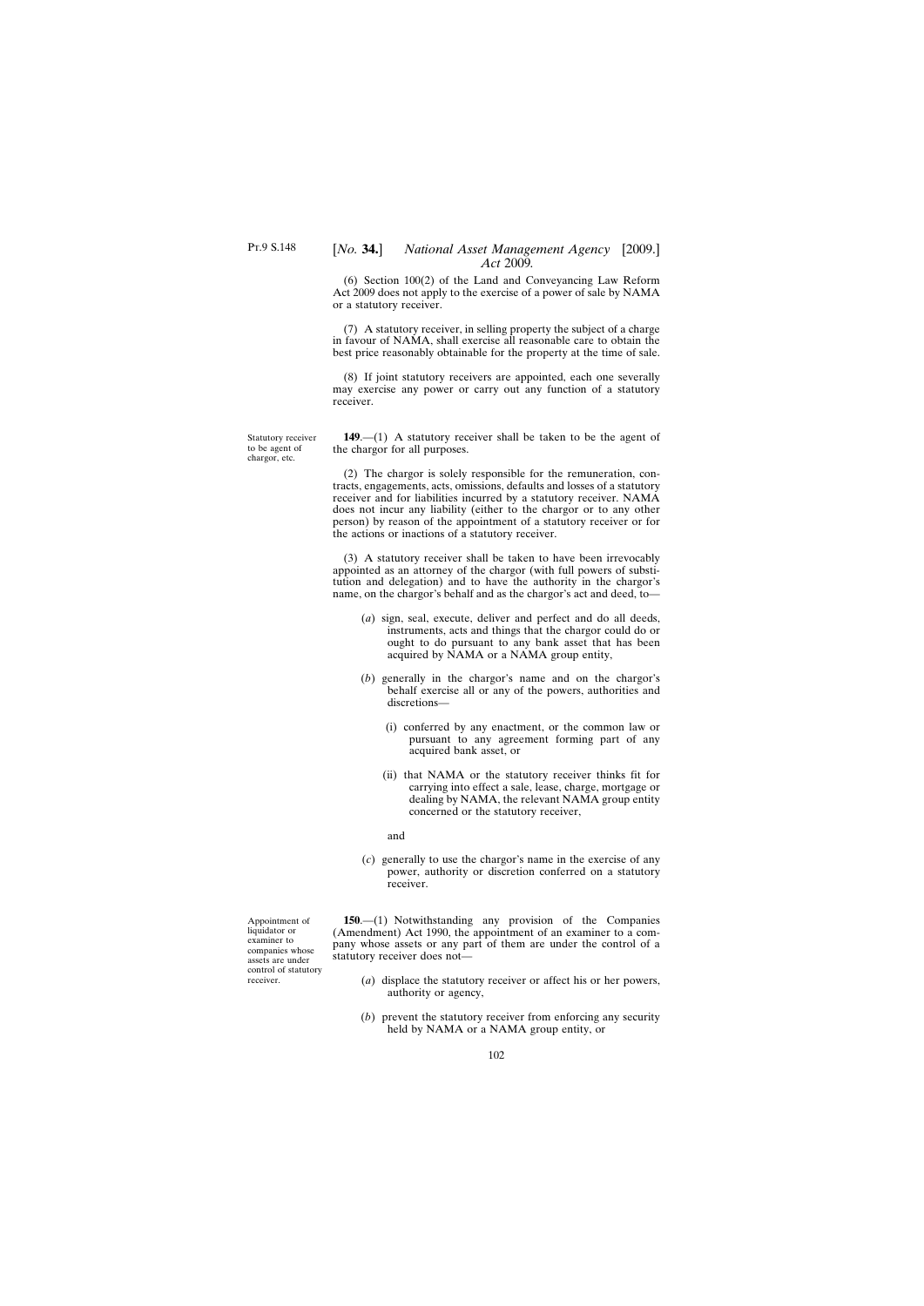(6) Section 100(2) of the Land and Conveyancing Law Reform Act 2009 does not apply to the exercise of a power of sale by NAMA or a statutory receiver.

(7) A statutory receiver, in selling property the subject of a charge in favour of NAMA, shall exercise all reasonable care to obtain the best price reasonably obtainable for the property at the time of sale.

(8) If joint statutory receivers are appointed, each one severally may exercise any power or carry out any function of a statutory receiver.

**149**.—(1) A statutory receiver shall be taken to be the agent of the chargor for all purposes.

(2) The chargor is solely responsible for the remuneration, contracts, engagements, acts, omissions, defaults and losses of a statutory receiver and for liabilities incurred by a statutory receiver. NAMA does not incur any liability (either to the chargor or to any other person) by reason of the appointment of a statutory receiver or for the actions or inactions of a statutory receiver.

(3) A statutory receiver shall be taken to have been irrevocably appointed as an attorney of the chargor (with full powers of substitution and delegation) and to have the authority in the chargor's name, on the chargor's behalf and as the chargor's act and deed, to—

- (*a*) sign, seal, execute, deliver and perfect and do all deeds, instruments, acts and things that the chargor could do or ought to do pursuant to any bank asset that has been acquired by NAMA or a NAMA group entity,
- (*b*) generally in the chargor's name and on the chargor's behalf exercise all or any of the powers, authorities and discretions—
	- (i) conferred by any enactment, or the common law or pursuant to any agreement forming part of any acquired bank asset, or
	- (ii) that NAMA or the statutory receiver thinks fit for carrying into effect a sale, lease, charge, mortgage or dealing by NAMA, the relevant NAMA group entity concerned or the statutory receiver,

and

(*c*) generally to use the chargor's name in the exercise of any power, authority or discretion conferred on a statutory receiver.

**150**.—(1) Notwithstanding any provision of the Companies (Amendment) Act 1990, the appointment of an examiner to a company whose assets or any part of them are under the control of a statutory receiver does not—

- (*a*) displace the statutory receiver or affect his or her powers, authority or agency,
- (*b*) prevent the statutory receiver from enforcing any security held by NAMA or a NAMA group entity, or

Statutory receiver to be agent of chargor, etc.

Appointment of liquidator or examiner to companies whose assets are under control of statutory receiver.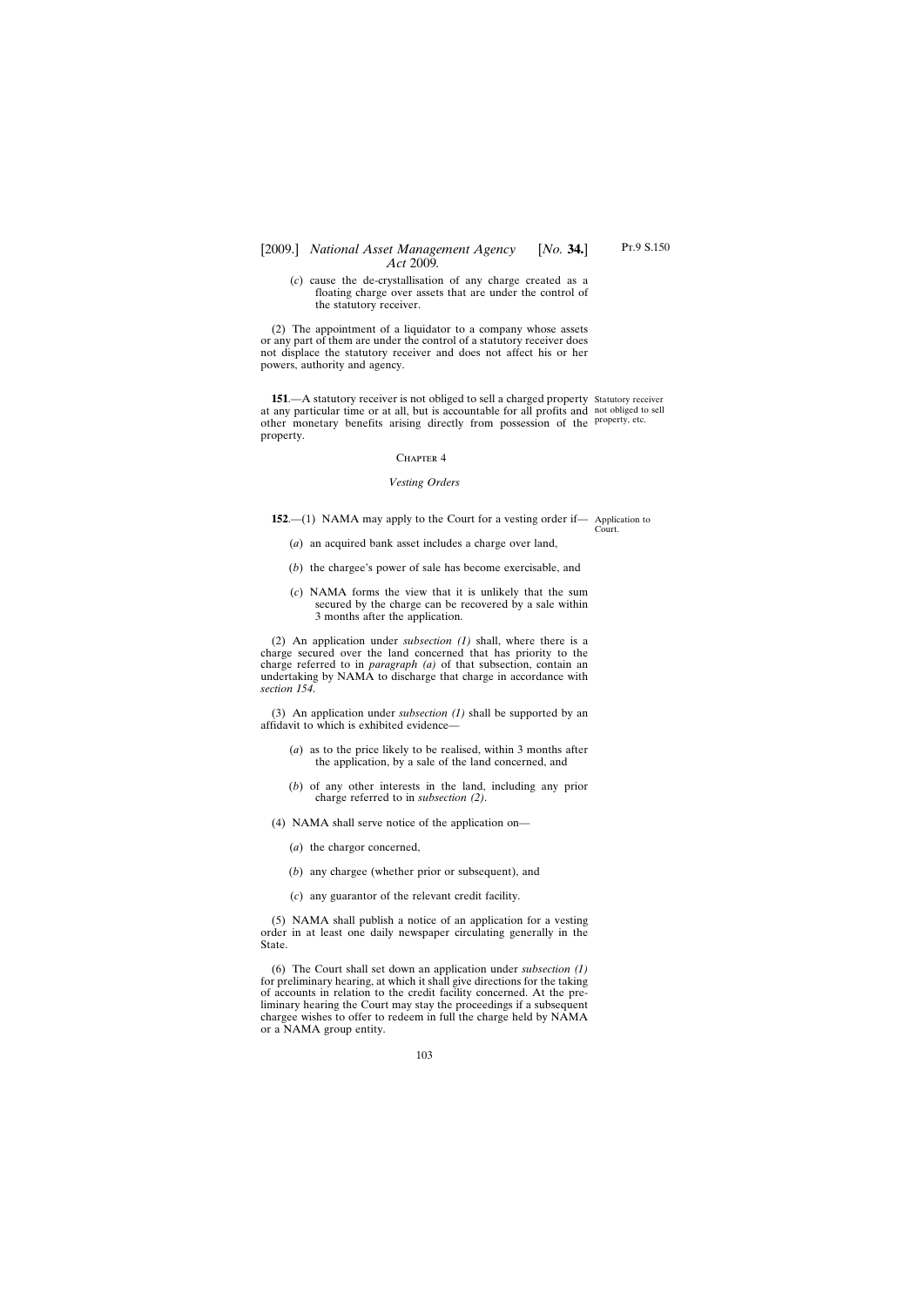## [2009.] *National Asset Management Agency* [*No.* **34.**] *Act* 2009*.*

(*c*) cause the de-crystallisation of any charge created as a floating charge over assets that are under the control of the statutory receiver.

(2) The appointment of a liquidator to a company whose assets or any part of them are under the control of a statutory receiver does not displace the statutory receiver and does not affect his or her powers, authority and agency.

**151**.—A statutory receiver is not obliged to sell a charged property Statutory receiver at any particular time or at all, but is accountable for all profits and not obliged to sell other monetary benefits arising directly from possession of the property, etc. property.

#### CHAPTER 4

#### *Vesting Orders*

**152.**—(1) NAMA may apply to the Court for a vesting order if— Application to

Court.

- (*a*) an acquired bank asset includes a charge over land,
- (*b*) the chargee's power of sale has become exercisable, and
- (*c*) NAMA forms the view that it is unlikely that the sum secured by the charge can be recovered by a sale within 3 months after the application.

(2) An application under *subsection (1)* shall, where there is a charge secured over the land concerned that has priority to the charge referred to in *paragraph (a)* of that subsection, contain an undertaking by NAMA to discharge that charge in accordance with *section 154*.

(3) An application under *subsection (1)* shall be supported by an affidavit to which is exhibited evidence—

- (*a*) as to the price likely to be realised, within 3 months after the application, by a sale of the land concerned, and
- (*b*) of any other interests in the land, including any prior charge referred to in *subsection (2)*.
- (4) NAMA shall serve notice of the application on—
	- (*a*) the chargor concerned,
	- (*b*) any chargee (whether prior or subsequent), and
	- (*c*) any guarantor of the relevant credit facility.

(5) NAMA shall publish a notice of an application for a vesting order in at least one daily newspaper circulating generally in the State.

(6) The Court shall set down an application under *subsection (1)* for preliminary hearing, at which it shall give directions for the taking of accounts in relation to the credit facility concerned. At the preliminary hearing the Court may stay the proceedings if a subsequent chargee wishes to offer to redeem in full the charge held by NAMA or a NAMA group entity.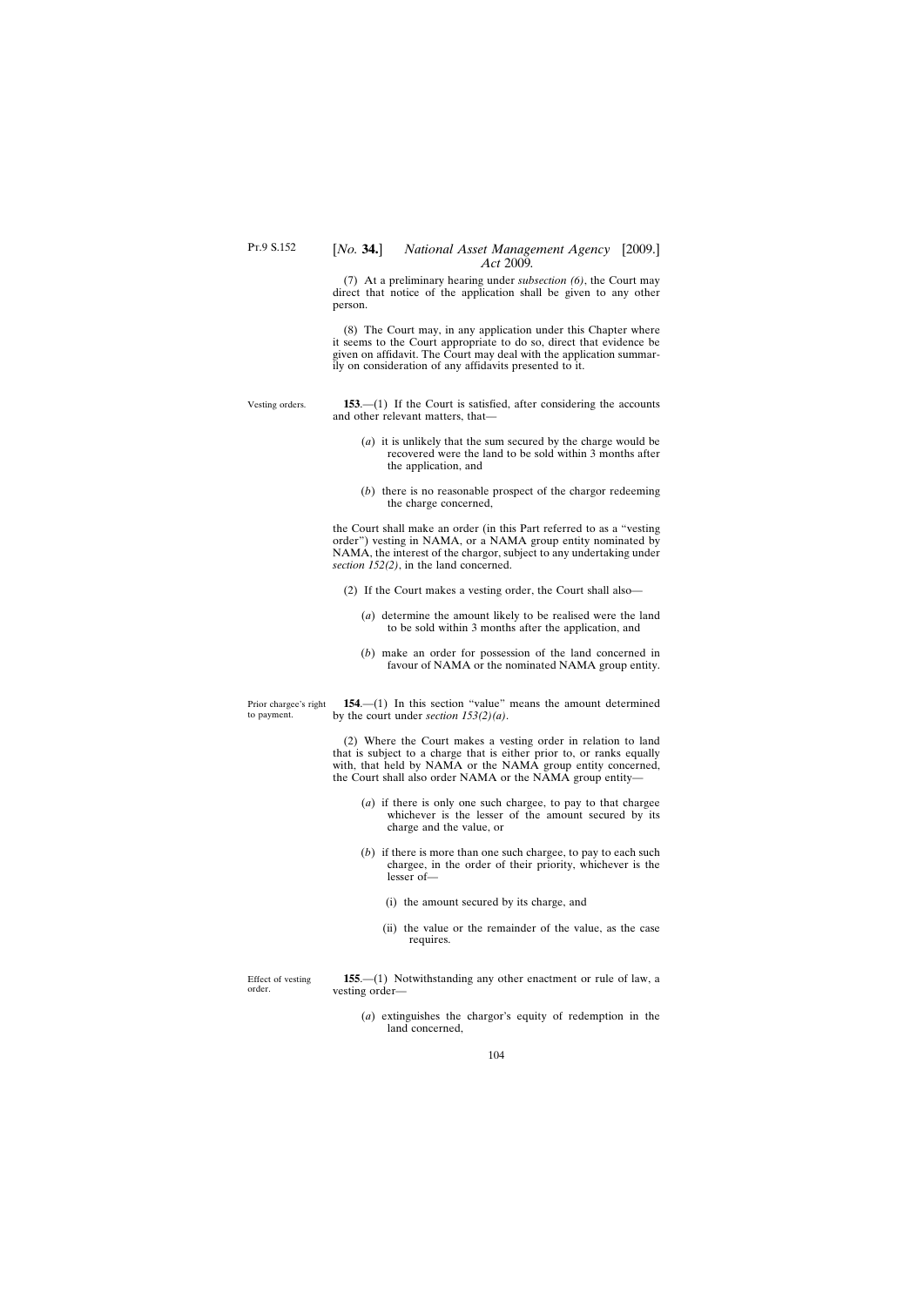(7) At a preliminary hearing under *subsection (6)*, the Court may direct that notice of the application shall be given to any other person.

(8) The Court may, in any application under this Chapter where it seems to the Court appropriate to do so, direct that evidence be given on affidavit. The Court may deal with the application summarily on consideration of any affidavits presented to it.

Vesting orders. **153**.—(1) If the Court is satisfied, after considering the accounts and other relevant matters, that—

- (*a*) it is unlikely that the sum secured by the charge would be recovered were the land to be sold within 3 months after the application, and
- (*b*) there is no reasonable prospect of the chargor redeeming the charge concerned,

the Court shall make an order (in this Part referred to as a "vesting order") vesting in NAMA, or a NAMA group entity nominated by NAMA, the interest of the chargor, subject to any undertaking under *section 152(2)*, in the land concerned.

- (2) If the Court makes a vesting order, the Court shall also—
	- (*a*) determine the amount likely to be realised were the land to be sold within 3 months after the application, and
	- (*b*) make an order for possession of the land concerned in favour of NAMA or the nominated NAMA group entity.

Prior chargee's right to payment.

**154**.—(1) In this section "value" means the amount determined by the court under *section 153(2)(a)*.

(2) Where the Court makes a vesting order in relation to land that is subject to a charge that is either prior to, or ranks equally with, that held by NAMA or the NAMA group entity concerned, the Court shall also order NAMA or the NAMA group entity—

- (*a*) if there is only one such chargee, to pay to that chargee whichever is the lesser of the amount secured by its charge and the value, or
- (*b*) if there is more than one such chargee, to pay to each such chargee, in the order of their priority, whichever is the lesser of—
	- (i) the amount secured by its charge, and
	- (ii) the value or the remainder of the value, as the case requires.

Effect of vesting order.

**155**.—(1) Notwithstanding any other enactment or rule of law, a vesting order—

(*a*) extinguishes the chargor's equity of redemption in the land concerned,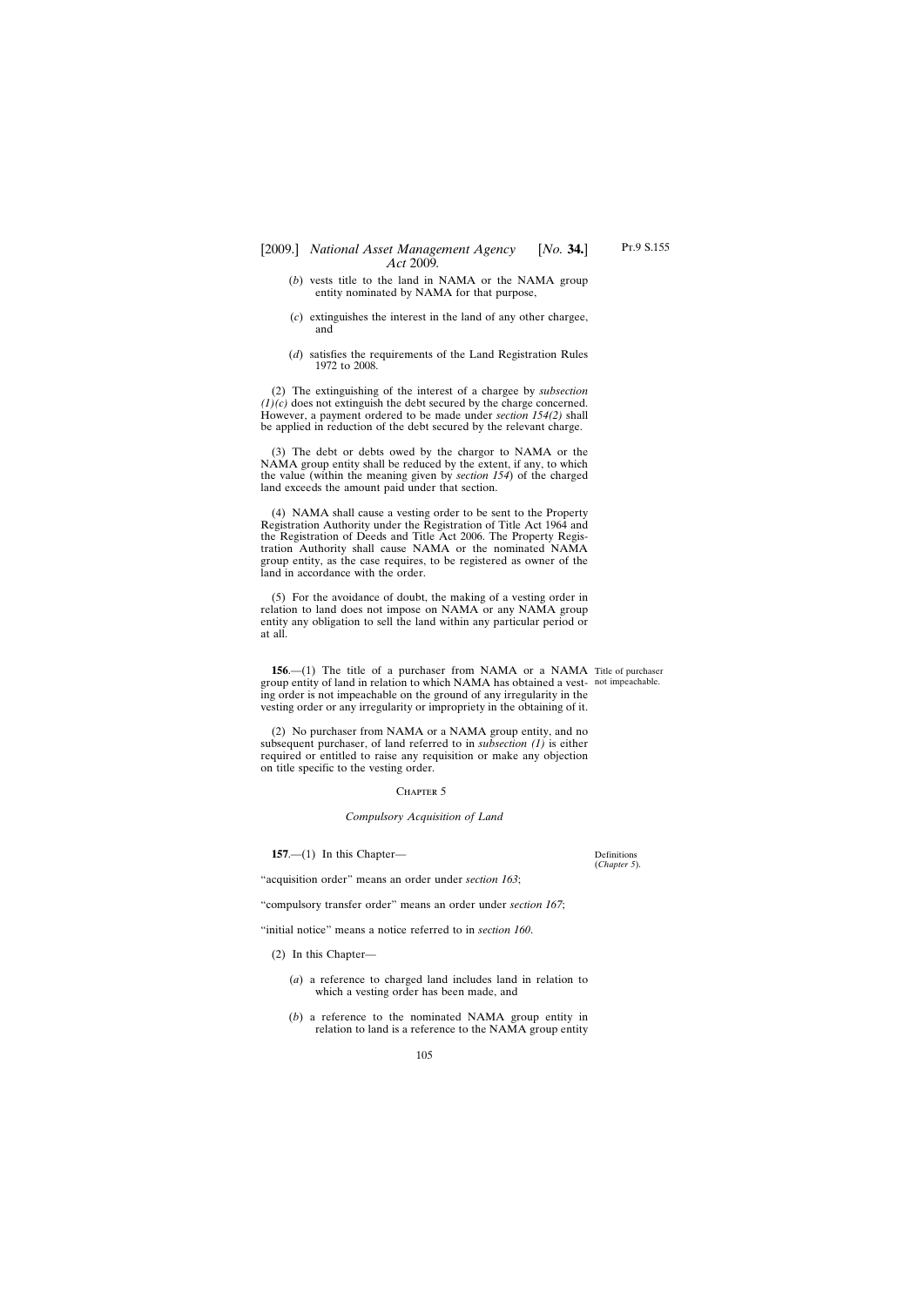## [2009.] *National Asset Management Agency* [*No.* **34.**] *Act* 2009*.*

- (*b*) vests title to the land in NAMA or the NAMA group entity nominated by NAMA for that purpose,
- (*c*) extinguishes the interest in the land of any other chargee, and
- (*d*) satisfies the requirements of the Land Registration Rules 1972 to 2008.

(2) The extinguishing of the interest of a chargee by *subsection (1)(c)* does not extinguish the debt secured by the charge concerned. However, a payment ordered to be made under *section 154(2)* shall be applied in reduction of the debt secured by the relevant charge.

(3) The debt or debts owed by the chargor to NAMA or the NAMA group entity shall be reduced by the extent, if any, to which the value (within the meaning given by *section 154*) of the charged land exceeds the amount paid under that section.

(4) NAMA shall cause a vesting order to be sent to the Property Registration Authority under the Registration of Title Act 1964 and the Registration of Deeds and Title Act 2006. The Property Registration Authority shall cause NAMA or the nominated NAMA group entity, as the case requires, to be registered as owner of the land in accordance with the order.

(5) For the avoidance of doubt, the making of a vesting order in relation to land does not impose on NAMA or any NAMA group entity any obligation to sell the land within any particular period or at all.

**156.**—(1) The title of a purchaser from NAMA or a NAMA Title of purchaser group entity of land in relation to which NAMA has obtained a vest-not impeachable. ing order is not impeachable on the ground of any irregularity in the vesting order or any irregularity or impropriety in the obtaining of it.

(2) No purchaser from NAMA or a NAMA group entity, and no subsequent purchaser, of land referred to in *subsection (1)* is either required or entitled to raise any requisition or make any objection on title specific to the vesting order.

#### CHAPTER 5

#### *Compulsory Acquisition of Land*

**157**.—(1) In this Chapter—

"acquisition order" means an order under *section 163*;

"compulsory transfer order" means an order under *section 167*;

"initial notice" means a notice referred to in *section 160*.

- (2) In this Chapter—
	- (*a*) a reference to charged land includes land in relation to which a vesting order has been made, and
	- (*b*) a reference to the nominated NAMA group entity in relation to land is a reference to the NAMA group entity

**Definitions** (*Chapter 5*).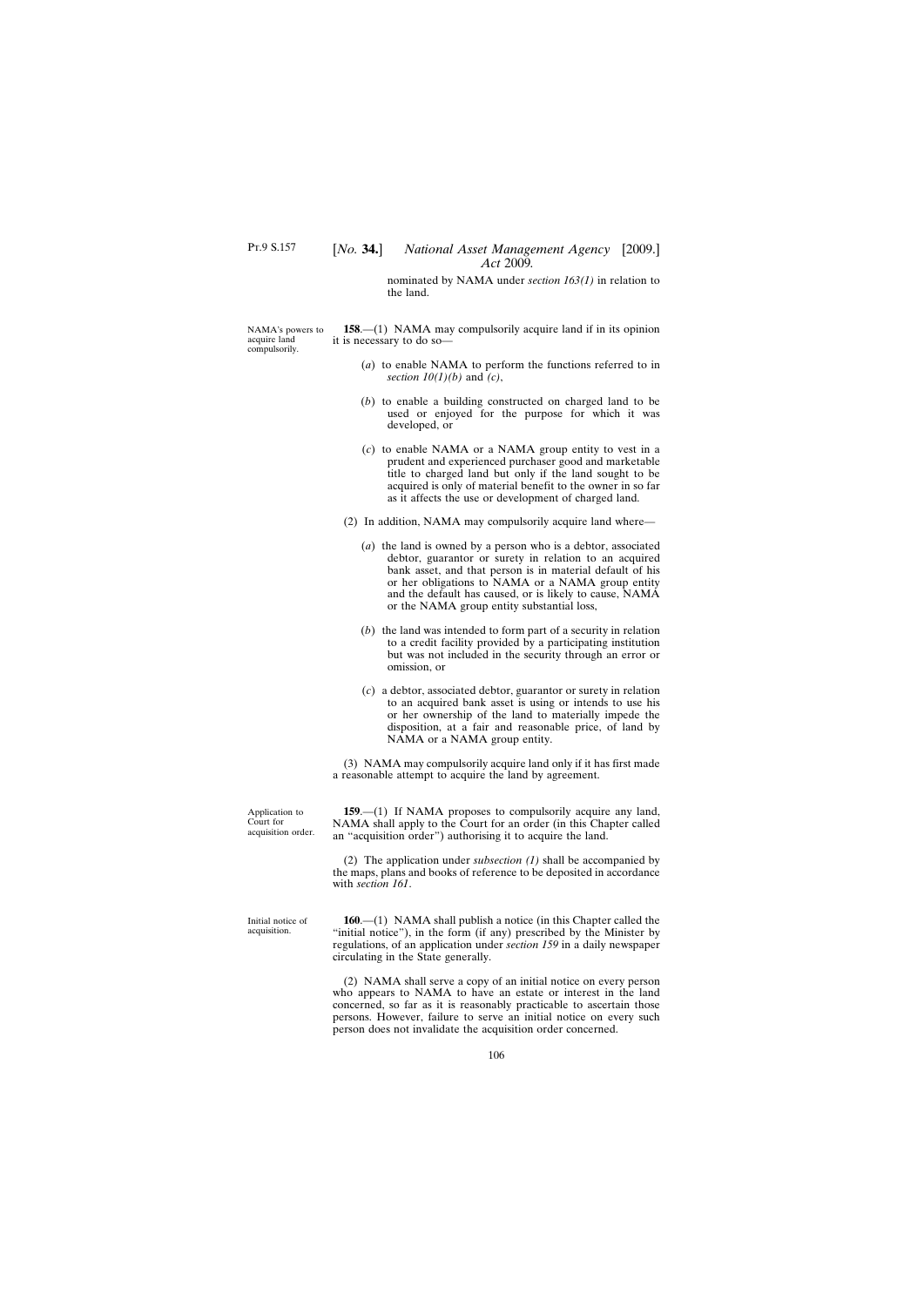nominated by NAMA under *section 163(1)* in relation to the land.

NAMA's powers to acquire land compulsorily.

**158**.—(1) NAMA may compulsorily acquire land if in its opinion it is necessary to do so—

- (*a*) to enable NAMA to perform the functions referred to in *section 10(1)(b)* and *(c)*,
- (*b*) to enable a building constructed on charged land to be used or enjoyed for the purpose for which it was developed, or
- (*c*) to enable NAMA or a NAMA group entity to vest in a prudent and experienced purchaser good and marketable title to charged land but only if the land sought to be acquired is only of material benefit to the owner in so far as it affects the use or development of charged land.
- (2) In addition, NAMA may compulsorily acquire land where—
	- (*a*) the land is owned by a person who is a debtor, associated debtor, guarantor or surety in relation to an acquired bank asset, and that person is in material default of his or her obligations to NAMA or a NAMA group entity and the default has caused, or is likely to cause, NAMA or the NAMA group entity substantial loss,
	- (*b*) the land was intended to form part of a security in relation to a credit facility provided by a participating institution but was not included in the security through an error or omission, or
	- (*c*) a debtor, associated debtor, guarantor or surety in relation to an acquired bank asset is using or intends to use his or her ownership of the land to materially impede the disposition, at a fair and reasonable price, of land by NAMA or a NAMA group entity.

(3) NAMA may compulsorily acquire land only if it has first made a reasonable attempt to acquire the land by agreement.

**159**.—(1) If NAMA proposes to compulsorily acquire any land, NAMA shall apply to the Court for an order (in this Chapter called an "acquisition order") authorising it to acquire the land.

(2) The application under *subsection (1)* shall be accompanied by the maps, plans and books of reference to be deposited in accordance with *section 161*.

**160**.—(1) NAMA shall publish a notice (in this Chapter called the "initial notice"), in the form (if any) prescribed by the Minister by regulations, of an application under *section 159* in a daily newspaper circulating in the State generally.

(2) NAMA shall serve a copy of an initial notice on every person who appears to NAMA to have an estate or interest in the land concerned, so far as it is reasonably practicable to ascertain those persons. However, failure to serve an initial notice on every such person does not invalidate the acquisition order concerned.

Application to Court for acquisition order.

Initial notice of acquisition.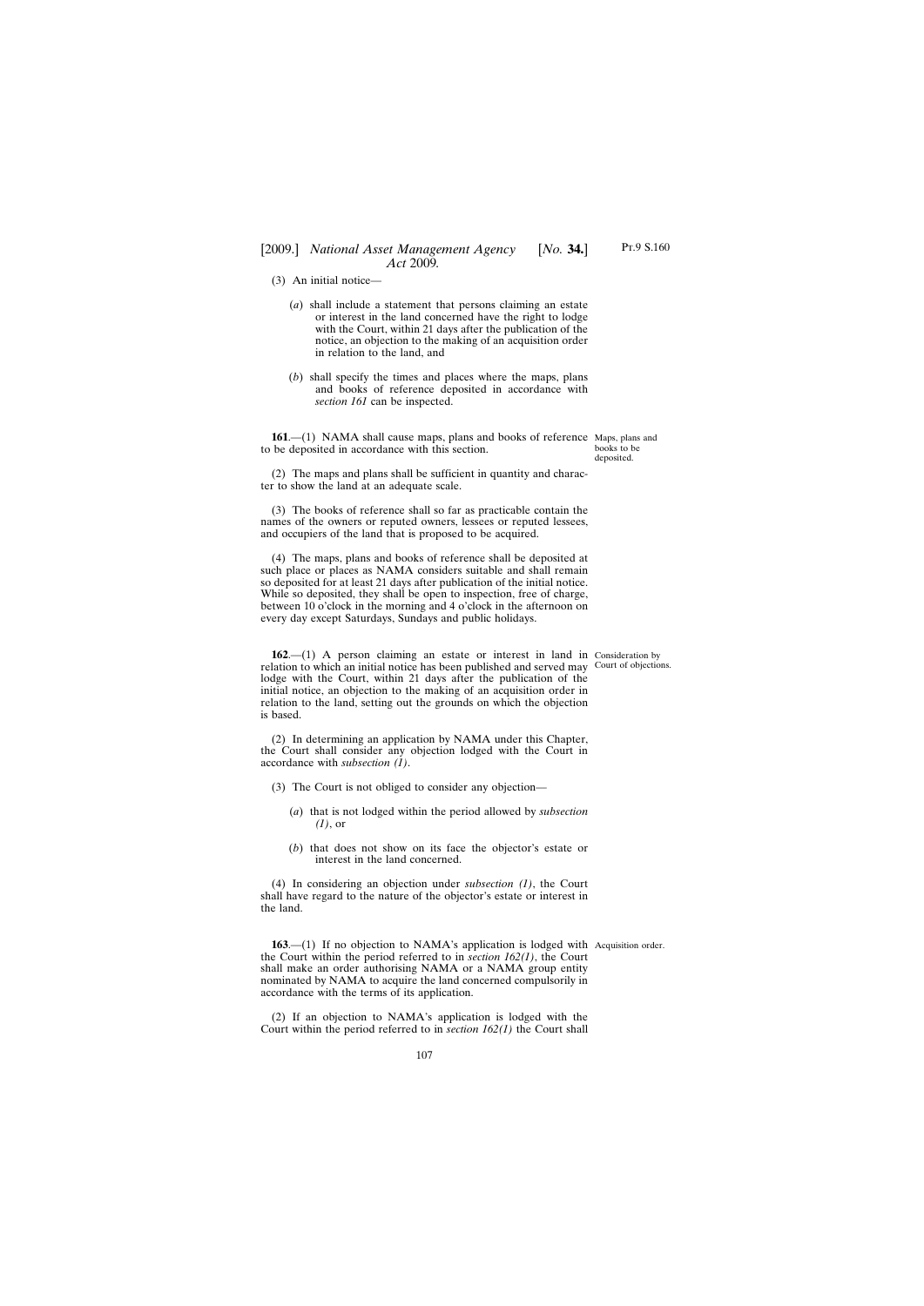(3) An initial notice—

- (*a*) shall include a statement that persons claiming an estate or interest in the land concerned have the right to lodge with the Court, within 21 days after the publication of the notice, an objection to the making of an acquisition order in relation to the land, and
- (*b*) shall specify the times and places where the maps, plans and books of reference deposited in accordance with *section 161* can be inspected.

**161.**—(1) NAMA shall cause maps, plans and books of reference Maps, plans and to be deposited in accordance with this section.

(2) The maps and plans shall be sufficient in quantity and character to show the land at an adequate scale.

(3) The books of reference shall so far as practicable contain the names of the owners or reputed owners, lessees or reputed lessees, and occupiers of the land that is proposed to be acquired.

(4) The maps, plans and books of reference shall be deposited at such place or places as NAMA considers suitable and shall remain so deposited for at least 21 days after publication of the initial notice. While so deposited, they shall be open to inspection, free of charge, between 10 o'clock in the morning and 4 o'clock in the afternoon on every day except Saturdays, Sundays and public holidays.

**162**.—(1) A person claiming an estate or interest in land in Consideration by relation to which an initial notice has been published and served may Court of objections. lodge with the Court, within 21 days after the publication of the initial notice, an objection to the making of an acquisition order in relation to the land, setting out the grounds on which the objection is based.

(2) In determining an application by NAMA under this Chapter, the Court shall consider any objection lodged with the Court in accordance with *subsection (1)*.

- (3) The Court is not obliged to consider any objection—
	- (*a*) that is not lodged within the period allowed by *subsection (1)*, or
	- (*b*) that does not show on its face the objector's estate or interest in the land concerned.

(4) In considering an objection under *subsection (1)*, the Court shall have regard to the nature of the objector's estate or interest in the land.

**163.**—(1) If no objection to NAMA's application is lodged with Acquisition order. the Court within the period referred to in *section 162(1)*, the Court shall make an order authorising NAMA or a NAMA group entity nominated by NAMA to acquire the land concerned compulsorily in accordance with the terms of its application.

(2) If an objection to NAMA's application is lodged with the Court within the period referred to in *section 162(1)* the Court shall

books to be deposited.

Pt.9 S.160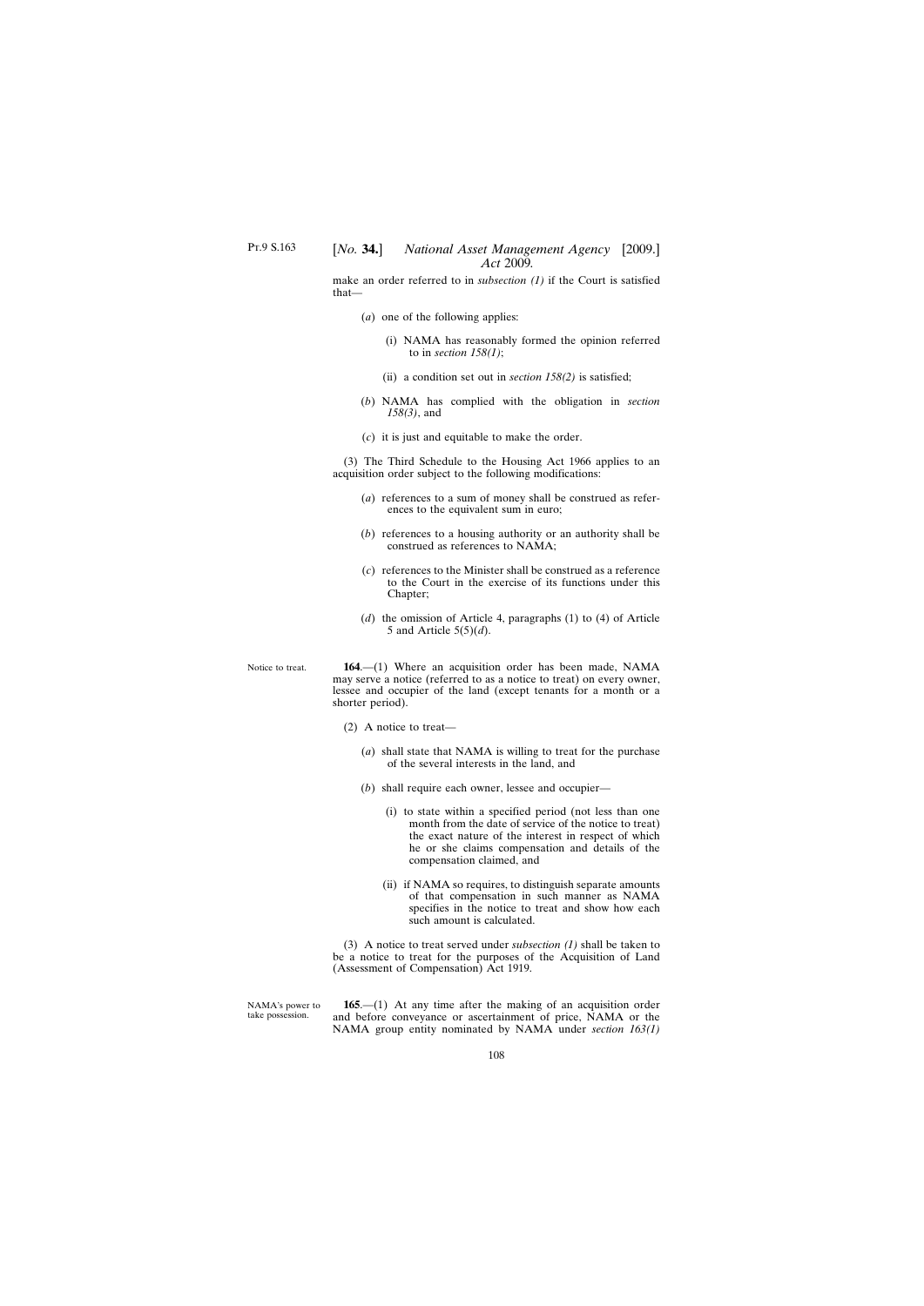make an order referred to in *subsection (1)* if the Court is satisfied that—

- (*a*) one of the following applies:
	- (i) NAMA has reasonably formed the opinion referred to in *section 158(1)*;
	- (ii) a condition set out in *section 158(2)* is satisfied;
- (*b*) NAMA has complied with the obligation in *section 158(3)*, and
- (*c*) it is just and equitable to make the order.

(3) The Third Schedule to the Housing Act 1966 applies to an acquisition order subject to the following modifications:

- (*a*) references to a sum of money shall be construed as references to the equivalent sum in euro;
- (*b*) references to a housing authority or an authority shall be construed as references to NAMA;
- (*c*) references to the Minister shall be construed as a reference to the Court in the exercise of its functions under this Chapter;
- (*d*) the omission of Article 4, paragraphs (1) to (4) of Article 5 and Article 5(5)(*d*).

Notice to treat. **164**.—(1) Where an acquisition order has been made, NAMA may serve a notice (referred to as a notice to treat) on every owner, lessee and occupier of the land (except tenants for a month or a shorter period).

- (2) A notice to treat—
	- (*a*) shall state that NAMA is willing to treat for the purchase of the several interests in the land, and
	- (*b*) shall require each owner, lessee and occupier—
		- (i) to state within a specified period (not less than one month from the date of service of the notice to treat) the exact nature of the interest in respect of which he or she claims compensation and details of the compensation claimed, and
		- (ii) if NAMA so requires, to distinguish separate amounts of that compensation in such manner as NAMA specifies in the notice to treat and show how each such amount is calculated.

(3) A notice to treat served under *subsection (1)* shall be taken to be a notice to treat for the purposes of the Acquisition of Land (Assessment of Compensation) Act 1919.

NAMA's power to take possession.

**165**.—(1) At any time after the making of an acquisition order and before conveyance or ascertainment of price, NAMA or the NAMA group entity nominated by NAMA under *section 163(1)*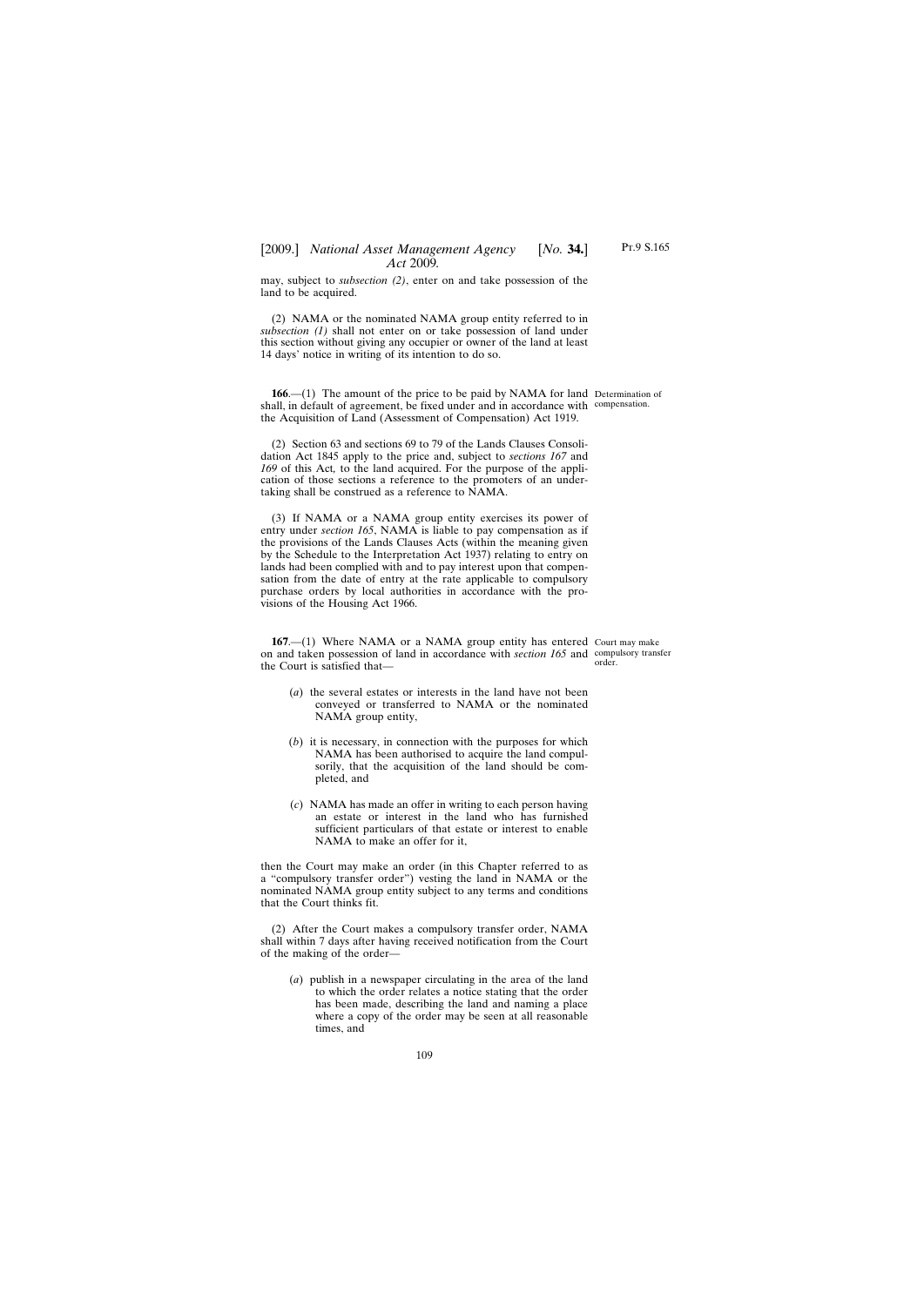# [2009.] [ *National Asset Management Agency No.* **34.**] *Act* 2009*.*

may, subject to *subsection (2)*, enter on and take possession of the land to be acquired.

(2) NAMA or the nominated NAMA group entity referred to in *subsection (1)* shall not enter on or take possession of land under this section without giving any occupier or owner of the land at least 14 days' notice in writing of its intention to do so.

**166.**—(1) The amount of the price to be paid by NAMA for land Determination of shall, in default of agreement, be fixed under and in accordance with compensation. the Acquisition of Land (Assessment of Compensation) Act 1919.

(2) Section 63 and sections 69 to 79 of the Lands Clauses Consolidation Act 1845 apply to the price and, subject to *sections 167* and *169* of this Act*,* to the land acquired. For the purpose of the application of those sections a reference to the promoters of an undertaking shall be construed as a reference to NAMA.

(3) If NAMA or a NAMA group entity exercises its power of entry under *section 165*, NAMA is liable to pay compensation as if the provisions of the Lands Clauses Acts (within the meaning given by the Schedule to the Interpretation Act 1937) relating to entry on lands had been complied with and to pay interest upon that compensation from the date of entry at the rate applicable to compulsory purchase orders by local authorities in accordance with the provisions of the Housing Act 1966.

**167.**—(1) Where NAMA or a NAMA group entity has entered Court may make on and taken possession of land in accordance with *section 165* and compulsory transfer the Court is satisfied that order.

- (*a*) the several estates or interests in the land have not been conveyed or transferred to NAMA or the nominated NAMA group entity,
- (*b*) it is necessary, in connection with the purposes for which NAMA has been authorised to acquire the land compulsorily, that the acquisition of the land should be completed, and
- (*c*) NAMA has made an offer in writing to each person having an estate or interest in the land who has furnished sufficient particulars of that estate or interest to enable NAMA to make an offer for it,

then the Court may make an order (in this Chapter referred to as a "compulsory transfer order") vesting the land in NAMA or the nominated NAMA group entity subject to any terms and conditions that the Court thinks fit.

(2) After the Court makes a compulsory transfer order, NAMA shall within 7 days after having received notification from the Court of the making of the order—

(*a*) publish in a newspaper circulating in the area of the land to which the order relates a notice stating that the order has been made, describing the land and naming a place where a copy of the order may be seen at all reasonable times, and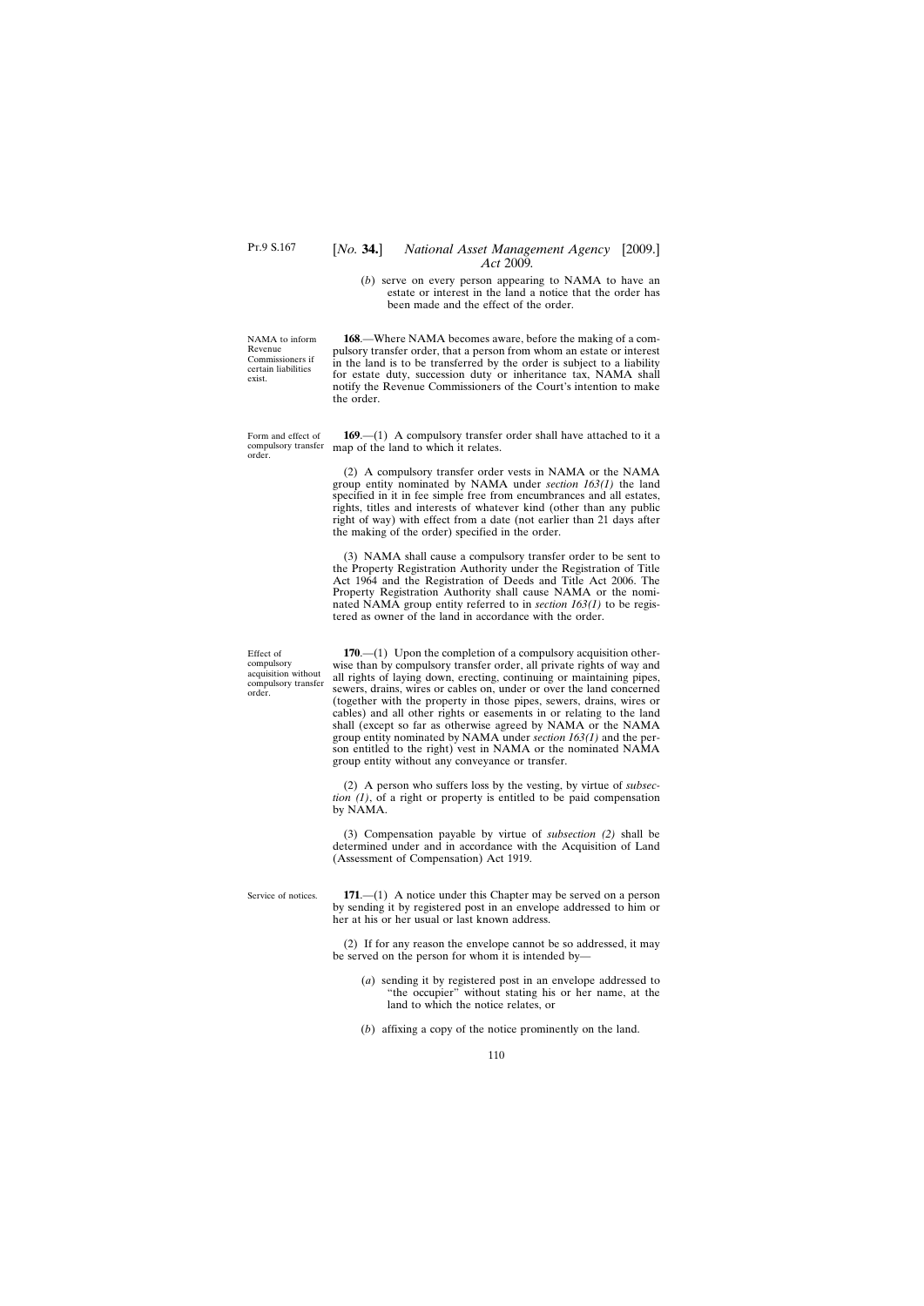(*b*) serve on every person appearing to NAMA to have an estate or interest in the land a notice that the order has been made and the effect of the order.

**168**.—Where NAMA becomes aware, before the making of a compulsory transfer order, that a person from whom an estate or interest in the land is to be transferred by the order is subject to a liability for estate duty, succession duty or inheritance tax, NAMA shall notify the Revenue Commissioners of the Court's intention to make the order.

compulsory transfer map of the land to which it relates. **169**.—(1) A compulsory transfer order shall have attached to it a

> (2) A compulsory transfer order vests in NAMA or the NAMA group entity nominated by NAMA under *section 163(1)* the land specified in it in fee simple free from encumbrances and all estates, rights, titles and interests of whatever kind (other than any public right of way) with effect from a date (not earlier than 21 days after the making of the order) specified in the order.

> (3) NAMA shall cause a compulsory transfer order to be sent to the Property Registration Authority under the Registration of Title Act 1964 and the Registration of Deeds and Title Act 2006. The Property Registration Authority shall cause NAMA or the nominated NAMA group entity referred to in *section 163(1)* to be registered as owner of the land in accordance with the order.

> **170.**—(1) Upon the completion of a compulsory acquisition otherwise than by compulsory transfer order, all private rights of way and all rights of laying down, erecting, continuing or maintaining pipes, sewers, drains, wires or cables on, under or over the land concerned (together with the property in those pipes, sewers, drains, wires or cables) and all other rights or easements in or relating to the land shall (except so far as otherwise agreed by NAMA or the NAMA group entity nominated by NAMA under *section 163(1)* and the person entitled to the right) vest in NAMA or the nominated NAMA group entity without any conveyance or transfer.

> (2) A person who suffers loss by the vesting, by virtue of *subsection (1)*, of a right or property is entitled to be paid compensation by NAMA.

> (3) Compensation payable by virtue of *subsection (2)* shall be determined under and in accordance with the Acquisition of Land (Assessment of Compensation) Act 1919.

> **171**.—(1) A notice under this Chapter may be served on a person by sending it by registered post in an envelope addressed to him or her at his or her usual or last known address.

> (2) If for any reason the envelope cannot be so addressed, it may be served on the person for whom it is intended by—

- (*a*) sending it by registered post in an envelope addressed to "the occupier" without stating his or her name, at the land to which the notice relates, or
- (*b*) affixing a copy of the notice prominently on the land.

NAMA to inform Revenue Commissioners if certain liabilities exist.

Form and effect of order.

Effect of compulsory acquisition without compulsory transfer order.

Service of notices.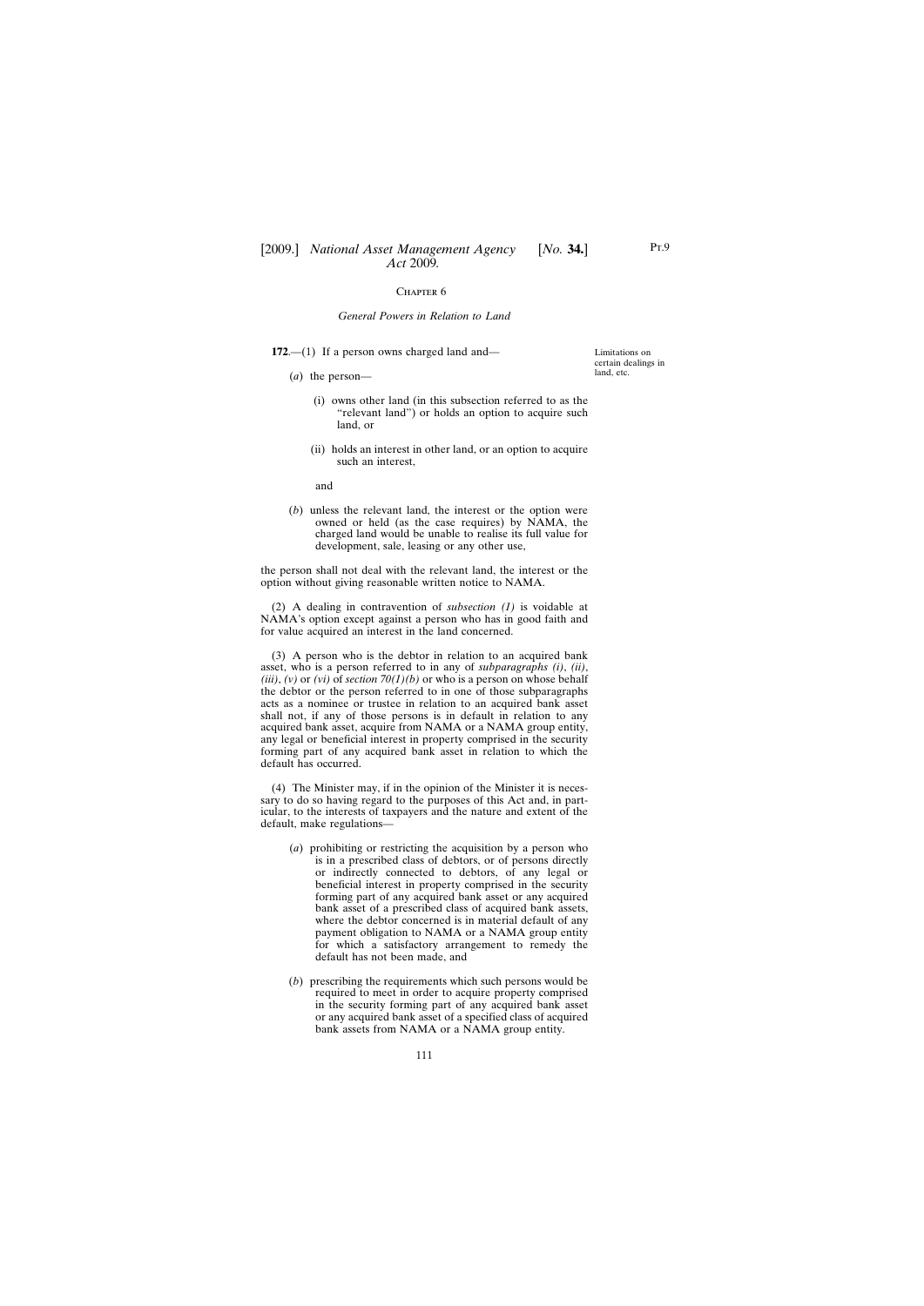## CHAPTER 6

#### *General Powers in Relation to Land*

**172**.—(1) If a person owns charged land and—

- (*a*) the person—
	- (i) owns other land (in this subsection referred to as the "relevant land") or holds an option to acquire such land, or
	- (ii) holds an interest in other land, or an option to acquire such an interest,

and

(*b*) unless the relevant land, the interest or the option were owned or held (as the case requires) by NAMA, the charged land would be unable to realise its full value for development, sale, leasing or any other use,

the person shall not deal with the relevant land, the interest or the option without giving reasonable written notice to NAMA.

(2) A dealing in contravention of *subsection (1)* is voidable at NAMA's option except against a person who has in good faith and for value acquired an interest in the land concerned.

(3) A person who is the debtor in relation to an acquired bank asset, who is a person referred to in any of *subparagraphs (i)*, *(ii)*, *(iii)*, *(v)* or *(vi)* of *section* 70(1)*(b)* or who is a person on whose behalf the debtor or the person referred to in one of those subparagraphs acts as a nominee or trustee in relation to an acquired bank asset shall not, if any of those persons is in default in relation to any acquired bank asset, acquire from NAMA or a NAMA group entity, any legal or beneficial interest in property comprised in the security forming part of any acquired bank asset in relation to which the default has occurred.

(4) The Minister may, if in the opinion of the Minister it is necessary to do so having regard to the purposes of this Act and, in particular, to the interests of taxpayers and the nature and extent of the default, make regulations—

- (*a*) prohibiting or restricting the acquisition by a person who is in a prescribed class of debtors, or of persons directly or indirectly connected to debtors, of any legal or beneficial interest in property comprised in the security forming part of any acquired bank asset or any acquired bank asset of a prescribed class of acquired bank assets, where the debtor concerned is in material default of any payment obligation to NAMA or a NAMA group entity for which a satisfactory arrangement to remedy the default has not been made, and
- (*b*) prescribing the requirements which such persons would be required to meet in order to acquire property comprised in the security forming part of any acquired bank asset or any acquired bank asset of a specified class of acquired bank assets from NAMA or a NAMA group entity.

Limitations on certain dealings in land, etc.

P<sub>T.9</sub>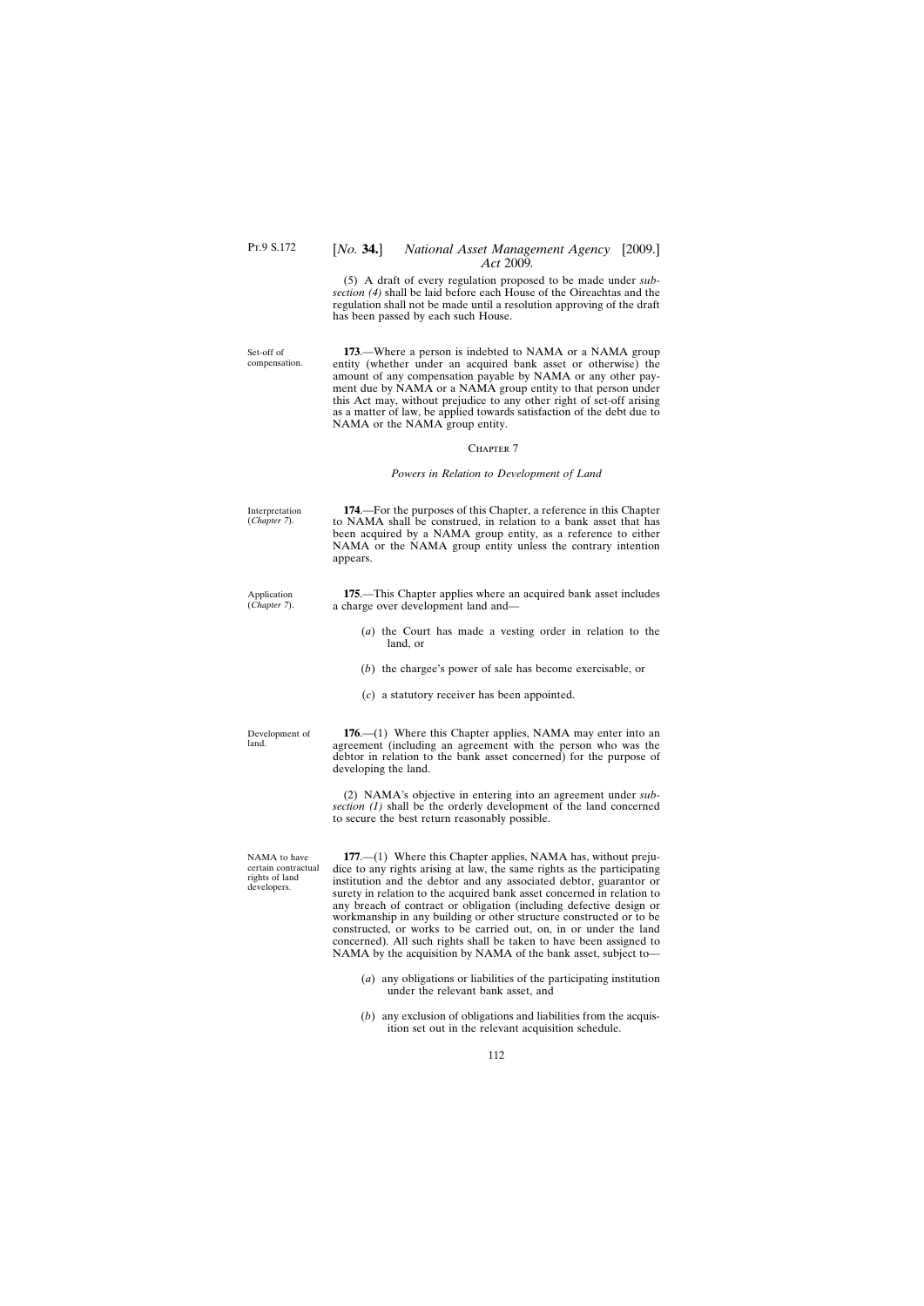Pt.9 S.172

Set-off of

# [*No.* **34.**] *National Asset Management Agency* [2009.] *Act* 2009*.*

(5) A draft of every regulation proposed to be made under *subsection (4)* shall be laid before each House of the Oireachtas and the regulation shall not be made until a resolution approving of the draft has been passed by each such House.

compensation. **173**.—Where a person is indebted to NAMA or a NAMA group entity (whether under an acquired bank asset or otherwise) the amount of any compensation payable by NAMA or any other payment due by NAMA or a NAMA group entity to that person under this Act may, without prejudice to any other right of set-off arising as a matter of law, be applied towards satisfaction of the debt due to NAMA or the NAMA group entity.

#### CHAPTER<sub>7</sub>

# *Powers in Relation to Development of Land*

Interpretation (*Chapter 7*). **174**.—For the purposes of this Chapter, a reference in this Chapter to NAMA shall be construed, in relation to a bank asset that has been acquired by a NAMA group entity, as a reference to either NAMA or the NAMA group entity unless the contrary intention appears.

> **175**.—This Chapter applies where an acquired bank asset includes a charge over development land and—

- (*a*) the Court has made a vesting order in relation to the land, or
- (*b*) the chargee's power of sale has become exercisable, or
- (*c*) a statutory receiver has been appointed.

**176**.—(1) Where this Chapter applies, NAMA may enter into an agreement (including an agreement with the person who was the debtor in relation to the bank asset concerned) for the purpose of developing the land.

(2) NAMA's objective in entering into an agreement under *subsection (1)* shall be the orderly development of the land concerned to secure the best return reasonably possible.

NAMA to have certain contractual rights of land **177**.—(1) Where this Chapter applies, NAMA has, without prejudice to any rights arising at law, the same rights as the participating institution and the debtor and any associated debtor, guarantor or surety in relation to the acquired bank asset concerned in relation to any breach of contract or obligation (including defective design or workmanship in any building or other structure constructed or to be constructed, or works to be carried out, on, in or under the land concerned). All such rights shall be taken to have been assigned to

- (*a*) any obligations or liabilities of the participating institution under the relevant bank asset, and
- (*b*) any exclusion of obligations and liabilities from the acquisition set out in the relevant acquisition schedule.

Development of land.

developers.

Application (*Chapter 7*).

NAMA by the acquisition by NAMA of the bank asset, subject to—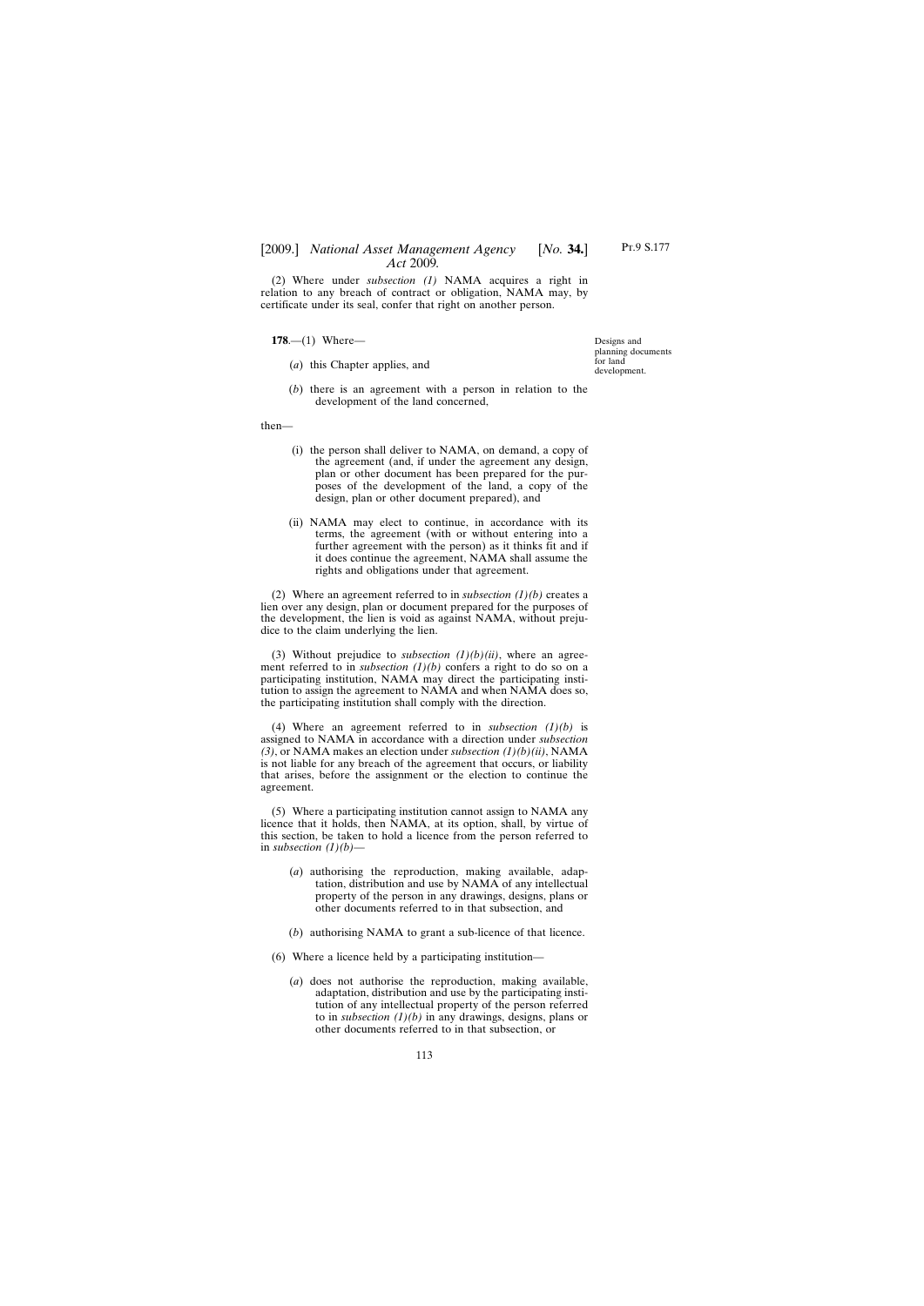# [2009.] *National Asset Management Agency* [*No.* **34.**] *Act* 2009*.*

(2) Where under *subsection (1)* NAMA acquires a right in relation to any breach of contract or obligation, NAMA may, by certificate under its seal, confer that right on another person.

**178**.—(1) Where—

- (*a*) this Chapter applies, and
- (*b*) there is an agreement with a person in relation to the development of the land concerned,

then—

- (i) the person shall deliver to NAMA, on demand, a copy of the agreement (and, if under the agreement any design, plan or other document has been prepared for the purposes of the development of the land, a copy of the design, plan or other document prepared), and
- (ii) NAMA may elect to continue, in accordance with its terms, the agreement (with or without entering into a further agreement with the person) as it thinks fit and if it does continue the agreement, NAMA shall assume the rights and obligations under that agreement.

(2) Where an agreement referred to in *subsection (1)(b)* creates a lien over any design, plan or document prepared for the purposes of the development, the lien is void as against NAMA, without prejudice to the claim underlying the lien.

(3) Without prejudice to *subsection (1)(b)(ii)*, where an agreement referred to in *subsection (1)(b)* confers a right to do so on a participating institution, NAMA may direct the participating institution to assign the agreement to NAMA and when NAMA does so, the participating institution shall comply with the direction.

(4) Where an agreement referred to in *subsection (1)(b)* is assigned to NAMA in accordance with a direction under *subsection (3)*, or NAMA makes an election under *subsection (1)(b)(ii)*, NAMA is not liable for any breach of the agreement that occurs, or liability that arises, before the assignment or the election to continue the agreement.

(5) Where a participating institution cannot assign to NAMA any licence that it holds, then NAMA, at its option, shall, by virtue of this section, be taken to hold a licence from the person referred to in *subsection (1)(b)*—

- (*a*) authorising the reproduction, making available, adaptation, distribution and use by NAMA of any intellectual property of the person in any drawings, designs, plans or other documents referred to in that subsection, and
- (*b*) authorising NAMA to grant a sub-licence of that licence.
- (6) Where a licence held by a participating institution—
	- (*a*) does not authorise the reproduction, making available, adaptation, distribution and use by the participating institution of any intellectual property of the person referred to in *subsection (1)(b)* in any drawings, designs, plans or other documents referred to in that subsection, or

Designs and planning documents for land development.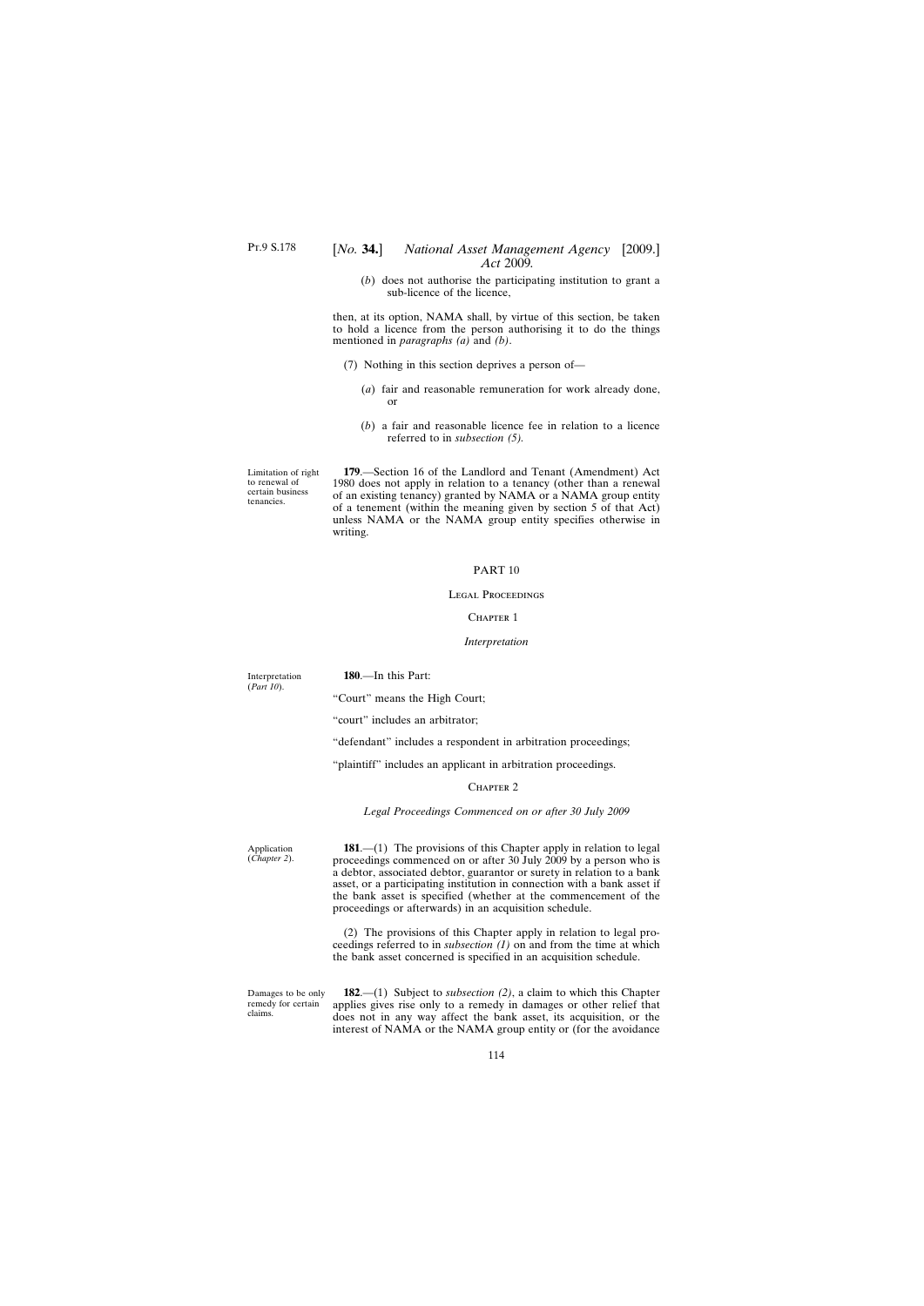(*b*) does not authorise the participating institution to grant a sub-licence of the licence,

then, at its option, NAMA shall, by virtue of this section, be taken to hold a licence from the person authorising it to do the things mentioned in *paragraphs (a)* and *(b)*.

- (7) Nothing in this section deprives a person of—
	- (*a*) fair and reasonable remuneration for work already done, or
	- (*b*) a fair and reasonable licence fee in relation to a licence referred to in *subsection (5).*

Limitation of right to renewal of certain business tenancies.

**179**.—Section 16 of the Landlord and Tenant (Amendment) Act 1980 does not apply in relation to a tenancy (other than a renewal of an existing tenancy) granted by NAMA or a NAMA group entity of a tenement (within the meaning given by section 5 of that Act) unless NAMA or the NAMA group entity specifies otherwise in writing.

## PART 10

## Legal Proceedings

# CHAPTER 1

## *Interpretation*

Interpretation (*Part 10*).

**180**.—In this Part:

"Court" means the High Court;

"court" includes an arbitrator;

"defendant" includes a respondent in arbitration proceedings;

"plaintiff" includes an applicant in arbitration proceedings.

## CHAPTER<sub>2</sub>

*Legal Proceedings Commenced on or after 30 July 2009*

Application (*Chapter 2*).

**181**.—(1) The provisions of this Chapter apply in relation to legal proceedings commenced on or after 30 July 2009 by a person who is a debtor, associated debtor, guarantor or surety in relation to a bank asset, or a participating institution in connection with a bank asset if the bank asset is specified (whether at the commencement of the proceedings or afterwards) in an acquisition schedule.

(2) The provisions of this Chapter apply in relation to legal proceedings referred to in *subsection (1)* on and from the time at which the bank asset concerned is specified in an acquisition schedule.

Damages to be only remedy for certain claims.

**182**.—(1) Subject to *subsection (2)*, a claim to which this Chapter applies gives rise only to a remedy in damages or other relief that does not in any way affect the bank asset, its acquisition, or the interest of NAMA or the NAMA group entity or (for the avoidance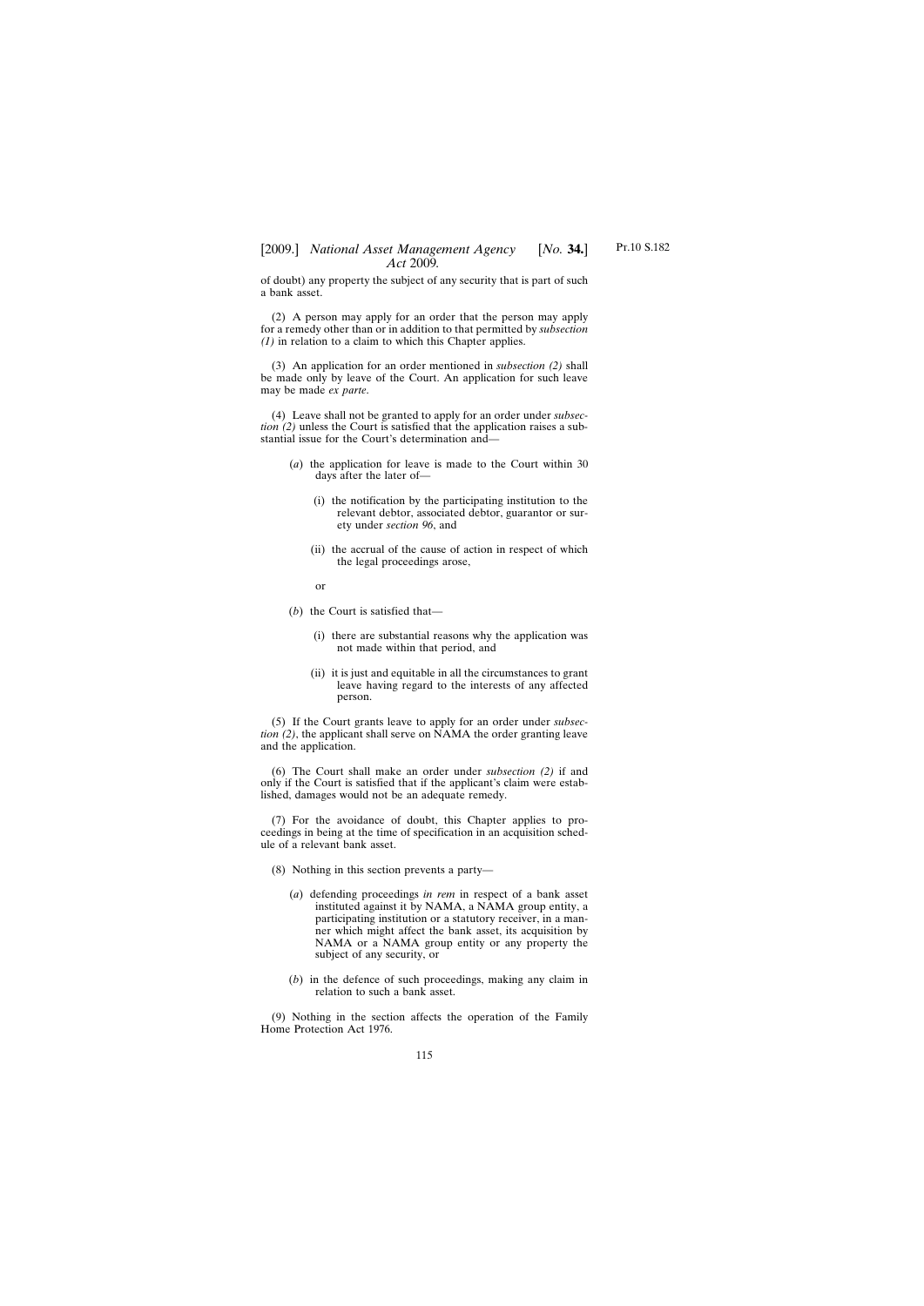# [2009.] [ *National Asset Management Agency No.* **34.**] *Act* 2009*.*

of doubt) any property the subject of any security that is part of such a bank asset.

(2) A person may apply for an order that the person may apply for a remedy other than or in addition to that permitted by *subsection (1)* in relation to a claim to which this Chapter applies.

(3) An application for an order mentioned in *subsection (2)* shall be made only by leave of the Court. An application for such leave may be made *ex parte*.

(4) Leave shall not be granted to apply for an order under *subsection (2)* unless the Court is satisfied that the application raises a substantial issue for the Court's determination and—

- (*a*) the application for leave is made to the Court within 30 days after the later of—
	- (i) the notification by the participating institution to the relevant debtor, associated debtor, guarantor or surety under *section 96*, and
	- (ii) the accrual of the cause of action in respect of which the legal proceedings arose,
	- or
- (*b*) the Court is satisfied that—
	- (i) there are substantial reasons why the application was not made within that period, and
	- (ii) it is just and equitable in all the circumstances to grant leave having regard to the interests of any affected person.

(5) If the Court grants leave to apply for an order under *subsection (2)*, the applicant shall serve on NAMA the order granting leave and the application.

(6) The Court shall make an order under *subsection (2)* if and only if the Court is satisfied that if the applicant's claim were established, damages would not be an adequate remedy.

(7) For the avoidance of doubt, this Chapter applies to proceedings in being at the time of specification in an acquisition schedule of a relevant bank asset.

- (8) Nothing in this section prevents a party—
	- (*a*) defending proceedings *in rem* in respect of a bank asset instituted against it by NAMA, a NAMA group entity, a participating institution or a statutory receiver, in a manner which might affect the bank asset, its acquisition by NAMA or a NAMA group entity or any property the subject of any security, or
	- (*b*) in the defence of such proceedings, making any claim in relation to such a bank asset.

(9) Nothing in the section affects the operation of the Family Home Protection Act 1976.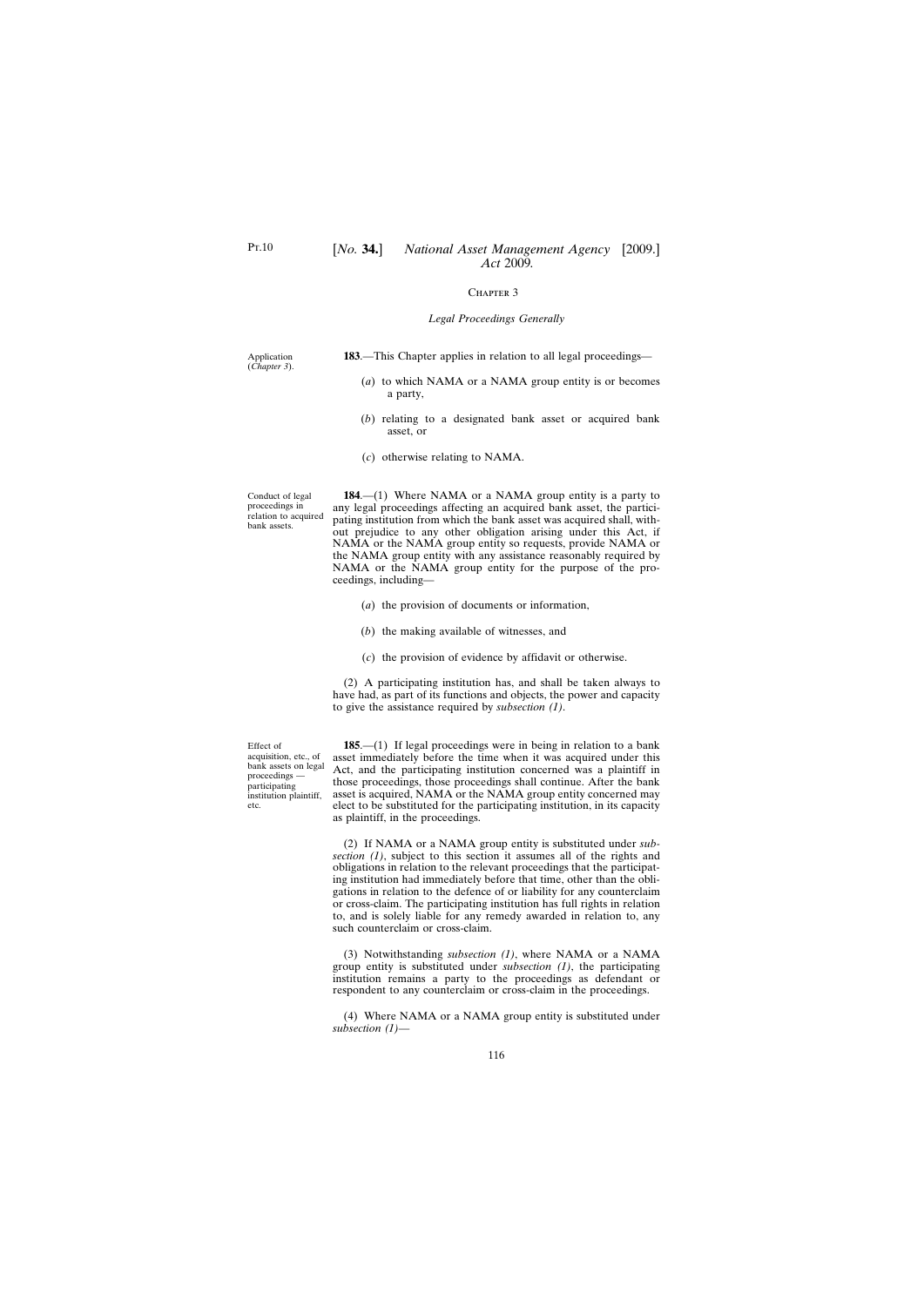Application (*Chapter 3*).

## CHAPTER 3

#### *Legal Proceedings Generally*

**183**.—This Chapter applies in relation to all legal proceedings—

- (*a*) to which NAMA or a NAMA group entity is or becomes a party,
- (*b*) relating to a designated bank asset or acquired bank asset, or
- (*c*) otherwise relating to NAMA.

Conduct of legal proceedings in relation to acquired bank assets.

**184**.—(1) Where NAMA or a NAMA group entity is a party to any legal proceedings affecting an acquired bank asset, the participating institution from which the bank asset was acquired shall, without prejudice to any other obligation arising under this Act, if NAMA or the NAMA group entity so requests, provide NAMA or the NAMA group entity with any assistance reasonably required by NAMA or the NAMA group entity for the purpose of the proceedings, including—

- (*a*) the provision of documents or information,
- (*b*) the making available of witnesses, and
- (*c*) the provision of evidence by affidavit or otherwise.

(2) A participating institution has, and shall be taken always to have had, as part of its functions and objects, the power and capacity to give the assistance required by *subsection (1)*.

**185**.—(1) If legal proceedings were in being in relation to a bank asset immediately before the time when it was acquired under this Act, and the participating institution concerned was a plaintiff in those proceedings, those proceedings shall continue. After the bank asset is acquired, NAMA or the NAMA group entity concerned may elect to be substituted for the participating institution, in its capacity as plaintiff, in the proceedings.

(2) If NAMA or a NAMA group entity is substituted under *subsection (1)*, subject to this section it assumes all of the rights and obligations in relation to the relevant proceedings that the participating institution had immediately before that time, other than the obligations in relation to the defence of or liability for any counterclaim or cross-claim. The participating institution has full rights in relation to, and is solely liable for any remedy awarded in relation to, any such counterclaim or cross-claim.

(3) Notwithstanding *subsection (1)*, where NAMA or a NAMA group entity is substituted under *subsection (1)*, the participating institution remains a party to the proceedings as defendant or respondent to any counterclaim or cross-claim in the proceedings.

(4) Where NAMA or a NAMA group entity is substituted under *subsection (1)*—

Effect of acquisition, etc., of bank assets on legal proceedings participating institution plaintiff, etc.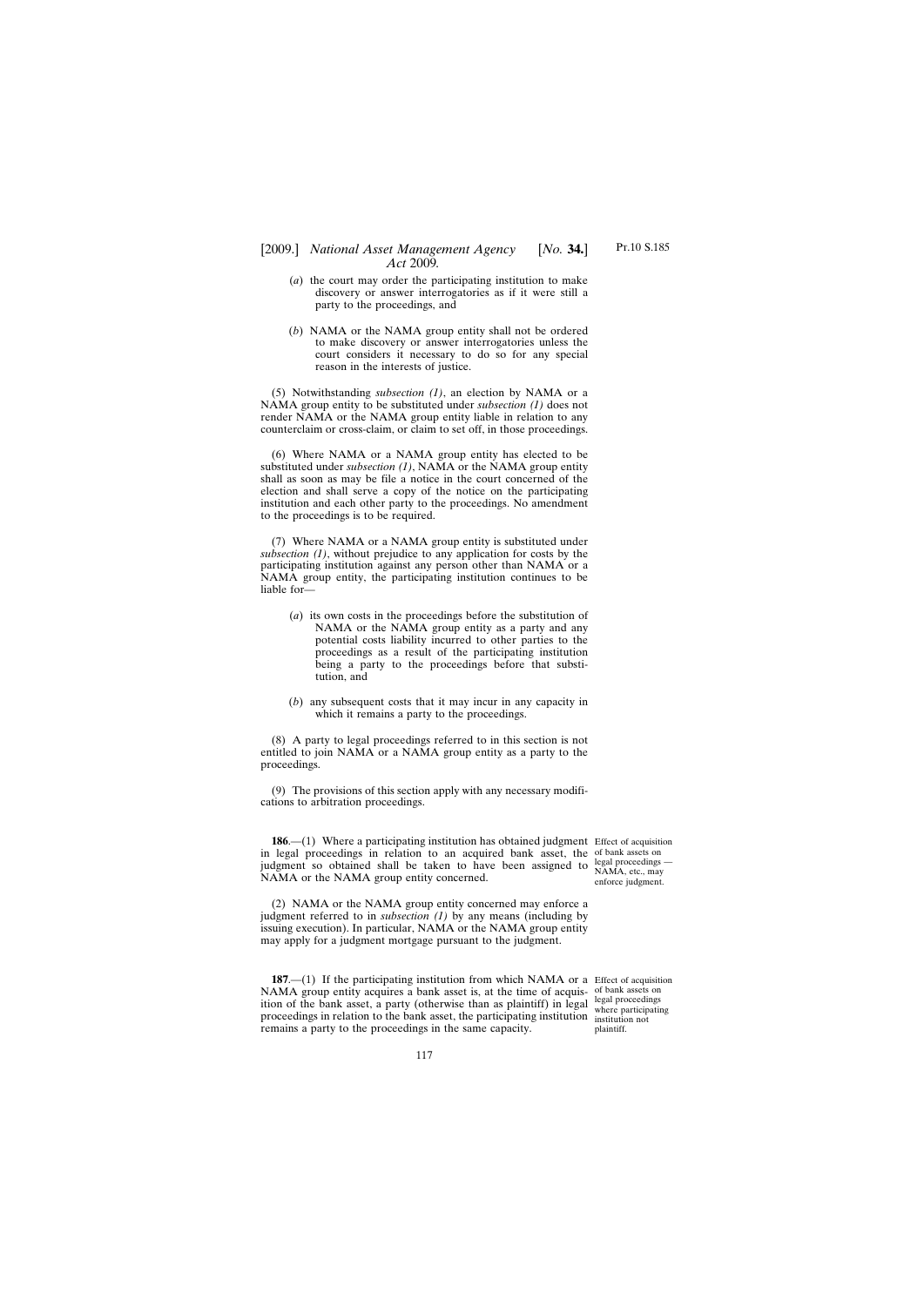# [2009.] *National Asset Management Agency* [*No.* **34.**] *Act* 2009*.*

- (*a*) the court may order the participating institution to make discovery or answer interrogatories as if it were still a party to the proceedings, and
- (*b*) NAMA or the NAMA group entity shall not be ordered to make discovery or answer interrogatories unless the court considers it necessary to do so for any special reason in the interests of justice.

(5) Notwithstanding *subsection (1)*, an election by NAMA or a NAMA group entity to be substituted under *subsection (1)* does not render NAMA or the NAMA group entity liable in relation to any counterclaim or cross-claim, or claim to set off, in those proceedings.

(6) Where NAMA or a NAMA group entity has elected to be substituted under *subsection (1)*, NAMA or the NAMA group entity shall as soon as may be file a notice in the court concerned of the election and shall serve a copy of the notice on the participating institution and each other party to the proceedings. No amendment to the proceedings is to be required.

(7) Where NAMA or a NAMA group entity is substituted under *subsection (1)*, without prejudice to any application for costs by the participating institution against any person other than NAMA or a NAMA group entity, the participating institution continues to be liable for—

- (*a*) its own costs in the proceedings before the substitution of NAMA or the NAMA group entity as a party and any potential costs liability incurred to other parties to the proceedings as a result of the participating institution being a party to the proceedings before that substitution, and
- (*b*) any subsequent costs that it may incur in any capacity in which it remains a party to the proceedings.

(8) A party to legal proceedings referred to in this section is not entitled to join NAMA or a NAMA group entity as a party to the proceedings.

(9) The provisions of this section apply with any necessary modifications to arbitration proceedings.

**186.**—(1) Where a participating institution has obtained judgment Effect of acquisition in legal proceedings in relation to an acquired bank asset, the of bank assets on judgment so obtained shall be taken to have been assigned to  $\frac{\text{legal procedures}}{\text{NAME} + \text{new}}$ NAMA or the NAMA group entity concerned.

NAMA, etc., may enforce judgment.

(2) NAMA or the NAMA group entity concerned may enforce a judgment referred to in *subsection (1)* by any means (including by issuing execution). In particular, NAMA or the NAMA group entity may apply for a judgment mortgage pursuant to the judgment.

**187.**—(1) If the participating institution from which NAMA or a Effect of acquisition NAMA group entity acquires a bank asset is, at the time of acquis- of bank assets on ition of the bank asset, a party (otherwise than as plaintiff) in legal  $\frac{\text{legal}}{\text{where}}$  proceedings proceedings in relation to the bank asset, the participating institution institution not remains a party to the proceedings in the same capacity.

institution not plaintiff.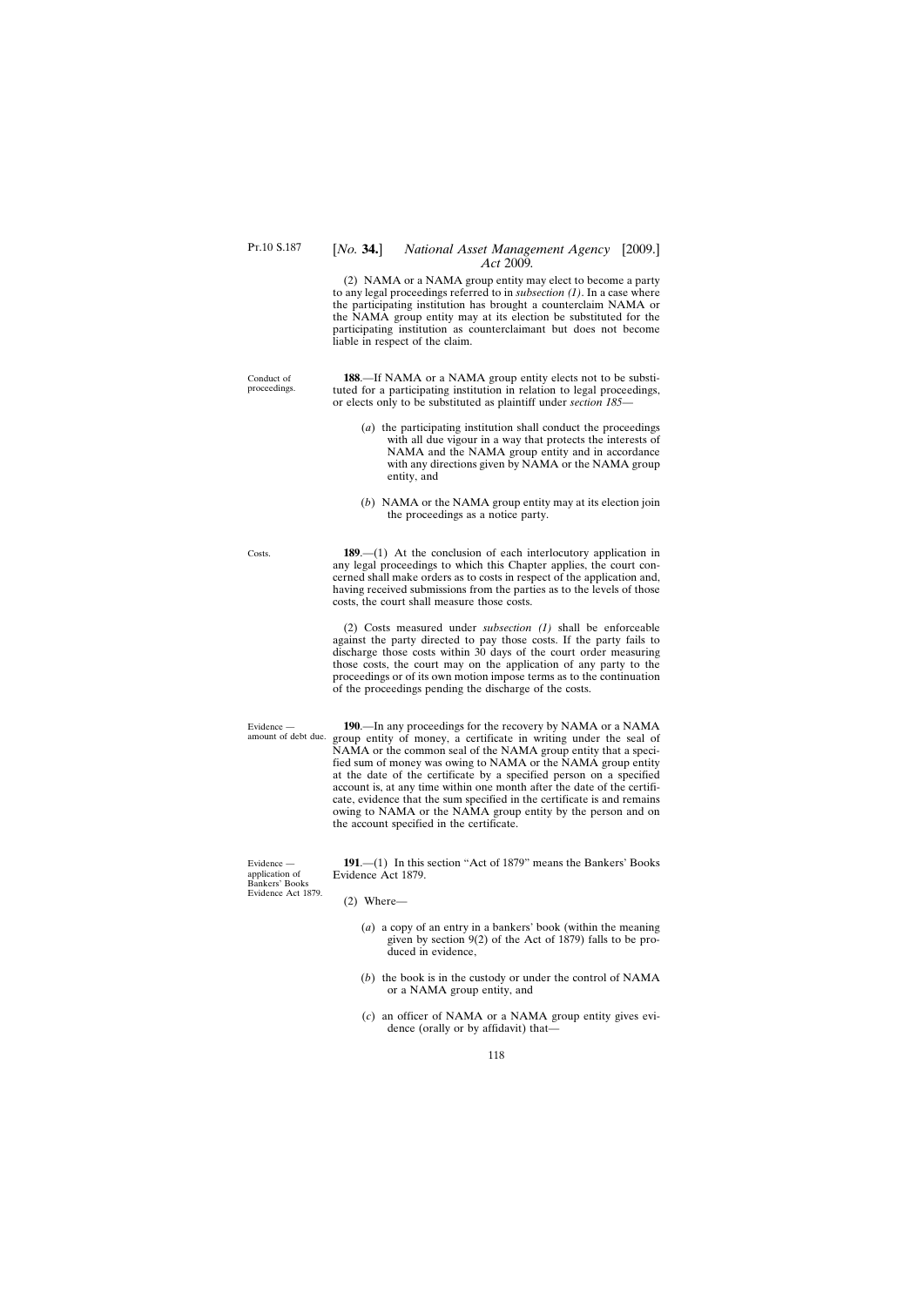Costs.

# [*No.* **34.**] *National Asset Management Agency* [2009.] *Act* 2009*.*

(2) NAMA or a NAMA group entity may elect to become a party to any legal proceedings referred to in *subsection (1)*. In a case where the participating institution has brought a counterclaim NAMA or the NAMA group entity may at its election be substituted for the participating institution as counterclaimant but does not become liable in respect of the claim.

Conduct of proceedings. **188**.—If NAMA or a NAMA group entity elects not to be substituted for a participating institution in relation to legal proceedings, or elects only to be substituted as plaintiff under *section 185*—

- (*a*) the participating institution shall conduct the proceedings with all due vigour in a way that protects the interests of NAMA and the NAMA group entity and in accordance with any directions given by NAMA or the NAMA group entity, and
- (*b*) NAMA or the NAMA group entity may at its election join the proceedings as a notice party.

**189**.—(1) At the conclusion of each interlocutory application in any legal proceedings to which this Chapter applies, the court concerned shall make orders as to costs in respect of the application and, having received submissions from the parties as to the levels of those costs, the court shall measure those costs.

(2) Costs measured under *subsection (1)* shall be enforceable against the party directed to pay those costs. If the party fails to discharge those costs within 30 days of the court order measuring those costs, the court may on the application of any party to the proceedings or of its own motion impose terms as to the continuation of the proceedings pending the discharge of the costs.

amount of debt due. group entity of money, a certificate in writing under the seal of **190**.—In any proceedings for the recovery by NAMA or a NAMA NAMA or the common seal of the NAMA group entity that a specified sum of money was owing to NAMA or the NAMA group entity at the date of the certificate by a specified person on a specified account is, at any time within one month after the date of the certificate, evidence that the sum specified in the certificate is and remains owing to NAMA or the NAMA group entity by the person and on the account specified in the certificate.

Evidence application of Bankers' Books Evidence Act 1879.

Evidence —

**191**.—(1) In this section "Act of 1879" means the Bankers' Books Evidence Act 1879.

- (2) Where—
	- (*a*) a copy of an entry in a bankers' book (within the meaning given by section 9(2) of the Act of 1879) falls to be produced in evidence,
	- (*b*) the book is in the custody or under the control of NAMA or a NAMA group entity, and
	- (*c*) an officer of NAMA or a NAMA group entity gives evidence (orally or by affidavit) that—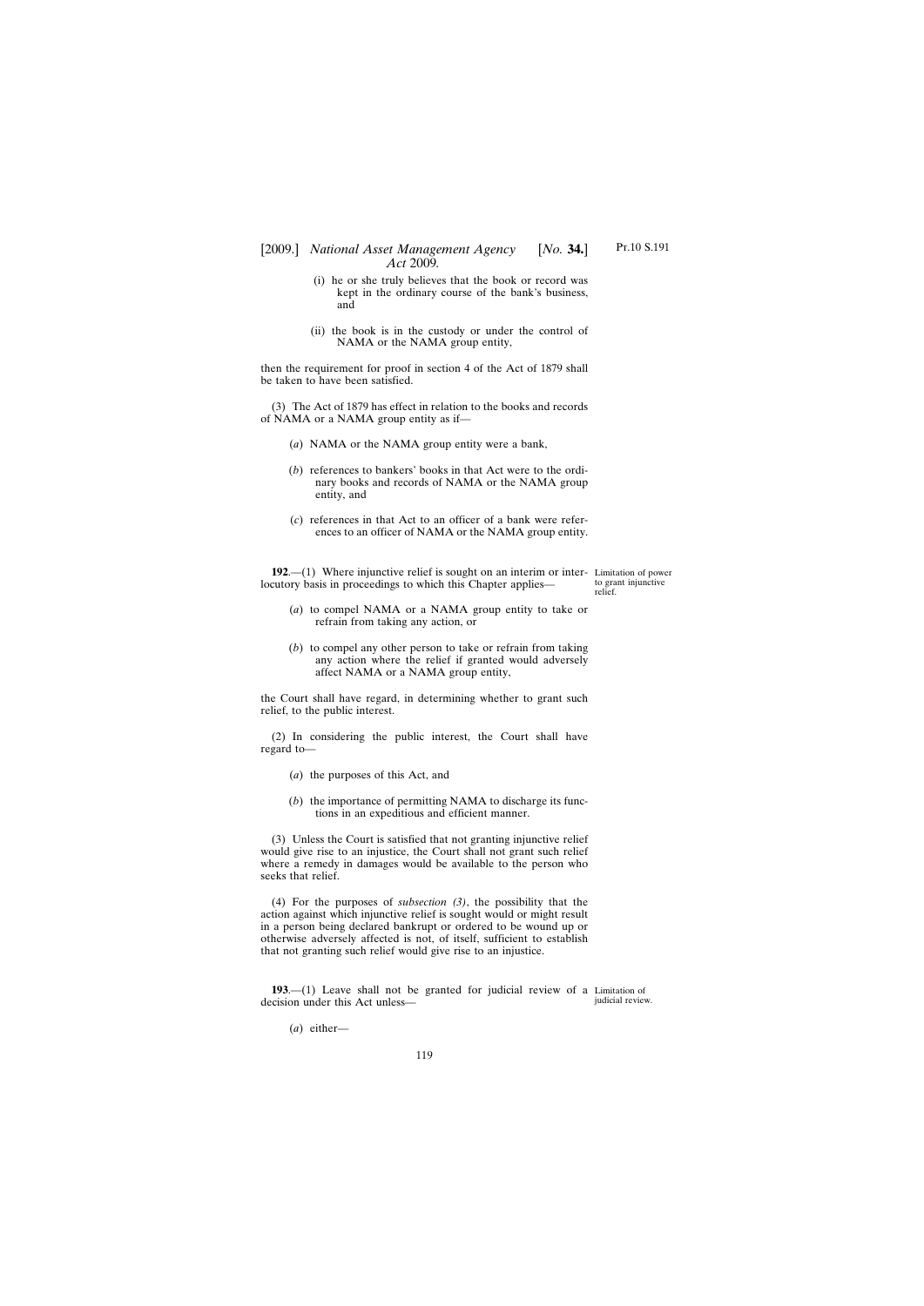# [2009.] *National Asset Management Agency* [*No.* **34.**] *Act* 2009*.*

- (i) he or she truly believes that the book or record was kept in the ordinary course of the bank's business, and
- (ii) the book is in the custody or under the control of NAMA or the NAMA group entity,

then the requirement for proof in section 4 of the Act of 1879 shall be taken to have been satisfied.

(3) The Act of 1879 has effect in relation to the books and records of NAMA or a NAMA group entity as if—

- (*a*) NAMA or the NAMA group entity were a bank,
- (*b*) references to bankers' books in that Act were to the ordinary books and records of NAMA or the NAMA group entity, and
- (*c*) references in that Act to an officer of a bank were references to an officer of NAMA or the NAMA group entity.

**192.**—(1) Where injunctive relief is sought on an interim or inter- Limitation of power locutory basis in proceedings to which this Chapter applies—

to grant injunctive relief.

- (*a*) to compel NAMA or a NAMA group entity to take or refrain from taking any action, or
- (*b*) to compel any other person to take or refrain from taking any action where the relief if granted would adversely affect NAMA or a NAMA group entity,

the Court shall have regard, in determining whether to grant such relief, to the public interest.

(2) In considering the public interest, the Court shall have regard to—

- (*a*) the purposes of this Act, and
- (*b*) the importance of permitting NAMA to discharge its functions in an expeditious and efficient manner.

(3) Unless the Court is satisfied that not granting injunctive relief would give rise to an injustice, the Court shall not grant such relief where a remedy in damages would be available to the person who seeks that relief.

(4) For the purposes of *subsection (3)*, the possibility that the action against which injunctive relief is sought would or might result in a person being declared bankrupt or ordered to be wound up or otherwise adversely affected is not, of itself, sufficient to establish that not granting such relief would give rise to an injustice.

**193**.—(1) Leave shall not be granted for judicial review of a Limitation of decision under this Act unless judicial review.

(*a*) either—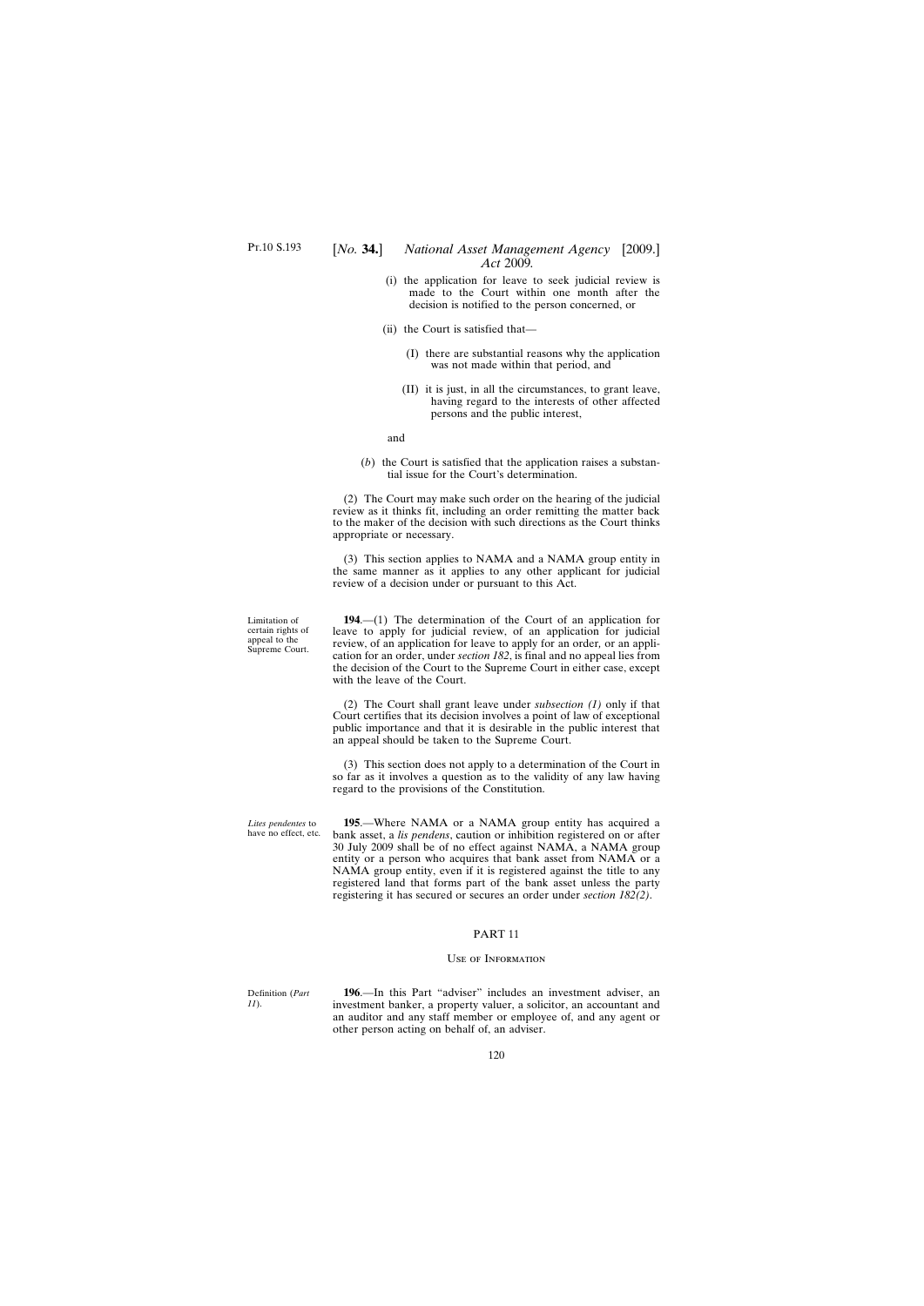- (i) the application for leave to seek judicial review is made to the Court within one month after the decision is notified to the person concerned, or
- (ii) the Court is satisfied that—
	- (I) there are substantial reasons why the application was not made within that period, and
	- (II) it is just, in all the circumstances, to grant leave, having regard to the interests of other affected persons and the public interest,

and

(*b*) the Court is satisfied that the application raises a substantial issue for the Court's determination.

(2) The Court may make such order on the hearing of the judicial review as it thinks fit, including an order remitting the matter back to the maker of the decision with such directions as the Court thinks appropriate or necessary.

(3) This section applies to NAMA and a NAMA group entity in the same manner as it applies to any other applicant for judicial review of a decision under or pursuant to this Act.

**194**.—(1) The determination of the Court of an application for leave to apply for judicial review, of an application for judicial review, of an application for leave to apply for an order*,* or an application for an order, under *section 182*, is final and no appeal lies from the decision of the Court to the Supreme Court in either case, except with the leave of the Court.

(2) The Court shall grant leave under *subsection (1)* only if that Court certifies that its decision involves a point of law of exceptional public importance and that it is desirable in the public interest that an appeal should be taken to the Supreme Court.

(3) This section does not apply to a determination of the Court in so far as it involves a question as to the validity of any law having regard to the provisions of the Constitution.

**195**.—Where NAMA or a NAMA group entity has acquired a bank asset, a *lis pendens*, caution or inhibition registered on or after 30 July 2009 shall be of no effect against NAMA, a NAMA group entity or a person who acquires that bank asset from NAMA or a NAMA group entity, even if it is registered against the title to any registered land that forms part of the bank asset unless the party registering it has secured or secures an order under *section 182(2)*.

## PART 11

## Use of Information

Definition (*Part 11*).

**196**.—In this Part "adviser" includes an investment adviser, an investment banker, a property valuer, a solicitor, an accountant and an auditor and any staff member or employee of, and any agent or other person acting on behalf of, an adviser.

Limitation of certain rights of appeal to the Supreme Court.

*Lites pendentes* to have no effect, etc.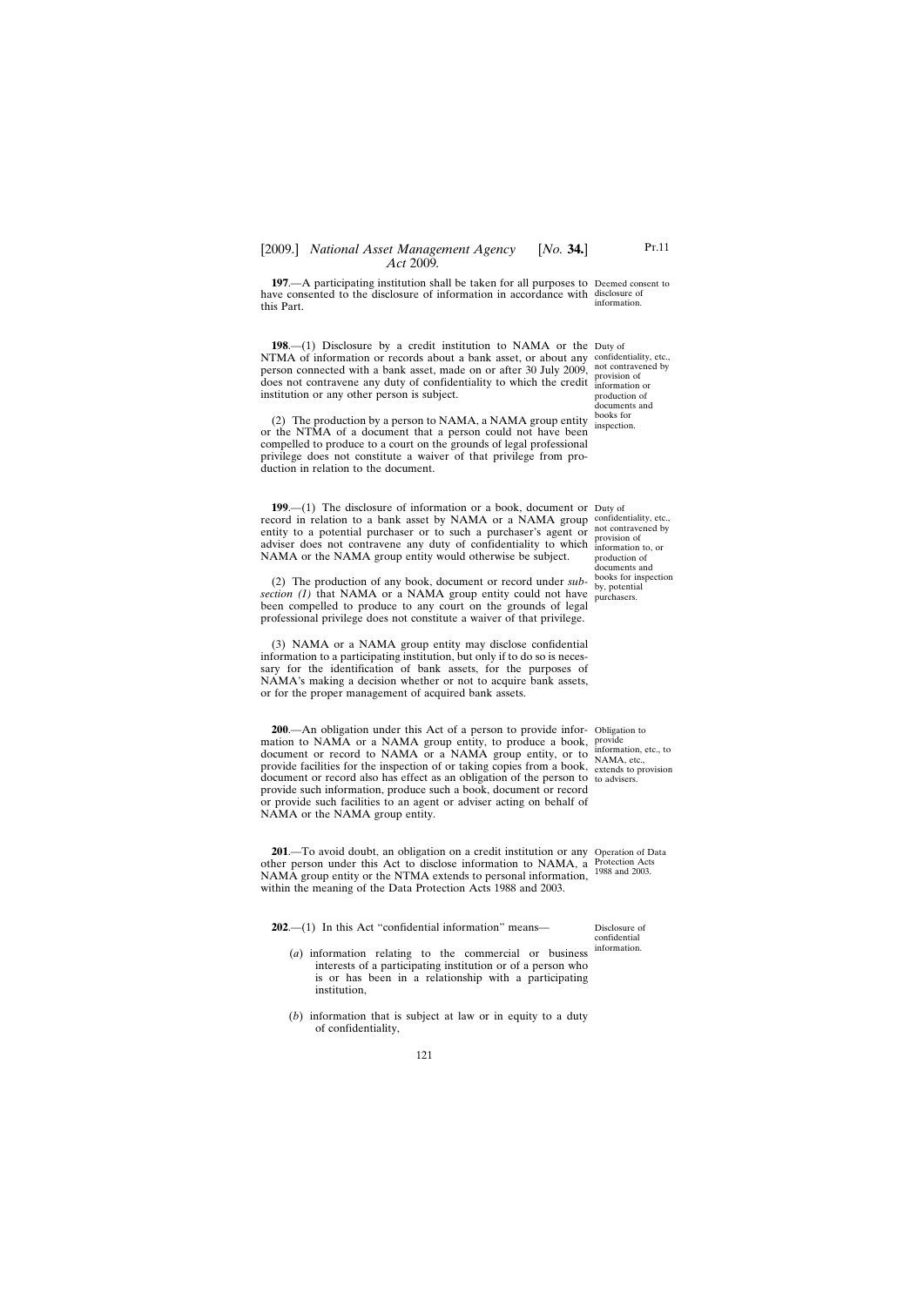**197**.—A participating institution shall be taken for all purposes to Deemed consent to have consented to the disclosure of information in accordance with disclosure of this Part. information.

**198.**—(1) Disclosure by a credit institution to NAMA or the Duty of NTMA of information or records about a bank asset, or about any confidentiality, etc., person connected with a bank asset, made on or after 30 July 2009, not contravened by does not contravene any duty of confidentiality to which the credit information institution or any other person is subject.

(2) The production by a person to NAMA, a NAMA group entity or the NTMA of a document that a person could not have been compelled to produce to a court on the grounds of legal professional privilege does not constitute a waiver of that privilege from production in relation to the document.

**199.**—(1) The disclosure of information or a book, document or Duty of record in relation to a bank asset by NAMA or a NAMA group confidentiality, etc., entity to a potential purchaser or to such a purchaser's agent or  $\frac{1}{\alpha}$  not contravened by entity to a potential paremaser of to such a paremaser of agent of provision of adviser does not contravene any duty of confidentiality to which information NAMA or the NAMA group entity would otherwise be subject.

(2) The production of any book, document or record under *sub*section  $(I)$  that NAMA or a NAMA group entity could not have  $\frac{2I}{\text{purchasers}}$ . been compelled to produce to any court on the grounds of legal professional privilege does not constitute a waiver of that privilege.

(3) NAMA or a NAMA group entity may disclose confidential information to a participating institution, but only if to do so is necessary for the identification of bank assets, for the purposes of NAMA's making a decision whether or not to acquire bank assets, or for the proper management of acquired bank assets.

**200.**—An obligation under this Act of a person to provide infor- Obligation to mation to NAMA or a NAMA group entity, to produce a book, provide document or record to NAMA or a NAMA group entity, or to provide facilities for the inspection of or taking copies from a book, document or record also has effect as an obligation of the person to to advisers. provide such information, produce such a book, document or record or provide such facilities to an agent or adviser acting on behalf of NAMA or the NAMA group entity.

**201**.—To avoid doubt, an obligation on a credit institution or any Operation of Data other person under this Act to disclose information to NAMA, a Protection Acts NAMA group entity or the NTMA extends to personal information, <sup>1988 and 2003.</sup> within the meaning of the Data Protection Acts 1988 and 2003.

**202**.—(1) In this Act "confidential information" means—

- (*a*) information relating to the commercial or business interests of a participating institution or of a person who is or has been in a relationship with a participating institution,
- (*b*) information that is subject at law or in equity to a duty of confidentiality,

information or production of documents and books for inspection.

information to, or production of documents and books for inspection by, potential

information, etc., to NAMA, etc., extends to provision

Disclosure of confidential information.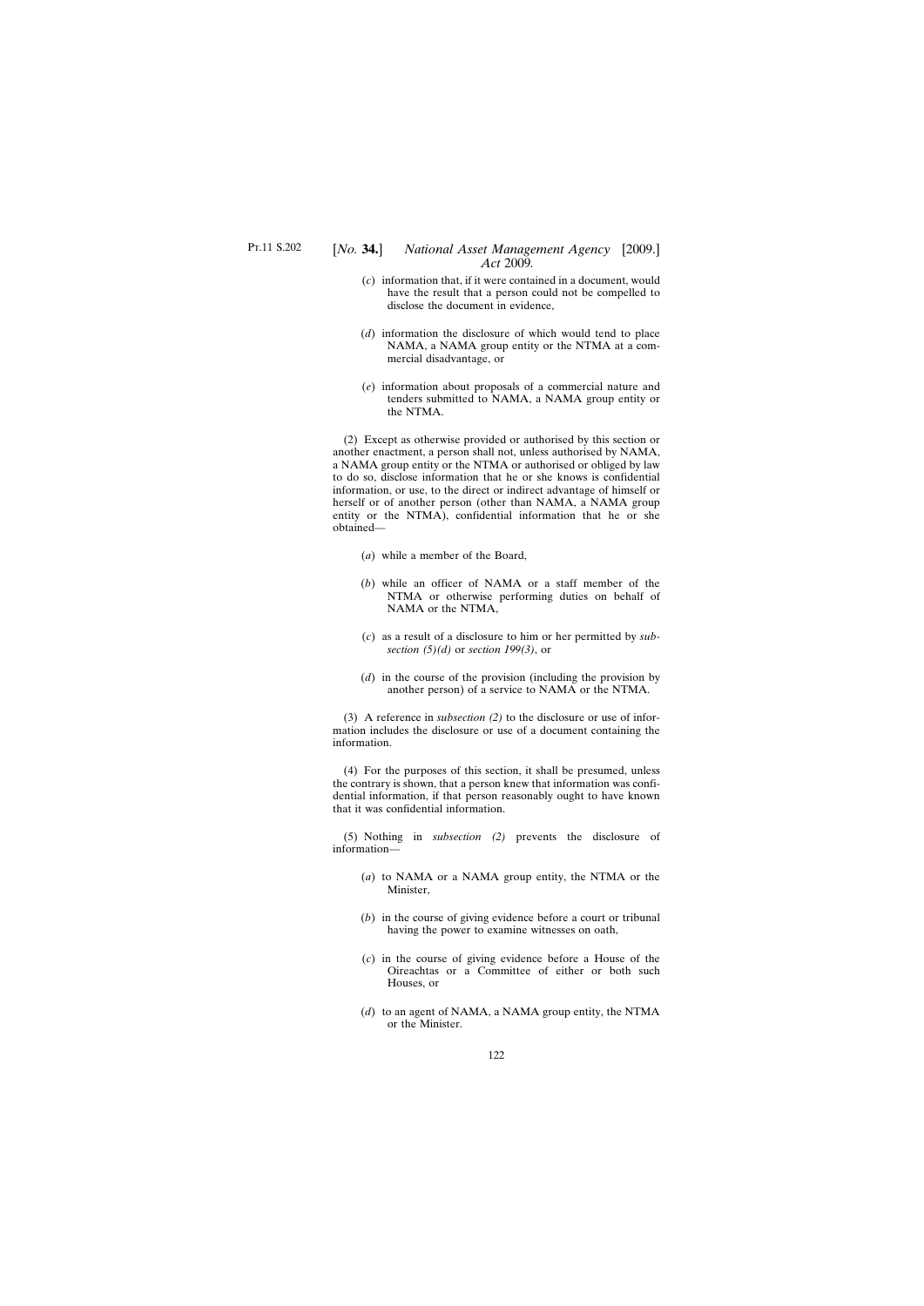- (*c*) information that, if it were contained in a document, would have the result that a person could not be compelled to disclose the document in evidence,
- (*d*) information the disclosure of which would tend to place NAMA, a NAMA group entity or the NTMA at a commercial disadvantage, or
- (*e*) information about proposals of a commercial nature and tenders submitted to NAMA, a NAMA group entity or the NTMA.

(2) Except as otherwise provided or authorised by this section or another enactment, a person shall not, unless authorised by NAMA, a NAMA group entity or the NTMA or authorised or obliged by law to do so, disclose information that he or she knows is confidential information, or use, to the direct or indirect advantage of himself or herself or of another person (other than NAMA, a NAMA group entity or the NTMA), confidential information that he or she obtained—

- (*a*) while a member of the Board,
- (*b*) while an officer of NAMA or a staff member of the NTMA or otherwise performing duties on behalf of NAMA or the NTMA,
- (*c*) as a result of a disclosure to him or her permitted by *subsection (5)(d)* or *section 199(3)*, or
- (*d*) in the course of the provision (including the provision by another person) of a service to NAMA or the NTMA.

(3) A reference in *subsection (2)* to the disclosure or use of information includes the disclosure or use of a document containing the information.

(4) For the purposes of this section, it shall be presumed, unless the contrary is shown, that a person knew that information was confidential information, if that person reasonably ought to have known that it was confidential information.

(5) Nothing in *subsection (2)* prevents the disclosure of information—

- (*a*) to NAMA or a NAMA group entity, the NTMA or the Minister,
- (*b*) in the course of giving evidence before a court or tribunal having the power to examine witnesses on oath,
- (*c*) in the course of giving evidence before a House of the Oireachtas or a Committee of either or both such Houses, or
- (*d*) to an agent of NAMA, a NAMA group entity, the NTMA or the Minister.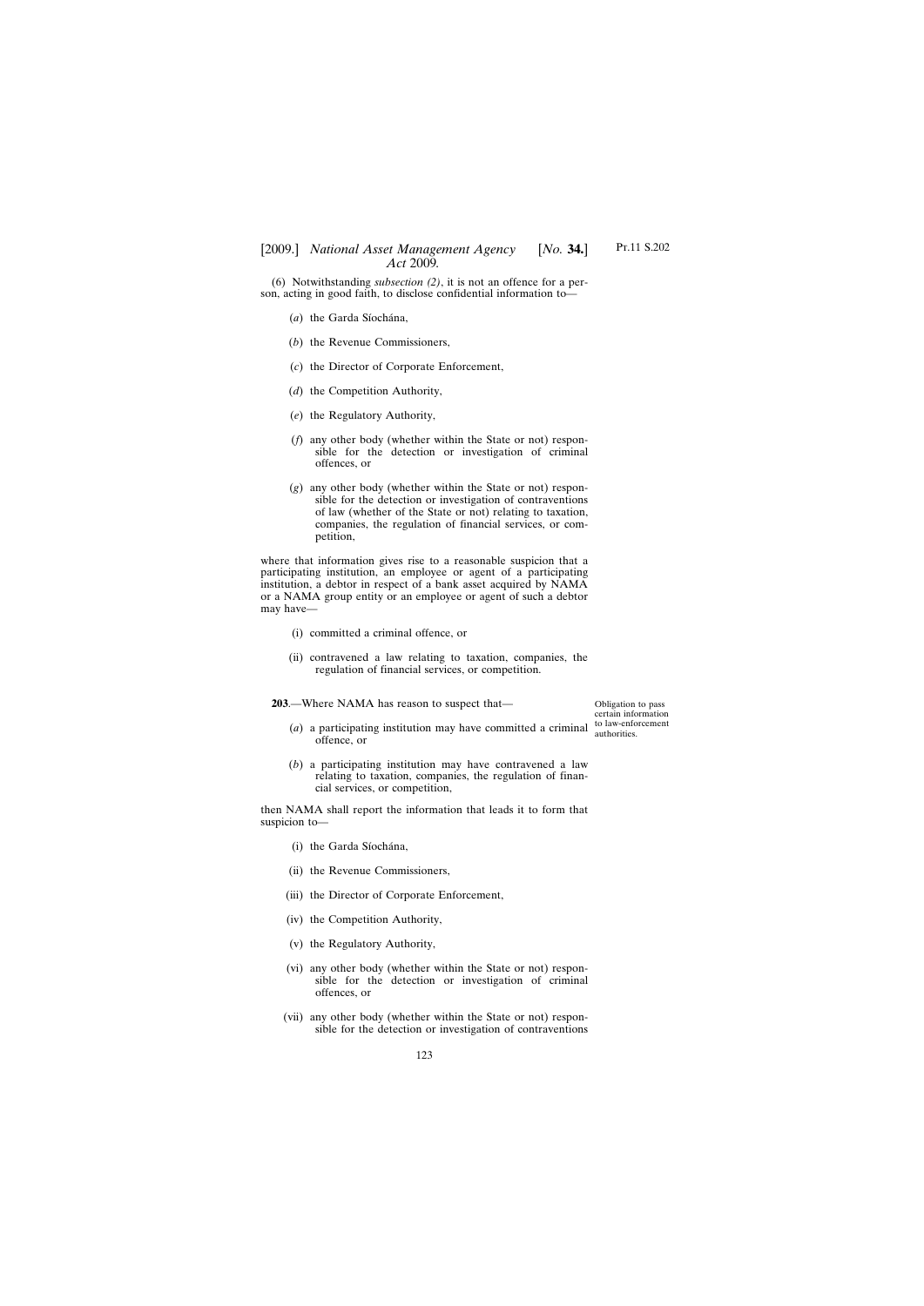# [2009.] [ *National Asset Management Agency No.* **34.**] *Act* 2009*.*

(6) Notwithstanding *subsection (2)*, it is not an offence for a person, acting in good faith, to disclose confidential information to—

- (*a*) the Garda Síochána,
- (*b*) the Revenue Commissioners,
- (*c*) the Director of Corporate Enforcement,
- (*d*) the Competition Authority,
- (*e*) the Regulatory Authority,
- (*f*) any other body (whether within the State or not) responsible for the detection or investigation of criminal offences, or
- (*g*) any other body (whether within the State or not) responsible for the detection or investigation of contraventions of law (whether of the State or not) relating to taxation, companies, the regulation of financial services, or competition,

where that information gives rise to a reasonable suspicion that a participating institution, an employee or agent of a participating institution, a debtor in respect of a bank asset acquired by NAMA or a NAMA group entity or an employee or agent of such a debtor may have—

- (i) committed a criminal offence, or
- (ii) contravened a law relating to taxation, companies, the regulation of financial services, or competition.

**203**.—Where NAMA has reason to suspect that—

- (*a*) a participating institution may have committed a criminal  $\frac{1}{2}$  olaw-enforcement offence, or
- (*b*) a participating institution may have contravened a law relating to taxation, companies, the regulation of financial services, or competition,

then NAMA shall report the information that leads it to form that suspicion to—

- (i) the Garda Síochána,
- (ii) the Revenue Commissioners,
- (iii) the Director of Corporate Enforcement,
- (iv) the Competition Authority,
- (v) the Regulatory Authority,
- (vi) any other body (whether within the State or not) responsible for the detection or investigation of criminal offences, or
- (vii) any other body (whether within the State or not) responsible for the detection or investigation of contraventions

Obligation to pass certain information authorities.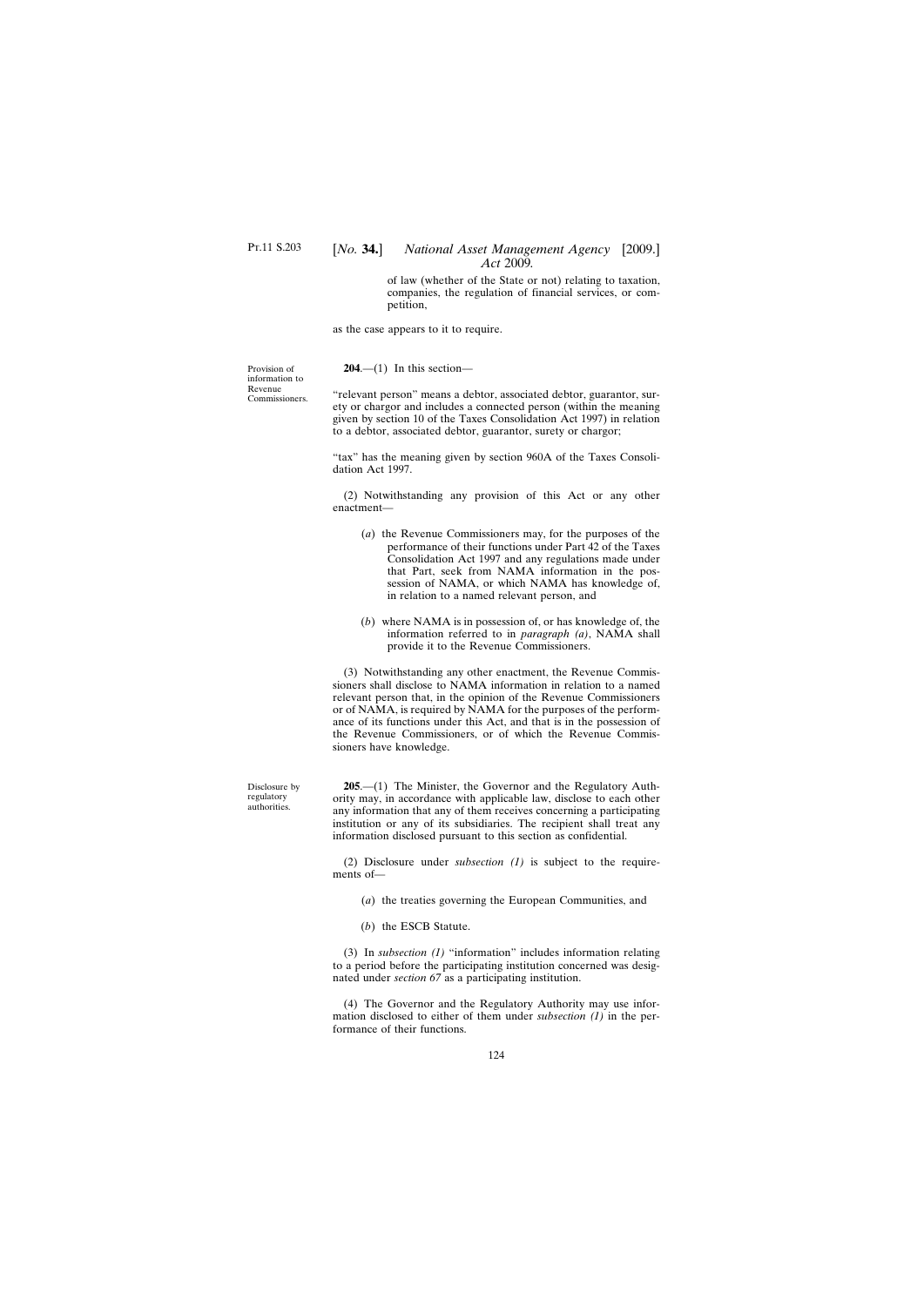of law (whether of the State or not) relating to taxation, companies, the regulation of financial services, or competition,

as the case appears to it to require.

Provision of information to Revenue Commissioners. **204**.—(1) In this section—

"relevant person" means a debtor, associated debtor, guarantor, surety or chargor and includes a connected person (within the meaning given by section 10 of the Taxes Consolidation Act 1997) in relation to a debtor, associated debtor, guarantor, surety or chargor;

"tax" has the meaning given by section 960A of the Taxes Consolidation Act 1997.

(2) Notwithstanding any provision of this Act or any other enactment—

- (*a*) the Revenue Commissioners may, for the purposes of the performance of their functions under Part 42 of the Taxes Consolidation Act 1997 and any regulations made under that Part, seek from NAMA information in the possession of NAMA, or which NAMA has knowledge of, in relation to a named relevant person, and
- (*b*) where NAMA is in possession of, or has knowledge of, the information referred to in *paragraph (a)*, NAMA shall provide it to the Revenue Commissioners.

(3) Notwithstanding any other enactment, the Revenue Commissioners shall disclose to NAMA information in relation to a named relevant person that, in the opinion of the Revenue Commissioners or of NAMA, is required by NAMA for the purposes of the performance of its functions under this Act, and that is in the possession of the Revenue Commissioners, or of which the Revenue Commissioners have knowledge.

**205**.—(1) The Minister, the Governor and the Regulatory Authority may, in accordance with applicable law, disclose to each other any information that any of them receives concerning a participating institution or any of its subsidiaries. The recipient shall treat any information disclosed pursuant to this section as confidential.

(2) Disclosure under *subsection (1)* is subject to the requirements of—

(*a*) the treaties governing the European Communities, and

(*b*) the ESCB Statute.

(3) In *subsection (1)* "information" includes information relating to a period before the participating institution concerned was designated under *section 67* as a participating institution.

(4) The Governor and the Regulatory Authority may use information disclosed to either of them under *subsection (1)* in the performance of their functions.

Disclosure by regulatory authorities.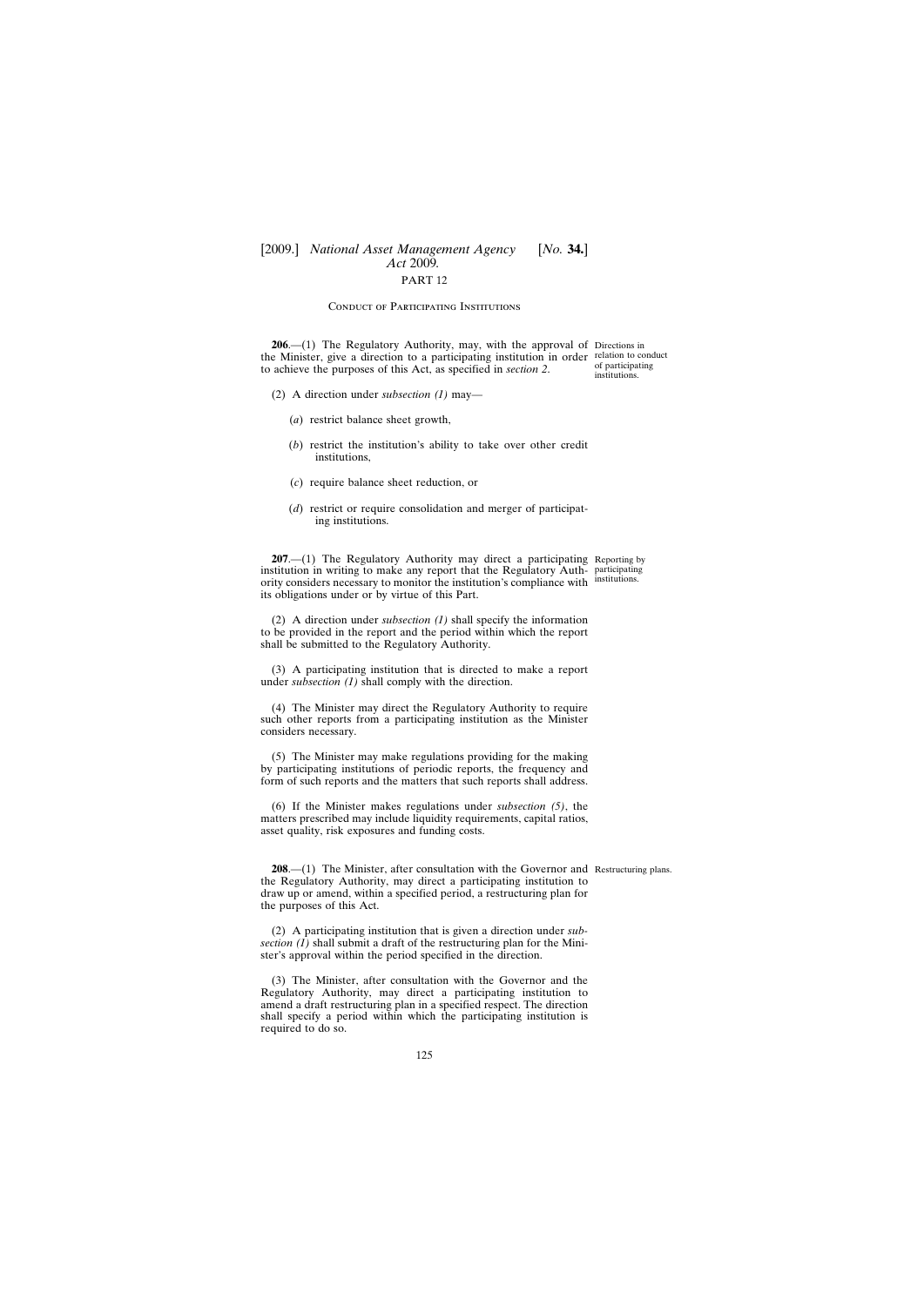# PART 12

## Conduct of Participating Institutions

**206.**—(1) The Regulatory Authority, may, with the approval of Directions in the Minister, give a direction to a participating institution in order relation to conduct to achieve the purposes of this Act, as specified in *section 2*.

of participating institutions.

- (2) A direction under *subsection (1)* may—
	- (*a*) restrict balance sheet growth,
	- (*b*) restrict the institution's ability to take over other credit institutions,
	- (*c*) require balance sheet reduction, or
	- (*d*) restrict or require consolidation and merger of participating institutions.

**207.**—(1) The Regulatory Authority may direct a participating Reporting by institution in writing to make any report that the Regulatory Auth-participating ority considers necessary to monitor the institution's compliance with institutions. its obligations under or by virtue of this Part.

(2) A direction under *subsection (1)* shall specify the information to be provided in the report and the period within which the report shall be submitted to the Regulatory Authority.

(3) A participating institution that is directed to make a report under *subsection (1)* shall comply with the direction.

(4) The Minister may direct the Regulatory Authority to require such other reports from a participating institution as the Minister considers necessary.

(5) The Minister may make regulations providing for the making by participating institutions of periodic reports, the frequency and form of such reports and the matters that such reports shall address.

(6) If the Minister makes regulations under *subsection (5)*, the matters prescribed may include liquidity requirements, capital ratios, asset quality, risk exposures and funding costs.

**208.**—(1) The Minister, after consultation with the Governor and Restructuring plans. the Regulatory Authority, may direct a participating institution to draw up or amend, within a specified period, a restructuring plan for the purposes of this Act.

(2) A participating institution that is given a direction under *subsection (1)* shall submit a draft of the restructuring plan for the Minister's approval within the period specified in the direction.

(3) The Minister, after consultation with the Governor and the Regulatory Authority, may direct a participating institution to amend a draft restructuring plan in a specified respect. The direction shall specify a period within which the participating institution is required to do so.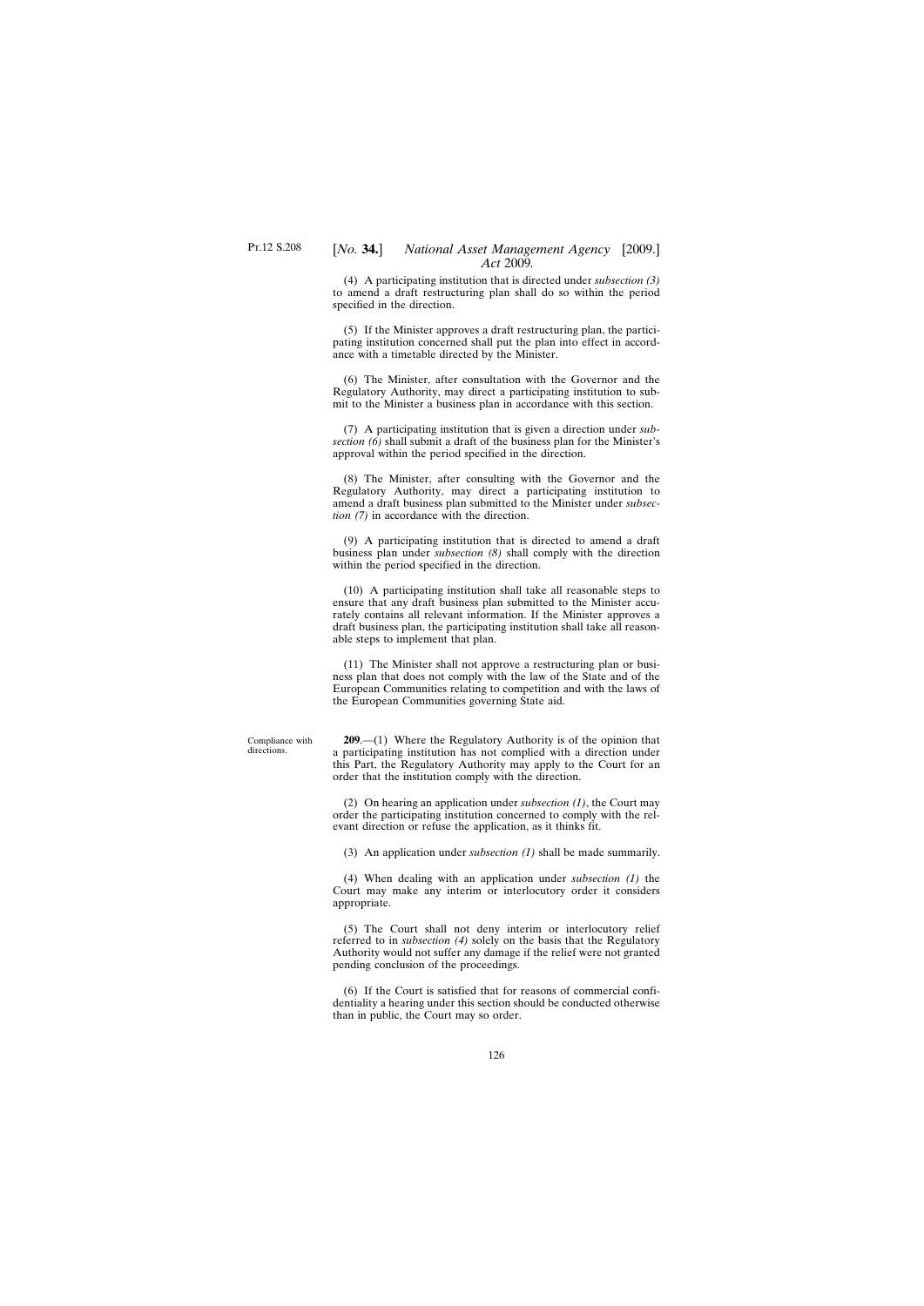(4) A participating institution that is directed under *subsection (3)* to amend a draft restructuring plan shall do so within the period specified in the direction.

(5) If the Minister approves a draft restructuring plan, the participating institution concerned shall put the plan into effect in accordance with a timetable directed by the Minister.

(6) The Minister, after consultation with the Governor and the Regulatory Authority, may direct a participating institution to submit to the Minister a business plan in accordance with this section.

(7) A participating institution that is given a direction under *subsection (6)* shall submit a draft of the business plan for the Minister's approval within the period specified in the direction.

(8) The Minister, after consulting with the Governor and the Regulatory Authority, may direct a participating institution to amend a draft business plan submitted to the Minister under *subsection (7)* in accordance with the direction.

(9) A participating institution that is directed to amend a draft business plan under *subsection (8)* shall comply with the direction within the period specified in the direction.

(10) A participating institution shall take all reasonable steps to ensure that any draft business plan submitted to the Minister accurately contains all relevant information. If the Minister approves a draft business plan, the participating institution shall take all reasonable steps to implement that plan.

(11) The Minister shall not approve a restructuring plan or business plan that does not comply with the law of the State and of the European Communities relating to competition and with the laws of the European Communities governing State aid.

**209**.—(1) Where the Regulatory Authority is of the opinion that a participating institution has not complied with a direction under this Part, the Regulatory Authority may apply to the Court for an order that the institution comply with the direction.

(2) On hearing an application under *subsection (1)*, the Court may order the participating institution concerned to comply with the relevant direction or refuse the application, as it thinks fit.

(3) An application under *subsection (1)* shall be made summarily.

(4) When dealing with an application under *subsection (1)* the Court may make any interim or interlocutory order it considers appropriate.

(5) The Court shall not deny interim or interlocutory relief referred to in *subsection (4)* solely on the basis that the Regulatory Authority would not suffer any damage if the relief were not granted pending conclusion of the proceedings.

(6) If the Court is satisfied that for reasons of commercial confidentiality a hearing under this section should be conducted otherwise than in public, the Court may so order.

Compliance with directions.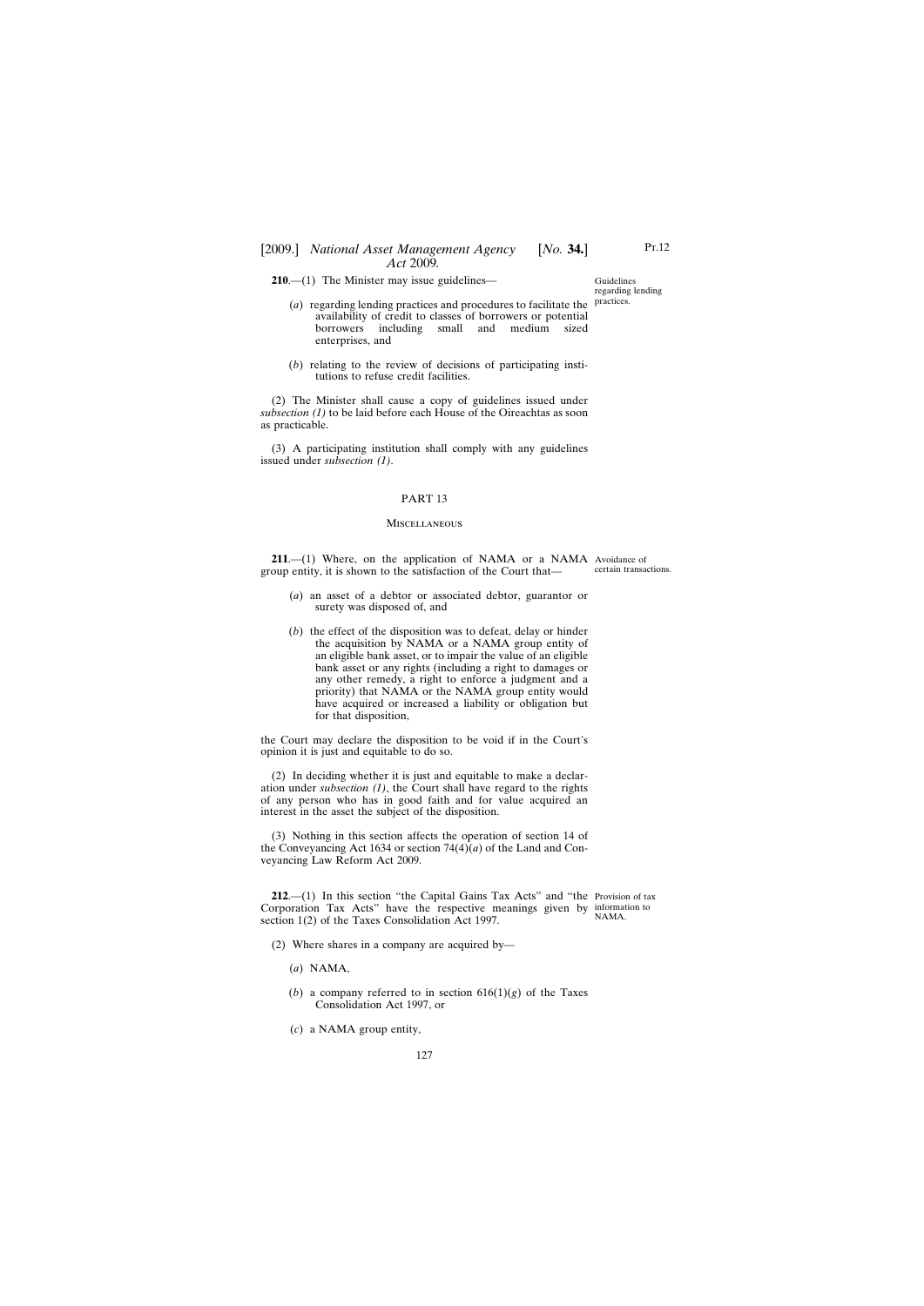# [2009.] [ *National Asset Management Agency No.* **34.**] *Act* 2009*.*

**210**.—(1) The Minister may issue guidelines—

- (*a*) regarding lending practices and procedures to facilitate the availability of credit to classes of borrowers or potential borrowers including small and medium sized enterprises, and
- (*b*) relating to the review of decisions of participating institutions to refuse credit facilities.

(2) The Minister shall cause a copy of guidelines issued under *subsection (1)* to be laid before each House of the Oireachtas as soon as practicable.

(3) A participating institution shall comply with any guidelines issued under *subsection (1)*.

## PART 13

#### **MISCELLANEOUS**

**211.**—(1) Where, on the application of NAMA or a NAMA Avoidance of group entity, it is shown to the satisfaction of the Court that—

- certain transactions.
- (*a*) an asset of a debtor or associated debtor, guarantor or surety was disposed of, and
- (*b*) the effect of the disposition was to defeat, delay or hinder the acquisition by NAMA or a NAMA group entity of an eligible bank asset, or to impair the value of an eligible bank asset or any rights (including a right to damages or any other remedy, a right to enforce a judgment and a priority) that NAMA or the NAMA group entity would have acquired or increased a liability or obligation but for that disposition,

the Court may declare the disposition to be void if in the Court's opinion it is just and equitable to do so.

(2) In deciding whether it is just and equitable to make a declaration under *subsection (1)*, the Court shall have regard to the rights of any person who has in good faith and for value acquired an interest in the asset the subject of the disposition.

(3) Nothing in this section affects the operation of section 14 of the Conveyancing Act 1634 or section  $74(4)(a)$  of the Land and Conveyancing Law Reform Act 2009.

**212.**—(1) In this section "the Capital Gains Tax Acts" and "the Provision of tax Corporation Tax Acts" have the respective meanings given by information to section 1(2) of the Taxes Consolidation Act 1997. NAMA.

- (2) Where shares in a company are acquired by—
	- (*a*) NAMA,
	- (*b*) a company referred to in section  $616(1)(g)$  of the Taxes Consolidation Act 1997, or
	- (*c*) a NAMA group entity,

Guidelines regarding lending practices.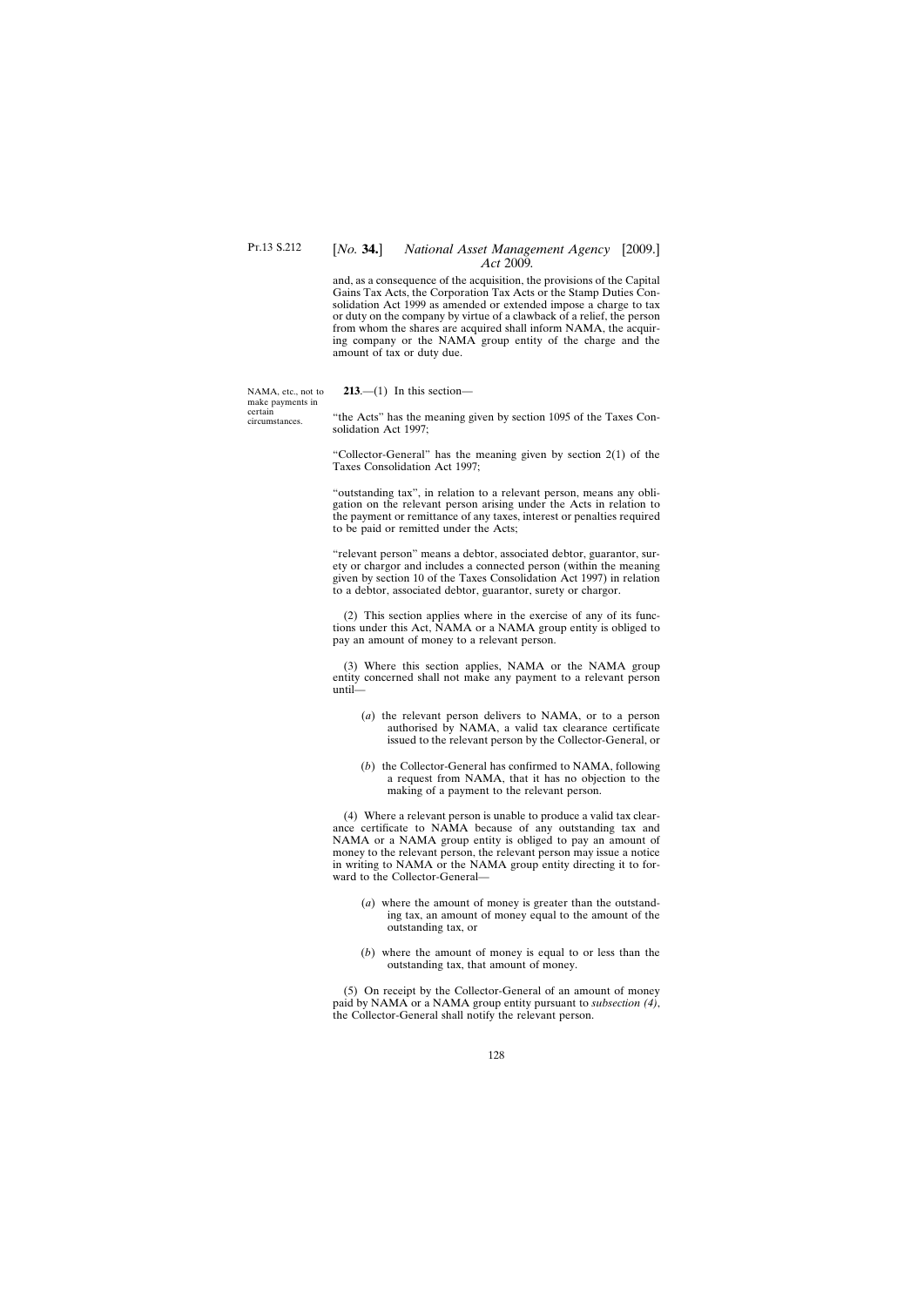and, as a consequence of the acquisition, the provisions of the Capital Gains Tax Acts, the Corporation Tax Acts or the Stamp Duties Consolidation Act 1999 as amended or extended impose a charge to tax or duty on the company by virtue of a clawback of a relief, the person from whom the shares are acquired shall inform NAMA, the acquiring company or the NAMA group entity of the charge and the amount of tax or duty due.

NAMA, etc., not to make payments in certain circumstances.

**213**.—(1) In this section—

"the Acts" has the meaning given by section 1095 of the Taxes Consolidation Act 1997;

"Collector-General" has the meaning given by section 2(1) of the Taxes Consolidation Act 1997;

"outstanding tax", in relation to a relevant person, means any obligation on the relevant person arising under the Acts in relation to the payment or remittance of any taxes, interest or penalties required to be paid or remitted under the Acts;

"relevant person" means a debtor, associated debtor, guarantor, surety or chargor and includes a connected person (within the meaning given by section 10 of the Taxes Consolidation Act 1997) in relation to a debtor, associated debtor, guarantor, surety or chargor.

(2) This section applies where in the exercise of any of its functions under this Act, NAMA or a NAMA group entity is obliged to pay an amount of money to a relevant person.

(3) Where this section applies, NAMA or the NAMA group entity concerned shall not make any payment to a relevant person until—

- (*a*) the relevant person delivers to NAMA, or to a person authorised by NAMA, a valid tax clearance certificate issued to the relevant person by the Collector-General, or
- (*b*) the Collector-General has confirmed to NAMA, following a request from NAMA, that it has no objection to the making of a payment to the relevant person.

(4) Where a relevant person is unable to produce a valid tax clearance certificate to NAMA because of any outstanding tax and NAMA or a NAMA group entity is obliged to pay an amount of money to the relevant person, the relevant person may issue a notice in writing to NAMA or the NAMA group entity directing it to forward to the Collector-General—

- (*a*) where the amount of money is greater than the outstanding tax, an amount of money equal to the amount of the outstanding tax, or
- (*b*) where the amount of money is equal to or less than the outstanding tax, that amount of money.

(5) On receipt by the Collector-General of an amount of money paid by NAMA or a NAMA group entity pursuant to *subsection (4)*, the Collector-General shall notify the relevant person.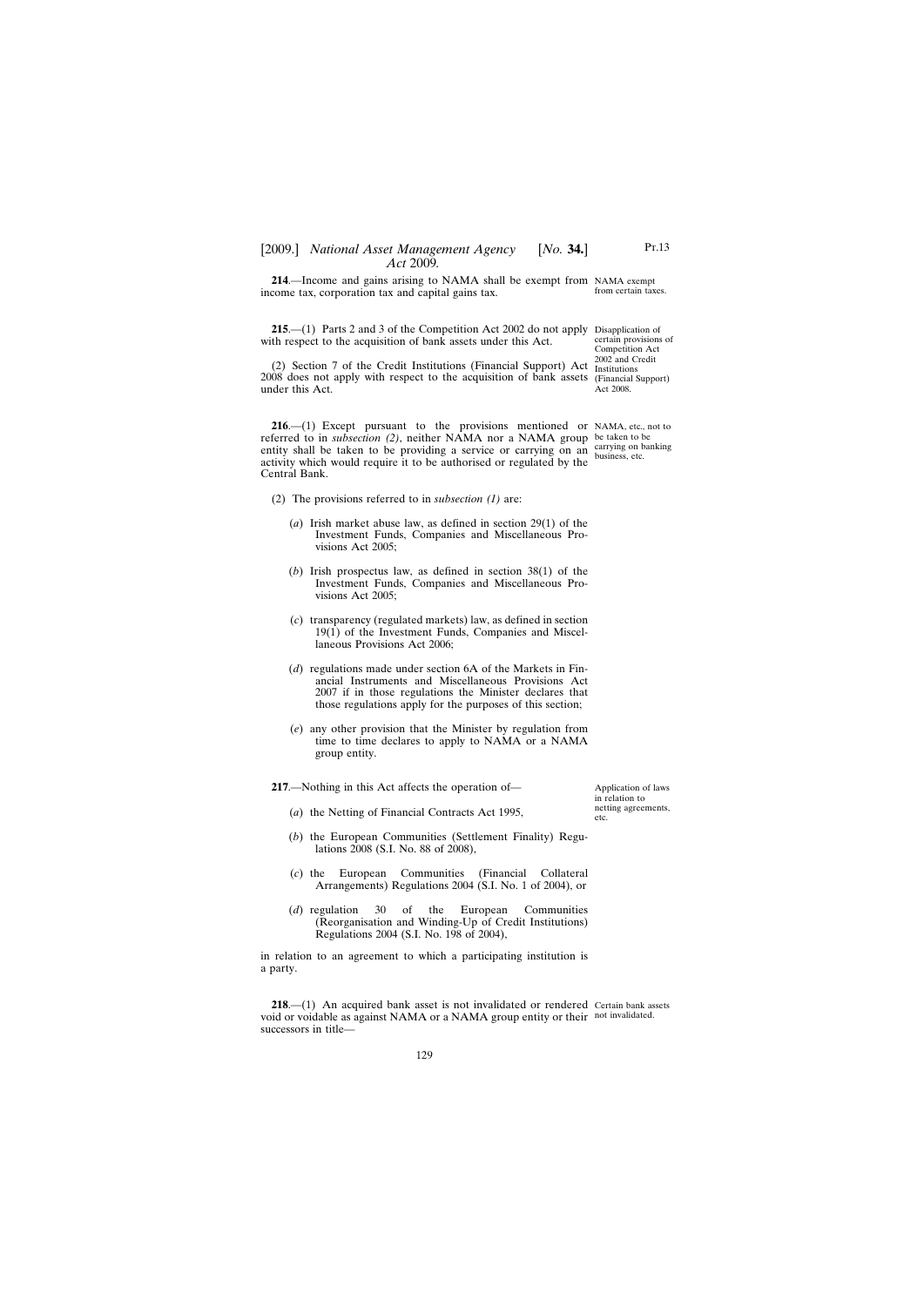# [2009.] [ *National Asset Management Agency No.* **34.**] *Act* 2009*.*

**214**.—Income and gains arising to NAMA shall be exempt from NAMA exempt income tax, corporation tax and capital gains tax.

**215.**—(1) Parts 2 and 3 of the Competition Act 2002 do not apply Disapplication of with respect to the acquisition of bank assets under this Act.

(2) Section 7 of the Credit Institutions (Financial Support) Act Institutions 2008 does not apply with respect to the acquisition of bank assets (Financial Support) under this Act.

**216.**—(1) Except pursuant to the provisions mentioned or NAMA, etc., not to referred to in *subsection (2)*, neither NAMA nor a NAMA group be taken to be entity shall be taken to be providing a service or carrying on an  $\frac{1}{2}$  carrying on banking activity which would require it to be authorised or regulated by the Central Bank.

- (2) The provisions referred to in *subsection (1)* are:
	- (*a*) Irish market abuse law, as defined in section 29(1) of the Investment Funds, Companies and Miscellaneous Provisions Act 2005;
	- (*b*) Irish prospectus law, as defined in section 38(1) of the Investment Funds, Companies and Miscellaneous Provisions Act 2005;
	- (*c*) transparency (regulated markets) law, as defined in section 19(1) of the Investment Funds, Companies and Miscellaneous Provisions Act 2006;
	- (*d*) regulations made under section 6A of the Markets in Financial Instruments and Miscellaneous Provisions Act 2007 if in those regulations the Minister declares that those regulations apply for the purposes of this section;
	- (*e*) any other provision that the Minister by regulation from time to time declares to apply to NAMA or a NAMA group entity.

**217**.—Nothing in this Act affects the operation of—

- (*a*) the Netting of Financial Contracts Act 1995,
- (*b*) the European Communities (Settlement Finality) Regulations 2008 (S.I. No. 88 of 2008),
- (*c*) the European Communities (Financial Collateral Arrangements) Regulations 2004 (S.I. No. 1 of 2004), or
- (*d*) regulation 30 of the European Communities (Reorganisation and Winding-Up of Credit Institutions) Regulations 2004 (S.I. No. 198 of 2004),

in relation to an agreement to which a participating institution is a party.

**218.**—(1) An acquired bank asset is not invalidated or rendered Certain bank assets void or voidable as against NAMA or a NAMA group entity or their not invalidated.successors in title—

Application of laws in relation to netting agreements, etc.

from certain taxes.

certain provisions of Competition Act 2002 and Credit Act 2008.

business, etc.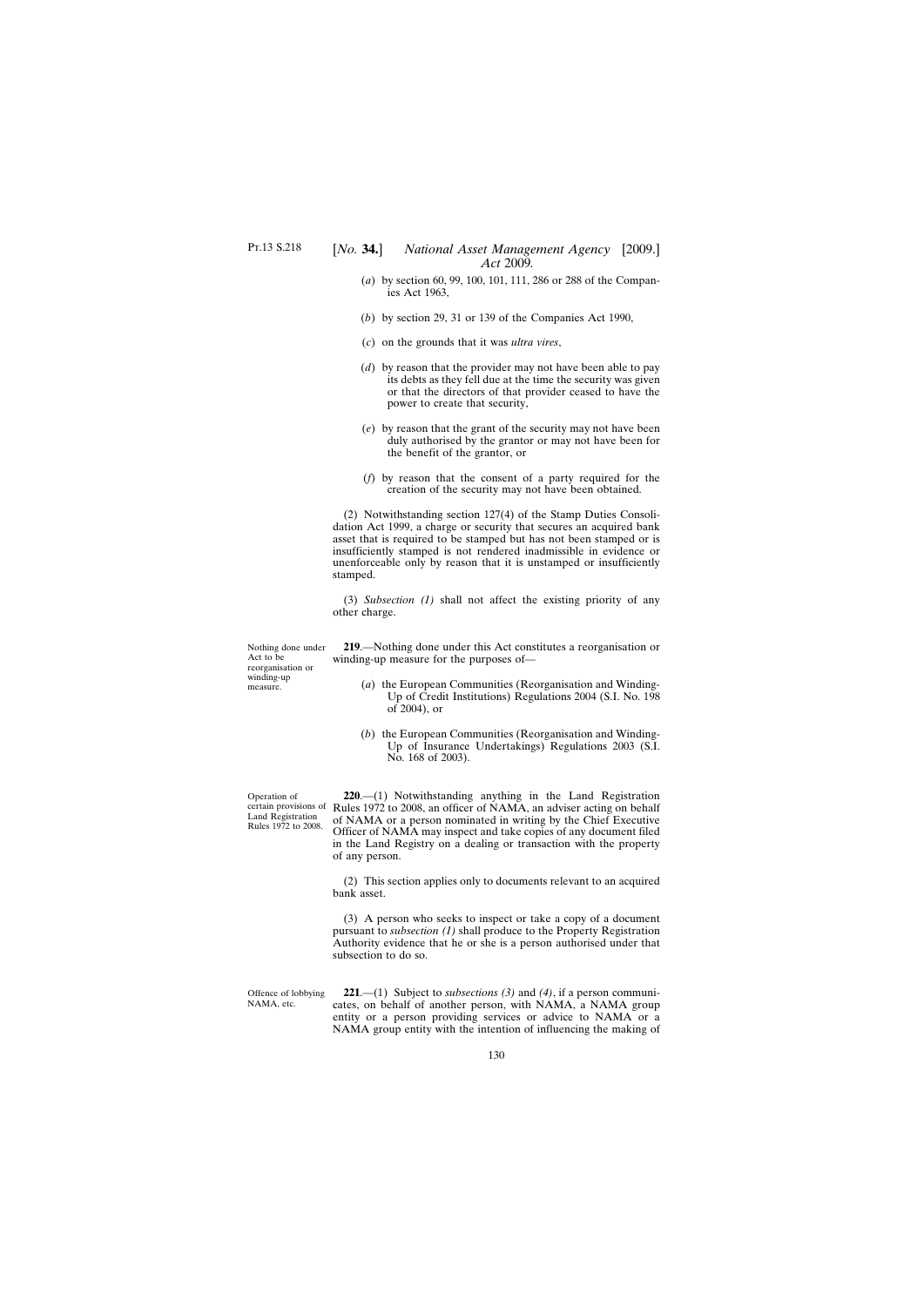- (*a*) by section 60, 99, 100, 101, 111, 286 or 288 of the Companies Act 1963,
- (*b*) by section 29, 31 or 139 of the Companies Act 1990,
- (*c*) on the grounds that it was *ultra vires*,
- (*d*) by reason that the provider may not have been able to pay its debts as they fell due at the time the security was given or that the directors of that provider ceased to have the power to create that security,
- (*e*) by reason that the grant of the security may not have been duly authorised by the grantor or may not have been for the benefit of the grantor, or
- (*f*) by reason that the consent of a party required for the creation of the security may not have been obtained.

(2) Notwithstanding section 127(4) of the Stamp Duties Consolidation Act 1999, a charge or security that secures an acquired bank asset that is required to be stamped but has not been stamped or is insufficiently stamped is not rendered inadmissible in evidence or unenforceable only by reason that it is unstamped or insufficiently stamped.

(3) *Subsection (1)* shall not affect the existing priority of any other charge.

**219**.—Nothing done under this Act constitutes a reorganisation or winding-up measure for the purposes of—

- (*a*) the European Communities (Reorganisation and Winding-Up of Credit Institutions) Regulations 2004 (S.I. No. 198 of 2004), or
- (*b*) the European Communities (Reorganisation and Winding-Up of Insurance Undertakings) Regulations 2003 (S.I. No. 168 of 2003).

Operation of Land Registration Rules 1972 to 2008.

Nothing done under

Act to be reorganisation or winding-up measure.

certain provisions of Rules 1972 to 2008, an officer of NAMA, an adviser acting on behalf **220**.—(1) Notwithstanding anything in the Land Registration of NAMA or a person nominated in writing by the Chief Executive Officer of NAMA may inspect and take copies of any document filed in the Land Registry on a dealing or transaction with the property of any person.

> (2) This section applies only to documents relevant to an acquired bank asset.

> (3) A person who seeks to inspect or take a copy of a document pursuant to *subsection (1)* shall produce to the Property Registration Authority evidence that he or she is a person authorised under that subsection to do so.

Offence of lobbying NAMA, etc.

**221**.—(1) Subject to *subsections (3)* and *(4)*, if a person communicates, on behalf of another person, with NAMA, a NAMA group entity or a person providing services or advice to NAMA or a NAMA group entity with the intention of influencing the making of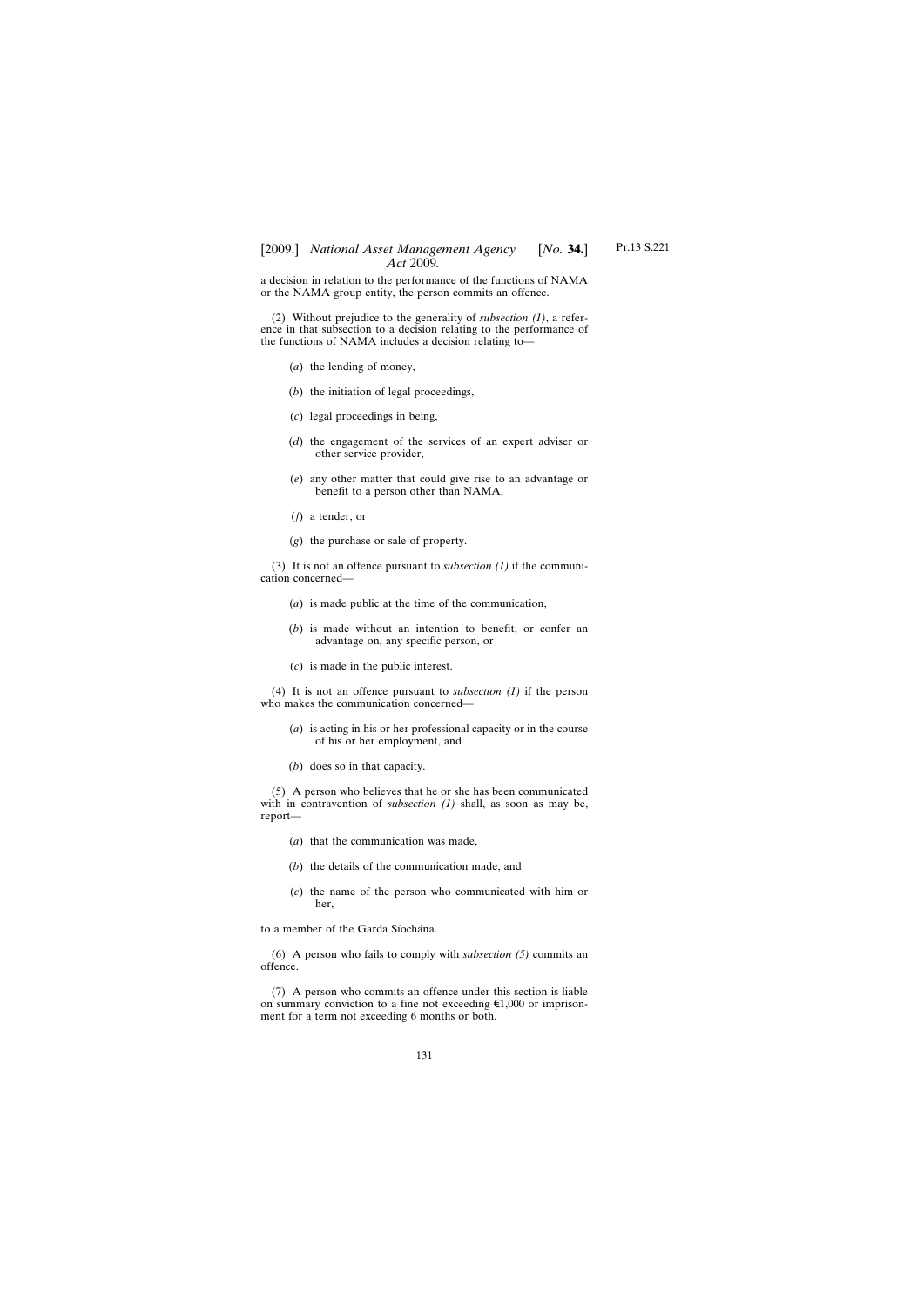# [2009.] *National Asset Management Agency* [*No.* **34.**] *Act* 2009*.*

a decision in relation to the performance of the functions of NAMA or the NAMA group entity, the person commits an offence.

(2) Without prejudice to the generality of *subsection (1)*, a reference in that subsection to a decision relating to the performance of the functions of NAMA includes a decision relating to—

- (*a*) the lending of money,
- (*b*) the initiation of legal proceedings,
- (*c*) legal proceedings in being,
- (*d*) the engagement of the services of an expert adviser or other service provider,
- (*e*) any other matter that could give rise to an advantage or benefit to a person other than NAMA,
- (*f*) a tender, or
- (*g*) the purchase or sale of property.

(3) It is not an offence pursuant to *subsection (1)* if the communication concerned—

- (*a*) is made public at the time of the communication,
- (*b*) is made without an intention to benefit, or confer an advantage on, any specific person, or
- (*c*) is made in the public interest.

(4) It is not an offence pursuant to *subsection (1)* if the person who makes the communication concerned—

- (*a*) is acting in his or her professional capacity or in the course of his or her employment, and
- (*b*) does so in that capacity.

(5) A person who believes that he or she has been communicated with in contravention of *subsection (1)* shall, as soon as may be, report—

- (*a*) that the communication was made,
- (*b*) the details of the communication made, and
- (*c*) the name of the person who communicated with him or her,

to a member of the Garda Síochána.

(6) A person who fails to comply with *subsection (5)* commits an offence.

(7) A person who commits an offence under this section is liable on summary conviction to a fine not exceeding  $\epsilon 1,000$  or imprisonment for a term not exceeding 6 months or both.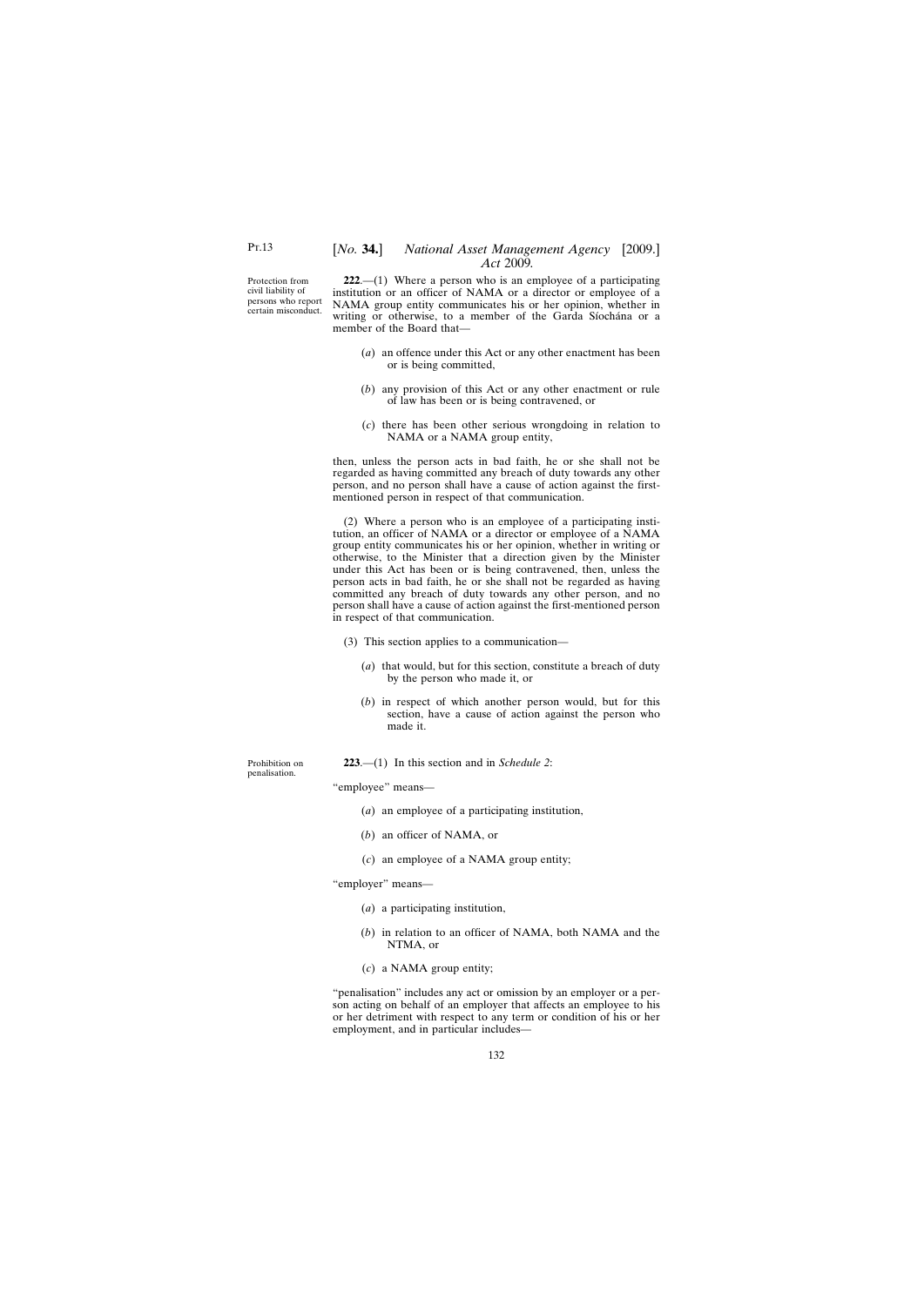Protection from civil liability of persons who report certain misconduct.

**222**.—(1) Where a person who is an employee of a participating institution or an officer of NAMA or a director or employee of a NAMA group entity communicates his or her opinion, whether in writing or otherwise, to a member of the Garda Síochána or a member of the Board that—

- (*a*) an offence under this Act or any other enactment has been or is being committed,
- (*b*) any provision of this Act or any other enactment or rule of law has been or is being contravened, or
- (*c*) there has been other serious wrongdoing in relation to NAMA or a NAMA group entity,

then, unless the person acts in bad faith, he or she shall not be regarded as having committed any breach of duty towards any other person, and no person shall have a cause of action against the firstmentioned person in respect of that communication.

(2) Where a person who is an employee of a participating institution, an officer of NAMA or a director or employee of a NAMA group entity communicates his or her opinion, whether in writing or otherwise, to the Minister that a direction given by the Minister under this Act has been or is being contravened, then, unless the person acts in bad faith, he or she shall not be regarded as having committed any breach of duty towards any other person, and no person shall have a cause of action against the first-mentioned person in respect of that communication.

- (3) This section applies to a communication—
	- (*a*) that would, but for this section, constitute a breach of duty by the person who made it, or
	- (*b*) in respect of which another person would, but for this section, have a cause of action against the person who made it.

**223**.—(1) In this section and in *Schedule 2*:

"employee" means—

- (*a*) an employee of a participating institution,
- (*b*) an officer of NAMA, or
- (*c*) an employee of a NAMA group entity;

"employer" means—

- (*a*) a participating institution,
- (*b*) in relation to an officer of NAMA, both NAMA and the NTMA, or
- (*c*) a NAMA group entity;

"penalisation" includes any act or omission by an employer or a person acting on behalf of an employer that affects an employee to his or her detriment with respect to any term or condition of his or her employment, and in particular includes—

Prohibition on penalisation.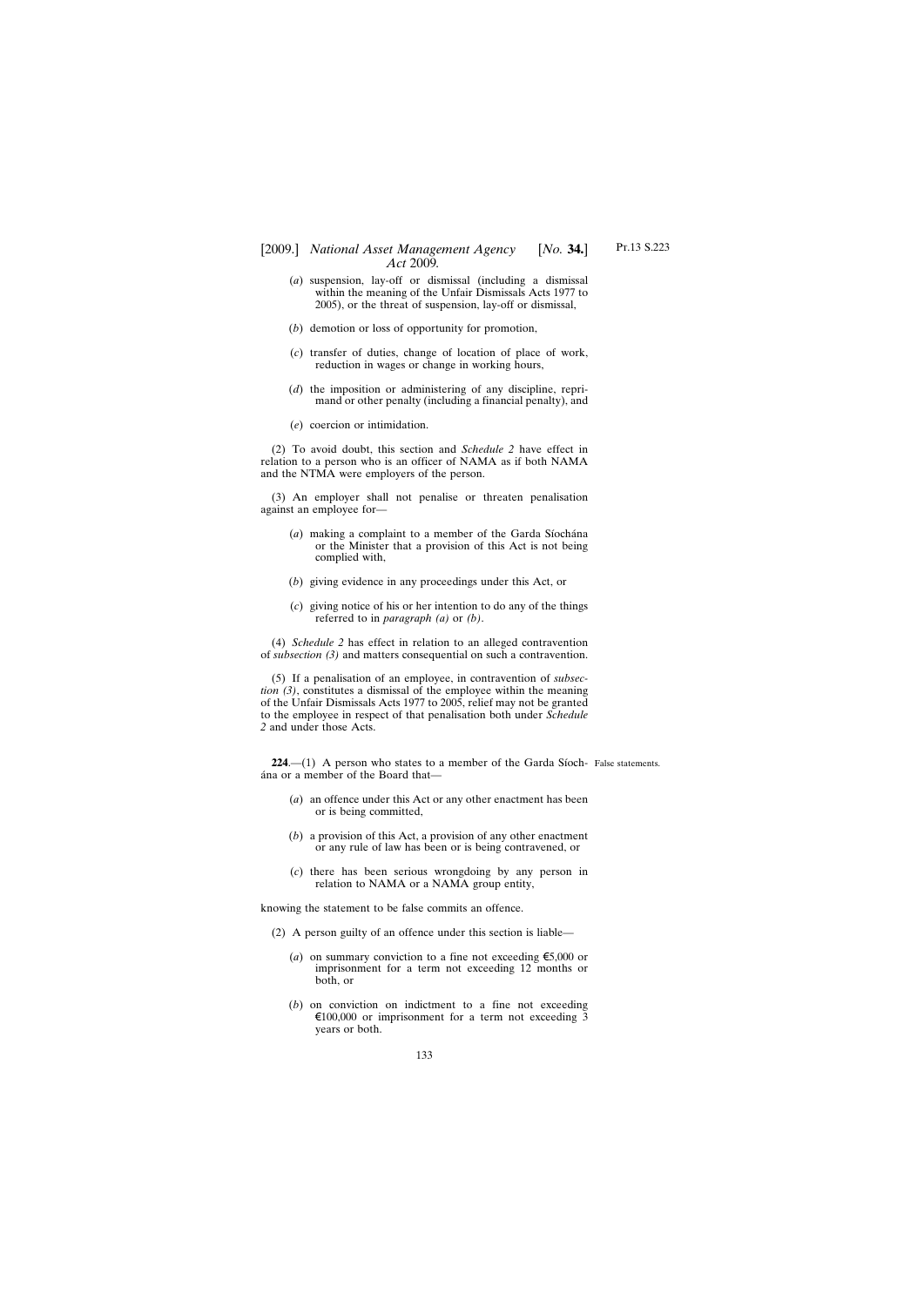# [2009.] *National Asset Management Agency* [*No.* **34.**] *Act* 2009*.*

- (*a*) suspension, lay-off or dismissal (including a dismissal within the meaning of the Unfair Dismissals Acts 1977 to 2005), or the threat of suspension, lay-off or dismissal,
- (*b*) demotion or loss of opportunity for promotion,
- (*c*) transfer of duties, change of location of place of work, reduction in wages or change in working hours,
- (*d*) the imposition or administering of any discipline, reprimand or other penalty (including a financial penalty), and
- (*e*) coercion or intimidation.

(2) To avoid doubt, this section and *Schedule 2* have effect in relation to a person who is an officer of NAMA as if both NAMA and the NTMA were employers of the person.

(3) An employer shall not penalise or threaten penalisation against an employee for—

- (*a*) making a complaint to a member of the Garda Síochána or the Minister that a provision of this Act is not being complied with,
- (*b*) giving evidence in any proceedings under this Act, or
- (*c*) giving notice of his or her intention to do any of the things referred to in *paragraph (a)* or *(b)*.

(4) *Schedule 2* has effect in relation to an alleged contravention of *subsection (3)* and matters consequential on such a contravention.

(5) If a penalisation of an employee, in contravention of *subsection (3)*, constitutes a dismissal of the employee within the meaning of the Unfair Dismissals Acts 1977 to 2005, relief may not be granted to the employee in respect of that penalisation both under *Schedule 2* and under those Acts.

**224**.—(1) A person who states to a member of the Garda Síoch-False statements.ána or a member of the Board that—

- (*a*) an offence under this Act or any other enactment has been or is being committed,
- (*b*) a provision of this Act, a provision of any other enactment or any rule of law has been or is being contravened, or
- (*c*) there has been serious wrongdoing by any person in relation to NAMA or a NAMA group entity,

knowing the statement to be false commits an offence.

- (2) A person guilty of an offence under this section is liable—
	- (*a*) on summary conviction to a fine not exceeding  $\epsilon$ 5,000 or imprisonment for a term not exceeding 12 months or both, or
	- (*b*) on conviction on indictment to a fine not exceeding  $\epsilon$ 100,000 or imprisonment for a term not exceeding 3 years or both.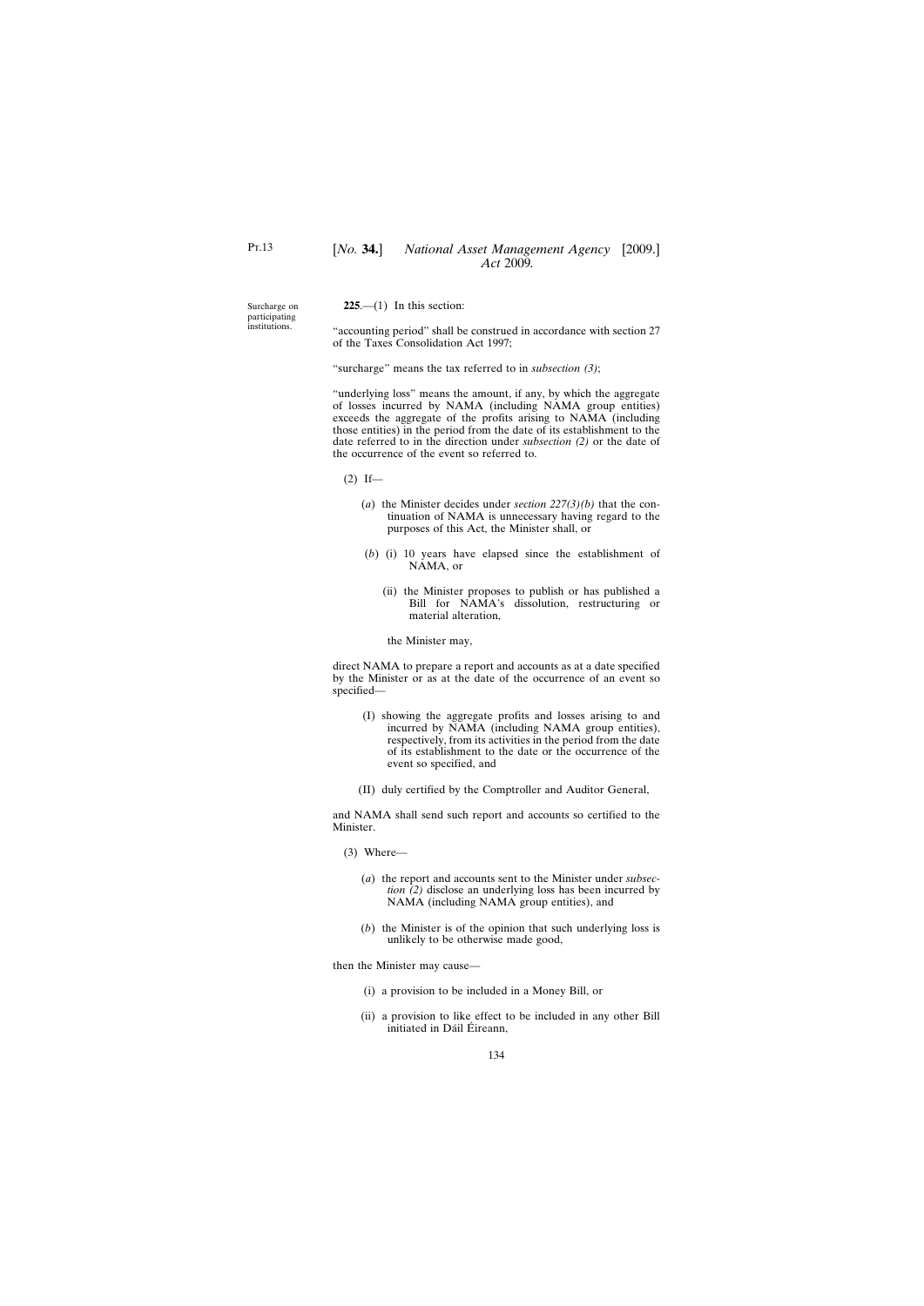Surcharge on participating institutions.

**225**.—(1) In this section:

"accounting period" shall be construed in accordance with section 27 of the Taxes Consolidation Act 1997;

"surcharge" means the tax referred to in *subsection (3)*;

"underlying loss" means the amount, if any, by which the aggregate of losses incurred by NAMA (including NAMA group entities) exceeds the aggregate of the profits arising to NAMA (including those entities) in the period from the date of its establishment to the date referred to in the direction under *subsection (2)* or the date of the occurrence of the event so referred to.

 $(2)$  If—

- (*a*) the Minister decides under *section 227(3)(b)* that the continuation of NAMA is unnecessary having regard to the purposes of this Act, the Minister shall, or
- (*b*) (i) 10 years have elapsed since the establishment of NAMA, or
	- (ii) the Minister proposes to publish or has published a Bill for NAMA's dissolution, restructuring or material alteration,

the Minister may,

direct NAMA to prepare a report and accounts as at a date specified by the Minister or as at the date of the occurrence of an event so specified—

- (I) showing the aggregate profits and losses arising to and incurred by NAMA (including NAMA group entities), respectively, from its activities in the period from the date of its establishment to the date or the occurrence of the event so specified, and
- (II) duly certified by the Comptroller and Auditor General,

and NAMA shall send such report and accounts so certified to the Minister.

- (3) Where—
	- (*a*) the report and accounts sent to the Minister under *subsection (2)* disclose an underlying loss has been incurred by NAMA (including NAMA group entities), and
	- (*b*) the Minister is of the opinion that such underlying loss is unlikely to be otherwise made good,

then the Minister may cause—

- (i) a provision to be included in a Money Bill, or
- (ii) a provision to like effect to be included in any other Bill initiated in Dáil Éireann,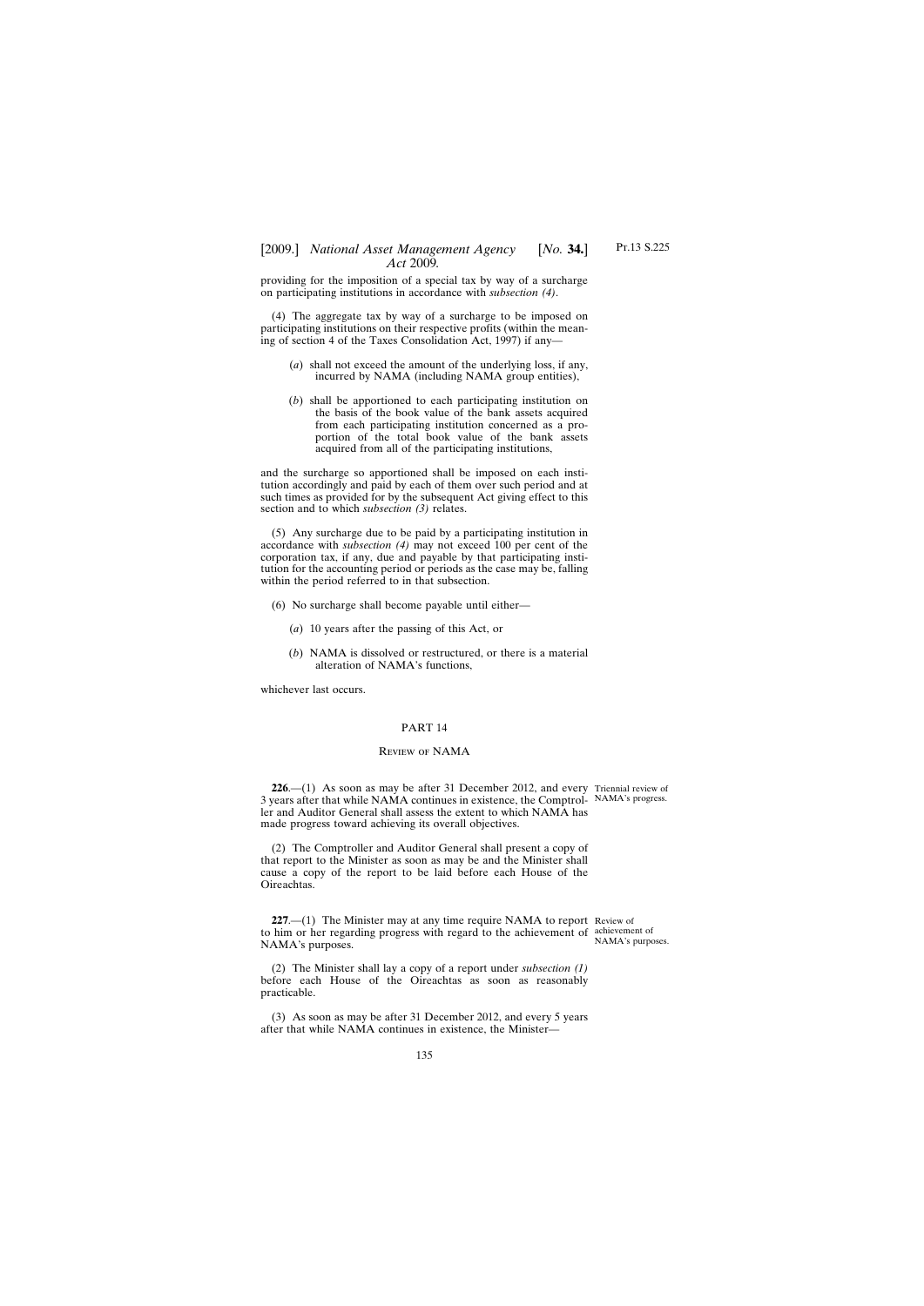# [2009.] [ *National Asset Management Agency No.* **34.**] *Act* 2009*.*

providing for the imposition of a special tax by way of a surcharge on participating institutions in accordance with *subsection (4)*.

(4) The aggregate tax by way of a surcharge to be imposed on participating institutions on their respective profits (within the meaning of section 4 of the Taxes Consolidation Act, 1997) if any—

- (*a*) shall not exceed the amount of the underlying loss, if any, incurred by NAMA (including NAMA group entities),
- (*b*) shall be apportioned to each participating institution on the basis of the book value of the bank assets acquired from each participating institution concerned as a proportion of the total book value of the bank assets acquired from all of the participating institutions,

and the surcharge so apportioned shall be imposed on each institution accordingly and paid by each of them over such period and at such times as provided for by the subsequent Act giving effect to this section and to which *subsection (3)* relates.

(5) Any surcharge due to be paid by a participating institution in accordance with *subsection (4)* may not exceed 100 per cent of the corporation tax, if any, due and payable by that participating institution for the accounting period or periods as the case may be, falling within the period referred to in that subsection.

- (6) No surcharge shall become payable until either—
	- (*a*) 10 years after the passing of this Act, or
	- (*b*) NAMA is dissolved or restructured, or there is a material alteration of NAMA's functions,

whichever last occurs.

## PART 14

## Review of NAMA

**226**.—(1) As soon as may be after 31 December 2012, and every Triennial review of 3 years after that while NAMA continues in existence, the Comptrol-NAMA's progress. ler and Auditor General shall assess the extent to which NAMA has made progress toward achieving its overall objectives.

(2) The Comptroller and Auditor General shall present a copy of that report to the Minister as soon as may be and the Minister shall cause a copy of the report to be laid before each House of the Oireachtas.

**227.**—(1) The Minister may at any time require NAMA to report Review of to him or her regarding progress with regard to the achievement of achievement of NAMA's purposes.

(2) The Minister shall lay a copy of a report under *subsection (1)* before each House of the Oireachtas as soon as reasonably practicable.

(3) As soon as may be after 31 December 2012, and every 5 years after that while NAMA continues in existence, the Minister—

NAMA's purposes.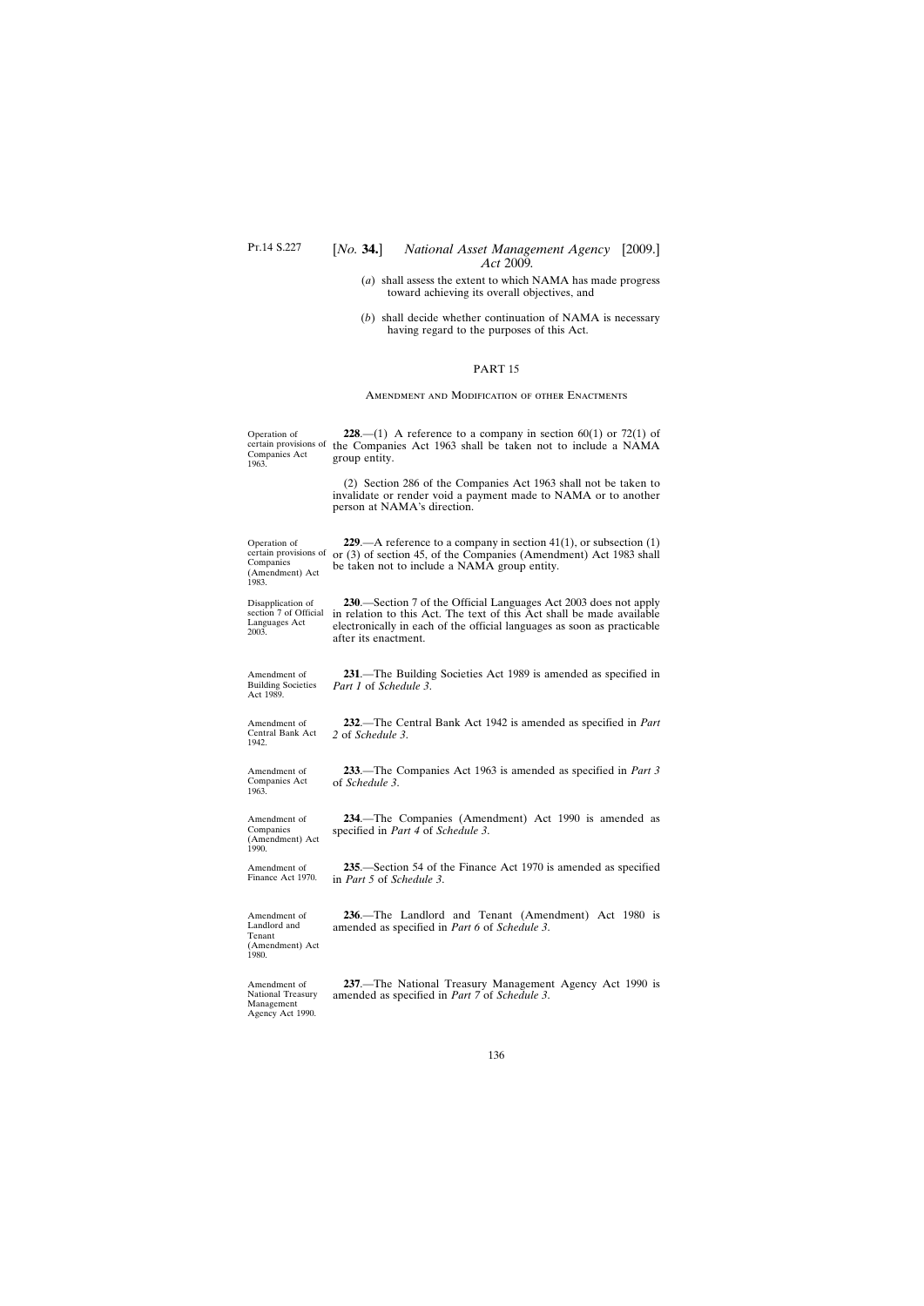- (*a*) shall assess the extent to which NAMA has made progress toward achieving its overall objectives, and
- (*b*) shall decide whether continuation of NAMA is necessary having regard to the purposes of this Act.

## PART 15

#### Amendment and Modification of other Enactments

Operation of certain provisions of the Companies Act 1963 shall be taken not to include a NAMA Companies Act **228.**—(1) A reference to a company in section  $60(1)$  or  $72(1)$  of group entity.

> (2) Section 286 of the Companies Act 1963 shall not be taken to invalidate or render void a payment made to NAMA or to another person at NAMA's direction.

Operation of **Companies** (Amendment) Act 1983.

1963.

Disapplication of section 7 of Official Languages Act 2003.

Amendment of Building Societies Act 1989.

Amendment of Central Bank Act 1942.

Amendment of Companies Act 1963.

Amendment of Companies (Amendment) Act 1990.

Amendment of Finance Act 1970.

Amendment of Landlord and Tenant (Amendment) Act 1980.

Amendment of National Treasury Management Agency Act 1990.

certain provisions of or (3) of section 45, of the Companies (Amendment) Act 1983 shall **229**.—A reference to a company in section 41(1), or subsection (1) be taken not to include a NAMA group entity.

> **230**.—Section 7 of the Official Languages Act 2003 does not apply in relation to this Act. The text of this Act shall be made available electronically in each of the official languages as soon as practicable after its enactment.

> **231**.—The Building Societies Act 1989 is amended as specified in *Part 1* of *Schedule 3*.

> **232**.—The Central Bank Act 1942 is amended as specified in *Part 2* of *Schedule 3*.

> **233**.—The Companies Act 1963 is amended as specified in *Part 3* of *Schedule 3*.

> **234**.—The Companies (Amendment) Act 1990 is amended as specified in *Part 4* of *Schedule 3*.

> **235**.—Section 54 of the Finance Act 1970 is amended as specified in *Part 5* of *Schedule 3*.

> **236**.—The Landlord and Tenant (Amendment) Act 1980 is amended as specified in *Part 6* of *Schedule 3*.

> **237**.—The National Treasury Management Agency Act 1990 is amended as specified in *Part 7* of *Schedule 3*.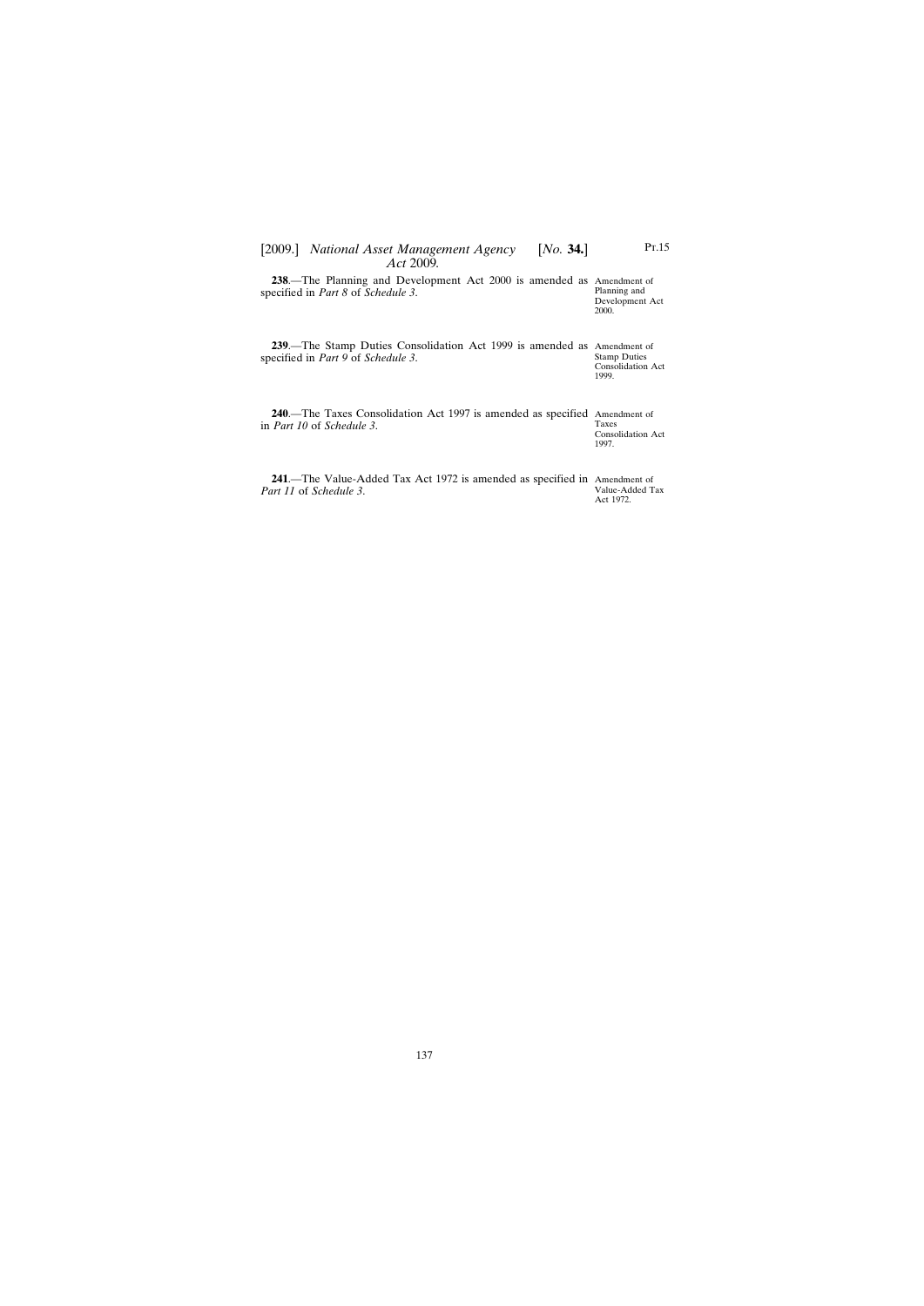**238**.—The Planning and Development Act 2000 is amended as Amendment of specified in *Part 8* of *Schedule 3*.

Planning and Development Act 2000.

| 239.—The Stamp Duties Consolidation Act 1999 is amended as Amendment of |  |  |                     |
|-------------------------------------------------------------------------|--|--|---------------------|
| specified in <i>Part 9</i> of <i>Schedule 3</i> .                       |  |  | <b>Stamp Duties</b> |
|                                                                         |  |  | Consolidation Act   |
|                                                                         |  |  | 1999.               |

**240**.—The Taxes Consolidation Act 1997 is amended as specified Amendment of in *Part 10* of *Schedule 3*. Taxes Consolidation Act 1997.

**241**.—The Value-Added Tax Act 1972 is amended as specified in *Part 11* of *Schedule 3*. Amendment of

Value-Added Tax Act 1972.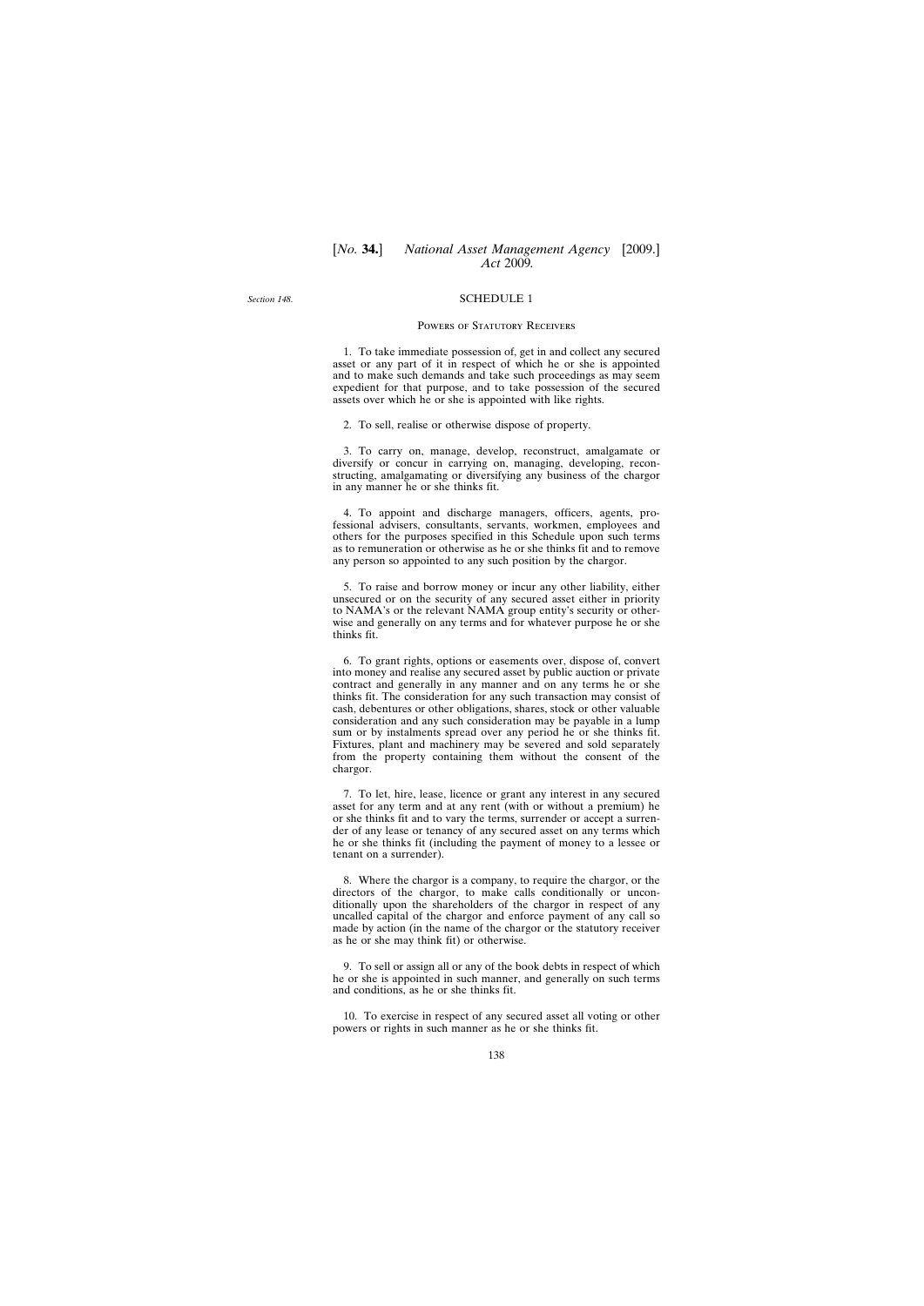## SCHEDULE 1

## Powers of Statutory Receivers

1. To take immediate possession of, get in and collect any secured asset or any part of it in respect of which he or she is appointed and to make such demands and take such proceedings as may seem expedient for that purpose, and to take possession of the secured assets over which he or she is appointed with like rights.

2. To sell, realise or otherwise dispose of property.

3. To carry on, manage, develop, reconstruct, amalgamate or diversify or concur in carrying on, managing, developing, reconstructing, amalgamating or diversifying any business of the chargor in any manner he or she thinks fit.

4. To appoint and discharge managers, officers, agents, professional advisers, consultants, servants, workmen, employees and others for the purposes specified in this Schedule upon such terms as to remuneration or otherwise as he or she thinks fit and to remove any person so appointed to any such position by the chargor.

5. To raise and borrow money or incur any other liability, either unsecured or on the security of any secured asset either in priority to NAMA's or the relevant NAMA group entity's security or otherwise and generally on any terms and for whatever purpose he or she thinks fit.

6. To grant rights, options or easements over, dispose of, convert into money and realise any secured asset by public auction or private contract and generally in any manner and on any terms he or she thinks fit. The consideration for any such transaction may consist of cash, debentures or other obligations, shares, stock or other valuable consideration and any such consideration may be payable in a lump sum or by instalments spread over any period he or she thinks fit. Fixtures, plant and machinery may be severed and sold separately from the property containing them without the consent of the chargor.

7. To let, hire, lease, licence or grant any interest in any secured asset for any term and at any rent (with or without a premium) he or she thinks fit and to vary the terms, surrender or accept a surrender of any lease or tenancy of any secured asset on any terms which he or she thinks fit (including the payment of money to a lessee or tenant on a surrender).

8. Where the chargor is a company, to require the chargor, or the directors of the chargor, to make calls conditionally or unconditionally upon the shareholders of the chargor in respect of any uncalled capital of the chargor and enforce payment of any call so made by action (in the name of the chargor or the statutory receiver as he or she may think fit) or otherwise.

9. To sell or assign all or any of the book debts in respect of which he or she is appointed in such manner, and generally on such terms and conditions, as he or she thinks fit.

10. To exercise in respect of any secured asset all voting or other powers or rights in such manner as he or she thinks fit.

*Section 148*.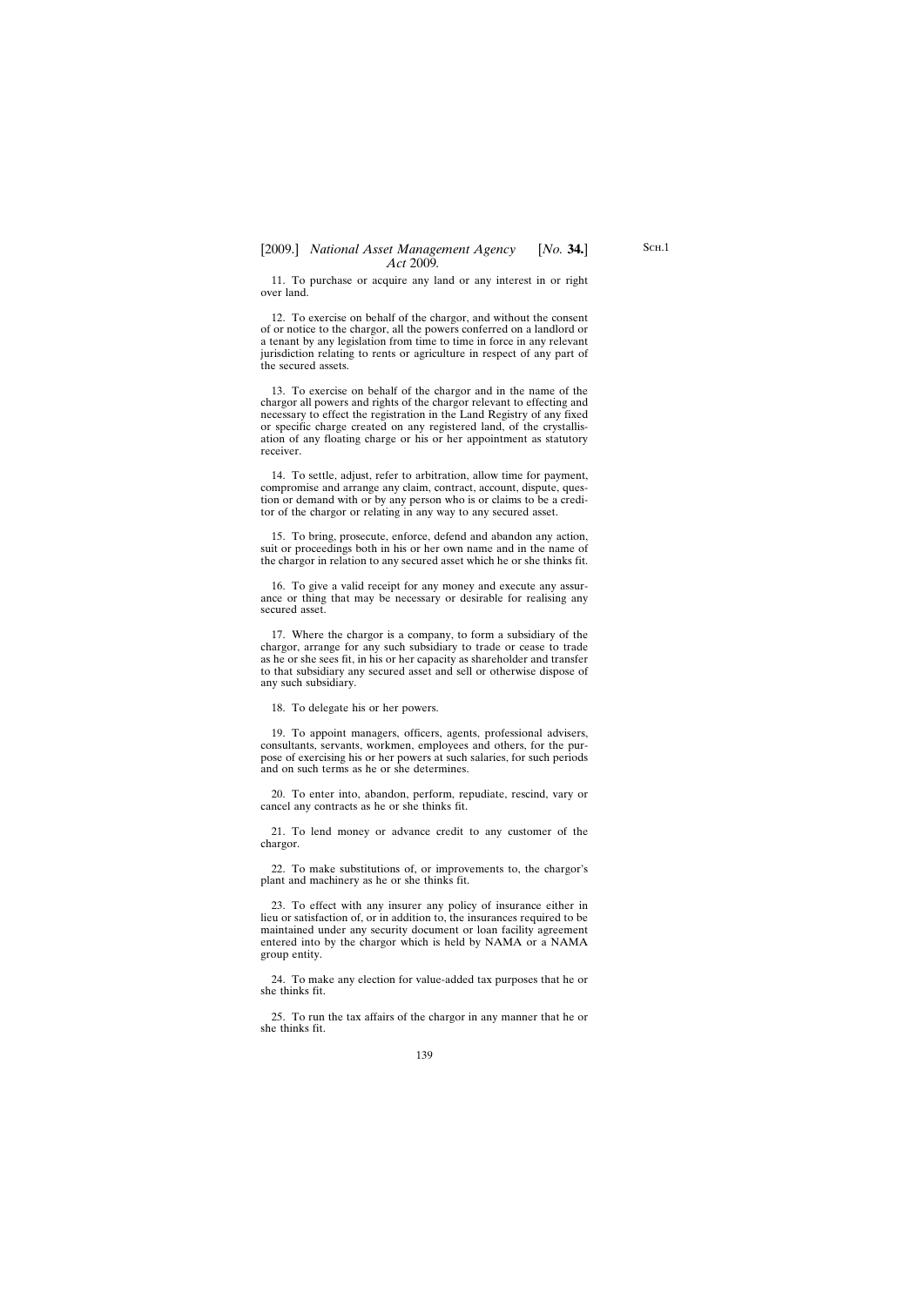11. To purchase or acquire any land or any interest in or right over land.

12. To exercise on behalf of the chargor, and without the consent of or notice to the chargor, all the powers conferred on a landlord or a tenant by any legislation from time to time in force in any relevant jurisdiction relating to rents or agriculture in respect of any part of the secured assets.

13. To exercise on behalf of the chargor and in the name of the chargor all powers and rights of the chargor relevant to effecting and necessary to effect the registration in the Land Registry of any fixed or specific charge created on any registered land, of the crystallisation of any floating charge or his or her appointment as statutory receiver.

14. To settle, adjust, refer to arbitration, allow time for payment, compromise and arrange any claim, contract, account, dispute, question or demand with or by any person who is or claims to be a creditor of the chargor or relating in any way to any secured asset.

15. To bring, prosecute, enforce, defend and abandon any action, suit or proceedings both in his or her own name and in the name of the chargor in relation to any secured asset which he or she thinks fit.

16. To give a valid receipt for any money and execute any assurance or thing that may be necessary or desirable for realising any secured asset.

17. Where the chargor is a company, to form a subsidiary of the chargor, arrange for any such subsidiary to trade or cease to trade as he or she sees fit, in his or her capacity as shareholder and transfer to that subsidiary any secured asset and sell or otherwise dispose of any such subsidiary.

18. To delegate his or her powers.

19. To appoint managers, officers, agents, professional advisers, consultants, servants, workmen, employees and others, for the purpose of exercising his or her powers at such salaries, for such periods and on such terms as he or she determines.

20. To enter into, abandon, perform, repudiate, rescind, vary or cancel any contracts as he or she thinks fit.

21. To lend money or advance credit to any customer of the chargor.

22. To make substitutions of, or improvements to, the chargor's plant and machinery as he or she thinks fit.

23. To effect with any insurer any policy of insurance either in lieu or satisfaction of, or in addition to, the insurances required to be maintained under any security document or loan facility agreement entered into by the chargor which is held by NAMA or a NAMA group entity.

24. To make any election for value-added tax purposes that he or she thinks fit.

25. To run the tax affairs of the chargor in any manner that he or she thinks fit.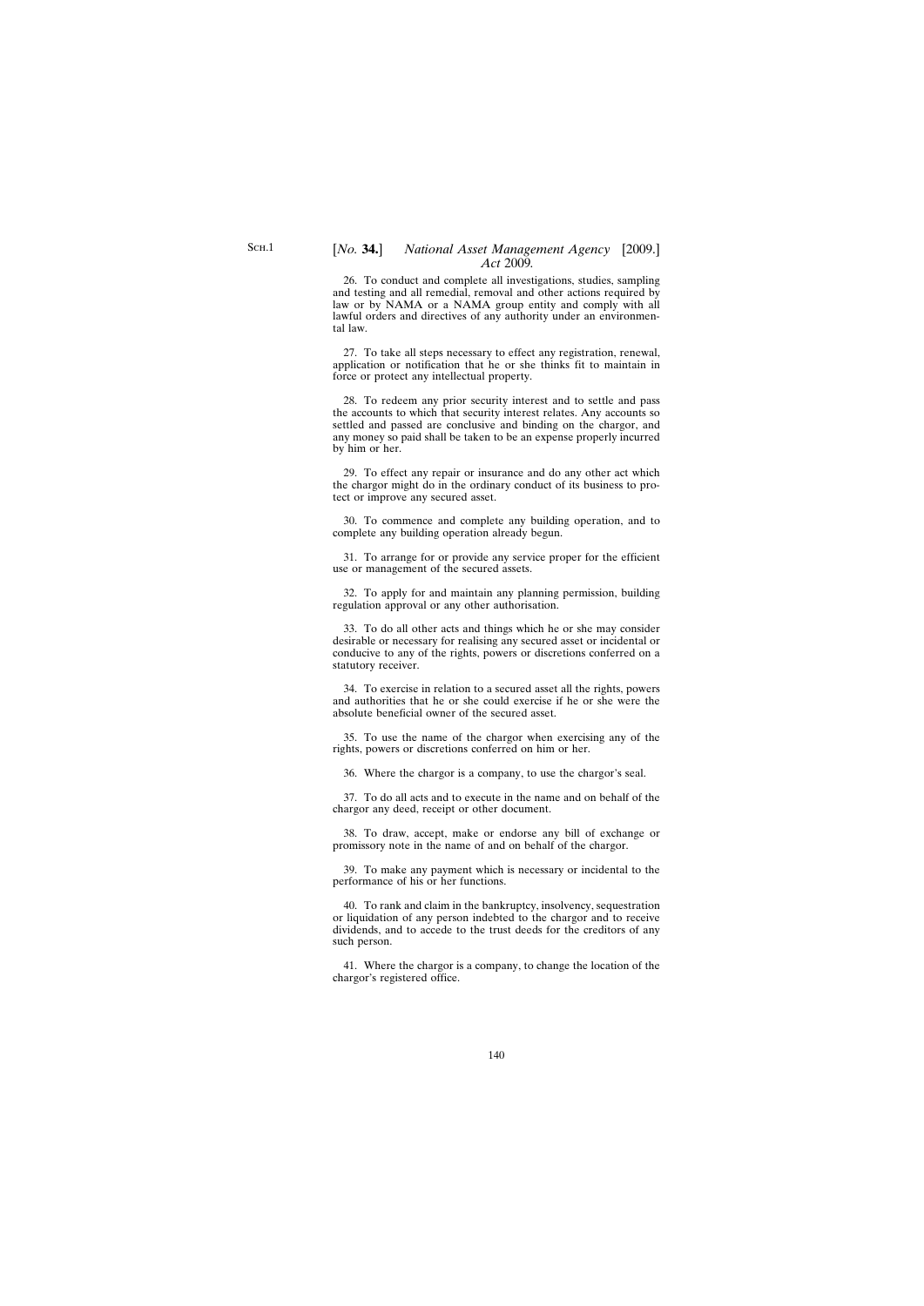26. To conduct and complete all investigations, studies, sampling and testing and all remedial, removal and other actions required by law or by NAMA or a NAMA group entity and comply with all lawful orders and directives of any authority under an environmental law.

27. To take all steps necessary to effect any registration, renewal, application or notification that he or she thinks fit to maintain in force or protect any intellectual property.

28. To redeem any prior security interest and to settle and pass the accounts to which that security interest relates. Any accounts so settled and passed are conclusive and binding on the chargor, and any money so paid shall be taken to be an expense properly incurred by him or her.

29. To effect any repair or insurance and do any other act which the chargor might do in the ordinary conduct of its business to protect or improve any secured asset.

30. To commence and complete any building operation, and to complete any building operation already begun.

31. To arrange for or provide any service proper for the efficient use or management of the secured assets.

32. To apply for and maintain any planning permission, building regulation approval or any other authorisation.

33. To do all other acts and things which he or she may consider desirable or necessary for realising any secured asset or incidental or conducive to any of the rights, powers or discretions conferred on a statutory receiver.

34. To exercise in relation to a secured asset all the rights, powers and authorities that he or she could exercise if he or she were the absolute beneficial owner of the secured asset.

35. To use the name of the chargor when exercising any of the rights, powers or discretions conferred on him or her.

36. Where the chargor is a company, to use the chargor's seal.

37. To do all acts and to execute in the name and on behalf of the chargor any deed, receipt or other document.

38. To draw, accept, make or endorse any bill of exchange or promissory note in the name of and on behalf of the chargor.

39. To make any payment which is necessary or incidental to the performance of his or her functions.

40. To rank and claim in the bankruptcy, insolvency, sequestration or liquidation of any person indebted to the chargor and to receive dividends, and to accede to the trust deeds for the creditors of any such person.

41. Where the chargor is a company, to change the location of the chargor's registered office.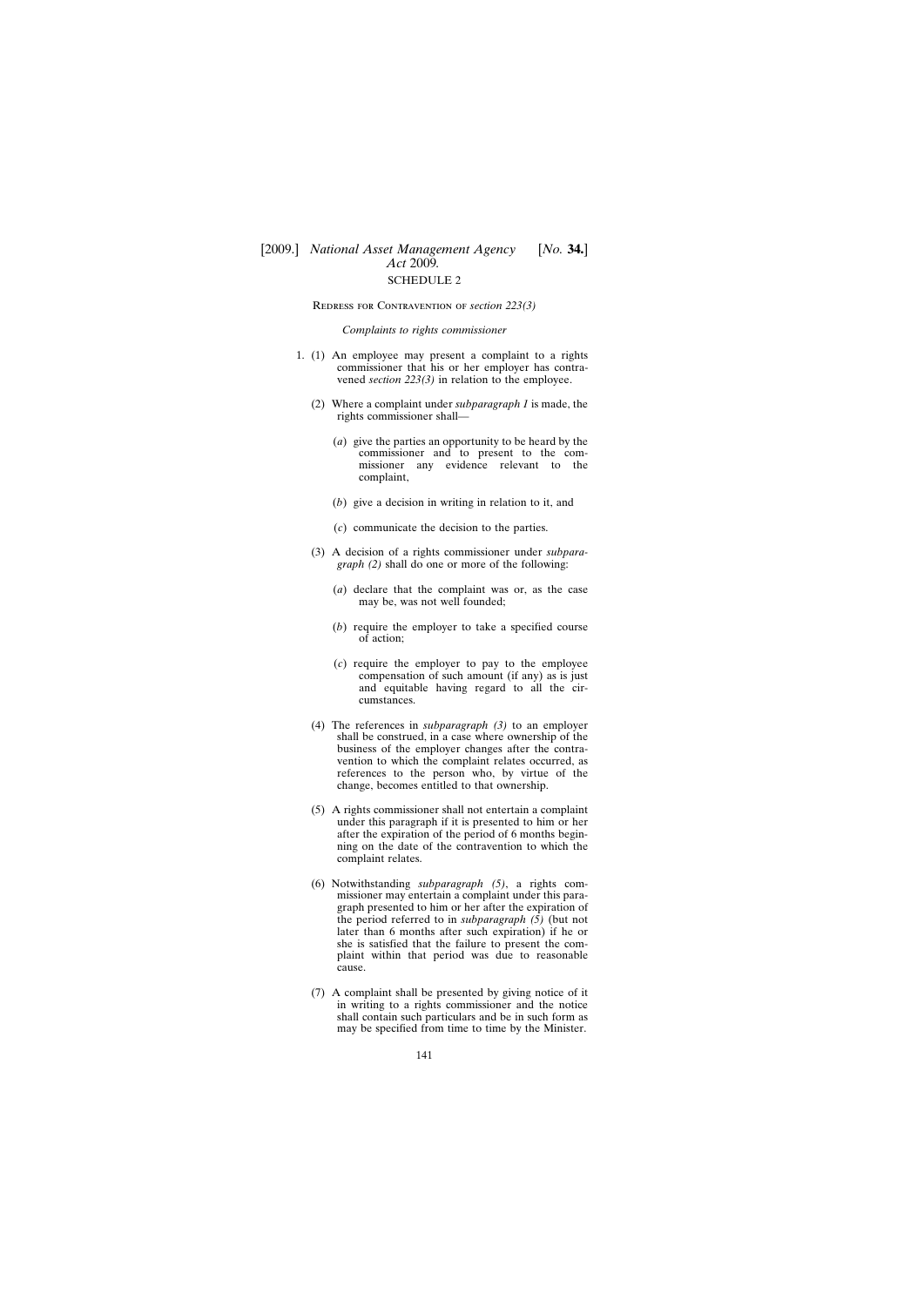Redress for Contravention of *section 223(3)*

*Complaints to rights commissioner*

- 1. (1) An employee may present a complaint to a rights commissioner that his or her employer has contravened *section 223(3)* in relation to the employee.
	- (2) Where a complaint under *subparagraph 1* is made, the rights commissioner shall—
		- (*a*) give the parties an opportunity to be heard by the commissioner and to present to the commissioner any evidence relevant to the complaint,
		- (*b*) give a decision in writing in relation to it, and
		- (*c*) communicate the decision to the parties.
	- (3) A decision of a rights commissioner under *subparagraph (2)* shall do one or more of the following:
		- (*a*) declare that the complaint was or, as the case may be, was not well founded;
		- (*b*) require the employer to take a specified course of action;
		- (*c*) require the employer to pay to the employee compensation of such amount (if any) as is just and equitable having regard to all the circumstances.
	- (4) The references in *subparagraph (3)* to an employer shall be construed, in a case where ownership of the business of the employer changes after the contravention to which the complaint relates occurred, as references to the person who, by virtue of the change, becomes entitled to that ownership.
	- (5) A rights commissioner shall not entertain a complaint under this paragraph if it is presented to him or her after the expiration of the period of 6 months beginning on the date of the contravention to which the complaint relates.
	- (6) Notwithstanding *subparagraph (5)*, a rights commissioner may entertain a complaint under this paragraph presented to him or her after the expiration of the period referred to in *subparagraph (5)* (but not later than 6 months after such expiration) if he or she is satisfied that the failure to present the complaint within that period was due to reasonable cause.
	- (7) A complaint shall be presented by giving notice of it in writing to a rights commissioner and the notice shall contain such particulars and be in such form as may be specified from time to time by the Minister.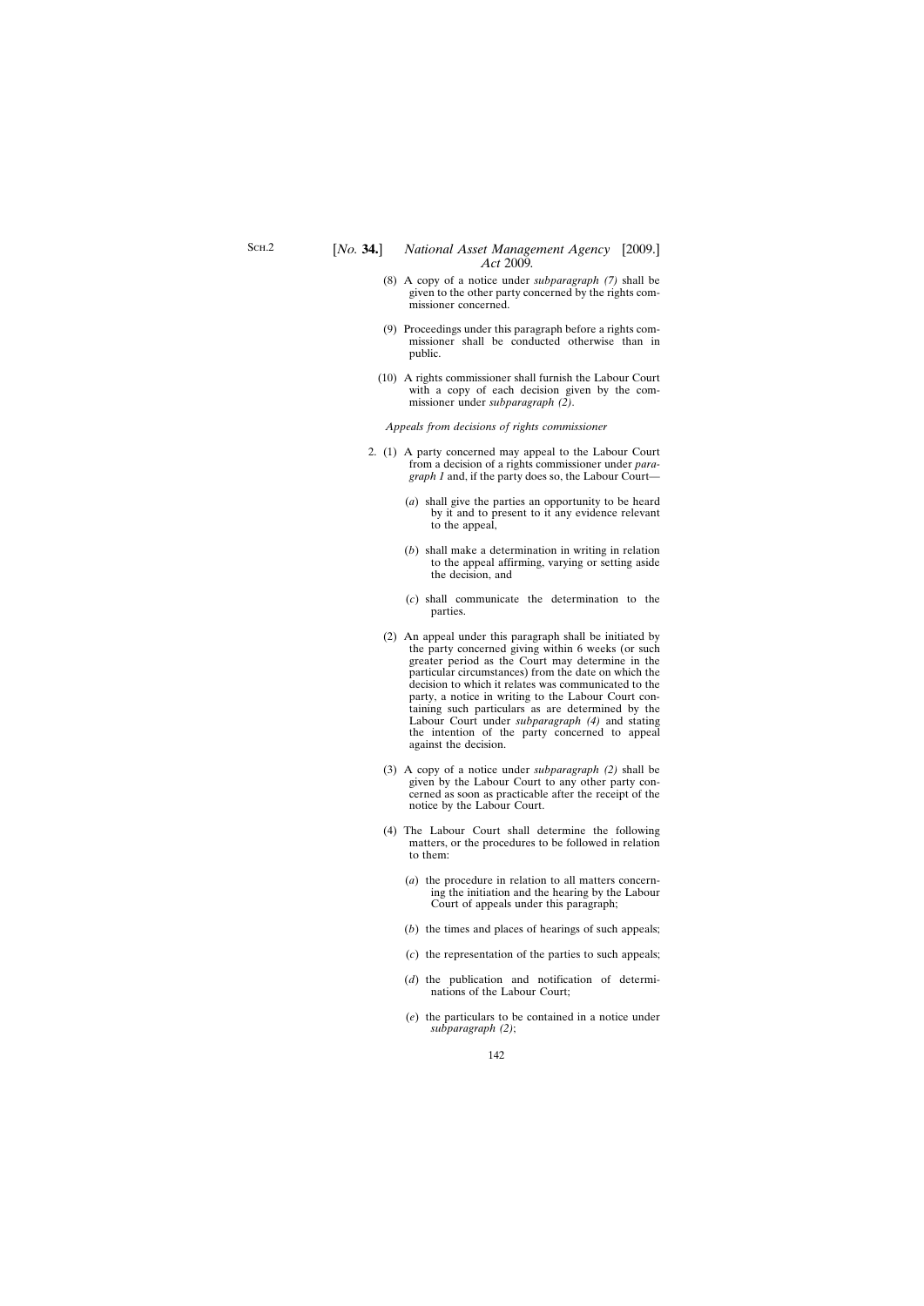- [*No.* **34.**] *National Asset Management Agency* [2009.] *Act* 2009*.*
	- (8) A copy of a notice under *subparagraph (7)* shall be given to the other party concerned by the rights commissioner concerned.
	- (9) Proceedings under this paragraph before a rights commissioner shall be conducted otherwise than in public.
	- (10) A rights commissioner shall furnish the Labour Court with a copy of each decision given by the commissioner under *subparagraph (2)*.

*Appeals from decisions of rights commissioner*

- 2. (1) A party concerned may appeal to the Labour Court from a decision of a rights commissioner under *paragraph 1* and, if the party does so, the Labour Court—
	- (*a*) shall give the parties an opportunity to be heard by it and to present to it any evidence relevant to the appeal,
	- (*b*) shall make a determination in writing in relation to the appeal affirming, varying or setting aside the decision, and
	- (*c*) shall communicate the determination to the parties.
	- (2) An appeal under this paragraph shall be initiated by the party concerned giving within 6 weeks (or such greater period as the Court may determine in the particular circumstances) from the date on which the decision to which it relates was communicated to the party, a notice in writing to the Labour Court containing such particulars as are determined by the Labour Court under *subparagraph (4)* and stating the intention of the party concerned to appeal against the decision.
	- (3) A copy of a notice under *subparagraph (2)* shall be given by the Labour Court to any other party concerned as soon as practicable after the receipt of the notice by the Labour Court.
	- (4) The Labour Court shall determine the following matters, or the procedures to be followed in relation to them:
		- (*a*) the procedure in relation to all matters concerning the initiation and the hearing by the Labour Court of appeals under this paragraph;
		- (*b*) the times and places of hearings of such appeals;
		- (*c*) the representation of the parties to such appeals;
		- (*d*) the publication and notification of determinations of the Labour Court;
		- (*e*) the particulars to be contained in a notice under *subparagraph (2)*;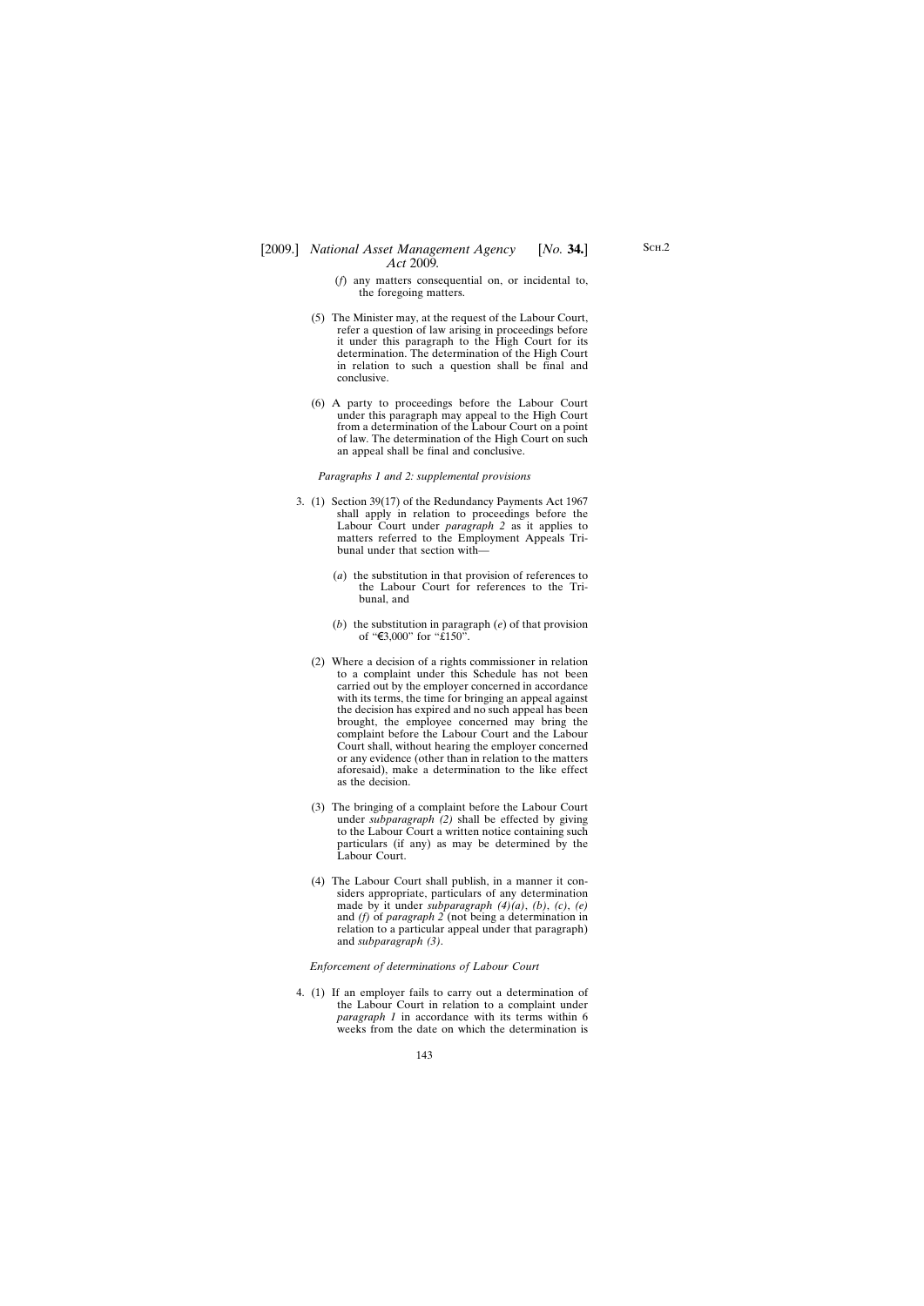# [2009.] [ *National Asset Management Agency No.* **34.**] *Act* 2009*.*

- (*f*) any matters consequential on, or incidental to, the foregoing matters.
- (5) The Minister may, at the request of the Labour Court, refer a question of law arising in proceedings before it under this paragraph to the High Court for its determination. The determination of the High Court in relation to such a question shall be final and conclusive.
- (6) A party to proceedings before the Labour Court under this paragraph may appeal to the High Court from a determination of the Labour Court on a point of law. The determination of the High Court on such an appeal shall be final and conclusive.

### *Paragraphs 1 and 2: supplemental provisions*

- 3. (1) Section 39(17) of the Redundancy Payments Act 1967 shall apply in relation to proceedings before the Labour Court under *paragraph 2* as it applies to matters referred to the Employment Appeals Tribunal under that section with—
	- (*a*) the substitution in that provision of references to the Labour Court for references to the Tribunal, and
	- (*b*) the substitution in paragraph (*e*) of that provision of " $\text{\textsterling}3,000$ " for "£150".
	- (2) Where a decision of a rights commissioner in relation to a complaint under this Schedule has not been carried out by the employer concerned in accordance with its terms, the time for bringing an appeal against the decision has expired and no such appeal has been brought, the employee concerned may bring the complaint before the Labour Court and the Labour Court shall, without hearing the employer concerned or any evidence (other than in relation to the matters aforesaid), make a determination to the like effect as the decision.
	- (3) The bringing of a complaint before the Labour Court under *subparagraph (2)* shall be effected by giving to the Labour Court a written notice containing such particulars (if any) as may be determined by the Labour Court.
	- (4) The Labour Court shall publish, in a manner it considers appropriate, particulars of any determination made by it under *subparagraph (4)(a)*, *(b)*, *(c)*, *(e)* and *(f)* of *paragraph 2* (not being a determination in relation to a particular appeal under that paragraph) and *subparagraph (3)*.

## *Enforcement of determinations of Labour Court*

4. (1) If an employer fails to carry out a determination of the Labour Court in relation to a complaint under *paragraph 1* in accordance with its terms within 6 weeks from the date on which the determination is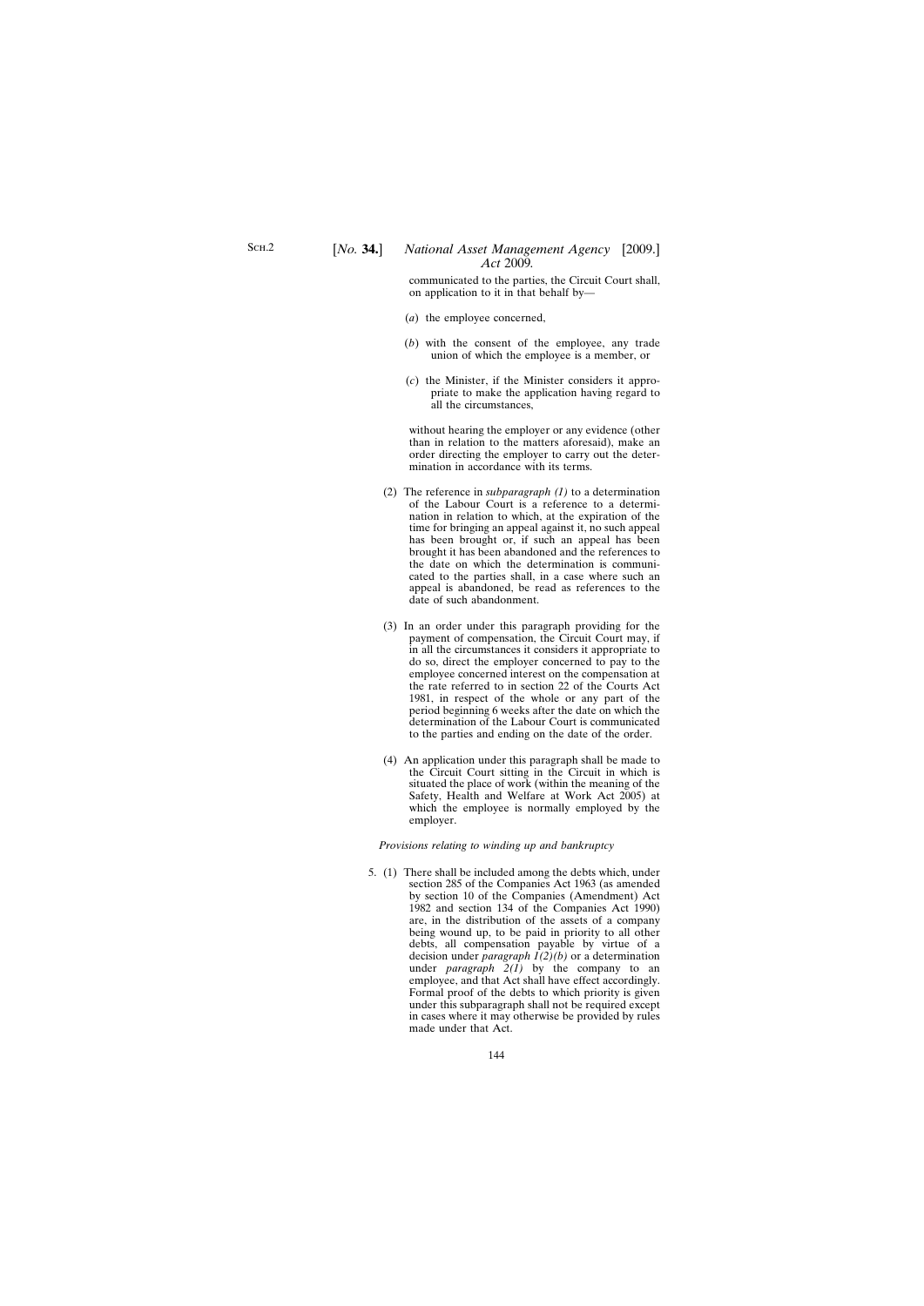communicated to the parties, the Circuit Court shall, on application to it in that behalf by—

- (*a*) the employee concerned,
- (*b*) with the consent of the employee, any trade union of which the employee is a member, or
- (*c*) the Minister, if the Minister considers it appropriate to make the application having regard to all the circumstances,

without hearing the employer or any evidence (other than in relation to the matters aforesaid), make an order directing the employer to carry out the determination in accordance with its terms.

- (2) The reference in *subparagraph (1)* to a determination of the Labour Court is a reference to a determination in relation to which, at the expiration of the time for bringing an appeal against it, no such appeal has been brought or, if such an appeal has been brought it has been abandoned and the references to the date on which the determination is communicated to the parties shall, in a case where such an appeal is abandoned, be read as references to the date of such abandonment.
- (3) In an order under this paragraph providing for the payment of compensation, the Circuit Court may, if in all the circumstances it considers it appropriate to do so, direct the employer concerned to pay to the employee concerned interest on the compensation at the rate referred to in section 22 of the Courts Act 1981, in respect of the whole or any part of the period beginning 6 weeks after the date on which the determination of the Labour Court is communicated to the parties and ending on the date of the order.
- (4) An application under this paragraph shall be made to the Circuit Court sitting in the Circuit in which is situated the place of work (within the meaning of the Safety, Health and Welfare at Work Act 2005) at which the employee is normally employed by the employer.

## *Provisions relating to winding up and bankruptcy*

5. (1) There shall be included among the debts which, under section 285 of the Companies Act 1963 (as amended by section 10 of the Companies (Amendment) Act 1982 and section 134 of the Companies Act 1990) are, in the distribution of the assets of a company being wound up, to be paid in priority to all other debts, all compensation payable by virtue of a decision under *paragraph*  $I(2)(b)$  or a determination under *paragraph*  $2(I)$  by the company to an employee, and that Act shall have effect accordingly. Formal proof of the debts to which priority is given under this subparagraph shall not be required except in cases where it may otherwise be provided by rules made under that Act.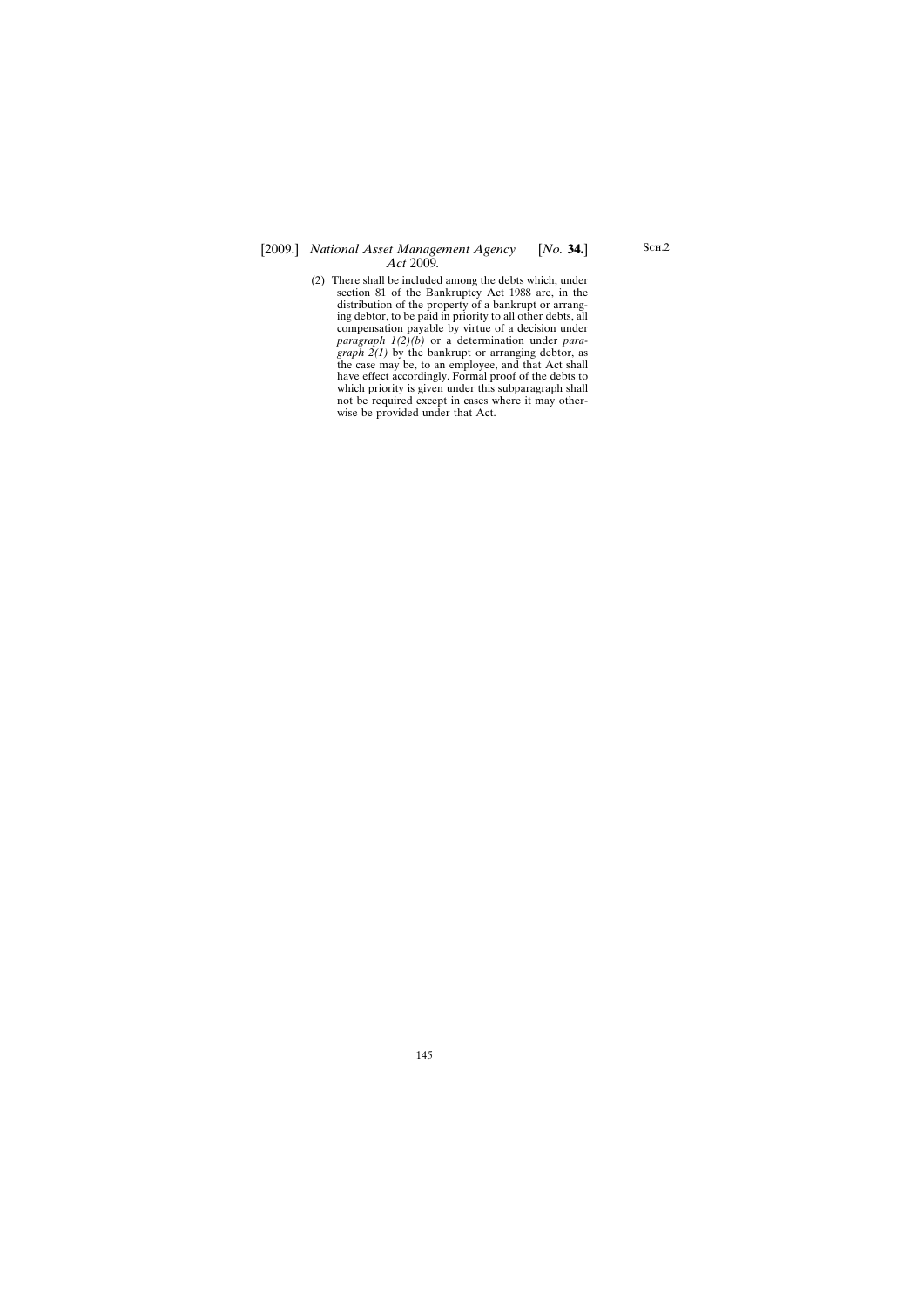(2) There shall be included among the debts which, under section 81 of the Bankruptcy Act 1988 are, in the distribution of the property of a bankrupt or arranging debtor, to be paid in priority to all other debts, all compensation payable by virtue of a decision under *paragraph 1(2)(b)* or a determination under *paragraph 2(1)* by the bankrupt or arranging debtor, as the case may be, to an employee, and that Act shall have effect accordingly. Formal proof of the debts to which priority is given under this subparagraph shall not be required except in cases where it may otherwise be provided under that Act.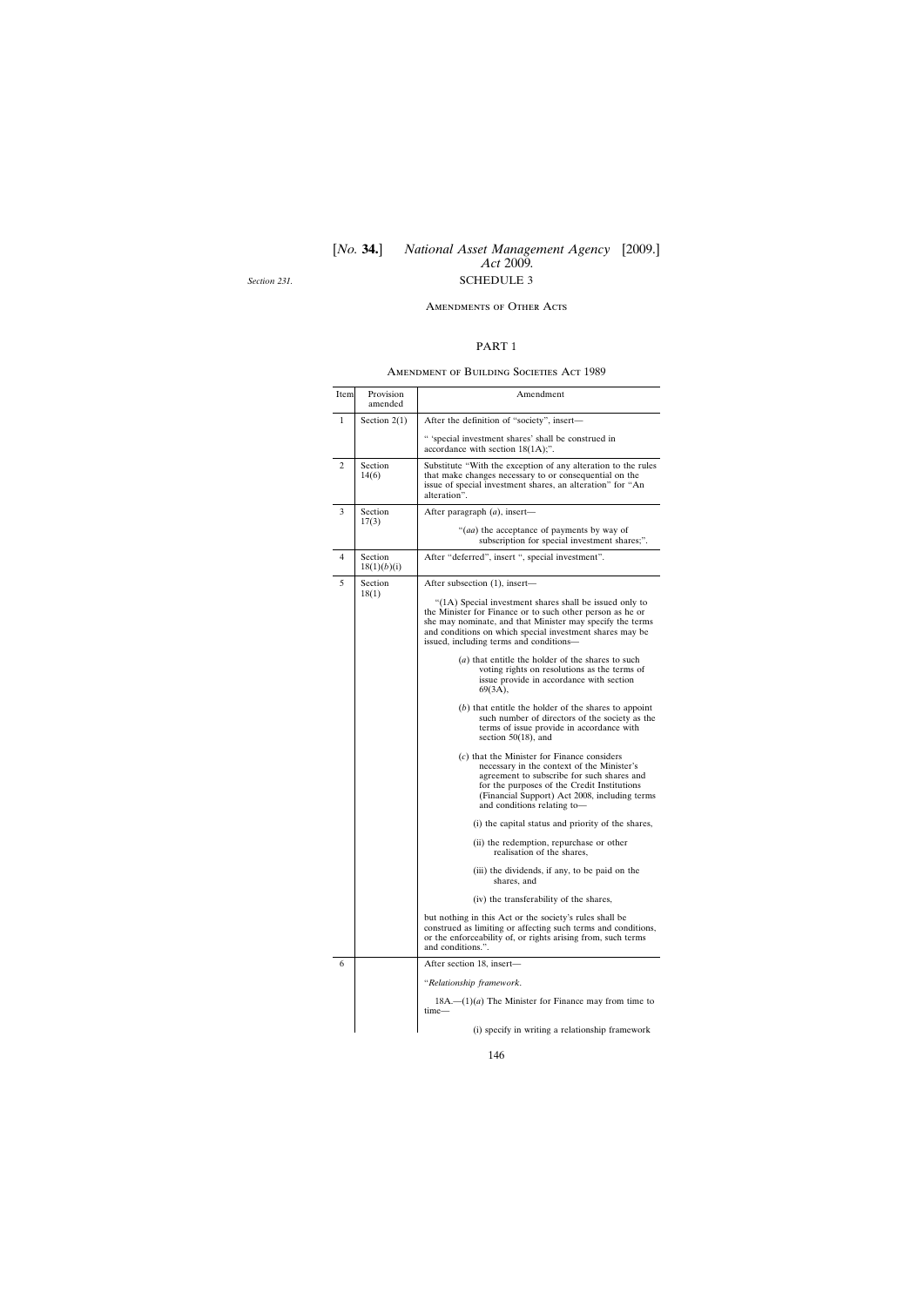*Section 231.*

#### Amendments of Other Acts

### PART 1

### Amendment of Building Societies Act 1989

| Item | Provision<br>amended   | Amendment                                                                                                                                                                                                                                                                                |
|------|------------------------|------------------------------------------------------------------------------------------------------------------------------------------------------------------------------------------------------------------------------------------------------------------------------------------|
| 1    | Section $2(1)$         | After the definition of "society", insert-                                                                                                                                                                                                                                               |
|      |                        | " 'special investment shares' shall be construed in<br>accordance with section $18(1A)$ ;".                                                                                                                                                                                              |
| 2    | Section<br>14(6)       | Substitute "With the exception of any alteration to the rules<br>that make changes necessary to or consequential on the<br>issue of special investment shares, an alteration" for "An<br>alteration".                                                                                    |
| 3    | Section<br>17(3)       | After paragraph $(a)$ , insert—                                                                                                                                                                                                                                                          |
|      |                        | "( <i>aa</i> ) the acceptance of payments by way of<br>subscription for special investment shares;".                                                                                                                                                                                     |
| 4    | Section<br>18(1)(b)(i) | After "deferred", insert ", special investment".                                                                                                                                                                                                                                         |
| 5    | Section<br>18(1)       | After subsection (1), insert—                                                                                                                                                                                                                                                            |
|      |                        | "(1A) Special investment shares shall be issued only to<br>the Minister for Finance or to such other person as he or<br>she may nominate, and that Minister may specify the terms<br>and conditions on which special investment shares may be<br>issued, including terms and conditions- |
|      |                        | (a) that entitle the holder of the shares to such<br>voting rights on resolutions as the terms of<br>issue provide in accordance with section<br>69(3A),                                                                                                                                 |
|      |                        | $(b)$ that entitle the holder of the shares to appoint<br>such number of directors of the society as the<br>terms of issue provide in accordance with<br>section $50(18)$ , and                                                                                                          |
|      |                        | $(c)$ that the Minister for Finance considers<br>necessary in the context of the Minister's<br>agreement to subscribe for such shares and<br>for the purposes of the Credit Institutions<br>(Financial Support) Act 2008, including terms<br>and conditions relating to-                 |
|      |                        | (i) the capital status and priority of the shares,                                                                                                                                                                                                                                       |
|      |                        | (ii) the redemption, repurchase or other<br>realisation of the shares,                                                                                                                                                                                                                   |
|      |                        | (iii) the dividends, if any, to be paid on the<br>shares, and                                                                                                                                                                                                                            |
|      |                        | (iv) the transferability of the shares,                                                                                                                                                                                                                                                  |
|      |                        | but nothing in this Act or the society's rules shall be<br>construed as limiting or affecting such terms and conditions,<br>or the enforceability of, or rights arising from, such terms<br>and conditions.".                                                                            |
| 6    |                        | After section 18, insert—                                                                                                                                                                                                                                                                |
|      |                        | "Relationship framework.                                                                                                                                                                                                                                                                 |
|      |                        | $18A$ .— $(1)(a)$ The Minister for Finance may from time to<br>$time-$                                                                                                                                                                                                                   |
|      |                        | (i) specify in writing a relationship framework                                                                                                                                                                                                                                          |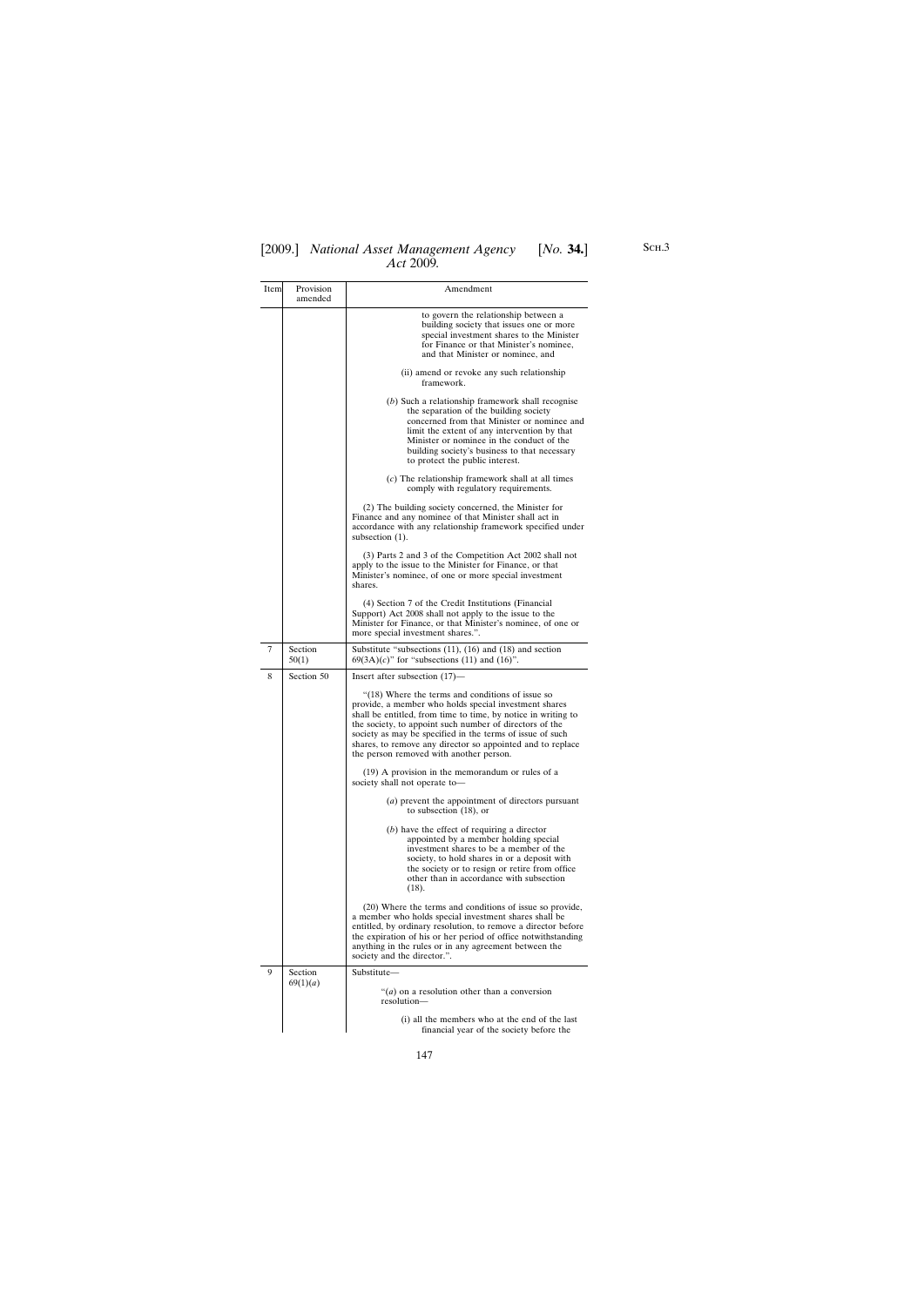| Item | Provision<br>amended | Amendment                                                                                                                                                                                                                                                                                                                                                                                                   |
|------|----------------------|-------------------------------------------------------------------------------------------------------------------------------------------------------------------------------------------------------------------------------------------------------------------------------------------------------------------------------------------------------------------------------------------------------------|
|      |                      | to govern the relationship between a<br>building society that issues one or more<br>special investment shares to the Minister<br>for Finance or that Minister's nominee,<br>and that Minister or nominee, and                                                                                                                                                                                               |
|      |                      | (ii) amend or revoke any such relationship<br>framework.                                                                                                                                                                                                                                                                                                                                                    |
|      |                      | $(b)$ Such a relationship framework shall recognise<br>the separation of the building society<br>concerned from that Minister or nominee and<br>limit the extent of any intervention by that<br>Minister or nominee in the conduct of the<br>building society's business to that necessary<br>to protect the public interest.                                                                               |
|      |                      | $(c)$ The relationship framework shall at all times<br>comply with regulatory requirements.                                                                                                                                                                                                                                                                                                                 |
|      |                      | (2) The building society concerned, the Minister for<br>Finance and any nominee of that Minister shall act in<br>accordance with any relationship framework specified under<br>subsection $(1)$ .                                                                                                                                                                                                           |
|      |                      | (3) Parts 2 and 3 of the Competition Act 2002 shall not<br>apply to the issue to the Minister for Finance, or that<br>Minister's nominee, of one or more special investment<br>shares.                                                                                                                                                                                                                      |
|      |                      | (4) Section 7 of the Credit Institutions (Financial<br>Support) Act 2008 shall not apply to the issue to the<br>Minister for Finance, or that Minister's nominee, of one or<br>more special investment shares.".                                                                                                                                                                                            |
| 7    | Section<br>50(1)     | Substitute "subsections $(11)$ , $(16)$ and $(18)$ and section<br>$69(3A)(c)$ " for "subsections (11) and (16)".                                                                                                                                                                                                                                                                                            |
| 8    | Section 50           | Insert after subsection $(17)$ —                                                                                                                                                                                                                                                                                                                                                                            |
|      |                      | "(18) Where the terms and conditions of issue so<br>provide, a member who holds special investment shares<br>shall be entitled, from time to time, by notice in writing to<br>the society, to appoint such number of directors of the<br>society as may be specified in the terms of issue of such<br>shares, to remove any director so appointed and to replace<br>the person removed with another person. |
|      |                      | (19) A provision in the memorandum or rules of a<br>society shall not operate to-                                                                                                                                                                                                                                                                                                                           |
|      |                      | (a) prevent the appointment of directors pursuant<br>to subsection $(18)$ , or                                                                                                                                                                                                                                                                                                                              |
|      |                      | $(b)$ have the effect of requiring a director<br>appointed by a member holding special<br>investment shares to be a member of the<br>society, to hold shares in or a deposit with<br>the society or to resign or retire from office<br>other than in accordance with subsection<br>(18).                                                                                                                    |
|      |                      | (20) Where the terms and conditions of issue so provide,<br>a member who holds special investment shares shall be<br>entitled, by ordinary resolution, to remove a director before<br>the expiration of his or her period of office notwithstanding<br>anything in the rules or in any agreement between the<br>society and the director.".                                                                 |
| 9    | Section<br>69(1)(a)  | Substitute-                                                                                                                                                                                                                                                                                                                                                                                                 |
|      |                      | "( <i>a</i> ) on a resolution other than a conversion<br>resolution-                                                                                                                                                                                                                                                                                                                                        |
|      |                      | (i) all the members who at the end of the last<br>financial year of the society before the                                                                                                                                                                                                                                                                                                                  |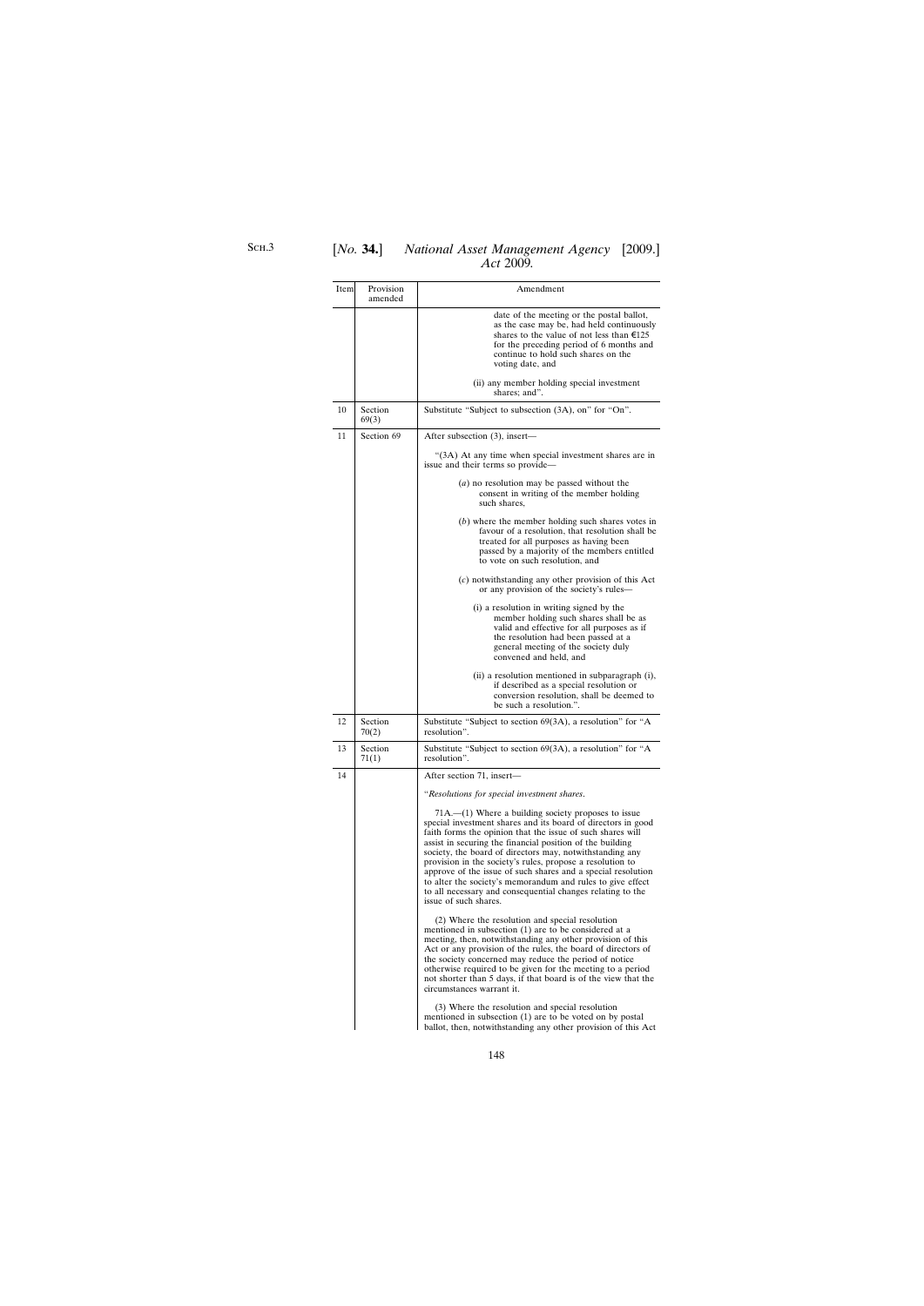| Item | Provision<br>amended | Amendment                                                                                                                                                                                                                                                                                                                                                                                                                                                                                                                                                                                          |
|------|----------------------|----------------------------------------------------------------------------------------------------------------------------------------------------------------------------------------------------------------------------------------------------------------------------------------------------------------------------------------------------------------------------------------------------------------------------------------------------------------------------------------------------------------------------------------------------------------------------------------------------|
|      |                      | date of the meeting or the postal ballot,<br>as the case may be, had held continuously<br>shares to the value of not less than €125<br>for the preceding period of 6 months and<br>continue to hold such shares on the<br>voting date, and                                                                                                                                                                                                                                                                                                                                                         |
|      |                      | (ii) any member holding special investment<br>shares; and".                                                                                                                                                                                                                                                                                                                                                                                                                                                                                                                                        |
| 10   | Section<br>69(3)     | Substitute "Subject to subsection (3A), on" for "On".                                                                                                                                                                                                                                                                                                                                                                                                                                                                                                                                              |
| 11   | Section 69           | After subsection (3), insert—                                                                                                                                                                                                                                                                                                                                                                                                                                                                                                                                                                      |
|      |                      | "(3A) At any time when special investment shares are in<br>issue and their terms so provide—                                                                                                                                                                                                                                                                                                                                                                                                                                                                                                       |
|      |                      | $(a)$ no resolution may be passed without the<br>consent in writing of the member holding<br>such shares,                                                                                                                                                                                                                                                                                                                                                                                                                                                                                          |
|      |                      | $(b)$ where the member holding such shares votes in<br>favour of a resolution, that resolution shall be<br>treated for all purposes as having been<br>passed by a majority of the members entitled<br>to vote on such resolution, and                                                                                                                                                                                                                                                                                                                                                              |
|      |                      | $(c)$ notwithstanding any other provision of this Act<br>or any provision of the society's rules-                                                                                                                                                                                                                                                                                                                                                                                                                                                                                                  |
|      |                      | (i) a resolution in writing signed by the<br>member holding such shares shall be as<br>valid and effective for all purposes as if<br>the resolution had been passed at a<br>general meeting of the society duly<br>convened and held, and                                                                                                                                                                                                                                                                                                                                                          |
|      |                      | (ii) a resolution mentioned in subparagraph (i),<br>if described as a special resolution or<br>conversion resolution, shall be deemed to<br>be such a resolution.".                                                                                                                                                                                                                                                                                                                                                                                                                                |
| 12   | Section<br>70(2)     | Substitute "Subject to section 69(3A), a resolution" for "A<br>resolution".                                                                                                                                                                                                                                                                                                                                                                                                                                                                                                                        |
| 13   | Section<br>71(1)     | Substitute "Subject to section 69(3A), a resolution" for "A<br>resolution".                                                                                                                                                                                                                                                                                                                                                                                                                                                                                                                        |
| 14   |                      | After section 71, insert—                                                                                                                                                                                                                                                                                                                                                                                                                                                                                                                                                                          |
|      |                      | "Resolutions for special investment shares.                                                                                                                                                                                                                                                                                                                                                                                                                                                                                                                                                        |
|      |                      | $71A$ .— $(1)$ Where a building society proposes to issue<br>special investment shares and its board of directors in good<br>faith forms the opinion that the issue of such shares will<br>assist in securing the financial position of the building<br>society, the board of directors may, notwithstanding any<br>provision in the society's rules, propose a resolution to<br>approve of the issue of such shares and a special resolution<br>to alter the society's memorandum and rules to give effect<br>to all necessary and consequential changes relating to the<br>issue of such shares. |
|      |                      | (2) Where the resolution and special resolution<br>mentioned in subsection (1) are to be considered at a<br>meeting, then, notwithstanding any other provision of this<br>Act or any provision of the rules, the board of directors of<br>the society concerned may reduce the period of notice<br>otherwise required to be given for the meeting to a period<br>not shorter than 5 days, if that board is of the view that the<br>circumstances warrant it.                                                                                                                                       |
|      |                      | (3) Where the resolution and special resolution<br>mentioned in subsection (1) are to be voted on by postal<br>ballot, then, notwithstanding any other provision of this Act                                                                                                                                                                                                                                                                                                                                                                                                                       |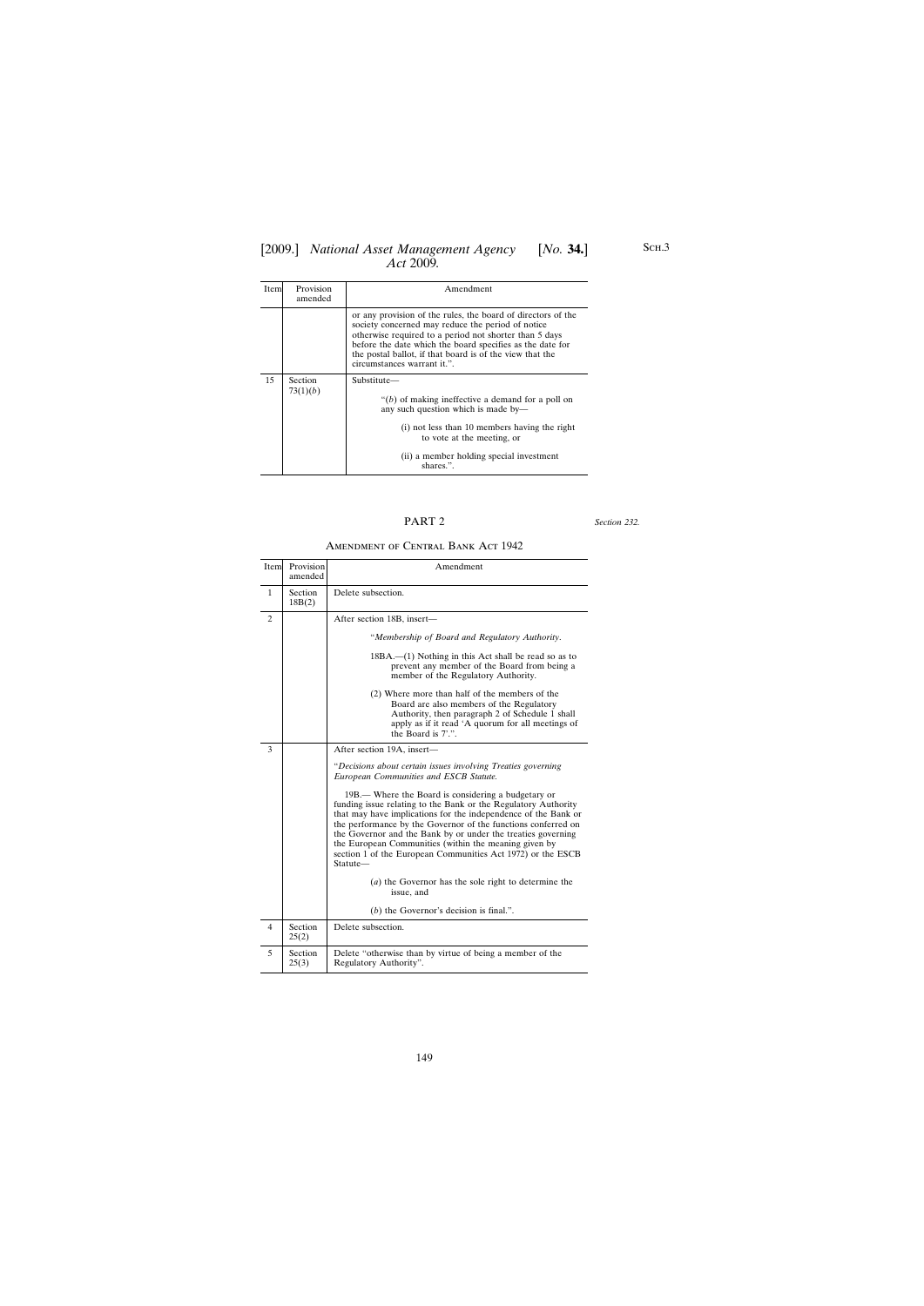| Item | Provision<br>amended | Amendment                                                                                                                                                                                                                                                                                                                           |
|------|----------------------|-------------------------------------------------------------------------------------------------------------------------------------------------------------------------------------------------------------------------------------------------------------------------------------------------------------------------------------|
|      |                      | or any provision of the rules, the board of directors of the<br>society concerned may reduce the period of notice<br>otherwise required to a period not shorter than 5 days<br>before the date which the board specifies as the date for<br>the postal ballot, if that board is of the view that the<br>circumstances warrant it.". |
| 15   | Section<br>73(1)(b)  | Substitute—<br>" $(b)$ of making ineffective a demand for a poll on<br>any such question which is made by—<br>(i) not less than 10 members having the right<br>to vote at the meeting, or<br>(ii) a member holding special investment<br>shares.".                                                                                  |

### PART 2

*Section 232.*

#### Amendment of Central Bank Act 1942

| Item           | Provision<br>amended | Amendment                                                                                                                                                                                                                                                                                                                                                                                                                                                    |
|----------------|----------------------|--------------------------------------------------------------------------------------------------------------------------------------------------------------------------------------------------------------------------------------------------------------------------------------------------------------------------------------------------------------------------------------------------------------------------------------------------------------|
| 1              | Section<br>18B(2)    | Delete subsection.                                                                                                                                                                                                                                                                                                                                                                                                                                           |
| $\overline{c}$ |                      | After section 18B, insert-                                                                                                                                                                                                                                                                                                                                                                                                                                   |
|                |                      | "Membership of Board and Regulatory Authority.                                                                                                                                                                                                                                                                                                                                                                                                               |
|                |                      | $18BA$ — $(1)$ Nothing in this Act shall be read so as to<br>prevent any member of the Board from being a<br>member of the Regulatory Authority.                                                                                                                                                                                                                                                                                                             |
|                |                      | (2) Where more than half of the members of the<br>Board are also members of the Regulatory<br>Authority, then paragraph 2 of Schedule 1 shall<br>apply as if it read 'A quorum for all meetings of<br>the Board is 7'.".                                                                                                                                                                                                                                     |
| 3              |                      | After section 19A, insert-                                                                                                                                                                                                                                                                                                                                                                                                                                   |
|                |                      | "Decisions about certain issues involving Treaties governing<br>European Communities and ESCB Statute.                                                                                                                                                                                                                                                                                                                                                       |
|                |                      | 19B — Where the Board is considering a budgetary or<br>funding issue relating to the Bank or the Regulatory Authority<br>that may have implications for the independence of the Bank or<br>the performance by the Governor of the functions conferred on<br>the Governor and the Bank by or under the treaties governing<br>the European Communities (within the meaning given by<br>section 1 of the European Communities Act 1972) or the ESCB<br>Statute- |
|                |                      | (a) the Governor has the sole right to determine the<br>issue, and                                                                                                                                                                                                                                                                                                                                                                                           |
|                |                      | $(b)$ the Governor's decision is final.".                                                                                                                                                                                                                                                                                                                                                                                                                    |
| 4              | Section<br>25(2)     | Delete subsection.                                                                                                                                                                                                                                                                                                                                                                                                                                           |
| 5              | Section<br>25(3)     | Delete "otherwise than by virtue of being a member of the<br>Regulatory Authority".                                                                                                                                                                                                                                                                                                                                                                          |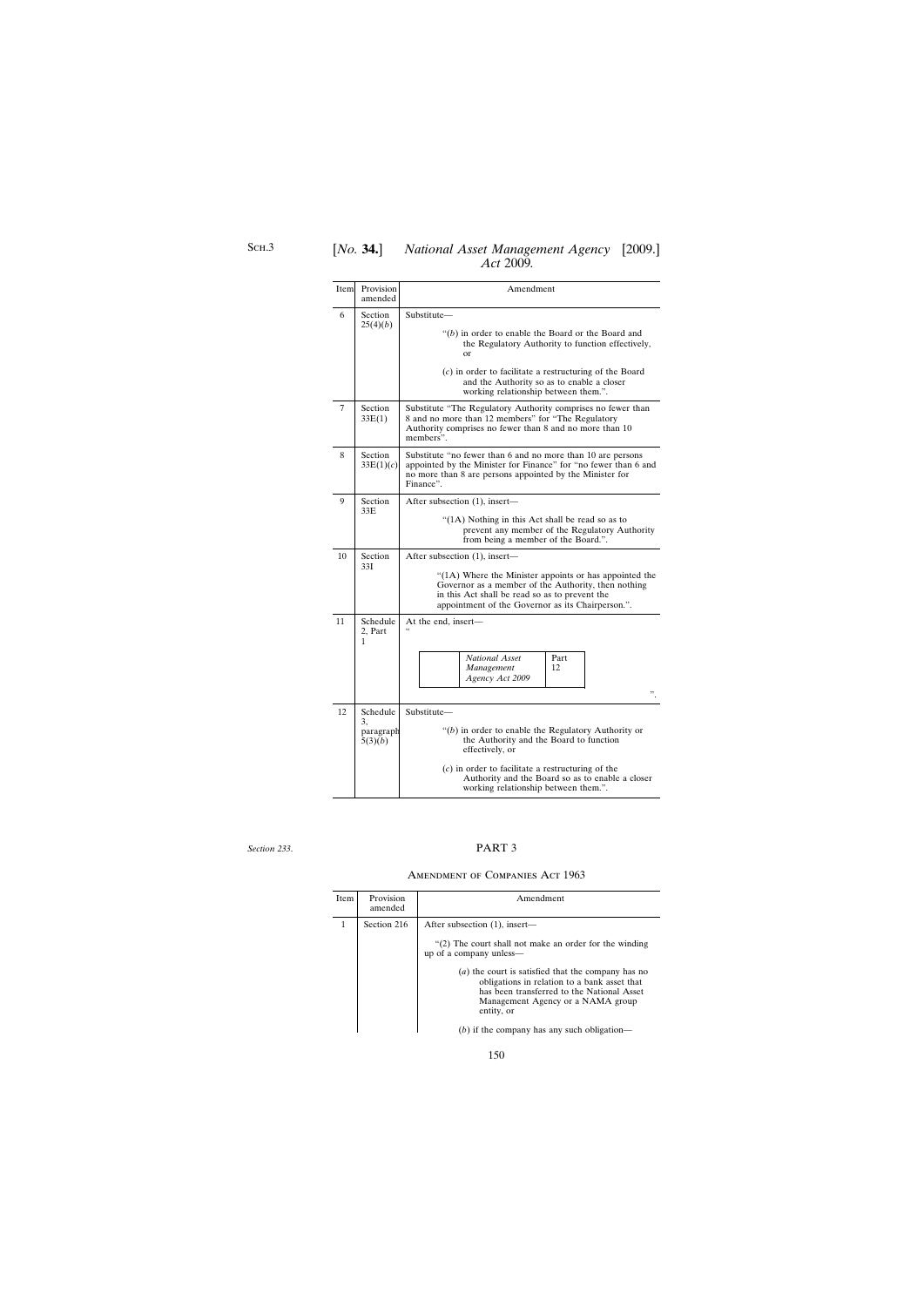| Item | Provision<br>amended                   | Amendment                                                                                                                                                                                                                                                                                  |  |
|------|----------------------------------------|--------------------------------------------------------------------------------------------------------------------------------------------------------------------------------------------------------------------------------------------------------------------------------------------|--|
| 6    | Section<br>25(4)(b)                    | Substitute-<br>" $(b)$ in order to enable the Board or the Board and<br>the Regulatory Authority to function effectively,<br>$\alpha$ r<br>$(c)$ in order to facilitate a restructuring of the Board<br>and the Authority so as to enable a closer<br>working relationship between them.". |  |
| 7    | Section<br>33E(1)                      | Substitute "The Regulatory Authority comprises no fewer than<br>8 and no more than 12 members" for "The Regulatory<br>Authority comprises no fewer than 8 and no more than 10<br>members".                                                                                                 |  |
| 8    | Section<br>33E(1)(c)                   | Substitute "no fewer than 6 and no more than 10 are persons<br>appointed by the Minister for Finance" for "no fewer than 6 and<br>no more than 8 are persons appointed by the Minister for<br>Finance".                                                                                    |  |
| 9    | Section<br>33 <sub>E</sub>             | After subsection (1), insert-<br>"(1A) Nothing in this Act shall be read so as to<br>prevent any member of the Regulatory Authority<br>from being a member of the Board.".                                                                                                                 |  |
| 10   | Section<br>33I                         | After subsection (1), insert—<br>" $(1A)$ Where the Minister appoints or has appointed the<br>Governor as a member of the Authority, then nothing<br>in this Act shall be read so as to prevent the<br>appointment of the Governor as its Chairperson.".                                   |  |
| 11   | Schedule<br>2, Part<br>1               | At the end, insert—<br><b>National Asset</b><br>Part<br>Management<br>12<br>Agency Act 2009<br>$\cdot$ .                                                                                                                                                                                   |  |
| 12   | Schedule<br>3.<br>paragraph<br>5(3)(b) | Substitute-<br>" $(b)$ in order to enable the Regulatory Authority or<br>the Authority and the Board to function<br>effectively, or<br>$(c)$ in order to facilitate a restructuring of the<br>Authority and the Board so as to enable a closer<br>working relationship between them.".     |  |

#### *Section 233*.

#### PART 3

#### Amendment of Companies Act 1963

| <b>Item</b> | Provision<br>amended | Amendment                                                                                                                                                                                                                                                                  |
|-------------|----------------------|----------------------------------------------------------------------------------------------------------------------------------------------------------------------------------------------------------------------------------------------------------------------------|
|             | Section 216          | After subsection $(1)$ , insert—<br>$(2)$ The court shall not make an order for the winding<br>up of a company unless—<br>(a) the court is satisfied that the company has no<br>obligations in relation to a bank asset that<br>has been transferred to the National Asset |
|             |                      | Management Agency or a NAMA group<br>entity, or<br>$(b)$ if the company has any such obligation—                                                                                                                                                                           |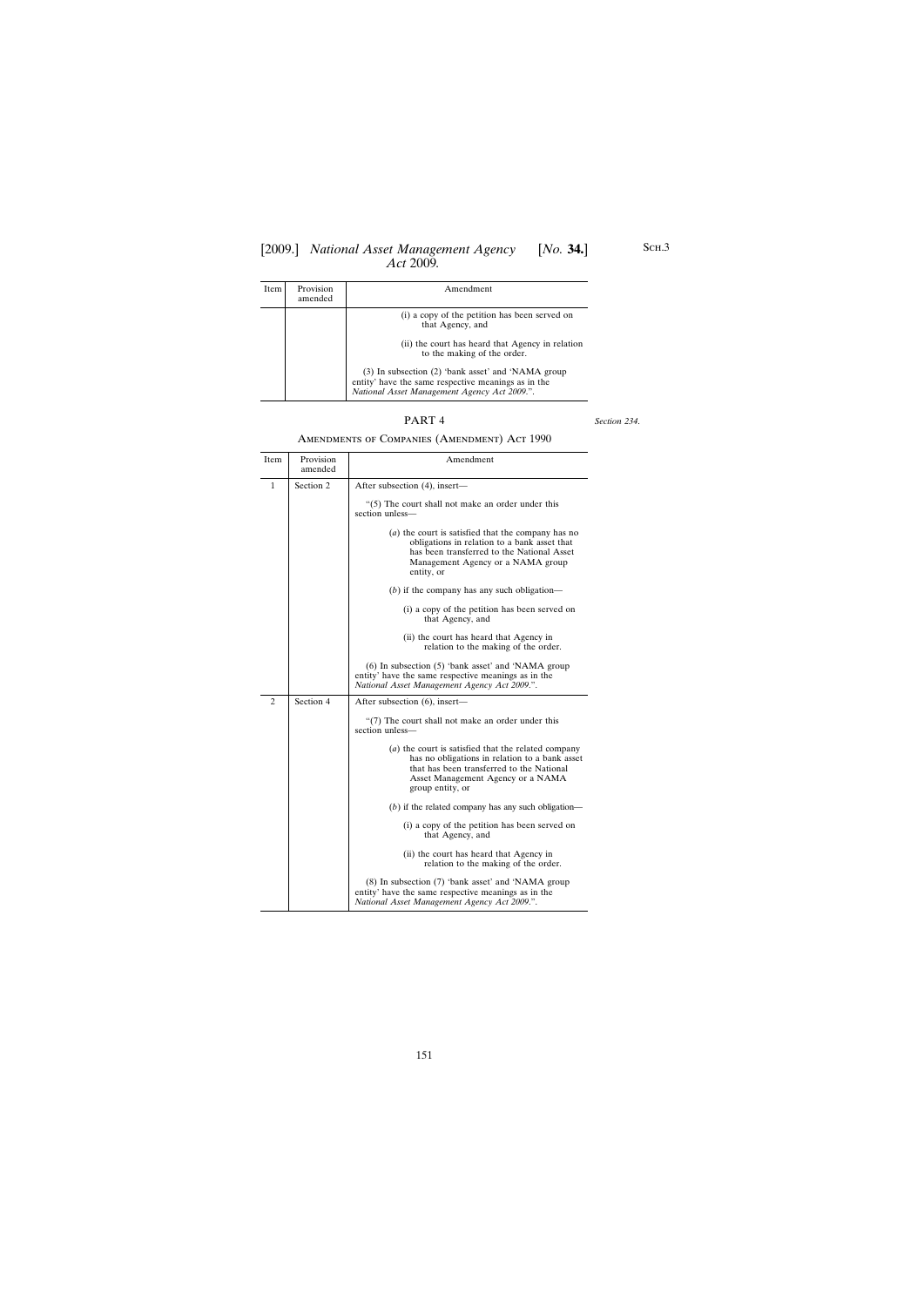| Item | Provision<br>amended | Amendment                                                                                                                                                 |
|------|----------------------|-----------------------------------------------------------------------------------------------------------------------------------------------------------|
|      |                      | (i) a copy of the petition has been served on<br>that Agency, and                                                                                         |
|      |                      | (ii) the court has heard that Agency in relation<br>to the making of the order.                                                                           |
|      |                      | (3) In subsection (2) 'bank asset' and 'NAMA group<br>entity' have the same respective meanings as in the<br>National Asset Management Agency Act 2009.". |

#### PART 4

*Section 234*.

#### Amendments of Companies (Amendment) Act 1990

| Item | Provision<br>amended | Amendment                                                                                                                                                                                                   |
|------|----------------------|-------------------------------------------------------------------------------------------------------------------------------------------------------------------------------------------------------------|
| 1    | Section 2            | After subsection (4), insert—                                                                                                                                                                               |
|      |                      | " $(5)$ The court shall not make an order under this<br>section unless—                                                                                                                                     |
|      |                      | (a) the court is satisfied that the company has no<br>obligations in relation to a bank asset that<br>has been transferred to the National Asset<br>Management Agency or a NAMA group<br>entity, or         |
|      |                      | $(b)$ if the company has any such obligation—                                                                                                                                                               |
|      |                      | (i) a copy of the petition has been served on<br>that Agency, and                                                                                                                                           |
|      |                      | (ii) the court has heard that Agency in<br>relation to the making of the order.                                                                                                                             |
|      |                      | $(6)$ In subsection $(5)$ 'bank asset' and 'NAMA group<br>entity' have the same respective meanings as in the<br>National Asset Management Agency Act 2009.".                                               |
| 2    | Section 4            | After subsection (6), insert—                                                                                                                                                                               |
|      |                      | "(7) The court shall not make an order under this<br>section unless-                                                                                                                                        |
|      |                      | (a) the court is satisfied that the related company<br>has no obligations in relation to a bank asset<br>that has been transferred to the National<br>Asset Management Agency or a NAMA<br>group entity, or |
|      |                      | $(b)$ if the related company has any such obligation—                                                                                                                                                       |
|      |                      | (i) a copy of the petition has been served on<br>that Agency, and                                                                                                                                           |
|      |                      | (ii) the court has heard that Agency in<br>relation to the making of the order.                                                                                                                             |
|      |                      | (8) In subsection (7) 'bank asset' and 'NAMA group<br>entity' have the same respective meanings as in the<br>National Asset Management Agency Act 2009.".                                                   |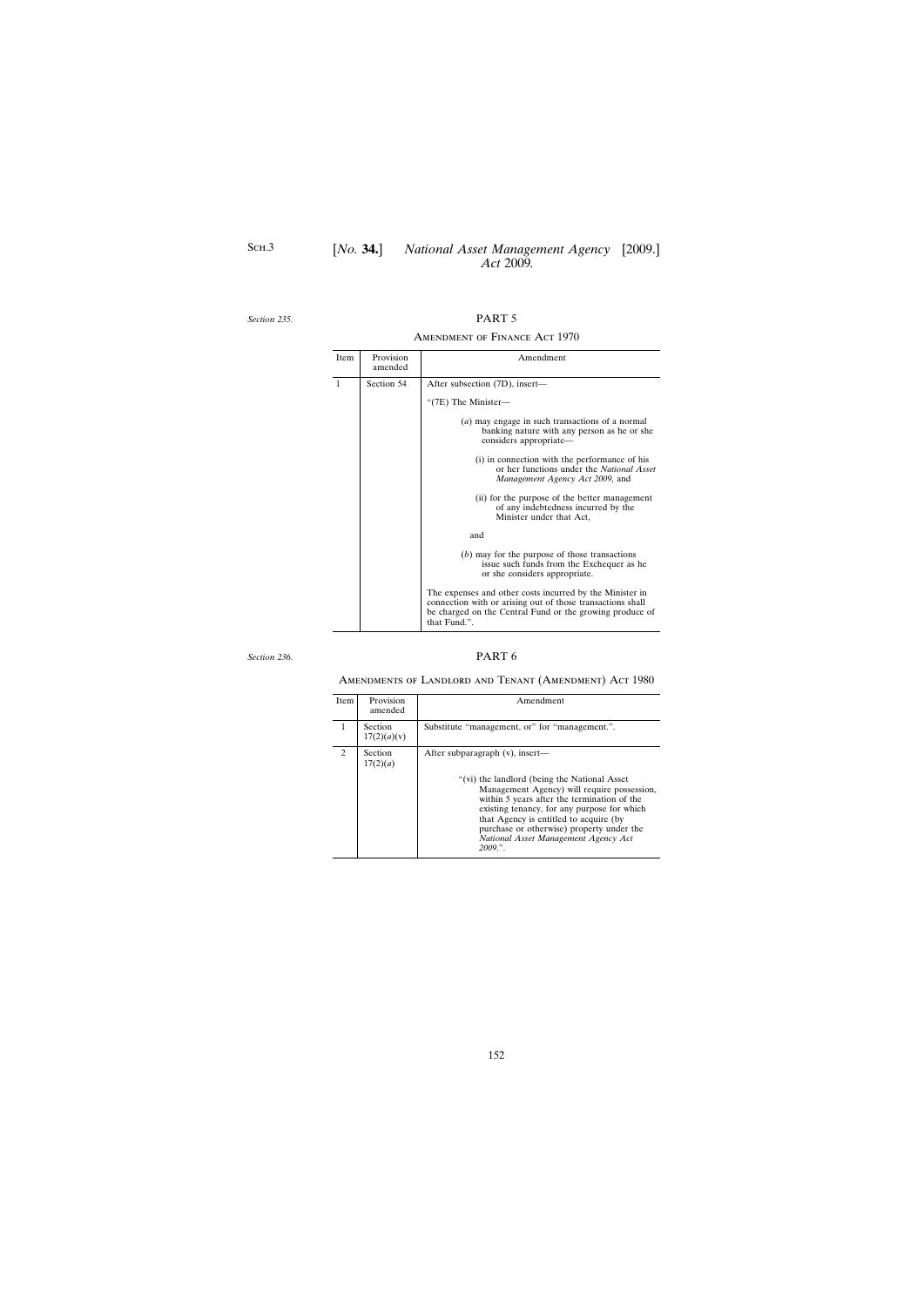*Section 235*.

Amendment of Finance Act 1970

| <b>Item</b>  | Provision<br>amended | Amendment                                                                                                                                                                                          |
|--------------|----------------------|----------------------------------------------------------------------------------------------------------------------------------------------------------------------------------------------------|
| $\mathbf{1}$ | Section 54           | After subsection (7D), insert—                                                                                                                                                                     |
|              |                      | "(7E) The Minister-                                                                                                                                                                                |
|              |                      | $(a)$ may engage in such transactions of a normal<br>banking nature with any person as he or she<br>considers appropriate—                                                                         |
|              |                      | (i) in connection with the performance of his<br>or her functions under the <i>National Asset</i><br>Management Agency Act 2009, and                                                               |
|              |                      | (ii) for the purpose of the better management<br>of any indebtedness incurred by the<br>Minister under that Act,                                                                                   |
|              |                      | and                                                                                                                                                                                                |
|              |                      | $(b)$ may for the purpose of those transactions<br>issue such funds from the Exchequer as he<br>or she considers appropriate.                                                                      |
|              |                      | The expenses and other costs incurred by the Minister in<br>connection with or arising out of those transactions shall<br>be charged on the Central Fund or the growing produce of<br>that Fund.". |

*Section 236*.

### PART 6

# Amendments of Landlord and Tenant (Amendment) Act 1980

| <b>Item</b>   | Provision<br>amended   | Amendment                                                                                                                                                                                                                                                                                                                                                                  |
|---------------|------------------------|----------------------------------------------------------------------------------------------------------------------------------------------------------------------------------------------------------------------------------------------------------------------------------------------------------------------------------------------------------------------------|
| 1             | Section<br>17(2)(a)(v) | Substitute "management, or" for "management.".                                                                                                                                                                                                                                                                                                                             |
| $\mathcal{L}$ | Section<br>17(2)(a)    | After subparagraph $(v)$ , insert—<br>"(vi) the landlord (being the National Asset)"<br>Management Agency) will require possession,<br>within 5 years after the termination of the<br>existing tenancy, for any purpose for which<br>that Agency is entitled to acquire (by<br>purchase or otherwise) property under the<br>National Asset Management Agency Act<br>2009." |

152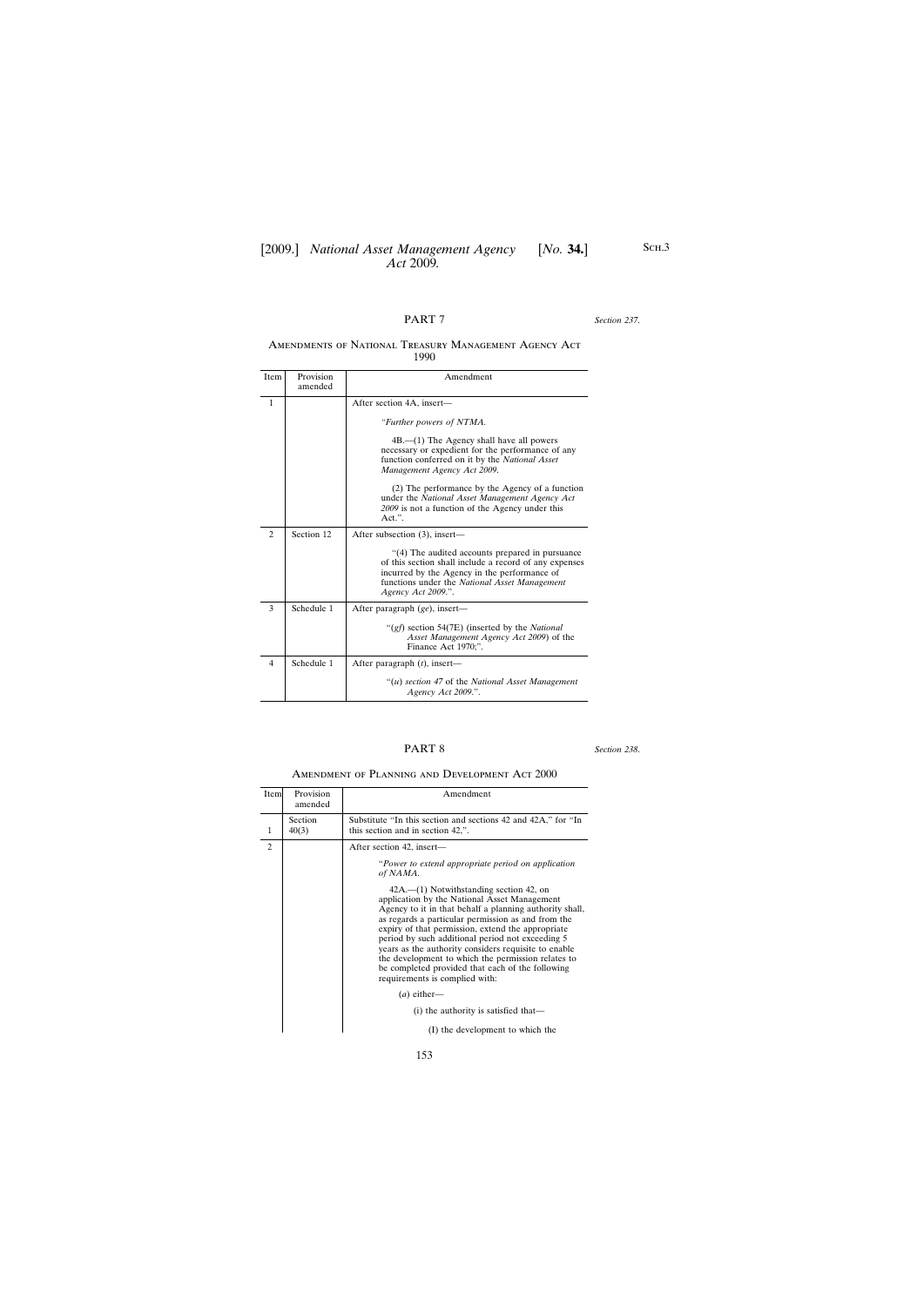### PART 7

#### *Section 237*.

#### Amendments of National Treasury Management Agency Act 1990

| Item           | Provision<br>amended | Amendment                                                                                                                                                                                                                        |
|----------------|----------------------|----------------------------------------------------------------------------------------------------------------------------------------------------------------------------------------------------------------------------------|
| $\mathbf{1}$   |                      | After section 4A, insert-                                                                                                                                                                                                        |
|                |                      | "Further powers of NTMA.                                                                                                                                                                                                         |
|                |                      | $4B$ — $(1)$ The Agency shall have all powers<br>necessary or expedient for the performance of any<br>function conferred on it by the National Asset<br>Management Agency Act 2009.                                              |
|                |                      | (2) The performance by the Agency of a function<br>under the National Asset Management Agency Act<br>2009 is not a function of the Agency under this<br>Act."                                                                    |
| $\overline{c}$ | Section 12           | After subsection (3), insert—                                                                                                                                                                                                    |
|                |                      | "(4) The audited accounts prepared in pursuance<br>of this section shall include a record of any expenses<br>incurred by the Agency in the performance of<br>functions under the National Asset Management<br>Agency Act 2009.". |
| 3              | Schedule 1           | After paragraph $(ge)$ , insert—                                                                                                                                                                                                 |
|                |                      | "(gf) section 54(7E) (inserted by the <i>National</i><br>Asset Management Agency Act 2009) of the<br>Finance Act 1970;".                                                                                                         |
| $\overline{4}$ | Schedule 1           | After paragraph $(t)$ , insert—                                                                                                                                                                                                  |
|                |                      | "(u) section 47 of the National Asset Management"<br>Agency Act 2009.".                                                                                                                                                          |

#### PART 8

*Section 238*.

#### Amendment of Planning and Development Act 2000

| Item                          | Provision<br>amended | Amendment                                                                                                                                                                                                                                                                                                                                                                                                                                                                                                                   |
|-------------------------------|----------------------|-----------------------------------------------------------------------------------------------------------------------------------------------------------------------------------------------------------------------------------------------------------------------------------------------------------------------------------------------------------------------------------------------------------------------------------------------------------------------------------------------------------------------------|
| 1                             | Section<br>40(3)     | Substitute "In this section and sections 42 and 42A," for "In<br>this section and in section 42,".                                                                                                                                                                                                                                                                                                                                                                                                                          |
| $\mathfrak{D}_{\mathfrak{p}}$ |                      | After section 42, insert-                                                                                                                                                                                                                                                                                                                                                                                                                                                                                                   |
|                               |                      | "Power to extend appropriate period on application"<br>of NAMA.                                                                                                                                                                                                                                                                                                                                                                                                                                                             |
|                               |                      | $42A$ ,— $(1)$ Notwithstanding section 42, on<br>application by the National Asset Management<br>Agency to it in that behalf a planning authority shall,<br>as regards a particular permission as and from the<br>expiry of that permission, extend the appropriate<br>period by such additional period not exceeding 5<br>years as the authority considers requisite to enable<br>the development to which the permission relates to<br>be completed provided that each of the following<br>requirements is complied with: |
|                               |                      | $(a)$ either—                                                                                                                                                                                                                                                                                                                                                                                                                                                                                                               |
|                               |                      | (i) the authority is satisfied that—                                                                                                                                                                                                                                                                                                                                                                                                                                                                                        |
|                               |                      | (I) the development to which the                                                                                                                                                                                                                                                                                                                                                                                                                                                                                            |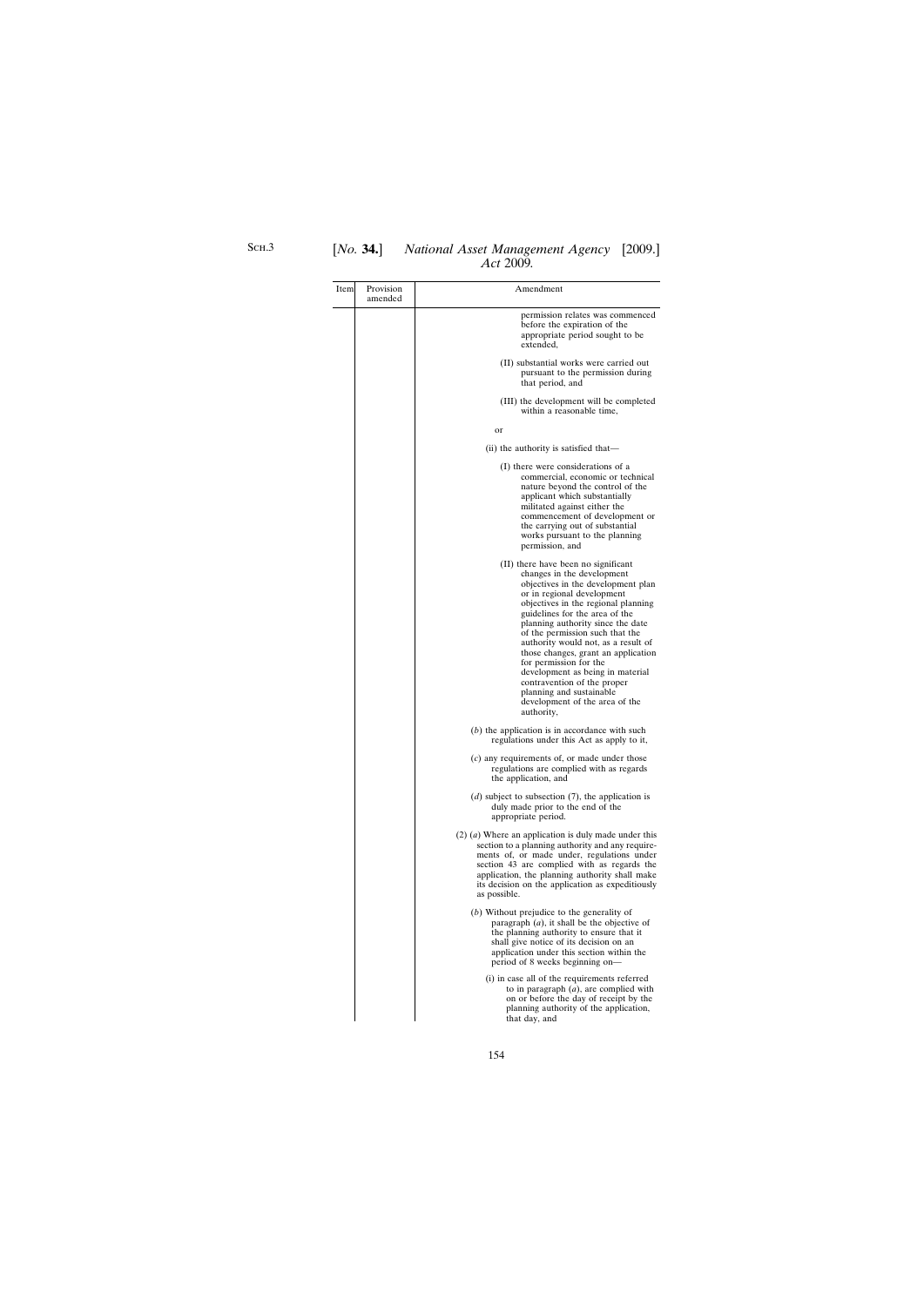| Item | Provision<br>amended | Amendment                                                                                                                                                                                                                                                                                                                                                                                                                                                                                                                                     |
|------|----------------------|-----------------------------------------------------------------------------------------------------------------------------------------------------------------------------------------------------------------------------------------------------------------------------------------------------------------------------------------------------------------------------------------------------------------------------------------------------------------------------------------------------------------------------------------------|
|      |                      | permission relates was commenced<br>before the expiration of the<br>appropriate period sought to be<br>extended,                                                                                                                                                                                                                                                                                                                                                                                                                              |
|      |                      | (II) substantial works were carried out<br>pursuant to the permission during<br>that period, and                                                                                                                                                                                                                                                                                                                                                                                                                                              |
|      |                      | (III) the development will be completed<br>within a reasonable time,                                                                                                                                                                                                                                                                                                                                                                                                                                                                          |
|      |                      | or                                                                                                                                                                                                                                                                                                                                                                                                                                                                                                                                            |
|      |                      | (ii) the authority is satisfied that—                                                                                                                                                                                                                                                                                                                                                                                                                                                                                                         |
|      |                      | (I) there were considerations of a<br>commercial, economic or technical<br>nature beyond the control of the<br>applicant which substantially<br>militated against either the<br>commencement of development or<br>the carrying out of substantial<br>works pursuant to the planning<br>permission, and                                                                                                                                                                                                                                        |
|      |                      | (II) there have been no significant<br>changes in the development<br>objectives in the development plan<br>or in regional development<br>objectives in the regional planning<br>guidelines for the area of the<br>planning authority since the date<br>of the permission such that the<br>authority would not, as a result of<br>those changes, grant an application<br>for permission for the<br>development as being in material<br>contravention of the proper<br>planning and sustainable<br>development of the area of the<br>authority, |
|      |                      | $(b)$ the application is in accordance with such<br>regulations under this Act as apply to it,                                                                                                                                                                                                                                                                                                                                                                                                                                                |
|      |                      | $(c)$ any requirements of, or made under those<br>regulations are complied with as regards<br>the application, and                                                                                                                                                                                                                                                                                                                                                                                                                            |
|      |                      | (d) subject to subsection $(7)$ , the application is<br>duly made prior to the end of the<br>appropriate period.                                                                                                                                                                                                                                                                                                                                                                                                                              |
|      |                      | $(2)$ ( <i>a</i> ) Where an application is duly made under this<br>section to a planning authority and any require-<br>ments of, or made under, regulations under<br>section 43 are complied with as regards the<br>application, the planning authority shall make<br>its decision on the application as expeditiously<br>as possible.                                                                                                                                                                                                        |
|      |                      | (b) Without prejudice to the generality of<br>paragraph $(a)$ , it shall be the objective of<br>the planning authority to ensure that it<br>shall give notice of its decision on an<br>application under this section within the<br>period of 8 weeks beginning on—                                                                                                                                                                                                                                                                           |
|      |                      | (i) in case all of the requirements referred<br>to in paragraph $(a)$ , are complied with<br>on or before the day of receipt by the<br>planning authority of the application,<br>that day, and                                                                                                                                                                                                                                                                                                                                                |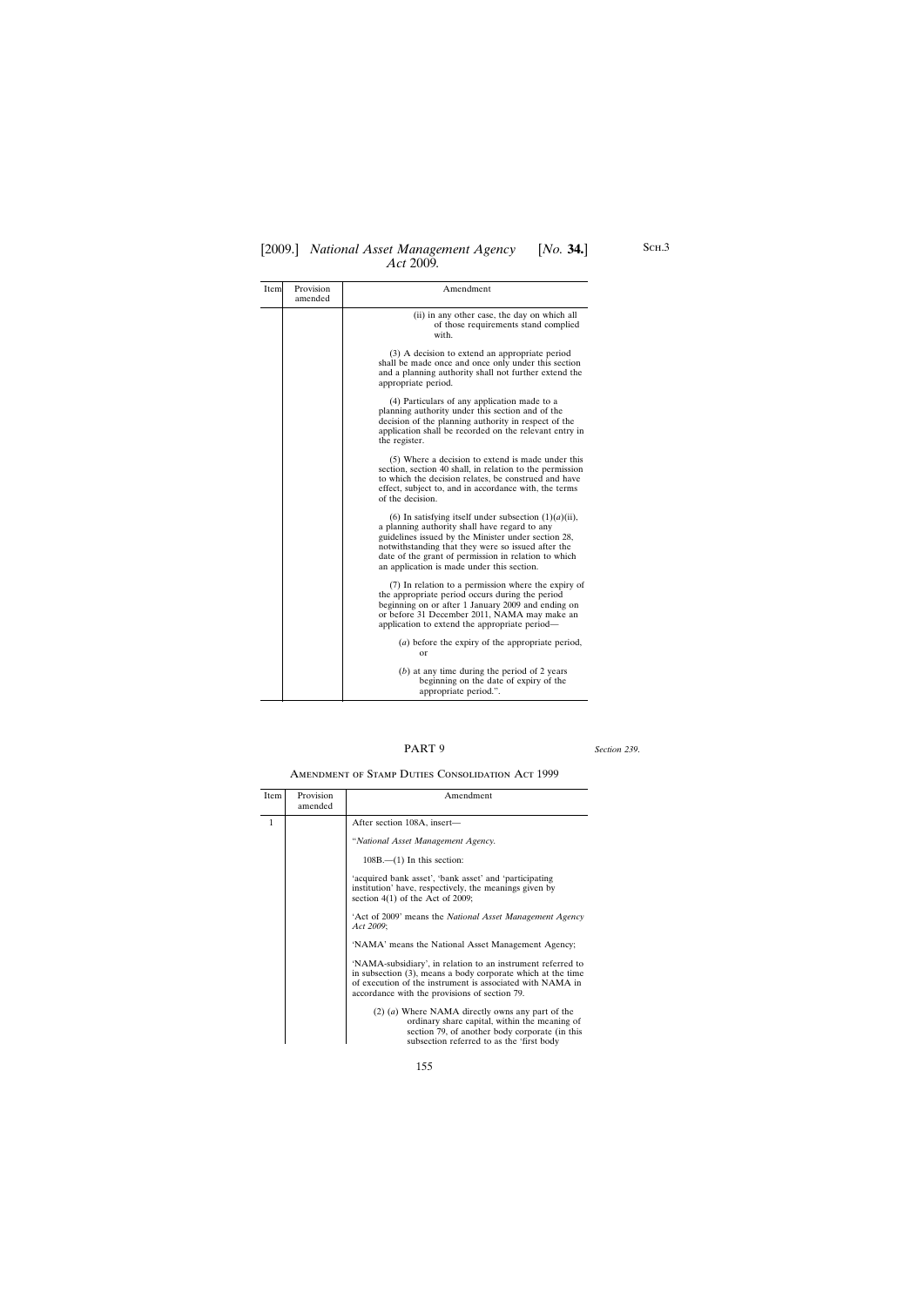| Item | Provision<br>amended | Amendment                                                                                                                                                                                                                                                                                                                    |
|------|----------------------|------------------------------------------------------------------------------------------------------------------------------------------------------------------------------------------------------------------------------------------------------------------------------------------------------------------------------|
|      |                      | (ii) in any other case, the day on which all<br>of those requirements stand complied<br>with.                                                                                                                                                                                                                                |
|      |                      | (3) A decision to extend an appropriate period<br>shall be made once and once only under this section<br>and a planning authority shall not further extend the<br>appropriate period.                                                                                                                                        |
|      |                      | (4) Particulars of any application made to a<br>planning authority under this section and of the<br>decision of the planning authority in respect of the<br>application shall be recorded on the relevant entry in<br>the register.                                                                                          |
|      |                      | (5) Where a decision to extend is made under this<br>section, section 40 shall, in relation to the permission<br>to which the decision relates, be construed and have<br>effect, subject to, and in accordance with, the terms<br>of the decision.                                                                           |
|      |                      | (6) In satisfying itself under subsection $(1)(a)(ii)$ ,<br>a planning authority shall have regard to any<br>guidelines issued by the Minister under section 28,<br>notwithstanding that they were so issued after the<br>date of the grant of permission in relation to which<br>an application is made under this section. |
|      |                      | (7) In relation to a permission where the expiry of<br>the appropriate period occurs during the period<br>beginning on or after 1 January 2009 and ending on<br>or before 31 December 2011, NAMA may make an<br>application to extend the appropriate period-                                                                |
|      |                      | $(a)$ before the expiry of the appropriate period,<br>$\alpha$ r                                                                                                                                                                                                                                                             |
|      |                      | $(b)$ at any time during the period of 2 years<br>beginning on the date of expiry of the<br>appropriate period.".                                                                                                                                                                                                            |

### PART 9

*Section 239*.

#### Amendment of Stamp Duties Consolidation Act 1999

| <b>Item</b> | Provision<br>amended | Amendment                                                                                                                                                                                                                                |
|-------------|----------------------|------------------------------------------------------------------------------------------------------------------------------------------------------------------------------------------------------------------------------------------|
| 1           |                      | After section 108A, insert-                                                                                                                                                                                                              |
|             |                      | "National Asset Management Agency.                                                                                                                                                                                                       |
|             |                      | $108B$ .— $(1)$ In this section:                                                                                                                                                                                                         |
|             |                      | 'acquired bank asset', 'bank asset' and 'participating<br>institution' have, respectively, the meanings given by<br>section $4(1)$ of the Act of 2009;                                                                                   |
|             |                      | 'Act of 2009' means the <i>National Asset Management Agency</i><br>Act 2009;                                                                                                                                                             |
|             |                      | 'NAMA' means the National Asset Management Agency;                                                                                                                                                                                       |
|             |                      | 'NAMA-subsidiary', in relation to an instrument referred to<br>in subsection (3), means a body corporate which at the time<br>of execution of the instrument is associated with NAMA in<br>accordance with the provisions of section 79. |
|             |                      | $(2)$ $(a)$ Where NAMA directly owns any part of the<br>ordinary share capital, within the meaning of<br>section 79, of another body corporate (in this<br>subsection referred to as the 'first body                                     |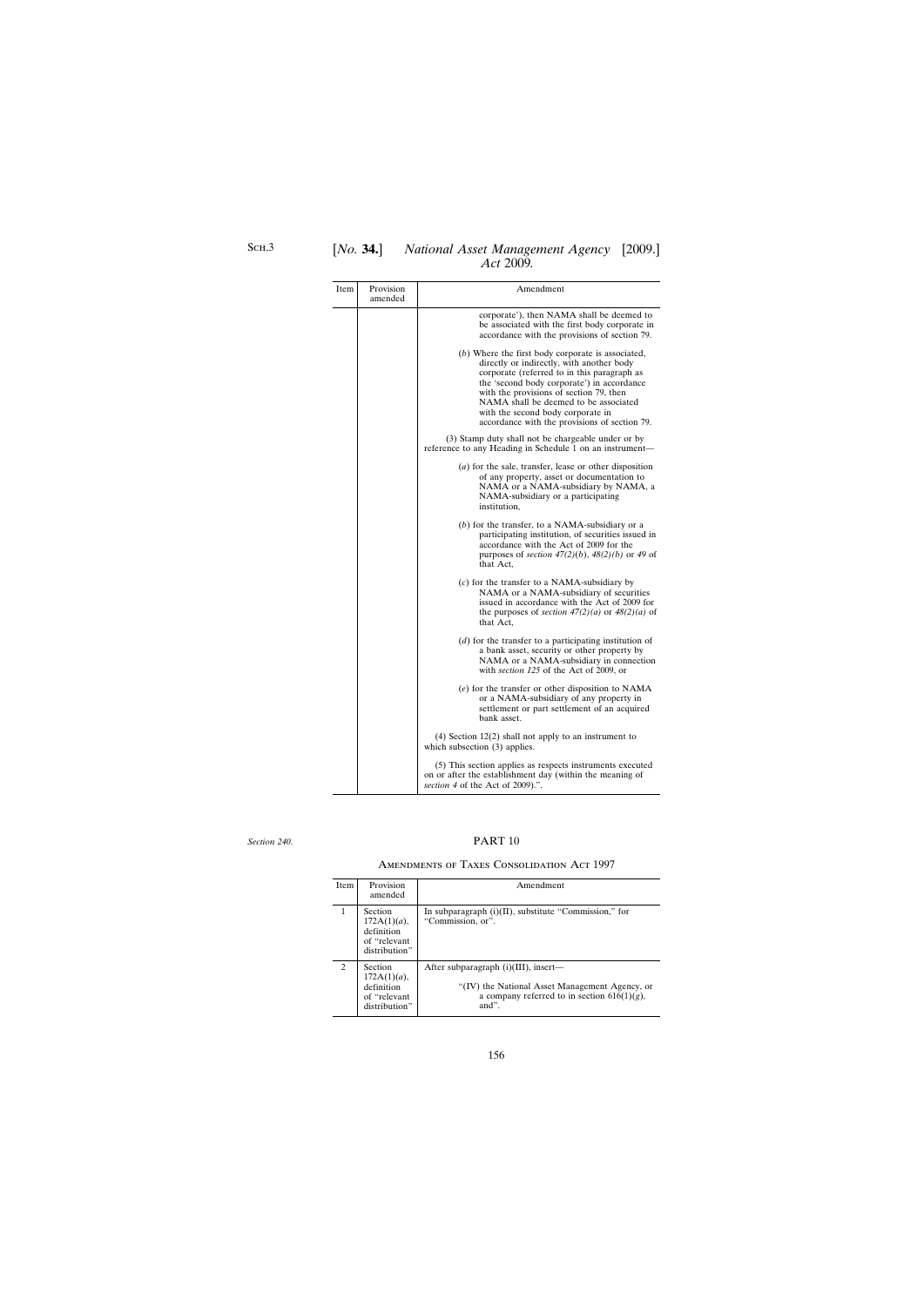| Item | Provision<br>amended | Amendment                                                                                                                                                                                                                                                                                                                                                             |
|------|----------------------|-----------------------------------------------------------------------------------------------------------------------------------------------------------------------------------------------------------------------------------------------------------------------------------------------------------------------------------------------------------------------|
|      |                      | corporate'), then NAMA shall be deemed to<br>be associated with the first body corporate in<br>accordance with the provisions of section 79.                                                                                                                                                                                                                          |
|      |                      | (b) Where the first body corporate is associated,<br>directly or indirectly, with another body<br>corporate (referred to in this paragraph as<br>the 'second body corporate') in accordance<br>with the provisions of section 79, then<br>NAMA shall be deemed to be associated<br>with the second body corporate in<br>accordance with the provisions of section 79. |
|      |                      | (3) Stamp duty shall not be chargeable under or by<br>reference to any Heading in Schedule 1 on an instrument-                                                                                                                                                                                                                                                        |
|      |                      | $(a)$ for the sale, transfer, lease or other disposition<br>of any property, asset or documentation to<br>NAMA or a NAMA-subsidiary by NAMA, a<br>NAMA-subsidiary or a participating<br>institution,                                                                                                                                                                  |
|      |                      | $(b)$ for the transfer, to a NAMA-subsidiary or a<br>participating institution, of securities issued in<br>accordance with the Act of 2009 for the<br>purposes of section $47(2)(b)$ , $48(2)(b)$ or 49 of<br>that Act,                                                                                                                                               |
|      |                      | $(c)$ for the transfer to a NAMA-subsidiary by<br>NAMA or a NAMA-subsidiary of securities<br>issued in accordance with the Act of 2009 for<br>the purposes of section $47(2)(a)$ or $48(2)(a)$ of<br>that Act,                                                                                                                                                        |
|      |                      | $(d)$ for the transfer to a participating institution of<br>a bank asset, security or other property by<br>NAMA or a NAMA-subsidiary in connection<br>with section 125 of the Act of 2009, or                                                                                                                                                                         |
|      |                      | $(e)$ for the transfer or other disposition to NAMA<br>or a NAMA-subsidiary of any property in<br>settlement or part settlement of an acquired<br>bank asset.                                                                                                                                                                                                         |
|      |                      | $(4)$ Section 12 $(2)$ shall not apply to an instrument to<br>which subsection $(3)$ applies.                                                                                                                                                                                                                                                                         |
|      |                      | (5) This section applies as respects instruments executed<br>on or after the establishment day (within the meaning of<br>section 4 of the Act of 2009).".                                                                                                                                                                                                             |

*Section 240*.

# PART 10

| AMENDMENTS OF TAXES CONSOLIDATION ACT 1997 |  |
|--------------------------------------------|--|
|--------------------------------------------|--|

| <b>Item</b> | Provision<br>amended                                                      | Amendment                                                                                                                                            |
|-------------|---------------------------------------------------------------------------|------------------------------------------------------------------------------------------------------------------------------------------------------|
|             | Section<br>$172A(1)(a)$ ,<br>definition<br>of "relevant<br>distribution"  | In subparagraph $(i)(II)$ , substitute "Commission," for<br>"Commission, or".                                                                        |
| 2           | Section<br>$172A(1)(a)$ ,<br>definition<br>of "relevant"<br>distribution" | After subparagraph $(i)(III)$ , insert—<br>"(IV) the National Asset Management Agency, or<br>a company referred to in section $616(1)(g)$ ,<br>and". |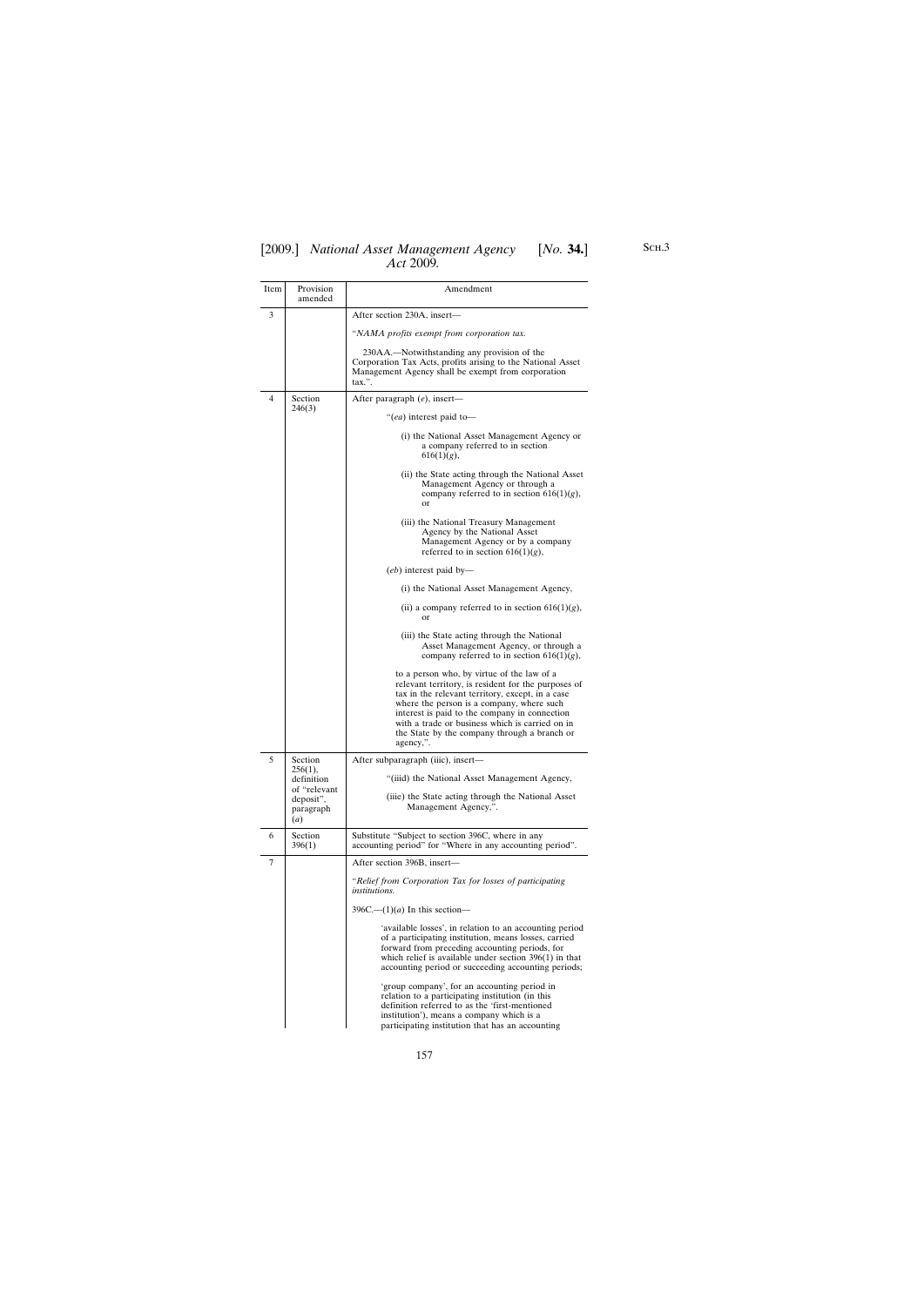| Item | Provision<br>amended                                                   | Amendment                                                                                                                                                                                                                                                                                                                                                                                                                                                                                                                                    |
|------|------------------------------------------------------------------------|----------------------------------------------------------------------------------------------------------------------------------------------------------------------------------------------------------------------------------------------------------------------------------------------------------------------------------------------------------------------------------------------------------------------------------------------------------------------------------------------------------------------------------------------|
| 3    |                                                                        | After section 230A, insert—                                                                                                                                                                                                                                                                                                                                                                                                                                                                                                                  |
|      |                                                                        | "NAMA profits exempt from corporation tax.                                                                                                                                                                                                                                                                                                                                                                                                                                                                                                   |
|      |                                                                        | 230AA.—Notwithstanding any provision of the<br>Corporation Tax Acts, profits arising to the National Asset<br>Management Agency shall be exempt from corporation<br>$\text{tax."}$ .                                                                                                                                                                                                                                                                                                                                                         |
| 4    | Section                                                                | After paragraph $(e)$ , insert—                                                                                                                                                                                                                                                                                                                                                                                                                                                                                                              |
|      | 246(3)                                                                 | "(ea) interest paid to-                                                                                                                                                                                                                                                                                                                                                                                                                                                                                                                      |
|      |                                                                        | (i) the National Asset Management Agency or<br>a company referred to in section<br>$616(1)(g)$ ,                                                                                                                                                                                                                                                                                                                                                                                                                                             |
|      |                                                                        | (ii) the State acting through the National Asset<br>Management Agency or through a<br>company referred to in section $616(1)(g)$ ,<br>$\alpha$ r                                                                                                                                                                                                                                                                                                                                                                                             |
|      |                                                                        | (iii) the National Treasury Management<br>Agency by the National Asset<br>Management Agency or by a company<br>referred to in section $616(1)(g)$ ,                                                                                                                                                                                                                                                                                                                                                                                          |
|      |                                                                        | ( <i>eb</i> ) interest paid by—                                                                                                                                                                                                                                                                                                                                                                                                                                                                                                              |
|      |                                                                        | (i) the National Asset Management Agency,                                                                                                                                                                                                                                                                                                                                                                                                                                                                                                    |
|      |                                                                        | (ii) a company referred to in section $616(1)(g)$ ,<br>or                                                                                                                                                                                                                                                                                                                                                                                                                                                                                    |
|      |                                                                        | (iii) the State acting through the National<br>Asset Management Agency, or through a<br>company referred to in section $616(1)(g)$ ,                                                                                                                                                                                                                                                                                                                                                                                                         |
|      |                                                                        | to a person who, by virtue of the law of a<br>relevant territory, is resident for the purposes of<br>tax in the relevant territory, except, in a case<br>where the person is a company, where such<br>interest is paid to the company in connection<br>with a trade or business which is carried on in<br>the State by the company through a branch or<br>agency,".                                                                                                                                                                          |
| 5    | Section                                                                | After subparagraph (iiic), insert—                                                                                                                                                                                                                                                                                                                                                                                                                                                                                                           |
|      | 256(1),<br>definition<br>of "relevant<br>deposit",<br>paragraph<br>(a) | "(iiid) the National Asset Management Agency,                                                                                                                                                                                                                                                                                                                                                                                                                                                                                                |
|      |                                                                        | (iiie) the State acting through the National Asset<br>Management Agency,".                                                                                                                                                                                                                                                                                                                                                                                                                                                                   |
| 6    | Section<br>396(1)                                                      | Substitute "Subject to section 396C, where in any<br>accounting period" for "Where in any accounting period".                                                                                                                                                                                                                                                                                                                                                                                                                                |
| 7    |                                                                        | After section 396B, insert-                                                                                                                                                                                                                                                                                                                                                                                                                                                                                                                  |
|      |                                                                        | "Relief from Corporation Tax for losses of participating<br><i>institutions.</i><br>$396C$ — $(1)(a)$ In this section—                                                                                                                                                                                                                                                                                                                                                                                                                       |
|      |                                                                        | 'available losses', in relation to an accounting period<br>of a participating institution, means losses, carried<br>forward from preceding accounting periods, for<br>which relief is available under section $396(1)$ in that<br>accounting period or succeeding accounting periods;<br>'group company', for an accounting period in<br>relation to a participating institution (in this<br>definition referred to as the 'first-mentioned<br>institution'), means a company which is a<br>participating institution that has an accounting |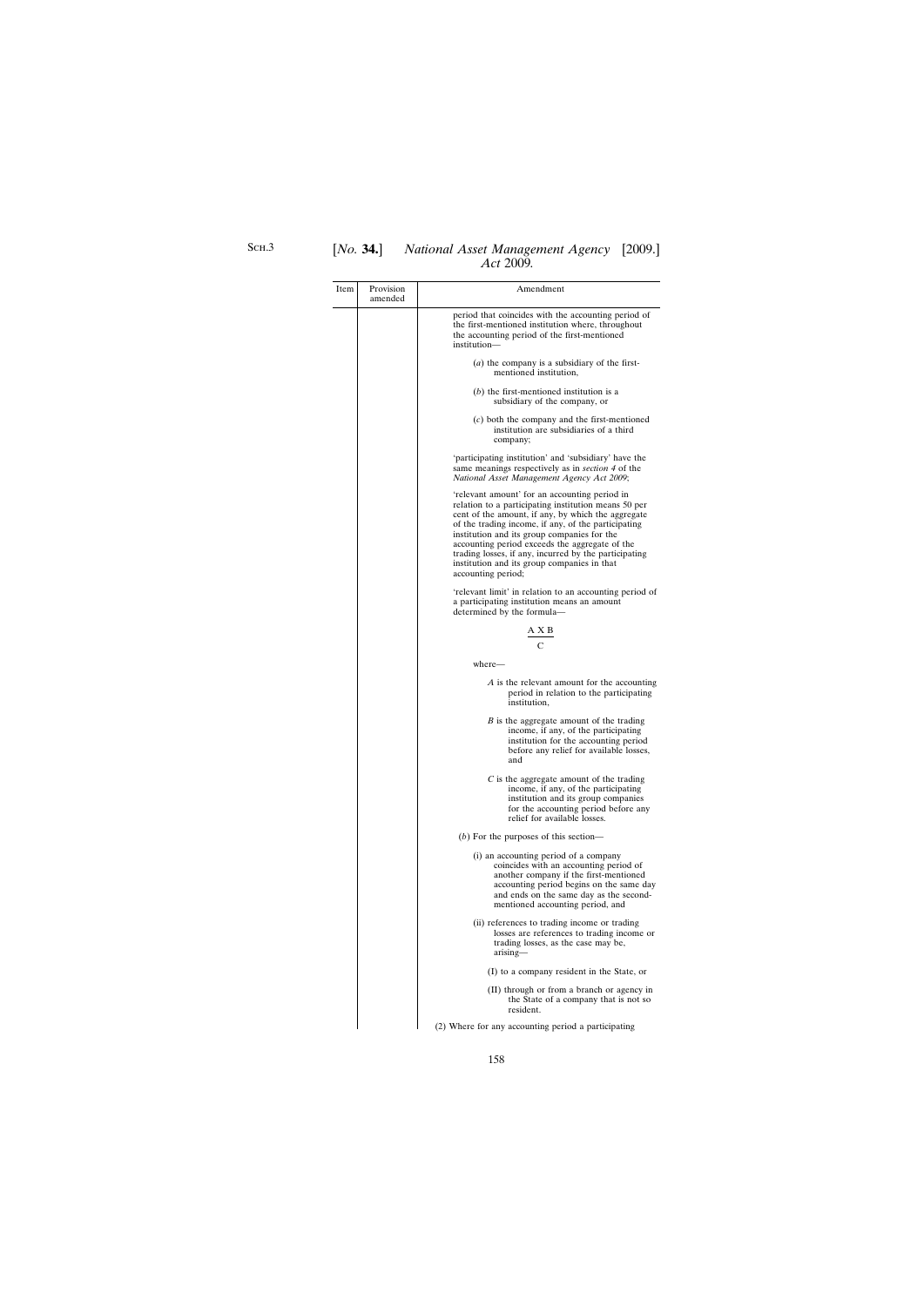| Item | Provision<br>amended | Amendment                                                                                                                                                                                                                                                                                                                                                                                                                                         |
|------|----------------------|---------------------------------------------------------------------------------------------------------------------------------------------------------------------------------------------------------------------------------------------------------------------------------------------------------------------------------------------------------------------------------------------------------------------------------------------------|
|      |                      | period that coincides with the accounting period of<br>the first-mentioned institution where, throughout<br>the accounting period of the first-mentioned<br>institution-                                                                                                                                                                                                                                                                          |
|      |                      | $(a)$ the company is a subsidiary of the first-<br>mentioned institution,                                                                                                                                                                                                                                                                                                                                                                         |
|      |                      | $(b)$ the first-mentioned institution is a<br>subsidiary of the company, or                                                                                                                                                                                                                                                                                                                                                                       |
|      |                      | $(c)$ both the company and the first-mentioned<br>institution are subsidiaries of a third<br>company;                                                                                                                                                                                                                                                                                                                                             |
|      |                      | 'participating institution' and 'subsidiary' have the<br>same meanings respectively as in section 4 of the<br>National Asset Management Agency Act 2009;                                                                                                                                                                                                                                                                                          |
|      |                      | 'relevant amount' for an accounting period in<br>relation to a participating institution means 50 per<br>cent of the amount, if any, by which the aggregate<br>of the trading income, if any, of the participating<br>institution and its group companies for the<br>accounting period exceeds the aggregate of the<br>trading losses, if any, incurred by the participating<br>institution and its group companies in that<br>accounting period; |
|      |                      | 'relevant limit' in relation to an accounting period of<br>a participating institution means an amount<br>determined by the formula-                                                                                                                                                                                                                                                                                                              |
|      |                      | AХВ                                                                                                                                                                                                                                                                                                                                                                                                                                               |
|      |                      |                                                                                                                                                                                                                                                                                                                                                                                                                                                   |
|      |                      | where—                                                                                                                                                                                                                                                                                                                                                                                                                                            |
|      |                      | A is the relevant amount for the accounting<br>period in relation to the participating<br>institution,                                                                                                                                                                                                                                                                                                                                            |
|      |                      | B is the aggregate amount of the trading<br>income, if any, of the participating<br>institution for the accounting period<br>before any relief for available losses,<br>and                                                                                                                                                                                                                                                                       |
|      |                      | $C$ is the aggregate amount of the trading<br>income, if any, of the participating<br>institution and its group companies<br>for the accounting period before any<br>relief for available losses.                                                                                                                                                                                                                                                 |
|      |                      | $(b)$ For the purposes of this section—                                                                                                                                                                                                                                                                                                                                                                                                           |
|      |                      | (i) an accounting period of a company<br>coincides with an accounting period of<br>another company if the first-mentioned<br>accounting period begins on the same day<br>and ends on the same day as the second-<br>mentioned accounting period, and                                                                                                                                                                                              |
|      |                      | (ii) references to trading income or trading<br>losses are references to trading income or<br>trading losses, as the case may be,<br>arising—                                                                                                                                                                                                                                                                                                     |
|      |                      | (I) to a company resident in the State, or                                                                                                                                                                                                                                                                                                                                                                                                        |
|      |                      | (II) through or from a branch or agency in<br>the State of a company that is not so<br>resident.                                                                                                                                                                                                                                                                                                                                                  |
|      |                      | (2) Where for any accounting period a participating                                                                                                                                                                                                                                                                                                                                                                                               |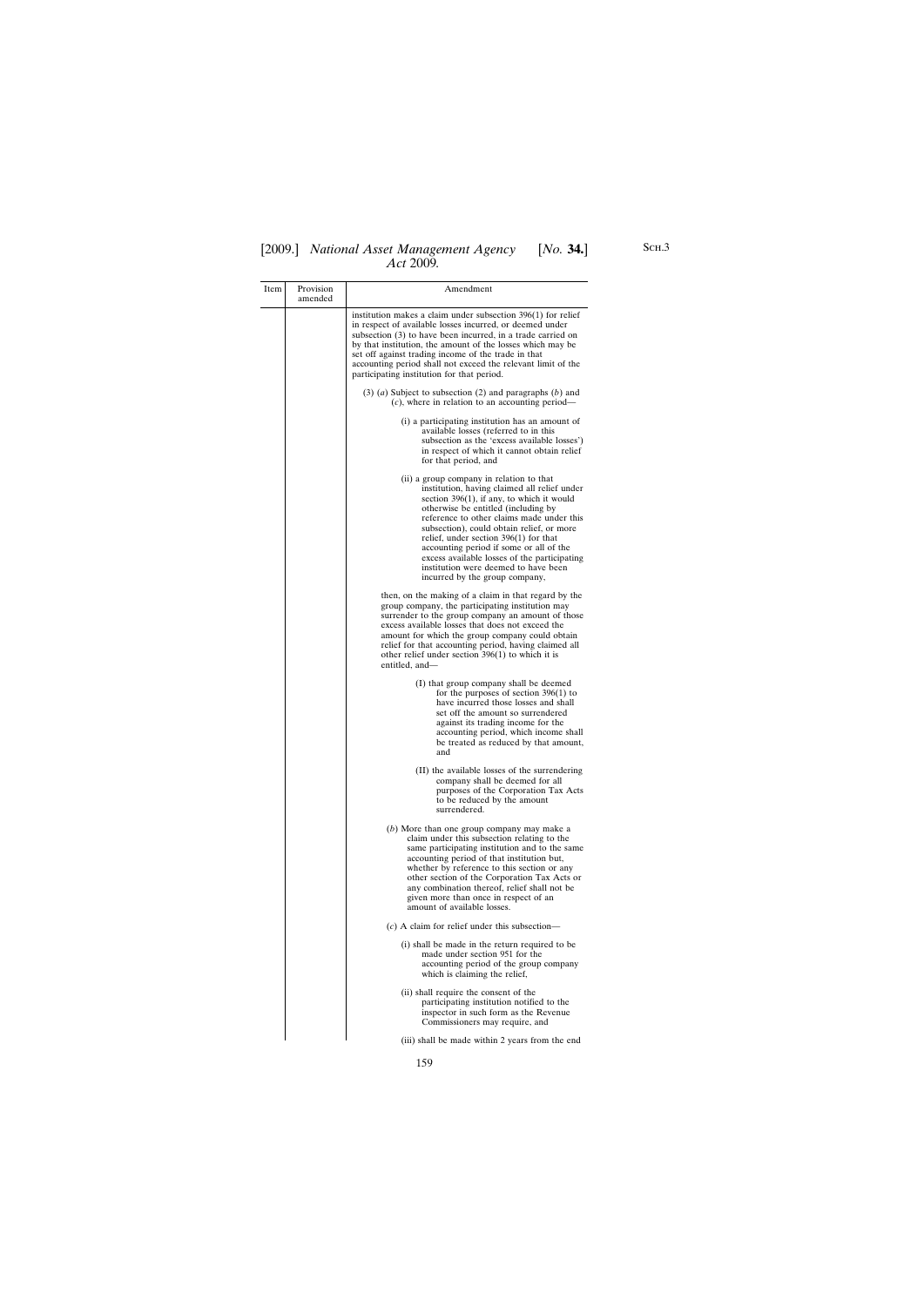| Item | Provision<br>amended | Amendment                                                                                                                                                                                                                                                                                                                                                                                                                                                                                 |
|------|----------------------|-------------------------------------------------------------------------------------------------------------------------------------------------------------------------------------------------------------------------------------------------------------------------------------------------------------------------------------------------------------------------------------------------------------------------------------------------------------------------------------------|
|      |                      | institution makes a claim under subsection 396(1) for relief<br>in respect of available losses incurred, or deemed under<br>subsection (3) to have been incurred, in a trade carried on<br>by that institution, the amount of the losses which may be<br>set off against trading income of the trade in that<br>accounting period shall not exceed the relevant limit of the<br>participating institution for that period.                                                                |
|      |                      | $(3)$ (a) Subject to subsection (2) and paragraphs (b) and<br>$(c)$ , where in relation to an accounting period—                                                                                                                                                                                                                                                                                                                                                                          |
|      |                      | (i) a participating institution has an amount of<br>available losses (referred to in this<br>subsection as the 'excess available losses')<br>in respect of which it cannot obtain relief<br>for that period, and                                                                                                                                                                                                                                                                          |
|      |                      | (ii) a group company in relation to that<br>institution, having claimed all relief under<br>section $396(1)$ , if any, to which it would<br>otherwise be entitled (including by<br>reference to other claims made under this<br>subsection), could obtain relief, or more<br>relief, under section $396(1)$ for that<br>accounting period if some or all of the<br>excess available losses of the participating<br>institution were deemed to have been<br>incurred by the group company, |
|      |                      | then, on the making of a claim in that regard by the<br>group company, the participating institution may<br>surrender to the group company an amount of those<br>excess available losses that does not exceed the<br>amount for which the group company could obtain<br>relief for that accounting period, having claimed all<br>other relief under section $396(1)$ to which it is<br>entitled, and-                                                                                     |
|      |                      | (I) that group company shall be deemed<br>for the purposes of section $396(1)$ to<br>have incurred those losses and shall<br>set off the amount so surrendered<br>against its trading income for the<br>accounting period, which income shall<br>be treated as reduced by that amount,<br>and                                                                                                                                                                                             |
|      |                      | (II) the available losses of the surrendering<br>company shall be deemed for all<br>purposes of the Corporation Tax Acts<br>to be reduced by the amount<br>surrendered.                                                                                                                                                                                                                                                                                                                   |
|      |                      | (b) More than one group company may make a<br>claim under this subsection relating to the<br>same participating institution and to the same<br>accounting period of that institution but,<br>whether by reference to this section or any<br>other section of the Corporation Tax Acts or<br>any combination thereof, relief shall not be<br>given more than once in respect of an<br>amount of available losses.                                                                          |
|      |                      | $(c)$ A claim for relief under this subsection—                                                                                                                                                                                                                                                                                                                                                                                                                                           |
|      |                      | (i) shall be made in the return required to be<br>made under section 951 for the<br>accounting period of the group company<br>which is claiming the relief,                                                                                                                                                                                                                                                                                                                               |
|      |                      | (ii) shall require the consent of the<br>participating institution notified to the<br>inspector in such form as the Revenue<br>Commissioners may require, and                                                                                                                                                                                                                                                                                                                             |
|      |                      | (iii) shall be made within 2 years from the end                                                                                                                                                                                                                                                                                                                                                                                                                                           |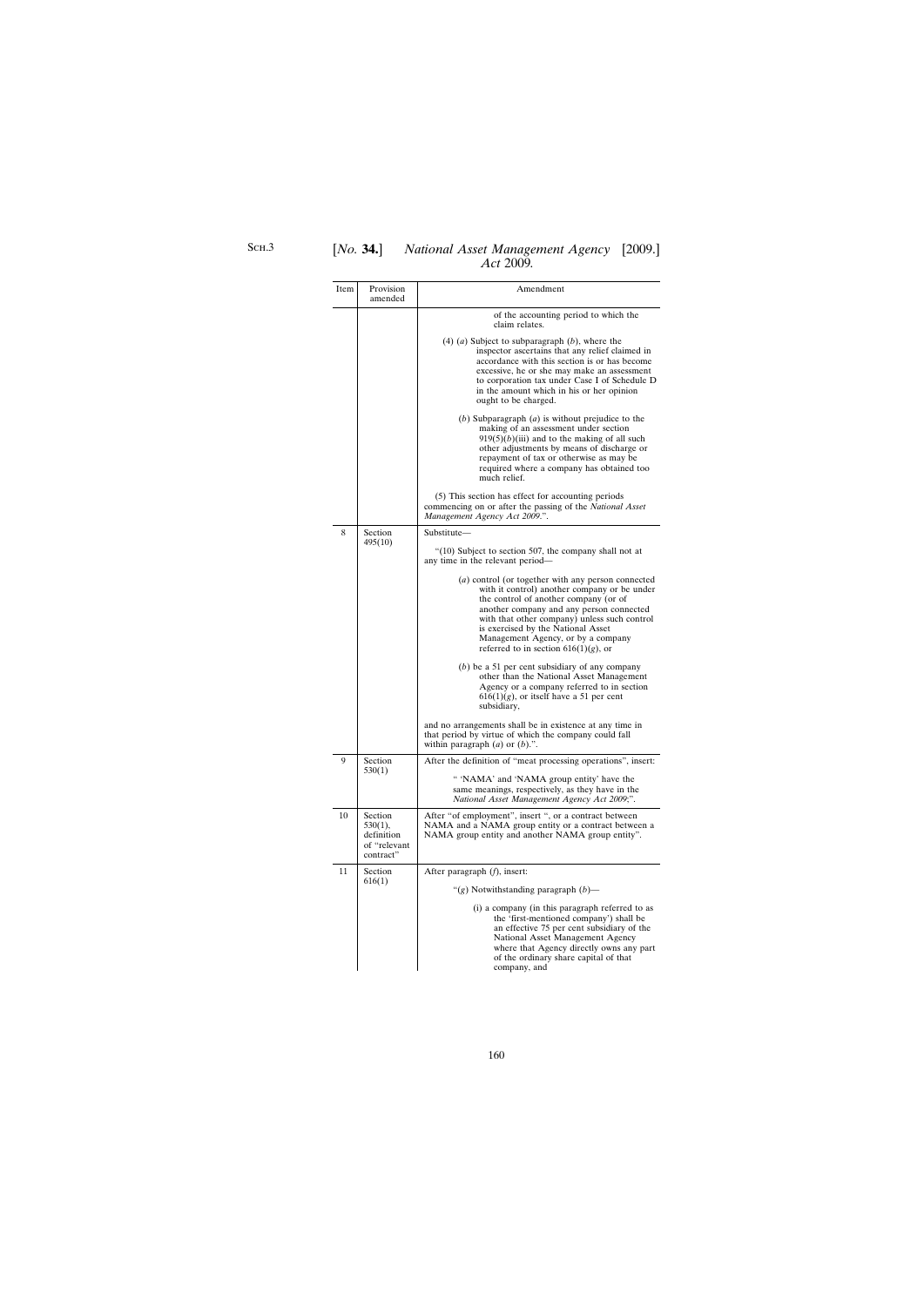| [ <i>No.</i> <b>34.</b> ] | National Asset Management Agency [2009.] |  |
|---------------------------|------------------------------------------|--|
|                           | Act 2009.                                |  |

| Item | Provision<br>amended                                          | Amendment                                                                                                                                                                                                                                                                                                                                                      |
|------|---------------------------------------------------------------|----------------------------------------------------------------------------------------------------------------------------------------------------------------------------------------------------------------------------------------------------------------------------------------------------------------------------------------------------------------|
|      |                                                               | of the accounting period to which the<br>claim relates.                                                                                                                                                                                                                                                                                                        |
|      |                                                               | (4) (a) Subject to subparagraph $(b)$ , where the<br>inspector ascertains that any relief claimed in<br>accordance with this section is or has become<br>excessive, he or she may make an assessment<br>to corporation tax under Case I of Schedule D<br>in the amount which in his or her opinion<br>ought to be charged.                                     |
|      |                                                               | (b) Subparagraph $(a)$ is without prejudice to the<br>making of an assessment under section<br>$919(5)(b)(iii)$ and to the making of all such<br>other adjustments by means of discharge or<br>repayment of tax or otherwise as may be<br>required where a company has obtained too<br>much relief.                                                            |
|      |                                                               | (5) This section has effect for accounting periods<br>commencing on or after the passing of the National Asset<br>Management Agency Act 2009.".                                                                                                                                                                                                                |
| 8    | Section<br>495(10)                                            | Substitute-                                                                                                                                                                                                                                                                                                                                                    |
|      |                                                               | "(10) Subject to section 507, the company shall not at<br>any time in the relevant period-                                                                                                                                                                                                                                                                     |
|      |                                                               | (a) control (or together with any person connected<br>with it control) another company or be under<br>the control of another company (or of<br>another company and any person connected<br>with that other company) unless such control<br>is exercised by the National Asset<br>Management Agency, or by a company<br>referred to in section $616(1)(g)$ , or |
|      |                                                               | $(b)$ be a 51 per cent subsidiary of any company<br>other than the National Asset Management<br>Agency or a company referred to in section<br>$616(1)(g)$ , or itself have a 51 per cent<br>subsidiary,                                                                                                                                                        |
|      |                                                               | and no arrangements shall be in existence at any time in<br>that period by virtue of which the company could fall<br>within paragraph $(a)$ or $(b)$ .".                                                                                                                                                                                                       |
| 9    | Section                                                       | After the definition of "meat processing operations", insert:                                                                                                                                                                                                                                                                                                  |
|      | 530(1)                                                        | " 'NAMA' and 'NAMA group entity' have the<br>same meanings, respectively, as they have in the<br>National Asset Management Agency Act 2009;".                                                                                                                                                                                                                  |
| 10   | Section<br>530(1),<br>definition<br>of "relevant<br>contract" | After "of employment", insert ", or a contract between<br>NAMA and a NAMA group entity or a contract between a<br>NAMA group entity and another NAMA group entity".                                                                                                                                                                                            |
| 11   | Section                                                       | After paragraph (f), insert:                                                                                                                                                                                                                                                                                                                                   |
|      | 616(1)                                                        | "(g) Notwithstanding paragraph $(b)$ —                                                                                                                                                                                                                                                                                                                         |
|      |                                                               | (i) a company (in this paragraph referred to as<br>the 'first-mentioned company') shall be<br>an effective 75 per cent subsidiary of the<br>National Asset Management Agency<br>where that Agency directly owns any part<br>of the ordinary share capital of that<br>company, and                                                                              |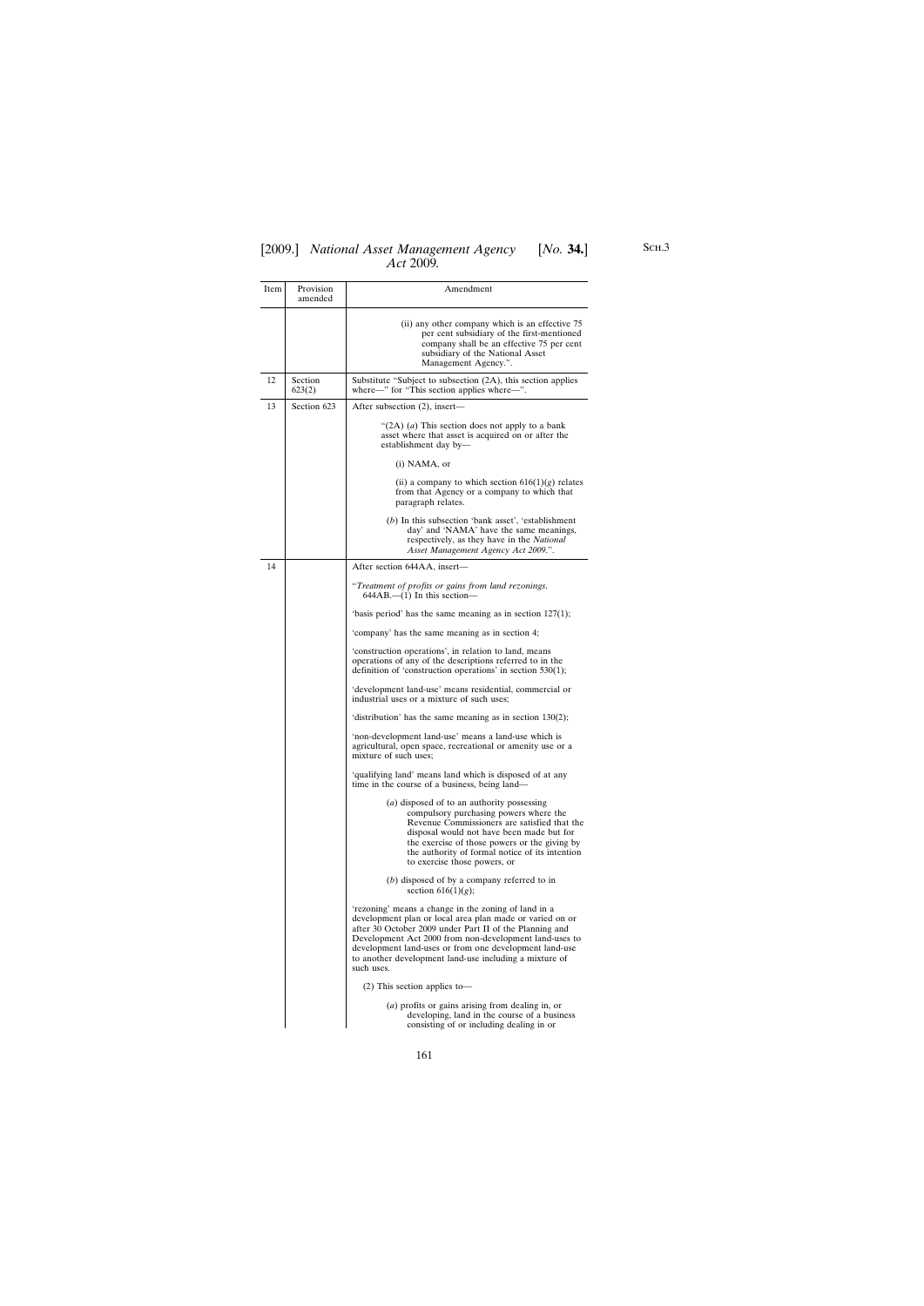| Item | Provision<br>amended | Amendment                                                                                                                                                                                                                                                                                                                                                               |
|------|----------------------|-------------------------------------------------------------------------------------------------------------------------------------------------------------------------------------------------------------------------------------------------------------------------------------------------------------------------------------------------------------------------|
|      |                      | (ii) any other company which is an effective 75<br>per cent subsidiary of the first-mentioned<br>company shall be an effective 75 per cent<br>subsidiary of the National Asset<br>Management Agency.".                                                                                                                                                                  |
| 12   | Section<br>623(2)    | Substitute "Subject to subsection (2A), this section applies<br>where—" for "This section applies where—".                                                                                                                                                                                                                                                              |
| 13   | Section 623          | After subsection (2), insert—                                                                                                                                                                                                                                                                                                                                           |
|      |                      | "(2A) ( <i>a</i> ) This section does not apply to a bank<br>asset where that asset is acquired on or after the<br>establishment day by-                                                                                                                                                                                                                                 |
|      |                      | (i) NAMA, or                                                                                                                                                                                                                                                                                                                                                            |
|      |                      | (ii) a company to which section $616(1)(g)$ relates<br>from that Agency or a company to which that<br>paragraph relates.                                                                                                                                                                                                                                                |
|      |                      | $(b)$ In this subsection 'bank asset', 'establishment'<br>day' and 'NAMA' have the same meanings,<br>respectively, as they have in the National<br>Asset Management Agency Act 2009.".                                                                                                                                                                                  |
| 14   |                      | After section 644AA, insert-                                                                                                                                                                                                                                                                                                                                            |
|      |                      | "Treatment of profits or gains from land rezonings.<br>$644AB$ , $-(1)$ In this section-                                                                                                                                                                                                                                                                                |
|      |                      | 'basis period' has the same meaning as in section $127(1)$ ;                                                                                                                                                                                                                                                                                                            |
|      |                      | 'company' has the same meaning as in section 4;                                                                                                                                                                                                                                                                                                                         |
|      |                      | 'construction operations', in relation to land, means<br>operations of any of the descriptions referred to in the<br>definition of 'construction operations' in section $530(1)$ ;                                                                                                                                                                                      |
|      |                      | 'development land-use' means residential, commercial or<br>industrial uses or a mixture of such uses;                                                                                                                                                                                                                                                                   |
|      |                      | 'distribution' has the same meaning as in section $130(2)$ ;                                                                                                                                                                                                                                                                                                            |
|      |                      | 'non-development land-use' means a land-use which is<br>agricultural, open space, recreational or amenity use or a<br>mixture of such uses;                                                                                                                                                                                                                             |
|      |                      | qualifying land' means land which is disposed of at any<br>time in the course of a business, being land—                                                                                                                                                                                                                                                                |
|      |                      | ( <i>a</i> ) disposed of to an authority possessing<br>compulsory purchasing powers where the<br>Revenue Commissioners are satisfied that the<br>disposal would not have been made but for<br>the exercise of those powers or the giving by<br>the authority of formal notice of its intention<br>to exercise those powers, or                                          |
|      |                      | $(b)$ disposed of by a company referred to in<br>section $616(1)(g)$ ;                                                                                                                                                                                                                                                                                                  |
|      |                      | 'rezoning' means a change in the zoning of land in a<br>development plan or local area plan made or varied on or<br>after 30 October 2009 under Part II of the Planning and<br>Development Act 2000 from non-development land-uses to<br>development land-uses or from one development land-use<br>to another development land-use including a mixture of<br>such uses. |
|      |                      | $(2)$ This section applies to-                                                                                                                                                                                                                                                                                                                                          |
|      |                      | $(a)$ profits or gains arising from dealing in, or<br>developing, land in the course of a business<br>consisting of or including dealing in or                                                                                                                                                                                                                          |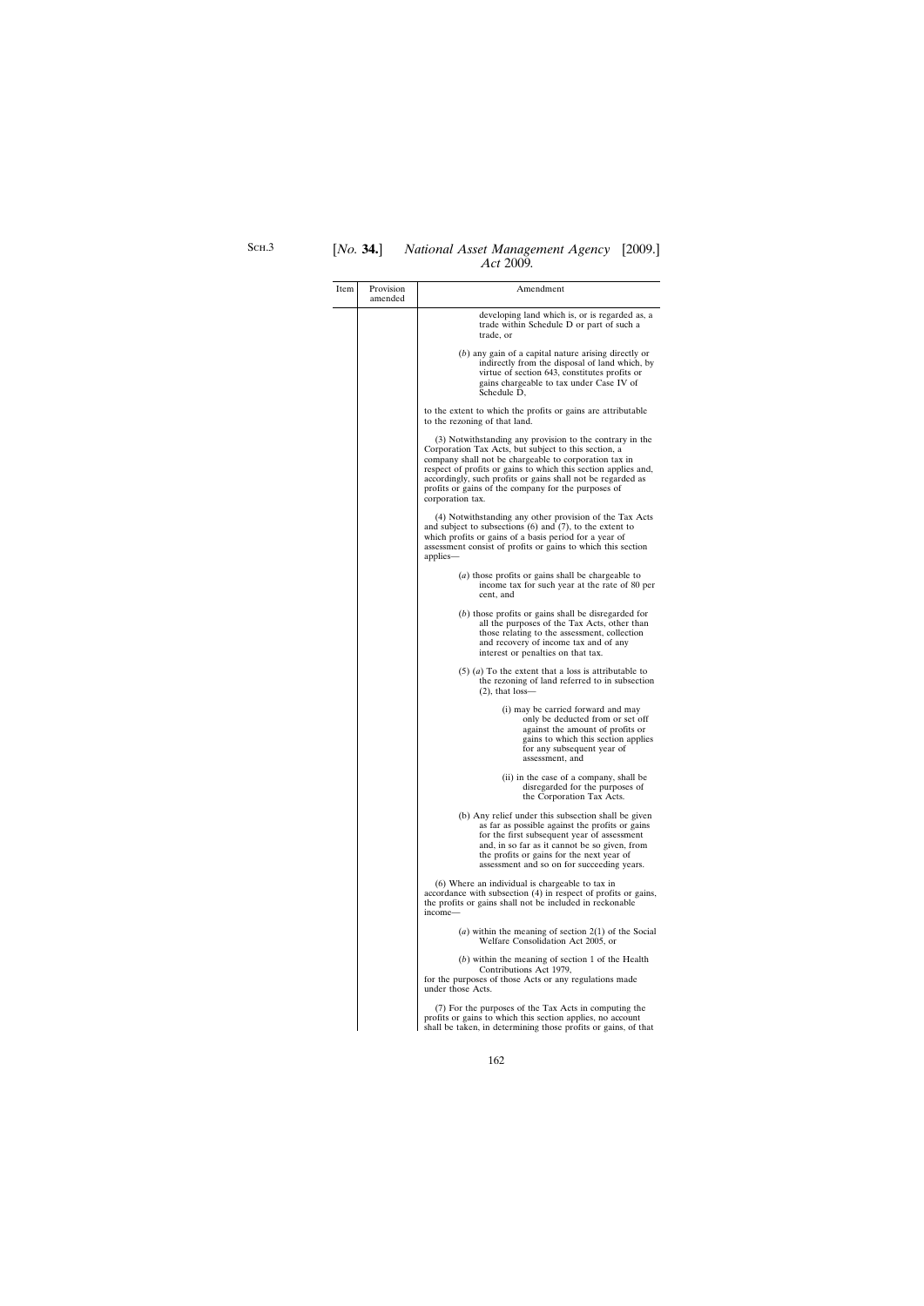| Item | Provision<br>amended | Amendment                                                                                                                                                                                                                                                                                                                                                                             |
|------|----------------------|---------------------------------------------------------------------------------------------------------------------------------------------------------------------------------------------------------------------------------------------------------------------------------------------------------------------------------------------------------------------------------------|
|      |                      | developing land which is, or is regarded as, a<br>trade within Schedule D or part of such a<br>trade, or                                                                                                                                                                                                                                                                              |
|      |                      | $(b)$ any gain of a capital nature arising directly or<br>indirectly from the disposal of land which, by<br>virtue of section 643, constitutes profits or<br>gains chargeable to tax under Case IV of<br>Schedule D,                                                                                                                                                                  |
|      |                      | to the extent to which the profits or gains are attributable<br>to the rezoning of that land.                                                                                                                                                                                                                                                                                         |
|      |                      | (3) Notwithstanding any provision to the contrary in the<br>Corporation Tax Acts, but subject to this section, a<br>company shall not be chargeable to corporation tax in<br>respect of profits or gains to which this section applies and,<br>accordingly, such profits or gains shall not be regarded as<br>profits or gains of the company for the purposes of<br>corporation tax. |
|      |                      | (4) Notwithstanding any other provision of the Tax Acts<br>and subject to subsections $(6)$ and $(7)$ , to the extent to<br>which profits or gains of a basis period for a year of<br>assessment consist of profits or gains to which this section<br>applies—                                                                                                                        |
|      |                      | $(a)$ those profits or gains shall be chargeable to<br>income tax for such year at the rate of 80 per<br>cent, and                                                                                                                                                                                                                                                                    |
|      |                      | $(b)$ those profits or gains shall be disregarded for<br>all the purposes of the Tax Acts, other than<br>those relating to the assessment, collection<br>and recovery of income tax and of any<br>interest or penalties on that tax.                                                                                                                                                  |
|      |                      | $(5)$ (a) To the extent that a loss is attributable to<br>the rezoning of land referred to in subsection<br>$(2)$ , that loss—                                                                                                                                                                                                                                                        |
|      |                      | (i) may be carried forward and may<br>only be deducted from or set off<br>against the amount of profits or<br>gains to which this section applies<br>for any subsequent year of<br>assessment, and                                                                                                                                                                                    |
|      |                      | (ii) in the case of a company, shall be<br>disregarded for the purposes of<br>the Corporation Tax Acts.                                                                                                                                                                                                                                                                               |
|      |                      | (b) Any relief under this subsection shall be given<br>as far as possible against the profits or gains<br>for the first subsequent year of assessment<br>and, in so far as it cannot be so given, from<br>the profits or gains for the next year of<br>assessment and so on for succeeding years.                                                                                     |
|      |                      | (6) Where an individual is chargeable to tax in<br>accordance with subsection (4) in respect of profits or gains,<br>the profits or gains shall not be included in reckonable<br>income—                                                                                                                                                                                              |
|      |                      | ( <i>a</i> ) within the meaning of section $2(1)$ of the Social<br>Welfare Consolidation Act 2005, or                                                                                                                                                                                                                                                                                 |
|      |                      | $(b)$ within the meaning of section 1 of the Health<br>Contributions Act 1979,<br>for the purposes of those Acts or any regulations made<br>under those Acts.                                                                                                                                                                                                                         |
|      |                      | (7) For the purposes of the Tax Acts in computing the<br>profits or gains to which this section applies, no account<br>shall be taken, in determining those profits or gains, of that                                                                                                                                                                                                 |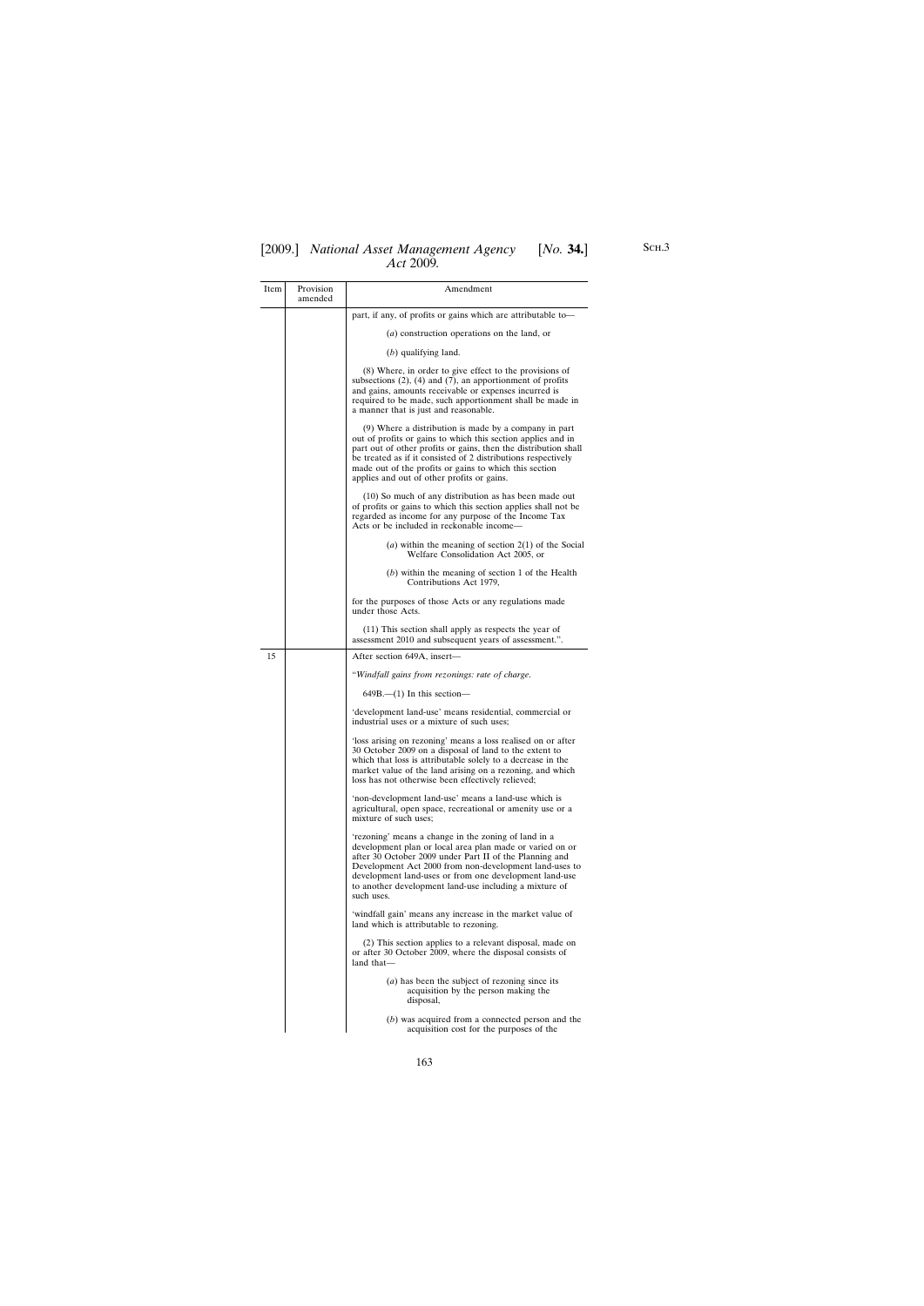| Item | Provision | Amendment                                                                                                                                                                                                                                                                                                                                                               |
|------|-----------|-------------------------------------------------------------------------------------------------------------------------------------------------------------------------------------------------------------------------------------------------------------------------------------------------------------------------------------------------------------------------|
|      | amended   |                                                                                                                                                                                                                                                                                                                                                                         |
|      |           | part, if any, of profits or gains which are attributable to-                                                                                                                                                                                                                                                                                                            |
|      |           | $(a)$ construction operations on the land, or                                                                                                                                                                                                                                                                                                                           |
|      |           | $(b)$ qualifying land.                                                                                                                                                                                                                                                                                                                                                  |
|      |           | (8) Where, in order to give effect to the provisions of<br>subsections $(2)$ , $(4)$ and $(7)$ , an apportionment of profits<br>and gains, amounts receivable or expenses incurred is<br>required to be made, such apportionment shall be made in<br>a manner that is just and reasonable.                                                                              |
|      |           | (9) Where a distribution is made by a company in part<br>out of profits or gains to which this section applies and in<br>part out of other profits or gains, then the distribution shall<br>be treated as if it consisted of 2 distributions respectively<br>made out of the profits or gains to which this section<br>applies and out of other profits or gains.       |
|      |           | (10) So much of any distribution as has been made out<br>of profits or gains to which this section applies shall not be<br>regarded as income for any purpose of the Income Tax<br>Acts or be included in reckonable income—                                                                                                                                            |
|      |           | ( <i>a</i> ) within the meaning of section $2(1)$ of the Social<br>Welfare Consolidation Act 2005, or                                                                                                                                                                                                                                                                   |
|      |           | $(b)$ within the meaning of section 1 of the Health<br>Contributions Act 1979,                                                                                                                                                                                                                                                                                          |
|      |           | for the purposes of those Acts or any regulations made<br>under those Acts.                                                                                                                                                                                                                                                                                             |
|      |           | (11) This section shall apply as respects the year of<br>assessment 2010 and subsequent years of assessment.".                                                                                                                                                                                                                                                          |
| 15   |           | After section 649A, insert—                                                                                                                                                                                                                                                                                                                                             |
|      |           | "Windfall gains from rezonings: rate of charge.                                                                                                                                                                                                                                                                                                                         |
|      |           | $649B$ .— $(1)$ In this section—                                                                                                                                                                                                                                                                                                                                        |
|      |           | 'development land-use' means residential, commercial or<br>industrial uses or a mixture of such uses;                                                                                                                                                                                                                                                                   |
|      |           | loss arising on rezoning' means a loss realised on or after<br>30 October 2009 on a disposal of land to the extent to<br>which that loss is attributable solely to a decrease in the<br>market value of the land arising on a rezoning, and which<br>loss has not otherwise been effectively relieved;                                                                  |
|      |           | 'non-development land-use' means a land-use which is<br>agricultural, open space, recreational or amenity use or a<br>mixture of such uses;                                                                                                                                                                                                                             |
|      |           | 'rezoning' means a change in the zoning of land in a<br>development plan or local area plan made or varied on or<br>after 30 October 2009 under Part II of the Planning and<br>Development Act 2000 from non-development land-uses to<br>development land-uses or from one development land-use<br>to another development land-use including a mixture of<br>such uses. |
|      |           | 'windfall gain' means any increase in the market value of<br>land which is attributable to rezoning.                                                                                                                                                                                                                                                                    |
|      |           | (2) This section applies to a relevant disposal, made on<br>or after 30 October 2009, where the disposal consists of<br>land that-                                                                                                                                                                                                                                      |
|      |           | ( <i>a</i> ) has been the subject of rezoning since its<br>acquisition by the person making the<br>disposal,                                                                                                                                                                                                                                                            |
|      |           | (b) was acquired from a connected person and the<br>acquisition cost for the purposes of the                                                                                                                                                                                                                                                                            |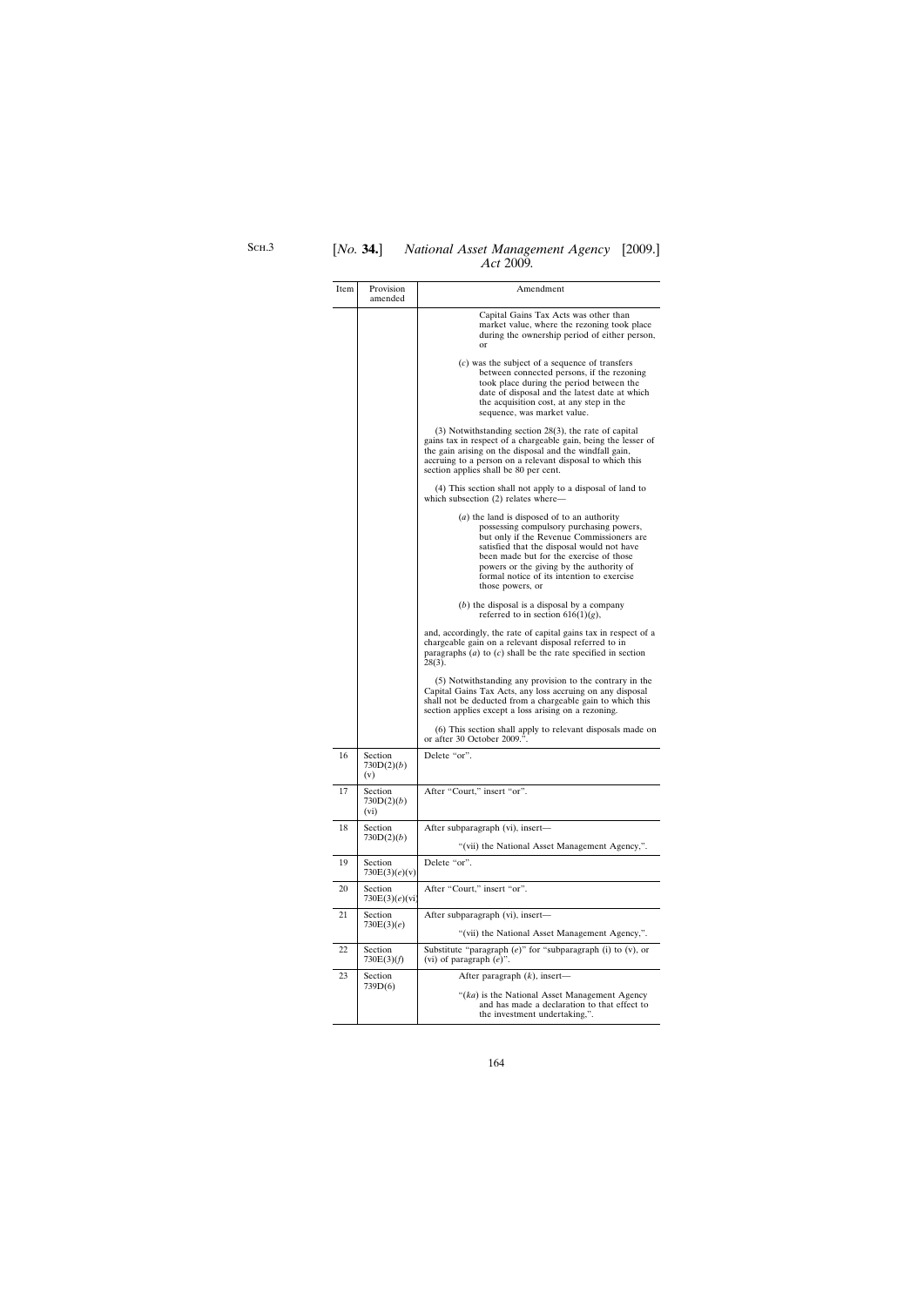| Item | Provision<br>amended          | Amendment                                                                                                                                                                                                                                                                                                                                     |
|------|-------------------------------|-----------------------------------------------------------------------------------------------------------------------------------------------------------------------------------------------------------------------------------------------------------------------------------------------------------------------------------------------|
|      |                               | Capital Gains Tax Acts was other than<br>market value, where the rezoning took place<br>during the ownership period of either person,<br>or                                                                                                                                                                                                   |
|      |                               | $(c)$ was the subject of a sequence of transfers<br>between connected persons, if the rezoning<br>took place during the period between the<br>date of disposal and the latest date at which<br>the acquisition cost, at any step in the<br>sequence, was market value.                                                                        |
|      |                               | $(3)$ Notwithstanding section 28 $(3)$ , the rate of capital<br>gains tax in respect of a chargeable gain, being the lesser of<br>the gain arising on the disposal and the windfall gain,<br>accruing to a person on a relevant disposal to which this<br>section applies shall be 80 per cent.                                               |
|      |                               | (4) This section shall not apply to a disposal of land to<br>which subsection (2) relates where-                                                                                                                                                                                                                                              |
|      |                               | $(a)$ the land is disposed of to an authority<br>possessing compulsory purchasing powers,<br>but only if the Revenue Commissioners are<br>satisfied that the disposal would not have<br>been made but for the exercise of those<br>powers or the giving by the authority of<br>formal notice of its intention to exercise<br>those powers, or |
|      |                               | $(b)$ the disposal is a disposal by a company<br>referred to in section $616(1)(g)$ ,                                                                                                                                                                                                                                                         |
|      |                               | and, accordingly, the rate of capital gains tax in respect of a<br>chargeable gain on a relevant disposal referred to in<br>paragraphs $(a)$ to $(c)$ shall be the rate specified in section<br>$28(3)$ .                                                                                                                                     |
|      |                               | (5) Notwithstanding any provision to the contrary in the<br>Capital Gains Tax Acts, any loss accruing on any disposal<br>shall not be deducted from a chargeable gain to which this<br>section applies except a loss arising on a rezoning.                                                                                                   |
|      |                               | (6) This section shall apply to relevant disposals made on<br>or after 30 October 2009.".                                                                                                                                                                                                                                                     |
| 16   | Section<br>730D(2)(b)<br>(v)  | Delete "or".                                                                                                                                                                                                                                                                                                                                  |
| 17   | Section<br>730D(2)(b)<br>(vi) | After "Court," insert "or".                                                                                                                                                                                                                                                                                                                   |
| 18   | Section                       | After subparagraph (vi), insert-                                                                                                                                                                                                                                                                                                              |
|      | 730D(2)(b)                    | "(vii) the National Asset Management Agency,".                                                                                                                                                                                                                                                                                                |
| 19   | Section<br>730E(3)(e)(v)      | Delete "or".                                                                                                                                                                                                                                                                                                                                  |
| 20   | Section<br>730E(3)(e)(vi)     | After "Court," insert "or".                                                                                                                                                                                                                                                                                                                   |
| 21   | Section<br>730E(3)(e)         | After subparagraph (vi), insert-                                                                                                                                                                                                                                                                                                              |
|      |                               | "(vii) the National Asset Management Agency,".                                                                                                                                                                                                                                                                                                |
| 22   | Section<br>730E(3)(f)         | Substitute "paragraph $(e)$ " for "subparagraph (i) to (v), or<br>(vi) of paragraph $(e)$ ".                                                                                                                                                                                                                                                  |
| 23   | Section<br>739D(6)            | After paragraph $(k)$ , insert—                                                                                                                                                                                                                                                                                                               |
|      |                               | " $(ka)$ is the National Asset Management Agency<br>and has made a declaration to that effect to<br>the investment undertaking,".                                                                                                                                                                                                             |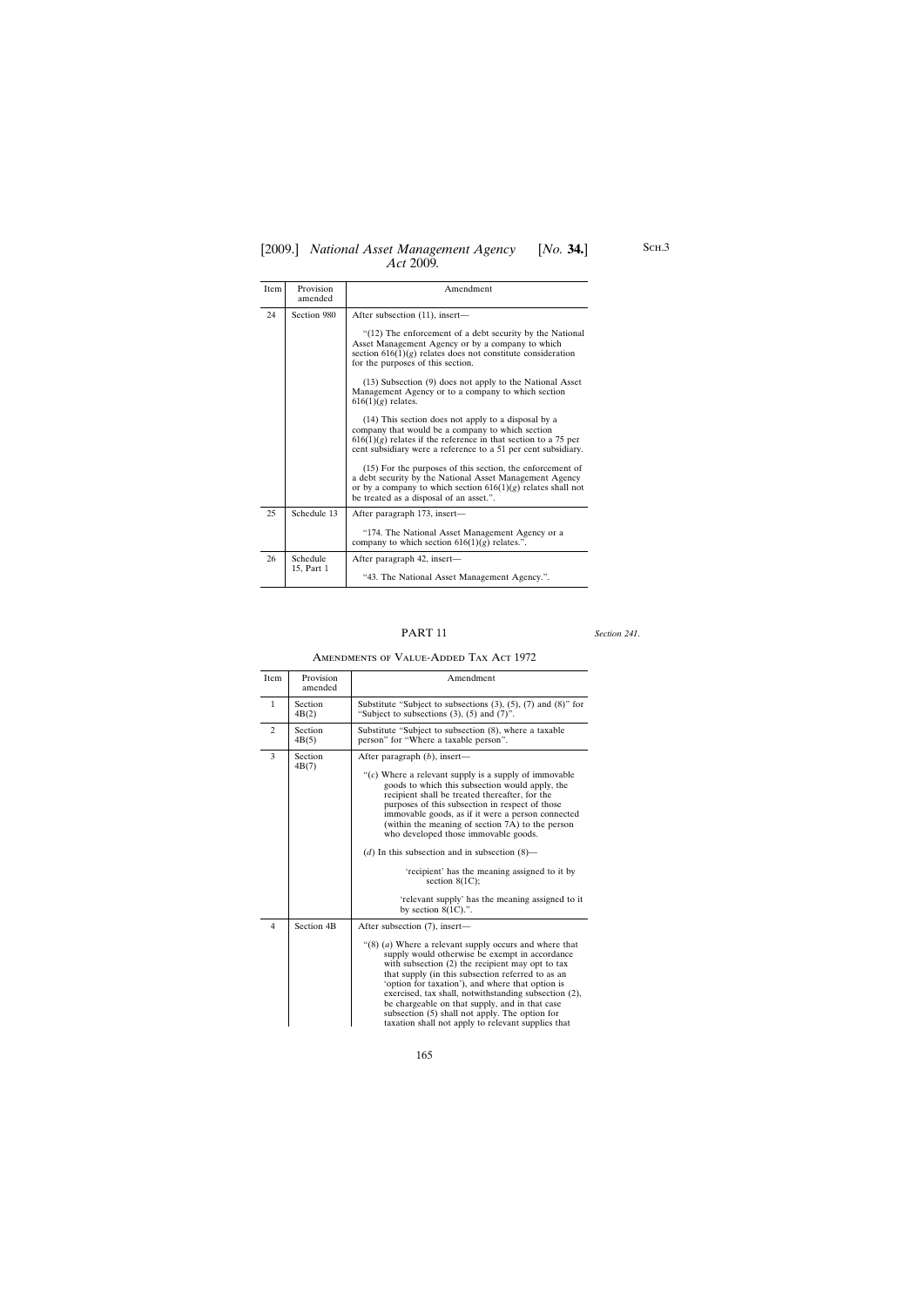| Item | Provision<br>amended   | Amendment                                                                                                                                                                                                                                    |
|------|------------------------|----------------------------------------------------------------------------------------------------------------------------------------------------------------------------------------------------------------------------------------------|
| 24   | Section 980            | After subsection (11), insert—                                                                                                                                                                                                               |
|      |                        | "(12) The enforcement of a debt security by the National<br>Asset Management Agency or by a company to which<br>section $616(1)(g)$ relates does not constitute consideration<br>for the purposes of this section.                           |
|      |                        | (13) Subsection (9) does not apply to the National Asset<br>Management Agency or to a company to which section<br>$616(1)(g)$ relates.                                                                                                       |
|      |                        | (14) This section does not apply to a disposal by a<br>company that would be a company to which section<br>$616(1)(g)$ relates if the reference in that section to a 75 per<br>cent subsidiary were a reference to a 51 per cent subsidiary. |
|      |                        | $(15)$ For the purposes of this section, the enforcement of<br>a debt security by the National Asset Management Agency<br>or by a company to which section $616(1)(g)$ relates shall not<br>be treated as a disposal of an asset.".          |
| 25   | Schedule 13            | After paragraph 173, insert—                                                                                                                                                                                                                 |
|      |                        | "174. The National Asset Management Agency or a<br>company to which section $616(1)(g)$ relates.".                                                                                                                                           |
| 26   | Schedule<br>15, Part 1 | After paragraph 42, insert—                                                                                                                                                                                                                  |
|      |                        | "43. The National Asset Management Agency.".                                                                                                                                                                                                 |

# PART 11

*Section 241*.

#### Amendments of Value-Added Tax Act 1972

| Item           | Provision<br>amended | Amendment                                                                                                                                                                                                                                                                                                                                                                                                                                                                                                                                                                                                 |
|----------------|----------------------|-----------------------------------------------------------------------------------------------------------------------------------------------------------------------------------------------------------------------------------------------------------------------------------------------------------------------------------------------------------------------------------------------------------------------------------------------------------------------------------------------------------------------------------------------------------------------------------------------------------|
| 1              | Section<br>4B(2)     | Substitute "Subject to subsections $(3)$ , $(5)$ , $(7)$ and $(8)$ " for<br>"Subject to subsections $(3)$ , $(5)$ and $(7)$ ".                                                                                                                                                                                                                                                                                                                                                                                                                                                                            |
| 2              | Section<br>4B(5)     | Substitute "Subject to subsection (8), where a taxable<br>person" for "Where a taxable person".                                                                                                                                                                                                                                                                                                                                                                                                                                                                                                           |
| 3              | Section<br>4B(7)     | After paragraph $(b)$ , insert—<br>"(c) Where a relevant supply is a supply of immovable<br>goods to which this subsection would apply, the<br>recipient shall be treated thereafter, for the<br>purposes of this subsection in respect of those<br>immovable goods, as if it were a person connected<br>(within the meaning of section 7A) to the person<br>who developed those immovable goods.<br>(d) In this subsection and in subsection $(8)$ —<br>'recipient' has the meaning assigned to it by<br>section $8(1C)$ ;<br>'relevant supply' has the meaning assigned to it<br>by section $8(1C)$ .". |
| $\overline{4}$ | Section 4B           | After subsection (7), insert—<br>" $(8)$ ( <i>a</i> ) Where a relevant supply occurs and where that<br>supply would otherwise be exempt in accordance<br>with subsection (2) the recipient may opt to tax<br>that supply (in this subsection referred to as an<br>'option for taxation'), and where that option is<br>exercised, tax shall, notwithstanding subsection (2),<br>be chargeable on that supply, and in that case<br>subsection (5) shall not apply. The option for<br>taxation shall not apply to relevant supplies that                                                                     |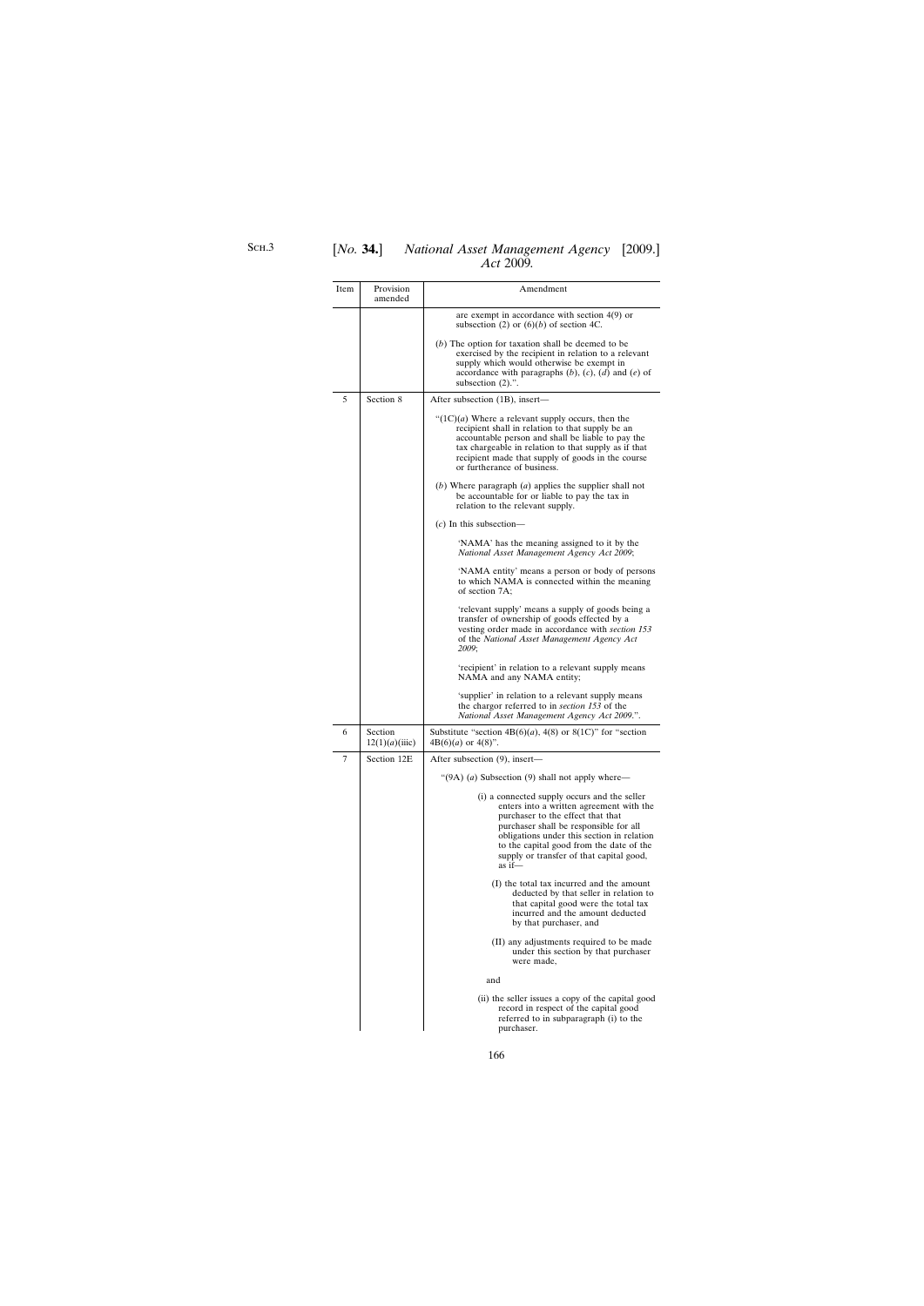| Item | Provision<br>amended     | Amendment                                                                                                                                                                                                                                                                                                                                 |
|------|--------------------------|-------------------------------------------------------------------------------------------------------------------------------------------------------------------------------------------------------------------------------------------------------------------------------------------------------------------------------------------|
|      |                          | are exempt in accordance with section $4(9)$ or<br>subsection (2) or $(6)(b)$ of section 4C.                                                                                                                                                                                                                                              |
|      |                          | $(b)$ The option for taxation shall be deemed to be<br>exercised by the recipient in relation to a relevant<br>supply which would otherwise be exempt in<br>accordance with paragraphs $(b)$ , $(c)$ , $(d)$ and $(e)$ of<br>subsection $(2)$ .".                                                                                         |
| 5    | Section 8                | After subsection (1B), insert—                                                                                                                                                                                                                                                                                                            |
|      |                          | " $(1C)(a)$ Where a relevant supply occurs, then the<br>recipient shall in relation to that supply be an<br>accountable person and shall be liable to pay the<br>tax chargeable in relation to that supply as if that<br>recipient made that supply of goods in the course<br>or furtherance of business.                                 |
|      |                          | (b) Where paragraph $(a)$ applies the supplier shall not<br>be accountable for or liable to pay the tax in<br>relation to the relevant supply.                                                                                                                                                                                            |
|      |                          | $(c)$ In this subsection—                                                                                                                                                                                                                                                                                                                 |
|      |                          | 'NAMA' has the meaning assigned to it by the<br>National Asset Management Agency Act 2009;                                                                                                                                                                                                                                                |
|      |                          | 'NAMA entity' means a person or body of persons<br>to which NAMA is connected within the meaning<br>of section 7A;                                                                                                                                                                                                                        |
|      |                          | 'relevant supply' means a supply of goods being a<br>transfer of ownership of goods effected by a<br>vesting order made in accordance with section 153<br>of the National Asset Management Agency Act<br>2009;                                                                                                                            |
|      |                          | 'recipient' in relation to a relevant supply means<br>NAMA and any NAMA entity;                                                                                                                                                                                                                                                           |
|      |                          | 'supplier' in relation to a relevant supply means<br>the chargor referred to in <i>section</i> 153 of the<br>National Asset Management Agency Act 2009.".                                                                                                                                                                                 |
| 6    | Section<br>12(1)(a)(iii) | Substitute "section $4B(6)(a)$ , $4(8)$ or $8(1C)$ " for "section<br>$4B(6)(a)$ or $4(8)$ ".                                                                                                                                                                                                                                              |
| 7    | Section 12E              | After subsection (9), insert—                                                                                                                                                                                                                                                                                                             |
|      |                          | "(9A) $(a)$ Subsection $(9)$ shall not apply where-                                                                                                                                                                                                                                                                                       |
|      |                          | (i) a connected supply occurs and the seller<br>enters into a written agreement with the<br>purchaser to the effect that that<br>purchaser shall be responsible for all<br>obligations under this section in relation<br>to the capital good from the date of the<br>supply or transfer of that capital good,<br>$\frac{1}{\text{as if}}$ |
|      |                          | (I) the total tax incurred and the amount<br>deducted by that seller in relation to<br>that capital good were the total tax<br>incurred and the amount deducted<br>by that purchaser, and                                                                                                                                                 |
|      |                          | (II) any adjustments required to be made<br>under this section by that purchaser<br>were made,                                                                                                                                                                                                                                            |
|      |                          | and                                                                                                                                                                                                                                                                                                                                       |
|      |                          | (ii) the seller issues a copy of the capital good<br>record in respect of the capital good<br>referred to in subparagraph (i) to the<br>purchaser.                                                                                                                                                                                        |